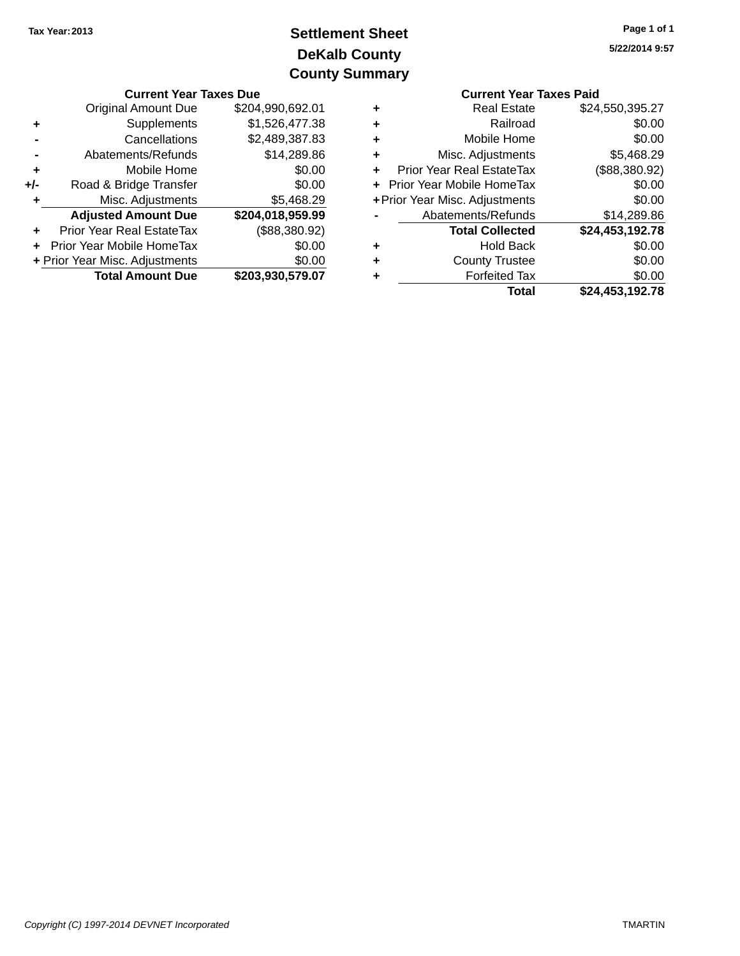# **DeKalb County Settlement Sheet Tax Year:2013 County Summary**

|     | <b>Current Year Taxes Due</b>    |                  |   | <b>Current Year Taxes Paid</b>   |                       |  |
|-----|----------------------------------|------------------|---|----------------------------------|-----------------------|--|
|     | <b>Original Amount Due</b>       | \$204,990,692.01 | ٠ | <b>Real Estate</b>               | \$24,550,395.27       |  |
| ٠   | Supplements                      | \$1,526,477.38   | ٠ | Railroad                         | \$0.00                |  |
|     | Cancellations                    | \$2,489,387.83   | ٠ | Mobile Home                      | \$0.00                |  |
|     | Abatements/Refunds               | \$14,289.86      | ٠ | Misc. Adjustments                | \$5,468.29            |  |
| ٠   | Mobile Home                      | \$0.00           |   | <b>Prior Year Real EstateTax</b> | (\$88,380.92)         |  |
| +/- | Road & Bridge Transfer           | \$0.00           |   | + Prior Year Mobile HomeTax      | \$0.00                |  |
|     | Misc. Adjustments                | \$5,468.29       |   | + Prior Year Misc. Adjustments   | \$0.00                |  |
|     | <b>Adjusted Amount Due</b>       | \$204,018,959.99 |   | Abatements/Refunds               | \$14,289.86           |  |
| ٠   | <b>Prior Year Real EstateTax</b> | (\$88,380.92)    |   | <b>Total Collected</b>           | \$24,453,192.78       |  |
|     | + Prior Year Mobile HomeTax      | \$0.00           | ٠ | <b>Hold Back</b>                 | \$0.00                |  |
|     | + Prior Year Misc. Adjustments   | \$0.00           | ٠ | <b>County Trustee</b>            | \$0.00                |  |
|     | <b>Total Amount Due</b>          | \$203,930,579.07 | ٠ | <b>Forfeited Tax</b>             | \$0.00                |  |
|     |                                  |                  |   | <b>Total</b>                     | <b>COA 453 102 78</b> |  |

|   | <b>Current Year Taxes Paid</b> |                 |  |  |
|---|--------------------------------|-----------------|--|--|
| ٠ | <b>Real Estate</b>             | \$24,550,395.27 |  |  |
| ٠ | Railroad                       | \$0.00          |  |  |
| ٠ | Mobile Home                    | \$0.00          |  |  |
| ٠ | Misc. Adjustments              | \$5,468.29      |  |  |
|   | Prior Year Real EstateTax      | (\$88,380.92)   |  |  |
|   | Prior Year Mobile HomeTax      | \$0.00          |  |  |
|   | + Prior Year Misc. Adjustments | \$0.00          |  |  |
|   | Abatements/Refunds             | \$14,289.86     |  |  |
|   | <b>Total Collected</b>         | \$24,453,192.78 |  |  |
|   | <b>Hold Back</b>               | \$0.00          |  |  |
|   | <b>County Trustee</b>          | \$0.00          |  |  |
|   | <b>Forfeited Tax</b>           | \$0.00          |  |  |
|   | Total                          | \$24.453.192.78 |  |  |

#### Copyright (C) 1997-2014 DEVNET Incorporated TMARTIN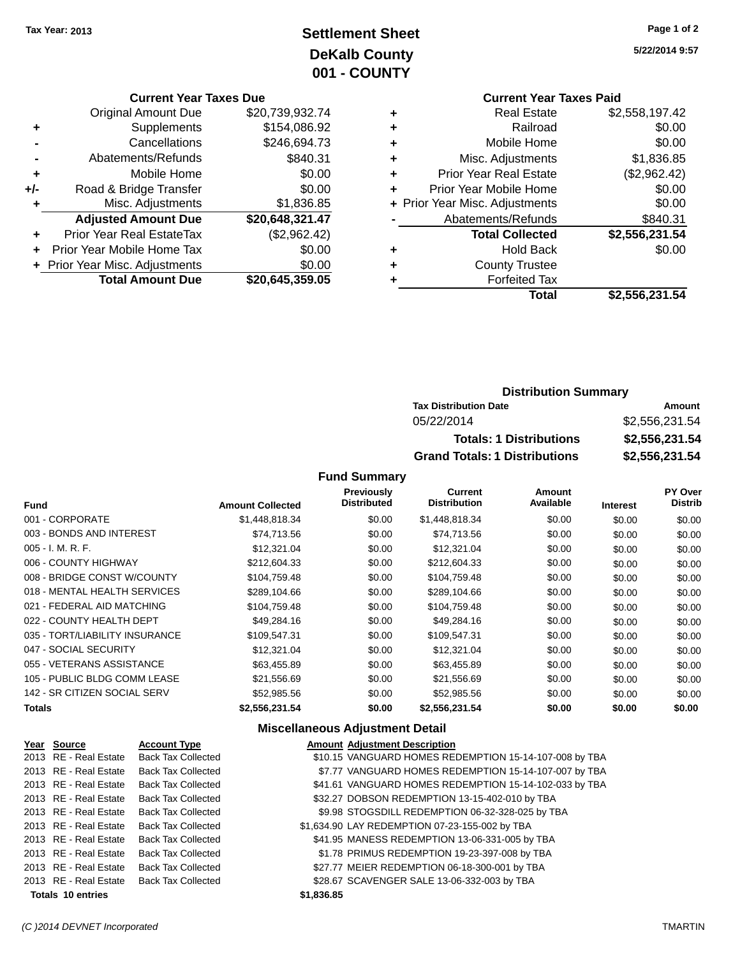## **Settlement Sheet Tax Year: 2013 Page 1 of 2 DeKalb County 001 - COUNTY**

**5/22/2014 9:57**

|   | <b>Current Year Taxes Paid</b> |                |
|---|--------------------------------|----------------|
| ٠ | <b>Real Estate</b>             | \$2,558,197.42 |
| ٠ | Railroad                       | \$0.00         |
| ٠ | Mobile Home                    | \$0.00         |
| ٠ | Misc. Adjustments              | \$1,836.85     |
| ٠ | Prior Year Real Estate         | (\$2,962.42)   |
| ٠ | Prior Year Mobile Home         | \$0.00         |
|   | + Prior Year Misc. Adjustments | \$0.00         |
|   | Abatements/Refunds             | \$840.31       |
|   | <b>Total Collected</b>         | \$2,556,231.54 |
| ٠ | <b>Hold Back</b>               | \$0.00         |
| ٠ | <b>County Trustee</b>          |                |
| ٠ | <b>Forfeited Tax</b>           |                |
|   | Total                          | \$2,556,231.54 |
|   |                                |                |

|     | <b>Current Year Taxes Due</b>    |                 |
|-----|----------------------------------|-----------------|
|     | <b>Original Amount Due</b>       | \$20,739,932.74 |
| ٠   | Supplements                      | \$154,086.92    |
|     | Cancellations                    | \$246,694.73    |
|     | Abatements/Refunds               | \$840.31        |
| ٠   | Mobile Home                      | \$0.00          |
| +/- | Road & Bridge Transfer           | \$0.00          |
| ٠   | Misc. Adjustments                | \$1,836.85      |
|     | <b>Adjusted Amount Due</b>       | \$20,648,321.47 |
|     | <b>Prior Year Real EstateTax</b> | (\$2,962.42)    |
|     | Prior Year Mobile Home Tax       | \$0.00          |
|     | + Prior Year Misc. Adjustments   | \$0.00          |
|     | <b>Total Amount Due</b>          | \$20,645,359.05 |

| <b>Distribution Summary</b>  |                |  |
|------------------------------|----------------|--|
| <b>Tax Distribution Date</b> | Amount         |  |
| 05/22/2014                   | \$2.556.231.54 |  |
| Tataland Blatcherdana        | CO FER ORA EA  |  |

| <b>Totals: 1 Distributions</b> | \$2,556,231.54 |
|--------------------------------|----------------|
| Grand Totals: 1 Distributions  | \$2,556,231.54 |

**Fund Summary**

| <b>Fund</b>                    | <b>Amount Collected</b> | Previously<br><b>Distributed</b> | <b>Current</b><br><b>Distribution</b> | Amount<br>Available | <b>Interest</b> | PY Over<br><b>Distrib</b> |
|--------------------------------|-------------------------|----------------------------------|---------------------------------------|---------------------|-----------------|---------------------------|
| 001 - CORPORATE                | \$1,448,818.34          | \$0.00                           | \$1,448,818.34                        | \$0.00              | \$0.00          | \$0.00                    |
| 003 - BONDS AND INTEREST       | \$74,713.56             | \$0.00                           | \$74,713.56                           | \$0.00              | \$0.00          | \$0.00                    |
| 005 - I. M. R. F.              | \$12,321.04             | \$0.00                           | \$12,321.04                           | \$0.00              | \$0.00          | \$0.00                    |
| 006 - COUNTY HIGHWAY           | \$212,604.33            | \$0.00                           | \$212,604.33                          | \$0.00              | \$0.00          | \$0.00                    |
| 008 - BRIDGE CONST W/COUNTY    | \$104,759.48            | \$0.00                           | \$104,759.48                          | \$0.00              | \$0.00          | \$0.00                    |
| 018 - MENTAL HEALTH SERVICES   | \$289,104.66            | \$0.00                           | \$289,104.66                          | \$0.00              | \$0.00          | \$0.00                    |
| 021 - FEDERAL AID MATCHING     | \$104,759.48            | \$0.00                           | \$104,759.48                          | \$0.00              | \$0.00          | \$0.00                    |
| 022 - COUNTY HEALTH DEPT       | \$49.284.16             | \$0.00                           | \$49,284.16                           | \$0.00              | \$0.00          | \$0.00                    |
| 035 - TORT/LIABILITY INSURANCE | \$109,547.31            | \$0.00                           | \$109,547.31                          | \$0.00              | \$0.00          | \$0.00                    |
| 047 - SOCIAL SECURITY          | \$12,321.04             | \$0.00                           | \$12,321.04                           | \$0.00              | \$0.00          | \$0.00                    |
| 055 - VETERANS ASSISTANCE      | \$63,455.89             | \$0.00                           | \$63,455.89                           | \$0.00              | \$0.00          | \$0.00                    |
| 105 - PUBLIC BLDG COMM LEASE   | \$21,556.69             | \$0.00                           | \$21,556.69                           | \$0.00              | \$0.00          | \$0.00                    |
| 142 - SR CITIZEN SOCIAL SERV   | \$52,985.56             | \$0.00                           | \$52,985.56                           | \$0.00              | \$0.00          | \$0.00                    |
| Totals                         | \$2,556,231.54          | \$0.00                           | \$2,556,231.54                        | \$0.00              | \$0.00          | \$0.00                    |
|                                |                         |                                  |                                       |                     |                 |                           |

#### **Miscellaneous Adjustment Detail**

| Year Source              | <b>Account Type</b>                      |            | <b>Amount Adjustment Description</b>                   |
|--------------------------|------------------------------------------|------------|--------------------------------------------------------|
| 2013 RE - Real Estate    | <b>Back Tax Collected</b>                |            | \$10.15 VANGUARD HOMES REDEMPTION 15-14-107-008 by TBA |
| 2013 RE - Real Estate    | <b>Back Tax Collected</b>                |            | \$7.77 VANGUARD HOMES REDEMPTION 15-14-107-007 by TBA  |
| 2013 RE - Real Estate    | <b>Back Tax Collected</b>                |            | \$41.61 VANGUARD HOMES REDEMPTION 15-14-102-033 by TBA |
| 2013 RE - Real Estate    | <b>Back Tax Collected</b>                |            | \$32.27 DOBSON REDEMPTION 13-15-402-010 by TBA         |
| 2013 RE - Real Estate    | <b>Back Tax Collected</b>                |            | \$9.98 STOGSDILL REDEMPTION 06-32-328-025 by TBA       |
| 2013 RE - Real Estate    | <b>Back Tax Collected</b>                |            | \$1,634.90 LAY REDEMPTION 07-23-155-002 by TBA         |
| 2013 RE - Real Estate    | <b>Back Tax Collected</b>                |            | \$41.95 MANESS REDEMPTION 13-06-331-005 by TBA         |
| 2013 RE - Real Estate    | <b>Back Tax Collected</b>                |            | \$1.78 PRIMUS REDEMPTION 19-23-397-008 by TBA          |
| 2013 RE - Real Estate    | <b>Back Tax Collected</b>                |            | \$27.77 MEIER REDEMPTION 06-18-300-001 by TBA          |
|                          | 2013 RE - Real Estate Back Tax Collected |            | \$28.67 SCAVENGER SALE 13-06-332-003 by TBA            |
| <b>Totals 10 entries</b> |                                          | \$1,836.85 |                                                        |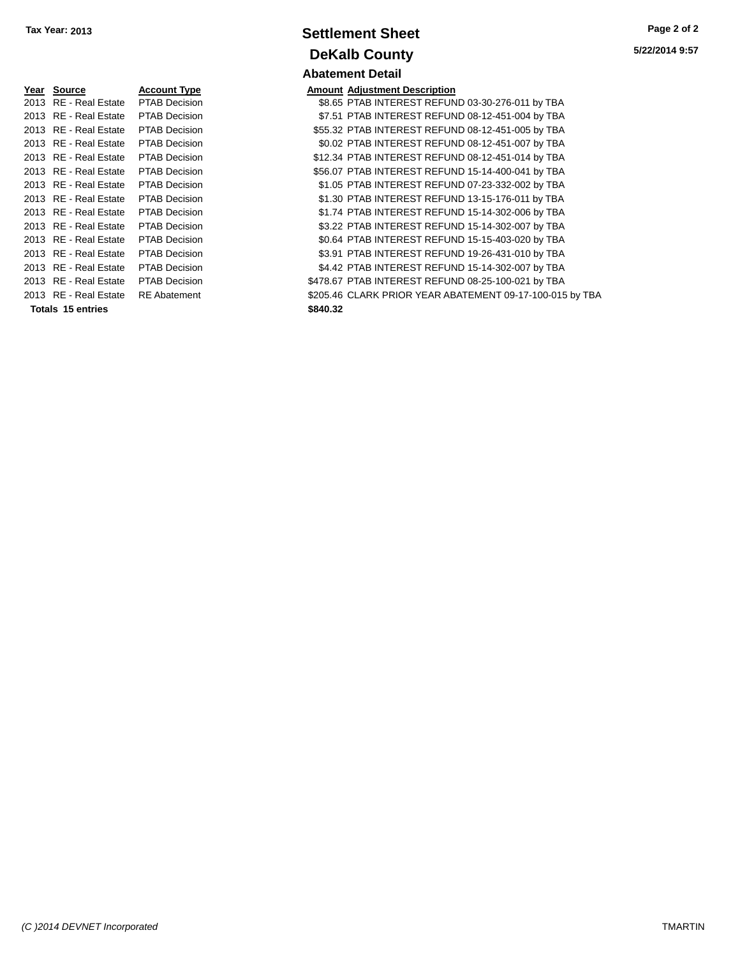| Year | <b>Source</b>            | Account Type         | Amount   |
|------|--------------------------|----------------------|----------|
| 2013 | RE - Real Estate         | <b>PTAB Decision</b> | \$8.65   |
|      | 2013 RE - Real Estate    | <b>PTAB Decision</b> | \$7.51   |
|      | 2013 RE - Real Estate    | <b>PTAB Decision</b> | \$55.32  |
|      | 2013 RE - Real Estate    | <b>PTAB Decision</b> | \$0.02   |
|      | 2013 RE - Real Estate    | <b>PTAB Decision</b> | \$12.34  |
|      | 2013 RE - Real Estate    | <b>PTAB Decision</b> | \$56.07  |
|      | 2013 RE - Real Estate    | <b>PTAB Decision</b> | \$1.05   |
|      | 2013 RE - Real Estate    | <b>PTAB Decision</b> | \$1.30   |
|      | 2013 RE - Real Estate    | <b>PTAB Decision</b> | \$1.74   |
|      | 2013 RE - Real Estate    | <b>PTAB Decision</b> | \$3.22   |
|      | 2013 RE - Real Estate    | <b>PTAB Decision</b> | \$0.64   |
|      | 2013 RE - Real Estate    | <b>PTAB Decision</b> | \$3.91   |
|      | 2013 RE - Real Estate    | <b>PTAB Decision</b> | \$4.42   |
|      | 2013 RE - Real Estate    | <b>PTAB Decision</b> | \$478.67 |
|      | 2013 RE - Real Estate    | <b>RE</b> Abatement  | \$205.46 |
|      | <b>Totals 15 entries</b> |                      | \$840.32 |

**Settlement Sheet Tax Year: 2013 Page 2 of 2 DeKalb County Abatement Detail**

#### **Amount Adjustment Description** 1013 82013 83.65 PTAB INTEREST REFUND 03-30-276-011 by TBA \$7.51 PTAB INTEREST REFUND 08-12-451-004 by TBA \$55.32 PTAB INTEREST REFUND 08-12-451-005 by TBA \$0.02 PTAB INTEREST REFUND 08-12-451-007 by TBA \$12.34 PTAB INTEREST REFUND 08-12-451-014 by TBA \$56.07 PTAB INTEREST REFUND 15-14-400-041 by TBA \$1.05 PTAB INTEREST REFUND 07-23-332-002 by TBA \$1.30 PTAB INTEREST REFUND 13-15-176-011 by TBA \$1.74 PTAB INTEREST REFUND 15-14-302-006 by TBA 1013 83.22 PTAB INTEREST REFUND 15-14-302-007 by TBA 1013 80.64 PTAB INTEREST REFUND 15-15-403-020 by TBA \$3.91 PTAB INTEREST REFUND 19-26-431-010 by TBA \$4.42 PTAB INTEREST REFUND 15-14-302-007 by TBA 12013 8478.67 PTAB INTEREST REFUND 08-25-100-021 by TBA \$205.46 CLARK PRIOR YEAR ABATEMENT 09-17-100-015 by TBA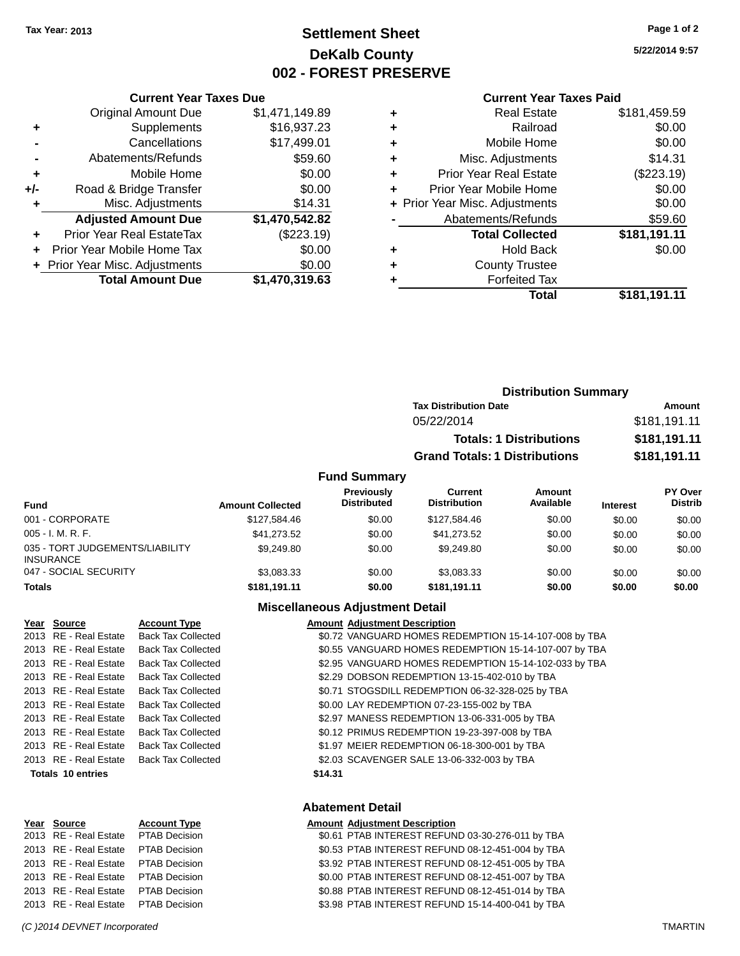### **Settlement Sheet Tax Year: 2013 Page 1 of 2 DeKalb County 002 - FOREST PRESERVE**

**5/22/2014 9:57**

#### **Current Year Taxes Paid**

|     | <b>Current Year Taxes Due</b>    |                |
|-----|----------------------------------|----------------|
|     | <b>Original Amount Due</b>       | \$1,471,149.89 |
| ٠   | Supplements                      | \$16,937.23    |
|     | Cancellations                    | \$17,499.01    |
|     | Abatements/Refunds               | \$59.60        |
| ٠   | Mobile Home                      | \$0.00         |
| +/- | Road & Bridge Transfer           | \$0.00         |
|     | Misc. Adjustments                | \$14.31        |
|     | <b>Adjusted Amount Due</b>       | \$1,470,542.82 |
| ÷   | <b>Prior Year Real EstateTax</b> | (\$223.19)     |
|     | Prior Year Mobile Home Tax       | \$0.00         |
|     | + Prior Year Misc. Adjustments   | \$0.00         |
|     | <b>Total Amount Due</b>          | \$1,470,319.63 |
|     |                                  |                |

| ٠ | <b>Real Estate</b>             | \$181,459.59 |
|---|--------------------------------|--------------|
| ٠ | Railroad                       | \$0.00       |
| ٠ | Mobile Home                    | \$0.00       |
| ٠ | Misc. Adjustments              | \$14.31      |
| ٠ | <b>Prior Year Real Estate</b>  | (\$223.19)   |
| ٠ | Prior Year Mobile Home         | \$0.00       |
|   | + Prior Year Misc. Adjustments | \$0.00       |
|   | Abatements/Refunds             | \$59.60      |
|   | <b>Total Collected</b>         | \$181,191.11 |
| ٠ | <b>Hold Back</b>               | \$0.00       |
| ٠ | <b>County Trustee</b>          |              |
|   | <b>Forfeited Tax</b>           |              |
|   | Total                          | \$181,191.11 |
|   |                                |              |

|                     | <b>Distribution Summary</b>          |              |
|---------------------|--------------------------------------|--------------|
|                     | <b>Tax Distribution Date</b>         | Amount       |
|                     | 05/22/2014                           | \$181,191.11 |
|                     | <b>Totals: 1 Distributions</b>       | \$181,191.11 |
|                     | <b>Grand Totals: 1 Distributions</b> | \$181,191.11 |
| <b>Fund Summary</b> |                                      |              |

| Fund                                                | <b>Amount Collected</b> | <b>Previously</b><br><b>Distributed</b> | Current<br><b>Distribution</b> | Amount<br>Available | <b>Interest</b> | PY Over<br><b>Distrib</b> |
|-----------------------------------------------------|-------------------------|-----------------------------------------|--------------------------------|---------------------|-----------------|---------------------------|
| 001 - CORPORATE                                     | \$127.584.46            | \$0.00                                  | \$127.584.46                   | \$0.00              | \$0.00          | \$0.00                    |
| $005 - I. M. R. F.$                                 | \$41.273.52             | \$0.00                                  | \$41.273.52                    | \$0.00              | \$0.00          | \$0.00                    |
| 035 - TORT JUDGEMENTS/LIABILITY<br><b>INSURANCE</b> | \$9,249.80              | \$0.00                                  | \$9,249.80                     | \$0.00              | \$0.00          | \$0.00                    |
| 047 - SOCIAL SECURITY                               | \$3,083.33              | \$0.00                                  | \$3,083.33                     | \$0.00              | \$0.00          | \$0.00                    |
| <b>Totals</b>                                       | \$181,191.11            | \$0.00                                  | \$181,191.11                   | \$0.00              | \$0.00          | \$0.00                    |

### **Miscellaneous Adjustment Detail**

**Abatement Detail**

| Year Source              | <b>Account Type</b>       |         | <b>Amount Adjustment Description</b>                  |
|--------------------------|---------------------------|---------|-------------------------------------------------------|
| 2013 RE - Real Estate    | <b>Back Tax Collected</b> |         | \$0.72 VANGUARD HOMES REDEMPTION 15-14-107-008 by TBA |
| 2013 RE - Real Estate    | <b>Back Tax Collected</b> |         | \$0.55 VANGUARD HOMES REDEMPTION 15-14-107-007 by TBA |
| 2013 RE - Real Estate    | <b>Back Tax Collected</b> |         | \$2.95 VANGUARD HOMES REDEMPTION 15-14-102-033 by TBA |
| 2013 RE - Real Estate    | <b>Back Tax Collected</b> |         | \$2.29 DOBSON REDEMPTION 13-15-402-010 by TBA         |
| 2013 RE - Real Estate    | <b>Back Tax Collected</b> |         | \$0.71 STOGSDILL REDEMPTION 06-32-328-025 by TBA      |
| 2013 RE - Real Estate    | <b>Back Tax Collected</b> |         | \$0.00 LAY REDEMPTION 07-23-155-002 by TBA            |
| 2013 RE - Real Estate    | <b>Back Tax Collected</b> |         | \$2.97 MANESS REDEMPTION 13-06-331-005 by TBA         |
| 2013 RE - Real Estate    | <b>Back Tax Collected</b> |         | \$0.12 PRIMUS REDEMPTION 19-23-397-008 by TBA         |
| 2013 RE - Real Estate    | <b>Back Tax Collected</b> |         | \$1.97 MEIER REDEMPTION 06-18-300-001 by TBA          |
| 2013 RE - Real Estate    | <b>Back Tax Collected</b> |         | \$2.03 SCAVENGER SALE 13-06-332-003 by TBA            |
| <b>Totals 10 entries</b> |                           | \$14.31 |                                                       |
|                          |                           |         |                                                       |
|                          |                           |         |                                                       |

| Year Source                         | <b>Account Type</b> | <b>Amount Adjustment Description</b>             |
|-------------------------------------|---------------------|--------------------------------------------------|
| 2013 RE - Real Estate PTAB Decision |                     | \$0.61 PTAB INTEREST REFUND 03-30-276-011 by TBA |
| 2013 RE - Real Estate PTAB Decision |                     | \$0.53 PTAB INTEREST REFUND 08-12-451-004 by TBA |
| 2013 RE - Real Estate PTAB Decision |                     | \$3.92 PTAB INTEREST REFUND 08-12-451-005 by TBA |
| 2013 RE - Real Estate PTAB Decision |                     | \$0.00 PTAB INTEREST REFUND 08-12-451-007 by TBA |
| 2013 RE - Real Estate PTAB Decision |                     | \$0.88 PTAB INTEREST REFUND 08-12-451-014 by TBA |
| 2013 RE - Real Estate PTAB Decision |                     | \$3.98 PTAB INTEREST REFUND 15-14-400-041 by TBA |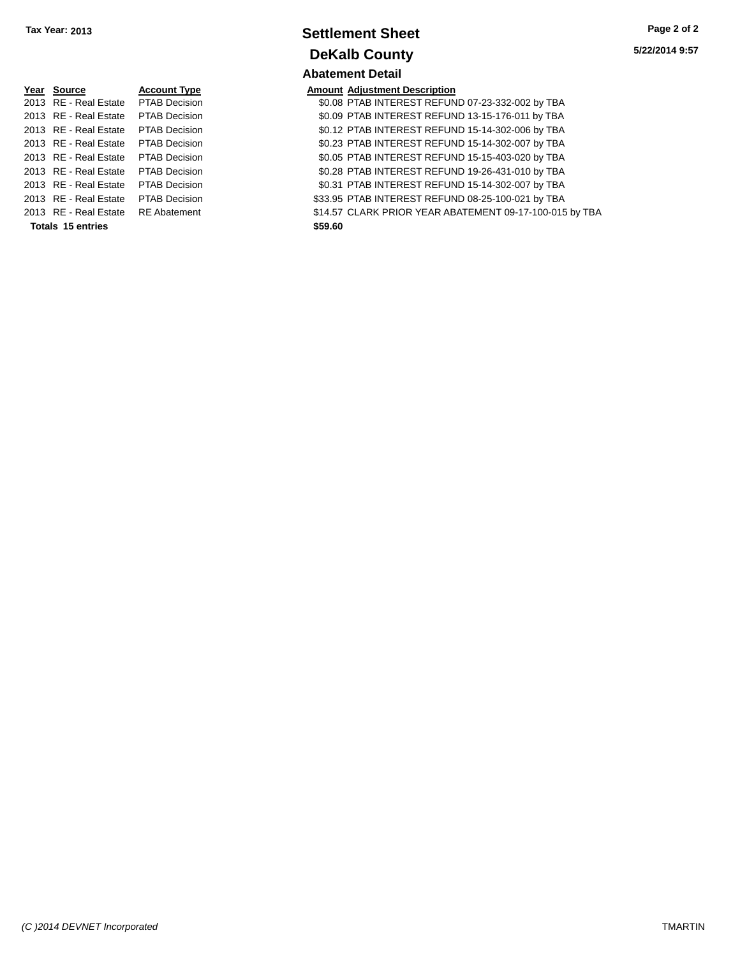| Year Source                         | <b>Account Type</b>  |         | <b>Amount Adjustment Description</b> |
|-------------------------------------|----------------------|---------|--------------------------------------|
| 2013 RE - Real Estate PTAB Decision |                      |         | \$0.08 PTAB INTEREST REFUN           |
| 2013 RE - Real Estate PTAB Decision |                      |         | \$0.09 PTAB INTEREST REFUN           |
| 2013 RE - Real Estate               | PTAB Decision        |         | \$0.12 PTAB INTEREST REFUN           |
| 2013 RE - Real Estate PTAB Decision |                      |         | \$0.23 PTAB INTEREST REFUN           |
| 2013 RE - Real Estate PTAB Decision |                      |         | \$0.05 PTAB INTEREST REFUN           |
| 2013 RE - Real Estate               | <b>PTAB Decision</b> |         | \$0.28 PTAB INTEREST REFUN           |
| 2013 RE - Real Estate               | PTAB Decision        |         | \$0.31 PTAB INTEREST REFUN           |
| 2013 RE - Real Estate               | <b>PTAB Decision</b> |         | \$33.95 PTAB INTEREST REFUN          |
| 2013 RE - Real Estate RE Abatement  |                      |         | \$14.57 CLARK PRIOR YEAR AB          |
| Totals 15 entries                   |                      | \$59.60 |                                      |

### **Settlement Sheet Tax Year: 2013 Page 2 of 2 DeKalb County Abatement Detail**

\$0.08 PTAB INTEREST REFUND 07-23-332-002 by TBA \$0.09 PTAB INTEREST REFUND 13-15-176-011 by TBA \$0.12 PTAB INTEREST REFUND 15-14-302-006 by TBA \$0.23 PTAB INTEREST REFUND 15-14-302-007 by TBA \$0.05 PTAB INTEREST REFUND 15-15-403-020 by TBA \$0.28 PTAB INTEREST REFUND 19-26-431-010 by TBA \$0.31 PTAB INTEREST REFUND 15-14-302-007 by TBA \$33.95 PTAB INTEREST REFUND 08-25-100-021 by TBA \$14.57 CLARK PRIOR YEAR ABATEMENT 09-17-100-015 by TBA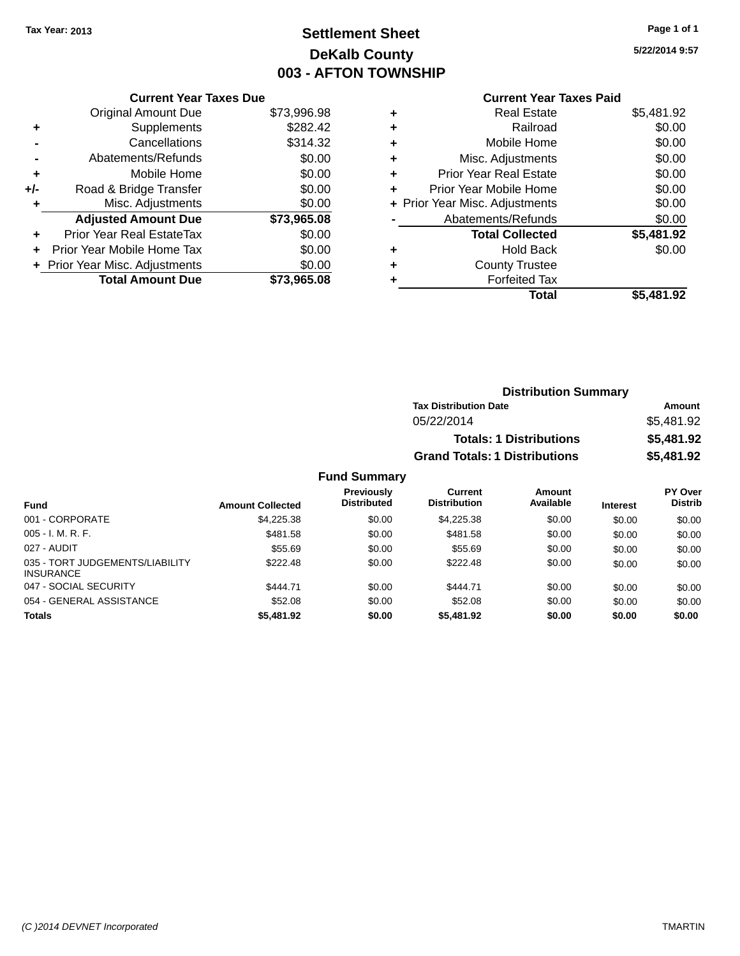## **Settlement Sheet Tax Year: 2013 Page 1 of 1 DeKalb County 003 - AFTON TOWNSHIP**

**5/22/2014 9:57**

### **Current Year Taxes Paid**

|     | <b>Current Year Taxes Due</b>  |             |  |
|-----|--------------------------------|-------------|--|
|     | <b>Original Amount Due</b>     | \$73,996.98 |  |
| ٠   | Supplements                    | \$282.42    |  |
|     | Cancellations                  | \$314.32    |  |
|     | Abatements/Refunds             | \$0.00      |  |
| ٠   | Mobile Home                    | \$0.00      |  |
| +/- | Road & Bridge Transfer         | \$0.00      |  |
| ٠   | Misc. Adjustments              | \$0.00      |  |
|     | <b>Adjusted Amount Due</b>     | \$73,965.08 |  |
| ٠   | Prior Year Real EstateTax      | \$0.00      |  |
| ÷   | Prior Year Mobile Home Tax     | \$0.00      |  |
|     | + Prior Year Misc. Adjustments | \$0.00      |  |
|     | <b>Total Amount Due</b>        | \$73,965.08 |  |
|     |                                |             |  |

| ٠ | <b>Real Estate</b>             | \$5,481.92 |
|---|--------------------------------|------------|
| ٠ | Railroad                       | \$0.00     |
| ٠ | Mobile Home                    | \$0.00     |
| ٠ | Misc. Adjustments              | \$0.00     |
| ٠ | <b>Prior Year Real Estate</b>  | \$0.00     |
| ٠ | Prior Year Mobile Home         | \$0.00     |
|   | + Prior Year Misc. Adjustments | \$0.00     |
|   | Abatements/Refunds             | \$0.00     |
|   | <b>Total Collected</b>         | \$5,481.92 |
| ٠ | <b>Hold Back</b>               | \$0.00     |
| ٠ | <b>County Trustee</b>          |            |
| ٠ | <b>Forfeited Tax</b>           |            |
|   | Total                          | \$5.481.92 |
|   |                                |            |

| <b>Distribution Summary</b>          |            |
|--------------------------------------|------------|
| <b>Tax Distribution Date</b>         | Amount     |
| 05/22/2014                           | \$5.481.92 |
| <b>Totals: 1 Distributions</b>       | \$5,481.92 |
| <b>Grand Totals: 1 Distributions</b> | \$5,481.92 |

| Fund                                                | <b>Amount Collected</b> | <b>Previously</b><br><b>Distributed</b> | Current<br><b>Distribution</b> | <b>Amount</b><br>Available | <b>Interest</b> | PY Over<br><b>Distrib</b> |
|-----------------------------------------------------|-------------------------|-----------------------------------------|--------------------------------|----------------------------|-----------------|---------------------------|
| 001 - CORPORATE                                     | \$4,225.38              | \$0.00                                  | \$4,225,38                     | \$0.00                     | \$0.00          | \$0.00                    |
| $005 - I. M. R. F.$                                 | \$481.58                | \$0.00                                  | \$481.58                       | \$0.00                     | \$0.00          | \$0.00                    |
| 027 - AUDIT                                         | \$55.69                 | \$0.00                                  | \$55.69                        | \$0.00                     | \$0.00          | \$0.00                    |
| 035 - TORT JUDGEMENTS/LIABILITY<br><b>INSURANCE</b> | \$222.48                | \$0.00                                  | \$222.48                       | \$0.00                     | \$0.00          | \$0.00                    |
| 047 - SOCIAL SECURITY                               | \$444.71                | \$0.00                                  | \$444.71                       | \$0.00                     | \$0.00          | \$0.00                    |
| 054 - GENERAL ASSISTANCE                            | \$52.08                 | \$0.00                                  | \$52.08                        | \$0.00                     | \$0.00          | \$0.00                    |
| <b>Totals</b>                                       | \$5,481.92              | \$0.00                                  | \$5,481.92                     | \$0.00                     | \$0.00          | \$0.00                    |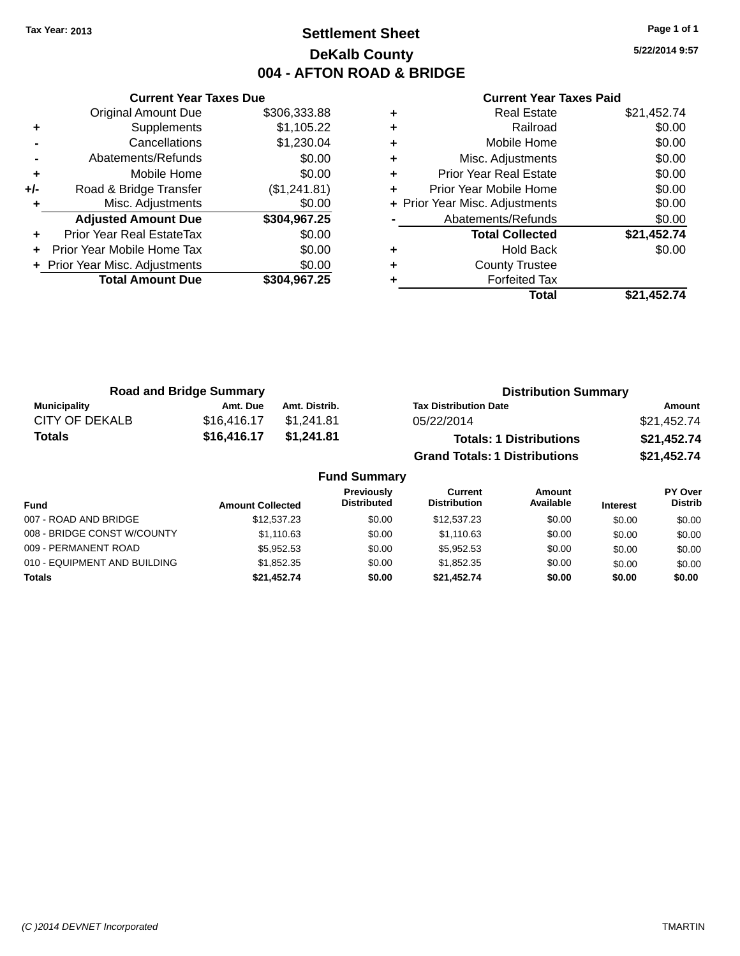### **Settlement Sheet Tax Year: 2013 Page 1 of 1 DeKalb County 004 - AFTON ROAD & BRIDGE**

**5/22/2014 9:57**

|     | <b>Current Year Taxes Due</b>  |              |
|-----|--------------------------------|--------------|
|     | <b>Original Amount Due</b>     | \$306,333.88 |
| ٠   | Supplements                    | \$1,105.22   |
|     | Cancellations                  | \$1,230.04   |
|     | Abatements/Refunds             | \$0.00       |
| ٠   | Mobile Home                    | \$0.00       |
| +/- | Road & Bridge Transfer         | (\$1,241.81) |
|     | Misc. Adjustments              | \$0.00       |
|     | <b>Adjusted Amount Due</b>     | \$304,967.25 |
|     | Prior Year Real EstateTax      | \$0.00       |
|     | Prior Year Mobile Home Tax     | \$0.00       |
|     | + Prior Year Misc. Adjustments | \$0.00       |
|     | <b>Total Amount Due</b>        | \$304.967.25 |
|     |                                |              |

| <b>Real Estate</b>             | \$21,452.74 |
|--------------------------------|-------------|
| Railroad                       | \$0.00      |
| Mobile Home                    | \$0.00      |
| Misc. Adjustments              | \$0.00      |
| <b>Prior Year Real Estate</b>  | \$0.00      |
| Prior Year Mobile Home         | \$0.00      |
| + Prior Year Misc. Adjustments | \$0.00      |
| Abatements/Refunds             | \$0.00      |
| <b>Total Collected</b>         | \$21,452.74 |
| <b>Hold Back</b>               | \$0.00      |
| <b>County Trustee</b>          |             |
| <b>Forfeited Tax</b>           |             |
| Total                          | \$21,452.74 |
|                                |             |

| <b>Road and Bridge Summary</b> |             |               | <b>Distribution Summary</b>          |             |  |
|--------------------------------|-------------|---------------|--------------------------------------|-------------|--|
| Municipality                   | Amt. Due    | Amt. Distrib. | <b>Tax Distribution Date</b>         | Amount      |  |
| CITY OF DEKALB                 | \$16,416.17 | \$1.241.81    | 05/22/2014                           | \$21,452.74 |  |
| Totals                         | \$16,416.17 | \$1,241.81    | <b>Totals: 1 Distributions</b>       | \$21,452.74 |  |
|                                |             |               | <b>Grand Totals: 1 Distributions</b> | \$21,452.74 |  |

| <b>Fund Summary</b>          |                         |                                         |                                |                     |                 |                           |
|------------------------------|-------------------------|-----------------------------------------|--------------------------------|---------------------|-----------------|---------------------------|
| <b>Fund</b>                  | <b>Amount Collected</b> | <b>Previously</b><br><b>Distributed</b> | Current<br><b>Distribution</b> | Amount<br>Available | <b>Interest</b> | PY Over<br><b>Distrib</b> |
| 007 - ROAD AND BRIDGE        | \$12.537.23             | \$0.00                                  | \$12,537.23                    | \$0.00              | \$0.00          | \$0.00                    |
| 008 - BRIDGE CONST W/COUNTY  | \$1,110.63              | \$0.00                                  | \$1.110.63                     | \$0.00              | \$0.00          | \$0.00                    |
| 009 - PERMANENT ROAD         | \$5.952.53              | \$0.00                                  | \$5.952.53                     | \$0.00              | \$0.00          | \$0.00                    |
| 010 - EQUIPMENT AND BUILDING | \$1,852,35              | \$0.00                                  | \$1.852.35                     | \$0.00              | \$0.00          | \$0.00                    |
| <b>Totals</b>                | \$21.452.74             | \$0.00                                  | \$21.452.74                    | \$0.00              | \$0.00          | \$0.00                    |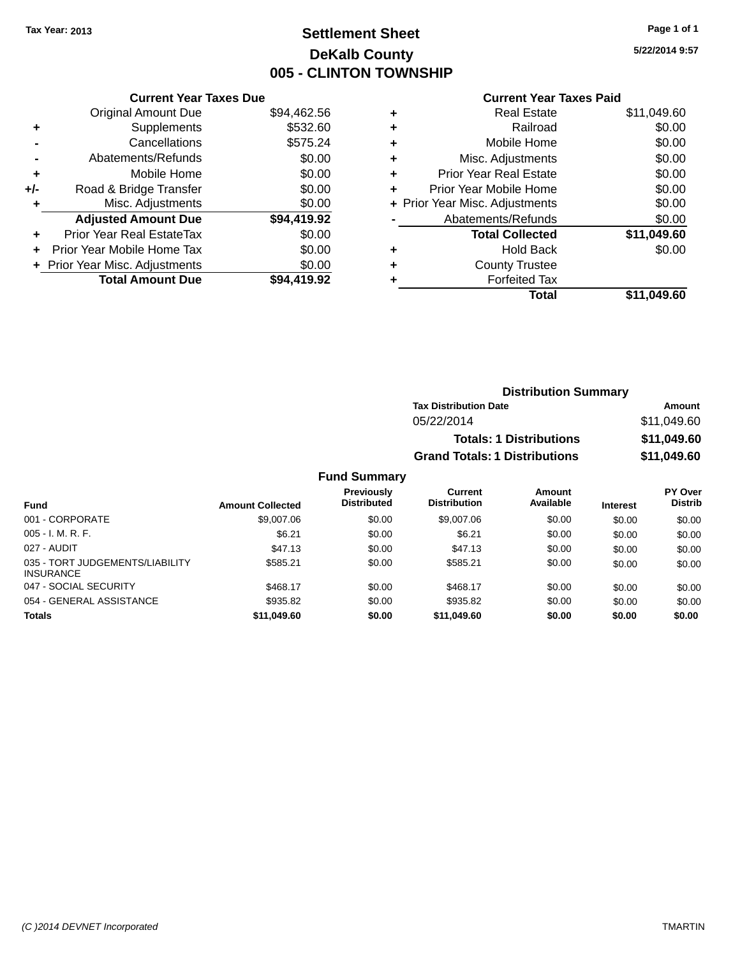### **Settlement Sheet Tax Year: 2013 Page 1 of 1 DeKalb County 005 - CLINTON TOWNSHIP**

**5/22/2014 9:57**

### **Current Year Taxes Paid**

|       | <b>Current Year Taxes Due</b>  |             |
|-------|--------------------------------|-------------|
|       | <b>Original Amount Due</b>     | \$94,462.56 |
| ÷     | Supplements                    | \$532.60    |
|       | Cancellations                  | \$575.24    |
|       | Abatements/Refunds             | \$0.00      |
| ٠     | Mobile Home                    | \$0.00      |
| $+/-$ | Road & Bridge Transfer         | \$0.00      |
| ٠     | Misc. Adjustments              | \$0.00      |
|       | <b>Adjusted Amount Due</b>     | \$94,419.92 |
| ٠     | Prior Year Real EstateTax      | \$0.00      |
|       | Prior Year Mobile Home Tax     | \$0.00      |
|       | + Prior Year Misc. Adjustments | \$0.00      |
|       | <b>Total Amount Due</b>        | \$94.419.92 |
|       |                                |             |

| ٠ | <b>Real Estate</b>             | \$11,049.60 |
|---|--------------------------------|-------------|
| ٠ | Railroad                       | \$0.00      |
| ٠ | Mobile Home                    | \$0.00      |
| ٠ | Misc. Adjustments              | \$0.00      |
| ٠ | <b>Prior Year Real Estate</b>  | \$0.00      |
| ٠ | Prior Year Mobile Home         | \$0.00      |
|   | + Prior Year Misc. Adjustments | \$0.00      |
|   | Abatements/Refunds             | \$0.00      |
|   | <b>Total Collected</b>         | \$11,049.60 |
| ٠ | Hold Back                      | \$0.00      |
| ٠ | <b>County Trustee</b>          |             |
| ٠ | <b>Forfeited Tax</b>           |             |
|   | Total                          | \$11,049.60 |
|   |                                |             |

| <b>Distribution Summary</b>          |             |  |  |  |  |
|--------------------------------------|-------------|--|--|--|--|
| <b>Tax Distribution Date</b>         | Amount      |  |  |  |  |
| 05/22/2014                           | \$11,049.60 |  |  |  |  |
| <b>Totals: 1 Distributions</b>       | \$11,049.60 |  |  |  |  |
| <b>Grand Totals: 1 Distributions</b> | \$11,049.60 |  |  |  |  |

|                                                     |                         | <b>Previously</b><br><b>Distributed</b> | Current<br><b>Distribution</b> | Amount<br>Available |                 | PY Over<br><b>Distrib</b> |
|-----------------------------------------------------|-------------------------|-----------------------------------------|--------------------------------|---------------------|-----------------|---------------------------|
| <b>Fund</b>                                         | <b>Amount Collected</b> |                                         |                                |                     | <b>Interest</b> |                           |
| 001 - CORPORATE                                     | \$9,007.06              | \$0.00                                  | \$9,007.06                     | \$0.00              | \$0.00          | \$0.00                    |
| $005 - I. M. R. F.$                                 | \$6.21                  | \$0.00                                  | \$6.21                         | \$0.00              | \$0.00          | \$0.00                    |
| 027 - AUDIT                                         | \$47.13                 | \$0.00                                  | \$47.13                        | \$0.00              | \$0.00          | \$0.00                    |
| 035 - TORT JUDGEMENTS/LIABILITY<br><b>INSURANCE</b> | \$585.21                | \$0.00                                  | \$585.21                       | \$0.00              | \$0.00          | \$0.00                    |
| 047 - SOCIAL SECURITY                               | \$468.17                | \$0.00                                  | \$468.17                       | \$0.00              | \$0.00          | \$0.00                    |
| 054 - GENERAL ASSISTANCE                            | \$935.82                | \$0.00                                  | \$935.82                       | \$0.00              | \$0.00          | \$0.00                    |
| <b>Totals</b>                                       | \$11.049.60             | \$0.00                                  | \$11.049.60                    | \$0.00              | \$0.00          | \$0.00                    |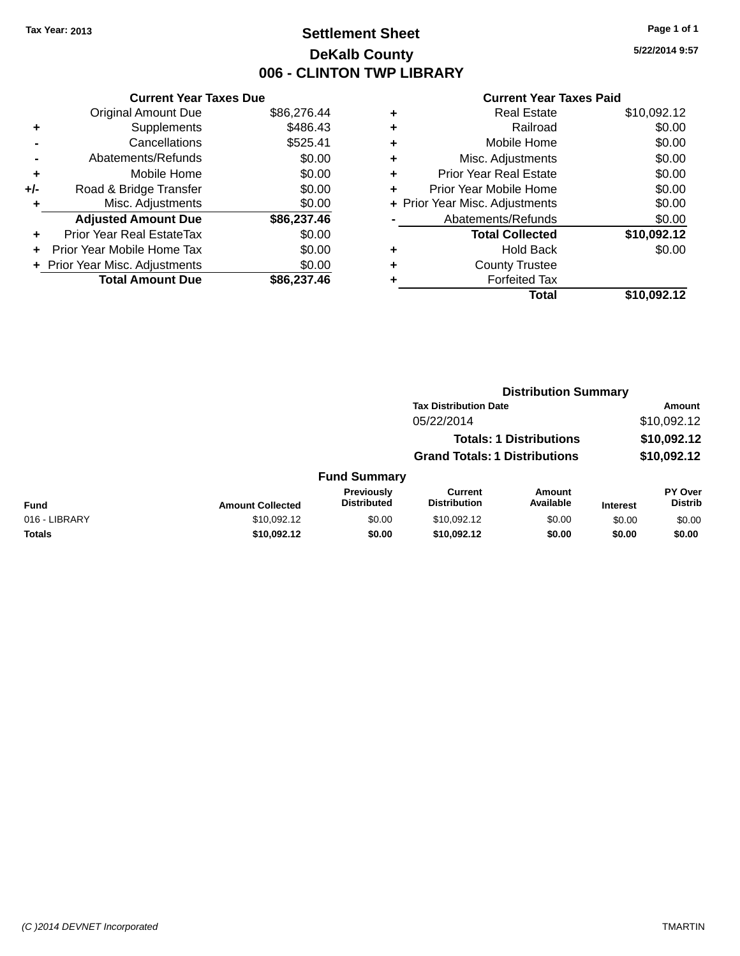### **Settlement Sheet Tax Year: 2013 Page 1 of 1 DeKalb County 006 - CLINTON TWP LIBRARY**

**5/22/2014 9:57**

|     | <b>Current Year Taxes Due</b>    |             |
|-----|----------------------------------|-------------|
|     | <b>Original Amount Due</b>       | \$86,276.44 |
| ٠   | Supplements                      | \$486.43    |
|     | Cancellations                    | \$525.41    |
|     | Abatements/Refunds               | \$0.00      |
| ٠   | Mobile Home                      | \$0.00      |
| +/- | Road & Bridge Transfer           | \$0.00      |
| ٠   | Misc. Adjustments                | \$0.00      |
|     | <b>Adjusted Amount Due</b>       | \$86,237.46 |
| ٠   | <b>Prior Year Real EstateTax</b> | \$0.00      |
| ٠   | Prior Year Mobile Home Tax       | \$0.00      |
|     | + Prior Year Misc. Adjustments   | \$0.00      |
|     | <b>Total Amount Due</b>          | \$86.237.46 |

| ٠ | <b>Real Estate</b>             | \$10,092.12 |
|---|--------------------------------|-------------|
| ٠ | Railroad                       | \$0.00      |
| ٠ | Mobile Home                    | \$0.00      |
| ٠ | Misc. Adjustments              | \$0.00      |
| ٠ | <b>Prior Year Real Estate</b>  | \$0.00      |
| ٠ | Prior Year Mobile Home         | \$0.00      |
|   | + Prior Year Misc. Adjustments | \$0.00      |
|   | Abatements/Refunds             | \$0.00      |
|   | <b>Total Collected</b>         | \$10,092.12 |
| ٠ | <b>Hold Back</b>               | \$0.00      |
| ٠ | <b>County Trustee</b>          |             |
|   | <b>Forfeited Tax</b>           |             |
|   | Total                          | \$10,092.12 |
|   |                                |             |

|               |                         |                                  | <b>Distribution Summary</b>           |                                |                 |                           |
|---------------|-------------------------|----------------------------------|---------------------------------------|--------------------------------|-----------------|---------------------------|
|               |                         |                                  | <b>Tax Distribution Date</b>          |                                |                 | Amount                    |
|               |                         |                                  | 05/22/2014                            |                                |                 | \$10,092.12               |
|               |                         |                                  |                                       | <b>Totals: 1 Distributions</b> |                 | \$10,092.12               |
|               |                         |                                  | <b>Grand Totals: 1 Distributions</b>  |                                |                 | \$10,092.12               |
|               |                         | <b>Fund Summary</b>              |                                       |                                |                 |                           |
| <b>Fund</b>   | <b>Amount Collected</b> | Previously<br><b>Distributed</b> | <b>Current</b><br><b>Distribution</b> | <b>Amount</b><br>Available     | <b>Interest</b> | PY Over<br><b>Distrib</b> |
| 016 - LIBRARY | \$10,092.12             | \$0.00                           | \$10,092.12                           | \$0.00                         | \$0.00          | \$0.00                    |
| <b>Totals</b> | \$10,092.12             | \$0.00                           | \$10,092.12                           | \$0.00                         | \$0.00          | \$0.00                    |
|               |                         |                                  |                                       |                                |                 |                           |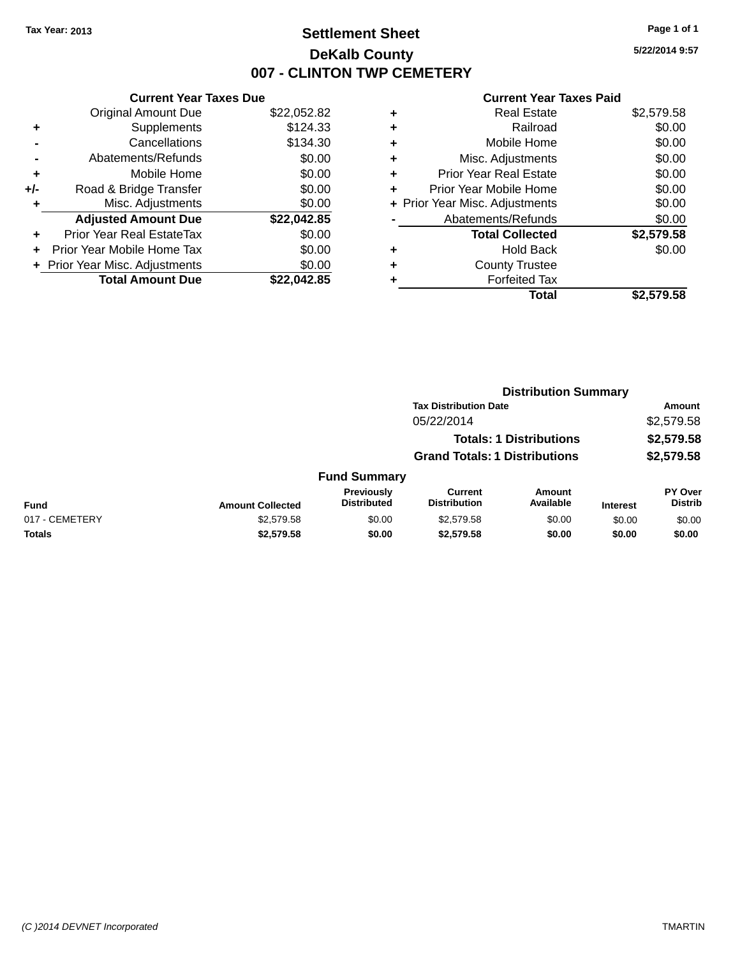### **Settlement Sheet Tax Year: 2013 Page 1 of 1 DeKalb County 007 - CLINTON TWP CEMETERY**

**5/22/2014 9:57**

|     | <b>Current Year Taxes Due</b>  |             |
|-----|--------------------------------|-------------|
|     | <b>Original Amount Due</b>     | \$22,052.82 |
| ٠   | Supplements                    | \$124.33    |
|     | Cancellations                  | \$134.30    |
|     | Abatements/Refunds             | \$0.00      |
| ٠   | Mobile Home                    | \$0.00      |
| +/- | Road & Bridge Transfer         | \$0.00      |
| ٠   | Misc. Adjustments              | \$0.00      |
|     | <b>Adjusted Amount Due</b>     | \$22,042.85 |
| ٠   | Prior Year Real EstateTax      | \$0.00      |
|     | Prior Year Mobile Home Tax     | \$0.00      |
|     | + Prior Year Misc. Adjustments | \$0.00      |
|     | <b>Total Amount Due</b>        | \$22,042.85 |

|   | <b>Real Estate</b>             | \$2,579.58 |
|---|--------------------------------|------------|
| ٠ | Railroad                       | \$0.00     |
| ٠ | Mobile Home                    | \$0.00     |
| ٠ | Misc. Adjustments              | \$0.00     |
| ٠ | <b>Prior Year Real Estate</b>  | \$0.00     |
| ٠ | Prior Year Mobile Home         | \$0.00     |
|   | + Prior Year Misc. Adjustments | \$0.00     |
|   | Abatements/Refunds             | \$0.00     |
|   | <b>Total Collected</b>         | \$2,579.58 |
| ٠ | <b>Hold Back</b>               | \$0.00     |
| ٠ | <b>County Trustee</b>          |            |
|   | <b>Forfeited Tax</b>           |            |
|   | Total                          | \$2.579.58 |
|   |                                |            |

|                |                         |                                  | <b>Distribution Summary</b>           |                                |                 |                           |
|----------------|-------------------------|----------------------------------|---------------------------------------|--------------------------------|-----------------|---------------------------|
|                |                         |                                  | <b>Tax Distribution Date</b>          |                                |                 | <b>Amount</b>             |
|                |                         |                                  | 05/22/2014                            |                                |                 | \$2,579.58                |
|                |                         |                                  |                                       | <b>Totals: 1 Distributions</b> |                 | \$2,579.58                |
|                |                         |                                  | <b>Grand Totals: 1 Distributions</b>  |                                |                 | \$2,579.58                |
|                |                         | <b>Fund Summary</b>              |                                       |                                |                 |                           |
| <b>Fund</b>    | <b>Amount Collected</b> | Previously<br><b>Distributed</b> | <b>Current</b><br><b>Distribution</b> | Amount<br>Available            | <b>Interest</b> | PY Over<br><b>Distrib</b> |
| 017 - CEMETERY | \$2,579.58              | \$0.00                           | \$2,579.58                            | \$0.00                         | \$0.00          | \$0.00                    |
| <b>Totals</b>  | \$2,579.58              | \$0.00                           | \$2,579.58                            | \$0.00                         | \$0.00          | \$0.00                    |
|                |                         |                                  |                                       |                                |                 |                           |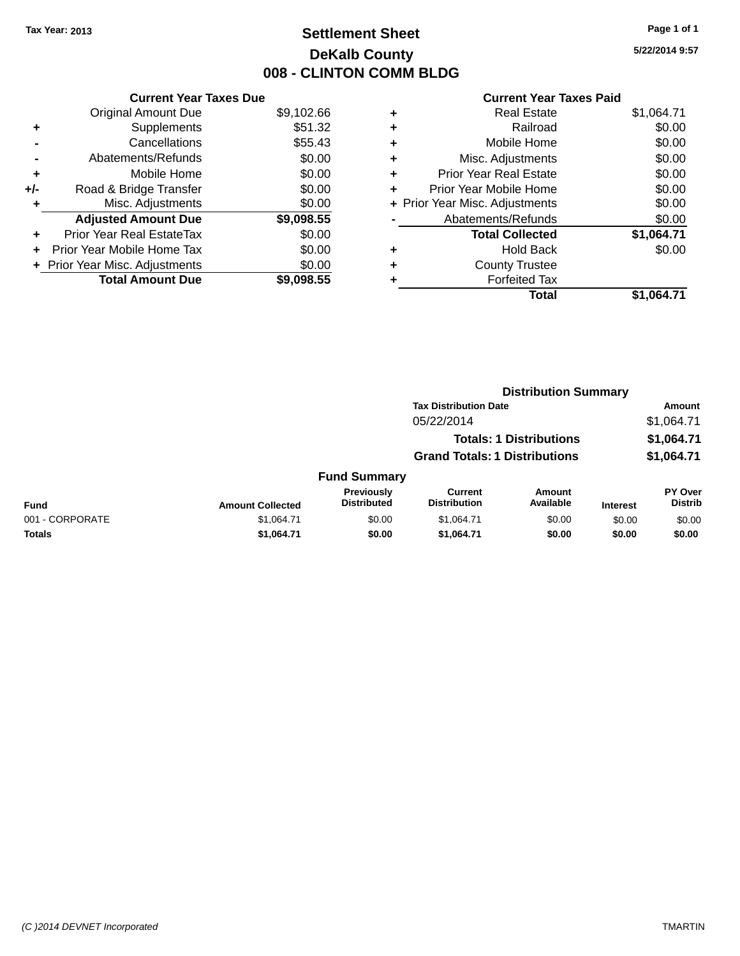### **Settlement Sheet Tax Year: 2013 Page 1 of 1 DeKalb County 008 - CLINTON COMM BLDG**

**5/22/2014 9:57**

|     | <b>Current Year Taxes Due</b>  |            |
|-----|--------------------------------|------------|
|     | <b>Original Amount Due</b>     | \$9,102.66 |
| ٠   | Supplements                    | \$51.32    |
|     | Cancellations                  | \$55.43    |
|     | Abatements/Refunds             | \$0.00     |
| ٠   | Mobile Home                    | \$0.00     |
| +/- | Road & Bridge Transfer         | \$0.00     |
| ٠   | Misc. Adjustments              | \$0.00     |
|     | <b>Adjusted Amount Due</b>     | \$9,098.55 |
| ٠   | Prior Year Real EstateTax      | \$0.00     |
| ٠   | Prior Year Mobile Home Tax     | \$0.00     |
|     | + Prior Year Misc. Adjustments | \$0.00     |
|     | <b>Total Amount Due</b>        | \$9.098.55 |

| ٠ | <b>Real Estate</b>             | \$1,064.71 |
|---|--------------------------------|------------|
| ٠ | Railroad                       | \$0.00     |
| ٠ | Mobile Home                    | \$0.00     |
| ٠ | Misc. Adjustments              | \$0.00     |
| ٠ | <b>Prior Year Real Estate</b>  | \$0.00     |
| ٠ | Prior Year Mobile Home         | \$0.00     |
|   | + Prior Year Misc. Adjustments | \$0.00     |
|   | Abatements/Refunds             | \$0.00     |
|   | <b>Total Collected</b>         | \$1,064.71 |
| ٠ | <b>Hold Back</b>               | \$0.00     |
| ٠ | <b>County Trustee</b>          |            |
| ٠ | <b>Forfeited Tax</b>           |            |
|   | Total                          | \$1,064.71 |
|   |                                |            |

|                 |                         |                                  | <b>Distribution Summary</b>           |                                |                 |                                  |  |
|-----------------|-------------------------|----------------------------------|---------------------------------------|--------------------------------|-----------------|----------------------------------|--|
|                 |                         |                                  | <b>Tax Distribution Date</b>          |                                |                 | <b>Amount</b>                    |  |
|                 |                         |                                  | 05/22/2014                            |                                |                 | \$1,064.71                       |  |
|                 |                         |                                  |                                       | <b>Totals: 1 Distributions</b> |                 | \$1,064.71                       |  |
|                 |                         |                                  | <b>Grand Totals: 1 Distributions</b>  |                                |                 | \$1,064.71                       |  |
|                 |                         | <b>Fund Summary</b>              |                                       |                                |                 |                                  |  |
| <b>Fund</b>     | <b>Amount Collected</b> | Previously<br><b>Distributed</b> | <b>Current</b><br><b>Distribution</b> | Amount<br>Available            | <b>Interest</b> | <b>PY Over</b><br><b>Distrib</b> |  |
| 001 - CORPORATE | \$1,064.71              | \$0.00                           | \$1,064.71                            | \$0.00                         | \$0.00          | \$0.00                           |  |
| Totals          | \$1,064.71              | \$0.00                           | \$1,064.71                            | \$0.00                         | \$0.00          | \$0.00                           |  |
|                 |                         |                                  |                                       |                                |                 |                                  |  |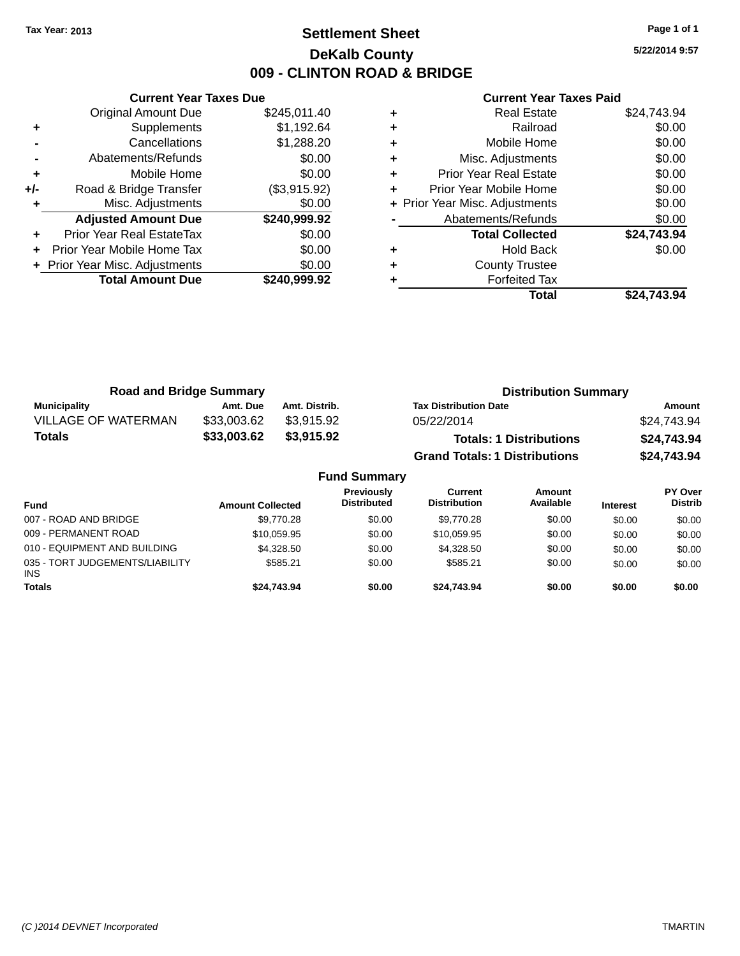### **Settlement Sheet Tax Year: 2013 Page 1 of 1 DeKalb County 009 - CLINTON ROAD & BRIDGE**

**5/22/2014 9:57**

|       | <b>Current Year Taxes Due</b>  |              |  |  |  |
|-------|--------------------------------|--------------|--|--|--|
|       | <b>Original Amount Due</b>     | \$245,011.40 |  |  |  |
| ٠     | Supplements                    | \$1,192.64   |  |  |  |
|       | Cancellations                  | \$1,288.20   |  |  |  |
|       | Abatements/Refunds             | \$0.00       |  |  |  |
| ٠     | Mobile Home                    | \$0.00       |  |  |  |
| $+/-$ | Road & Bridge Transfer         | (\$3,915.92) |  |  |  |
| ٠     | Misc. Adjustments              | \$0.00       |  |  |  |
|       | <b>Adjusted Amount Due</b>     | \$240,999.92 |  |  |  |
| ÷     | Prior Year Real EstateTax      | \$0.00       |  |  |  |
|       | Prior Year Mobile Home Tax     | \$0.00       |  |  |  |
|       | + Prior Year Misc. Adjustments | \$0.00       |  |  |  |
|       | <b>Total Amount Due</b>        | \$240,999.92 |  |  |  |
|       |                                |              |  |  |  |

| <b>Real Estate</b>             | \$24,743.94 |
|--------------------------------|-------------|
| Railroad                       | \$0.00      |
| Mobile Home                    | \$0.00      |
| Misc. Adjustments              | \$0.00      |
| <b>Prior Year Real Estate</b>  | \$0.00      |
| Prior Year Mobile Home         | \$0.00      |
| + Prior Year Misc. Adjustments | \$0.00      |
| Abatements/Refunds             | \$0.00      |
| <b>Total Collected</b>         | \$24,743.94 |
| <b>Hold Back</b>               | \$0.00      |
| <b>County Trustee</b>          |             |
| <b>Forfeited Tax</b>           |             |
| Total                          | \$24.743.94 |
|                                |             |

| <b>Road and Bridge Summary</b> |             |                     | <b>Distribution Summary</b>          |             |
|--------------------------------|-------------|---------------------|--------------------------------------|-------------|
| <b>Municipality</b>            | Amt. Due    | Amt. Distrib.       | <b>Tax Distribution Date</b>         | Amount      |
| <b>VILLAGE OF WATERMAN</b>     | \$33,003.62 | \$3.915.92          | 05/22/2014                           | \$24,743.94 |
| Totals                         | \$33,003.62 | \$3,915.92          | <b>Totals: 1 Distributions</b>       | \$24,743.94 |
|                                |             |                     | <b>Grand Totals: 1 Distributions</b> | \$24,743.94 |
|                                |             | <b>Fund Summary</b> |                                      |             |

| <b>Fund</b>                                   | <b>Amount Collected</b> | <b>Previously</b><br><b>Distributed</b> | Current<br><b>Distribution</b> | Amount<br>Available | <b>Interest</b> | PY Over<br><b>Distrib</b> |
|-----------------------------------------------|-------------------------|-----------------------------------------|--------------------------------|---------------------|-----------------|---------------------------|
| 007 - ROAD AND BRIDGE                         | \$9,770.28              | \$0.00                                  | \$9,770.28                     | \$0.00              | \$0.00          | \$0.00                    |
| 009 - PERMANENT ROAD                          | \$10,059.95             | \$0.00                                  | \$10,059.95                    | \$0.00              | \$0.00          | \$0.00                    |
| 010 - EQUIPMENT AND BUILDING                  | \$4,328,50              | \$0.00                                  | \$4,328,50                     | \$0.00              | \$0.00          | \$0.00                    |
| 035 - TORT JUDGEMENTS/LIABILITY<br><b>INS</b> | \$585.21                | \$0.00                                  | \$585.21                       | \$0.00              | \$0.00          | \$0.00                    |
| <b>Totals</b>                                 | \$24.743.94             | \$0.00                                  | \$24.743.94                    | \$0.00              | \$0.00          | \$0.00                    |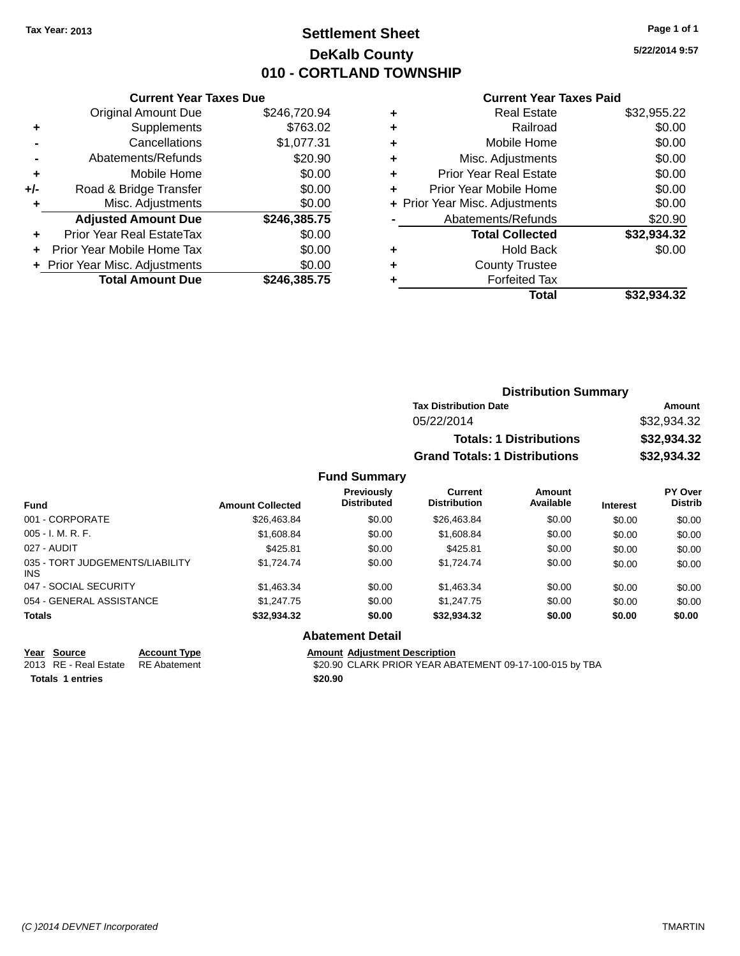### **Settlement Sheet Tax Year: 2013 Page 1 of 1 DeKalb County 010 - CORTLAND TOWNSHIP**

**5/22/2014 9:57**

#### **Current Year Taxes Paid**

|     | <b>Current Year Taxes Due</b> |              |  |  |  |
|-----|-------------------------------|--------------|--|--|--|
|     | <b>Original Amount Due</b>    | \$246,720.94 |  |  |  |
| ÷   | Supplements                   | \$763.02     |  |  |  |
|     | Cancellations                 | \$1,077.31   |  |  |  |
|     | Abatements/Refunds            | \$20.90      |  |  |  |
| ٠   | Mobile Home                   | \$0.00       |  |  |  |
| +/- | Road & Bridge Transfer        | \$0.00       |  |  |  |
|     | Misc. Adjustments             | \$0.00       |  |  |  |
|     | <b>Adjusted Amount Due</b>    | \$246,385.75 |  |  |  |
| ÷   | Prior Year Real EstateTax     | \$0.00       |  |  |  |
|     | Prior Year Mobile Home Tax    | \$0.00       |  |  |  |
|     | Prior Year Misc. Adjustments  | \$0.00       |  |  |  |
|     | <b>Total Amount Due</b>       | \$246.385.75 |  |  |  |

| ٠ | <b>Real Estate</b>             | \$32,955.22 |
|---|--------------------------------|-------------|
| ٠ | Railroad                       | \$0.00      |
| ٠ | Mobile Home                    | \$0.00      |
| ٠ | Misc. Adjustments              | \$0.00      |
| ٠ | <b>Prior Year Real Estate</b>  | \$0.00      |
| ٠ | Prior Year Mobile Home         | \$0.00      |
|   | + Prior Year Misc. Adjustments | \$0.00      |
|   | Abatements/Refunds             | \$20.90     |
|   | <b>Total Collected</b>         | \$32,934.32 |
| ٠ | <b>Hold Back</b>               | \$0.00      |
| ٠ | <b>County Trustee</b>          |             |
| ٠ | <b>Forfeited Tax</b>           |             |
|   | Total                          | \$32.934.32 |
|   |                                |             |

| <b>Distribution Summary</b>          |             |
|--------------------------------------|-------------|
| <b>Tax Distribution Date</b>         | Amount      |
| 05/22/2014                           | \$32,934.32 |
| <b>Totals: 1 Distributions</b>       | \$32,934.32 |
| <b>Grand Totals: 1 Distributions</b> | \$32,934.32 |

#### **Fund Summary**

| <b>Fund</b>                                   | <b>Amount Collected</b> | <b>Previously</b><br><b>Distributed</b> | Current<br><b>Distribution</b> | Amount<br>Available | <b>Interest</b> | <b>PY Over</b><br><b>Distrib</b> |
|-----------------------------------------------|-------------------------|-----------------------------------------|--------------------------------|---------------------|-----------------|----------------------------------|
| 001 - CORPORATE                               | \$26,463.84             | \$0.00                                  | \$26,463.84                    | \$0.00              | \$0.00          | \$0.00                           |
| $005 - I. M. R. F.$                           | \$1,608.84              | \$0.00                                  | \$1,608.84                     | \$0.00              | \$0.00          | \$0.00                           |
| 027 - AUDIT                                   | \$425.81                | \$0.00                                  | \$425.81                       | \$0.00              | \$0.00          | \$0.00                           |
| 035 - TORT JUDGEMENTS/LIABILITY<br><b>INS</b> | \$1.724.74              | \$0.00                                  | \$1.724.74                     | \$0.00              | \$0.00          | \$0.00                           |
| 047 - SOCIAL SECURITY                         | \$1,463.34              | \$0.00                                  | \$1,463.34                     | \$0.00              | \$0.00          | \$0.00                           |
| 054 - GENERAL ASSISTANCE                      | \$1,247.75              | \$0.00                                  | \$1,247.75                     | \$0.00              | \$0.00          | \$0.00                           |
| <b>Totals</b>                                 | \$32,934.32             | \$0.00                                  | \$32,934.32                    | \$0.00              | \$0.00          | \$0.00                           |

**Abatement Detail**

**Totals 1 entries \$20.90**

**Year Source Account Type**<br>
2013 RE - Real Estate RE Abatement **Adjustment Adjustment Description**<br>
\$20.90 CLARK PRIOR YEAR AB \$20.90 CLARK PRIOR YEAR ABATEMENT 09-17-100-015 by TBA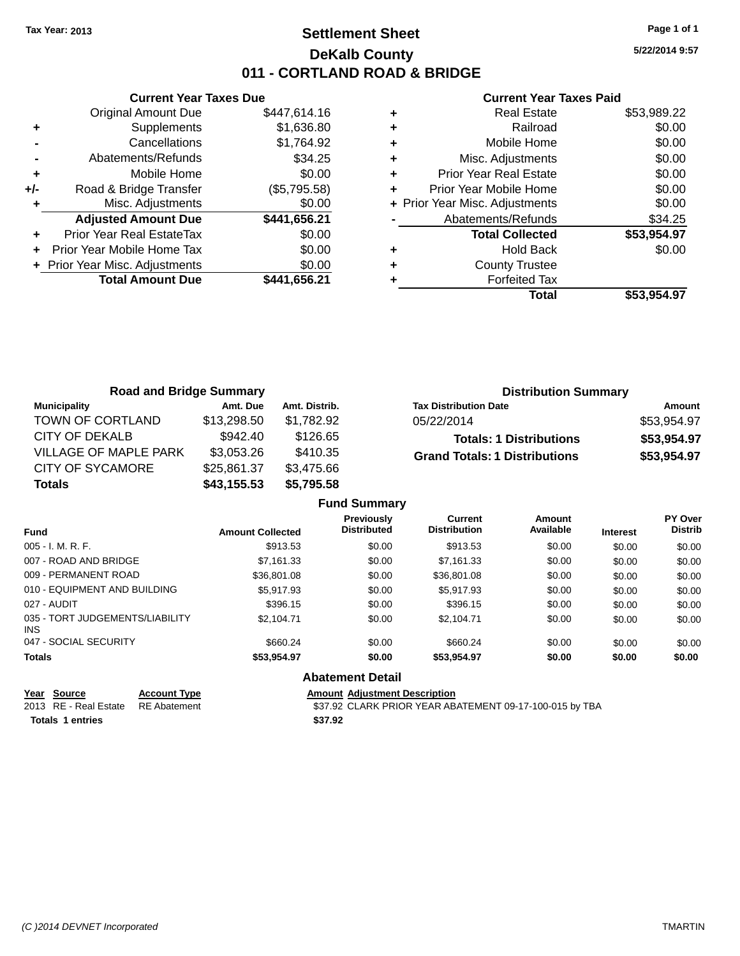### **Settlement Sheet Tax Year: 2013 Page 1 of 1 DeKalb County 011 - CORTLAND ROAD & BRIDGE**

**5/22/2014 9:57**

#### **Current Year Taxes Paid**

|     | <b>Current Year Taxes Due</b>  |              |
|-----|--------------------------------|--------------|
|     | <b>Original Amount Due</b>     | \$447,614.16 |
| ٠   | Supplements                    | \$1,636.80   |
|     | Cancellations                  | \$1,764.92   |
|     | Abatements/Refunds             | \$34.25      |
| ٠   | Mobile Home                    | \$0.00       |
| +/- | Road & Bridge Transfer         | (\$5,795.58) |
|     | Misc. Adjustments              | \$0.00       |
|     | <b>Adjusted Amount Due</b>     | \$441,656.21 |
| ٠   | Prior Year Real EstateTax      | \$0.00       |
|     | Prior Year Mobile Home Tax     | \$0.00       |
|     | + Prior Year Misc. Adjustments | \$0.00       |
|     | <b>Total Amount Due</b>        | \$441,656.21 |
|     |                                |              |

| \$0.00      |
|-------------|
| \$0.00      |
| \$0.00      |
| \$0.00      |
| \$0.00      |
| \$0.00      |
| \$34.25     |
| \$53,954.97 |
| \$0.00      |
|             |
|             |
| \$53,954.97 |
|             |

| <b>Road and Bridge Summary</b> |             |               | <b>Distribution Summary</b>          |             |
|--------------------------------|-------------|---------------|--------------------------------------|-------------|
| Municipality                   | Amt. Due    | Amt. Distrib. | <b>Tax Distribution Date</b>         | Amount      |
| TOWN OF CORTLAND               | \$13,298.50 | \$1.782.92    | 05/22/2014                           | \$53,954.97 |
| <b>CITY OF DEKALB</b>          | \$942.40    | \$126.65      | <b>Totals: 1 Distributions</b>       | \$53,954.97 |
| VILLAGE OF MAPLE PARK          | \$3,053.26  | \$410.35      | <b>Grand Totals: 1 Distributions</b> | \$53,954.97 |
| <b>CITY OF SYCAMORE</b>        | \$25,861.37 | \$3,475.66    |                                      |             |
| <b>Totals</b>                  | \$43,155.53 | \$5,795.58    |                                      |             |

|                                               |                         | <b>Fund Summary</b>              |                                       |                     |                 |                                  |
|-----------------------------------------------|-------------------------|----------------------------------|---------------------------------------|---------------------|-----------------|----------------------------------|
| Fund                                          | <b>Amount Collected</b> | Previously<br><b>Distributed</b> | <b>Current</b><br><b>Distribution</b> | Amount<br>Available | <b>Interest</b> | <b>PY Over</b><br><b>Distrib</b> |
| $005 - I. M. R. F.$                           | \$913.53                | \$0.00                           | \$913.53                              | \$0.00              | \$0.00          | \$0.00                           |
| 007 - ROAD AND BRIDGE                         | \$7.161.33              | \$0.00                           | \$7.161.33                            | \$0.00              | \$0.00          | \$0.00                           |
| 009 - PERMANENT ROAD                          | \$36,801.08             | \$0.00                           | \$36,801.08                           | \$0.00              | \$0.00          | \$0.00                           |
| 010 - EQUIPMENT AND BUILDING                  | \$5,917.93              | \$0.00                           | \$5,917.93                            | \$0.00              | \$0.00          | \$0.00                           |
| 027 - AUDIT                                   | \$396.15                | \$0.00                           | \$396.15                              | \$0.00              | \$0.00          | \$0.00                           |
| 035 - TORT JUDGEMENTS/LIABILITY<br><b>INS</b> | \$2.104.71              | \$0.00                           | \$2.104.71                            | \$0.00              | \$0.00          | \$0.00                           |
| 047 - SOCIAL SECURITY                         | \$660.24                | \$0.00                           | \$660.24                              | \$0.00              | \$0.00          | \$0.00                           |
| <b>Totals</b>                                 | \$53,954.97             | \$0.00                           | \$53.954.97                           | \$0.00              | \$0.00          | \$0.00                           |
|                                               |                         | <b>Abatement Detail</b>          |                                       |                     |                 |                                  |

| Year Source           | Accol |
|-----------------------|-------|
| 2013 RE - Real Estate | RE AF |

**Totals 1 entries \$37.92**

**VEART SOURCE THE SOLUTE THE SOLUTE ADDETERT ADDETERT ACCOUNT ADDETERT ACCOUNT ACCOUNT ACCOUNT ACCOUNT ACCOUNT** 2013 RE - Real Estate RE Abatement \$37.92 CLARK PRIOR YEAR ABATEMENT 09-17-100-015 by TBA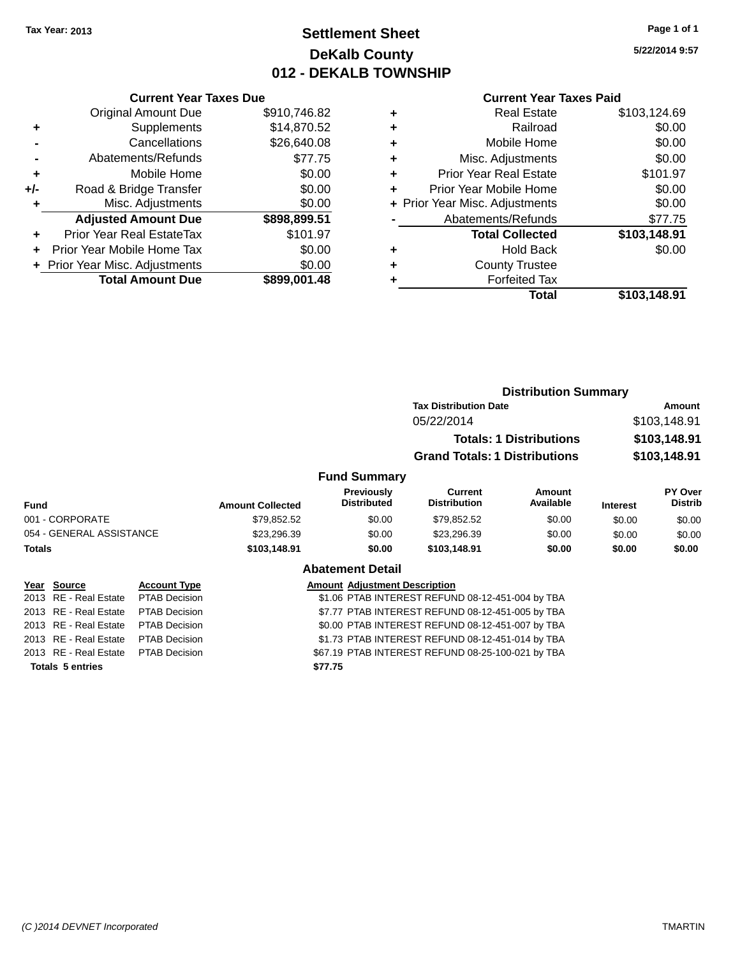### **Settlement Sheet Tax Year: 2013 Page 1 of 1 DeKalb County 012 - DEKALB TOWNSHIP**

**5/22/2014 9:57**

|     | <b>Current Year Taxes Due</b>  |              |
|-----|--------------------------------|--------------|
|     | <b>Original Amount Due</b>     | \$910,746.82 |
| ٠   | Supplements                    | \$14,870.52  |
|     | Cancellations                  | \$26,640.08  |
|     | Abatements/Refunds             | \$77.75      |
| ٠   | Mobile Home                    | \$0.00       |
| +/- | Road & Bridge Transfer         | \$0.00       |
| ٠   | Misc. Adjustments              | \$0.00       |
|     | <b>Adjusted Amount Due</b>     | \$898,899.51 |
| ٠   | Prior Year Real EstateTax      | \$101.97     |
|     | Prior Year Mobile Home Tax     | \$0.00       |
|     | + Prior Year Misc. Adjustments | \$0.00       |
|     | <b>Total Amount Due</b>        | \$899,001.48 |
|     |                                |              |

### **Current Year Taxes Paid**

|   | <b>Real Estate</b>             | \$103,124.69 |
|---|--------------------------------|--------------|
| ٠ | Railroad                       | \$0.00       |
| ٠ | Mobile Home                    | \$0.00       |
| ٠ | Misc. Adjustments              | \$0.00       |
| ٠ | <b>Prior Year Real Estate</b>  | \$101.97     |
| ٠ | Prior Year Mobile Home         | \$0.00       |
|   | + Prior Year Misc. Adjustments | \$0.00       |
|   | Abatements/Refunds             | \$77.75      |
|   | <b>Total Collected</b>         | \$103,148.91 |
| ٠ | <b>Hold Back</b>               | \$0.00       |
| ٠ | <b>County Trustee</b>          |              |
| ٠ | <b>Forfeited Tax</b>           |              |
|   | Total                          | \$103,148.91 |
|   |                                |              |

|        |                          |                      |                                                  |                                                  | <b>Distribution Summary</b>                      |                                |                 |                              |  |
|--------|--------------------------|----------------------|--------------------------------------------------|--------------------------------------------------|--------------------------------------------------|--------------------------------|-----------------|------------------------------|--|
|        |                          |                      |                                                  |                                                  | <b>Tax Distribution Date</b>                     | Amount                         |                 |                              |  |
|        |                          |                      |                                                  |                                                  | 05/22/2014                                       |                                |                 | \$103,148.91<br>\$103,148.91 |  |
|        |                          |                      |                                                  |                                                  |                                                  | <b>Totals: 1 Distributions</b> |                 |                              |  |
|        |                          |                      |                                                  |                                                  | <b>Grand Totals: 1 Distributions</b>             |                                | \$103,148.91    |                              |  |
|        |                          |                      |                                                  | <b>Fund Summary</b>                              |                                                  |                                |                 |                              |  |
| Fund   |                          |                      | <b>Amount Collected</b>                          | Previously<br><b>Distributed</b>                 | Current<br><b>Distribution</b>                   | Amount<br>Available            | <b>Interest</b> | PY Over<br><b>Distrib</b>    |  |
|        | 001 - CORPORATE          |                      | \$79,852.52                                      | \$0.00                                           | \$79,852.52                                      | \$0.00                         | \$0.00          | \$0.00                       |  |
|        | 054 - GENERAL ASSISTANCE |                      | \$23,296.39                                      | \$0.00                                           | \$23,296.39                                      | \$0.00                         | \$0.00          | \$0.00                       |  |
| Totals |                          |                      | \$103,148.91                                     | \$0.00                                           | \$103,148.91                                     | \$0.00                         | \$0.00          | \$0.00                       |  |
|        |                          |                      |                                                  | <b>Abatement Detail</b>                          |                                                  |                                |                 |                              |  |
|        | Year Source              | <b>Account Type</b>  |                                                  | <b>Amount Adjustment Description</b>             |                                                  |                                |                 |                              |  |
|        | 2013 RE - Real Estate    | <b>PTAB Decision</b> |                                                  |                                                  | \$1.06 PTAB INTEREST REFUND 08-12-451-004 by TBA |                                |                 |                              |  |
|        | 2013 RE - Real Estate    | <b>PTAB Decision</b> |                                                  | \$7.77 PTAB INTEREST REFUND 08-12-451-005 by TBA |                                                  |                                |                 |                              |  |
|        | 2013 RE - Real Estate    | PTAB Decision        |                                                  |                                                  | \$0.00 PTAB INTEREST REFUND 08-12-451-007 by TBA |                                |                 |                              |  |
|        | 2013 RE - Real Estate    | <b>PTAB Decision</b> | \$1.73 PTAB INTEREST REFUND 08-12-451-014 by TBA |                                                  |                                                  |                                |                 |                              |  |

2013 RE - Real Estate PTAB Decision \$67.19 PTAB INTEREST REFUND 08-25-100-021 by TBA

**Totals 5 entries \$77.75**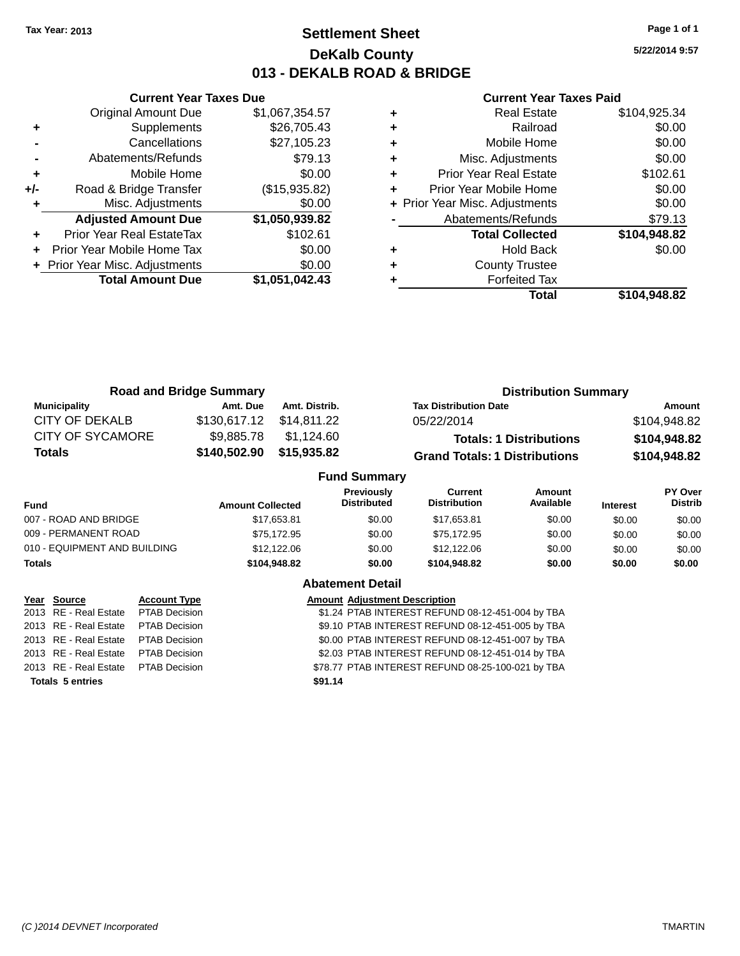### **Settlement Sheet Tax Year: 2013 Page 1 of 1 DeKalb County 013 - DEKALB ROAD & BRIDGE**

**5/22/2014 9:57**

|     | <b>Current Year Taxes Due</b>  |                |
|-----|--------------------------------|----------------|
|     | <b>Original Amount Due</b>     | \$1,067,354.57 |
| ٠   | Supplements                    | \$26,705.43    |
|     | Cancellations                  | \$27,105.23    |
|     | Abatements/Refunds             | \$79.13        |
| ٠   | Mobile Home                    | \$0.00         |
| +/- | Road & Bridge Transfer         | (\$15,935.82)  |
|     | Misc. Adjustments              | \$0.00         |
|     | <b>Adjusted Amount Due</b>     | \$1,050,939.82 |
|     | Prior Year Real EstateTax      | \$102.61       |
|     | Prior Year Mobile Home Tax     | \$0.00         |
|     | + Prior Year Misc. Adjustments | \$0.00         |
|     | <b>Total Amount Due</b>        | \$1,051,042.43 |
|     |                                |                |

| Real Estate                    | \$104,925.34 |
|--------------------------------|--------------|
| Railroad                       | \$0.00       |
| Mobile Home                    | \$0.00       |
| Misc. Adjustments              | \$0.00       |
| <b>Prior Year Real Estate</b>  | \$102.61     |
| Prior Year Mobile Home         | \$0.00       |
| + Prior Year Misc. Adjustments | \$0.00       |
| Abatements/Refunds             | \$79.13      |
| <b>Total Collected</b>         | \$104,948.82 |
| <b>Hold Back</b>               | \$0.00       |
| <b>County Trustee</b>          |              |
| <b>Forfeited Tax</b>           |              |
| Total                          | \$104,948.82 |
|                                |              |

| <b>Road and Bridge Summary</b> |                  |               | <b>Distribution Summary</b>      |                                       |                                |             |                           |
|--------------------------------|------------------|---------------|----------------------------------|---------------------------------------|--------------------------------|-------------|---------------------------|
| <b>Municipality</b>            | Amt. Due         | Amt. Distrib. |                                  | <b>Tax Distribution Date</b>          |                                |             | Amount                    |
| CITY OF DEKALB                 | \$130,617.12     | \$14.811.22   | 05/22/2014                       |                                       | \$104,948.82                   |             |                           |
| <b>CITY OF SYCAMORE</b>        | \$9,885.78       | \$1,124.60    |                                  |                                       | <b>Totals: 1 Distributions</b> |             | \$104,948.82              |
| <b>Totals</b>                  | \$140,502.90     | \$15,935.82   |                                  | <b>Grand Totals: 1 Distributions</b>  |                                |             | \$104,948.82              |
|                                |                  |               | <b>Fund Summary</b>              |                                       |                                |             |                           |
|                                | Amount Colloctod |               | <b>Previously</b><br>Distributed | <b>Current</b><br><b>Distribution</b> | <b>Amount</b><br>Available     | In terms of | PY Over<br><b>Distrib</b> |

| <b>Amount Collected</b> | .<br><b>Distributed</b> | -------<br><b>Distribution</b> | .<br>Available | <b>Interest</b> | .<br><b>Distrib</b> |
|-------------------------|-------------------------|--------------------------------|----------------|-----------------|---------------------|
| \$17,653.81             | \$0.00                  | \$17.653.81                    | \$0.00         | \$0.00          | \$0.00              |
| \$75.172.95             | \$0.00                  | \$75.172.95                    | \$0.00         | \$0.00          | \$0.00              |
| \$12,122.06             | \$0.00                  | \$12,122,06                    | \$0.00         | \$0.00          | \$0.00              |
| \$104,948.82            | \$0.00                  | \$104.948.82                   | \$0.00         | \$0.00          | \$0.00              |
|                         |                         |                                |                |                 |                     |

|  | <b>Abatement Detail</b> |  |
|--|-------------------------|--|
|  |                         |  |

| Year Source                         | <b>Account Type</b>  |         | <b>Amount Adjustment Description</b>              |
|-------------------------------------|----------------------|---------|---------------------------------------------------|
| 2013 RE - Real Estate PTAB Decision |                      |         | \$1.24 PTAB INTEREST REFUND 08-12-451-004 by TBA  |
| 2013 RE - Real Estate               | <b>PTAB Decision</b> |         | \$9.10 PTAB INTEREST REFUND 08-12-451-005 by TBA  |
| 2013 RE - Real Estate               | PTAB Decision        |         | \$0.00 PTAB INTEREST REFUND 08-12-451-007 by TBA  |
| 2013 RE - Real Estate               | <b>PTAB Decision</b> |         | \$2.03 PTAB INTEREST REFUND 08-12-451-014 by TBA  |
| 2013 RE - Real Estate PTAB Decision |                      |         | \$78.77 PTAB INTEREST REFUND 08-25-100-021 by TBA |
| <b>Totals 5 entries</b>             |                      | \$91.14 |                                                   |
|                                     |                      |         |                                                   |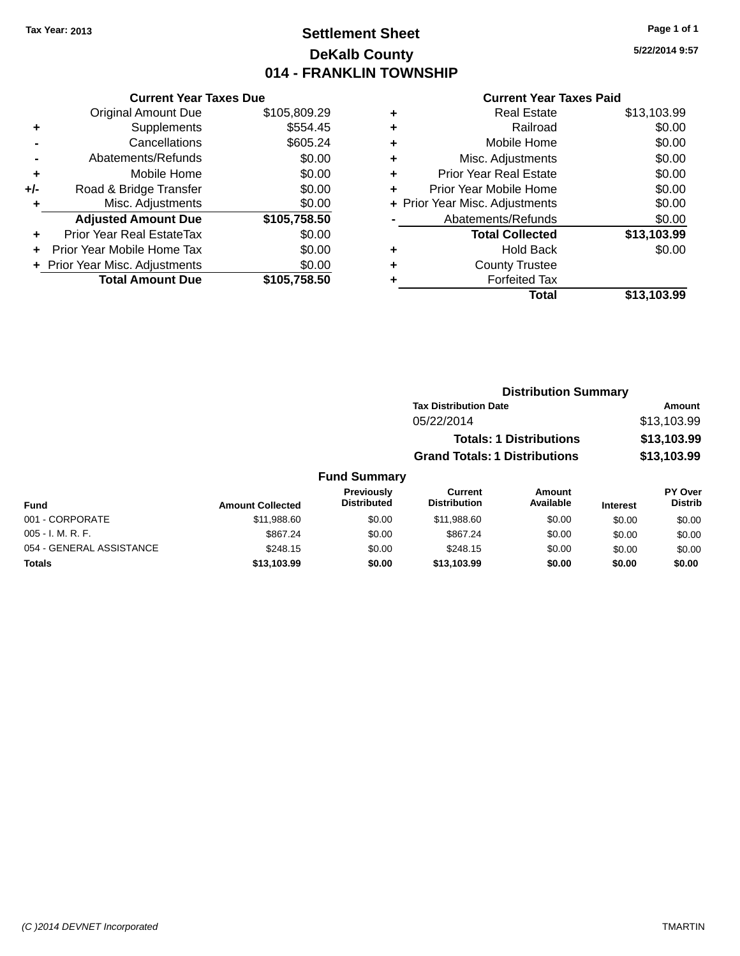### **Settlement Sheet Tax Year: 2013 Page 1 of 1 DeKalb County 014 - FRANKLIN TOWNSHIP**

**5/22/2014 9:57**

|     | <b>Current Year Taxes Due</b>  |              |
|-----|--------------------------------|--------------|
|     | <b>Original Amount Due</b>     | \$105,809.29 |
| ٠   | Supplements                    | \$554.45     |
|     | Cancellations                  | \$605.24     |
|     | Abatements/Refunds             | \$0.00       |
| ÷   | Mobile Home                    | \$0.00       |
| +/- | Road & Bridge Transfer         | \$0.00       |
| ٠   | Misc. Adjustments              | \$0.00       |
|     | <b>Adjusted Amount Due</b>     | \$105,758.50 |
| ٠   | Prior Year Real EstateTax      | \$0.00       |
|     | Prior Year Mobile Home Tax     | \$0.00       |
|     | + Prior Year Misc. Adjustments | \$0.00       |
|     | <b>Total Amount Due</b>        | \$105,758.50 |
|     |                                |              |

|   | <b>Current Year Taxes Paid</b> |             |
|---|--------------------------------|-------------|
| ٠ | <b>Real Estate</b>             | \$13,103.99 |
|   | Railroad                       | \$0.00      |
| ٠ | Mobile Home                    | \$0.00      |
|   | Misc. Adjustments              | \$0.00      |
| ٠ | <b>Prior Year Real Estate</b>  | \$0.00      |
|   | Prior Year Mobile Home         | \$0.00      |
|   | + Prior Year Misc. Adjustments | \$0.00      |
|   | Abatements/Refunds             | \$0.00      |
|   | <b>Total Collected</b>         | \$13,103.99 |
|   | <b>Hold Back</b>               | \$0.00      |
|   | <b>County Trustee</b>          |             |
|   | <b>Forfeited Tax</b>           |             |
|   | Total                          | \$13,103.99 |
|   |                                |             |

|                | <b>Distribution Summary</b>          |             |
|----------------|--------------------------------------|-------------|
|                | <b>Tax Distribution Date</b>         | Amount      |
|                | 05/22/2014                           | \$13,103.99 |
|                | <b>Totals: 1 Distributions</b>       | \$13,103.99 |
|                | <b>Grand Totals: 1 Distributions</b> | \$13,103.99 |
| <b>Summary</b> |                                      |             |

| <b>Fund Summary</b>      |                         |                                  |                                       |                     |                 |                           |
|--------------------------|-------------------------|----------------------------------|---------------------------------------|---------------------|-----------------|---------------------------|
| Fund                     | <b>Amount Collected</b> | Previously<br><b>Distributed</b> | <b>Current</b><br><b>Distribution</b> | Amount<br>Available | <b>Interest</b> | PY Over<br><b>Distrib</b> |
| 001 - CORPORATE          | \$11,988.60             | \$0.00                           | \$11,988.60                           | \$0.00              | \$0.00          | \$0.00                    |
| $005 - I. M. R. F.$      | \$867.24                | \$0.00                           | \$867.24                              | \$0.00              | \$0.00          | \$0.00                    |
| 054 - GENERAL ASSISTANCE | \$248.15                | \$0.00                           | \$248.15                              | \$0.00              | \$0.00          | \$0.00                    |
| <b>Totals</b>            | \$13,103.99             | \$0.00                           | \$13,103.99                           | \$0.00              | \$0.00          | \$0.00                    |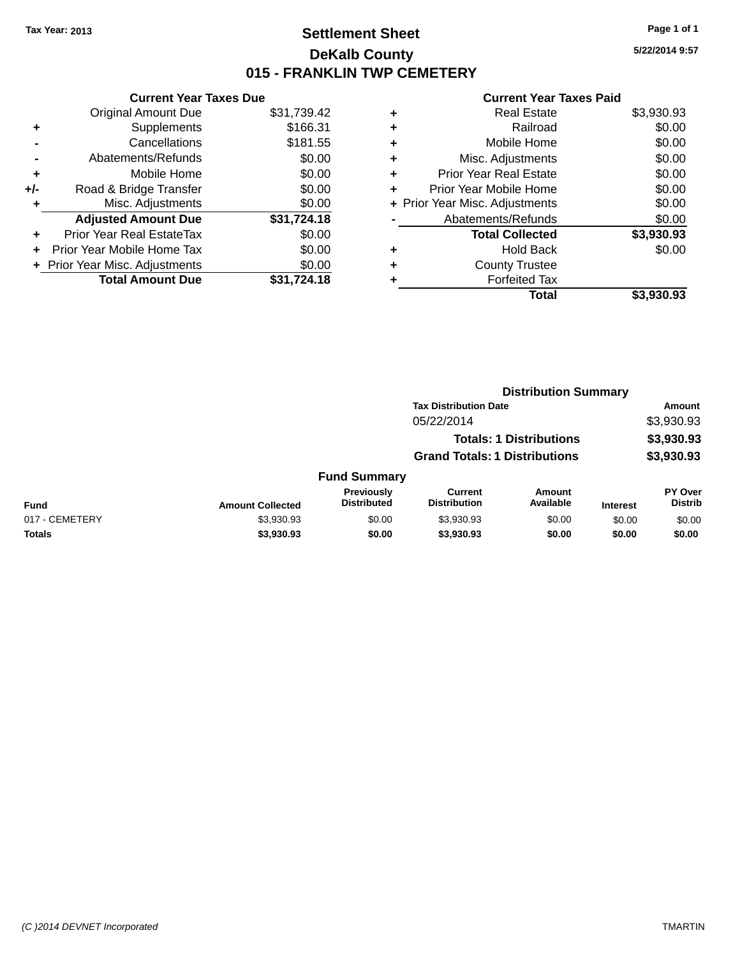### **Settlement Sheet Tax Year: 2013 Page 1 of 1 DeKalb County 015 - FRANKLIN TWP CEMETERY**

**5/22/2014 9:57**

|     | <b>Current Year Taxes Due</b>  |             |
|-----|--------------------------------|-------------|
|     | <b>Original Amount Due</b>     | \$31,739.42 |
| ٠   | Supplements                    | \$166.31    |
|     | Cancellations                  | \$181.55    |
|     | Abatements/Refunds             | \$0.00      |
| ٠   | Mobile Home                    | \$0.00      |
| +/- | Road & Bridge Transfer         | \$0.00      |
| ٠   | Misc. Adjustments              | \$0.00      |
|     | <b>Adjusted Amount Due</b>     | \$31,724.18 |
| ٠   | Prior Year Real EstateTax      | \$0.00      |
|     | Prior Year Mobile Home Tax     | \$0.00      |
|     | + Prior Year Misc. Adjustments | \$0.00      |
|     | <b>Total Amount Due</b>        | \$31,724.18 |
|     |                                |             |

| ٠ | <b>Real Estate</b>             | \$3,930.93 |
|---|--------------------------------|------------|
| ٠ | Railroad                       | \$0.00     |
| ٠ | Mobile Home                    | \$0.00     |
| ٠ | Misc. Adjustments              | \$0.00     |
| ٠ | <b>Prior Year Real Estate</b>  | \$0.00     |
| ٠ | Prior Year Mobile Home         | \$0.00     |
|   | + Prior Year Misc. Adjustments | \$0.00     |
|   | Abatements/Refunds             | \$0.00     |
|   | <b>Total Collected</b>         | \$3,930.93 |
| ٠ | <b>Hold Back</b>               | \$0.00     |
| ٠ | <b>County Trustee</b>          |            |
|   | <b>Forfeited Tax</b>           |            |
|   | Total                          | \$3,930.93 |
|   |                                |            |

|                |                         |                                         |                                       | <b>Distribution Summary</b>    |                 |                                  |
|----------------|-------------------------|-----------------------------------------|---------------------------------------|--------------------------------|-----------------|----------------------------------|
|                |                         |                                         | <b>Tax Distribution Date</b>          |                                |                 | Amount                           |
|                |                         |                                         | 05/22/2014                            |                                |                 | \$3,930.93                       |
|                |                         |                                         |                                       | <b>Totals: 1 Distributions</b> |                 | \$3,930.93                       |
|                |                         |                                         | <b>Grand Totals: 1 Distributions</b>  |                                |                 | \$3,930.93                       |
|                |                         | <b>Fund Summary</b>                     |                                       |                                |                 |                                  |
| <b>Fund</b>    | <b>Amount Collected</b> | <b>Previously</b><br><b>Distributed</b> | <b>Current</b><br><b>Distribution</b> | <b>Amount</b><br>Available     | <b>Interest</b> | <b>PY Over</b><br><b>Distrib</b> |
| 017 - CEMETERY | \$3,930.93              | \$0.00                                  | \$3,930.93                            | \$0.00                         | \$0.00          | \$0.00                           |
| <b>Totals</b>  | \$3,930.93              | \$0.00                                  | \$3,930.93                            | \$0.00                         | \$0.00          | \$0.00                           |
|                |                         |                                         |                                       |                                |                 |                                  |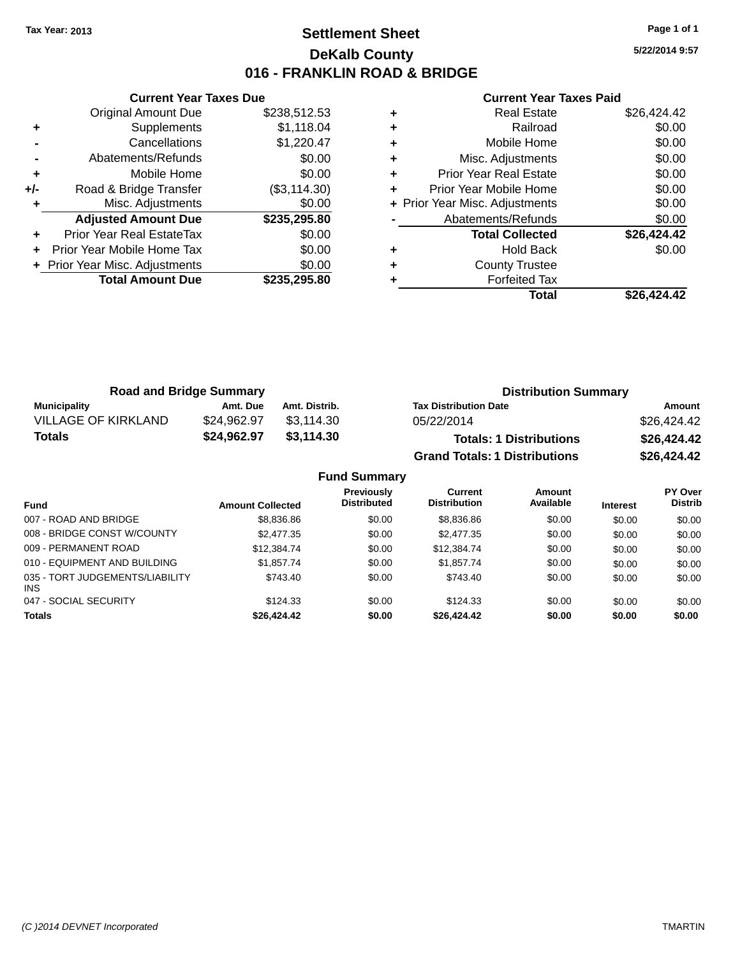### **Settlement Sheet Tax Year: 2013 Page 1 of 1 DeKalb County 016 - FRANKLIN ROAD & BRIDGE**

**5/22/2014 9:57**

|     | <b>Current Year Taxes Due</b>  |               |
|-----|--------------------------------|---------------|
|     | <b>Original Amount Due</b>     | \$238,512.53  |
| ٠   | Supplements                    | \$1,118.04    |
|     | Cancellations                  | \$1,220.47    |
|     | Abatements/Refunds             | \$0.00        |
| ٠   | Mobile Home                    | \$0.00        |
| +/- | Road & Bridge Transfer         | (\$3, 114.30) |
|     | Misc. Adjustments              | \$0.00        |
|     | <b>Adjusted Amount Due</b>     | \$235,295.80  |
| ٠   | Prior Year Real EstateTax      | \$0.00        |
|     | Prior Year Mobile Home Tax     | \$0.00        |
|     | + Prior Year Misc. Adjustments | \$0.00        |
|     | <b>Total Amount Due</b>        | \$235,295,80  |
|     |                                |               |

| ٠ | Misc. Adjustments<br><b>Prior Year Real Estate</b> | \$0.00<br>\$0.00 |
|---|----------------------------------------------------|------------------|
| ÷ | Prior Year Mobile Home                             | \$0.00           |
|   | + Prior Year Misc. Adjustments                     | \$0.00           |
|   | Abatements/Refunds                                 | \$0.00           |
|   | <b>Total Collected</b>                             | \$26,424.42      |
| ٠ | <b>Hold Back</b>                                   | \$0.00           |
| ٠ | <b>County Trustee</b>                              |                  |
|   |                                                    |                  |
|   | <b>Forfeited Tax</b>                               |                  |

| <b>Road and Bridge Summary</b> |             |               | <b>Distribution Summary</b>          |             |  |
|--------------------------------|-------------|---------------|--------------------------------------|-------------|--|
| Municipality                   | Amt. Due    | Amt. Distrib. | <b>Tax Distribution Date</b>         | Amount      |  |
| <b>VILLAGE OF KIRKLAND</b>     | \$24.962.97 | \$3.114.30    | 05/22/2014                           | \$26,424.42 |  |
| Totals                         | \$24,962.97 | \$3,114.30    | <b>Totals: 1 Distributions</b>       | \$26,424.42 |  |
|                                |             |               | <b>Grand Totals: 1 Distributions</b> | \$26,424.42 |  |

|                                         |                         | <b>Fund Summary</b>                     |                                |                     |                 |                                  |
|-----------------------------------------|-------------------------|-----------------------------------------|--------------------------------|---------------------|-----------------|----------------------------------|
| <b>Fund</b>                             | <b>Amount Collected</b> | <b>Previously</b><br><b>Distributed</b> | Current<br><b>Distribution</b> | Amount<br>Available | <b>Interest</b> | <b>PY Over</b><br><b>Distrib</b> |
| 007 - ROAD AND BRIDGE                   | \$8,836.86              | \$0.00                                  | \$8,836.86                     | \$0.00              | \$0.00          | \$0.00                           |
| 008 - BRIDGE CONST W/COUNTY             | \$2,477.35              | \$0.00                                  | \$2,477.35                     | \$0.00              | \$0.00          | \$0.00                           |
| 009 - PERMANENT ROAD                    | \$12,384.74             | \$0.00                                  | \$12,384.74                    | \$0.00              | \$0.00          | \$0.00                           |
| 010 - EQUIPMENT AND BUILDING            | \$1,857,74              | \$0.00                                  | \$1,857,74                     | \$0.00              | \$0.00          | \$0.00                           |
| 035 - TORT JUDGEMENTS/LIABILITY<br>INS. | \$743.40                | \$0.00                                  | \$743.40                       | \$0.00              | \$0.00          | \$0.00                           |
| 047 - SOCIAL SECURITY                   | \$124.33                | \$0.00                                  | \$124.33                       | \$0.00              | \$0.00          | \$0.00                           |
| <b>Totals</b>                           | \$26,424.42             | \$0.00                                  | \$26,424.42                    | \$0.00              | \$0.00          | \$0.00                           |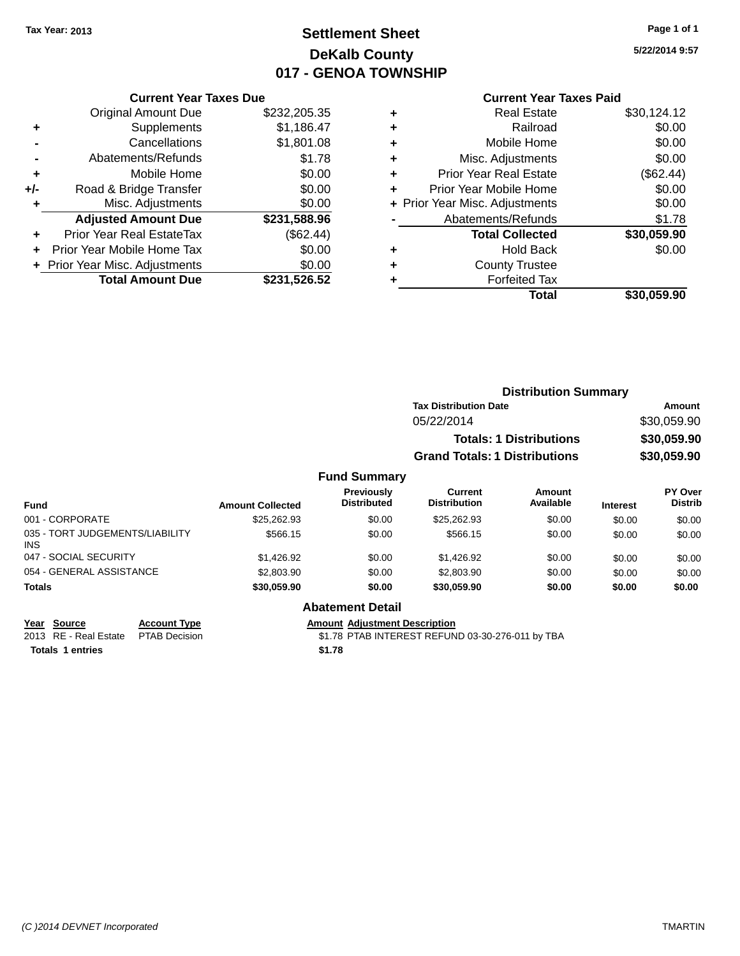## **Settlement Sheet Tax Year: 2013 Page 1 of 1 DeKalb County 017 - GENOA TOWNSHIP**

### **5/22/2014 9:57**

|     | <b>Current Year Taxes Due</b> |              |  |
|-----|-------------------------------|--------------|--|
|     | <b>Original Amount Due</b>    | \$232,205.35 |  |
| ٠   | Supplements                   | \$1,186.47   |  |
|     | Cancellations                 | \$1,801.08   |  |
|     | Abatements/Refunds            | \$1.78       |  |
| ٠   | Mobile Home                   | \$0.00       |  |
| +/- | Road & Bridge Transfer        | \$0.00       |  |
| ÷   | Misc. Adjustments             | \$0.00       |  |
|     | <b>Adjusted Amount Due</b>    | \$231,588.96 |  |
|     | Prior Year Real EstateTax     | (\$62.44)    |  |
|     | Prior Year Mobile Home Tax    | \$0.00       |  |
|     |                               |              |  |

**Total Amount Due \$231,526.52**

**+** Prior Year Misc. Adjustments  $$0.00$ 

#### **Current Year Taxes Paid**

|   | Total                          | \$30,059.90 |
|---|--------------------------------|-------------|
|   | <b>Forfeited Tax</b>           |             |
|   | <b>County Trustee</b>          |             |
| ٠ | Hold Back                      | \$0.00      |
|   | <b>Total Collected</b>         | \$30,059.90 |
|   | Abatements/Refunds             | \$1.78      |
|   | + Prior Year Misc. Adjustments | \$0.00      |
|   | Prior Year Mobile Home         | \$0.00      |
|   | <b>Prior Year Real Estate</b>  | (\$62.44)   |
| ٠ | Misc. Adjustments              | \$0.00      |
| ٠ | Mobile Home                    | \$0.00      |
| ٠ | Railroad                       | \$0.00      |
|   | <b>Real Estate</b>             | \$30,124.12 |

|           | <b>Distribution Summary</b>          |             |
|-----------|--------------------------------------|-------------|
|           | <b>Tax Distribution Date</b>         | Amount      |
|           | 05/22/2014                           | \$30,059.90 |
|           | <b>Totals: 1 Distributions</b>       | \$30,059.90 |
|           | <b>Grand Totals: 1 Distributions</b> | \$30,059.90 |
| l Summary |                                      |             |

#### **Fund Fund Interest Amount Collected Distributed PY Over Distrib Amount Available Current Distribution Previously** 001 - CORPORATE \$25,262.93 \$0.00 \$25,262.93 \$0.00 \$0.00 \$0.00 035 - TORT JUDGEMENTS/LIABILITY INS \$566.15 \$0.00 \$566.15 \$0.00 \$0.00 \$0.00 047 - SOCIAL SECURITY \$1,426.92 \$0.00 \$0.00 \$0.00 \$0.00 \$0.00 \$0.00 054 - GENERAL ASSISTANCE  $$2,803.90$   $$0.00$   $$2,803.90$   $$0.00$   $$0.00$   $$0.00$   $$0.00$ **Totals \$30,059.90 \$0.00 \$30,059.90 \$0.00 \$0.00 \$0.00**

| Year Source                         | <b>Account Type</b> | Amount |
|-------------------------------------|---------------------|--------|
| 2013 RE - Real Estate PTAB Decision |                     | \$1.78 |
| <b>Totals 1 entries</b>             |                     | \$1.78 |

#### **Abatement Detail**

**Amount Adjustment Description** 

\$1.78 PTAB INTEREST REFUND 03-30-276-011 by TBA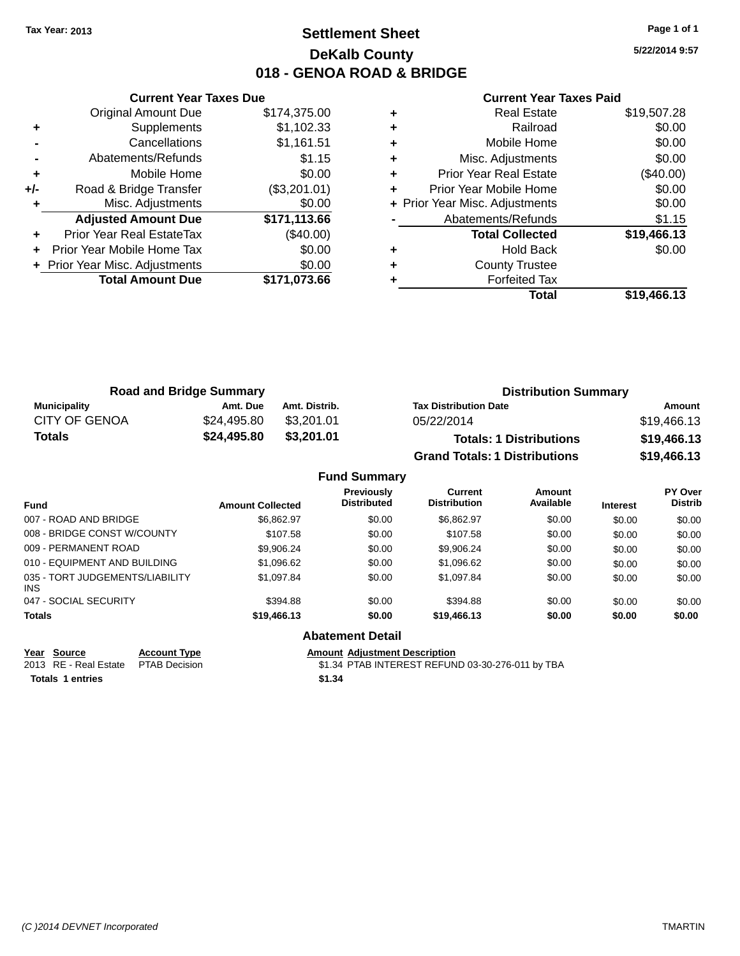### **Settlement Sheet Tax Year: 2013 Page 1 of 1 DeKalb County 018 - GENOA ROAD & BRIDGE**

**5/22/2014 9:57**

#### **Current Year Taxes Paid**

|     | <b>Current Year Taxes Due</b>              |              |  |  |
|-----|--------------------------------------------|--------------|--|--|
|     | <b>Original Amount Due</b><br>\$174,375.00 |              |  |  |
| ٠   | Supplements                                | \$1,102.33   |  |  |
|     | Cancellations                              | \$1,161.51   |  |  |
|     | Abatements/Refunds                         | \$1.15       |  |  |
| ٠   | Mobile Home                                | \$0.00       |  |  |
| +/- | Road & Bridge Transfer                     | (\$3,201.01) |  |  |
|     | Misc. Adjustments                          | \$0.00       |  |  |
|     | <b>Adjusted Amount Due</b>                 | \$171,113.66 |  |  |
|     | Prior Year Real EstateTax                  | $(\$40.00)$  |  |  |
|     | Prior Year Mobile Home Tax                 | \$0.00       |  |  |
|     | + Prior Year Misc. Adjustments             | \$0.00       |  |  |
|     | <b>Total Amount Due</b>                    | \$171,073.66 |  |  |
|     |                                            |              |  |  |

|   | <b>Real Estate</b>             | \$19,507.28 |
|---|--------------------------------|-------------|
| ٠ | Railroad                       | \$0.00      |
| ٠ | Mobile Home                    | \$0.00      |
| ٠ | Misc. Adjustments              | \$0.00      |
| ٠ | <b>Prior Year Real Estate</b>  | $(\$40.00)$ |
| ٠ | Prior Year Mobile Home         | \$0.00      |
|   | + Prior Year Misc. Adjustments | \$0.00      |
|   | Abatements/Refunds             | \$1.15      |
|   | <b>Total Collected</b>         | \$19,466.13 |
| ٠ | <b>Hold Back</b>               | \$0.00      |
| ٠ | <b>County Trustee</b>          |             |
| ٠ | <b>Forfeited Tax</b>           |             |
|   | Total                          | \$19,466.13 |
|   |                                |             |

| <b>Road and Bridge Summary</b> |             | <b>Distribution Summary</b> |                                      |             |
|--------------------------------|-------------|-----------------------------|--------------------------------------|-------------|
| <b>Municipality</b>            | Amt. Due    | Amt. Distrib.               | <b>Tax Distribution Date</b>         | Amount      |
| <b>CITY OF GENOA</b>           | \$24.495.80 | \$3.201.01                  | 05/22/2014                           | \$19,466.13 |
| <b>Totals</b>                  | \$24,495.80 | \$3,201.01                  | <b>Totals: 1 Distributions</b>       | \$19,466.13 |
|                                |             |                             | <b>Grand Totals: 1 Distributions</b> | \$19,466.13 |

|                                        |                         | <b>Fund Summary</b>                     |                                       |                     |                 |                           |
|----------------------------------------|-------------------------|-----------------------------------------|---------------------------------------|---------------------|-----------------|---------------------------|
| <b>Fund</b>                            | <b>Amount Collected</b> | <b>Previously</b><br><b>Distributed</b> | <b>Current</b><br><b>Distribution</b> | Amount<br>Available | <b>Interest</b> | PY Over<br><b>Distrib</b> |
| 007 - ROAD AND BRIDGE.                 | \$6.862.97              | \$0.00                                  | \$6.862.97                            | \$0.00              | \$0.00          | \$0.00                    |
| 008 - BRIDGE CONST W/COUNTY            | \$107.58                | \$0.00                                  | \$107.58                              | \$0.00              | \$0.00          | \$0.00                    |
| 009 - PERMANENT ROAD                   | \$9.906.24              | \$0.00                                  | \$9.906.24                            | \$0.00              | \$0.00          | \$0.00                    |
| 010 - EQUIPMENT AND BUILDING           | \$1.096.62              | \$0.00                                  | \$1,096.62                            | \$0.00              | \$0.00          | \$0.00                    |
| 035 - TORT JUDGEMENTS/LIABILITY<br>INS | \$1.097.84              | \$0.00                                  | \$1.097.84                            | \$0.00              | \$0.00          | \$0.00                    |
| 047 - SOCIAL SECURITY                  | \$394.88                | \$0.00                                  | \$394.88                              | \$0.00              | \$0.00          | \$0.00                    |
| <b>Totals</b>                          | \$19,466.13             | \$0.00                                  | \$19,466.13                           | \$0.00              | \$0.00          | \$0.00                    |
|                                        |                         | <b>Abatement Detail</b>                 |                                       |                     |                 |                           |

**Totals 1 entries \$1.34**

**Year Source Account Type Amount Adjustment Description**

2013 RE - Real Estate PTAB Decision \$1.34 PTAB INTEREST REFUND 03-30-276-011 by TBA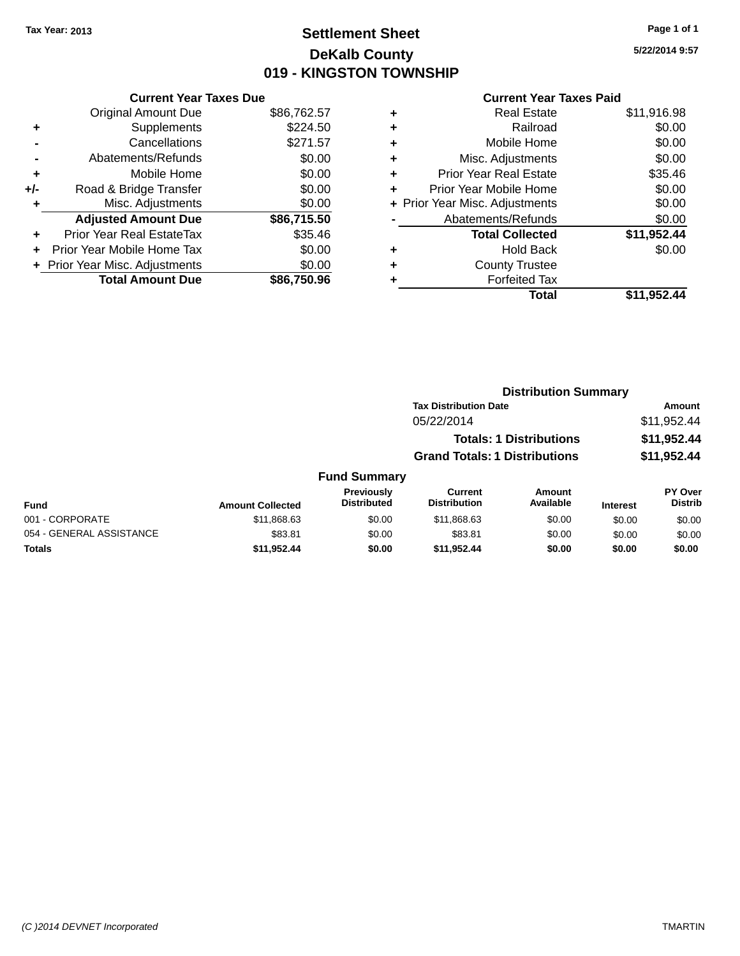### **Settlement Sheet Tax Year: 2013 Page 1 of 1 DeKalb County 019 - KINGSTON TOWNSHIP**

**5/22/2014 9:57**

### **Current Year Taxes Paid**

|     | <b>Current Year Taxes Due</b>  |             |
|-----|--------------------------------|-------------|
|     | <b>Original Amount Due</b>     | \$86,762.57 |
| ٠   | Supplements                    | \$224.50    |
|     | Cancellations                  | \$271.57    |
|     | Abatements/Refunds             | \$0.00      |
| ٠   | Mobile Home                    | \$0.00      |
| +/- | Road & Bridge Transfer         | \$0.00      |
|     | Misc. Adjustments              | \$0.00      |
|     | <b>Adjusted Amount Due</b>     | \$86,715.50 |
| ÷   | Prior Year Real EstateTax      | \$35.46     |
|     | Prior Year Mobile Home Tax     | \$0.00      |
|     | + Prior Year Misc. Adjustments | \$0.00      |
|     | <b>Total Amount Due</b>        | \$86.750.96 |

| ٠ | <b>Real Estate</b>             | \$11,916.98 |
|---|--------------------------------|-------------|
| ٠ | Railroad                       | \$0.00      |
| ٠ | Mobile Home                    | \$0.00      |
| ٠ | Misc. Adjustments              | \$0.00      |
| ٠ | <b>Prior Year Real Estate</b>  | \$35.46     |
| ٠ | Prior Year Mobile Home         | \$0.00      |
|   | + Prior Year Misc. Adjustments | \$0.00      |
|   | Abatements/Refunds             | \$0.00      |
|   | <b>Total Collected</b>         | \$11,952.44 |
| ٠ | <b>Hold Back</b>               | \$0.00      |
| ٠ | <b>County Trustee</b>          |             |
|   | <b>Forfeited Tax</b>           |             |
|   | Total                          | \$11,952.44 |
|   |                                |             |

|                          |                         |                                  |                                       | <b>Distribution Summary</b>    |                 |                           |
|--------------------------|-------------------------|----------------------------------|---------------------------------------|--------------------------------|-----------------|---------------------------|
|                          |                         |                                  | <b>Tax Distribution Date</b>          |                                |                 | Amount                    |
|                          |                         |                                  | 05/22/2014                            |                                |                 | \$11,952.44               |
|                          |                         |                                  |                                       | <b>Totals: 1 Distributions</b> |                 | \$11,952.44               |
|                          |                         |                                  | <b>Grand Totals: 1 Distributions</b>  |                                |                 | \$11,952.44               |
|                          |                         | <b>Fund Summary</b>              |                                       |                                |                 |                           |
| <b>Fund</b>              | <b>Amount Collected</b> | Previously<br><b>Distributed</b> | <b>Current</b><br><b>Distribution</b> | Amount<br>Available            | <b>Interest</b> | PY Over<br><b>Distrib</b> |
| 001 - CORPORATE          | \$11,868.63             | \$0.00                           | \$11,868.63                           | \$0.00                         | \$0.00          | \$0.00                    |
| 054 - GENERAL ASSISTANCE | \$83.81                 | \$0.00                           | \$83.81                               | \$0.00                         | \$0.00          | \$0.00                    |

**Totals \$11,952.44 \$0.00 \$11,952.44 \$0.00 \$0.00 \$0.00**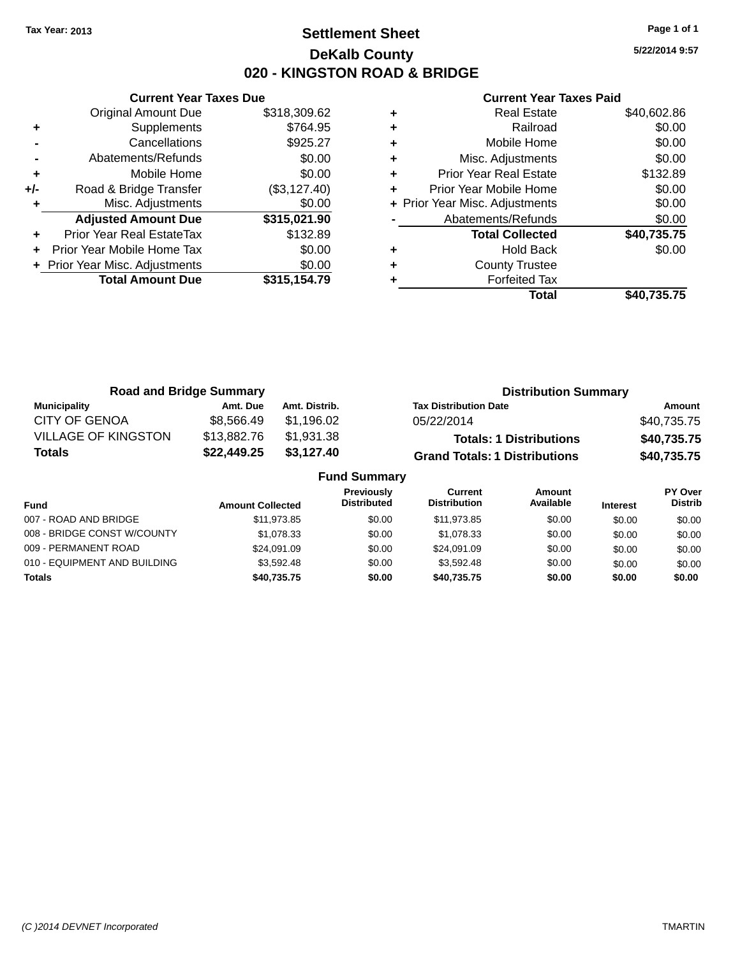### **Settlement Sheet Tax Year: 2013 Page 1 of 1 DeKalb County 020 - KINGSTON ROAD & BRIDGE**

**5/22/2014 9:57**

|     | <b>Current Year Taxes Due</b>              |              |  |  |
|-----|--------------------------------------------|--------------|--|--|
|     | <b>Original Amount Due</b><br>\$318,309.62 |              |  |  |
| ٠   | Supplements                                | \$764.95     |  |  |
|     | Cancellations                              | \$925.27     |  |  |
|     | Abatements/Refunds                         | \$0.00       |  |  |
| ٠   | Mobile Home                                | \$0.00       |  |  |
| +/- | Road & Bridge Transfer                     | (\$3,127.40) |  |  |
|     | Misc. Adjustments                          | \$0.00       |  |  |
|     | <b>Adjusted Amount Due</b>                 | \$315,021.90 |  |  |
|     | Prior Year Real EstateTax                  | \$132.89     |  |  |
|     | Prior Year Mobile Home Tax                 | \$0.00       |  |  |
|     | + Prior Year Misc. Adjustments             | \$0.00       |  |  |
|     | <b>Total Amount Due</b>                    | \$315,154.79 |  |  |
|     |                                            |              |  |  |

| ٠ | <b>Real Estate</b>             | \$40,602.86 |
|---|--------------------------------|-------------|
| ٠ | Railroad                       | \$0.00      |
| ٠ | Mobile Home                    | \$0.00      |
| ٠ | Misc. Adjustments              | \$0.00      |
| ٠ | <b>Prior Year Real Estate</b>  | \$132.89    |
| ٠ | Prior Year Mobile Home         | \$0.00      |
|   | + Prior Year Misc. Adjustments | \$0.00      |
|   | Abatements/Refunds             | \$0.00      |
|   | <b>Total Collected</b>         | \$40,735.75 |
| ٠ | Hold Back                      | \$0.00      |
| ٠ | <b>County Trustee</b>          |             |
|   | <b>Forfeited Tax</b>           |             |
|   | Total                          | \$40.735.75 |

| <b>Road and Bridge Summary</b> |             |                     | <b>Distribution Summary</b>          |             |
|--------------------------------|-------------|---------------------|--------------------------------------|-------------|
| <b>Municipality</b>            | Amt. Due    | Amt. Distrib.       | <b>Tax Distribution Date</b>         | Amount      |
| <b>CITY OF GENOA</b>           | \$8.566.49  | \$1.196.02          | 05/22/2014                           | \$40,735.75 |
| <b>VILLAGE OF KINGSTON</b>     | \$13,882.76 | \$1,931.38          | <b>Totals: 1 Distributions</b>       | \$40,735.75 |
| <b>Totals</b>                  | \$22,449.25 | \$3,127.40          | <b>Grand Totals: 1 Distributions</b> | \$40,735.75 |
|                                |             | <b>Fund Summary</b> |                                      |             |

| <b>Fund</b>                  | <b>Amount Collected</b> | <b>Previously</b><br><b>Distributed</b> | <b>Current</b><br><b>Distribution</b> | Amount<br>Available | <b>Interest</b> | <b>PY Over</b><br><b>Distrib</b> |
|------------------------------|-------------------------|-----------------------------------------|---------------------------------------|---------------------|-----------------|----------------------------------|
| 007 - ROAD AND BRIDGE        | \$11.973.85             | \$0.00                                  | \$11,973.85                           | \$0.00              | \$0.00          | \$0.00                           |
| 008 - BRIDGE CONST W/COUNTY  | \$1,078,33              | \$0.00                                  | \$1.078.33                            | \$0.00              | \$0.00          | \$0.00                           |
| 009 - PERMANENT ROAD         | \$24.091.09             | \$0.00                                  | \$24.091.09                           | \$0.00              | \$0.00          | \$0.00                           |
| 010 - EQUIPMENT AND BUILDING | \$3.592.48              | \$0.00                                  | \$3.592.48                            | \$0.00              | \$0.00          | \$0.00                           |
| <b>Totals</b>                | \$40.735.75             | \$0.00                                  | \$40.735.75                           | \$0.00              | \$0.00          | \$0.00                           |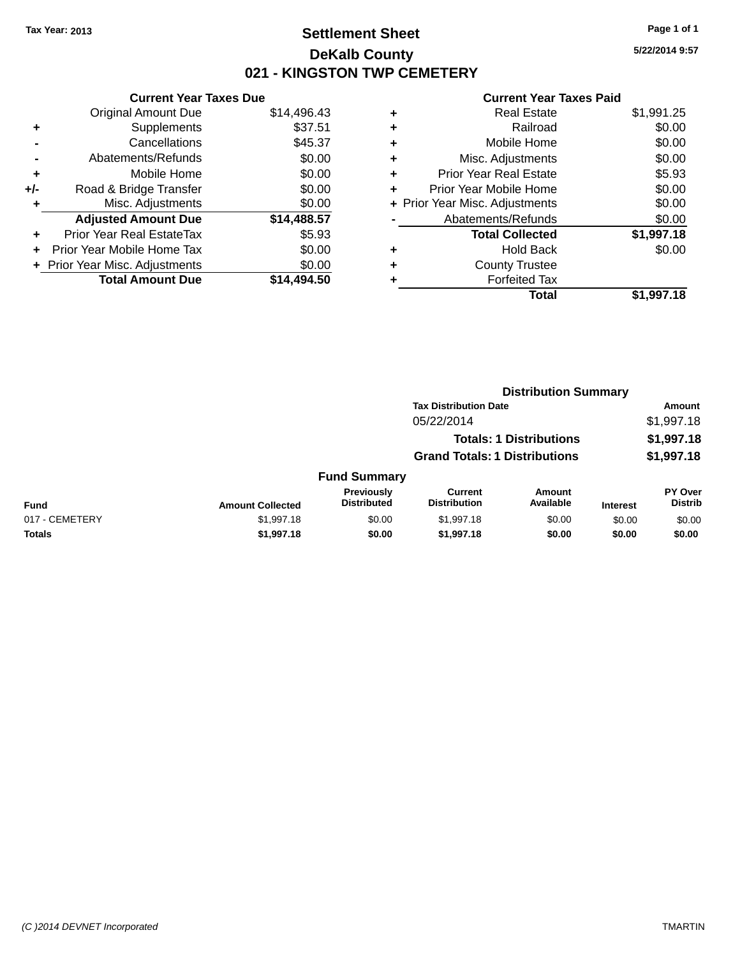### **Settlement Sheet Tax Year: 2013 Page 1 of 1 DeKalb County 021 - KINGSTON TWP CEMETERY**

**5/22/2014 9:57**

|     | <b>Current Year Taxes Due</b>  |             |
|-----|--------------------------------|-------------|
|     | <b>Original Amount Due</b>     | \$14,496.43 |
| ٠   | Supplements                    | \$37.51     |
|     | Cancellations                  | \$45.37     |
|     | Abatements/Refunds             | \$0.00      |
| ٠   | Mobile Home                    | \$0.00      |
| +/- | Road & Bridge Transfer         | \$0.00      |
| ٠   | Misc. Adjustments              | \$0.00      |
|     | <b>Adjusted Amount Due</b>     | \$14,488.57 |
| ÷   | Prior Year Real EstateTax      | \$5.93      |
|     | Prior Year Mobile Home Tax     | \$0.00      |
|     | + Prior Year Misc. Adjustments | \$0.00      |
|     | <b>Total Amount Due</b>        | \$14.494.50 |

|   | <b>Real Estate</b>             | \$1,991.25 |
|---|--------------------------------|------------|
| ٠ | Railroad                       | \$0.00     |
| ٠ | Mobile Home                    | \$0.00     |
| ٠ | Misc. Adjustments              | \$0.00     |
| ٠ | <b>Prior Year Real Estate</b>  | \$5.93     |
| ٠ | Prior Year Mobile Home         | \$0.00     |
|   | + Prior Year Misc. Adjustments | \$0.00     |
|   | Abatements/Refunds             | \$0.00     |
|   | <b>Total Collected</b>         | \$1,997.18 |
| ٠ | Hold Back                      | \$0.00     |
|   | <b>County Trustee</b>          |            |
| ٠ | <b>Forfeited Tax</b>           |            |
|   | Total                          | \$1,997.18 |
|   |                                |            |

|                |                         |                                  |                                       | <b>Distribution Summary</b>    |                 |                                  |
|----------------|-------------------------|----------------------------------|---------------------------------------|--------------------------------|-----------------|----------------------------------|
|                |                         |                                  | <b>Tax Distribution Date</b>          |                                |                 | Amount                           |
|                |                         |                                  | 05/22/2014                            |                                |                 | \$1,997.18                       |
|                |                         |                                  |                                       | <b>Totals: 1 Distributions</b> |                 | \$1,997.18                       |
|                |                         |                                  | <b>Grand Totals: 1 Distributions</b>  |                                |                 | \$1,997.18                       |
|                |                         | <b>Fund Summary</b>              |                                       |                                |                 |                                  |
| <b>Fund</b>    | <b>Amount Collected</b> | Previously<br><b>Distributed</b> | <b>Current</b><br><b>Distribution</b> | <b>Amount</b><br>Available     | <b>Interest</b> | <b>PY Over</b><br><b>Distrib</b> |
| 017 - CEMETERY | \$1,997.18              | \$0.00                           | \$1,997.18                            | \$0.00                         | \$0.00          | \$0.00                           |
| <b>Totals</b>  | \$1,997.18              | \$0.00                           | \$1,997.18                            | \$0.00                         | \$0.00          | \$0.00                           |
|                |                         |                                  |                                       |                                |                 |                                  |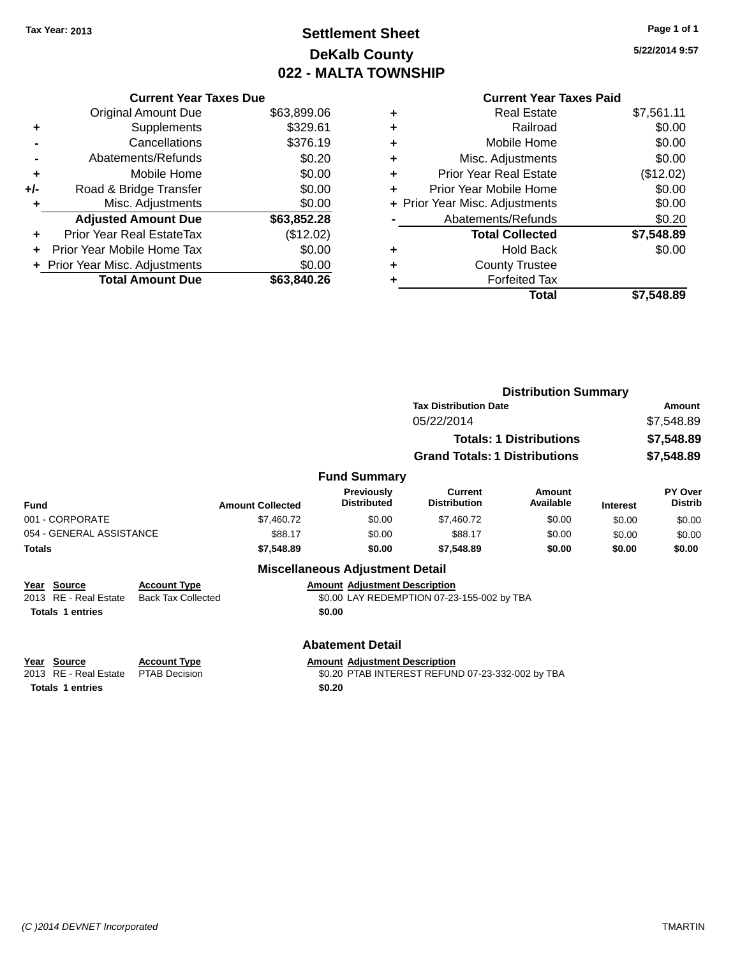## **Settlement Sheet Tax Year: 2013 Page 1 of 1 DeKalb County 022 - MALTA TOWNSHIP**

**5/22/2014 9:57**

|     | <b>Current Year Taxes Due</b>    |             |   |
|-----|----------------------------------|-------------|---|
|     | Original Amount Due              | \$63,899.06 | ÷ |
|     | Supplements                      | \$329.61    | ٠ |
|     | Cancellations                    | \$376.19    | ٠ |
|     | Abatements/Refunds               | \$0.20      | ٠ |
|     | Mobile Home                      | \$0.00      | ٠ |
| +/- | Road & Bridge Transfer           | \$0.00      | ٠ |
|     | Misc. Adjustments                | \$0.00      | ٠ |
|     | <b>Adjusted Amount Due</b>       | \$63,852.28 |   |
|     | <b>Prior Year Real EstateTax</b> | (\$12.02)   |   |
|     | Prior Year Mobile Home Tax       | \$0.00      |   |
|     | + Prior Year Misc. Adjustments   | \$0.00      | ٠ |
|     | <b>Total Amount Due</b>          | \$63,840.26 |   |
|     |                                  |             |   |

### **Current Year Taxes Paid**

|   | Total                          | \$7.548.89 |
|---|--------------------------------|------------|
|   | <b>Forfeited Tax</b>           |            |
| ٠ | <b>County Trustee</b>          |            |
| ٠ | <b>Hold Back</b>               | \$0.00     |
|   | <b>Total Collected</b>         | \$7,548.89 |
|   | Abatements/Refunds             | \$0.20     |
|   | + Prior Year Misc. Adjustments | \$0.00     |
| ٠ | Prior Year Mobile Home         | \$0.00     |
| ٠ | <b>Prior Year Real Estate</b>  | (\$12.02)  |
| ٠ | Misc. Adjustments              | \$0.00     |
| ٠ | Mobile Home                    | \$0.00     |
| ÷ | Railroad                       | \$0.00     |
| ٠ | <b>Real Estate</b>             | \$7,561.11 |

|                                                                 |                                                  |                         |                                                |                                                  | <b>Distribution Summary</b>    |                 |                           |
|-----------------------------------------------------------------|--------------------------------------------------|-------------------------|------------------------------------------------|--------------------------------------------------|--------------------------------|-----------------|---------------------------|
|                                                                 |                                                  |                         | <b>Tax Distribution Date</b>                   |                                                  |                                |                 | Amount                    |
|                                                                 |                                                  |                         |                                                | 05/22/2014                                       |                                |                 | \$7,548.89                |
|                                                                 |                                                  |                         |                                                |                                                  | <b>Totals: 1 Distributions</b> |                 | \$7,548.89                |
|                                                                 |                                                  |                         |                                                | <b>Grand Totals: 1 Distributions</b>             |                                |                 | \$7,548.89                |
|                                                                 |                                                  |                         | <b>Fund Summary</b>                            |                                                  |                                |                 |                           |
| Fund                                                            |                                                  | <b>Amount Collected</b> | Previously<br><b>Distributed</b>               | Current<br><b>Distribution</b>                   | Amount<br>Available            | <b>Interest</b> | PY Over<br><b>Distrib</b> |
| 001 - CORPORATE                                                 |                                                  | \$7,460.72              | \$0.00                                         | \$7,460.72                                       | \$0.00                         | \$0.00          | \$0.00                    |
| 054 - GENERAL ASSISTANCE                                        |                                                  | \$88.17                 | \$0.00                                         | \$88.17                                          | \$0.00                         | \$0.00          | \$0.00                    |
| <b>Totals</b>                                                   |                                                  | \$7,548.89              | \$0.00                                         | \$7,548.89                                       | \$0.00                         | \$0.00          | \$0.00                    |
|                                                                 |                                                  |                         | <b>Miscellaneous Adjustment Detail</b>         |                                                  |                                |                 |                           |
| Year Source<br>2013 RE - Real Estate<br><b>Totals 1 entries</b> | <b>Account Type</b><br><b>Back Tax Collected</b> |                         | <b>Amount Adjustment Description</b><br>\$0.00 | \$0.00 LAY REDEMPTION 07-23-155-002 by TBA       |                                |                 |                           |
|                                                                 |                                                  |                         | <b>Abatement Detail</b>                        |                                                  |                                |                 |                           |
| Year Source<br>2013 RE - Real Estate                            | <b>Account Type</b><br><b>PTAB Decision</b>      |                         | <b>Amount Adjustment Description</b>           | \$0.20 PTAB INTEREST REFUND 07-23-332-002 by TBA |                                |                 |                           |

**Totals 1 entries \$0.20**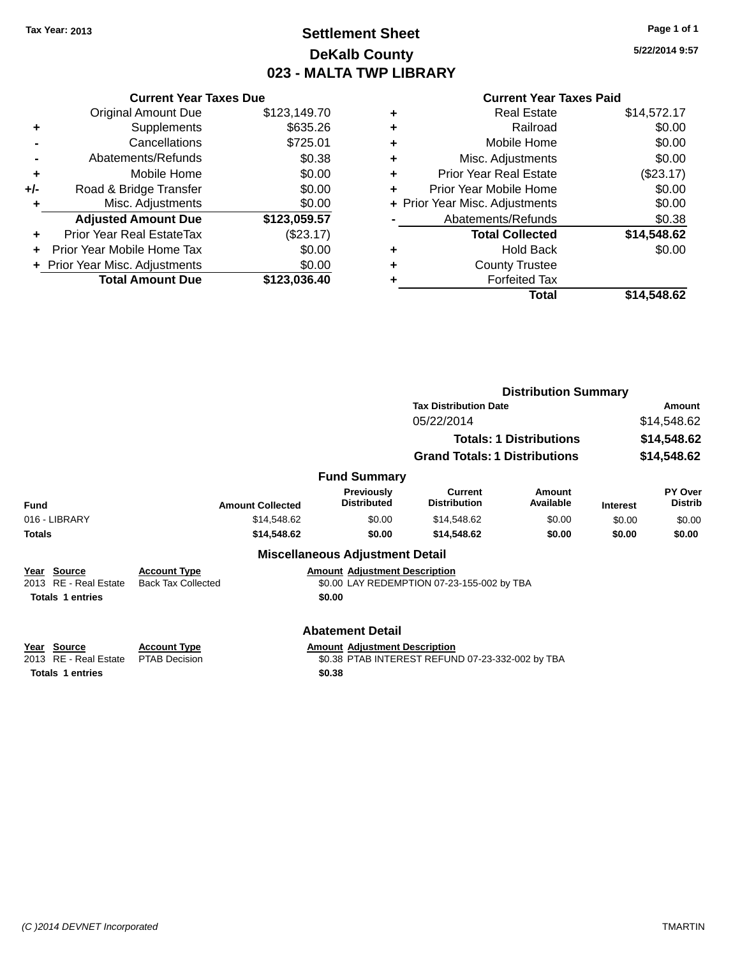### **Settlement Sheet Tax Year: 2013 Page 1 of 1 DeKalb County 023 - MALTA TWP LIBRARY**

**5/22/2014 9:57**

|     | <b>Current Year Taxes Due</b>  |              |
|-----|--------------------------------|--------------|
|     | <b>Original Amount Due</b>     | \$123,149.70 |
| ٠   | Supplements                    | \$635.26     |
|     | Cancellations                  | \$725.01     |
|     | Abatements/Refunds             | \$0.38       |
| ٠   | Mobile Home                    | \$0.00       |
| +/- | Road & Bridge Transfer         | \$0.00       |
| ٠   | Misc. Adjustments              | \$0.00       |
|     | <b>Adjusted Amount Due</b>     | \$123,059.57 |
| ٠   | Prior Year Real EstateTax      | (\$23.17)    |
|     | Prior Year Mobile Home Tax     | \$0.00       |
|     | + Prior Year Misc. Adjustments | \$0.00       |
|     | <b>Total Amount Due</b>        | \$123.036.40 |
|     |                                |              |

|   | <b>Real Estate</b>             | \$14,572.17 |
|---|--------------------------------|-------------|
| ٠ | Railroad                       | \$0.00      |
| ٠ | Mobile Home                    | \$0.00      |
| ٠ | Misc. Adjustments              | \$0.00      |
| ٠ | <b>Prior Year Real Estate</b>  | (\$23.17)   |
|   | Prior Year Mobile Home         | \$0.00      |
|   | + Prior Year Misc. Adjustments | \$0.00      |
|   | Abatements/Refunds             | \$0.38      |
|   | <b>Total Collected</b>         | \$14,548.62 |
| ٠ | <b>Hold Back</b>               | \$0.00      |
| ٠ | <b>County Trustee</b>          |             |
|   | <b>Forfeited Tax</b>           |             |
|   | Total                          | \$14,548.62 |
|   |                                |             |

|                                                                                     |                                                  |                                                | <b>Distribution Summary</b>                      |                                |                 |                           |
|-------------------------------------------------------------------------------------|--------------------------------------------------|------------------------------------------------|--------------------------------------------------|--------------------------------|-----------------|---------------------------|
|                                                                                     |                                                  | <b>Tax Distribution Date</b>                   |                                                  |                                | Amount          |                           |
|                                                                                     |                                                  |                                                | 05/22/2014                                       |                                |                 | \$14,548.62               |
|                                                                                     |                                                  |                                                |                                                  | <b>Totals: 1 Distributions</b> |                 | \$14,548.62               |
|                                                                                     |                                                  |                                                | <b>Grand Totals: 1 Distributions</b>             |                                |                 | \$14,548.62               |
|                                                                                     |                                                  | <b>Fund Summary</b>                            |                                                  |                                |                 |                           |
| <b>Fund</b>                                                                         | <b>Amount Collected</b>                          | <b>Previously</b><br><b>Distributed</b>        | <b>Current</b><br><b>Distribution</b>            | Amount<br>Available            | <b>Interest</b> | PY Over<br><b>Distrib</b> |
| 016 - LIBRARY                                                                       | \$14,548.62                                      | \$0.00                                         | \$14,548.62                                      | \$0.00                         | \$0.00          | \$0.00                    |
| <b>Totals</b>                                                                       | \$14,548.62                                      | \$0.00                                         | \$14,548.62                                      | \$0.00                         | \$0.00          | \$0.00                    |
|                                                                                     |                                                  | <b>Miscellaneous Adjustment Detail</b>         |                                                  |                                |                 |                           |
| <b>Source</b><br>Year<br><b>RE</b> - Real Estate<br>2013<br><b>Totals 1 entries</b> | <b>Account Type</b><br><b>Back Tax Collected</b> | <b>Amount Adjustment Description</b><br>\$0.00 | \$0.00 LAY REDEMPTION 07-23-155-002 by TBA       |                                |                 |                           |
|                                                                                     |                                                  | <b>Abatement Detail</b>                        |                                                  |                                |                 |                           |
| Source<br>Year<br>RE - Real Estate<br>2013                                          | <b>Account Type</b><br><b>PTAB Decision</b>      | <b>Amount Adjustment Description</b>           | \$0.38 PTAB INTEREST REFUND 07-23-332-002 by TBA |                                |                 |                           |
| <b>Totals 1 entries</b>                                                             |                                                  | \$0.38                                         |                                                  |                                |                 |                           |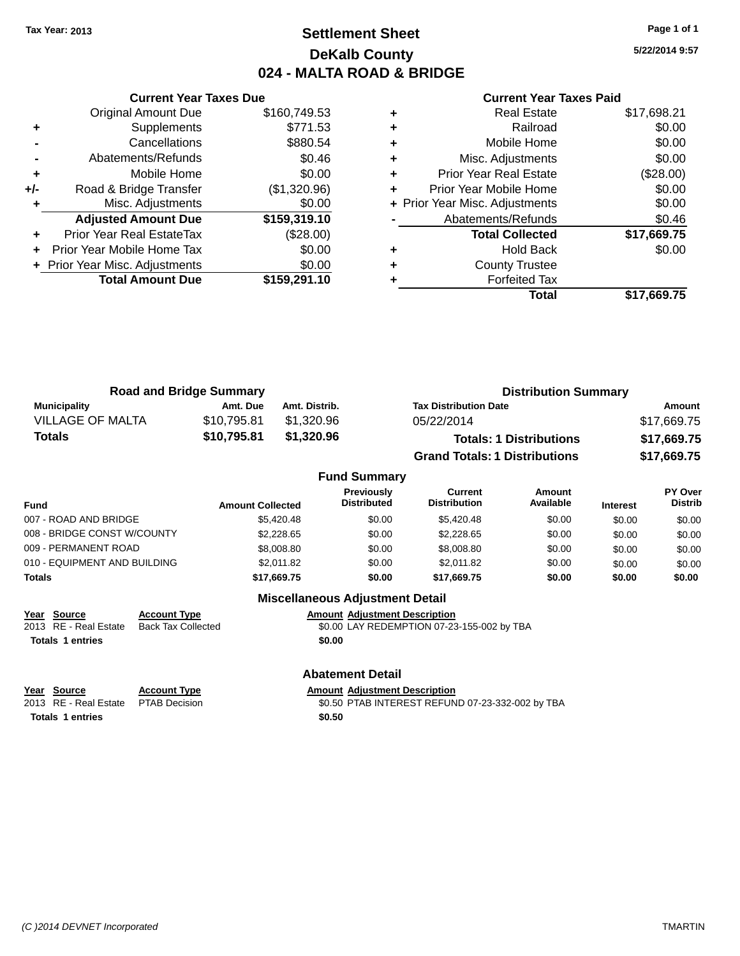### **Settlement Sheet Tax Year: 2013 Page 1 of 1 DeKalb County 024 - MALTA ROAD & BRIDGE**

**5/22/2014 9:57**

| <b>Current Year Taxes Due</b>  |              |
|--------------------------------|--------------|
| <b>Original Amount Due</b>     | \$160,749.53 |
| Supplements                    | \$771.53     |
| Cancellations                  | \$880.54     |
| Abatements/Refunds             | \$0.46       |
| Mobile Home                    | \$0.00       |
| Road & Bridge Transfer         | (\$1,320.96) |
| Misc. Adjustments              | \$0.00       |
| <b>Adjusted Amount Due</b>     | \$159,319.10 |
| Prior Year Real EstateTax      | (\$28.00)    |
| Prior Year Mobile Home Tax     | \$0.00       |
| + Prior Year Misc. Adjustments | \$0.00       |
| <b>Total Amount Due</b>        | \$159,291.10 |
|                                |              |

#### **Current Year Taxes Paid**

|   | <b>Real Estate</b>             | \$17,698.21 |
|---|--------------------------------|-------------|
| ٠ | Railroad                       | \$0.00      |
| ٠ | Mobile Home                    | \$0.00      |
| ٠ | Misc. Adjustments              | \$0.00      |
| ٠ | Prior Year Real Estate         | (\$28.00)   |
|   | Prior Year Mobile Home         | \$0.00      |
|   | + Prior Year Misc. Adjustments | \$0.00      |
|   | Abatements/Refunds             | \$0.46      |
|   | <b>Total Collected</b>         | \$17,669.75 |
|   | Hold Back                      | \$0.00      |
|   | <b>County Trustee</b>          |             |
|   | <b>Forfeited Tax</b>           |             |
|   | Total                          | \$17,669.75 |
|   |                                |             |

| <b>Road and Bridge Summary</b> |             |               | <b>Distribution Summary</b>          |             |  |
|--------------------------------|-------------|---------------|--------------------------------------|-------------|--|
| Municipality                   | Amt. Due    | Amt. Distrib. | <b>Tax Distribution Date</b>         | Amount      |  |
| <b>VILLAGE OF MALTA</b>        | \$10.795.81 | \$1,320.96    | 05/22/2014                           | \$17,669.75 |  |
| Totals                         | \$10,795.81 | \$1,320.96    | <b>Totals: 1 Distributions</b>       | \$17,669.75 |  |
|                                |             |               | <b>Grand Totals: 1 Distributions</b> | \$17,669.75 |  |

#### **Fund Summary Fund Interest Amount Collected Distributed PY Over Distrib Amount Available Current Distribution Previously** 007 - ROAD AND BRIDGE \$5,420.48 \$5,420.48 \$0.00 \$5,420.48 \$0.00 \$0.00 \$0.00 \$0.00 008 - BRIDGE CONST W/COUNTY  $$2,228.65$   $$0.00$   $$2,228.65$   $$0.00$   $$0.00$   $$0.00$ 009 - PERMANENT ROAD \$8,008.80 \$8,008.80 \$0.00 \$8,008.80 \$0.00 \$0.00 \$0.00 \$0.00 010 - EQUIPMENT AND BUILDING \$2,011.82 \$0.00 \$2,011.82 \$0.00 \$0.00 \$0.00 \$0.00 **Totals \$17,669.75 \$0.00 \$17,669.75 \$0.00 \$0.00 \$0.00**

### **Year Source Account Type Amount Adjustment Description Totals 1 entries \$0.00**

\$0.00 LAY REDEMPTION 07-23-155-002 by TBA

#### **Abatement Detail**

**Miscellaneous Adjustment Detail**

# **Year** Source **Account Type Account Adjustment Description**

**Totals 1 entries \$0.50**

2013 RE - Real Estate PTAB Decision \$0.50 PTAB INTEREST REFUND 07-23-332-002 by TBA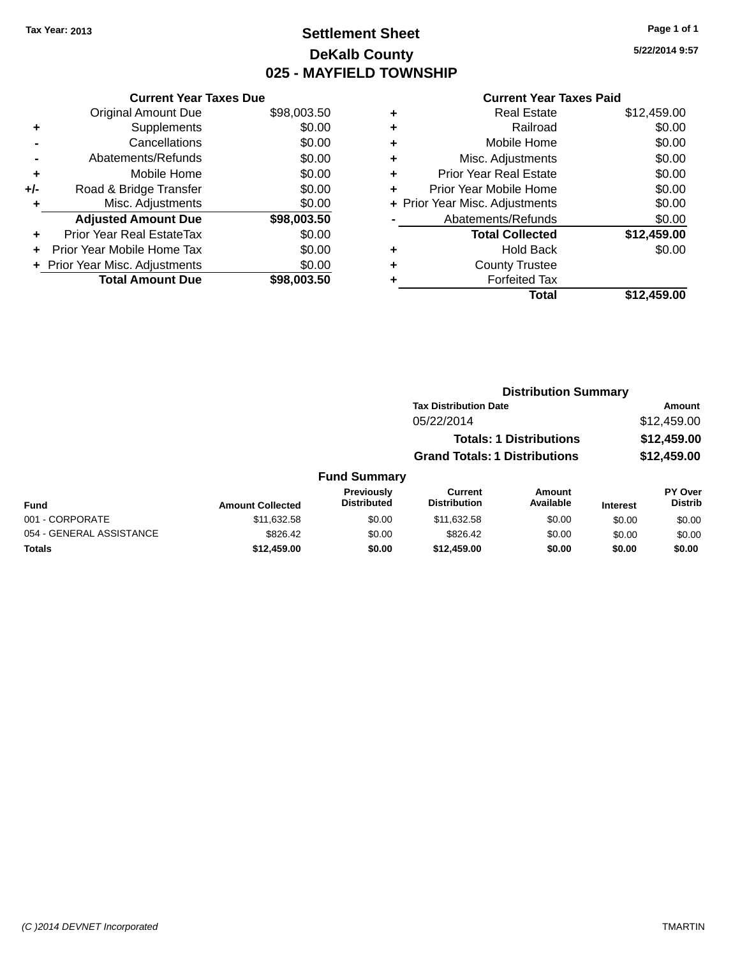### **Settlement Sheet Tax Year: 2013 Page 1 of 1 DeKalb County 025 - MAYFIELD TOWNSHIP**

**5/22/2014 9:57**

#### **Current Year Taxes Paid**

|     | <b>Current Year Taxes Due</b>  |             |
|-----|--------------------------------|-------------|
|     | <b>Original Amount Due</b>     | \$98,003.50 |
| ٠   | Supplements                    | \$0.00      |
|     | Cancellations                  | \$0.00      |
|     | Abatements/Refunds             | \$0.00      |
| ٠   | Mobile Home                    | \$0.00      |
| +/- | Road & Bridge Transfer         | \$0.00      |
| ٠   | Misc. Adjustments              | \$0.00      |
|     | <b>Adjusted Amount Due</b>     | \$98,003.50 |
| ٠   | Prior Year Real EstateTax      | \$0.00      |
|     | Prior Year Mobile Home Tax     | \$0.00      |
|     | + Prior Year Misc. Adjustments | \$0.00      |
|     | <b>Total Amount Due</b>        | \$98,003.50 |
|     |                                |             |

|   | <b>Real Estate</b>             | \$12,459.00 |
|---|--------------------------------|-------------|
| ٠ | Railroad                       | \$0.00      |
| ٠ | Mobile Home                    | \$0.00      |
| ٠ | Misc. Adjustments              | \$0.00      |
| ٠ | <b>Prior Year Real Estate</b>  | \$0.00      |
| ٠ | Prior Year Mobile Home         | \$0.00      |
|   | + Prior Year Misc. Adjustments | \$0.00      |
|   | Abatements/Refunds             | \$0.00      |
|   | <b>Total Collected</b>         | \$12,459.00 |
| ٠ | Hold Back                      | \$0.00      |
| ٠ | <b>County Trustee</b>          |             |
| ٠ | <b>Forfeited Tax</b>           |             |
|   | Total                          | \$12,459.00 |
|   |                                |             |

### **Distribution Summary Tax Distribution Date Amount** 05/22/2014 \$12,459.00 **Totals: 1 Distributions \$12,459.00 Grand Totals: 1 Distributions \$12,459.00 Fund Summary**

| <b>Fund</b>              | <b>Amount Collected</b> | <b>Previously</b><br><b>Distributed</b> | Current<br><b>Distribution</b> | Amount<br>Available | <b>Interest</b> | <b>PY Over</b><br><b>Distrib</b> |
|--------------------------|-------------------------|-----------------------------------------|--------------------------------|---------------------|-----------------|----------------------------------|
| 001 - CORPORATE          | \$11.632.58             | \$0.00                                  | \$11.632.58                    | \$0.00              | \$0.00          | \$0.00                           |
| 054 - GENERAL ASSISTANCE | \$826.42                | \$0.00                                  | \$826.42                       | \$0.00              | \$0.00          | \$0.00                           |
| Totals                   | \$12,459.00             | \$0.00                                  | \$12,459.00                    | \$0.00              | \$0.00          | \$0.00                           |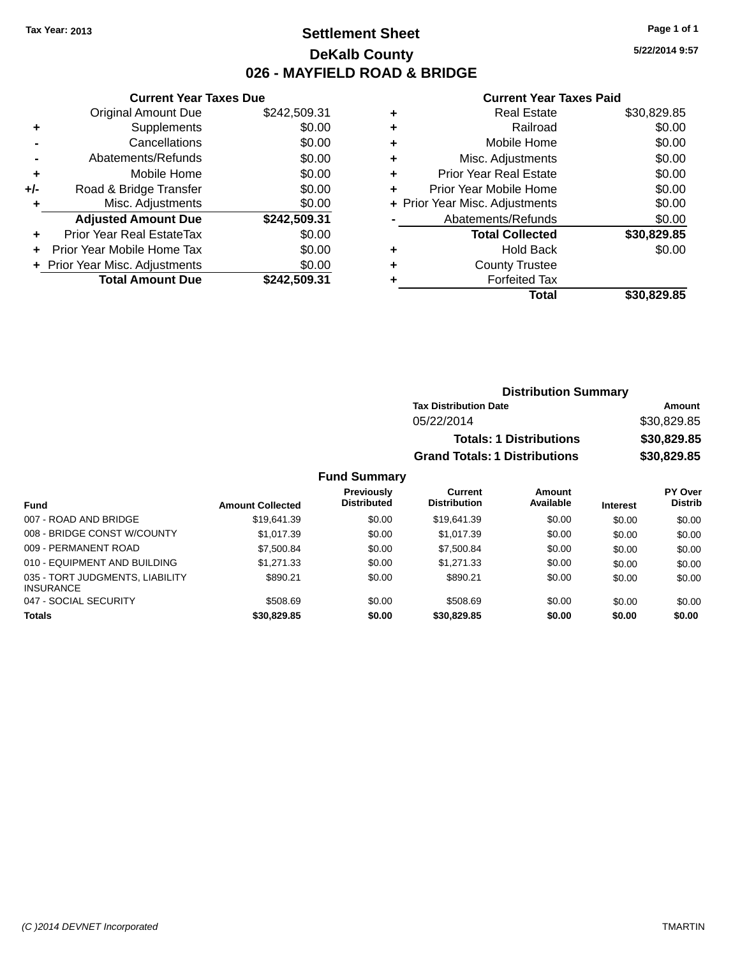### **Settlement Sheet Tax Year: 2013 Page 1 of 1 DeKalb County 026 - MAYFIELD ROAD & BRIDGE**

**5/22/2014 9:57**

#### **Current Year Taxes Paid**

|     | <b>Current Year Taxes Due</b>  |              |  |  |
|-----|--------------------------------|--------------|--|--|
|     | <b>Original Amount Due</b>     | \$242,509.31 |  |  |
| ٠   | Supplements                    | \$0.00       |  |  |
|     | Cancellations                  | \$0.00       |  |  |
|     | Abatements/Refunds             | \$0.00       |  |  |
| ÷   | Mobile Home                    | \$0.00       |  |  |
| +/- | Road & Bridge Transfer         | \$0.00       |  |  |
|     | Misc. Adjustments              | \$0.00       |  |  |
|     | <b>Adjusted Amount Due</b>     | \$242,509.31 |  |  |
| ٠   | Prior Year Real EstateTax      | \$0.00       |  |  |
|     | Prior Year Mobile Home Tax     | \$0.00       |  |  |
|     | + Prior Year Misc. Adjustments | \$0.00       |  |  |
|     | <b>Total Amount Due</b>        | \$242,509.31 |  |  |
|     |                                |              |  |  |

| <b>Real Estate</b>             | \$30,829.85 |
|--------------------------------|-------------|
| Railroad                       | \$0.00      |
| Mobile Home                    | \$0.00      |
| Misc. Adjustments              | \$0.00      |
| <b>Prior Year Real Estate</b>  | \$0.00      |
| Prior Year Mobile Home         | \$0.00      |
| + Prior Year Misc. Adjustments | \$0.00      |
| Abatements/Refunds             | \$0.00      |
| <b>Total Collected</b>         | \$30,829.85 |
| <b>Hold Back</b>               | \$0.00      |
| <b>County Trustee</b>          |             |
| <b>Forfeited Tax</b>           |             |
| Total                          | \$30,829.85 |
|                                |             |

| <b>Distribution Summary</b>          |             |
|--------------------------------------|-------------|
| <b>Tax Distribution Date</b>         | Amount      |
| 05/22/2014                           | \$30,829.85 |
| <b>Totals: 1 Distributions</b>       | \$30,829.85 |
| <b>Grand Totals: 1 Distributions</b> | \$30,829.85 |

| Fund                                                | <b>Amount Collected</b> | Previously<br><b>Distributed</b> | Current<br><b>Distribution</b> | Amount<br>Available | <b>Interest</b> | PY Over<br><b>Distrib</b> |
|-----------------------------------------------------|-------------------------|----------------------------------|--------------------------------|---------------------|-----------------|---------------------------|
| 007 - ROAD AND BRIDGE                               | \$19.641.39             | \$0.00                           | \$19.641.39                    | \$0.00              | \$0.00          | \$0.00                    |
| 008 - BRIDGE CONST W/COUNTY                         | \$1.017.39              | \$0.00                           | \$1.017.39                     | \$0.00              | \$0.00          | \$0.00                    |
| 009 - PERMANENT ROAD                                | \$7,500.84              | \$0.00                           | \$7,500.84                     | \$0.00              | \$0.00          | \$0.00                    |
| 010 - EQUIPMENT AND BUILDING                        | \$1,271.33              | \$0.00                           | \$1.271.33                     | \$0.00              | \$0.00          | \$0.00                    |
| 035 - TORT JUDGMENTS, LIABILITY<br><b>INSURANCE</b> | \$890.21                | \$0.00                           | \$890.21                       | \$0.00              | \$0.00          | \$0.00                    |
| 047 - SOCIAL SECURITY                               | \$508.69                | \$0.00                           | \$508.69                       | \$0.00              | \$0.00          | \$0.00                    |
| <b>Totals</b>                                       | \$30,829.85             | \$0.00                           | \$30,829.85                    | \$0.00              | \$0.00          | \$0.00                    |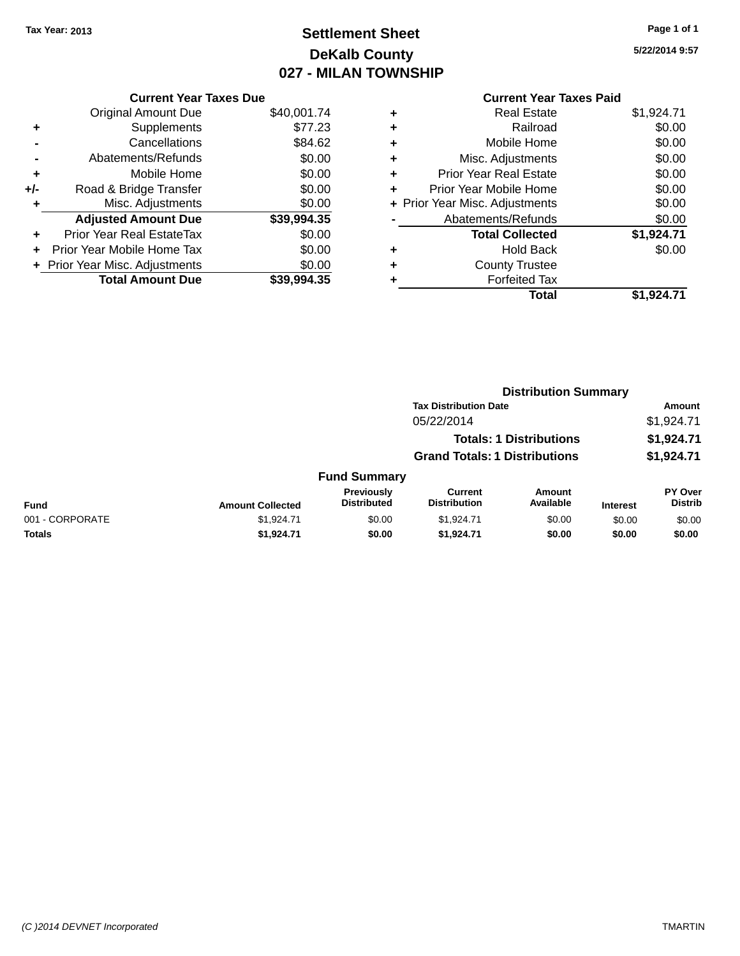# **Settlement Sheet Tax Year: 2013 Page 1 of 1 DeKalb County 027 - MILAN TOWNSHIP**

**5/22/2014 9:57**

|       | <b>Current Year Taxes Due</b>  |             |  |  |  |
|-------|--------------------------------|-------------|--|--|--|
|       | <b>Original Amount Due</b>     | \$40,001.74 |  |  |  |
| ٠     | Supplements                    | \$77.23     |  |  |  |
|       | Cancellations                  | \$84.62     |  |  |  |
|       | Abatements/Refunds             | \$0.00      |  |  |  |
| ٠     | Mobile Home                    | \$0.00      |  |  |  |
| $+/-$ | Road & Bridge Transfer         | \$0.00      |  |  |  |
| ٠     | Misc. Adjustments              | \$0.00      |  |  |  |
|       | <b>Adjusted Amount Due</b>     | \$39,994.35 |  |  |  |
| ÷     | Prior Year Real EstateTax      | \$0.00      |  |  |  |
| ÷     | Prior Year Mobile Home Tax     | \$0.00      |  |  |  |
|       | + Prior Year Misc. Adjustments | \$0.00      |  |  |  |
|       | <b>Total Amount Due</b>        | \$39.994.35 |  |  |  |
|       |                                |             |  |  |  |

| <b>Current Year Taxes Paid</b> |            |
|--------------------------------|------------|
| <b>Real Estate</b>             | \$1,924.71 |
| Railroad                       | \$0.00     |
| Mobile Home                    | \$0.00     |
| Misc. Adjustments              | \$0.00     |
| <b>Prior Year Real Estate</b>  | \$0.00     |
| Prior Year Mobile Home         | \$0.00     |
| + Prior Year Misc. Adjustments | \$0.00     |
| Abatements/Refunds             | \$0.00     |
| <b>Total Collected</b>         | \$1,924.71 |
| <b>Hold Back</b>               | \$0.00     |
| <b>County Trustee</b>          |            |
| <b>Forfeited Tax</b>           |            |
| <b>Total</b>                   | \$1,924.71 |
|                                |            |

|                 |                         |                                  |                                       | <b>Distribution Summary</b>    |                 |                           |  |
|-----------------|-------------------------|----------------------------------|---------------------------------------|--------------------------------|-----------------|---------------------------|--|
|                 |                         |                                  | <b>Tax Distribution Date</b>          |                                |                 | Amount                    |  |
|                 |                         |                                  | 05/22/2014                            |                                |                 | \$1,924.71                |  |
|                 |                         |                                  |                                       | <b>Totals: 1 Distributions</b> |                 | \$1,924.71                |  |
|                 |                         |                                  | <b>Grand Totals: 1 Distributions</b>  |                                |                 | \$1,924.71                |  |
|                 |                         | <b>Fund Summary</b>              |                                       |                                |                 |                           |  |
| <b>Fund</b>     | <b>Amount Collected</b> | Previously<br><b>Distributed</b> | <b>Current</b><br><b>Distribution</b> | Amount<br>Available            | <b>Interest</b> | PY Over<br><b>Distrib</b> |  |
| 001 - CORPORATE | \$1,924.71              | \$0.00                           | \$1,924.71                            | \$0.00                         | \$0.00          | \$0.00                    |  |
| <b>Totals</b>   | \$1,924.71              | \$0.00                           | \$1,924.71                            | \$0.00                         | \$0.00          | \$0.00                    |  |
|                 |                         |                                  |                                       |                                |                 |                           |  |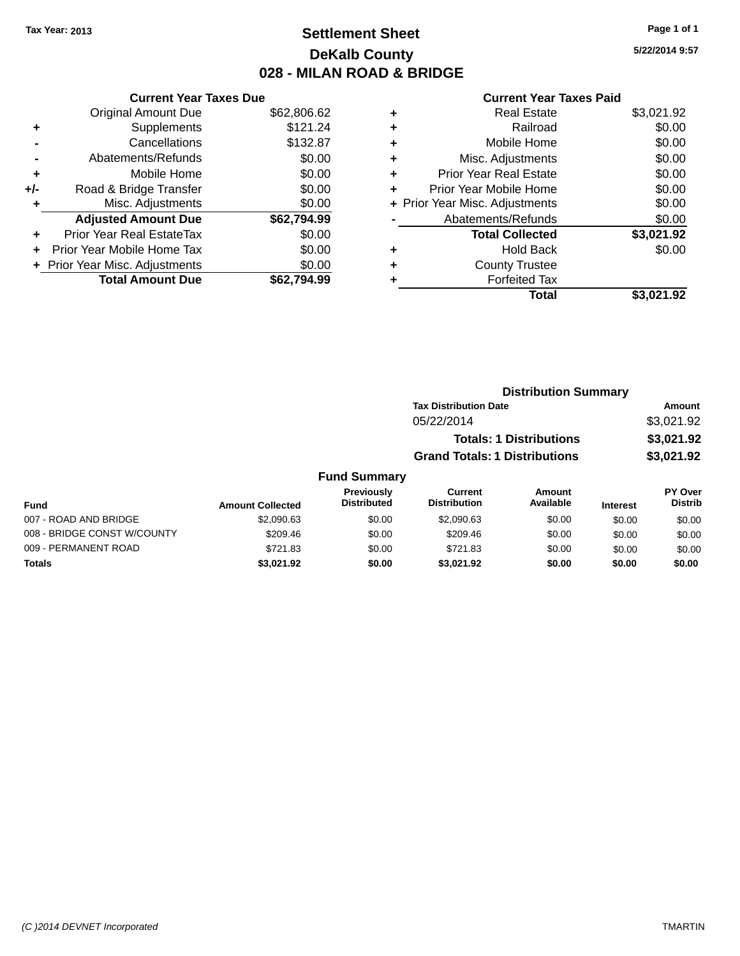## **Settlement Sheet Tax Year: 2013 Page 1 of 1 DeKalb County 028 - MILAN ROAD & BRIDGE**

**5/22/2014 9:57**

|     | <b>Current Year Taxes Due</b>  |             |
|-----|--------------------------------|-------------|
|     | <b>Original Amount Due</b>     | \$62,806.62 |
| ٠   | Supplements                    | \$121.24    |
|     | Cancellations                  | \$132.87    |
|     | Abatements/Refunds             | \$0.00      |
| ٠   | Mobile Home                    | \$0.00      |
| +/- | Road & Bridge Transfer         | \$0.00      |
| ٠   | Misc. Adjustments              | \$0.00      |
|     | <b>Adjusted Amount Due</b>     | \$62,794.99 |
| ٠   | Prior Year Real EstateTax      | \$0.00      |
|     | Prior Year Mobile Home Tax     | \$0.00      |
|     | + Prior Year Misc. Adjustments | \$0.00      |
|     | <b>Total Amount Due</b>        | \$62.794.99 |
|     |                                |             |

| ٠ | <b>Real Estate</b>             | \$3,021.92 |
|---|--------------------------------|------------|
| ٠ | Railroad                       | \$0.00     |
| ٠ | Mobile Home                    | \$0.00     |
| ٠ | Misc. Adjustments              | \$0.00     |
| ٠ | <b>Prior Year Real Estate</b>  | \$0.00     |
| ٠ | Prior Year Mobile Home         | \$0.00     |
|   | + Prior Year Misc. Adjustments | \$0.00     |
|   | Abatements/Refunds             | \$0.00     |
|   | <b>Total Collected</b>         | \$3,021.92 |
| ٠ | <b>Hold Back</b>               | \$0.00     |
| ٠ | <b>County Trustee</b>          |            |
| ٠ | <b>Forfeited Tax</b>           |            |
|   | Total                          | \$3,021.92 |
|   |                                |            |

|                |                                  |                                      | <b>Distribution Summary</b>    |                 |                                  |  |
|----------------|----------------------------------|--------------------------------------|--------------------------------|-----------------|----------------------------------|--|
|                |                                  | <b>Tax Distribution Date</b>         |                                |                 | <b>Amount</b>                    |  |
|                |                                  | 05/22/2014                           |                                |                 | \$3,021.92                       |  |
|                |                                  |                                      | <b>Totals: 1 Distributions</b> |                 | \$3,021.92                       |  |
|                |                                  | <b>Grand Totals: 1 Distributions</b> |                                |                 | \$3,021.92                       |  |
|                | <b>Fund Summary</b>              |                                      |                                |                 |                                  |  |
| ount Collected | Previously<br><b>Distributed</b> | Current<br><b>Distribution</b>       | <b>Amount</b><br>Available     | <b>Interest</b> | <b>PY Over</b><br><b>Distrib</b> |  |
|                |                                  |                                      |                                |                 |                                  |  |

| Fund                        | <b>Amount Collected</b> | <b>Distributed</b> | <b>Distribution</b> | Available | <b>Interest</b> | Distrib |
|-----------------------------|-------------------------|--------------------|---------------------|-----------|-----------------|---------|
| 007 - ROAD AND BRIDGE       | \$2,090.63              | \$0.00             | \$2,090.63          | \$0.00    | \$0.00          | \$0.00  |
| 008 - BRIDGE CONST W/COUNTY | \$209.46                | \$0.00             | \$209.46            | \$0.00    | \$0.00          | \$0.00  |
| 009 - PERMANENT ROAD        | \$721.83                | \$0.00             | \$721.83            | \$0.00    | \$0.00          | \$0.00  |
| Totals                      | \$3.021.92              | \$0.00             | \$3.021.92          | \$0.00    | \$0.00          | \$0.00  |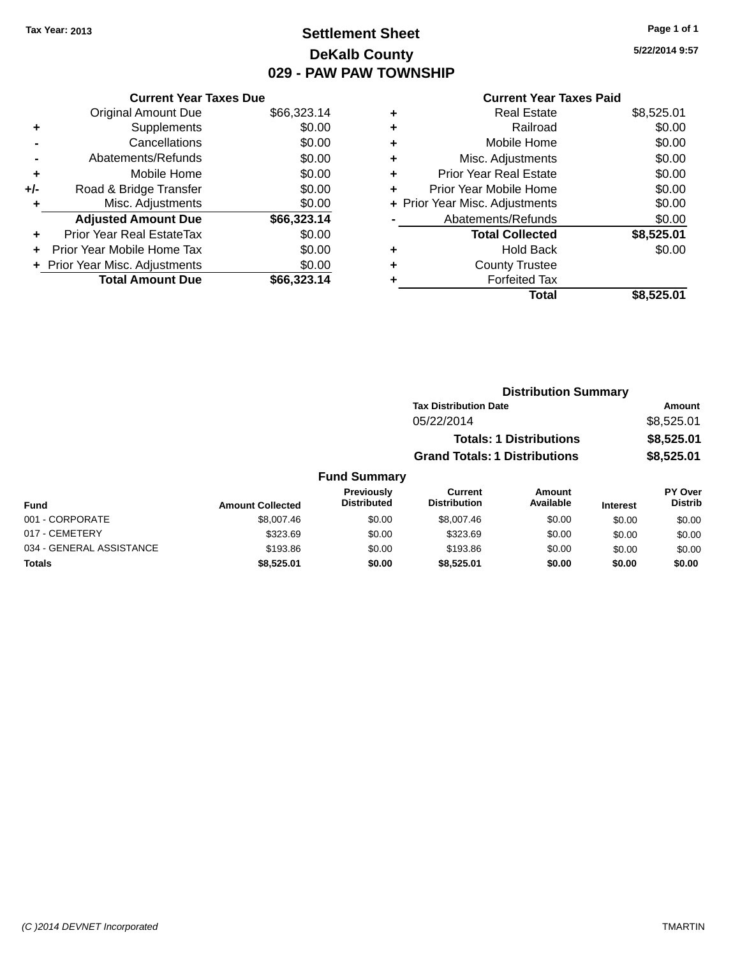## **Settlement Sheet Tax Year: 2013 Page 1 of 1 DeKalb County 029 - PAW PAW TOWNSHIP**

**5/22/2014 9:57**

|     | <b>Current Year Taxes Due</b>  |             |
|-----|--------------------------------|-------------|
|     | <b>Original Amount Due</b>     | \$66,323.14 |
| ٠   | Supplements                    | \$0.00      |
|     | Cancellations                  | \$0.00      |
|     | Abatements/Refunds             | \$0.00      |
| ٠   | Mobile Home                    | \$0.00      |
| +/- | Road & Bridge Transfer         | \$0.00      |
| ٠   | Misc. Adjustments              | \$0.00      |
|     | <b>Adjusted Amount Due</b>     | \$66,323.14 |
| ÷   | Prior Year Real EstateTax      | \$0.00      |
| ÷   | Prior Year Mobile Home Tax     | \$0.00      |
|     | + Prior Year Misc. Adjustments | \$0.00      |
|     | <b>Total Amount Due</b>        | \$66,323.14 |

| ٠ | <b>Real Estate</b>             | \$8,525.01 |
|---|--------------------------------|------------|
| ٠ | Railroad                       | \$0.00     |
| ٠ | Mobile Home                    | \$0.00     |
| ٠ | Misc. Adjustments              | \$0.00     |
| ٠ | <b>Prior Year Real Estate</b>  | \$0.00     |
| ٠ | Prior Year Mobile Home         | \$0.00     |
|   | + Prior Year Misc. Adjustments | \$0.00     |
|   | Abatements/Refunds             | \$0.00     |
|   | <b>Total Collected</b>         | \$8,525.01 |
| ٠ | <b>Hold Back</b>               | \$0.00     |
|   | <b>County Trustee</b>          |            |
| ٠ | <b>Forfeited Tax</b>           |            |
|   | Total                          | \$8.525.01 |
|   |                                |            |

|                     | <b>Distribution Summary</b>          |            |
|---------------------|--------------------------------------|------------|
|                     | <b>Tax Distribution Date</b>         | Amount     |
|                     | 05/22/2014                           | \$8,525.01 |
|                     | <b>Totals: 1 Distributions</b>       | \$8,525.01 |
|                     | <b>Grand Totals: 1 Distributions</b> | \$8,525.01 |
| <b>Fund Summary</b> |                                      |            |

| Fund                     | <b>Amount Collected</b> | <b>Previously</b><br><b>Distributed</b> | Current<br><b>Distribution</b> | Amount<br>Available | <b>Interest</b> | <b>PY Over</b><br><b>Distrib</b> |
|--------------------------|-------------------------|-----------------------------------------|--------------------------------|---------------------|-----------------|----------------------------------|
| 001 - CORPORATE          | \$8,007.46              | \$0.00                                  | \$8,007.46                     | \$0.00              | \$0.00          | \$0.00                           |
| 017 - CEMETERY           | \$323.69                | \$0.00                                  | \$323.69                       | \$0.00              | \$0.00          | \$0.00                           |
| 034 - GENERAL ASSISTANCE | \$193.86                | \$0.00                                  | \$193.86                       | \$0.00              | \$0.00          | \$0.00                           |
| <b>Totals</b>            | \$8,525.01              | \$0.00                                  | \$8.525.01                     | \$0.00              | \$0.00          | \$0.00                           |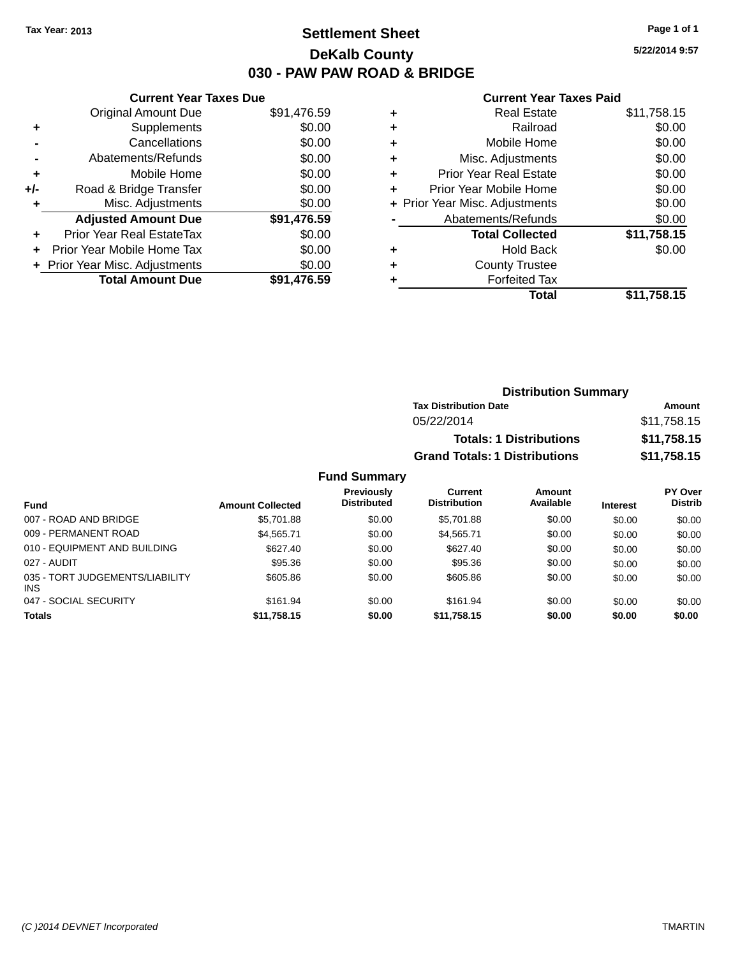### **Settlement Sheet Tax Year: 2013 Page 1 of 1 DeKalb County 030 - PAW PAW ROAD & BRIDGE**

**5/22/2014 9:57**

#### **Current Year Taxes Paid**

|     | <b>Current Year Taxes Due</b>  |             |
|-----|--------------------------------|-------------|
|     | <b>Original Amount Due</b>     | \$91,476.59 |
| ٠   | Supplements                    | \$0.00      |
|     | Cancellations                  | \$0.00      |
|     | Abatements/Refunds             | \$0.00      |
| ÷   | Mobile Home                    | \$0.00      |
| +/- | Road & Bridge Transfer         | \$0.00      |
|     | Misc. Adjustments              | \$0.00      |
|     | <b>Adjusted Amount Due</b>     | \$91,476.59 |
| ٠   | Prior Year Real EstateTax      | \$0.00      |
|     | Prior Year Mobile Home Tax     | \$0.00      |
|     | + Prior Year Misc. Adjustments | \$0.00      |
|     | <b>Total Amount Due</b>        | \$91,476.59 |
|     |                                |             |

| ٠ | <b>Real Estate</b>             | \$11,758.15 |
|---|--------------------------------|-------------|
| ٠ | Railroad                       | \$0.00      |
| ٠ | Mobile Home                    | \$0.00      |
| ٠ | Misc. Adjustments              | \$0.00      |
| ٠ | <b>Prior Year Real Estate</b>  | \$0.00      |
| ٠ | Prior Year Mobile Home         | \$0.00      |
|   | + Prior Year Misc. Adjustments | \$0.00      |
|   | Abatements/Refunds             | \$0.00      |
|   | <b>Total Collected</b>         | \$11,758.15 |
| ٠ | <b>Hold Back</b>               | \$0.00      |
| ٠ | <b>County Trustee</b>          |             |
| ٠ | <b>Forfeited Tax</b>           |             |
|   | Total                          | \$11,758.15 |
|   |                                |             |

| <b>Distribution Summary</b>          |             |
|--------------------------------------|-------------|
| <b>Tax Distribution Date</b>         | Amount      |
| 05/22/2014                           | \$11,758.15 |
| <b>Totals: 1 Distributions</b>       | \$11,758.15 |
| <b>Grand Totals: 1 Distributions</b> | \$11,758.15 |

| <b>Fund</b>                                   | <b>Amount Collected</b> | Previously<br><b>Distributed</b> | Current<br><b>Distribution</b> | Amount<br>Available | <b>Interest</b> | PY Over<br><b>Distrib</b> |
|-----------------------------------------------|-------------------------|----------------------------------|--------------------------------|---------------------|-----------------|---------------------------|
| 007 - ROAD AND BRIDGE                         | \$5,701.88              | \$0.00                           | \$5,701.88                     | \$0.00              | \$0.00          | \$0.00                    |
| 009 - PERMANENT ROAD                          | \$4,565.71              | \$0.00                           | \$4,565.71                     | \$0.00              | \$0.00          | \$0.00                    |
| 010 - EQUIPMENT AND BUILDING                  | \$627.40                | \$0.00                           | \$627.40                       | \$0.00              | \$0.00          | \$0.00                    |
| 027 - AUDIT                                   | \$95.36                 | \$0.00                           | \$95.36                        | \$0.00              | \$0.00          | \$0.00                    |
| 035 - TORT JUDGEMENTS/LIABILITY<br><b>INS</b> | \$605.86                | \$0.00                           | \$605.86                       | \$0.00              | \$0.00          | \$0.00                    |
| 047 - SOCIAL SECURITY                         | \$161.94                | \$0.00                           | \$161.94                       | \$0.00              | \$0.00          | \$0.00                    |
| <b>Totals</b>                                 | \$11,758.15             | \$0.00                           | \$11,758.15                    | \$0.00              | \$0.00          | \$0.00                    |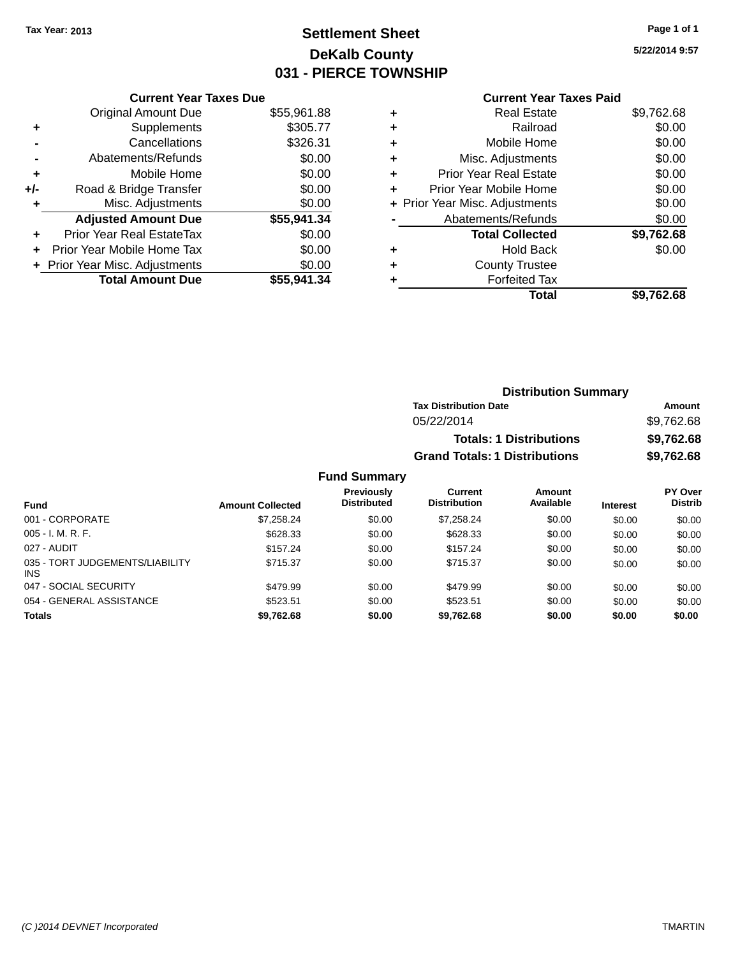## **Settlement Sheet Tax Year: 2013 Page 1 of 1 DeKalb County 031 - PIERCE TOWNSHIP**

**5/22/2014 9:57**

### **Current Year Taxes Paid**

|     | <b>Current Year Taxes Due</b>  |             |
|-----|--------------------------------|-------------|
|     | <b>Original Amount Due</b>     | \$55,961.88 |
| ٠   | Supplements                    | \$305.77    |
|     | Cancellations                  | \$326.31    |
|     | Abatements/Refunds             | \$0.00      |
| ٠   | Mobile Home                    | \$0.00      |
| +/- | Road & Bridge Transfer         | \$0.00      |
|     | Misc. Adjustments              | \$0.00      |
|     | <b>Adjusted Amount Due</b>     | \$55,941.34 |
| ÷   | Prior Year Real EstateTax      | \$0.00      |
|     | Prior Year Mobile Home Tax     | \$0.00      |
|     | + Prior Year Misc. Adjustments | \$0.00      |
|     | <b>Total Amount Due</b>        | \$55,941,34 |
|     |                                |             |

| ٠ | <b>Real Estate</b>             | \$9,762.68 |
|---|--------------------------------|------------|
| ٠ | Railroad                       | \$0.00     |
| ٠ | Mobile Home                    | \$0.00     |
| ٠ | Misc. Adjustments              | \$0.00     |
| ٠ | <b>Prior Year Real Estate</b>  | \$0.00     |
| ٠ | Prior Year Mobile Home         | \$0.00     |
|   | + Prior Year Misc. Adjustments | \$0.00     |
|   | Abatements/Refunds             | \$0.00     |
|   | <b>Total Collected</b>         | \$9,762.68 |
| ٠ | Hold Back                      | \$0.00     |
| ٠ | <b>County Trustee</b>          |            |
| ٠ | <b>Forfeited Tax</b>           |            |
|   | Total                          | \$9.762.68 |
|   |                                |            |

| <b>Distribution Summary</b>          |            |
|--------------------------------------|------------|
| <b>Tax Distribution Date</b>         | Amount     |
| 05/22/2014                           | \$9,762.68 |
| <b>Totals: 1 Distributions</b>       | \$9,762.68 |
| <b>Grand Totals: 1 Distributions</b> | \$9,762.68 |

| <b>Fund</b>                                   | <b>Amount Collected</b> | Previously<br><b>Distributed</b> | Current<br><b>Distribution</b> | Amount<br>Available | <b>Interest</b> | PY Over<br><b>Distrib</b> |
|-----------------------------------------------|-------------------------|----------------------------------|--------------------------------|---------------------|-----------------|---------------------------|
| 001 - CORPORATE                               | \$7,258.24              | \$0.00                           | \$7.258.24                     | \$0.00              | \$0.00          | \$0.00                    |
| $005 - I. M. R. F.$                           | \$628.33                | \$0.00                           | \$628.33                       | \$0.00              | \$0.00          | \$0.00                    |
| 027 - AUDIT                                   | \$157.24                | \$0.00                           | \$157.24                       | \$0.00              | \$0.00          | \$0.00                    |
| 035 - TORT JUDGEMENTS/LIABILITY<br><b>INS</b> | \$715.37                | \$0.00                           | \$715.37                       | \$0.00              | \$0.00          | \$0.00                    |
| 047 - SOCIAL SECURITY                         | \$479.99                | \$0.00                           | \$479.99                       | \$0.00              | \$0.00          | \$0.00                    |
| 054 - GENERAL ASSISTANCE                      | \$523.51                | \$0.00                           | \$523.51                       | \$0.00              | \$0.00          | \$0.00                    |
| <b>Totals</b>                                 | \$9,762.68              | \$0.00                           | \$9.762.68                     | \$0.00              | \$0.00          | \$0.00                    |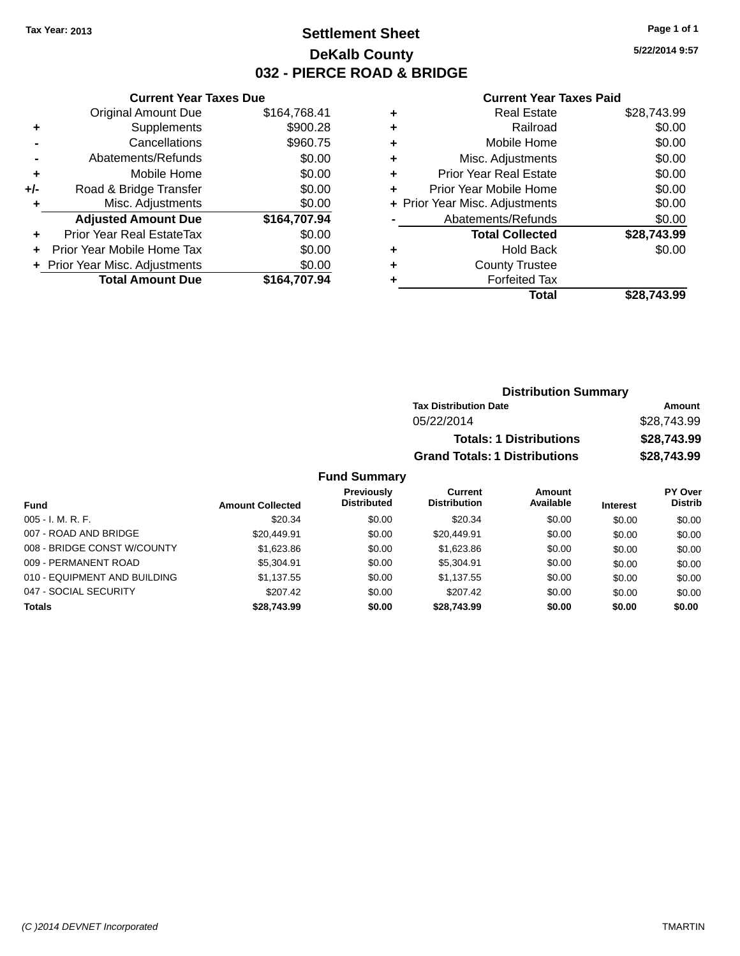### **Settlement Sheet Tax Year: 2013 Page 1 of 1 DeKalb County 032 - PIERCE ROAD & BRIDGE**

**5/22/2014 9:57**

#### **Current Year Taxes Paid**

|       | <b>Current Year Taxes Due</b>  |              |
|-------|--------------------------------|--------------|
|       | <b>Original Amount Due</b>     | \$164,768.41 |
| ٠     | Supplements                    | \$900.28     |
|       | Cancellations                  | \$960.75     |
|       | Abatements/Refunds             | \$0.00       |
| ٠     | Mobile Home                    | \$0.00       |
| $+/-$ | Road & Bridge Transfer         | \$0.00       |
| ٠     | Misc. Adjustments              | \$0.00       |
|       | <b>Adjusted Amount Due</b>     | \$164,707.94 |
| ٠     | Prior Year Real EstateTax      | \$0.00       |
| ÷     | Prior Year Mobile Home Tax     | \$0.00       |
|       | + Prior Year Misc. Adjustments | \$0.00       |
|       | <b>Total Amount Due</b>        | \$164.707.94 |
|       |                                |              |

|   | <b>Real Estate</b>             | \$28,743.99 |
|---|--------------------------------|-------------|
| ٠ | Railroad                       | \$0.00      |
| ٠ | Mobile Home                    | \$0.00      |
| ٠ | Misc. Adjustments              | \$0.00      |
| ٠ | <b>Prior Year Real Estate</b>  | \$0.00      |
| ٠ | Prior Year Mobile Home         | \$0.00      |
|   | + Prior Year Misc. Adjustments | \$0.00      |
|   | Abatements/Refunds             | \$0.00      |
|   | <b>Total Collected</b>         | \$28,743.99 |
| ٠ | <b>Hold Back</b>               | \$0.00      |
| ٠ | <b>County Trustee</b>          |             |
| ٠ | <b>Forfeited Tax</b>           |             |
|   | Total                          | \$28.743.99 |
|   |                                |             |

| <b>Distribution Summary</b>          |             |
|--------------------------------------|-------------|
| <b>Tax Distribution Date</b>         | Amount      |
| 05/22/2014                           | \$28,743.99 |
| <b>Totals: 1 Distributions</b>       | \$28,743.99 |
| <b>Grand Totals: 1 Distributions</b> | \$28,743.99 |

| <b>Fund</b>                  | <b>Amount Collected</b> | Previously<br><b>Distributed</b> | Current<br><b>Distribution</b> | Amount<br>Available | <b>Interest</b> | <b>PY Over</b><br><b>Distrib</b> |
|------------------------------|-------------------------|----------------------------------|--------------------------------|---------------------|-----------------|----------------------------------|
| $005 - I. M. R. F.$          | \$20.34                 | \$0.00                           | \$20.34                        | \$0.00              | \$0.00          | \$0.00                           |
| 007 - ROAD AND BRIDGE        | \$20,449.91             | \$0.00                           | \$20,449.91                    | \$0.00              | \$0.00          | \$0.00                           |
| 008 - BRIDGE CONST W/COUNTY  | \$1,623.86              | \$0.00                           | \$1,623.86                     | \$0.00              | \$0.00          | \$0.00                           |
| 009 - PERMANENT ROAD         | \$5,304.91              | \$0.00                           | \$5,304.91                     | \$0.00              | \$0.00          | \$0.00                           |
| 010 - EQUIPMENT AND BUILDING | \$1.137.55              | \$0.00                           | \$1.137.55                     | \$0.00              | \$0.00          | \$0.00                           |
| 047 - SOCIAL SECURITY        | \$207.42                | \$0.00                           | \$207.42                       | \$0.00              | \$0.00          | \$0.00                           |
| <b>Totals</b>                | \$28.743.99             | \$0.00                           | \$28,743.99                    | \$0.00              | \$0.00          | \$0.00                           |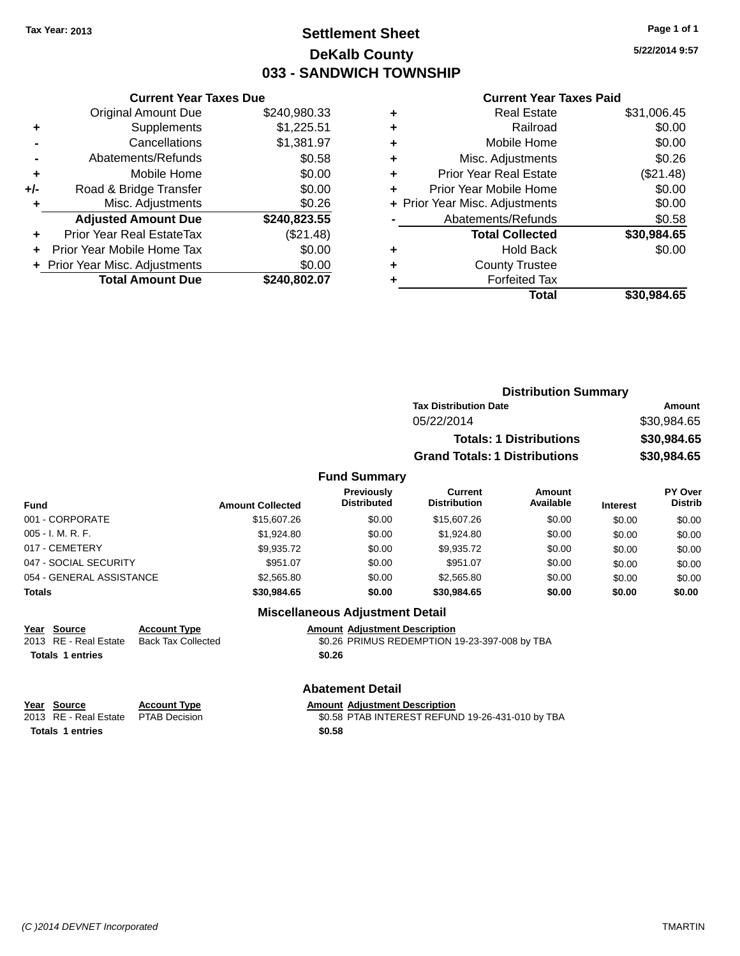### **Settlement Sheet Tax Year: 2013 Page 1 of 1 DeKalb County 033 - SANDWICH TOWNSHIP**

**5/22/2014 9:57**

#### **Current Year Taxes Paid**

|       | <b>Original Amount Due</b>       | \$240,980.33 |
|-------|----------------------------------|--------------|
| ٠     | Supplements                      | \$1,225.51   |
|       | Cancellations                    | \$1,381.97   |
|       | Abatements/Refunds               | \$0.58       |
| ٠     | Mobile Home                      | \$0.00       |
| $+/-$ | Road & Bridge Transfer           | \$0.00       |
| ٠     | Misc. Adjustments                | \$0.26       |
|       | <b>Adjusted Amount Due</b>       | \$240,823.55 |
| ٠     | <b>Prior Year Real EstateTax</b> | (\$21.48)    |
| ÷     | Prior Year Mobile Home Tax       | \$0.00       |
|       | + Prior Year Misc. Adjustments   | \$0.00       |
|       | <b>Total Amount Due</b>          | \$240,802.07 |
|       |                                  |              |

**Current Year Taxes Due**

| ٠ | <b>Real Estate</b>             | \$31,006.45 |
|---|--------------------------------|-------------|
| ٠ | Railroad                       | \$0.00      |
| ٠ | Mobile Home                    | \$0.00      |
| ٠ | Misc. Adjustments              | \$0.26      |
| ٠ | <b>Prior Year Real Estate</b>  | (\$21.48)   |
| ٠ | Prior Year Mobile Home         | \$0.00      |
|   | + Prior Year Misc. Adjustments | \$0.00      |
|   | Abatements/Refunds             | \$0.58      |
|   | <b>Total Collected</b>         | \$30,984.65 |
| ٠ | <b>Hold Back</b>               | \$0.00      |
| ٠ | <b>County Trustee</b>          |             |
| ٠ | <b>Forfeited Tax</b>           |             |
|   | Total                          | \$30,984.65 |
|   |                                |             |

|                     | <b>Distribution Summary</b>          |             |
|---------------------|--------------------------------------|-------------|
|                     | <b>Tax Distribution Date</b>         | Amount      |
|                     | 05/22/2014                           | \$30,984.65 |
|                     | <b>Totals: 1 Distributions</b>       | \$30,984.65 |
|                     | <b>Grand Totals: 1 Distributions</b> | \$30,984.65 |
| <b>Fund Summary</b> |                                      |             |

#### **Fund Interest Amount Collected Distributed PY Over Distrib Amount Available Current Distribution Previously** 001 - CORPORATE \$15,607.26 \$0.00 \$15,607.26 \$0.00 \$0.00 \$0.00 005 - I. M. R. F. \$1,924.80 \$0.00 \$1,924.80 \$0.00 \$0.00 \$0.00 017 - CEMETERY \$9,935.72 \$0.00 \$9,935.72 \$0.00 \$0.00 \$0.00 047 - SOCIAL SECURITY \$951.07 \$0.00 \$0.00 \$0.00 \$0.00 \$0.00 \$0.00 054 - GENERAL ASSISTANCE \$2,565.80 \$0.00 \$0.00 \$0.00 \$0.00 \$0.00 **Totals \$30,984.65 \$0.00 \$30,984.65 \$0.00 \$0.00 \$0.00**

### **Miscellaneous Adjustment Detail**

**Year Source Account Type Amount Adjustment Description** 2013 RE - Real Estate Back Tax Collected \$0.26 PRIMUS REDEMPTION 19-23-397-008 by TBA **Totals 1 entries \$0.26**

#### **Abatement Detail**

**Year** Source **Account Type Account Adjustment Description** 

2013 RE - Real Estate PTAB Decision \$0.58 PTAB INTEREST REFUND 19-26-431-010 by TBA **Totals 1 entries \$0.58**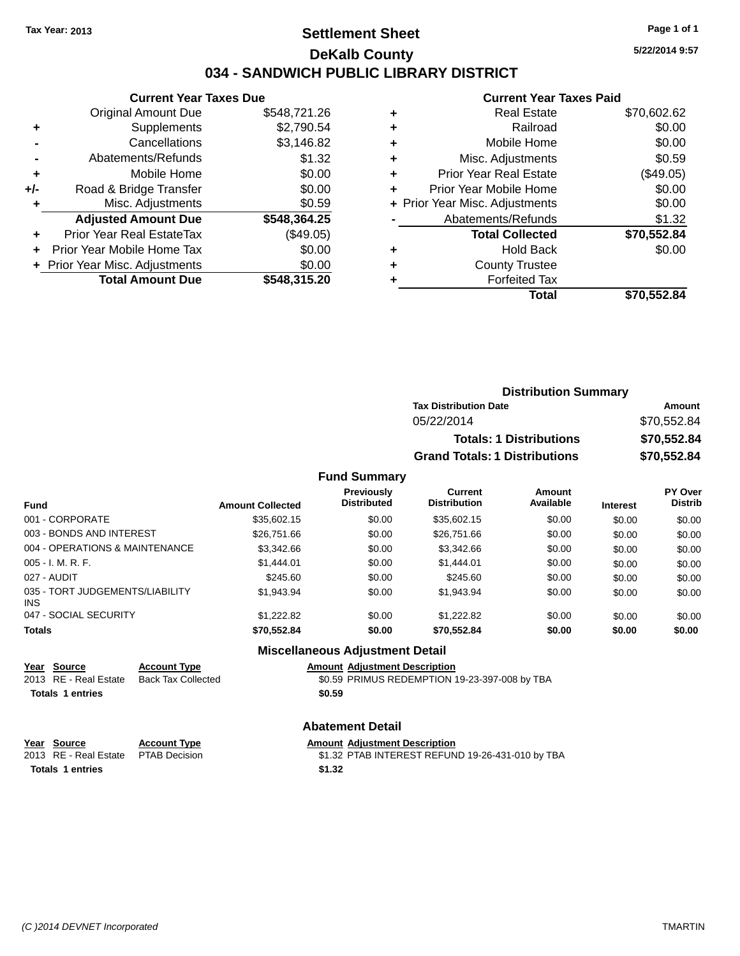### **Settlement Sheet Tax Year: 2013 Page 1 of 1 DeKalb County 034 - SANDWICH PUBLIC LIBRARY DISTRICT**

**5/22/2014 9:57**

|     | <b>Current Year Taxes Due</b>    |              |  |  |  |
|-----|----------------------------------|--------------|--|--|--|
|     | <b>Original Amount Due</b>       | \$548,721.26 |  |  |  |
| ٠   | Supplements                      | \$2,790.54   |  |  |  |
|     | Cancellations                    | \$3,146.82   |  |  |  |
|     | Abatements/Refunds               | \$1.32       |  |  |  |
| ٠   | Mobile Home                      | \$0.00       |  |  |  |
| +/- | Road & Bridge Transfer           | \$0.00       |  |  |  |
| ٠   | Misc. Adjustments                | \$0.59       |  |  |  |
|     | <b>Adjusted Amount Due</b>       | \$548,364.25 |  |  |  |
|     | <b>Prior Year Real EstateTax</b> | (\$49.05)    |  |  |  |
|     | Prior Year Mobile Home Tax       | \$0.00       |  |  |  |
|     | + Prior Year Misc. Adjustments   | \$0.00       |  |  |  |
|     | <b>Total Amount Due</b>          | \$548,315.20 |  |  |  |
|     |                                  |              |  |  |  |

|   | <b>Current Year Taxes Paid</b> |             |
|---|--------------------------------|-------------|
| ٠ | <b>Real Estate</b>             | \$70,602.62 |
|   | Railroad                       | \$0.00      |
| ٠ | Mobile Home                    | \$0.00      |
| ٠ | Misc. Adjustments              | \$0.59      |
| ٠ | <b>Prior Year Real Estate</b>  | (\$49.05)   |
| ٠ | Prior Year Mobile Home         | \$0.00      |
|   | + Prior Year Misc. Adjustments | \$0.00      |
|   | Abatements/Refunds             | \$1.32      |
|   | <b>Total Collected</b>         | \$70,552.84 |
| ٠ | <b>Hold Back</b>               | \$0.00      |
|   | <b>County Trustee</b>          |             |
|   | <b>Forfeited Tax</b>           |             |
|   | Total                          | \$70,552.84 |

| <b>Distribution Summary</b>          |             |
|--------------------------------------|-------------|
| <b>Tax Distribution Date</b>         | Amount      |
| 05/22/2014                           | \$70.552.84 |
| <b>Totals: 1 Distributions</b>       | \$70,552.84 |
| <b>Grand Totals: 1 Distributions</b> | \$70,552.84 |

### **Fund Summary**

| <b>Fund</b>                             | <b>Amount Collected</b> | <b>Previously</b><br><b>Distributed</b> | Current<br><b>Distribution</b> | Amount<br>Available | <b>Interest</b> | <b>PY Over</b><br><b>Distrib</b> |
|-----------------------------------------|-------------------------|-----------------------------------------|--------------------------------|---------------------|-----------------|----------------------------------|
| 001 - CORPORATE                         | \$35,602.15             | \$0.00                                  | \$35,602.15                    | \$0.00              | \$0.00          | \$0.00                           |
| 003 - BONDS AND INTEREST                | \$26,751.66             | \$0.00                                  | \$26,751.66                    | \$0.00              | \$0.00          | \$0.00                           |
| 004 - OPERATIONS & MAINTENANCE          | \$3,342.66              | \$0.00                                  | \$3,342.66                     | \$0.00              | \$0.00          | \$0.00                           |
| $005 - I. M. R. F.$                     | \$1,444.01              | \$0.00                                  | \$1,444.01                     | \$0.00              | \$0.00          | \$0.00                           |
| 027 - AUDIT                             | \$245.60                | \$0.00                                  | \$245.60                       | \$0.00              | \$0.00          | \$0.00                           |
| 035 - TORT JUDGEMENTS/LIABILITY<br>INS. | \$1,943.94              | \$0.00                                  | \$1.943.94                     | \$0.00              | \$0.00          | \$0.00                           |
| 047 - SOCIAL SECURITY                   | \$1.222.82              | \$0.00                                  | \$1,222.82                     | \$0.00              | \$0.00          | \$0.00                           |
| <b>Totals</b>                           | \$70,552.84             | \$0.00                                  | \$70,552.84                    | \$0.00              | \$0.00          | \$0.00                           |

### **Miscellaneous Adjustment Detail**

| Year Source<br>2013 RE - Real Estate | <b>Account Type</b><br>Back Tax Collected | <b>Amount Adjustment Description</b><br>\$0.59 PRIMUS REDEMPTION 19-23-397-008 by TBA |
|--------------------------------------|-------------------------------------------|---------------------------------------------------------------------------------------|
| <b>Totals 1 entries</b>              |                                           | \$0.59                                                                                |
|                                      |                                           |                                                                                       |

### **Abatement Detail**

| Year Source                         | <b>Account Type</b> | <b>Amount Adiustment Description</b>             |
|-------------------------------------|---------------------|--------------------------------------------------|
| 2013 RE - Real Estate PTAB Decision |                     | \$1.32 PTAB INTEREST REFUND 19-26-431-010 by TBA |
| <b>Totals 1 entries</b>             |                     | \$1.32                                           |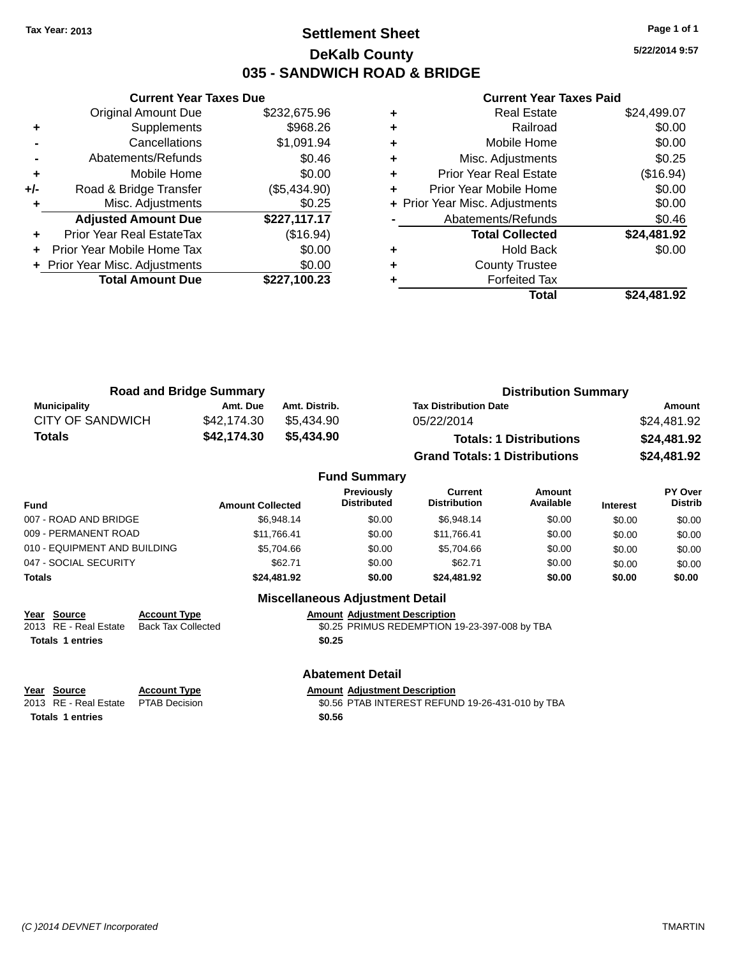### **Settlement Sheet Tax Year: 2013 Page 1 of 1 DeKalb County 035 - SANDWICH ROAD & BRIDGE**

**5/22/2014 9:57**

#### **Current Year Taxes Paid**

|     | <b>Original Amount Due</b>     | \$232,675.96 |
|-----|--------------------------------|--------------|
| ٠   | Supplements                    | \$968.26     |
|     | Cancellations                  | \$1,091.94   |
|     | Abatements/Refunds             | \$0.46       |
| ٠   | Mobile Home                    | \$0.00       |
| +/- | Road & Bridge Transfer         | (\$5,434.90) |
|     | Misc. Adjustments              | \$0.25       |
|     | <b>Adjusted Amount Due</b>     | \$227,117.17 |
| ÷   | Prior Year Real EstateTax      | (\$16.94)    |
| ÷   | Prior Year Mobile Home Tax     | \$0.00       |
|     | + Prior Year Misc. Adjustments | \$0.00       |
|     | <b>Total Amount Due</b>        | \$227,100.23 |
|     |                                |              |

**Current Year Taxes Due**

|   | <b>Real Estate</b>             | \$24,499.07 |
|---|--------------------------------|-------------|
| ٠ | Railroad                       | \$0.00      |
| ٠ | Mobile Home                    | \$0.00      |
| ٠ | Misc. Adjustments              | \$0.25      |
| ٠ | Prior Year Real Estate         | (\$16.94)   |
| ٠ | Prior Year Mobile Home         | \$0.00      |
|   | + Prior Year Misc. Adjustments | \$0.00      |
|   | Abatements/Refunds             | \$0.46      |
|   | <b>Total Collected</b>         | \$24,481.92 |
| ٠ | Hold Back                      | \$0.00      |
| ٠ | <b>County Trustee</b>          |             |
|   | <b>Forfeited Tax</b>           |             |
|   | Total                          | \$24.481.92 |

| <b>Road and Bridge Summary</b> |             |               | <b>Distribution Summary</b>          |             |  |
|--------------------------------|-------------|---------------|--------------------------------------|-------------|--|
| <b>Municipality</b>            | Amt. Due    | Amt. Distrib. | <b>Tax Distribution Date</b>         | Amount      |  |
| CITY OF SANDWICH               | \$42,174.30 | \$5.434.90    | 05/22/2014                           | \$24,481.92 |  |
| <b>Totals</b>                  | \$42,174.30 | \$5.434.90    | <b>Totals: 1 Distributions</b>       | \$24,481.92 |  |
|                                |             |               | <b>Grand Totals: 1 Distributions</b> | \$24,481.92 |  |

#### **Fund Summary Fund Interest Amount Collected Distributed PY Over Distrib Amount Available Current Distribution Previously** 007 - ROAD AND BRIDGE \$6,948.14 \$6,948.14 \$0.00 \$6,948.14 \$0.00 \$0.00 \$0.00 \$0.00 009 - PERMANENT ROAD \$11,766.41 \$0.00 \$11,766.41 \$0.00 \$0.00 \$0.00 \$0.00 010 - EQUIPMENT AND BUILDING \$5,704.66 \$5,704.66 \$0.00 \$5,704.66 \$0.00 \$0.00 \$0.00 047 - SOCIAL SECURITY 662.71 \$62.71 \$0.00 \$62.71 \$0.00 \$0.00 \$0.00 \$0.00 \$0.00 **Totals \$24,481.92 \$0.00 \$24,481.92 \$0.00 \$0.00 \$0.00**

# **Year Source Account Type Amount Adjustment Description**

 $\overline{$0.25$}$  PRIMUS REDEMPTION 19-23-397-008 by TBA **Totals 1 entries \$0.25**

### **Abatement Detail**

**Miscellaneous Adjustment Detail**

**Totals 1 entries \$0.56**

**Year** Source **Account Type Account Adjustment Description** 2013 RE - Real Estate PTAB Decision \$0.56 PTAB INTEREST REFUND 19-26-431-010 by TBA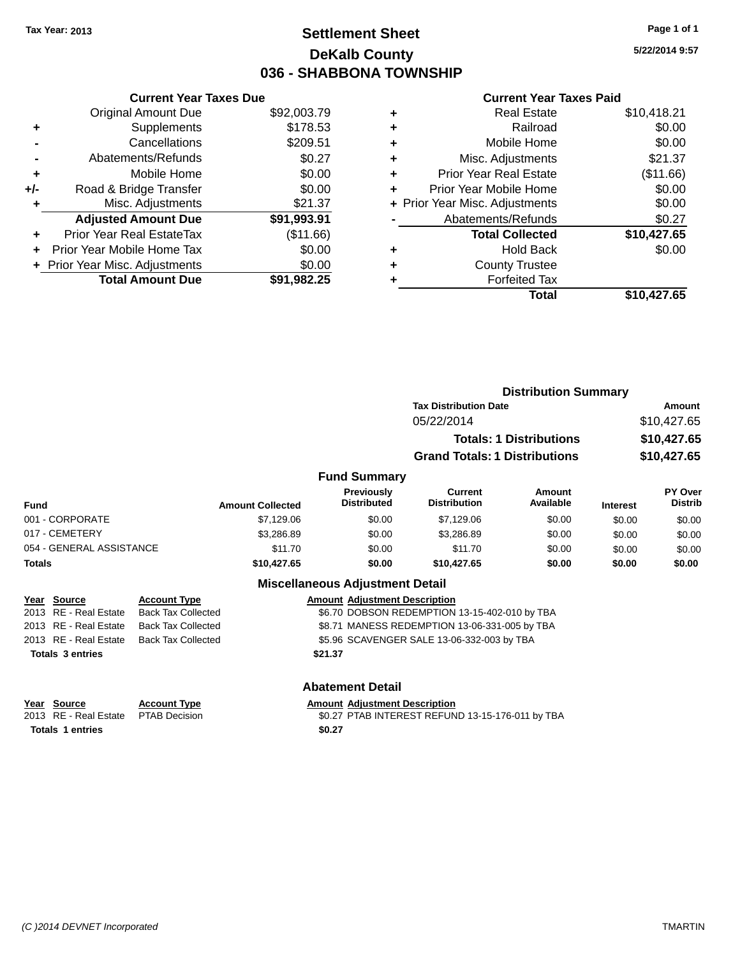### **Settlement Sheet Tax Year: 2013 Page 1 of 1 DeKalb County 036 - SHABBONA TOWNSHIP**

**5/22/2014 9:57**

### **Current Year Taxes Paid**

|     | <b>Current Year Taxes Due</b> |             |  |  |
|-----|-------------------------------|-------------|--|--|
|     | <b>Original Amount Due</b>    | \$92,003.79 |  |  |
| ٠   | Supplements                   | \$178.53    |  |  |
|     | Cancellations                 | \$209.51    |  |  |
|     | Abatements/Refunds            | \$0.27      |  |  |
| ٠   | Mobile Home                   | \$0.00      |  |  |
| +/- | Road & Bridge Transfer        | \$0.00      |  |  |
|     | Misc. Adjustments             | \$21.37     |  |  |
|     | <b>Adjusted Amount Due</b>    | \$91,993.91 |  |  |
| ÷   | Prior Year Real EstateTax     | (\$11.66)   |  |  |
|     | Prior Year Mobile Home Tax    | \$0.00      |  |  |
|     | Prior Year Misc. Adjustments  | \$0.00      |  |  |
|     | <b>Total Amount Due</b>       | \$91.982.25 |  |  |

| ٠ | <b>Real Estate</b>             | \$10,418.21 |
|---|--------------------------------|-------------|
| ÷ | Railroad                       | \$0.00      |
| ٠ | Mobile Home                    | \$0.00      |
| ٠ | Misc. Adjustments              | \$21.37     |
| ٠ | <b>Prior Year Real Estate</b>  | (\$11.66)   |
| ٠ | Prior Year Mobile Home         | \$0.00      |
|   | + Prior Year Misc. Adjustments | \$0.00      |
|   | Abatements/Refunds             | \$0.27      |
|   | <b>Total Collected</b>         | \$10,427.65 |
| ٠ | <b>Hold Back</b>               | \$0.00      |
| ٠ | <b>County Trustee</b>          |             |
| ٠ | <b>Forfeited Tax</b>           |             |
|   | Total                          | \$10.427.65 |
|   |                                |             |

|                          |                     |                         |                                         | <b>Distribution Summary</b>          |                                |                 |                           |
|--------------------------|---------------------|-------------------------|-----------------------------------------|--------------------------------------|--------------------------------|-----------------|---------------------------|
|                          |                     |                         |                                         | <b>Tax Distribution Date</b>         |                                |                 | <b>Amount</b>             |
|                          |                     |                         |                                         | 05/22/2014                           |                                |                 | \$10,427.65               |
|                          |                     |                         |                                         |                                      | <b>Totals: 1 Distributions</b> |                 | \$10,427.65               |
|                          |                     |                         |                                         | <b>Grand Totals: 1 Distributions</b> |                                |                 | \$10,427.65               |
|                          |                     |                         | <b>Fund Summary</b>                     |                                      |                                |                 |                           |
| <b>Fund</b>              |                     | <b>Amount Collected</b> | <b>Previously</b><br><b>Distributed</b> | Current<br><b>Distribution</b>       | Amount<br>Available            | <b>Interest</b> | PY Over<br><b>Distrib</b> |
| 001 - CORPORATE          |                     | \$7,129.06              | \$0.00                                  | \$7,129.06                           | \$0.00                         | \$0.00          | \$0.00                    |
| 017 - CEMETERY           |                     | \$3,286.89              | \$0.00                                  | \$3,286.89                           | \$0.00                         | \$0.00          | \$0.00                    |
| 054 - GENERAL ASSISTANCE |                     | \$11.70                 | \$0.00                                  | \$11.70                              | \$0.00                         | \$0.00          | \$0.00                    |
| <b>Totals</b>            |                     | \$10,427.65             | \$0.00                                  | \$10,427.65                          | \$0.00                         | \$0.00          | \$0.00                    |
|                          |                     |                         | <b>Miscellaneous Adjustment Detail</b>  |                                      |                                |                 |                           |
| Year Source              | <b>Account Type</b> |                         | <b>Amount Adjustment Description</b>    |                                      |                                |                 |                           |

|                         | $\frac{1}{2}$ $\frac{1}{2}$ $\frac{1}{2}$ $\frac{1}{2}$ $\frac{1}{2}$ $\frac{1}{2}$ $\frac{1}{2}$ $\frac{1}{2}$ $\frac{1}{2}$ $\frac{1}{2}$ $\frac{1}{2}$ $\frac{1}{2}$ $\frac{1}{2}$ $\frac{1}{2}$ $\frac{1}{2}$ $\frac{1}{2}$ $\frac{1}{2}$ $\frac{1}{2}$ $\frac{1}{2}$ $\frac{1}{2}$ $\frac{1}{2}$ $\frac{1}{2}$ | ACCOUNT TYPE                             | Allioulit Aujustinent Description             |  |
|-------------------------|---------------------------------------------------------------------------------------------------------------------------------------------------------------------------------------------------------------------------------------------------------------------------------------------------------------------|------------------------------------------|-----------------------------------------------|--|
|                         |                                                                                                                                                                                                                                                                                                                     | 2013 RE - Real Estate Back Tax Collected | \$6.70 DOBSON REDEMPTION 13-15-402-010 by TBA |  |
|                         |                                                                                                                                                                                                                                                                                                                     | 2013 RE - Real Estate Back Tax Collected | \$8.71 MANESS REDEMPTION 13-06-331-005 by TBA |  |
|                         | 2013 RE - Real Estate                                                                                                                                                                                                                                                                                               | Back Tax Collected                       | \$5.96 SCAVENGER SALE 13-06-332-003 by TBA    |  |
| <b>Totals 3 entries</b> |                                                                                                                                                                                                                                                                                                                     | \$21.37                                  |                                               |  |
|                         |                                                                                                                                                                                                                                                                                                                     |                                          |                                               |  |
|                         |                                                                                                                                                                                                                                                                                                                     |                                          |                                               |  |

| Year Source | <b>Account Type</b> | <b>Amount Adiustment Description</b> |
|-------------|---------------------|--------------------------------------|
|             |                     |                                      |

2013 RE - Real Estate PTAB Decision \$0.27 PTAB INTEREST REFUND 13-15-176-011 by TBA

**Totals 1 entries \$0.27**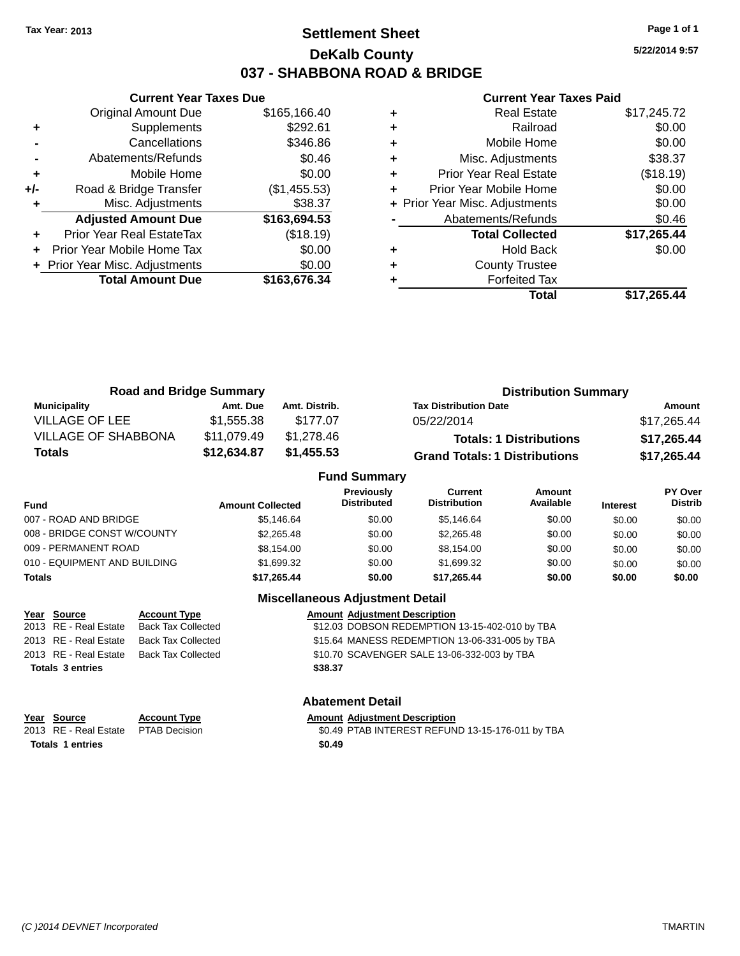### **Settlement Sheet Tax Year: 2013 Page 1 of 1 DeKalb County 037 - SHABBONA ROAD & BRIDGE**

**5/22/2014 9:57**

#### **Current Year Taxes Paid**

|       | <b>Current Year Taxes Due</b>  |              |  |  |  |
|-------|--------------------------------|--------------|--|--|--|
|       | Original Amount Due            | \$165,166.40 |  |  |  |
| ٠     | Supplements                    | \$292.61     |  |  |  |
|       | Cancellations                  | \$346.86     |  |  |  |
|       | Abatements/Refunds             | \$0.46       |  |  |  |
| ٠     | Mobile Home                    | \$0.00       |  |  |  |
| $+/-$ | Road & Bridge Transfer         | (\$1,455.53) |  |  |  |
| ٠     | Misc. Adjustments              | \$38.37      |  |  |  |
|       | <b>Adjusted Amount Due</b>     | \$163,694.53 |  |  |  |
| ÷     | Prior Year Real EstateTax      | (\$18.19)    |  |  |  |
|       | Prior Year Mobile Home Tax     | \$0.00       |  |  |  |
|       | + Prior Year Misc. Adjustments | \$0.00       |  |  |  |
|       | <b>Total Amount Due</b>        | \$163,676.34 |  |  |  |
|       |                                |              |  |  |  |

|   | + Prior Year Misc. Adjustments               | \$0.00                |
|---|----------------------------------------------|-----------------------|
|   |                                              |                       |
|   |                                              |                       |
| ٠ | Hold Back                                    | \$0.00                |
| ٠ | <b>County Trustee</b>                        |                       |
|   | <b>Forfeited Tax</b>                         |                       |
|   | Total                                        | \$17.265.44           |
|   | Abatements/Refunds<br><b>Total Collected</b> | \$0.46<br>\$17,265.44 |
| ٠ | Prior Year Mobile Home                       | \$0.00                |
| ٠ | <b>Prior Year Real Estate</b>                | (\$18.19)             |
| ٠ | Misc. Adjustments                            | \$38.37               |
| ٠ | Mobile Home                                  | \$0.00                |
| ٠ | Railroad                                     | \$0.00                |
|   | <b>Real Estate</b>                           | \$17,245.72           |

| <b>Road and Bridge Summary</b> |             |               | <b>Distribution Summary</b>          |             |  |
|--------------------------------|-------------|---------------|--------------------------------------|-------------|--|
| Municipality                   | Amt. Due    | Amt. Distrib. | <b>Tax Distribution Date</b>         | Amount      |  |
| VILLAGE OF LEE                 | \$1.555.38  | \$177.07      | 05/22/2014                           | \$17,265.44 |  |
| <b>VILLAGE OF SHABBONA</b>     | \$11,079.49 | \$1.278.46    | <b>Totals: 1 Distributions</b>       | \$17,265.44 |  |
| Totals                         | \$12,634.87 | \$1,455.53    | <b>Grand Totals: 1 Distributions</b> | \$17,265.44 |  |

|                              |                         | <b>Fund Summary</b>                     |                                |                     |                 |                                  |
|------------------------------|-------------------------|-----------------------------------------|--------------------------------|---------------------|-----------------|----------------------------------|
| <b>Fund</b>                  | <b>Amount Collected</b> | <b>Previously</b><br><b>Distributed</b> | Current<br><b>Distribution</b> | Amount<br>Available | <b>Interest</b> | <b>PY Over</b><br><b>Distrib</b> |
| 007 - ROAD AND BRIDGE        | \$5.146.64              | \$0.00                                  | \$5.146.64                     | \$0.00              | \$0.00          | \$0.00                           |
| 008 - BRIDGE CONST W/COUNTY  | \$2,265.48              | \$0.00                                  | \$2,265,48                     | \$0.00              | \$0.00          | \$0.00                           |
| 009 - PERMANENT ROAD         | \$8,154.00              | \$0.00                                  | \$8.154.00                     | \$0.00              | \$0.00          | \$0.00                           |
| 010 - EQUIPMENT AND BUILDING | \$1,699.32              | \$0.00                                  | \$1,699.32                     | \$0.00              | \$0.00          | \$0.00                           |
| <b>Totals</b>                | \$17,265.44             | \$0.00                                  | \$17,265.44                    | \$0.00              | \$0.00          | \$0.00                           |

### **Miscellaneous Adjustment Detail**

|                         | Year Source           | <b>Account Type</b>       |         | <b>Amount Adjustment Description</b>           |
|-------------------------|-----------------------|---------------------------|---------|------------------------------------------------|
|                         | 2013 RE - Real Estate | <b>Back Tax Collected</b> |         | \$12.03 DOBSON REDEMPTION 13-15-402-010 by TBA |
|                         | 2013 RE - Real Estate | <b>Back Tax Collected</b> |         | \$15.64 MANESS REDEMPTION 13-06-331-005 by TBA |
|                         | 2013 RE - Real Estate | <b>Back Tax Collected</b> |         | \$10.70 SCAVENGER SALE 13-06-332-003 by TBA    |
| <b>Totals 3 entries</b> |                       |                           | \$38.37 |                                                |
|                         |                       |                           |         |                                                |

| <u>Year Source</u>                  | <b>Account Type</b> | <b>Amount Adiustment Description</b>             |
|-------------------------------------|---------------------|--------------------------------------------------|
| 2013 RE - Real Estate PTAB Decision |                     | \$0.49 PTAB INTEREST REFUND 13-15-176-011 by TBA |
| <b>Totals 1 entries</b>             |                     | \$0.49                                           |

### **Abatement Detail**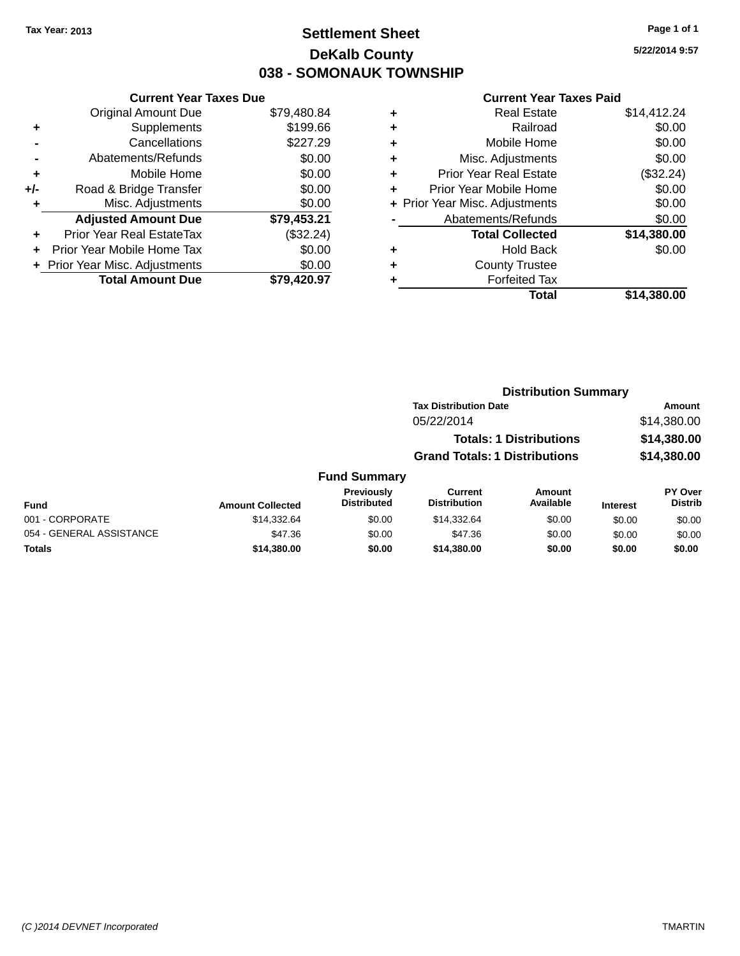### **Settlement Sheet Tax Year: 2013 Page 1 of 1 DeKalb County 038 - SOMONAUK TOWNSHIP**

**5/22/2014 9:57**

#### **Current Year Taxes Paid**

|     | <b>Current Year Taxes Due</b>  |             |
|-----|--------------------------------|-------------|
|     | <b>Original Amount Due</b>     | \$79,480.84 |
| ٠   | Supplements                    | \$199.66    |
|     | Cancellations                  | \$227.29    |
|     | Abatements/Refunds             | \$0.00      |
| ٠   | Mobile Home                    | \$0.00      |
| +/- | Road & Bridge Transfer         | \$0.00      |
|     | Misc. Adjustments              | \$0.00      |
|     | <b>Adjusted Amount Due</b>     | \$79,453.21 |
| ÷   | Prior Year Real EstateTax      | (\$32.24)   |
|     | Prior Year Mobile Home Tax     | \$0.00      |
|     | + Prior Year Misc. Adjustments | \$0.00      |
|     | <b>Total Amount Due</b>        | \$79.420.97 |
|     |                                |             |

| ٠ | <b>Real Estate</b>             | \$14,412.24 |
|---|--------------------------------|-------------|
| ٠ | Railroad                       | \$0.00      |
| ٠ | Mobile Home                    | \$0.00      |
| ٠ | Misc. Adjustments              | \$0.00      |
| ٠ | <b>Prior Year Real Estate</b>  | (\$32.24)   |
| ÷ | Prior Year Mobile Home         | \$0.00      |
|   | + Prior Year Misc. Adjustments | \$0.00      |
|   | Abatements/Refunds             | \$0.00      |
|   | <b>Total Collected</b>         | \$14,380.00 |
| ٠ | Hold Back                      | \$0.00      |
| ٠ | <b>County Trustee</b>          |             |
| ٠ | <b>Forfeited Tax</b>           |             |
|   | Total                          | \$14,380.00 |
|   |                                |             |

### **Distribution Summary Tax Distribution Date Amount** 05/22/2014 \$14,380.00 **Totals: 1 Distributions \$14,380.00 Grand Totals: 1 Distributions \$14,380.00 Fund Summary**

| <b>Fund</b>              | <b>Amount Collected</b> | <b>Previously</b><br><b>Distributed</b> | Current<br><b>Distribution</b> | Amount<br>Available | <b>Interest</b> | <b>PY Over</b><br><b>Distrib</b> |
|--------------------------|-------------------------|-----------------------------------------|--------------------------------|---------------------|-----------------|----------------------------------|
| 001 - CORPORATE          | \$14.332.64             | \$0.00                                  | \$14,332.64                    | \$0.00              | \$0.00          | \$0.00                           |
| 054 - GENERAL ASSISTANCE | \$47.36                 | \$0.00                                  | \$47.36                        | \$0.00              | \$0.00          | \$0.00                           |
| Totals                   | \$14,380.00             | \$0.00                                  | \$14,380,00                    | \$0.00              | \$0.00          | \$0.00                           |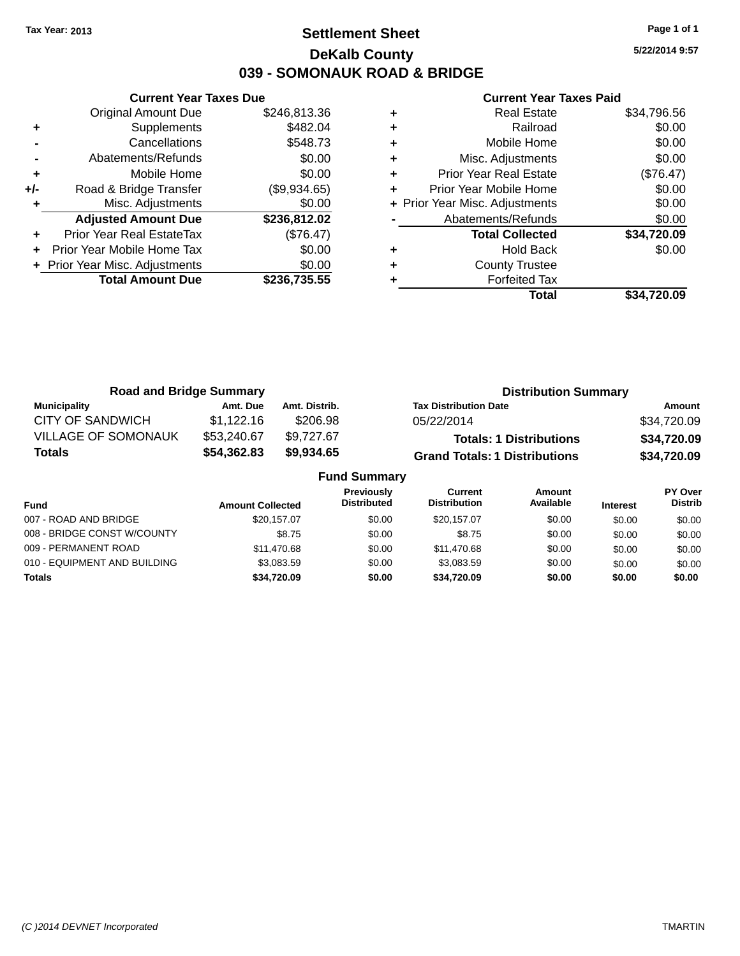### **Settlement Sheet Tax Year: 2013 Page 1 of 1 DeKalb County 039 - SOMONAUK ROAD & BRIDGE**

**5/22/2014 9:57**

|     | <b>Current Year Taxes Due</b>  |              |
|-----|--------------------------------|--------------|
|     | <b>Original Amount Due</b>     | \$246,813.36 |
| ٠   | Supplements                    | \$482.04     |
|     | Cancellations                  | \$548.73     |
|     | Abatements/Refunds             | \$0.00       |
| ٠   | Mobile Home                    | \$0.00       |
| +/- | Road & Bridge Transfer         | (\$9,934.65) |
|     | Misc. Adjustments              | \$0.00       |
|     | <b>Adjusted Amount Due</b>     | \$236,812.02 |
| ٠   | Prior Year Real EstateTax      | (\$76.47)    |
|     | Prior Year Mobile Home Tax     | \$0.00       |
|     | + Prior Year Misc. Adjustments | \$0.00       |
|     | <b>Total Amount Due</b>        | \$236,735.55 |
|     |                                |              |

| ٠ | <b>Prior Year Real Estate</b><br>Prior Year Mobile Home | (\$76.47)<br>\$0.00 |
|---|---------------------------------------------------------|---------------------|
| ٠ | + Prior Year Misc. Adjustments                          | \$0.00              |
|   | Abatements/Refunds                                      | \$0.00              |
|   | <b>Total Collected</b>                                  | \$34,720.09         |
| ٠ | <b>Hold Back</b>                                        | \$0.00              |
| ٠ | <b>County Trustee</b>                                   |                     |
|   | <b>Forfeited Tax</b>                                    |                     |
|   | Total                                                   | \$34.720.09         |

| <b>Road and Bridge Summary</b> |             |               | <b>Distribution Summary</b>          |             |  |
|--------------------------------|-------------|---------------|--------------------------------------|-------------|--|
| <b>Municipality</b>            | Amt. Due    | Amt. Distrib. | <b>Tax Distribution Date</b>         | Amount      |  |
| <b>CITY OF SANDWICH</b>        | \$1,122.16  | \$206.98      | 05/22/2014                           | \$34,720.09 |  |
| <b>VILLAGE OF SOMONAUK</b>     | \$53,240.67 | \$9,727.67    | <b>Totals: 1 Distributions</b>       | \$34,720.09 |  |
| Totals                         | \$54,362.83 | \$9,934.65    | <b>Grand Totals: 1 Distributions</b> | \$34,720.09 |  |
| <b>Fund Summary</b>            |             |               |                                      |             |  |

| <b>Amount Collected</b> | <b>Previously</b><br><b>Distributed</b> | Current<br><b>Distribution</b> | Amount<br>Available | <b>Interest</b> | PY Over<br><b>Distrib</b> |  |
|-------------------------|-----------------------------------------|--------------------------------|---------------------|-----------------|---------------------------|--|
| \$20.157.07             | \$0.00                                  | \$20,157,07                    | \$0.00              | \$0.00          | \$0.00                    |  |
| \$8.75                  | \$0.00                                  | \$8.75                         | \$0.00              | \$0.00          | \$0.00                    |  |
| \$11.470.68             | \$0.00                                  | \$11,470.68                    | \$0.00              | \$0.00          | \$0.00                    |  |
| \$3.083.59              | \$0.00                                  | \$3.083.59                     | \$0.00              | \$0.00          | \$0.00                    |  |
| \$34,720.09             | \$0.00                                  | \$34,720.09                    | \$0.00              | \$0.00          | \$0.00                    |  |
|                         |                                         |                                |                     |                 |                           |  |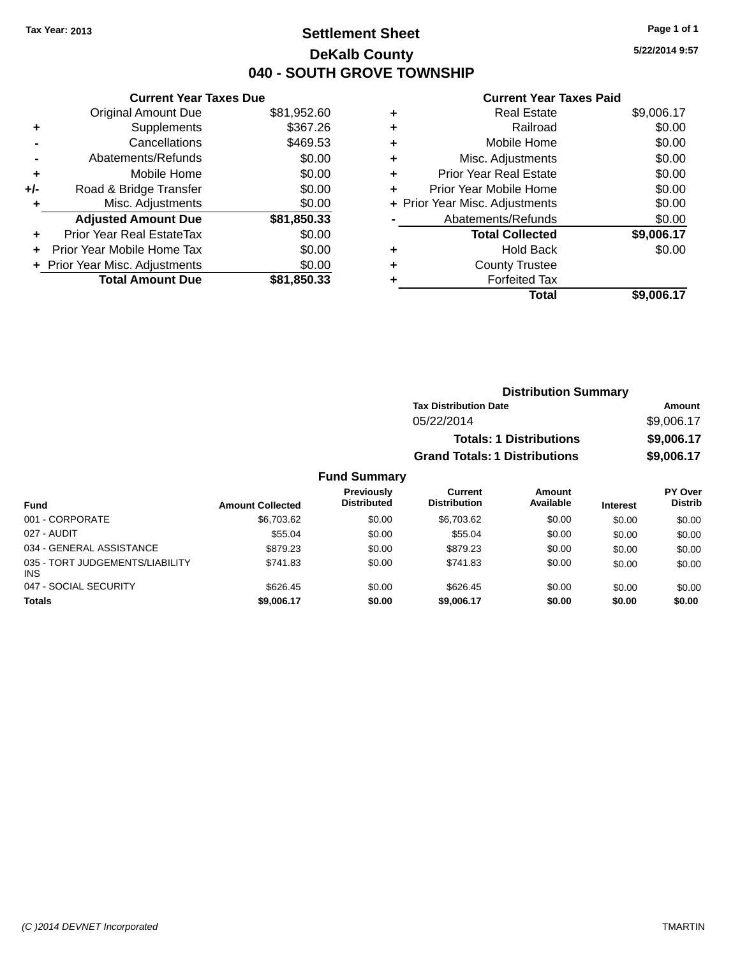### **Settlement Sheet Tax Year: 2013 Page 1 of 1 DeKalb County 040 - SOUTH GROVE TOWNSHIP**

**5/22/2014 9:57**

#### **Current Year Taxes Paid**

| <b>Original Amount Due</b>     | \$81,952.60                   |
|--------------------------------|-------------------------------|
| Supplements                    | \$367.26                      |
| Cancellations                  | \$469.53                      |
| Abatements/Refunds             | \$0.00                        |
| Mobile Home                    | \$0.00                        |
| Road & Bridge Transfer         | \$0.00                        |
| Misc. Adjustments              | \$0.00                        |
| <b>Adjusted Amount Due</b>     | \$81,850.33                   |
| Prior Year Real EstateTax      | \$0.00                        |
| Prior Year Mobile Home Tax     | \$0.00                        |
| + Prior Year Misc. Adjustments | \$0.00                        |
| <b>Total Amount Due</b>        | \$81,850,33                   |
|                                | <b>Current Year Taxes Due</b> |

| ٠ | <b>Real Estate</b>             | \$9,006.17 |
|---|--------------------------------|------------|
| ٠ | Railroad                       | \$0.00     |
| ٠ | Mobile Home                    | \$0.00     |
| ٠ | Misc. Adjustments              | \$0.00     |
| ٠ | <b>Prior Year Real Estate</b>  | \$0.00     |
| ٠ | Prior Year Mobile Home         | \$0.00     |
|   | + Prior Year Misc. Adjustments | \$0.00     |
|   | Abatements/Refunds             | \$0.00     |
|   | <b>Total Collected</b>         | \$9,006.17 |
| ٠ | <b>Hold Back</b>               | \$0.00     |
| ٠ | <b>County Trustee</b>          |            |
| ٠ | <b>Forfeited Tax</b>           |            |
|   | Total                          | \$9,006.17 |
|   |                                |            |

| <b>Distribution Summary</b>          |            |
|--------------------------------------|------------|
| <b>Tax Distribution Date</b>         | Amount     |
| 05/22/2014                           | \$9,006.17 |
| <b>Totals: 1 Distributions</b>       | \$9,006.17 |
| <b>Grand Totals: 1 Distributions</b> | \$9,006.17 |

### **Fund Summary**

| <b>Fund</b>                                   | <b>Amount Collected</b> | Previously<br><b>Distributed</b> | <b>Current</b><br><b>Distribution</b> | Amount<br>Available | <b>Interest</b> | PY Over<br><b>Distrib</b> |
|-----------------------------------------------|-------------------------|----------------------------------|---------------------------------------|---------------------|-----------------|---------------------------|
| 001 - CORPORATE                               | \$6,703.62              | \$0.00                           | \$6,703.62                            | \$0.00              | \$0.00          | \$0.00                    |
| 027 - AUDIT                                   | \$55.04                 | \$0.00                           | \$55.04                               | \$0.00              | \$0.00          | \$0.00                    |
| 034 - GENERAL ASSISTANCE                      | \$879.23                | \$0.00                           | \$879.23                              | \$0.00              | \$0.00          | \$0.00                    |
| 035 - TORT JUDGEMENTS/LIABILITY<br><b>INS</b> | \$741.83                | \$0.00                           | \$741.83                              | \$0.00              | \$0.00          | \$0.00                    |
| 047 - SOCIAL SECURITY                         | \$626.45                | \$0.00                           | \$626.45                              | \$0.00              | \$0.00          | \$0.00                    |
| <b>Totals</b>                                 | \$9,006.17              | \$0.00                           | \$9,006.17                            | \$0.00              | \$0.00          | \$0.00                    |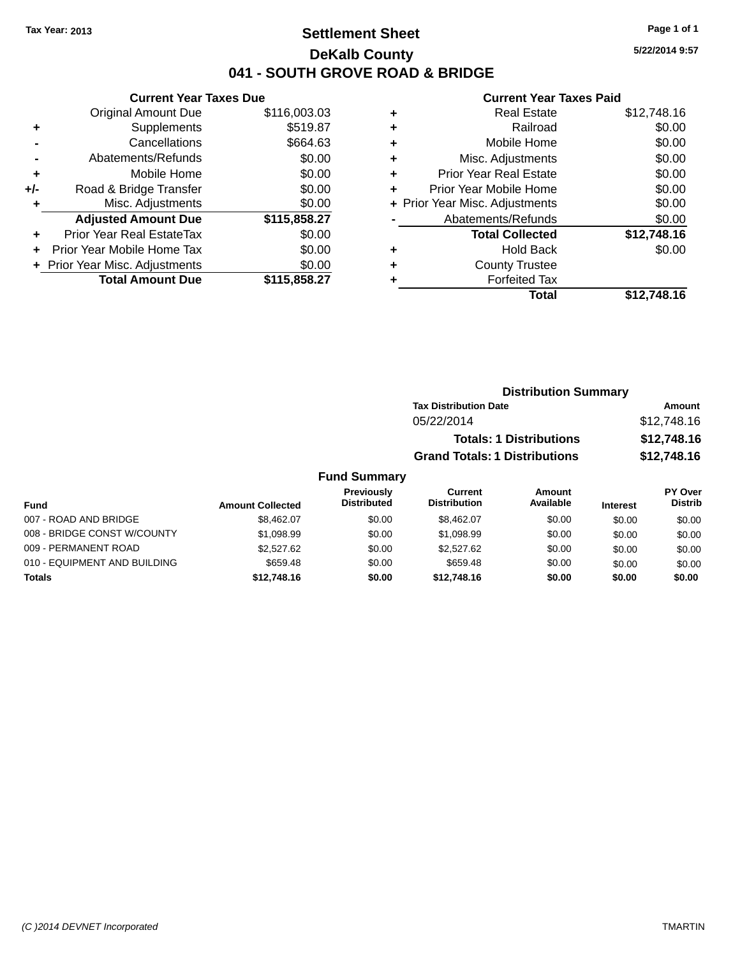### **Settlement Sheet Tax Year: 2013 Page 1 of 1 DeKalb County 041 - SOUTH GROVE ROAD & BRIDGE**

**5/22/2014 9:57**

### **Current Year Taxes Paid**

|     | <b>Current Year Taxes Due</b>  |              |
|-----|--------------------------------|--------------|
|     | <b>Original Amount Due</b>     | \$116,003.03 |
| ٠   | Supplements                    | \$519.87     |
|     | Cancellations                  | \$664.63     |
|     | Abatements/Refunds             | \$0.00       |
| ٠   | Mobile Home                    | \$0.00       |
| +/- | Road & Bridge Transfer         | \$0.00       |
|     | Misc. Adjustments              | \$0.00       |
|     | <b>Adjusted Amount Due</b>     | \$115,858.27 |
| ٠   | Prior Year Real EstateTax      | \$0.00       |
| ÷   | Prior Year Mobile Home Tax     | \$0.00       |
|     | + Prior Year Misc. Adjustments | \$0.00       |
|     | <b>Total Amount Due</b>        | \$115,858.27 |
|     |                                |              |

| ٠ | <b>Real Estate</b>             | \$12,748.16 |
|---|--------------------------------|-------------|
| ٠ | Railroad                       | \$0.00      |
| ٠ | Mobile Home                    | \$0.00      |
| ٠ | Misc. Adjustments              | \$0.00      |
| ٠ | <b>Prior Year Real Estate</b>  | \$0.00      |
| ٠ | Prior Year Mobile Home         | \$0.00      |
|   | + Prior Year Misc. Adjustments | \$0.00      |
|   | Abatements/Refunds             | \$0.00      |
|   | <b>Total Collected</b>         | \$12,748.16 |
| ٠ | <b>Hold Back</b>               | \$0.00      |
| ٠ | <b>County Trustee</b>          |             |
| ٠ | <b>Forfeited Tax</b>           |             |
|   | Total                          | \$12,748.16 |
|   |                                |             |

|        | <b>Distribution Summary</b>          |             |
|--------|--------------------------------------|-------------|
|        | <b>Tax Distribution Date</b>         | Amount      |
|        | 05/22/2014                           | \$12,748.16 |
|        | <b>Totals: 1 Distributions</b>       | \$12,748.16 |
|        | <b>Grand Totals: 1 Distributions</b> | \$12,748.16 |
| ~~~~~~ |                                      |             |

#### **Fund Summary Fund Interest Amount Collected Distributed PY Over Distrib Amount Available Current Distribution Previously** 007 - ROAD AND BRIDGE \$8,462.07 \$8,462.07 \$0.00 \$8,462.07 \$0.00 \$0.00 \$0.00 \$0.00 008 - BRIDGE CONST W/COUNTY  $$1,098.99$  \$0.00 \$1,098.99 \$0.00 \$0.00 \$0.00 \$0.00 009 - PERMANENT ROAD \$2,527.62 \$2,527.62 \$0.00 \$2,527.62 \$0.00 \$0.00 \$0.00 \$0.00 010 - EQUIPMENT AND BUILDING \$659.48 \$659.48 \$0.00 \$659.48 \$0.00 \$0.00 \$0.00 \$0.00 **Totals \$12,748.16 \$0.00 \$12,748.16 \$0.00 \$0.00 \$0.00**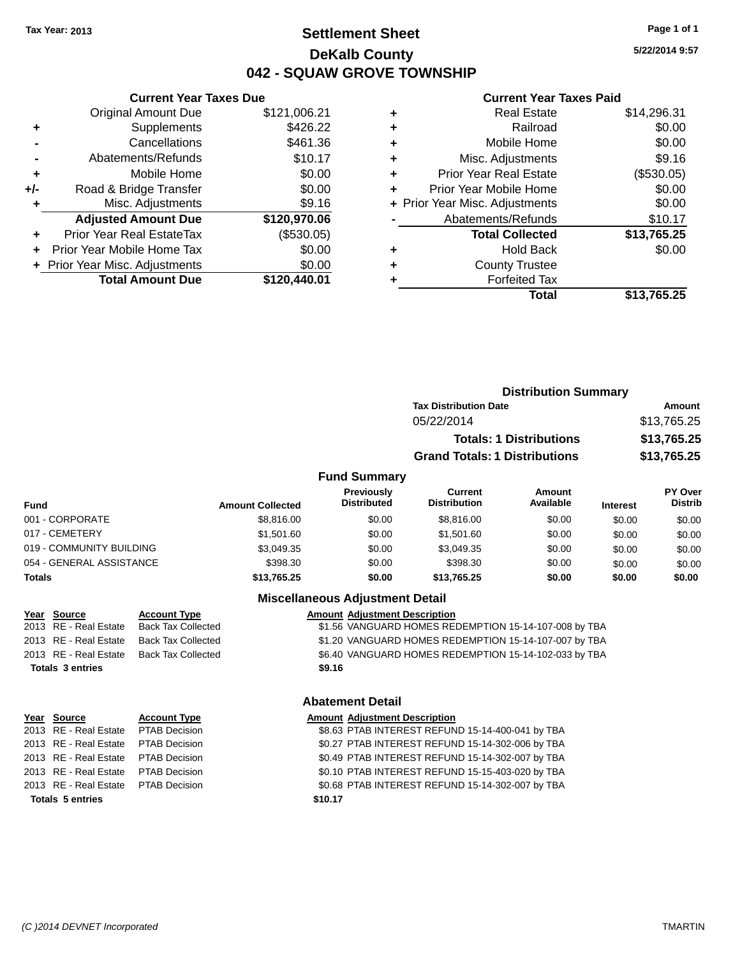### **Settlement Sheet Tax Year: 2013 Page 1 of 1 DeKalb County 042 - SQUAW GROVE TOWNSHIP**

**5/22/2014 9:57**

#### **Current Year Taxes Paid**

|     | <b>Current Year Taxes Due</b>  |              |
|-----|--------------------------------|--------------|
|     | <b>Original Amount Due</b>     | \$121,006.21 |
| ٠   | Supplements                    | \$426.22     |
|     | Cancellations                  | \$461.36     |
|     | Abatements/Refunds             | \$10.17      |
| ٠   | Mobile Home                    | \$0.00       |
| +/- | Road & Bridge Transfer         | \$0.00       |
|     | Misc. Adjustments              | \$9.16       |
|     | <b>Adjusted Amount Due</b>     | \$120,970.06 |
| ٠   | Prior Year Real EstateTax      | (\$530.05)   |
|     | Prior Year Mobile Home Tax     | \$0.00       |
|     | + Prior Year Misc. Adjustments | \$0.00       |
|     | <b>Total Amount Due</b>        | \$120,440.01 |
|     |                                |              |

| ٠ | <b>Real Estate</b>             | \$14,296.31 |
|---|--------------------------------|-------------|
| ٠ | Railroad                       | \$0.00      |
| ٠ | Mobile Home                    | \$0.00      |
| ٠ | Misc. Adjustments              | \$9.16      |
| ٠ | Prior Year Real Estate         | (\$530.05)  |
| ٠ | Prior Year Mobile Home         | \$0.00      |
|   | + Prior Year Misc. Adjustments | \$0.00      |
|   | Abatements/Refunds             | \$10.17     |
|   | <b>Total Collected</b>         | \$13,765.25 |
| ٠ | <b>Hold Back</b>               | \$0.00      |
| ٠ | <b>County Trustee</b>          |             |
| ٠ | <b>Forfeited Tax</b>           |             |
|   | Total                          | \$13,765.25 |
|   |                                |             |

|                     | <b>Distribution Summary</b>          |                                |                |  |
|---------------------|--------------------------------------|--------------------------------|----------------|--|
|                     | <b>Tax Distribution Date</b>         |                                | Amount         |  |
|                     | 05/22/2014                           |                                | \$13,765.25    |  |
|                     |                                      | <b>Totals: 1 Distributions</b> | \$13,765.25    |  |
|                     | <b>Grand Totals: 1 Distributions</b> |                                | \$13,765.25    |  |
| <b>Fund Summary</b> |                                      |                                |                |  |
| <b>Provinuely</b>   | $C$ urrant                           | Amount                         | <b>PY</b> Over |  |

| <b>Fund</b>              | <b>Amount Collected</b> | Previously<br><b>Distributed</b> | Current<br><b>Distribution</b> | Amount<br>Available | <b>Interest</b> | <b>PY Over</b><br><b>Distrib</b> |
|--------------------------|-------------------------|----------------------------------|--------------------------------|---------------------|-----------------|----------------------------------|
| 001 - CORPORATE          | \$8,816,00              | \$0.00                           | \$8,816,00                     | \$0.00              | \$0.00          | \$0.00                           |
| 017 - CEMETERY           | \$1,501.60              | \$0.00                           | \$1,501.60                     | \$0.00              | \$0.00          | \$0.00                           |
| 019 - COMMUNITY BUILDING | \$3.049.35              | \$0.00                           | \$3.049.35                     | \$0.00              | \$0.00          | \$0.00                           |
| 054 - GENERAL ASSISTANCE | \$398.30                | \$0.00                           | \$398.30                       | \$0.00              | \$0.00          | \$0.00                           |
| <b>Totals</b>            | \$13,765.25             | \$0.00                           | \$13,765.25                    | \$0.00              | \$0.00          | \$0.00                           |

### **Miscellaneous Adjustment Detail**

|                         | Year Source           | <b>Account Type</b> | <b>Amount Adjustment Description</b>                  |
|-------------------------|-----------------------|---------------------|-------------------------------------------------------|
|                         | 2013 RE - Real Estate | Back Tax Collected  | \$1.56 VANGUARD HOMES REDEMPTION 15-14-107-008 by TBA |
|                         | 2013 RE - Real Estate | Back Tax Collected  | \$1.20 VANGUARD HOMES REDEMPTION 15-14-107-007 by TBA |
|                         | 2013 RE - Real Estate | Back Tax Collected  | \$6.40 VANGUARD HOMES REDEMPTION 15-14-102-033 by TBA |
| <b>Totals 3 entries</b> |                       |                     | \$9.16                                                |

### **Year Source Account Type** 2013 RE - Real Estate PTAB Decision 2013 RE - Real Estate PTAB Decision 2013 RE - Real Estate PTAB Decision 2013 RE - Real Estate PTAB Decision 2013 RE - Real Estate PTAB Decision **Totals 5 entries \$10.17**

### **Abatement Detail**

|         | <b>Amount Adjustment Description</b>             |
|---------|--------------------------------------------------|
|         | \$8.63 PTAB INTEREST REFUND 15-14-400-041 by TBA |
|         | \$0.27 PTAB INTEREST REFUND 15-14-302-006 by TBA |
|         | \$0.49 PTAB INTEREST REFUND 15-14-302-007 by TBA |
|         | \$0.10 PTAB INTEREST REFUND 15-15-403-020 by TBA |
|         | \$0.68 PTAB INTEREST REFUND 15-14-302-007 by TBA |
| \$10.17 |                                                  |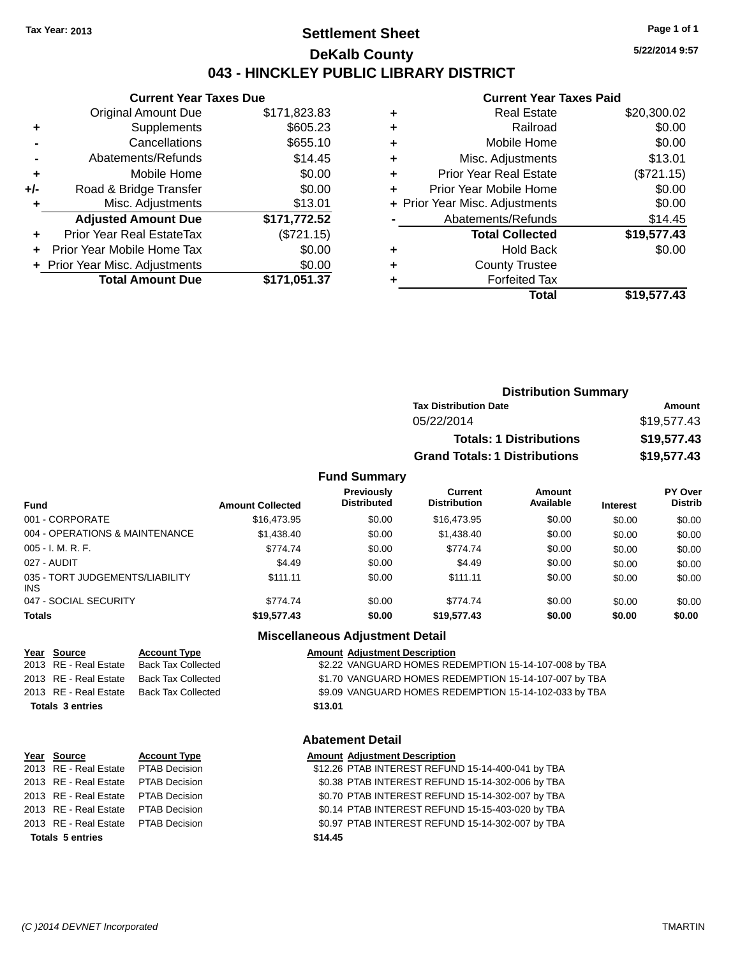### **Settlement Sheet Tax Year: 2013 Page 1 of 1 DeKalb County 043 - HINCKLEY PUBLIC LIBRARY DISTRICT**

**5/22/2014 9:57**

# **Current Year Taxes Paid**

|       | <b>Current Year Taxes Due</b>  |              |  |  |
|-------|--------------------------------|--------------|--|--|
|       | <b>Original Amount Due</b>     | \$171,823.83 |  |  |
| ٠     | Supplements                    | \$605.23     |  |  |
|       | Cancellations                  | \$655.10     |  |  |
|       | Abatements/Refunds             | \$14.45      |  |  |
| ٠     | Mobile Home                    | \$0.00       |  |  |
| $+/-$ | Road & Bridge Transfer         | \$0.00       |  |  |
| ÷     | Misc. Adjustments<br>\$13.01   |              |  |  |
|       | <b>Adjusted Amount Due</b>     | \$171,772.52 |  |  |
| ٠     | Prior Year Real EstateTax      | (\$721.15)   |  |  |
|       | Prior Year Mobile Home Tax     | \$0.00       |  |  |
|       | + Prior Year Misc. Adjustments | \$0.00       |  |  |
|       | <b>Total Amount Due</b>        | \$171,051.37 |  |  |
|       |                                |              |  |  |

|   | Total                          | \$19,577.43 |
|---|--------------------------------|-------------|
| ٠ | <b>Forfeited Tax</b>           |             |
| ٠ | <b>County Trustee</b>          |             |
| ٠ | <b>Hold Back</b>               | \$0.00      |
|   | <b>Total Collected</b>         | \$19,577.43 |
|   | Abatements/Refunds             | \$14.45     |
|   | + Prior Year Misc. Adjustments | \$0.00      |
| ٠ | Prior Year Mobile Home         | \$0.00      |
| ÷ | <b>Prior Year Real Estate</b>  | (\$721.15)  |
| ٠ | Misc. Adjustments              | \$13.01     |
| ٠ | Mobile Home                    | \$0.00      |
| ٠ | Railroad                       | \$0.00      |
| ٠ | <b>Real Estate</b>             | \$20,300.02 |
|   |                                |             |

| <b>Distribution Summary</b>          |             |
|--------------------------------------|-------------|
| <b>Tax Distribution Date</b>         | Amount      |
| 05/22/2014                           | \$19,577.43 |
| <b>Totals: 1 Distributions</b>       | \$19,577.43 |
| <b>Grand Totals: 1 Distributions</b> | \$19,577.43 |

#### **Fund Summary**

| <b>Fund</b>                             | <b>Amount Collected</b> | Previously<br><b>Distributed</b> | Current<br><b>Distribution</b> | Amount<br>Available |                 | <b>PY Over</b><br><b>Distrib</b> |
|-----------------------------------------|-------------------------|----------------------------------|--------------------------------|---------------------|-----------------|----------------------------------|
|                                         |                         |                                  |                                |                     | <b>Interest</b> |                                  |
| 001 - CORPORATE                         | \$16,473.95             | \$0.00                           | \$16,473.95                    | \$0.00              | \$0.00          | \$0.00                           |
| 004 - OPERATIONS & MAINTENANCE          | \$1,438.40              | \$0.00                           | \$1,438.40                     | \$0.00              | \$0.00          | \$0.00                           |
| $005 - I. M. R. F.$                     | \$774.74                | \$0.00                           | \$774.74                       | \$0.00              | \$0.00          | \$0.00                           |
| 027 - AUDIT                             | \$4.49                  | \$0.00                           | \$4.49                         | \$0.00              | \$0.00          | \$0.00                           |
| 035 - TORT JUDGEMENTS/LIABILITY<br>INS. | \$111.11                | \$0.00                           | \$111.11                       | \$0.00              | \$0.00          | \$0.00                           |
| 047 - SOCIAL SECURITY                   | \$774.74                | \$0.00                           | \$774.74                       | \$0.00              | \$0.00          | \$0.00                           |
| <b>Totals</b>                           | \$19,577.43             | \$0.00                           | \$19,577.43                    | \$0.00              | \$0.00          | \$0.00                           |

**Totals 3 entries \$13.01**

### **Miscellaneous Adjustment Detail**

**Year Source Account Type Amount Adjustment Description** \$2.22 VANGUARD HOMES REDEMPTION 15-14-107-008 by TBA 2013 RE - Real Estate Back Tax Collected \$1.70 VANGUARD HOMES REDEMPTION 15-14-107-007 by TBA 2013 RE - Real Estate Back Tax Collected \$9.09 VANGUARD HOMES REDEMPTION 15-14-102-033 by TBA

#### **Abatement Detail**

#### **Year** Source **Account Type A** Account Adjustment Description 2013 RE - Real Estate PTAB Decision \$12.26 PTAB INTEREST REFUND 15-14-400-041 by TBA 2013 RE - Real Estate PTAB Decision \$0.38 PTAB INTEREST REFUND 15-14-302-006 by TBA 2013 RE - Real Estate PTAB Decision \$0.70 PTAB INTEREST REFUND 15-14-302-007 by TBA 2013 RE - Real Estate PTAB Decision \$0.14 PTAB INTEREST REFUND 15-15-403-020 by TBA 2013 RE - Real Estate PTAB Decision \$0.97 PTAB INTEREST REFUND 15-14-302-007 by TBA **Totals 5 entries \$14.45**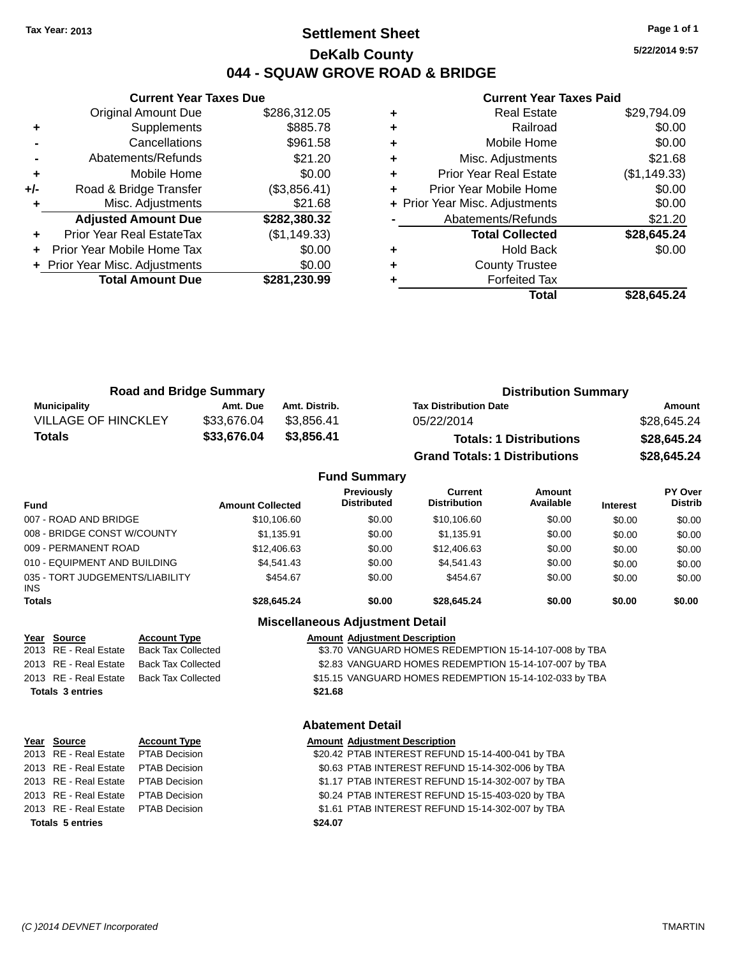### **Settlement Sheet Tax Year: 2013 Page 1 of 1 DeKalb County 044 - SQUAW GROVE ROAD & BRIDGE**

**5/22/2014 9:57**

### **Current Year Taxes Paid**

|       | <b>Original Amount Due</b>     | \$286,312.05 |
|-------|--------------------------------|--------------|
| ٠     | Supplements                    | \$885.78     |
|       | Cancellations                  | \$961.58     |
|       | Abatements/Refunds             | \$21.20      |
| ÷     | Mobile Home                    | \$0.00       |
| $+/-$ | Road & Bridge Transfer         | (\$3,856.41) |
| ٠     | Misc. Adjustments              | \$21.68      |
|       | <b>Adjusted Amount Due</b>     | \$282,380.32 |
| ٠     | Prior Year Real EstateTax      | (\$1,149.33) |
| ÷     | Prior Year Mobile Home Tax     | \$0.00       |
|       | + Prior Year Misc. Adjustments | \$0.00       |
|       | <b>Total Amount Due</b>        | \$281,230.99 |
|       |                                |              |

**Current Year Taxes Due**

|   | <b>Real Estate</b>             | \$29,794.09  |
|---|--------------------------------|--------------|
| ٠ | Railroad                       | \$0.00       |
| ٠ | Mobile Home                    | \$0.00       |
| ٠ | Misc. Adjustments              | \$21.68      |
| ٠ | <b>Prior Year Real Estate</b>  | (\$1,149.33) |
| ٠ | Prior Year Mobile Home         | \$0.00       |
|   | + Prior Year Misc. Adjustments | \$0.00       |
|   | Abatements/Refunds             | \$21.20      |
|   | <b>Total Collected</b>         | \$28,645.24  |
| ٠ | <b>Hold Back</b>               | \$0.00       |
| ٠ | <b>County Trustee</b>          |              |
|   | <b>Forfeited Tax</b>           |              |
|   | Total                          | \$28,645.24  |

| <b>Road and Bridge Summary</b> |             |               | <b>Distribution Summary</b>          |             |  |
|--------------------------------|-------------|---------------|--------------------------------------|-------------|--|
| Municipality                   | Amt. Due    | Amt. Distrib. | <b>Tax Distribution Date</b>         | Amount      |  |
| <b>VILLAGE OF HINCKLEY</b>     | \$33.676.04 | \$3.856.41    | 05/22/2014                           | \$28,645.24 |  |
| Totals                         | \$33,676.04 | \$3.856.41    | <b>Totals: 1 Distributions</b>       | \$28,645.24 |  |
|                                |             |               | <b>Grand Totals: 1 Distributions</b> | \$28,645.24 |  |

# **Fund Summary**

| <b>Fund</b>                                   | <b>Amount Collected</b> | <b>Previously</b><br><b>Distributed</b> | Current<br><b>Distribution</b> | Amount<br>Available | <b>Interest</b> | PY Over<br><b>Distrib</b> |
|-----------------------------------------------|-------------------------|-----------------------------------------|--------------------------------|---------------------|-----------------|---------------------------|
| 007 - ROAD AND BRIDGE                         | \$10,106.60             | \$0.00                                  | \$10,106.60                    | \$0.00              | \$0.00          | \$0.00                    |
| 008 - BRIDGE CONST W/COUNTY                   | \$1.135.91              | \$0.00                                  | \$1.135.91                     | \$0.00              | \$0.00          | \$0.00                    |
| 009 - PERMANENT ROAD                          | \$12,406.63             | \$0.00                                  | \$12,406.63                    | \$0.00              | \$0.00          | \$0.00                    |
| 010 - EQUIPMENT AND BUILDING                  | \$4.541.43              | \$0.00                                  | \$4.541.43                     | \$0.00              | \$0.00          | \$0.00                    |
| 035 - TORT JUDGEMENTS/LIABILITY<br><b>INS</b> | \$454.67                | \$0.00                                  | \$454.67                       | \$0.00              | \$0.00          | \$0.00                    |
| <b>Totals</b>                                 | \$28,645.24             | \$0.00                                  | \$28,645.24                    | \$0.00              | \$0.00          | \$0.00                    |

### **Miscellaneous Adjustment Detail**

### **Year Source Account Type Amount Adjustment Description** \$3.70 VANGUARD HOMES REDEMPTION 15-14-107-008 by TBA 2013 RE - Real Estate Back Tax Collected \$2.83 VANGUARD HOMES REDEMPTION 15-14-107-007 by TBA 2013 RE - Real Estate Back Tax Collected \$15.15 VANGUARD HOMES REDEMPTION 15-14-102-033 by TBA **Totals 3 entries \$21.68**

### **Abatement Detail**

| Year Source                          | <b>Account Type</b> |         | <b>Amount Adjustment Description</b>              |
|--------------------------------------|---------------------|---------|---------------------------------------------------|
| 2013 RE - Real Estate  PTAB Decision |                     |         | \$20.42 PTAB INTEREST REFUND 15-14-400-041 by TBA |
| 2013 RE - Real Estate PTAB Decision  |                     |         | \$0.63 PTAB INTEREST REFUND 15-14-302-006 by TBA  |
| 2013 RE - Real Estate PTAB Decision  |                     |         | \$1.17 PTAB INTEREST REFUND 15-14-302-007 by TBA  |
| 2013 RE - Real Estate PTAB Decision  |                     |         | \$0.24 PTAB INTEREST REFUND 15-15-403-020 by TBA  |
| 2013 RE - Real Estate PTAB Decision  |                     |         | \$1.61 PTAB INTEREST REFUND 15-14-302-007 by TBA  |
| <b>Totals 5 entries</b>              |                     | \$24.07 |                                                   |
|                                      |                     |         |                                                   |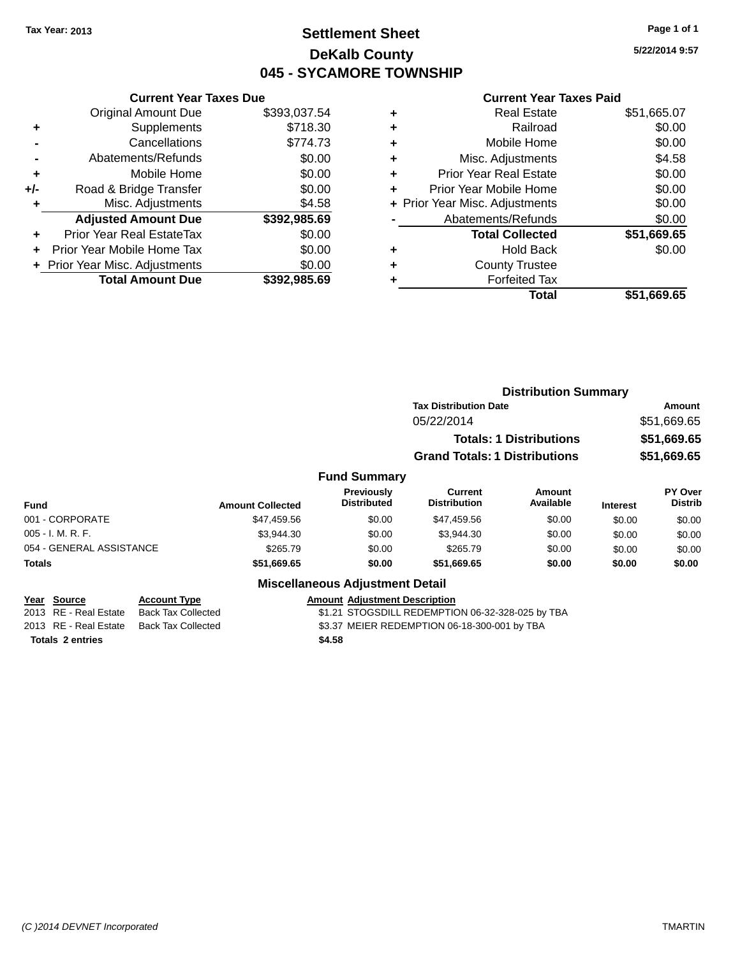### **Settlement Sheet Tax Year: 2013 Page 1 of 1 DeKalb County 045 - SYCAMORE TOWNSHIP**

**5/22/2014 9:57**

#### **Current Year Taxes Paid**

|     | <b>Current Year Taxes Due</b>  |              |
|-----|--------------------------------|--------------|
|     | <b>Original Amount Due</b>     | \$393,037.54 |
| ٠   | Supplements                    | \$718.30     |
|     | Cancellations                  | \$774.73     |
|     | Abatements/Refunds             | \$0.00       |
| ٠   | Mobile Home                    | \$0.00       |
| +/- | Road & Bridge Transfer         | \$0.00       |
| ٠   | Misc. Adjustments              | \$4.58       |
|     | <b>Adjusted Amount Due</b>     | \$392,985.69 |
| ٠   | Prior Year Real EstateTax      | \$0.00       |
|     | Prior Year Mobile Home Tax     | \$0.00       |
|     | + Prior Year Misc. Adjustments | \$0.00       |
|     | <b>Total Amount Due</b>        | \$392,985.69 |
|     |                                |              |

|   | <b>Real Estate</b>             | \$51,665.07 |
|---|--------------------------------|-------------|
| ٠ | Railroad                       | \$0.00      |
| ٠ | Mobile Home                    | \$0.00      |
| ٠ | Misc. Adjustments              | \$4.58      |
| ٠ | <b>Prior Year Real Estate</b>  | \$0.00      |
| ٠ | Prior Year Mobile Home         | \$0.00      |
|   | + Prior Year Misc. Adjustments | \$0.00      |
|   | Abatements/Refunds             | \$0.00      |
|   | <b>Total Collected</b>         | \$51,669.65 |
| ٠ | <b>Hold Back</b>               | \$0.00      |
| ٠ | <b>County Trustee</b>          |             |
| ٠ | <b>Forfeited Tax</b>           |             |
|   | Total                          | \$51,669.65 |
|   |                                |             |

|                          |                     |                         |                                        |                                      | <b>Distribution Summary</b>    |                 |                           |
|--------------------------|---------------------|-------------------------|----------------------------------------|--------------------------------------|--------------------------------|-----------------|---------------------------|
|                          |                     |                         |                                        | <b>Tax Distribution Date</b>         |                                |                 | Amount                    |
|                          |                     |                         |                                        | 05/22/2014                           |                                |                 | \$51,669.65               |
|                          |                     |                         |                                        |                                      | <b>Totals: 1 Distributions</b> |                 | \$51,669.65               |
|                          |                     |                         |                                        | <b>Grand Totals: 1 Distributions</b> |                                |                 | \$51,669.65               |
|                          |                     |                         | <b>Fund Summary</b>                    |                                      |                                |                 |                           |
| <b>Fund</b>              |                     | <b>Amount Collected</b> | Previously<br><b>Distributed</b>       | Current<br><b>Distribution</b>       | Amount<br>Available            | <b>Interest</b> | PY Over<br><b>Distrib</b> |
| 001 - CORPORATE          |                     | \$47,459.56             | \$0.00                                 | \$47,459.56                          | \$0.00                         | \$0.00          | \$0.00                    |
| 005 - I. M. R. F.        |                     | \$3,944.30              | \$0.00                                 | \$3,944.30                           | \$0.00                         | \$0.00          | \$0.00                    |
| 054 - GENERAL ASSISTANCE |                     | \$265.79                | \$0.00                                 | \$265.79                             | \$0.00                         | \$0.00          | \$0.00                    |
| Totals                   |                     | \$51,669.65             | \$0.00                                 | \$51,669.65                          | \$0.00                         | \$0.00          | \$0.00                    |
|                          |                     |                         | <b>Miscellaneous Adjustment Detail</b> |                                      |                                |                 |                           |
| Year Source              | <b>Account Type</b> |                         | <b>Amount Adiustment Description</b>   |                                      |                                |                 |                           |

**<u>Year Source</u> Account Type**<br> **ALCOMBE ADDING ADDING ADDING ADDING ADDING BACK** Tax Collected **Totals 2 entries \$4.58**

\$1.21 STOGSDILL REDEMPTION 06-32-328-025 by TBA

2013 RE - Real Estate Back Tax Collected \$3.37 MEIER REDEMPTION 06-18-300-001 by TBA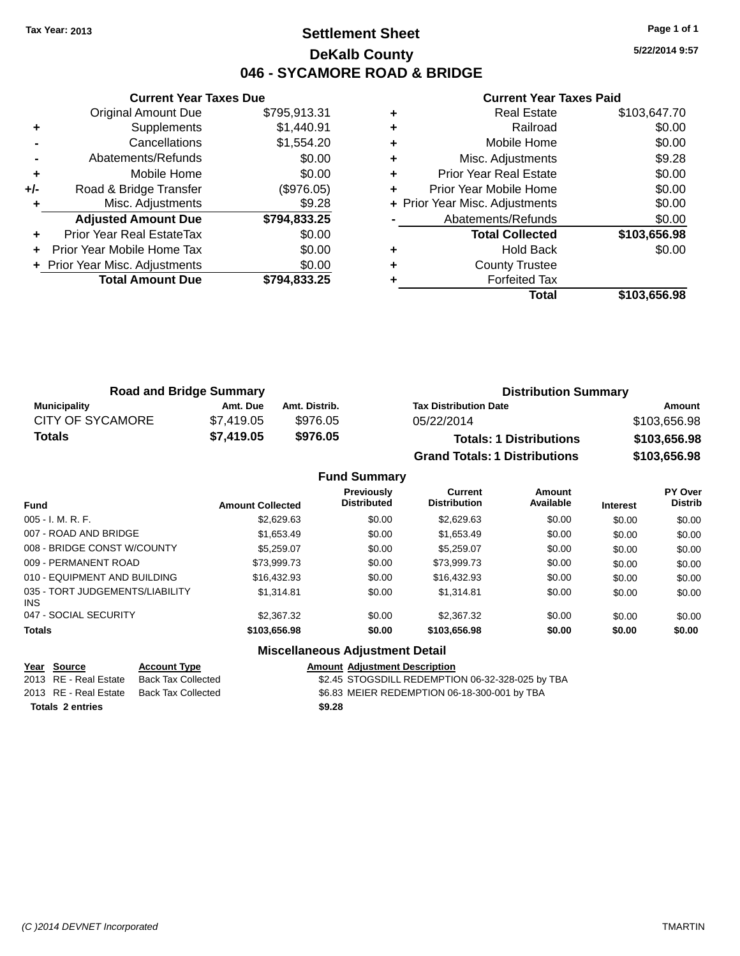### **Settlement Sheet Tax Year: 2013 Page 1 of 1 DeKalb County 046 - SYCAMORE ROAD & BRIDGE**

**5/22/2014 9:57**

|     | <b>Current Year Taxes Due</b>  |              |
|-----|--------------------------------|--------------|
|     | <b>Original Amount Due</b>     | \$795,913.31 |
| ٠   | Supplements                    | \$1,440.91   |
|     | Cancellations                  | \$1,554.20   |
|     | Abatements/Refunds             | \$0.00       |
| ٠   | Mobile Home                    | \$0.00       |
| +/- | Road & Bridge Transfer         | (\$976.05)   |
|     | Misc. Adjustments              | \$9.28       |
|     | <b>Adjusted Amount Due</b>     | \$794,833.25 |
|     | Prior Year Real EstateTax      | \$0.00       |
|     | Prior Year Mobile Home Tax     | \$0.00       |
|     | + Prior Year Misc. Adjustments | \$0.00       |
|     | <b>Total Amount Due</b>        | \$794.833.25 |
|     |                                |              |

|   | <b>Real Estate</b>             | \$103,647.70 |
|---|--------------------------------|--------------|
| ٠ | Railroad                       | \$0.00       |
| ٠ | Mobile Home                    | \$0.00       |
| ٠ | Misc. Adjustments              | \$9.28       |
| ٠ | Prior Year Real Estate         | \$0.00       |
|   | Prior Year Mobile Home         | \$0.00       |
|   | + Prior Year Misc. Adjustments | \$0.00       |
|   | Abatements/Refunds             | \$0.00       |
|   | <b>Total Collected</b>         | \$103,656.98 |
| ٠ | <b>Hold Back</b>               | \$0.00       |
| ٠ | <b>County Trustee</b>          |              |
|   | <b>Forfeited Tax</b>           |              |
|   | Total                          | \$103,656.98 |

| <b>Road and Bridge Summary</b> |            |               | <b>Distribution Summary</b>          |              |
|--------------------------------|------------|---------------|--------------------------------------|--------------|
| <b>Municipality</b>            | Amt. Due   | Amt. Distrib. | <b>Tax Distribution Date</b>         | Amount       |
| <b>CITY OF SYCAMORE</b>        | \$7.419.05 | \$976.05      | 05/22/2014                           | \$103,656.98 |
| Totals                         | \$7,419.05 | \$976.05      | <b>Totals: 1 Distributions</b>       | \$103,656.98 |
|                                |            |               | <b>Grand Totals: 1 Distributions</b> | \$103,656.98 |

|                                         |                         | <b>Fund Summary</b>                    |                                       |                     |                 |                                  |
|-----------------------------------------|-------------------------|----------------------------------------|---------------------------------------|---------------------|-----------------|----------------------------------|
| <b>Fund</b>                             | <b>Amount Collected</b> | Previously<br><b>Distributed</b>       | <b>Current</b><br><b>Distribution</b> | Amount<br>Available | <b>Interest</b> | <b>PY Over</b><br><b>Distrib</b> |
| $005 - I. M. R. F.$                     | \$2,629.63              | \$0.00                                 | \$2,629.63                            | \$0.00              | \$0.00          | \$0.00                           |
| 007 - ROAD AND BRIDGE                   | \$1,653.49              | \$0.00                                 | \$1,653.49                            | \$0.00              | \$0.00          | \$0.00                           |
| 008 - BRIDGE CONST W/COUNTY             | \$5,259.07              | \$0.00                                 | \$5,259.07                            | \$0.00              | \$0.00          | \$0.00                           |
| 009 - PERMANENT ROAD                    | \$73,999.73             | \$0.00                                 | \$73,999.73                           | \$0.00              | \$0.00          | \$0.00                           |
| 010 - EQUIPMENT AND BUILDING            | \$16.432.93             | \$0.00                                 | \$16,432.93                           | \$0.00              | \$0.00          | \$0.00                           |
| 035 - TORT JUDGEMENTS/LIABILITY<br>INS. | \$1.314.81              | \$0.00                                 | \$1,314.81                            | \$0.00              | \$0.00          | \$0.00                           |
| 047 - SOCIAL SECURITY                   | \$2,367,32              | \$0.00                                 | \$2,367,32                            | \$0.00              | \$0.00          | \$0.00                           |
| <b>Totals</b>                           | \$103,656.98            | \$0.00                                 | \$103,656.98                          | \$0.00              | \$0.00          | \$0.00                           |
|                                         |                         | <b>Miscellaneous Adjustment Detail</b> |                                       |                     |                 |                                  |

| <u>Year Source</u>      | <b>Account Type</b> | <b>Amount Adiustment Description</b>             |
|-------------------------|---------------------|--------------------------------------------------|
| 2013 RE - Real Estate   | Back Tax Collected  | \$2.45 STOGSDILL REDEMPTION 06-32-328-025 by TBA |
| 2013 RE - Real Estate   | Back Tax Collected  | \$6.83 MEIER REDEMPTION 06-18-300-001 by TBA     |
| <b>Totals 2 entries</b> |                     | \$9.28                                           |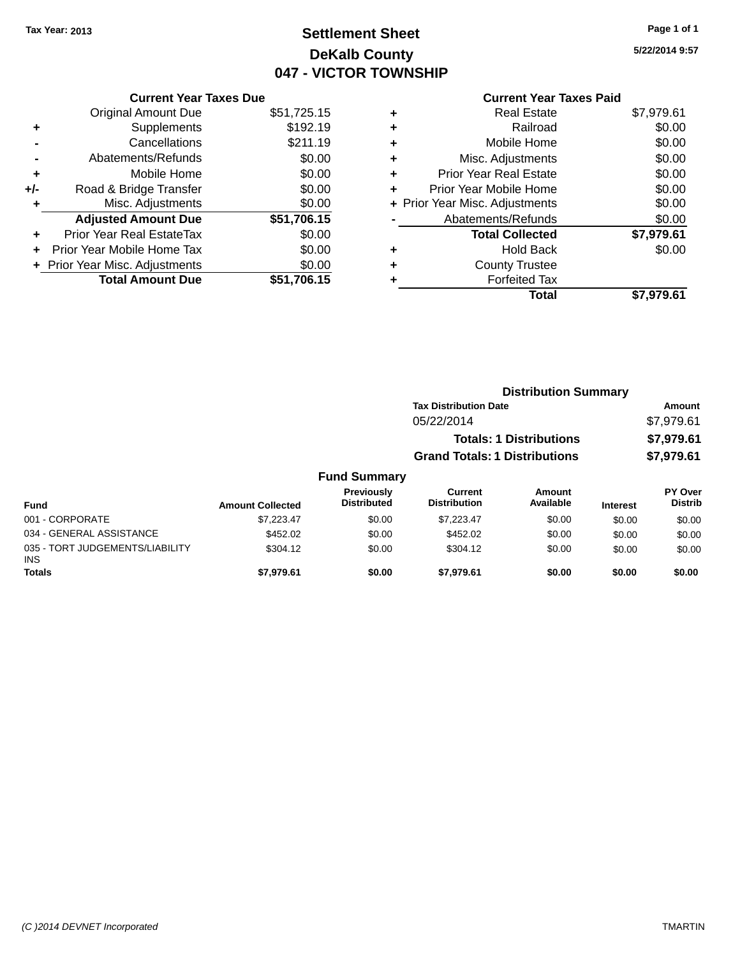# **Settlement Sheet Tax Year: 2013 Page 1 of 1 DeKalb County 047 - VICTOR TOWNSHIP**

**5/22/2014 9:57**

|       | <b>Current Year Taxes Due</b>  |             |
|-------|--------------------------------|-------------|
|       | <b>Original Amount Due</b>     | \$51,725.15 |
| ٠     | Supplements                    | \$192.19    |
|       | Cancellations                  | \$211.19    |
|       | Abatements/Refunds             | \$0.00      |
| ٠     | Mobile Home                    | \$0.00      |
| $+/-$ | Road & Bridge Transfer         | \$0.00      |
| ÷     | Misc. Adjustments              | \$0.00      |
|       | <b>Adjusted Amount Due</b>     | \$51,706.15 |
| ٠     | Prior Year Real EstateTax      | \$0.00      |
|       | Prior Year Mobile Home Tax     | \$0.00      |
|       | + Prior Year Misc. Adjustments | \$0.00      |
|       | <b>Total Amount Due</b>        | \$51,706.15 |
|       |                                |             |

| ٠ | <b>Real Estate</b>             | \$7,979.61 |
|---|--------------------------------|------------|
| ٠ | Railroad                       | \$0.00     |
| ٠ | Mobile Home                    | \$0.00     |
| ٠ | Misc. Adjustments              | \$0.00     |
| ٠ | <b>Prior Year Real Estate</b>  | \$0.00     |
| ٠ | Prior Year Mobile Home         | \$0.00     |
|   | + Prior Year Misc. Adjustments | \$0.00     |
|   | Abatements/Refunds             | \$0.00     |
|   | <b>Total Collected</b>         | \$7,979.61 |
| ٠ | <b>Hold Back</b>               | \$0.00     |
| ٠ | <b>County Trustee</b>          |            |
| ٠ | <b>Forfeited Tax</b>           |            |
|   | Total                          | \$7.979.61 |
|   |                                |            |

|          |                                         |                                      | <b>Distribution Summary</b>    |                 |                                  |
|----------|-----------------------------------------|--------------------------------------|--------------------------------|-----------------|----------------------------------|
|          |                                         | <b>Tax Distribution Date</b>         |                                |                 | <b>Amount</b>                    |
|          |                                         | 05/22/2014                           |                                |                 | \$7,979.61                       |
|          |                                         |                                      | <b>Totals: 1 Distributions</b> |                 | \$7,979.61                       |
|          |                                         | <b>Grand Totals: 1 Distributions</b> |                                |                 | \$7,979.61                       |
|          | <b>Fund Summary</b>                     |                                      |                                |                 |                                  |
| ollected | <b>Previously</b><br><b>Distributed</b> | Current<br><b>Distribution</b>       | Amount<br>Available            | <b>Interest</b> | <b>PY Over</b><br><b>Distrib</b> |

| Fund                                   | <b>Amount Collected</b> | , ופוטשוי<br><b>Distributed</b> | <b>VULLU</b><br><b>Distribution</b> | <b>AUVULL</b><br>Available | <b>Interest</b> | .<br>Distrib |
|----------------------------------------|-------------------------|---------------------------------|-------------------------------------|----------------------------|-----------------|--------------|
| 001 - CORPORATE                        | \$7.223.47              | \$0.00                          | \$7.223.47                          | \$0.00                     | \$0.00          | \$0.00       |
| 034 - GENERAL ASSISTANCE               | \$452.02                | \$0.00                          | \$452.02                            | \$0.00                     | \$0.00          | \$0.00       |
| 035 - TORT JUDGEMENTS/LIABILITY<br>INS | \$304.12                | \$0.00                          | \$304.12                            | \$0.00                     | \$0.00          | \$0.00       |
| <b>Totals</b>                          | \$7.979.61              | \$0.00                          | \$7.979.61                          | \$0.00                     | \$0.00          | \$0.00       |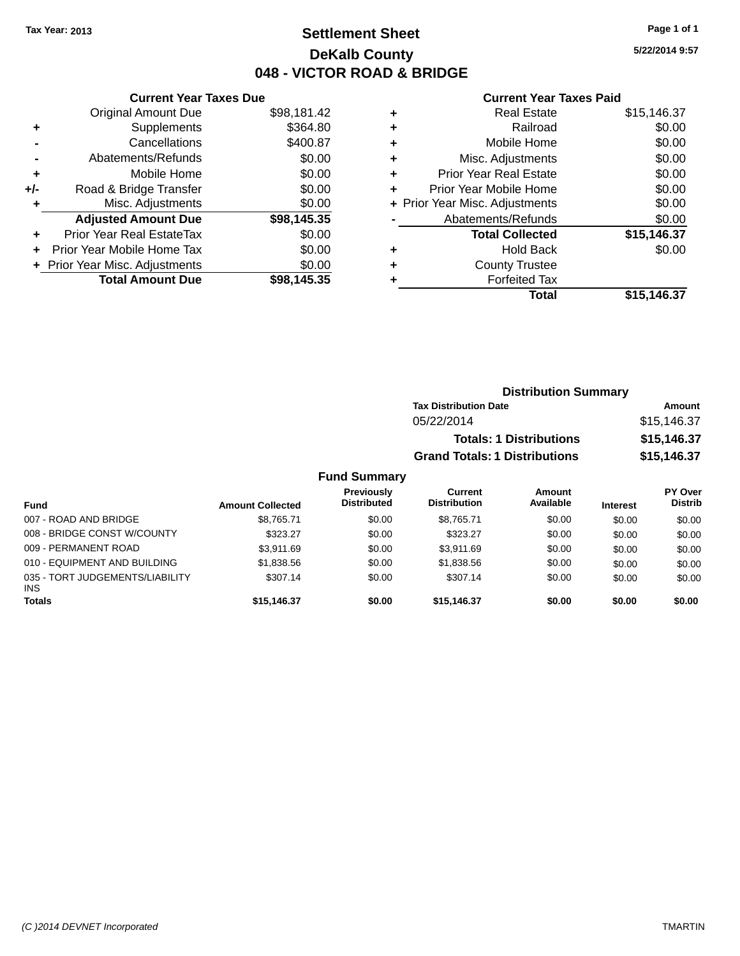### **Settlement Sheet Tax Year: 2013 Page 1 of 1 DeKalb County 048 - VICTOR ROAD & BRIDGE**

**5/22/2014 9:57**

#### **Current Year Taxes Paid**

|     | <b>Current Year Taxes Due</b> |             |
|-----|-------------------------------|-------------|
|     | <b>Original Amount Due</b>    | \$98,181.42 |
| ٠   | Supplements                   | \$364.80    |
|     | Cancellations                 | \$400.87    |
|     | Abatements/Refunds            | \$0.00      |
| ٠   | Mobile Home                   | \$0.00      |
| +/- | Road & Bridge Transfer        | \$0.00      |
| ٠   | Misc. Adjustments             | \$0.00      |
|     | <b>Adjusted Amount Due</b>    | \$98,145.35 |
| ÷   | Prior Year Real EstateTax     | \$0.00      |
|     | Prior Year Mobile Home Tax    | \$0.00      |
|     | Prior Year Misc. Adjustments  | \$0.00      |
|     | <b>Total Amount Due</b>       | \$98.145.35 |

| ٠ | <b>Real Estate</b>             | \$15,146.37 |
|---|--------------------------------|-------------|
| ٠ | Railroad                       | \$0.00      |
| ٠ | Mobile Home                    | \$0.00      |
| ٠ | Misc. Adjustments              | \$0.00      |
| ٠ | <b>Prior Year Real Estate</b>  | \$0.00      |
| ٠ | Prior Year Mobile Home         | \$0.00      |
|   | + Prior Year Misc. Adjustments | \$0.00      |
|   | Abatements/Refunds             | \$0.00      |
|   | <b>Total Collected</b>         | \$15,146.37 |
| ٠ | Hold Back                      | \$0.00      |
| ٠ | <b>County Trustee</b>          |             |
| ٠ | <b>Forfeited Tax</b>           |             |
|   | Total                          | \$15,146.37 |
|   |                                |             |

| <b>Distribution Summary</b>          |             |
|--------------------------------------|-------------|
| <b>Tax Distribution Date</b>         | Amount      |
| 05/22/2014                           | \$15,146.37 |
| <b>Totals: 1 Distributions</b>       | \$15,146.37 |
| <b>Grand Totals: 1 Distributions</b> | \$15,146.37 |

### **Fund Summary**

| <b>Fund</b>                                   | <b>Amount Collected</b> | Previously<br><b>Distributed</b> | Current<br><b>Distribution</b> | Amount<br>Available | <b>Interest</b> | <b>PY Over</b><br><b>Distrib</b> |
|-----------------------------------------------|-------------------------|----------------------------------|--------------------------------|---------------------|-----------------|----------------------------------|
| 007 - ROAD AND BRIDGE                         | \$8.765.71              | \$0.00                           | \$8.765.71                     | \$0.00              | \$0.00          | \$0.00                           |
| 008 - BRIDGE CONST W/COUNTY                   | \$323.27                | \$0.00                           | \$323.27                       | \$0.00              | \$0.00          | \$0.00                           |
| 009 - PERMANENT ROAD                          | \$3.911.69              | \$0.00                           | \$3.911.69                     | \$0.00              | \$0.00          | \$0.00                           |
| 010 - EQUIPMENT AND BUILDING                  | \$1,838.56              | \$0.00                           | \$1.838.56                     | \$0.00              | \$0.00          | \$0.00                           |
| 035 - TORT JUDGEMENTS/LIABILITY<br><b>INS</b> | \$307.14                | \$0.00                           | \$307.14                       | \$0.00              | \$0.00          | \$0.00                           |
| <b>Totals</b>                                 | \$15,146.37             | \$0.00                           | \$15,146.37                    | \$0.00              | \$0.00          | \$0.00                           |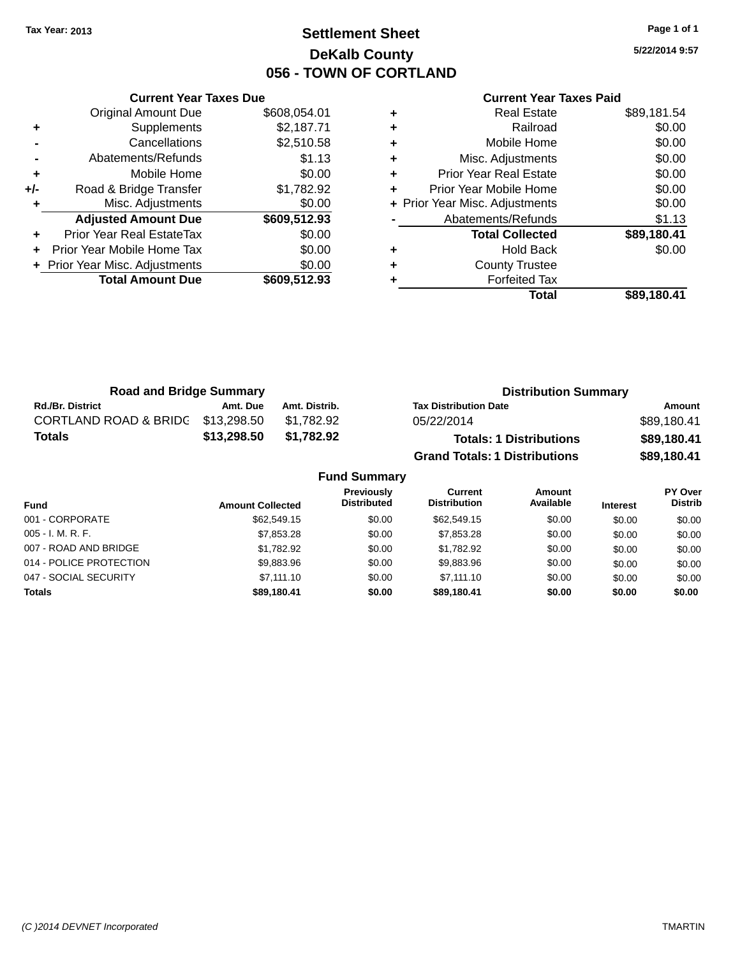## **Settlement Sheet Tax Year: 2013 Page 1 of 1 DeKalb County 056 - TOWN OF CORTLAND**

**5/22/2014 9:57**

|     | <b>Current Year Taxes Due</b>  |              |
|-----|--------------------------------|--------------|
|     | <b>Original Amount Due</b>     | \$608,054.01 |
| ٠   | Supplements                    | \$2,187.71   |
|     | Cancellations                  | \$2,510.58   |
|     | Abatements/Refunds             | \$1.13       |
| ٠   | Mobile Home                    | \$0.00       |
| +/- | Road & Bridge Transfer         | \$1,782.92   |
| ٠   | Misc. Adjustments              | \$0.00       |
|     | <b>Adjusted Amount Due</b>     | \$609,512.93 |
| ٠   | Prior Year Real EstateTax      | \$0.00       |
|     | Prior Year Mobile Home Tax     | \$0.00       |
|     | + Prior Year Misc. Adjustments | \$0.00       |
|     | <b>Total Amount Due</b>        | \$609,512.93 |
|     |                                |              |

|   | <b>Real Estate</b>             | \$89,181.54 |
|---|--------------------------------|-------------|
| ٠ | Railroad                       | \$0.00      |
| ٠ | Mobile Home                    | \$0.00      |
| ٠ | Misc. Adjustments              | \$0.00      |
| ٠ | <b>Prior Year Real Estate</b>  | \$0.00      |
| ٠ | Prior Year Mobile Home         | \$0.00      |
|   | + Prior Year Misc. Adjustments | \$0.00      |
|   | Abatements/Refunds             | \$1.13      |
|   | <b>Total Collected</b>         | \$89,180.41 |
| ٠ | <b>Hold Back</b>               | \$0.00      |
| ٠ | <b>County Trustee</b>          |             |
|   | <b>Forfeited Tax</b>           |             |
|   | Total                          | \$89,180.41 |
|   |                                |             |

| <b>Road and Bridge Summary</b>    |             |               | <b>Distribution Summary</b>          |             |  |
|-----------------------------------|-------------|---------------|--------------------------------------|-------------|--|
| <b>Rd./Br. District</b>           | Amt. Due    | Amt. Distrib. | <b>Tax Distribution Date</b>         | Amount      |  |
| CORTLAND ROAD & BRIDC \$13,298.50 |             | \$1.782.92    | 05/22/2014                           | \$89,180.41 |  |
| <b>Totals</b>                     | \$13,298.50 | \$1,782.92    | <b>Totals: 1 Distributions</b>       | \$89,180.41 |  |
|                                   |             |               | <b>Grand Totals: 1 Distributions</b> | \$89,180.41 |  |

|                         |                         | <b>Fund Summary</b>                     |                                |                     |                 |                           |
|-------------------------|-------------------------|-----------------------------------------|--------------------------------|---------------------|-----------------|---------------------------|
| <b>Fund</b>             | <b>Amount Collected</b> | <b>Previously</b><br><b>Distributed</b> | Current<br><b>Distribution</b> | Amount<br>Available | <b>Interest</b> | PY Over<br><b>Distrib</b> |
| 001 - CORPORATE         | \$62,549.15             | \$0.00                                  | \$62,549.15                    | \$0.00              | \$0.00          | \$0.00                    |
| 005 - I. M. R. F.       | \$7,853,28              | \$0.00                                  | \$7,853.28                     | \$0.00              | \$0.00          | \$0.00                    |
| 007 - ROAD AND BRIDGE   | \$1,782.92              | \$0.00                                  | \$1.782.92                     | \$0.00              | \$0.00          | \$0.00                    |
| 014 - POLICE PROTECTION | \$9,883.96              | \$0.00                                  | \$9,883.96                     | \$0.00              | \$0.00          | \$0.00                    |
| 047 - SOCIAL SECURITY   | \$7.111.10              | \$0.00                                  | \$7,111,10                     | \$0.00              | \$0.00          | \$0.00                    |
| <b>Totals</b>           | \$89.180.41             | \$0.00                                  | \$89.180.41                    | \$0.00              | \$0.00          | \$0.00                    |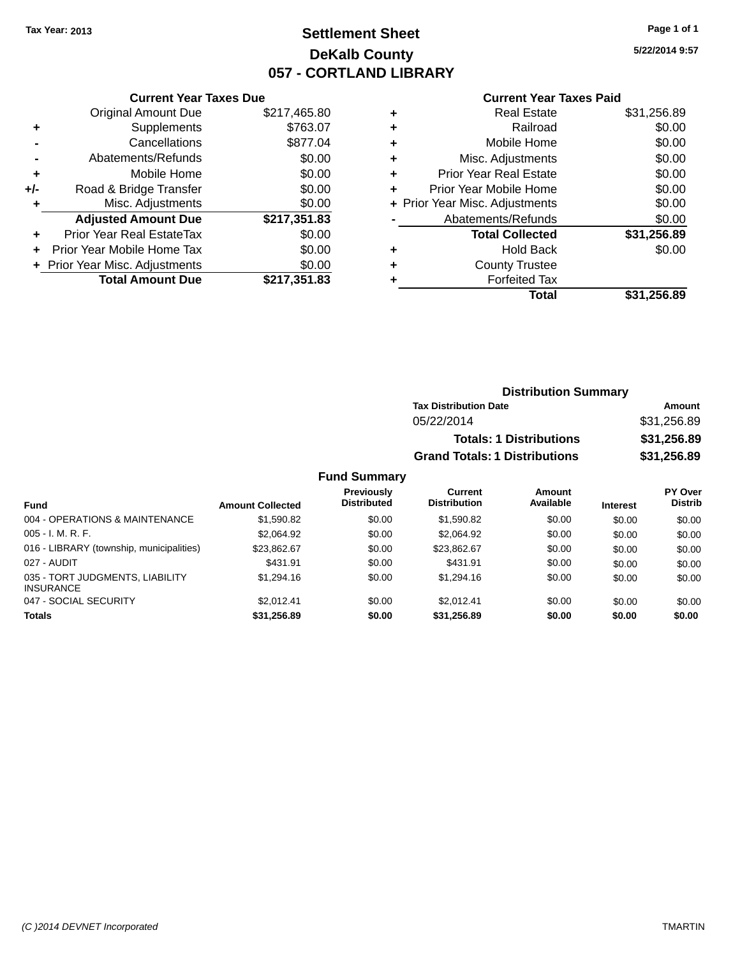## **Settlement Sheet Tax Year: 2013 Page 1 of 1 DeKalb County 057 - CORTLAND LIBRARY**

**5/22/2014 9:57**

#### **Current Year Taxes Paid**

|     | <b>Current Year Taxes Due</b>  |              |
|-----|--------------------------------|--------------|
|     | <b>Original Amount Due</b>     | \$217,465.80 |
| ٠   | Supplements                    | \$763.07     |
|     | Cancellations                  | \$877.04     |
|     | Abatements/Refunds             | \$0.00       |
| ٠   | Mobile Home                    | \$0.00       |
| +/- | Road & Bridge Transfer         | \$0.00       |
|     | Misc. Adjustments              | \$0.00       |
|     | <b>Adjusted Amount Due</b>     | \$217,351.83 |
| ÷   | Prior Year Real EstateTax      | \$0.00       |
|     | Prior Year Mobile Home Tax     | \$0.00       |
|     | + Prior Year Misc. Adjustments | \$0.00       |
|     | <b>Total Amount Due</b>        | \$217,351.83 |
|     |                                |              |

| ٠ | <b>Real Estate</b>             | \$31,256.89 |
|---|--------------------------------|-------------|
| ٠ | Railroad                       | \$0.00      |
| ٠ | Mobile Home                    | \$0.00      |
| ٠ | Misc. Adjustments              | \$0.00      |
| ٠ | <b>Prior Year Real Estate</b>  | \$0.00      |
| ٠ | Prior Year Mobile Home         | \$0.00      |
|   | + Prior Year Misc. Adjustments | \$0.00      |
|   | Abatements/Refunds             | \$0.00      |
|   | <b>Total Collected</b>         | \$31,256.89 |
| ٠ | <b>Hold Back</b>               | \$0.00      |
| ٠ | <b>County Trustee</b>          |             |
| ٠ | <b>Forfeited Tax</b>           |             |
|   | Total                          | \$31,256.89 |
|   |                                |             |

| <b>Distribution Summary</b>          |             |
|--------------------------------------|-------------|
| <b>Tax Distribution Date</b>         | Amount      |
| 05/22/2014                           | \$31,256.89 |
| <b>Totals: 1 Distributions</b>       | \$31,256.89 |
| <b>Grand Totals: 1 Distributions</b> | \$31,256.89 |

### **Fund Summary**

| <b>Fund</b>                                         | <b>Amount Collected</b> | <b>Previously</b><br><b>Distributed</b> | Current<br><b>Distribution</b> | Amount<br>Available | <b>Interest</b> | PY Over<br><b>Distrib</b> |
|-----------------------------------------------------|-------------------------|-----------------------------------------|--------------------------------|---------------------|-----------------|---------------------------|
| 004 - OPERATIONS & MAINTENANCE                      | \$1.590.82              | \$0.00                                  | \$1,590.82                     | \$0.00              | \$0.00          | \$0.00                    |
| $005 - I. M. R. F.$                                 | \$2.064.92              | \$0.00                                  | \$2,064.92                     | \$0.00              | \$0.00          | \$0.00                    |
| 016 - LIBRARY (township, municipalities)            | \$23.862.67             | \$0.00                                  | \$23.862.67                    | \$0.00              | \$0.00          | \$0.00                    |
| 027 - AUDIT                                         | \$431.91                | \$0.00                                  | \$431.91                       | \$0.00              | \$0.00          | \$0.00                    |
| 035 - TORT JUDGMENTS, LIABILITY<br><b>INSURANCE</b> | \$1,294.16              | \$0.00                                  | \$1,294.16                     | \$0.00              | \$0.00          | \$0.00                    |
| 047 - SOCIAL SECURITY                               | \$2.012.41              | \$0.00                                  | \$2.012.41                     | \$0.00              | \$0.00          | \$0.00                    |
| <b>Totals</b>                                       | \$31,256.89             | \$0.00                                  | \$31.256.89                    | \$0.00              | \$0.00          | \$0.00                    |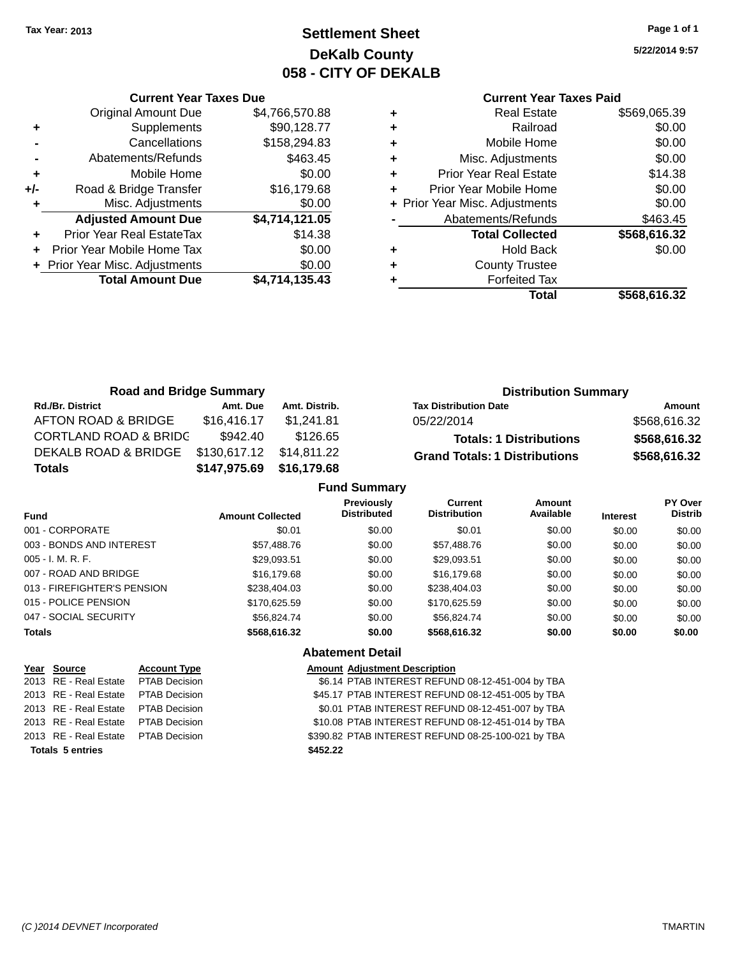## **Settlement Sheet Tax Year: 2013 Page 1 of 1 DeKalb County 058 - CITY OF DEKALB**

**5/22/2014 9:57**

|     | <b>Current Year Taxes Due</b>  |                |  |  |  |
|-----|--------------------------------|----------------|--|--|--|
|     | <b>Original Amount Due</b>     | \$4,766,570.88 |  |  |  |
| ٠   | Supplements                    | \$90,128.77    |  |  |  |
|     | Cancellations                  | \$158,294.83   |  |  |  |
|     | Abatements/Refunds             | \$463.45       |  |  |  |
| ٠   | Mobile Home                    | \$0.00         |  |  |  |
| +/- | Road & Bridge Transfer         | \$16,179.68    |  |  |  |
|     | Misc. Adjustments              | \$0.00         |  |  |  |
|     | <b>Adjusted Amount Due</b>     | \$4,714,121.05 |  |  |  |
| ٠   | Prior Year Real EstateTax      | \$14.38        |  |  |  |
|     | Prior Year Mobile Home Tax     | \$0.00         |  |  |  |
|     | + Prior Year Misc. Adjustments | \$0.00         |  |  |  |
|     | <b>Total Amount Due</b>        | \$4,714,135.43 |  |  |  |
|     |                                |                |  |  |  |

|   | <b>Real Estate</b>             | \$569,065.39 |
|---|--------------------------------|--------------|
| ٠ | Railroad                       | \$0.00       |
| ٠ | Mobile Home                    | \$0.00       |
| ٠ | Misc. Adjustments              | \$0.00       |
|   | <b>Prior Year Real Estate</b>  | \$14.38      |
|   | Prior Year Mobile Home         | \$0.00       |
|   | + Prior Year Misc. Adjustments | \$0.00       |
|   | Abatements/Refunds             | \$463.45     |
|   | <b>Total Collected</b>         | \$568,616.32 |
|   | <b>Hold Back</b>               | \$0.00       |
|   | <b>County Trustee</b>          |              |
|   | <b>Forfeited Tax</b>           |              |
|   | Total                          | \$568,616.32 |
|   |                                |              |

| <b>Road and Bridge Summary</b>   |              |               | <b>Distribution Summary</b>          |              |
|----------------------------------|--------------|---------------|--------------------------------------|--------------|
| <b>Rd./Br. District</b>          | Amt. Due     | Amt. Distrib. | <b>Tax Distribution Date</b>         | Amount       |
| AFTON ROAD & BRIDGE              | \$16,416.17  | \$1.241.81    | 05/22/2014                           | \$568,616.32 |
| <b>CORTLAND ROAD &amp; BRIDC</b> | \$942.40     | \$126.65      | <b>Totals: 1 Distributions</b>       | \$568,616.32 |
| DEKALB ROAD & BRIDGE             | \$130,617.12 | \$14,811.22   | <b>Grand Totals: 1 Distributions</b> | \$568,616.32 |
| <b>Totals</b>                    | \$147,975.69 | \$16,179.68   |                                      |              |
|                                  |              |               | <b>Fund Summary</b>                  |              |

|                             |                         | ו טווט טעווווווס צ                      |                                       |                     |                 |                           |
|-----------------------------|-------------------------|-----------------------------------------|---------------------------------------|---------------------|-----------------|---------------------------|
| <b>Fund</b>                 | <b>Amount Collected</b> | <b>Previously</b><br><b>Distributed</b> | <b>Current</b><br><b>Distribution</b> | Amount<br>Available | <b>Interest</b> | PY Over<br><b>Distrib</b> |
| 001 - CORPORATE             | \$0.01                  | \$0.00                                  | \$0.01                                | \$0.00              | \$0.00          | \$0.00                    |
| 003 - BONDS AND INTEREST    | \$57,488,76             | \$0.00                                  | \$57,488.76                           | \$0.00              | \$0.00          | \$0.00                    |
| $005 - I. M. R. F.$         | \$29.093.51             | \$0.00                                  | \$29.093.51                           | \$0.00              | \$0.00          | \$0.00                    |
| 007 - ROAD AND BRIDGE       | \$16,179.68             | \$0.00                                  | \$16,179.68                           | \$0.00              | \$0.00          | \$0.00                    |
| 013 - FIREFIGHTER'S PENSION | \$238,404.03            | \$0.00                                  | \$238,404.03                          | \$0.00              | \$0.00          | \$0.00                    |
| 015 - POLICE PENSION        | \$170.625.59            | \$0.00                                  | \$170.625.59                          | \$0.00              | \$0.00          | \$0.00                    |
| 047 - SOCIAL SECURITY       | \$56.824.74             | \$0.00                                  | \$56,824.74                           | \$0.00              | \$0.00          | \$0.00                    |
| <b>Totals</b>               | \$568,616.32            | \$0.00                                  | \$568,616.32                          | \$0.00              | \$0.00          | \$0.00                    |
|                             |                         | <b>Abatement Detail</b>                 |                                       |                     |                 |                           |

| Year Source                         | <b>Account Type</b>  | <b>Amount Adjustment Description</b>               |
|-------------------------------------|----------------------|----------------------------------------------------|
| 2013 RE - Real Estate               | PTAB Decision        | \$6.14 PTAB INTEREST REFUND 08-12-451-004 by TBA   |
| 2013 RE - Real Estate               | <b>PTAB Decision</b> | \$45.17 PTAB INTEREST REFUND 08-12-451-005 by TBA  |
| 2013 RE - Real Estate               | PTAB Decision        | \$0.01 PTAB INTEREST REFUND 08-12-451-007 by TBA   |
| 2013 RE - Real Estate               | <b>PTAB Decision</b> | \$10.08 PTAB INTEREST REFUND 08-12-451-014 by TBA  |
| 2013 RE - Real Estate PTAB Decision |                      | \$390.82 PTAB INTEREST REFUND 08-25-100-021 by TBA |
| <b>Totals 5 entries</b>             |                      | \$452.22                                           |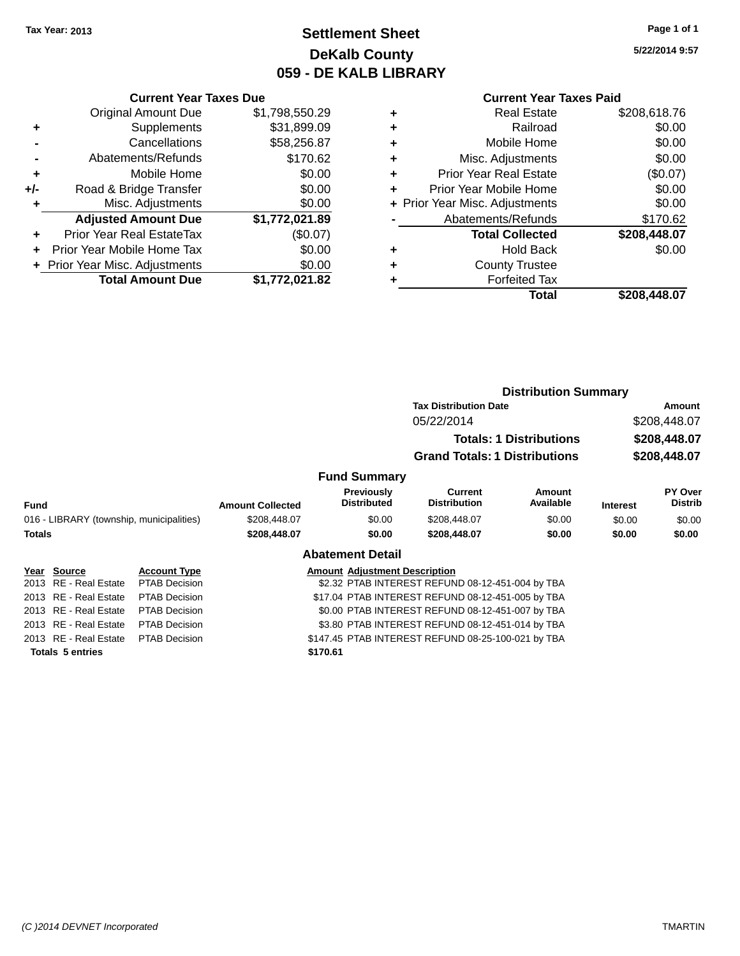## **Settlement Sheet Tax Year: 2013 Page 1 of 1 DeKalb County 059 - DE KALB LIBRARY**

**5/22/2014 9:57**

### **Current Year Taxes Paid**

|     | <b>Current Year Taxes Due</b> |                |  |
|-----|-------------------------------|----------------|--|
|     | <b>Original Amount Due</b>    | \$1,798,550.29 |  |
| ٠   | Supplements                   | \$31,899.09    |  |
|     | Cancellations                 | \$58,256.87    |  |
|     | Abatements/Refunds            | \$170.62       |  |
| ٠   | Mobile Home                   | \$0.00         |  |
| +/- | Road & Bridge Transfer        | \$0.00         |  |
| ٠   | \$0.00<br>Misc. Adjustments   |                |  |
|     | <b>Adjusted Amount Due</b>    | \$1,772,021.89 |  |
| ÷   | Prior Year Real EstateTax     | (\$0.07)       |  |
| ÷   | Prior Year Mobile Home Tax    | \$0.00         |  |
|     | Prior Year Misc. Adjustments  | \$0.00         |  |
|     | <b>Total Amount Due</b>       | \$1,772,021.82 |  |

| ٠ | <b>Real Estate</b>             | \$208,618.76 |
|---|--------------------------------|--------------|
| ٠ | Railroad                       | \$0.00       |
| ٠ | Mobile Home                    | \$0.00       |
| ٠ | Misc. Adjustments              | \$0.00       |
| ٠ | Prior Year Real Estate         | (\$0.07)     |
| ٠ | Prior Year Mobile Home         | \$0.00       |
|   | + Prior Year Misc. Adjustments | \$0.00       |
|   | Abatements/Refunds             | \$170.62     |
|   | <b>Total Collected</b>         | \$208,448.07 |
| ٠ | <b>Hold Back</b>               | \$0.00       |
| ٠ | <b>County Trustee</b>          |              |
| ٠ | <b>Forfeited Tax</b>           |              |
|   | Total                          | \$208,448.07 |
|   |                                |              |

|                                                                                                                                                                          |                                          |                                  | <b>Distribution Summary</b>    |                                                             |                                                                                                                                                                                                                                                                                                                                             |                           |
|--------------------------------------------------------------------------------------------------------------------------------------------------------------------------|------------------------------------------|----------------------------------|--------------------------------|-------------------------------------------------------------|---------------------------------------------------------------------------------------------------------------------------------------------------------------------------------------------------------------------------------------------------------------------------------------------------------------------------------------------|---------------------------|
|                                                                                                                                                                          |                                          |                                  |                                |                                                             |                                                                                                                                                                                                                                                                                                                                             | Amount                    |
|                                                                                                                                                                          |                                          |                                  | 05/22/2014                     |                                                             | \$208,448.07                                                                                                                                                                                                                                                                                                                                |                           |
|                                                                                                                                                                          | <b>Totals: 1 Distributions</b>           |                                  |                                |                                                             |                                                                                                                                                                                                                                                                                                                                             | \$208,448.07              |
|                                                                                                                                                                          |                                          |                                  |                                |                                                             |                                                                                                                                                                                                                                                                                                                                             | \$208,448.07              |
|                                                                                                                                                                          |                                          |                                  |                                |                                                             |                                                                                                                                                                                                                                                                                                                                             |                           |
|                                                                                                                                                                          | <b>Amount Collected</b>                  | Previously<br><b>Distributed</b> | Current<br><b>Distribution</b> | <b>Amount</b><br>Available                                  | <b>Interest</b>                                                                                                                                                                                                                                                                                                                             | PY Over<br><b>Distrib</b> |
|                                                                                                                                                                          | \$208,448.07                             | \$0.00                           | \$208,448.07                   | \$0.00                                                      | \$0.00                                                                                                                                                                                                                                                                                                                                      | \$0.00                    |
|                                                                                                                                                                          | \$208,448.07                             | \$0.00                           | \$208,448.07                   | \$0.00                                                      | \$0.00                                                                                                                                                                                                                                                                                                                                      | \$0.00                    |
|                                                                                                                                                                          |                                          |                                  |                                |                                                             |                                                                                                                                                                                                                                                                                                                                             |                           |
| <b>Account Type</b>                                                                                                                                                      |                                          |                                  |                                |                                                             |                                                                                                                                                                                                                                                                                                                                             |                           |
| <b>PTAB Decision</b>                                                                                                                                                     |                                          |                                  |                                |                                                             |                                                                                                                                                                                                                                                                                                                                             |                           |
| <b>PTAB Decision</b>                                                                                                                                                     |                                          |                                  |                                |                                                             |                                                                                                                                                                                                                                                                                                                                             |                           |
| PTAB Decision                                                                                                                                                            |                                          |                                  |                                |                                                             |                                                                                                                                                                                                                                                                                                                                             |                           |
| <b>PTAB Decision</b>                                                                                                                                                     |                                          |                                  |                                |                                                             |                                                                                                                                                                                                                                                                                                                                             |                           |
| <b>PTAB Decision</b>                                                                                                                                                     |                                          |                                  |                                |                                                             |                                                                                                                                                                                                                                                                                                                                             |                           |
| <b>Fund</b><br><b>Totals</b><br>Year Source<br>2013 RE - Real Estate<br>2013 RE - Real Estate<br>2013 RE - Real Estate<br>2013 RE - Real Estate<br>2013 RE - Real Estate | 016 - LIBRARY (township, municipalities) |                                  | <b>Abatement Detail</b>        | <b>Fund Summary</b><br><b>Amount Adjustment Description</b> | <b>Tax Distribution Date</b><br><b>Grand Totals: 1 Distributions</b><br>\$2.32 PTAB INTEREST REFUND 08-12-451-004 by TBA<br>\$17.04 PTAB INTEREST REFUND 08-12-451-005 by TBA<br>\$0.00 PTAB INTEREST REFUND 08-12-451-007 by TBA<br>\$3.80 PTAB INTEREST REFUND 08-12-451-014 by TBA<br>\$147.45 PTAB INTEREST REFUND 08-25-100-021 by TBA |                           |

**Totals 5 entries \$170.61**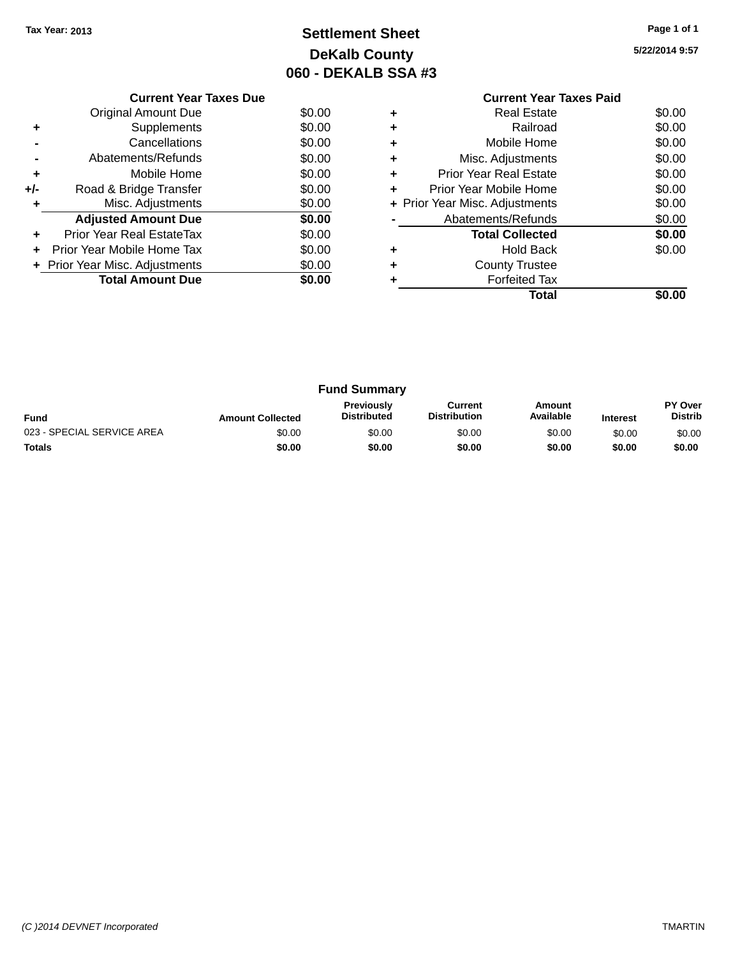# **Settlement Sheet Tax Year: 2013 Page 1 of 1 DeKalb County 060 - DEKALB SSA #3**

**5/22/2014 9:57**

|       | <b>Current Year Taxes Due</b>  |        |  |  |  |  |  |  |
|-------|--------------------------------|--------|--|--|--|--|--|--|
|       | Original Amount Due            | \$0.00 |  |  |  |  |  |  |
| ٠     | Supplements                    | \$0.00 |  |  |  |  |  |  |
|       | Cancellations                  | \$0.00 |  |  |  |  |  |  |
|       | Abatements/Refunds             | \$0.00 |  |  |  |  |  |  |
| ٠     | Mobile Home                    | \$0.00 |  |  |  |  |  |  |
| $+/-$ | Road & Bridge Transfer         | \$0.00 |  |  |  |  |  |  |
|       | Misc. Adjustments              | \$0.00 |  |  |  |  |  |  |
|       | <b>Adjusted Amount Due</b>     | \$0.00 |  |  |  |  |  |  |
| ٠     | Prior Year Real EstateTax      | \$0.00 |  |  |  |  |  |  |
|       | Prior Year Mobile Home Tax     | \$0.00 |  |  |  |  |  |  |
|       | + Prior Year Misc. Adjustments | \$0.00 |  |  |  |  |  |  |
|       | <b>Total Amount Due</b>        | \$0.00 |  |  |  |  |  |  |
|       |                                |        |  |  |  |  |  |  |

### **Current Year Taxes Paid +** Real Estate \$0.00 **+** Railroad \$0.00 **+** Mobile Home \$0.00 **+** Misc. Adjustments \$0.00 **+** Prior Year Real Estate \$0.00 **+** Prior Year Mobile Home \$0.00<br> **+** Prior Year Misc. Adjustments \$0.00 **+ Prior Year Misc. Adjustments -** Abatements/Refunds \$0.00 **Total Collected \$0.00 +** Hold Back \$0.00 **+** County Trustee **+** Forfeited Tax **Total \$0.00**

| <b>Fund Summary</b>        |                         |                                         |                                |                     |                 |                           |
|----------------------------|-------------------------|-----------------------------------------|--------------------------------|---------------------|-----------------|---------------------------|
| <b>Fund</b>                | <b>Amount Collected</b> | <b>Previously</b><br><b>Distributed</b> | Current<br><b>Distribution</b> | Amount<br>Available | <b>Interest</b> | PY Over<br><b>Distrib</b> |
| 023 - SPECIAL SERVICE AREA | \$0.00                  | \$0.00                                  | \$0.00                         | \$0.00              | \$0.00          | \$0.00                    |
| <b>Totals</b>              | \$0.00                  | \$0.00                                  | \$0.00                         | \$0.00              | \$0.00          | \$0.00                    |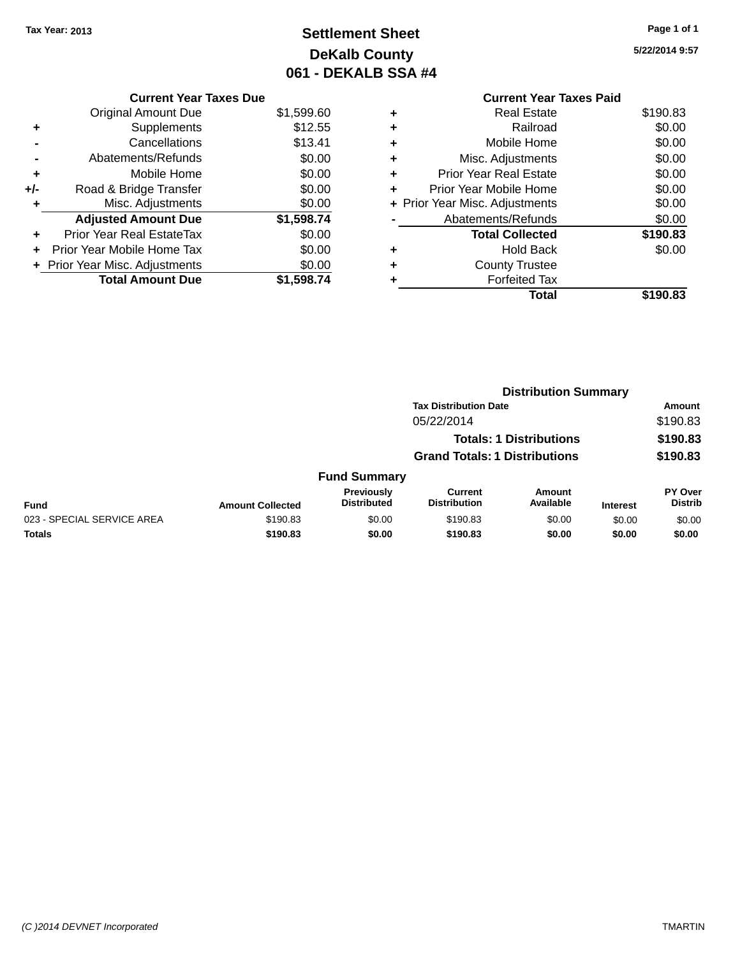# **Settlement Sheet Tax Year: 2013 Page 1 of 1 DeKalb County 061 - DEKALB SSA #4**

**5/22/2014 9:57**

|   | <b>Current Year Taxes Paid</b> |          |
|---|--------------------------------|----------|
| ٠ | <b>Real Estate</b>             | \$190.83 |
| ٠ | Railroad                       | \$0.00   |
| ٠ | Mobile Home                    | \$0.00   |
|   | Misc. Adjustments              | \$0.00   |
| ٠ | <b>Prior Year Real Estate</b>  | \$0.00   |
| ٠ | Prior Year Mobile Home         | \$0.00   |
|   | + Prior Year Misc. Adjustments | \$0.00   |
|   | Abatements/Refunds             | \$0.00   |
|   | <b>Total Collected</b>         | \$190.83 |
|   | Hold Back                      | \$0.00   |
|   | <b>County Trustee</b>          |          |
|   | <b>Forfeited Tax</b>           |          |
|   | Total                          | \$190.83 |
|   |                                |          |

| <b>Current Year Taxes Due</b>  |            |
|--------------------------------|------------|
| <b>Original Amount Due</b>     | \$1,599.60 |
| Supplements                    | \$12.55    |
| Cancellations                  | \$13.41    |
| Abatements/Refunds             | \$0.00     |
| Mobile Home                    | \$0.00     |
| Road & Bridge Transfer         | \$0.00     |
| Misc. Adjustments              | \$0.00     |
| <b>Adjusted Amount Due</b>     | \$1,598.74 |
| Prior Year Real EstateTax      | \$0.00     |
| Prior Year Mobile Home Tax     | \$0.00     |
| + Prior Year Misc. Adjustments | \$0.00     |
| <b>Total Amount Due</b>        | \$1,598.74 |
|                                |            |

|                            |                         |                                  |                                      | <b>Distribution Summary</b>    |                 |                                  |
|----------------------------|-------------------------|----------------------------------|--------------------------------------|--------------------------------|-----------------|----------------------------------|
|                            |                         |                                  | <b>Tax Distribution Date</b>         |                                |                 | Amount                           |
|                            |                         |                                  | 05/22/2014                           |                                |                 | \$190.83                         |
|                            |                         |                                  |                                      | <b>Totals: 1 Distributions</b> |                 | \$190.83                         |
|                            |                         |                                  | <b>Grand Totals: 1 Distributions</b> |                                |                 | \$190.83                         |
|                            |                         | <b>Fund Summary</b>              |                                      |                                |                 |                                  |
| <b>Fund</b>                | <b>Amount Collected</b> | Previously<br><b>Distributed</b> | Current<br><b>Distribution</b>       | Amount<br>Available            | <b>Interest</b> | <b>PY Over</b><br><b>Distrib</b> |
| 023 - SPECIAL SERVICE AREA | \$190.83                | \$0.00                           | \$190.83                             | \$0.00                         | \$0.00          | \$0.00                           |
| <b>Totals</b>              | \$190.83                | \$0.00                           | \$190.83                             | \$0.00                         | \$0.00          | \$0.00                           |
|                            |                         |                                  |                                      |                                |                 |                                  |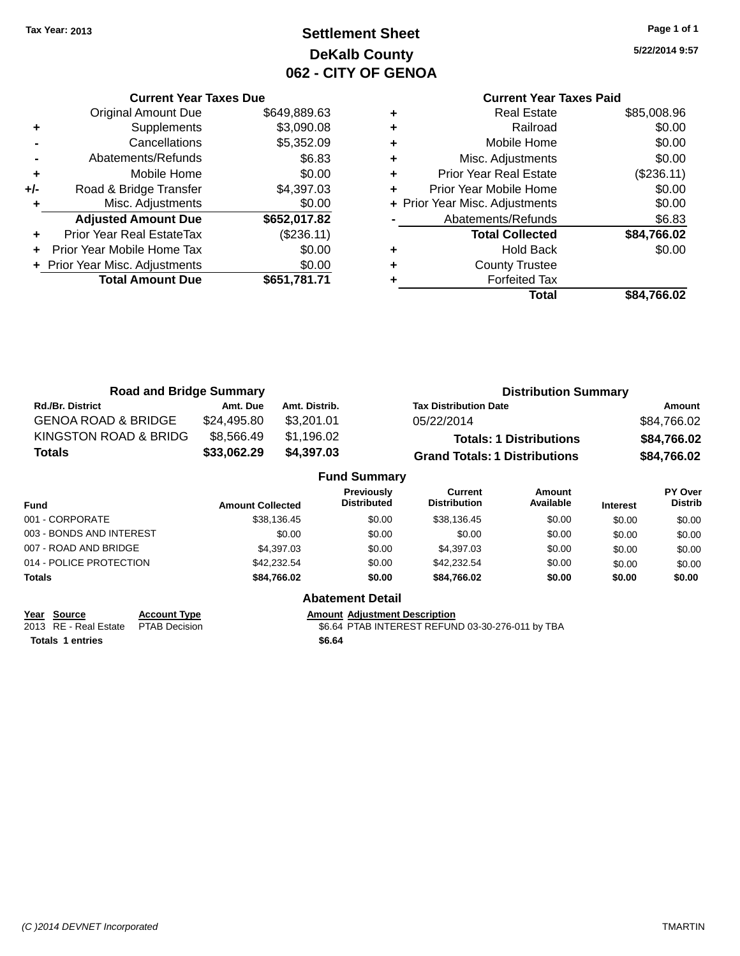# **Settlement Sheet Tax Year: 2013 Page 1 of 1 DeKalb County 062 - CITY OF GENOA**

**5/22/2014 9:57**

|     | <b>Current Year Taxes Due</b>  |              |  |  |  |
|-----|--------------------------------|--------------|--|--|--|
|     | <b>Original Amount Due</b>     | \$649,889.63 |  |  |  |
| ٠   | Supplements                    | \$3,090.08   |  |  |  |
|     | Cancellations                  | \$5,352.09   |  |  |  |
|     | Abatements/Refunds             | \$6.83       |  |  |  |
| ٠   | Mobile Home                    | \$0.00       |  |  |  |
| +/- | Road & Bridge Transfer         | \$4,397.03   |  |  |  |
|     | Misc. Adjustments              | \$0.00       |  |  |  |
|     | <b>Adjusted Amount Due</b>     | \$652,017.82 |  |  |  |
| ٠   | Prior Year Real EstateTax      | (\$236.11)   |  |  |  |
|     | Prior Year Mobile Home Tax     | \$0.00       |  |  |  |
|     | + Prior Year Misc. Adjustments | \$0.00       |  |  |  |
|     | <b>Total Amount Due</b>        | \$651,781.71 |  |  |  |
|     |                                |              |  |  |  |

### **Current Year Taxes Paid +** Real Estate \$85,008.96

|   | Total                          | \$84,766.02   |
|---|--------------------------------|---------------|
|   | <b>Forfeited Tax</b>           |               |
|   | <b>County Trustee</b>          |               |
|   | <b>Hold Back</b>               | \$0.00        |
|   | <b>Total Collected</b>         | \$84,766.02   |
|   | Abatements/Refunds             | \$6.83        |
|   | + Prior Year Misc. Adjustments | \$0.00        |
|   | Prior Year Mobile Home         | \$0.00        |
| ٠ | <b>Prior Year Real Estate</b>  | (\$236.11)    |
| ٠ | Misc. Adjustments              | \$0.00        |
| ÷ | Mobile Home                    | \$0.00        |
| ÷ | Railroad                       | \$0.00        |
|   |                                | v, v, v, v, v |

| <b>Road and Bridge Summary</b> |             |               | <b>Distribution Summary</b>          |             |  |
|--------------------------------|-------------|---------------|--------------------------------------|-------------|--|
| <b>Rd./Br. District</b>        | Amt. Due    | Amt. Distrib. | <b>Tax Distribution Date</b>         | Amount      |  |
| <b>GENOA ROAD &amp; BRIDGE</b> | \$24.495.80 | \$3.201.01    | 05/22/2014                           | \$84,766.02 |  |
| KINGSTON ROAD & BRIDG          | \$8.566.49  | \$1,196.02    | <b>Totals: 1 Distributions</b>       | \$84,766.02 |  |
| <b>Totals</b>                  | \$33,062.29 | \$4,397.03    | <b>Grand Totals: 1 Distributions</b> | \$84,766.02 |  |

#### **Fund Summary Fund Interest Amount Collected Distributed PY Over Distrib Amount Available Current Distribution Previously** 001 - CORPORATE \$38,136.45 \$0.00 \$38,136.45 \$0.00 \$0.00 \$0.00 003 - BONDS AND INTEREST  $$0.00$  \$0.00 \$0.00 \$0.00 \$0.00 \$0.00 \$0.00 \$0.00 007 - ROAD AND BRIDGE \$4,397.03 \$1,397.03 \$0.00 \$4,397.03 \$0.00 \$0.00 \$0.00 \$0.00 014 - POLICE PROTECTION \$42,232.54 \$0.00 \$42,232.54 \$0.00 \$0.00 \$0.00 \$0.00 **Totals \$84,766.02 \$0.00 \$84,766.02 \$0.00 \$0.00 \$0.00 Abatement Detail**

| Year Source                         | <b>Account Type</b> |        | <b>Amount Adjustment Description</b> |
|-------------------------------------|---------------------|--------|--------------------------------------|
| 2013 RE - Real Estate PTAB Decision |                     |        | \$6.64 PTAB INTEREST REFUN           |
| <b>Totals 1 entries</b>             |                     | \$6.64 |                                      |

\$6.64 PTAB INTEREST REFUND 03-30-276-011 by TBA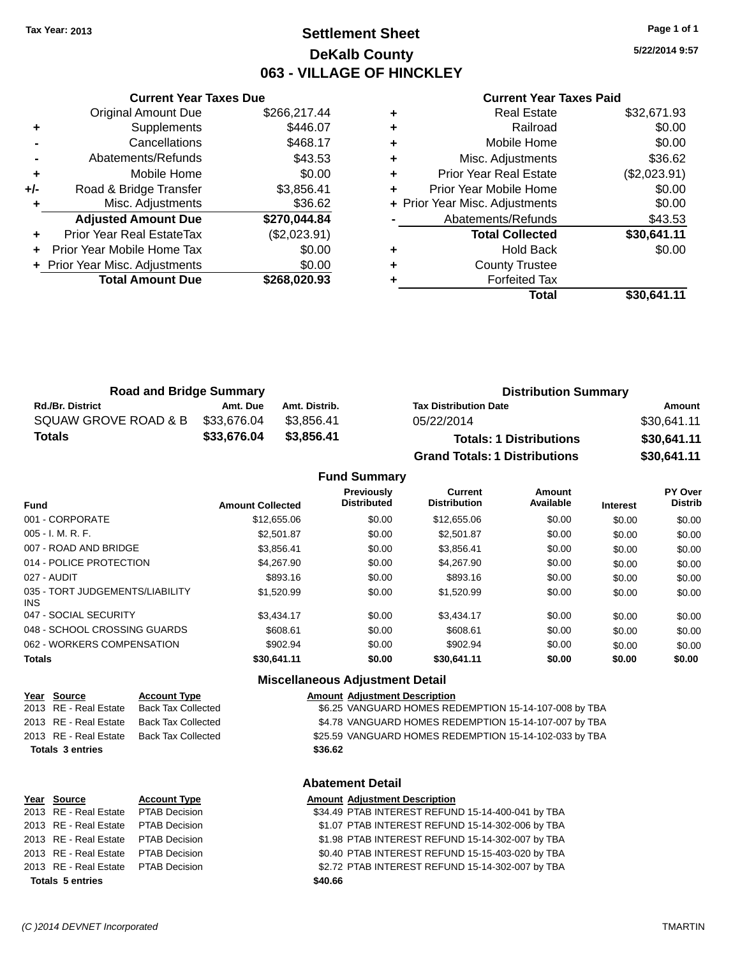### **Settlement Sheet Tax Year: 2013 Page 1 of 1 DeKalb County 063 - VILLAGE OF HINCKLEY**

**5/22/2014 9:57**

#### **Current Year Taxes Paid**

|     | <b>Original Amount Due</b>     | \$266,217.44 |
|-----|--------------------------------|--------------|
| ٠   | Supplements                    | \$446.07     |
|     | Cancellations                  | \$468.17     |
|     | Abatements/Refunds             | \$43.53      |
| ٠   | Mobile Home                    | \$0.00       |
| +/- | Road & Bridge Transfer         | \$3,856.41   |
| ٠   | Misc. Adjustments              | \$36.62      |
|     | <b>Adjusted Amount Due</b>     | \$270,044.84 |
| ٠   | Prior Year Real EstateTax      | (\$2,023.91) |
| ٠   | Prior Year Mobile Home Tax     | \$0.00       |
|     | + Prior Year Misc. Adjustments | \$0.00       |
|     | <b>Total Amount Due</b>        | \$268,020.93 |
|     |                                |              |

**Current Year Taxes Due**

| ٠ | <b>Real Estate</b>             | \$32,671.93  |
|---|--------------------------------|--------------|
| ٠ | Railroad                       | \$0.00       |
| ٠ | Mobile Home                    | \$0.00       |
| ٠ | Misc. Adjustments              | \$36.62      |
| ٠ | <b>Prior Year Real Estate</b>  | (\$2,023.91) |
| ٠ | Prior Year Mobile Home         | \$0.00       |
|   | + Prior Year Misc. Adjustments | \$0.00       |
|   | Abatements/Refunds             | \$43.53      |
|   | <b>Total Collected</b>         | \$30,641.11  |
| ٠ | <b>Hold Back</b>               | \$0.00       |
| ٠ | <b>County Trustee</b>          |              |
| ٠ | <b>Forfeited Tax</b>           |              |
|   | Total                          | \$30,641.11  |
|   |                                |              |

| <b>Road and Bridge Summary</b> |             |               | <b>Distribution Summary</b>          |             |  |
|--------------------------------|-------------|---------------|--------------------------------------|-------------|--|
| <b>Rd./Br. District</b>        | Amt. Due    | Amt. Distrib. | <b>Tax Distribution Date</b>         | Amount      |  |
| SQUAW GROVE ROAD & B           | \$33,676.04 | \$3.856.41    | 05/22/2014                           | \$30,641.11 |  |
| <b>Totals</b>                  | \$33,676.04 | \$3,856,41    | <b>Totals: 1 Distributions</b>       | \$30,641.11 |  |
|                                |             |               | <b>Grand Totals: 1 Distributions</b> | \$30,641.11 |  |

#### **Fund Summary Fund Interest Amount Collected Distributed PY Over Distrib Amount Available Current Distribution Previously** 001 - CORPORATE \$12,655.06 \$0.00 \$12,655.06 \$0.00 \$0.00 \$0.00 005 - I. M. R. F. \$2,501.87 \$0.00 \$2,501.87 \$0.00 \$0.00 \$0.00 007 - ROAD AND BRIDGE 60.00 \$3,856.41 \$0.00 \$3,856.41 \$0.00 \$0.00 \$0.00 \$0.00 \$0.00 014 - POLICE PROTECTION 64,267.90 \$1,267.90 \$0.00 \$4,267.90 \$0.00 \$0.00 \$0.00 \$0.00 027 - AUDIT \$893.16 \$0.00 \$893.16 \$0.00 \$0.00 \$0.00 035 - TORT JUDGEMENTS/LIABILITY INS \$1,520.99 \$0.00 \$1,520.99 \$0.00 \$0.00 \$0.00 047 - SOCIAL SECURITY \$3,434.17 \$0.00 \$0.00 \$0.00 \$0.00 \$0.00 \$0.00 048 - SCHOOL CROSSING GUARDS \$608.61 \$0.00 \$608.61 \$0.00 \$0.00 \$0.00 062 - WORKERS COMPENSATION \$902.94 \$0.00 \$902.94 \$0.00 \$0.00 \$0.00 \$0.00 \$0.00 **Totals \$30,641.11 \$0.00 \$30,641.11 \$0.00 \$0.00 \$0.00**

#### **Miscellaneous Adjustment Detail**

**Abatement Detail**

| Year Source           | <b>Account Type</b>                      | <b>Amount Adjustment Description</b> |
|-----------------------|------------------------------------------|--------------------------------------|
| 2013 RE - Real Estate | Back Tax Collected                       | \$6.25 VANGUARD HOMES REI            |
|                       | 2013 RE - Real Estate Back Tax Collected | \$4.78 VANGUARD HOMES REI            |
|                       | 2013 RE - Real Estate Back Tax Collected | \$25.59 VANGUARD HOMES REI           |

#### 2013 RE - Real Estate Back Tax Collected \$6.25 VANGUARD HOMES REDEMPTION 15-14-107-008 by TBA 2013 RE - Real Estate Back Tax Collected \$4.78 VANGUARD HOMES REDEMPTION 15-14-107-007 by TBA 2013 RE - Real Estate Back Tax Collected \$25.59 VANGUARD HOMES REDEMPTION 15-14-102-033 by TBA **Totals 3 entries \$36.62**

# **Year Source Account Type Amount Adjustment Description Totals 5 entries \$40.66**

2013 RE - Real Estate PTAB Decision \$34.49 PTAB INTEREST REFUND 15-14-400-041 by TBA 2013 RE - Real Estate PTAB Decision \$1.07 PTAB INTEREST REFUND 15-14-302-006 by TBA 2013 RE - Real Estate PTAB Decision \$1.98 PTAB INTEREST REFUND 15-14-302-007 by TBA 2013 RE - Real Estate PTAB Decision \$0.40 PTAB INTEREST REFUND 15-15-403-020 by TBA 2013 RE - Real Estate PTAB Decision \$2.72 PTAB INTEREST REFUND 15-14-302-007 by TBA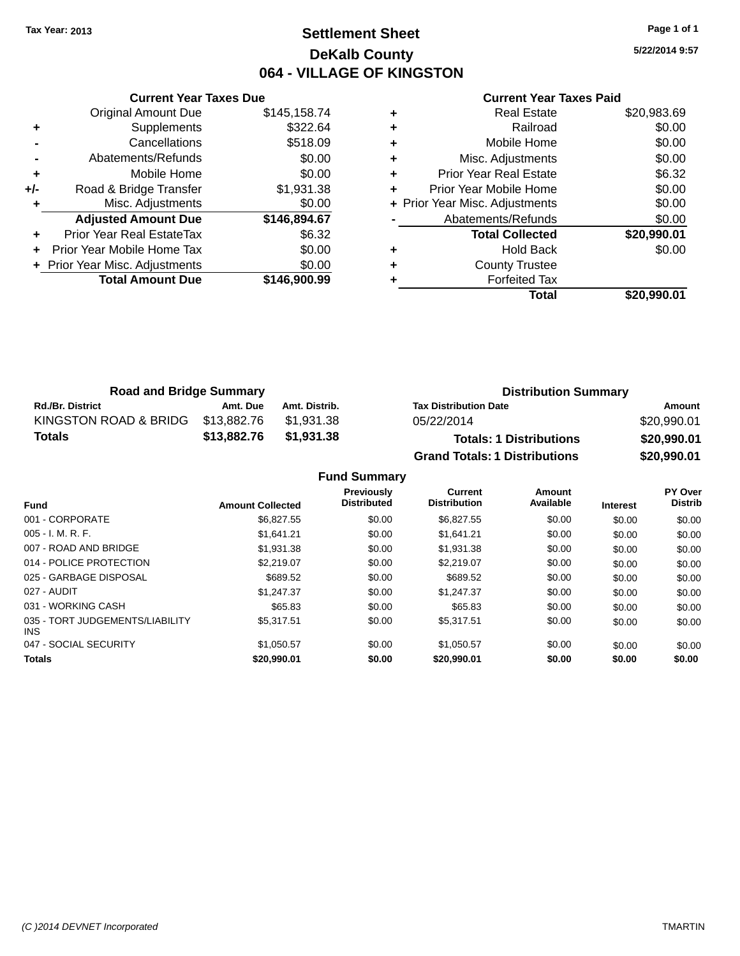### **Settlement Sheet Tax Year: 2013 Page 1 of 1 DeKalb County 064 - VILLAGE OF KINGSTON**

**5/22/2014 9:57**

| <b>Current Year Taxes Paid</b> |  |  |  |
|--------------------------------|--|--|--|
|--------------------------------|--|--|--|

|     | <b>Current Year Taxes Due</b>  |              |
|-----|--------------------------------|--------------|
|     | <b>Original Amount Due</b>     | \$145,158.74 |
| ٠   | Supplements                    | \$322.64     |
|     | Cancellations                  | \$518.09     |
|     | Abatements/Refunds             | \$0.00       |
| ٠   | Mobile Home                    | \$0.00       |
| +/- | Road & Bridge Transfer         | \$1,931.38   |
| ٠   | Misc. Adjustments              | \$0.00       |
|     | <b>Adjusted Amount Due</b>     | \$146,894.67 |
| ٠   | Prior Year Real EstateTax      | \$6.32       |
|     | Prior Year Mobile Home Tax     | \$0.00       |
|     | + Prior Year Misc. Adjustments | \$0.00       |
|     | <b>Total Amount Due</b>        | \$146,900.99 |
|     |                                |              |

| ٠ | <b>Real Estate</b>             | \$20,983.69 |
|---|--------------------------------|-------------|
| ٠ | Railroad                       | \$0.00      |
| ٠ | Mobile Home                    | \$0.00      |
| ٠ | Misc. Adjustments              | \$0.00      |
| ٠ | Prior Year Real Estate         | \$6.32      |
| ٠ | Prior Year Mobile Home         | \$0.00      |
|   | + Prior Year Misc. Adjustments | \$0.00      |
|   | Abatements/Refunds             | \$0.00      |
|   | <b>Total Collected</b>         | \$20,990.01 |
| ٠ | <b>Hold Back</b>               | \$0.00      |
| ٠ | <b>County Trustee</b>          |             |
|   | <b>Forfeited Tax</b>           |             |
|   | Total                          | \$20.990.01 |

| <b>Road and Bridge Summary</b> |             |               | <b>Distribution Summary</b>          |             |  |  |
|--------------------------------|-------------|---------------|--------------------------------------|-------------|--|--|
| <b>Rd./Br. District</b>        | Amt. Due    | Amt. Distrib. | <b>Tax Distribution Date</b>         | Amount      |  |  |
| KINGSTON ROAD & BRIDG          | \$13.882.76 | \$1.931.38    | 05/22/2014                           | \$20,990.01 |  |  |
| Totals                         | \$13.882.76 | \$1,931.38    | <b>Totals: 1 Distributions</b>       | \$20,990.01 |  |  |
|                                |             |               | <b>Grand Totals: 1 Distributions</b> | \$20,990.01 |  |  |

**Fund Summary**

| <b>Fund</b>                             | <b>Amount Collected</b> | Previously<br><b>Distributed</b> | Current<br><b>Distribution</b> | Amount<br>Available | <b>Interest</b> | <b>PY Over</b><br><b>Distrib</b> |
|-----------------------------------------|-------------------------|----------------------------------|--------------------------------|---------------------|-----------------|----------------------------------|
| 001 - CORPORATE                         | \$6,827.55              | \$0.00                           | \$6,827.55                     | \$0.00              | \$0.00          | \$0.00                           |
| $005 - I. M. R. F.$                     | \$1,641.21              | \$0.00                           | \$1,641.21                     | \$0.00              | \$0.00          | \$0.00                           |
| 007 - ROAD AND BRIDGE                   | \$1,931.38              | \$0.00                           | \$1.931.38                     | \$0.00              | \$0.00          | \$0.00                           |
| 014 - POLICE PROTECTION                 | \$2,219.07              | \$0.00                           | \$2,219.07                     | \$0.00              | \$0.00          | \$0.00                           |
| 025 - GARBAGE DISPOSAL                  | \$689.52                | \$0.00                           | \$689.52                       | \$0.00              | \$0.00          | \$0.00                           |
| 027 - AUDIT                             | \$1.247.37              | \$0.00                           | \$1.247.37                     | \$0.00              | \$0.00          | \$0.00                           |
| 031 - WORKING CASH                      | \$65.83                 | \$0.00                           | \$65.83                        | \$0.00              | \$0.00          | \$0.00                           |
| 035 - TORT JUDGEMENTS/LIABILITY<br>INS. | \$5.317.51              | \$0.00                           | \$5,317.51                     | \$0.00              | \$0.00          | \$0.00                           |
| 047 - SOCIAL SECURITY                   | \$1.050.57              | \$0.00                           | \$1.050.57                     | \$0.00              | \$0.00          | \$0.00                           |
| <b>Totals</b>                           | \$20,990.01             | \$0.00                           | \$20,990.01                    | \$0.00              | \$0.00          | \$0.00                           |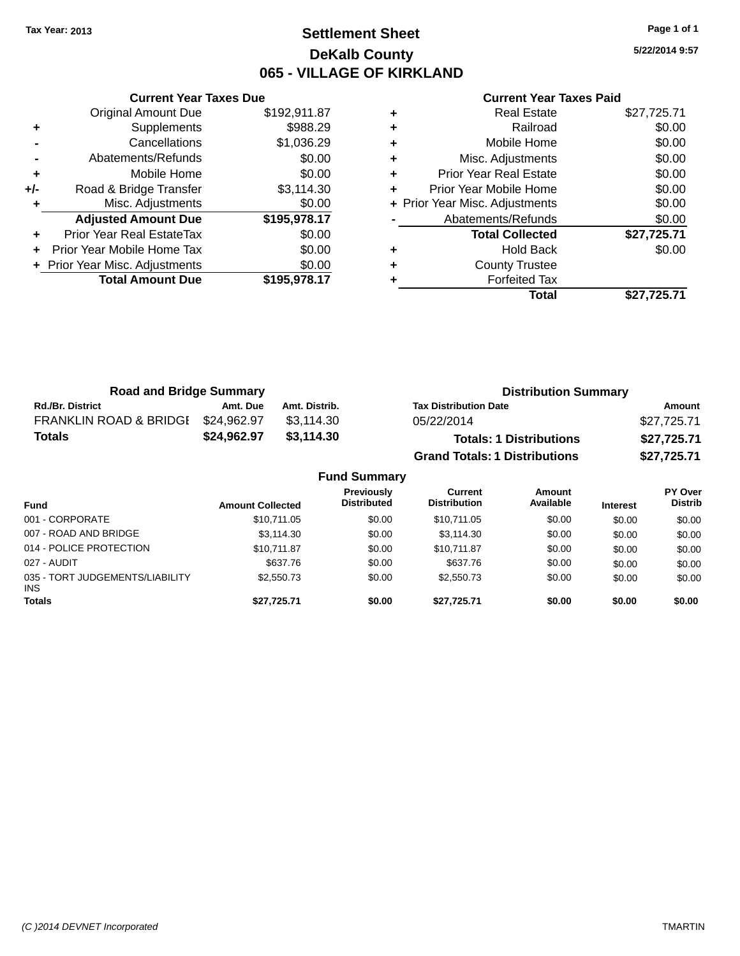### **Settlement Sheet Tax Year: 2013 Page 1 of 1 DeKalb County 065 - VILLAGE OF KIRKLAND**

**5/22/2014 9:57**

|     | <b>Current Year Taxes Due</b>  |              |
|-----|--------------------------------|--------------|
|     | <b>Original Amount Due</b>     | \$192,911.87 |
| ٠   | Supplements                    | \$988.29     |
|     | Cancellations                  | \$1,036.29   |
|     | Abatements/Refunds             | \$0.00       |
| ٠   | Mobile Home                    | \$0.00       |
| +/- | Road & Bridge Transfer         | \$3,114.30   |
|     | Misc. Adjustments              | \$0.00       |
|     | <b>Adjusted Amount Due</b>     | \$195,978.17 |
| ٠   | Prior Year Real EstateTax      | \$0.00       |
|     | Prior Year Mobile Home Tax     | \$0.00       |
|     | + Prior Year Misc. Adjustments | \$0.00       |
|     | <b>Total Amount Due</b>        | \$195,978.17 |
|     |                                |              |

|   | <b>Real Estate</b>             | \$27,725.71 |
|---|--------------------------------|-------------|
| ٠ | Railroad                       | \$0.00      |
| ٠ | Mobile Home                    | \$0.00      |
| ٠ | Misc. Adjustments              | \$0.00      |
| ٠ | <b>Prior Year Real Estate</b>  | \$0.00      |
|   | Prior Year Mobile Home         | \$0.00      |
|   | + Prior Year Misc. Adjustments | \$0.00      |
|   | Abatements/Refunds             | \$0.00      |
|   | <b>Total Collected</b>         | \$27,725.71 |
| ٠ | <b>Hold Back</b>               | \$0.00      |
| ٠ | <b>County Trustee</b>          |             |
| ٠ | <b>Forfeited Tax</b>           |             |
|   | Total                          | \$27,725.71 |
|   |                                |             |

| <b>Road and Bridge Summary</b>    |             |               | <b>Distribution Summary</b>          |             |  |  |
|-----------------------------------|-------------|---------------|--------------------------------------|-------------|--|--|
| <b>Rd./Br. District</b>           | Amt. Due    | Amt. Distrib. | <b>Tax Distribution Date</b>         | Amount      |  |  |
| <b>FRANKLIN ROAD &amp; BRIDGE</b> | \$24,962.97 | \$3.114.30    | 05/22/2014                           | \$27,725.71 |  |  |
| <b>Totals</b>                     | \$24,962.97 | \$3.114.30    | <b>Totals: 1 Distributions</b>       | \$27,725.71 |  |  |
|                                   |             |               | <b>Grand Totals: 1 Distributions</b> | \$27,725.71 |  |  |

| <b>Fund Summary</b>                     |                         |                                         |                                |                     |                 |                                  |
|-----------------------------------------|-------------------------|-----------------------------------------|--------------------------------|---------------------|-----------------|----------------------------------|
| <b>Fund</b>                             | <b>Amount Collected</b> | <b>Previously</b><br><b>Distributed</b> | Current<br><b>Distribution</b> | Amount<br>Available | <b>Interest</b> | <b>PY Over</b><br><b>Distrib</b> |
| 001 - CORPORATE                         | \$10,711.05             | \$0.00                                  | \$10,711.05                    | \$0.00              | \$0.00          | \$0.00                           |
| 007 - ROAD AND BRIDGE                   | \$3,114.30              | \$0.00                                  | \$3.114.30                     | \$0.00              | \$0.00          | \$0.00                           |
| 014 - POLICE PROTECTION                 | \$10.711.87             | \$0.00                                  | \$10,711.87                    | \$0.00              | \$0.00          | \$0.00                           |
| 027 - AUDIT                             | \$637.76                | \$0.00                                  | \$637.76                       | \$0.00              | \$0.00          | \$0.00                           |
| 035 - TORT JUDGEMENTS/LIABILITY<br>INS. | \$2,550.73              | \$0.00                                  | \$2,550.73                     | \$0.00              | \$0.00          | \$0.00                           |
| <b>Totals</b>                           | \$27,725.71             | \$0.00                                  | \$27,725.71                    | \$0.00              | \$0.00          | \$0.00                           |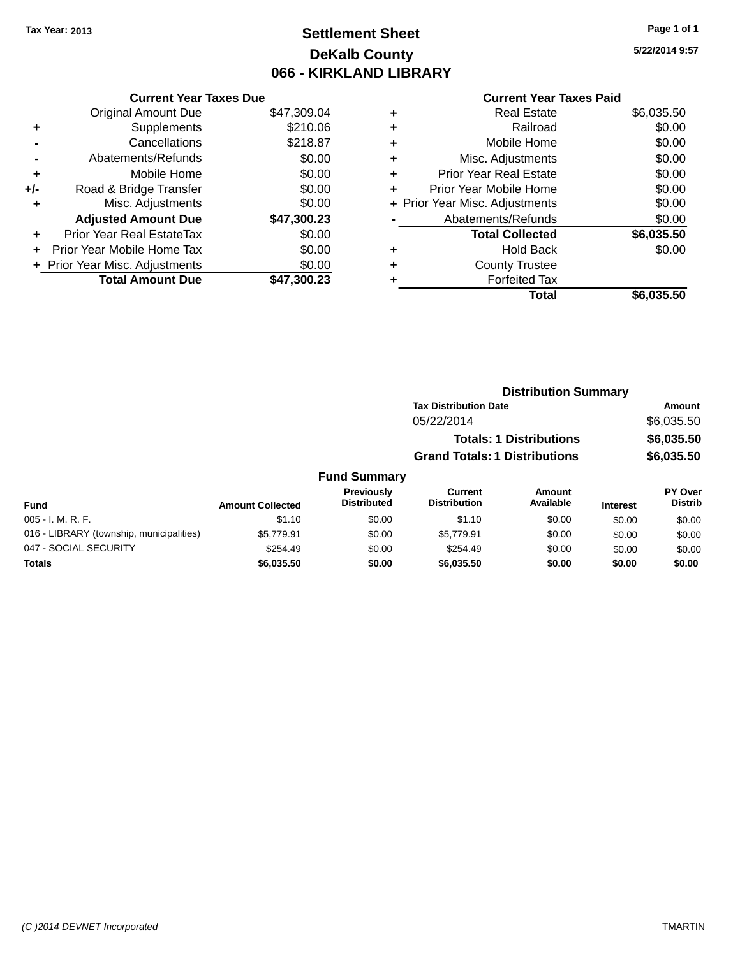# **Settlement Sheet Tax Year: 2013 Page 1 of 1 DeKalb County 066 - KIRKLAND LIBRARY**

### **Current Year Taxes Due**

|       | <b>Original Amount Due</b>       | \$47,309.04 |
|-------|----------------------------------|-------------|
| ٠     | Supplements                      | \$210.06    |
|       | Cancellations                    | \$218.87    |
|       | Abatements/Refunds               | \$0.00      |
| ٠     | Mobile Home                      | \$0.00      |
| $+/-$ | Road & Bridge Transfer           | \$0.00      |
| ٠     | Misc. Adjustments                | \$0.00      |
|       | <b>Adjusted Amount Due</b>       | \$47,300.23 |
|       | <b>Prior Year Real EstateTax</b> | \$0.00      |
|       | Prior Year Mobile Home Tax       | \$0.00      |
|       | + Prior Year Misc. Adjustments   | \$0.00      |
|       | <b>Total Amount Due</b>          | \$47.300.23 |

### **Current Year Taxes Paid**

|   | <b>Real Estate</b>             | \$6,035.50 |
|---|--------------------------------|------------|
| ÷ | Railroad                       | \$0.00     |
| ٠ | Mobile Home                    | \$0.00     |
| ٠ | Misc. Adjustments              | \$0.00     |
| ٠ | <b>Prior Year Real Estate</b>  | \$0.00     |
| ٠ | Prior Year Mobile Home         | \$0.00     |
|   | + Prior Year Misc. Adjustments | \$0.00     |
|   | Abatements/Refunds             | \$0.00     |
|   | <b>Total Collected</b>         | \$6,035.50 |
| ٠ | <b>Hold Back</b>               | \$0.00     |
|   | <b>County Trustee</b>          |            |
|   | <b>Forfeited Tax</b>           |            |
|   | Total                          | \$6,035.50 |
|   |                                |            |

| <b>Distribution Summary</b>          |            |
|--------------------------------------|------------|
| <b>Tax Distribution Date</b>         | Amount     |
| 05/22/2014                           | \$6,035.50 |
| <b>Totals: 1 Distributions</b>       | \$6,035.50 |
| <b>Grand Totals: 1 Distributions</b> | \$6,035.50 |
|                                      |            |

### **Fund Summary**

| Fund                                     | <b>Amount Collected</b> | Previously<br><b>Distributed</b> | Current<br><b>Distribution</b> | Amount<br>Available | <b>Interest</b> | <b>PY Over</b><br><b>Distrib</b> |
|------------------------------------------|-------------------------|----------------------------------|--------------------------------|---------------------|-----------------|----------------------------------|
| 005 - I. M. R. F.                        | \$1.10                  | \$0.00                           | \$1.10                         | \$0.00              | \$0.00          | \$0.00                           |
| 016 - LIBRARY (township, municipalities) | \$5.779.91              | \$0.00                           | \$5,779.91                     | \$0.00              | \$0.00          | \$0.00                           |
| 047 - SOCIAL SECURITY                    | \$254.49                | \$0.00                           | \$254.49                       | \$0.00              | \$0.00          | \$0.00                           |
| <b>Totals</b>                            | \$6,035.50              | \$0.00                           | \$6,035,50                     | \$0.00              | \$0.00          | \$0.00                           |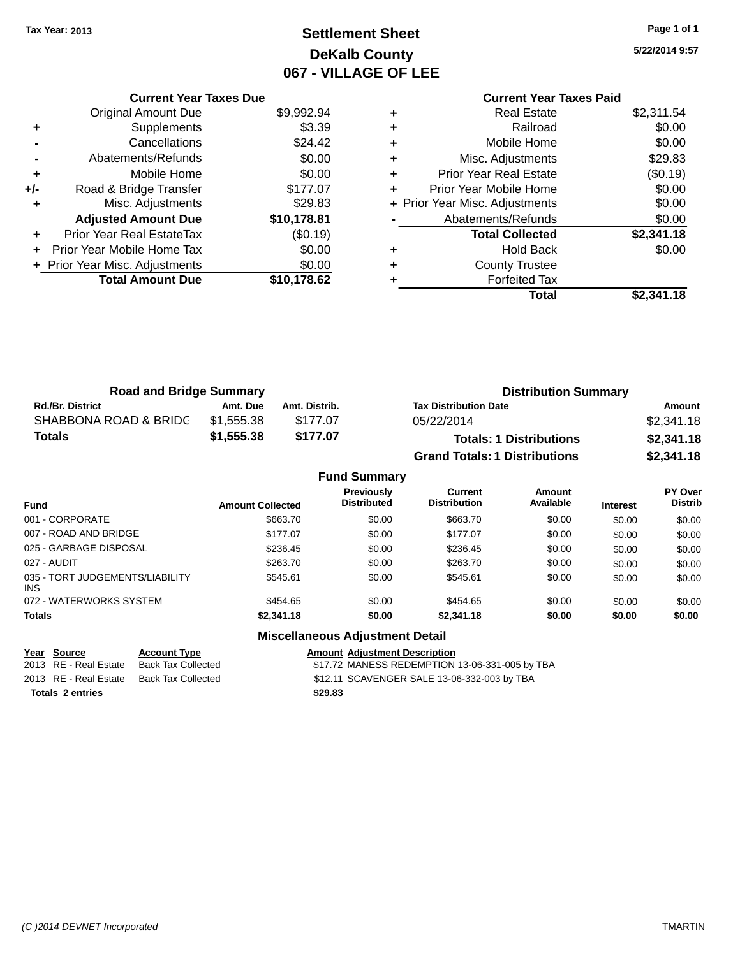# **Settlement Sheet Tax Year: 2013 Page 1 of 1 DeKalb County 067 - VILLAGE OF LEE**

**5/22/2014 9:57**

|     | <b>Current Year Taxes Due</b>  |             |  |
|-----|--------------------------------|-------------|--|
|     | <b>Original Amount Due</b>     | \$9,992.94  |  |
| ٠   | Supplements                    | \$3.39      |  |
|     | Cancellations                  | \$24.42     |  |
|     | Abatements/Refunds             | \$0.00      |  |
| ٠   | Mobile Home                    | \$0.00      |  |
| +/- | Road & Bridge Transfer         | \$177.07    |  |
| ٠   | Misc. Adjustments              | \$29.83     |  |
|     | <b>Adjusted Amount Due</b>     | \$10,178.81 |  |
| ٠   | Prior Year Real EstateTax      | (\$0.19)    |  |
| ÷   | Prior Year Mobile Home Tax     | \$0.00      |  |
|     | + Prior Year Misc. Adjustments | \$0.00      |  |
|     | <b>Total Amount Due</b>        | \$10,178.62 |  |

|   | <b>Current Year Taxes Paid</b> |            |
|---|--------------------------------|------------|
| ٠ | <b>Real Estate</b>             | \$2,311.54 |
| ٠ | Railroad                       | \$0.00     |
| ٠ | Mobile Home                    | \$0.00     |
| ٠ | Misc. Adjustments              | \$29.83    |
| ٠ | Prior Year Real Estate         | (\$0.19)   |
| ٠ | Prior Year Mobile Home         | \$0.00     |
|   | + Prior Year Misc. Adjustments | \$0.00     |
|   | Abatements/Refunds             | \$0.00     |
|   | <b>Total Collected</b>         | \$2,341.18 |
| ٠ | <b>Hold Back</b>               | \$0.00     |
|   | <b>County Trustee</b>          |            |
|   | <b>Forfeited Tax</b>           |            |
|   | Total                          | \$2,341.18 |
|   |                                |            |

| <b>Road and Bridge Summary</b> |            |               | <b>Distribution Summary</b>          |            |  |
|--------------------------------|------------|---------------|--------------------------------------|------------|--|
| <b>Rd./Br. District</b>        | Amt. Due   | Amt. Distrib. | <b>Tax Distribution Date</b>         | Amount     |  |
| SHABBONA ROAD & BRIDC          | \$1.555.38 | \$177.07      | 05/22/2014                           | \$2,341.18 |  |
| Totals                         | \$1,555.38 | \$177.07      | <b>Totals: 1 Distributions</b>       | \$2,341.18 |  |
|                                |            |               | <b>Grand Totals: 1 Distributions</b> | \$2,341.18 |  |

|                                         |                         | <b>Fund Summary</b>                     |                                |                     |                 |                                  |
|-----------------------------------------|-------------------------|-----------------------------------------|--------------------------------|---------------------|-----------------|----------------------------------|
| <b>Fund</b>                             | <b>Amount Collected</b> | <b>Previously</b><br><b>Distributed</b> | Current<br><b>Distribution</b> | Amount<br>Available | <b>Interest</b> | <b>PY Over</b><br><b>Distrib</b> |
| 001 - CORPORATE                         | \$663.70                | \$0.00                                  | \$663.70                       | \$0.00              | \$0.00          | \$0.00                           |
| 007 - ROAD AND BRIDGE                   | \$177.07                | \$0.00                                  | \$177.07                       | \$0.00              | \$0.00          | \$0.00                           |
| 025 - GARBAGE DISPOSAL                  | \$236.45                | \$0.00                                  | \$236.45                       | \$0.00              | \$0.00          | \$0.00                           |
| 027 - AUDIT                             | \$263.70                | \$0.00                                  | \$263.70                       | \$0.00              | \$0.00          | \$0.00                           |
| 035 - TORT JUDGEMENTS/LIABILITY<br>INS. | \$545.61                | \$0.00                                  | \$545.61                       | \$0.00              | \$0.00          | \$0.00                           |
| 072 - WATERWORKS SYSTEM                 | \$454.65                | \$0.00                                  | \$454.65                       | \$0.00              | \$0.00          | \$0.00                           |
| <b>Totals</b>                           | \$2,341.18              | \$0.00                                  | \$2,341.18                     | \$0.00              | \$0.00          | \$0.00                           |

**Miscellaneous Adjustment Detail**

**Year Source Account Type Amount Adjustment Description**  $$17.72$  MANESS REDEMPTION 13-06-331-005 by TBA 2013 RE - Real Estate Back Tax Collected \$12.11 SCAVENGER SALE 13-06-332-003 by TBA **Totals 2 entries \$29.83**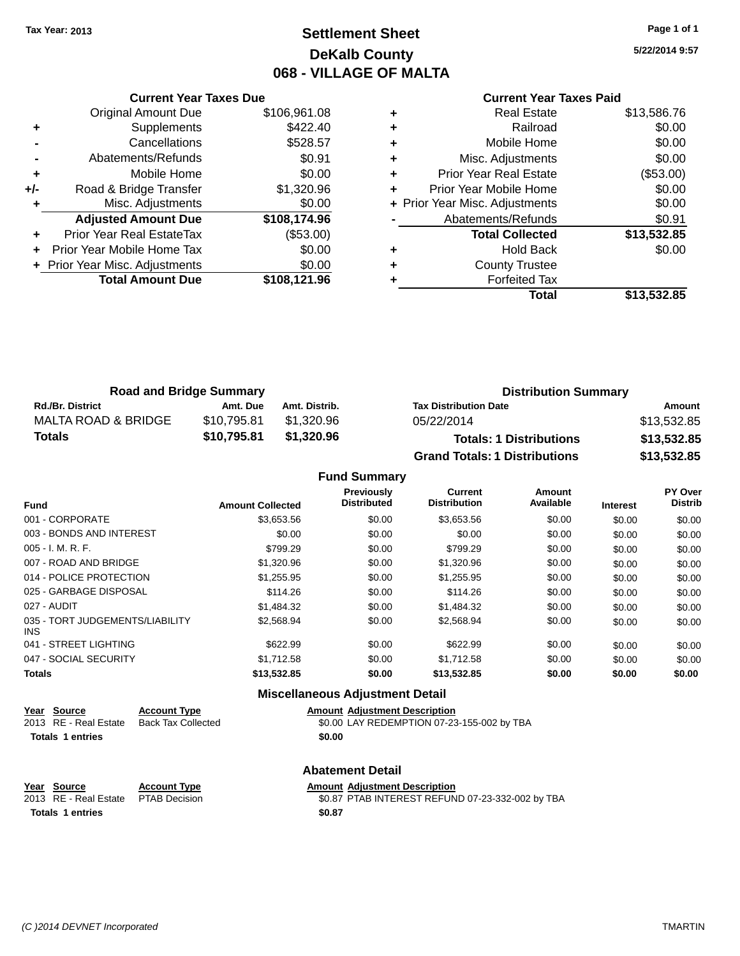# **Settlement Sheet Tax Year: 2013 Page 1 of 1 DeKalb County 068 - VILLAGE OF MALTA**

**5/22/2014 9:57**

|  |  | <b>Current Year Taxes Paid</b> |  |
|--|--|--------------------------------|--|
|  |  |                                |  |

|     | <b>Current Year Taxes Due</b>  |              |
|-----|--------------------------------|--------------|
|     | <b>Original Amount Due</b>     | \$106,961.08 |
| ٠   | Supplements                    | \$422.40     |
|     | Cancellations                  | \$528.57     |
|     | Abatements/Refunds             | \$0.91       |
| ÷   | Mobile Home                    | \$0.00       |
| +/- | Road & Bridge Transfer         | \$1,320.96   |
|     | Misc. Adjustments              | \$0.00       |
|     | <b>Adjusted Amount Due</b>     | \$108,174.96 |
|     | Prior Year Real EstateTax      | (\$53.00)    |
|     | Prior Year Mobile Home Tax     | \$0.00       |
|     | + Prior Year Misc. Adjustments | \$0.00       |
|     | <b>Total Amount Due</b>        | \$108,121.96 |
|     |                                |              |

|   | <b>Real Estate</b>             | \$13,586.76 |
|---|--------------------------------|-------------|
| ٠ | Railroad                       | \$0.00      |
| ٠ | Mobile Home                    | \$0.00      |
| ٠ | Misc. Adjustments              | \$0.00      |
| ٠ | <b>Prior Year Real Estate</b>  | (\$53.00)   |
| ٠ | Prior Year Mobile Home         | \$0.00      |
|   | + Prior Year Misc. Adjustments | \$0.00      |
|   | Abatements/Refunds             | \$0.91      |
|   | <b>Total Collected</b>         | \$13,532.85 |
| ٠ | <b>Hold Back</b>               | \$0.00      |
|   | <b>County Trustee</b>          |             |
|   | <b>Forfeited Tax</b>           |             |
|   | Total                          | \$13,532.85 |

| <b>Road and Bridge Summary</b> |             |               | <b>Distribution Summary</b>          |             |  |
|--------------------------------|-------------|---------------|--------------------------------------|-------------|--|
| <b>Rd./Br. District</b>        | Amt. Due    | Amt. Distrib. | <b>Tax Distribution Date</b>         | Amount      |  |
| MALTA ROAD & BRIDGE            | \$10.795.81 | \$1.320.96    | 05/22/2014                           | \$13,532.85 |  |
| <b>Totals</b>                  | \$10,795.81 | \$1,320.96    | <b>Totals: 1 Distributions</b>       | \$13,532.85 |  |
|                                |             |               | <b>Grand Totals: 1 Distributions</b> | \$13,532.85 |  |

#### **Fund Summary**

| <b>Amount Collected</b> | <b>Previously</b><br><b>Distributed</b> | Current<br><b>Distribution</b> | Amount<br>Available | <b>Interest</b> | PY Over<br><b>Distrib</b> |
|-------------------------|-----------------------------------------|--------------------------------|---------------------|-----------------|---------------------------|
| \$3,653.56              | \$0.00                                  | \$3,653.56                     | \$0.00              | \$0.00          | \$0.00                    |
| \$0.00                  | \$0.00                                  | \$0.00                         | \$0.00              | \$0.00          | \$0.00                    |
| \$799.29                | \$0.00                                  | \$799.29                       | \$0.00              | \$0.00          | \$0.00                    |
| \$1,320.96              | \$0.00                                  | \$1,320.96                     | \$0.00              | \$0.00          | \$0.00                    |
| \$1,255.95              | \$0.00                                  | \$1,255.95                     | \$0.00              | \$0.00          | \$0.00                    |
| \$114.26                | \$0.00                                  | \$114.26                       | \$0.00              | \$0.00          | \$0.00                    |
| \$1,484.32              | \$0.00                                  | \$1,484.32                     | \$0.00              | \$0.00          | \$0.00                    |
| \$2,568.94              | \$0.00                                  | \$2,568.94                     | \$0.00              | \$0.00          | \$0.00                    |
| \$622.99                | \$0.00                                  | \$622.99                       | \$0.00              | \$0.00          | \$0.00                    |
| \$1.712.58              | \$0.00                                  | \$1.712.58                     | \$0.00              | \$0.00          | \$0.00                    |
| \$13,532.85             | \$0.00                                  | \$13,532.85                    | \$0.00              | \$0.00          | \$0.00                    |
|                         |                                         |                                |                     |                 |                           |

### **Miscellaneous Adjustment Detail**

| Year Source           | <b>Account Type</b>       | <b>Amount Adiustment Description</b>       |
|-----------------------|---------------------------|--------------------------------------------|
| 2013 RE - Real Estate | <b>Back Tax Collected</b> | \$0.00 LAY REDEMPTION 07-23-155-002 by TBA |
| Totals 1 entries      |                           | \$0.00                                     |

|                         |                     | , ,,,,,,,, |
|-------------------------|---------------------|------------|
| Year Source             | <b>Account Type</b> | Amount     |
| 2013 RE - Real Estate   | PTAB Decision       | \$0.87     |
| <b>Totals 1 entries</b> |                     | \$0.87     |

**Abatement Detail**

### **PE** *Amount Adjustment Description*

2013 **External Estate PTAB INTEREST REFUND 07-23-332-002 by TBA**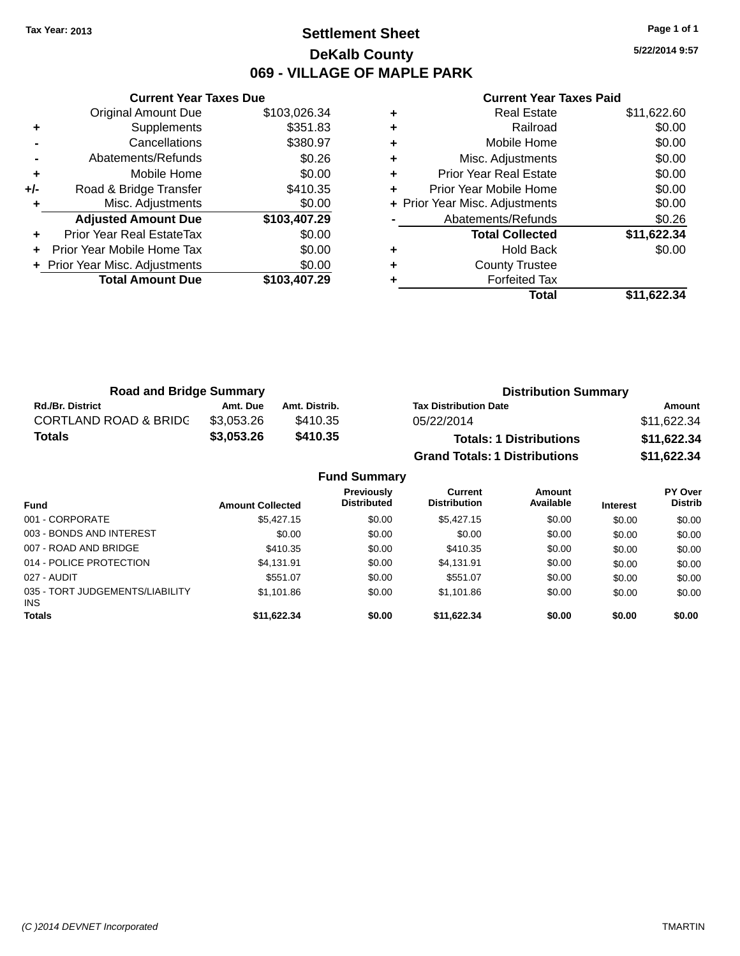### **Settlement Sheet Tax Year: 2013 Page 1 of 1 DeKalb County 069 - VILLAGE OF MAPLE PARK**

**5/22/2014 9:57**

|     | <b>Current Year Taxes Due</b> |              |
|-----|-------------------------------|--------------|
|     | <b>Original Amount Due</b>    | \$103,026.34 |
| ٠   | Supplements                   | \$351.83     |
|     | Cancellations                 | \$380.97     |
|     | Abatements/Refunds            | \$0.26       |
| ÷   | Mobile Home                   | \$0.00       |
| +/- | Road & Bridge Transfer        | \$410.35     |
|     | Misc. Adjustments             | \$0.00       |
|     | <b>Adjusted Amount Due</b>    | \$103,407.29 |
| ÷   | Prior Year Real EstateTax     | \$0.00       |
|     | Prior Year Mobile Home Tax    | \$0.00       |
|     | Prior Year Misc. Adjustments  | \$0.00       |
|     | <b>Total Amount Due</b>       | \$103,407.29 |
|     |                               |              |

|   | <b>Real Estate</b>             | \$11,622.60 |
|---|--------------------------------|-------------|
| ٠ | Railroad                       | \$0.00      |
| ٠ | Mobile Home                    | \$0.00      |
| ٠ | Misc. Adjustments              | \$0.00      |
| ٠ | <b>Prior Year Real Estate</b>  | \$0.00      |
| ٠ | Prior Year Mobile Home         | \$0.00      |
|   | + Prior Year Misc. Adjustments | \$0.00      |
|   | Abatements/Refunds             | \$0.26      |
|   | <b>Total Collected</b>         | \$11,622.34 |
| ٠ | <b>Hold Back</b>               | \$0.00      |
| ٠ | <b>County Trustee</b>          |             |
|   | <b>Forfeited Tax</b>           |             |
|   | Total                          | \$11,622.34 |

| <b>Road and Bridge Summary</b>   |            |               | <b>Distribution Summary</b>          |             |  |
|----------------------------------|------------|---------------|--------------------------------------|-------------|--|
| <b>Rd./Br. District</b>          | Amt. Due   | Amt. Distrib. | <b>Tax Distribution Date</b>         | Amount      |  |
| <b>CORTLAND ROAD &amp; BRIDC</b> | \$3.053.26 | \$410.35      | 05/22/2014                           | \$11,622.34 |  |
| <b>Totals</b>                    | \$3,053.26 | \$410.35      | <b>Totals: 1 Distributions</b>       | \$11,622.34 |  |
|                                  |            |               | <b>Grand Totals: 1 Distributions</b> | \$11,622.34 |  |

|                                         |                         | <b>Fund Summary</b>              |                                |                     |                 |                                  |
|-----------------------------------------|-------------------------|----------------------------------|--------------------------------|---------------------|-----------------|----------------------------------|
| <b>Fund</b>                             | <b>Amount Collected</b> | Previously<br><b>Distributed</b> | Current<br><b>Distribution</b> | Amount<br>Available | <b>Interest</b> | <b>PY Over</b><br><b>Distrib</b> |
| 001 - CORPORATE                         | \$5,427.15              | \$0.00                           | \$5,427.15                     | \$0.00              | \$0.00          | \$0.00                           |
| 003 - BONDS AND INTEREST                | \$0.00                  | \$0.00                           | \$0.00                         | \$0.00              | \$0.00          | \$0.00                           |
| 007 - ROAD AND BRIDGE                   | \$410.35                | \$0.00                           | \$410.35                       | \$0.00              | \$0.00          | \$0.00                           |
| 014 - POLICE PROTECTION                 | \$4,131.91              | \$0.00                           | \$4,131.91                     | \$0.00              | \$0.00          | \$0.00                           |
| 027 - AUDIT                             | \$551.07                | \$0.00                           | \$551.07                       | \$0.00              | \$0.00          | \$0.00                           |
| 035 - TORT JUDGEMENTS/LIABILITY<br>INS. | \$1,101.86              | \$0.00                           | \$1,101.86                     | \$0.00              | \$0.00          | \$0.00                           |
| <b>Totals</b>                           | \$11,622.34             | \$0.00                           | \$11,622.34                    | \$0.00              | \$0.00          | \$0.00                           |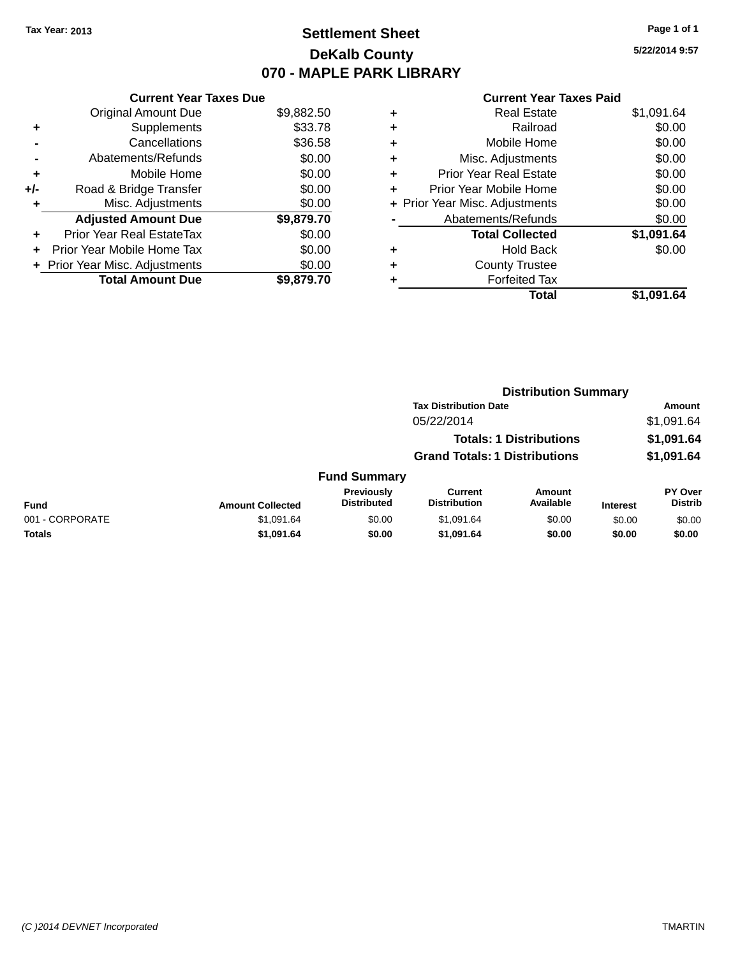## **Settlement Sheet Tax Year: 2013 Page 1 of 1 DeKalb County 070 - MAPLE PARK LIBRARY**

**5/22/2014 9:57**

|     | <b>Current Year Taxes Due</b>  |            |  |  |  |  |
|-----|--------------------------------|------------|--|--|--|--|
|     | <b>Original Amount Due</b>     | \$9,882.50 |  |  |  |  |
| ٠   | Supplements                    | \$33.78    |  |  |  |  |
|     | Cancellations                  | \$36.58    |  |  |  |  |
|     | Abatements/Refunds             | \$0.00     |  |  |  |  |
| ٠   | Mobile Home                    | \$0.00     |  |  |  |  |
| +/- | Road & Bridge Transfer         | \$0.00     |  |  |  |  |
|     | Misc. Adjustments              | \$0.00     |  |  |  |  |
|     | <b>Adjusted Amount Due</b>     | \$9,879.70 |  |  |  |  |
| ٠   | Prior Year Real EstateTax      | \$0.00     |  |  |  |  |
| ÷   | Prior Year Mobile Home Tax     | \$0.00     |  |  |  |  |
|     | + Prior Year Misc. Adjustments | \$0.00     |  |  |  |  |
|     | <b>Total Amount Due</b>        | \$9.879.70 |  |  |  |  |

| <b>Real Estate</b>             | \$1,091.64 |
|--------------------------------|------------|
| Railroad                       | \$0.00     |
| Mobile Home                    | \$0.00     |
| Misc. Adjustments              | \$0.00     |
| <b>Prior Year Real Estate</b>  | \$0.00     |
| Prior Year Mobile Home         | \$0.00     |
| + Prior Year Misc. Adjustments | \$0.00     |
| Abatements/Refunds             | \$0.00     |
| <b>Total Collected</b>         | \$1,091.64 |
| Hold Back                      | \$0.00     |
| <b>County Trustee</b>          |            |
| <b>Forfeited Tax</b>           |            |
| Total                          | \$1,091.64 |
|                                |            |

|                 |                         |                                  | <b>Distribution Summary</b>           |                                |                 |                           |  |
|-----------------|-------------------------|----------------------------------|---------------------------------------|--------------------------------|-----------------|---------------------------|--|
|                 |                         |                                  | <b>Tax Distribution Date</b>          |                                |                 | Amount                    |  |
|                 |                         |                                  | 05/22/2014                            |                                |                 | \$1,091.64                |  |
|                 |                         |                                  |                                       | <b>Totals: 1 Distributions</b> |                 | \$1,091.64                |  |
|                 |                         |                                  | <b>Grand Totals: 1 Distributions</b>  |                                |                 | \$1,091.64                |  |
|                 |                         | <b>Fund Summary</b>              |                                       |                                |                 |                           |  |
| <b>Fund</b>     | <b>Amount Collected</b> | Previously<br><b>Distributed</b> | <b>Current</b><br><b>Distribution</b> | Amount<br>Available            | <b>Interest</b> | PY Over<br><b>Distrib</b> |  |
| 001 - CORPORATE | \$1,091.64              | \$0.00                           | \$1,091.64                            | \$0.00                         | \$0.00          | \$0.00                    |  |
| <b>Totals</b>   | \$1,091.64              | \$0.00                           | \$1,091.64                            | \$0.00                         | \$0.00          | \$0.00                    |  |
|                 |                         |                                  |                                       |                                |                 |                           |  |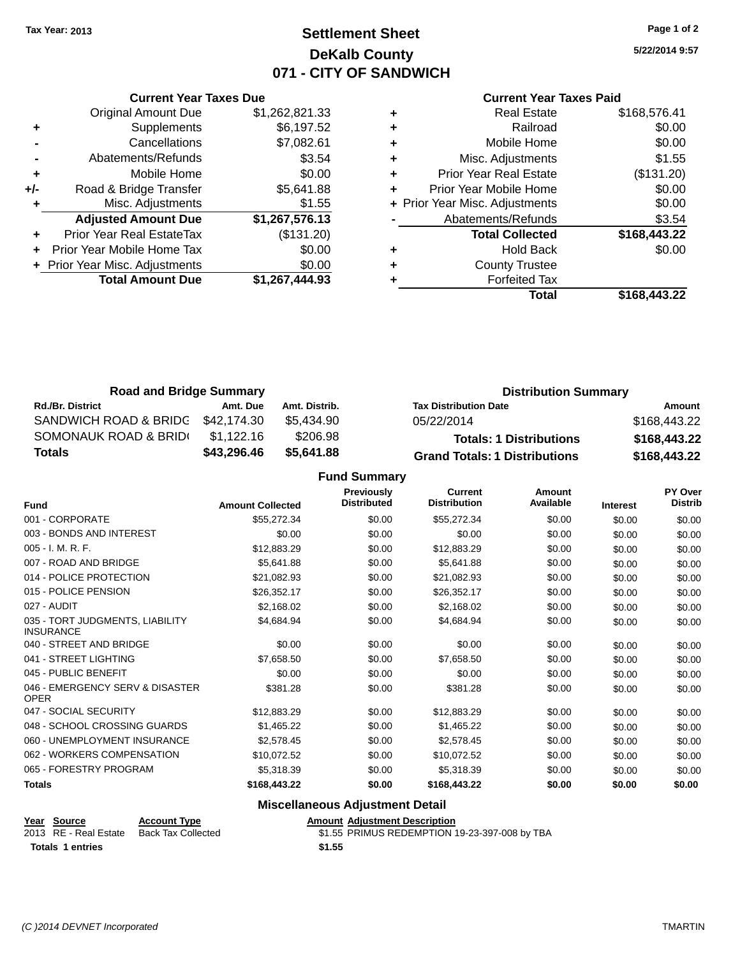### **Settlement Sheet Tax Year: 2013 Page 1 of 2 DeKalb County 071 - CITY OF SANDWICH**

**5/22/2014 9:57**

### **Current Year Taxes Paid**

|     | <b>Current Year Taxes Due</b>  |                |  |  |  |  |
|-----|--------------------------------|----------------|--|--|--|--|
|     | <b>Original Amount Due</b>     | \$1,262,821.33 |  |  |  |  |
| ٠   | Supplements                    | \$6,197.52     |  |  |  |  |
|     | Cancellations                  | \$7,082.61     |  |  |  |  |
|     | Abatements/Refunds             | \$3.54         |  |  |  |  |
| ٠   | Mobile Home                    | \$0.00         |  |  |  |  |
| +/- | Road & Bridge Transfer         | \$5,641.88     |  |  |  |  |
|     | Misc. Adjustments              | \$1.55         |  |  |  |  |
|     | <b>Adjusted Amount Due</b>     | \$1,267,576.13 |  |  |  |  |
|     | Prior Year Real EstateTax      | (\$131.20)     |  |  |  |  |
|     | Prior Year Mobile Home Tax     | \$0.00         |  |  |  |  |
|     | + Prior Year Misc. Adjustments | \$0.00         |  |  |  |  |
|     | <b>Total Amount Due</b>        | \$1,267,444.93 |  |  |  |  |
|     |                                |                |  |  |  |  |

|   | <b>Real Estate</b>             | \$168,576.41 |
|---|--------------------------------|--------------|
| ٠ | Railroad                       | \$0.00       |
| ٠ | Mobile Home                    | \$0.00       |
| ٠ | Misc. Adjustments              | \$1.55       |
| ٠ | <b>Prior Year Real Estate</b>  | (\$131.20)   |
| ÷ | Prior Year Mobile Home         | \$0.00       |
|   | + Prior Year Misc. Adjustments | \$0.00       |
|   | Abatements/Refunds             | \$3.54       |
|   | <b>Total Collected</b>         | \$168,443.22 |
| ٠ | Hold Back                      | \$0.00       |
| ٠ | <b>County Trustee</b>          |              |
| ٠ | <b>Forfeited Tax</b>           |              |
|   | Total                          | \$168,443.22 |
|   |                                |              |

| <b>Road and Bridge Summary</b> |             |               | <b>Distribution Summary</b>          |              |  |
|--------------------------------|-------------|---------------|--------------------------------------|--------------|--|
| <b>Rd./Br. District</b>        | Amt. Due    | Amt. Distrib. | <b>Tax Distribution Date</b>         | Amount       |  |
| SANDWICH ROAD & BRIDG          | \$42.174.30 | \$5.434.90    | 05/22/2014                           | \$168,443.22 |  |
| SOMONAUK ROAD & BRIDI          | \$1.122.16  | \$206.98      | <b>Totals: 1 Distributions</b>       | \$168,443.22 |  |
| <b>Totals</b>                  | \$43,296.46 | \$5.641.88    | <b>Grand Totals: 1 Distributions</b> | \$168,443.22 |  |

**Fund Summary**

| <b>Fund</b>                                         | <b>Amount Collected</b> | <b>Previously</b><br><b>Distributed</b> | <b>Current</b><br><b>Distribution</b> | Amount<br>Available | <b>Interest</b> | <b>PY Over</b><br><b>Distrib</b> |
|-----------------------------------------------------|-------------------------|-----------------------------------------|---------------------------------------|---------------------|-----------------|----------------------------------|
| 001 - CORPORATE                                     | \$55,272.34             | \$0.00                                  | \$55,272.34                           | \$0.00              | \$0.00          | \$0.00                           |
| 003 - BONDS AND INTEREST                            | \$0.00                  | \$0.00                                  | \$0.00                                | \$0.00              | \$0.00          | \$0.00                           |
| 005 - I. M. R. F.                                   | \$12,883.29             | \$0.00                                  | \$12,883.29                           | \$0.00              | \$0.00          | \$0.00                           |
| 007 - ROAD AND BRIDGE                               | \$5,641.88              | \$0.00                                  | \$5,641.88                            | \$0.00              | \$0.00          | \$0.00                           |
| 014 - POLICE PROTECTION                             | \$21,082.93             | \$0.00                                  | \$21,082.93                           | \$0.00              | \$0.00          | \$0.00                           |
| 015 - POLICE PENSION                                | \$26,352.17             | \$0.00                                  | \$26,352.17                           | \$0.00              | \$0.00          | \$0.00                           |
| 027 - AUDIT                                         | \$2,168.02              | \$0.00                                  | \$2,168.02                            | \$0.00              | \$0.00          | \$0.00                           |
| 035 - TORT JUDGMENTS, LIABILITY<br><b>INSURANCE</b> | \$4,684.94              | \$0.00                                  | \$4,684.94                            | \$0.00              | \$0.00          | \$0.00                           |
| 040 - STREET AND BRIDGE                             | \$0.00                  | \$0.00                                  | \$0.00                                | \$0.00              | \$0.00          | \$0.00                           |
| 041 - STREET LIGHTING                               | \$7,658.50              | \$0.00                                  | \$7,658.50                            | \$0.00              | \$0.00          | \$0.00                           |
| 045 - PUBLIC BENEFIT                                | \$0.00                  | \$0.00                                  | \$0.00                                | \$0.00              | \$0.00          | \$0.00                           |
| 046 - EMERGENCY SERV & DISASTER<br><b>OPER</b>      | \$381.28                | \$0.00                                  | \$381.28                              | \$0.00              | \$0.00          | \$0.00                           |
| 047 - SOCIAL SECURITY                               | \$12,883.29             | \$0.00                                  | \$12,883.29                           | \$0.00              | \$0.00          | \$0.00                           |
| 048 - SCHOOL CROSSING GUARDS                        | \$1,465.22              | \$0.00                                  | \$1,465.22                            | \$0.00              | \$0.00          | \$0.00                           |
| 060 - UNEMPLOYMENT INSURANCE                        | \$2,578.45              | \$0.00                                  | \$2,578.45                            | \$0.00              | \$0.00          | \$0.00                           |
| 062 - WORKERS COMPENSATION                          | \$10,072.52             | \$0.00                                  | \$10,072.52                           | \$0.00              | \$0.00          | \$0.00                           |
| 065 - FORESTRY PROGRAM                              | \$5,318.39              | \$0.00                                  | \$5,318.39                            | \$0.00              | \$0.00          | \$0.00                           |
| <b>Totals</b>                                       | \$168,443.22            | \$0.00                                  | \$168,443.22                          | \$0.00              | \$0.00          | \$0.00                           |

### **Miscellaneous Adjustment Detail**

| <b>Amount Adjustment Descript</b>                                                                                                                                                                                                                                                                                                                                                                                        |
|--------------------------------------------------------------------------------------------------------------------------------------------------------------------------------------------------------------------------------------------------------------------------------------------------------------------------------------------------------------------------------------------------------------------------|
| $\uparrow$ , $\uparrow$ $\uparrow$ $\uparrow$ $\uparrow$ $\uparrow$ $\uparrow$ $\uparrow$ $\uparrow$ $\uparrow$ $\uparrow$ $\uparrow$ $\uparrow$ $\uparrow$ $\uparrow$ $\uparrow$ $\uparrow$ $\uparrow$ $\uparrow$ $\uparrow$ $\uparrow$ $\uparrow$ $\uparrow$ $\uparrow$ $\uparrow$ $\uparrow$ $\uparrow$ $\uparrow$ $\uparrow$ $\uparrow$ $\uparrow$ $\uparrow$ $\uparrow$ $\uparrow$ $\uparrow$ $\uparrow$ $\uparrow$ |

**<u>Year Source</u> <b>Account Type**<br>
2013 RE - Real Estate Back Tax Collected **Totals 1 entries \$1.55**

2015 Real External Description<br>2015 REAL ABCOLLECTED \$1.55 PRIMUS REDEMPTION 19-23-397-008 by TBA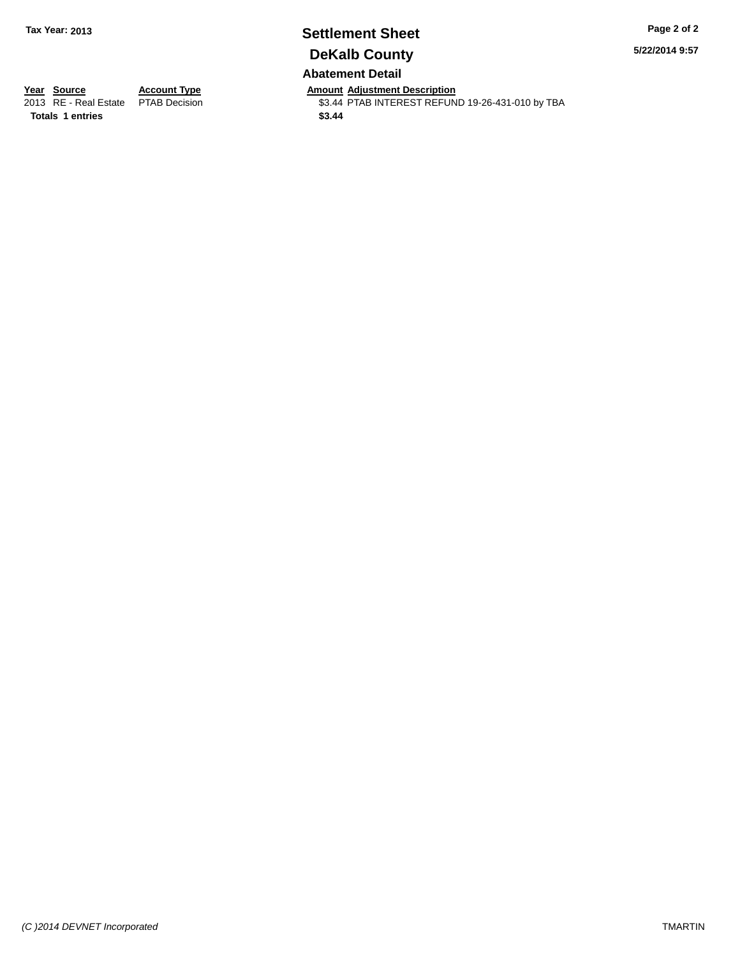### **Settlement Sheet Tax Year: 2013 Page 2 of 2 DeKalb County Abatement Detail**

**5/22/2014 9:57**

**Totals 1 entries \$3.44**

**Year Source Account Type Anneunt Adjustment Description**<br>
2013 RE - Real Estate PTAB Decision **Amount Adjustment Description** \$3.44 PTAB INTEREST REFUND 19-26-431-010 by TBA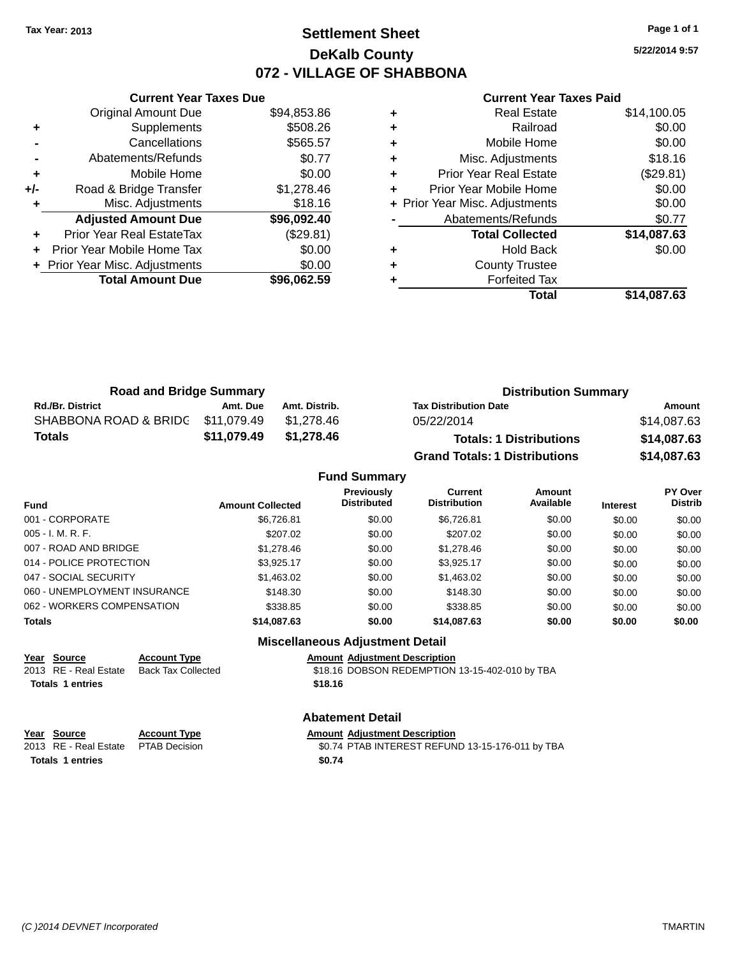### **Settlement Sheet Tax Year: 2013 Page 1 of 1 DeKalb County 072 - VILLAGE OF SHABBONA**

**5/22/2014 9:57**

|     | <b>Current Year Taxes Due</b>  |             |  |  |  |  |
|-----|--------------------------------|-------------|--|--|--|--|
|     | <b>Original Amount Due</b>     | \$94,853.86 |  |  |  |  |
| ٠   | Supplements                    | \$508.26    |  |  |  |  |
|     | Cancellations                  | \$565.57    |  |  |  |  |
|     | Abatements/Refunds             | \$0.77      |  |  |  |  |
| ÷   | Mobile Home                    | \$0.00      |  |  |  |  |
| +/- | Road & Bridge Transfer         | \$1,278.46  |  |  |  |  |
| ٠   | Misc. Adjustments              | \$18.16     |  |  |  |  |
|     | <b>Adjusted Amount Due</b>     | \$96,092.40 |  |  |  |  |
| ÷   | Prior Year Real EstateTax      | (\$29.81)   |  |  |  |  |
| ٠   | Prior Year Mobile Home Tax     | \$0.00      |  |  |  |  |
|     | + Prior Year Misc. Adjustments | \$0.00      |  |  |  |  |
|     | <b>Total Amount Due</b>        | \$96.062.59 |  |  |  |  |
|     |                                |             |  |  |  |  |

#### **Current Year Taxes Paid**

|   | Total                          | \$14,087.63 |
|---|--------------------------------|-------------|
|   | <b>Forfeited Tax</b>           |             |
| ٠ | <b>County Trustee</b>          |             |
| ٠ | <b>Hold Back</b>               | \$0.00      |
|   | <b>Total Collected</b>         | \$14,087.63 |
|   | Abatements/Refunds             | \$0.77      |
|   | + Prior Year Misc. Adjustments | \$0.00      |
|   | Prior Year Mobile Home         | \$0.00      |
| ٠ | <b>Prior Year Real Estate</b>  | (\$29.81)   |
| ٠ | Misc. Adjustments              | \$18.16     |
| ٠ | Mobile Home                    | \$0.00      |
| ٠ | Railroad                       | \$0.00      |
|   | <b>Real Estate</b>             | \$14,100.05 |

| <b>Road and Bridge Summary</b>    |             |               | <b>Distribution Summary</b>          |             |  |
|-----------------------------------|-------------|---------------|--------------------------------------|-------------|--|
| <b>Rd./Br. District</b>           | Amt. Due    | Amt. Distrib. | <b>Tax Distribution Date</b>         | Amount      |  |
| SHABBONA ROAD & BRIDG \$11,079.49 |             | \$1.278.46    | 05/22/2014                           | \$14,087.63 |  |
| Totals                            | \$11,079.49 | \$1,278.46    | <b>Totals: 1 Distributions</b>       | \$14,087.63 |  |
|                                   |             |               | <b>Grand Totals: 1 Distributions</b> | \$14,087.63 |  |

### **Fund Summary**

| <b>Fund</b>                  | <b>Amount Collected</b> | <b>Previously</b><br><b>Distributed</b> | Current<br><b>Distribution</b> | Amount<br>Available | <b>Interest</b> | <b>PY Over</b><br><b>Distrib</b> |  |
|------------------------------|-------------------------|-----------------------------------------|--------------------------------|---------------------|-----------------|----------------------------------|--|
| 001 - CORPORATE              | \$6,726.81              | \$0.00                                  | \$6.726.81                     | \$0.00              | \$0.00          | \$0.00                           |  |
| 005 - I. M. R. F.            | \$207.02                | \$0.00                                  | \$207.02                       | \$0.00              | \$0.00          | \$0.00                           |  |
| 007 - ROAD AND BRIDGE        | \$1,278.46              | \$0.00                                  | \$1,278.46                     | \$0.00              | \$0.00          | \$0.00                           |  |
| 014 - POLICE PROTECTION      | \$3.925.17              | \$0.00                                  | \$3.925.17                     | \$0.00              | \$0.00          | \$0.00                           |  |
| 047 - SOCIAL SECURITY        | \$1,463.02              | \$0.00                                  | \$1,463.02                     | \$0.00              | \$0.00          | \$0.00                           |  |
| 060 - UNEMPLOYMENT INSURANCE | \$148.30                | \$0.00                                  | \$148.30                       | \$0.00              | \$0.00          | \$0.00                           |  |
| 062 - WORKERS COMPENSATION   | \$338.85                | \$0.00                                  | \$338.85                       | \$0.00              | \$0.00          | \$0.00                           |  |
| <b>Totals</b>                | \$14,087.63             | \$0.00                                  | \$14,087.63                    | \$0.00              | \$0.00          | \$0.00                           |  |

### **Miscellaneous Adjustment Detail**

**Year Source Account Type**<br>
2013 RE - Real Estate Back Tax Collected \$18.16 DOBSON REDEMPTION **Totals 1 entries \$18.16**

 $$18.16$  DOBSON REDEMPTION 13-15-402-010 by TBA

#### **Abatement Detail**

**Year Source Account Type**<br>
2013 RE - Real Estate PTAB Decision<br>
2013 RE - Real Estate PTAB Decision<br>
20.74 PTAB INTEREST REFUN

\$0.74 PTAB INTEREST REFUND 13-15-176-011 by TBA **Totals 1 entries \$0.74**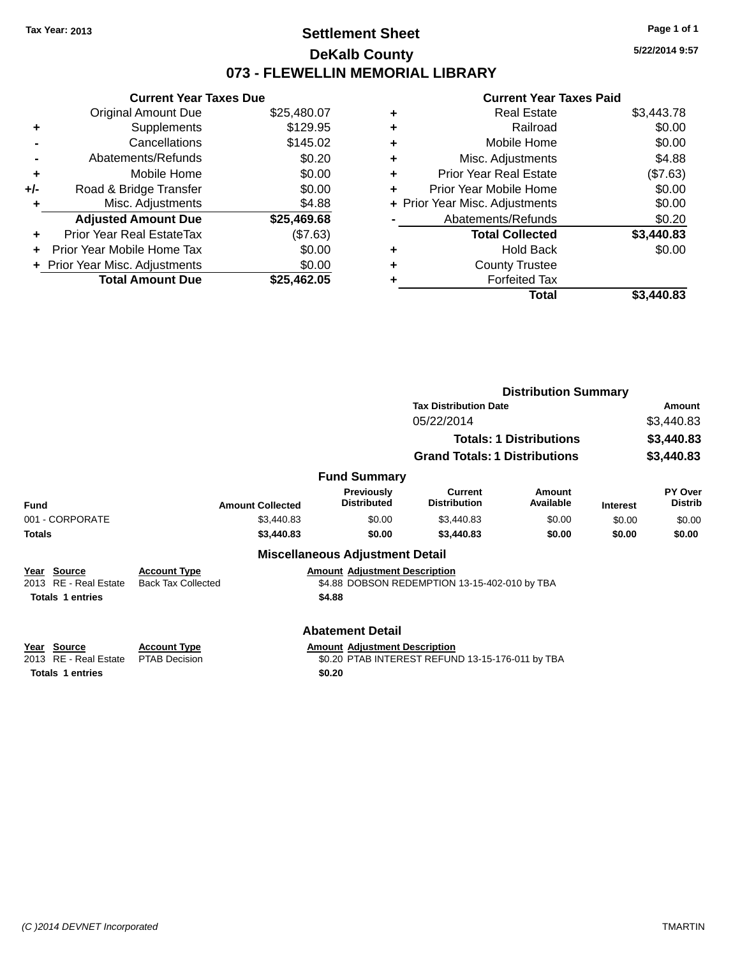### **Settlement Sheet Tax Year: 2013 Page 1 of 1 DeKalb County 073 - FLEWELLIN MEMORIAL LIBRARY**

**5/22/2014 9:57**

|     | <b>Current Year Taxes Due</b>    |             |  |  |  |  |
|-----|----------------------------------|-------------|--|--|--|--|
|     | <b>Original Amount Due</b>       | \$25,480.07 |  |  |  |  |
| ٠   | Supplements                      | \$129.95    |  |  |  |  |
|     | Cancellations                    | \$145.02    |  |  |  |  |
|     | Abatements/Refunds               | \$0.20      |  |  |  |  |
| ٠   | Mobile Home                      | \$0.00      |  |  |  |  |
| +/- | Road & Bridge Transfer           | \$0.00      |  |  |  |  |
|     | Misc. Adjustments                | \$4.88      |  |  |  |  |
|     | <b>Adjusted Amount Due</b>       | \$25,469.68 |  |  |  |  |
| ٠   | <b>Prior Year Real EstateTax</b> | (\$7.63)    |  |  |  |  |
| ÷   | Prior Year Mobile Home Tax       | \$0.00      |  |  |  |  |
|     | + Prior Year Misc. Adjustments   | \$0.00      |  |  |  |  |
|     | <b>Total Amount Due</b>          | \$25,462.05 |  |  |  |  |

|   | <b>Real Estate</b>             | \$3,443.78 |
|---|--------------------------------|------------|
| ٠ | Railroad                       | \$0.00     |
| ٠ | Mobile Home                    | \$0.00     |
| ٠ | Misc. Adjustments              | \$4.88     |
| ٠ | <b>Prior Year Real Estate</b>  | (\$7.63)   |
| ٠ | Prior Year Mobile Home         | \$0.00     |
|   | + Prior Year Misc. Adjustments | \$0.00     |
|   | Abatements/Refunds             | \$0.20     |
|   | <b>Total Collected</b>         | \$3,440.83 |
| ٠ | <b>Hold Back</b>               | \$0.00     |
| ٠ | <b>County Trustee</b>          |            |
| ٠ | <b>Forfeited Tax</b>           |            |
|   | Total                          | \$3.440.83 |
|   |                                |            |

|                                                                           |                                                  |                                                                 | <b>Distribution Summary</b>                      |                                |                 |                           |
|---------------------------------------------------------------------------|--------------------------------------------------|-----------------------------------------------------------------|--------------------------------------------------|--------------------------------|-----------------|---------------------------|
|                                                                           | <b>Tax Distribution Date</b>                     |                                                                 |                                                  |                                |                 | Amount                    |
|                                                                           |                                                  |                                                                 | 05/22/2014                                       |                                |                 | \$3,440.83                |
|                                                                           |                                                  |                                                                 |                                                  | <b>Totals: 1 Distributions</b> |                 | \$3,440.83                |
|                                                                           |                                                  |                                                                 | <b>Grand Totals: 1 Distributions</b>             |                                |                 | \$3,440.83                |
|                                                                           |                                                  | <b>Fund Summary</b>                                             |                                                  |                                |                 |                           |
| <b>Fund</b>                                                               | <b>Amount Collected</b>                          | Previously<br><b>Distributed</b>                                | Current<br><b>Distribution</b>                   | Amount<br>Available            | <b>Interest</b> | PY Over<br><b>Distrib</b> |
| 001 - CORPORATE                                                           | \$3,440.83                                       | \$0.00                                                          | \$3,440.83                                       | \$0.00                         | \$0.00          | \$0.00                    |
| <b>Totals</b>                                                             | \$3,440.83                                       | \$0.00                                                          | \$3,440.83                                       | \$0.00                         | \$0.00          | \$0.00                    |
|                                                                           |                                                  | <b>Miscellaneous Adjustment Detail</b>                          |                                                  |                                |                 |                           |
| Year Source<br><b>RE</b> - Real Estate<br>2013<br><b>Totals 1 entries</b> | <b>Account Type</b><br><b>Back Tax Collected</b> | <b>Amount Adjustment Description</b><br>\$4.88                  | \$4.88 DOBSON REDEMPTION 13-15-402-010 by TBA    |                                |                 |                           |
| Source<br>Year                                                            | <b>Account Type</b>                              | <b>Abatement Detail</b><br><b>Amount Adjustment Description</b> |                                                  |                                |                 |                           |
| <b>RE</b> - Real Estate<br>2013<br><b>Totals 1 entries</b>                | <b>PTAB Decision</b>                             | \$0.20                                                          | \$0.20 PTAB INTEREST REFUND 13-15-176-011 by TBA |                                |                 |                           |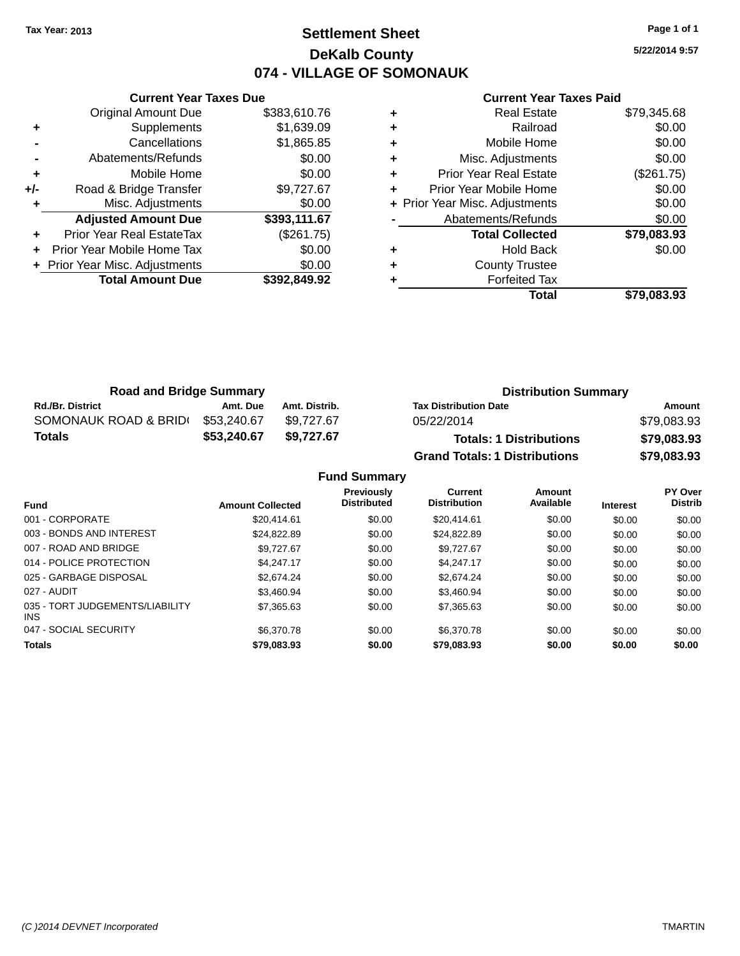### **Settlement Sheet Tax Year: 2013 Page 1 of 1 DeKalb County 074 - VILLAGE OF SOMONAUK**

**5/22/2014 9:57**

|     | <b>Current Year Taxes Due</b>    |              |
|-----|----------------------------------|--------------|
|     | <b>Original Amount Due</b>       | \$383,610.76 |
| ٠   | Supplements                      | \$1,639.09   |
|     | Cancellations                    | \$1,865.85   |
|     | Abatements/Refunds               | \$0.00       |
| ٠   | Mobile Home                      | \$0.00       |
| +/- | Road & Bridge Transfer           | \$9,727.67   |
| ٠   | Misc. Adjustments                | \$0.00       |
|     | <b>Adjusted Amount Due</b>       | \$393,111.67 |
| ٠   | <b>Prior Year Real EstateTax</b> | (\$261.75)   |
|     | Prior Year Mobile Home Tax       | \$0.00       |
|     | + Prior Year Misc. Adjustments   | \$0.00       |
|     | <b>Total Amount Due</b>          | \$392,849.92 |
|     |                                  |              |

|   | <b>Real Estate</b>             | \$79,345.68 |
|---|--------------------------------|-------------|
| ٠ | Railroad                       | \$0.00      |
| ٠ | Mobile Home                    | \$0.00      |
| ٠ | Misc. Adjustments              | \$0.00      |
| ٠ | <b>Prior Year Real Estate</b>  | (\$261.75)  |
|   | Prior Year Mobile Home         | \$0.00      |
|   | + Prior Year Misc. Adjustments | \$0.00      |
|   | Abatements/Refunds             | \$0.00      |
|   | <b>Total Collected</b>         | \$79,083.93 |
| ٠ | <b>Hold Back</b>               | \$0.00      |
|   | <b>County Trustee</b>          |             |
|   | <b>Forfeited Tax</b>           |             |
|   | Total                          | \$79,083.93 |
|   |                                |             |

| <b>Road and Bridge Summary</b> |             |               | <b>Distribution Summary</b>          |             |  |
|--------------------------------|-------------|---------------|--------------------------------------|-------------|--|
| <b>Rd./Br. District</b>        | Amt. Due    | Amt. Distrib. | <b>Tax Distribution Date</b>         | Amount      |  |
| SOMONAUK ROAD & BRIDI          | \$53,240.67 | \$9.727.67    | 05/22/2014                           | \$79,083.93 |  |
| Totals                         | \$53,240.67 | \$9.727.67    | <b>Totals: 1 Distributions</b>       | \$79,083.93 |  |
|                                |             |               | <b>Grand Totals: 1 Distributions</b> | \$79,083.93 |  |

|                                         |                         | <b>Fund Summary</b>              |                                       |                     |                 |                                  |
|-----------------------------------------|-------------------------|----------------------------------|---------------------------------------|---------------------|-----------------|----------------------------------|
| <b>Fund</b>                             | <b>Amount Collected</b> | Previously<br><b>Distributed</b> | <b>Current</b><br><b>Distribution</b> | Amount<br>Available | <b>Interest</b> | <b>PY Over</b><br><b>Distrib</b> |
| 001 - CORPORATE                         | \$20.414.61             | \$0.00                           | \$20,414.61                           | \$0.00              | \$0.00          | \$0.00                           |
| 003 - BONDS AND INTEREST                | \$24.822.89             | \$0.00                           | \$24,822.89                           | \$0.00              | \$0.00          | \$0.00                           |
| 007 - ROAD AND BRIDGE                   | \$9.727.67              | \$0.00                           | \$9.727.67                            | \$0.00              | \$0.00          | \$0.00                           |
| 014 - POLICE PROTECTION                 | \$4.247.17              | \$0.00                           | \$4.247.17                            | \$0.00              | \$0.00          | \$0.00                           |
| 025 - GARBAGE DISPOSAL                  | \$2,674.24              | \$0.00                           | \$2,674.24                            | \$0.00              | \$0.00          | \$0.00                           |
| 027 - AUDIT                             | \$3.460.94              | \$0.00                           | \$3.460.94                            | \$0.00              | \$0.00          | \$0.00                           |
| 035 - TORT JUDGEMENTS/LIABILITY<br>INS. | \$7,365,63              | \$0.00                           | \$7,365,63                            | \$0.00              | \$0.00          | \$0.00                           |
| 047 - SOCIAL SECURITY                   | \$6,370.78              | \$0.00                           | \$6.370.78                            | \$0.00              | \$0.00          | \$0.00                           |
| Totals                                  | \$79,083,93             | \$0.00                           | \$79,083,93                           | \$0.00              | \$0.00          | \$0.00                           |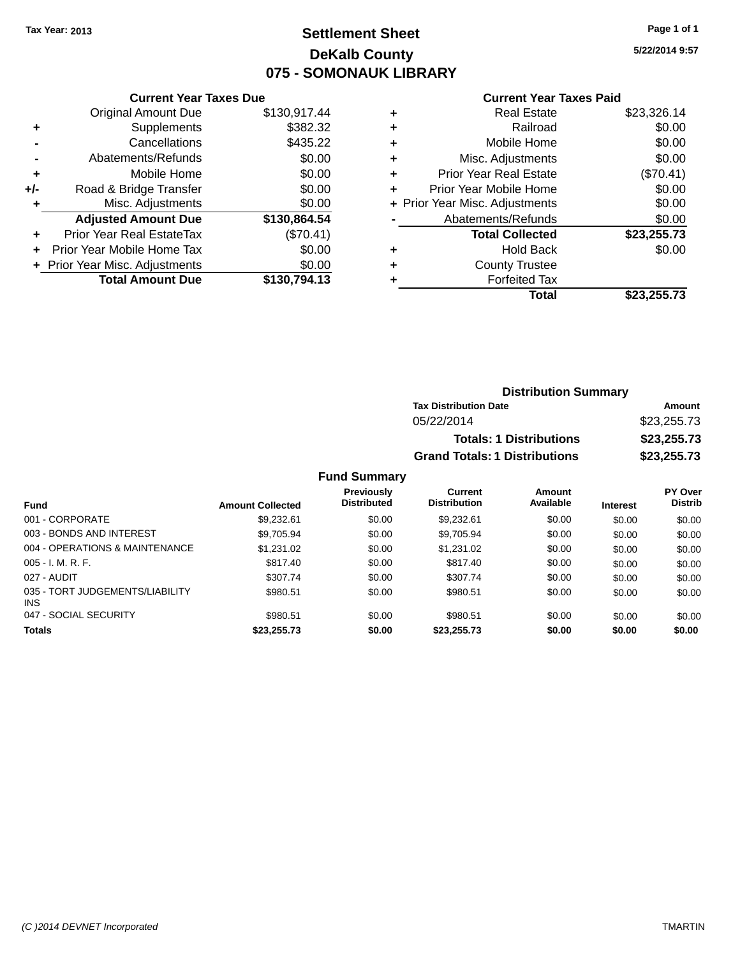## **Settlement Sheet Tax Year: 2013 Page 1 of 1 DeKalb County 075 - SOMONAUK LIBRARY**

**5/22/2014 9:57**

#### **Current Year Taxes Paid**

|     | <b>Current Year Taxes Due</b>              |              |  |  |  |  |
|-----|--------------------------------------------|--------------|--|--|--|--|
|     | <b>Original Amount Due</b><br>\$130,917.44 |              |  |  |  |  |
| ٠   | Supplements                                | \$382.32     |  |  |  |  |
|     | Cancellations                              | \$435.22     |  |  |  |  |
|     | Abatements/Refunds                         | \$0.00       |  |  |  |  |
| ٠   | Mobile Home                                | \$0.00       |  |  |  |  |
| +/- | Road & Bridge Transfer                     | \$0.00       |  |  |  |  |
| ٠   | Misc. Adjustments                          | \$0.00       |  |  |  |  |
|     | <b>Adjusted Amount Due</b>                 | \$130,864.54 |  |  |  |  |
| ÷   | Prior Year Real EstateTax                  | (\$70.41)    |  |  |  |  |
|     | Prior Year Mobile Home Tax                 | \$0.00       |  |  |  |  |
|     | + Prior Year Misc. Adjustments             | \$0.00       |  |  |  |  |
|     | <b>Total Amount Due</b>                    | \$130,794.13 |  |  |  |  |
|     |                                            |              |  |  |  |  |

| ٠ | <b>Real Estate</b>             | \$23,326.14 |
|---|--------------------------------|-------------|
| ٠ | Railroad                       | \$0.00      |
| ٠ | Mobile Home                    | \$0.00      |
| ٠ | Misc. Adjustments              | \$0.00      |
| ٠ | <b>Prior Year Real Estate</b>  | (\$70.41)   |
| ٠ | Prior Year Mobile Home         | \$0.00      |
|   | + Prior Year Misc. Adjustments | \$0.00      |
|   | Abatements/Refunds             | \$0.00      |
|   | <b>Total Collected</b>         | \$23,255.73 |
| ٠ | Hold Back                      | \$0.00      |
| ٠ | <b>County Trustee</b>          |             |
| ٠ | <b>Forfeited Tax</b>           |             |
|   | Total                          | \$23,255.73 |
|   |                                |             |

| <b>Distribution Summary</b>          |             |
|--------------------------------------|-------------|
| <b>Tax Distribution Date</b>         | Amount      |
| 05/22/2014                           | \$23,255.73 |
| <b>Totals: 1 Distributions</b>       | \$23,255.73 |
| <b>Grand Totals: 1 Distributions</b> | \$23,255.73 |

### **Fund Summary**

| <b>Fund</b>                                   | <b>Amount Collected</b> | Previously<br><b>Distributed</b> | Current<br><b>Distribution</b> | Amount<br>Available | <b>Interest</b> | PY Over<br><b>Distrib</b> |
|-----------------------------------------------|-------------------------|----------------------------------|--------------------------------|---------------------|-----------------|---------------------------|
| 001 - CORPORATE                               | \$9,232.61              | \$0.00                           | \$9.232.61                     | \$0.00              | \$0.00          | \$0.00                    |
| 003 - BONDS AND INTEREST                      | \$9,705.94              | \$0.00                           | \$9,705.94                     | \$0.00              | \$0.00          | \$0.00                    |
| 004 - OPERATIONS & MAINTENANCE                | \$1,231.02              | \$0.00                           | \$1.231.02                     | \$0.00              | \$0.00          | \$0.00                    |
| $005 - I. M. R. F.$                           | \$817.40                | \$0.00                           | \$817.40                       | \$0.00              | \$0.00          | \$0.00                    |
| 027 - AUDIT                                   | \$307.74                | \$0.00                           | \$307.74                       | \$0.00              | \$0.00          | \$0.00                    |
| 035 - TORT JUDGEMENTS/LIABILITY<br><b>INS</b> | \$980.51                | \$0.00                           | \$980.51                       | \$0.00              | \$0.00          | \$0.00                    |
| 047 - SOCIAL SECURITY                         | \$980.51                | \$0.00                           | \$980.51                       | \$0.00              | \$0.00          | \$0.00                    |
| <b>Totals</b>                                 | \$23,255.73             | \$0.00                           | \$23,255,73                    | \$0.00              | \$0.00          | \$0.00                    |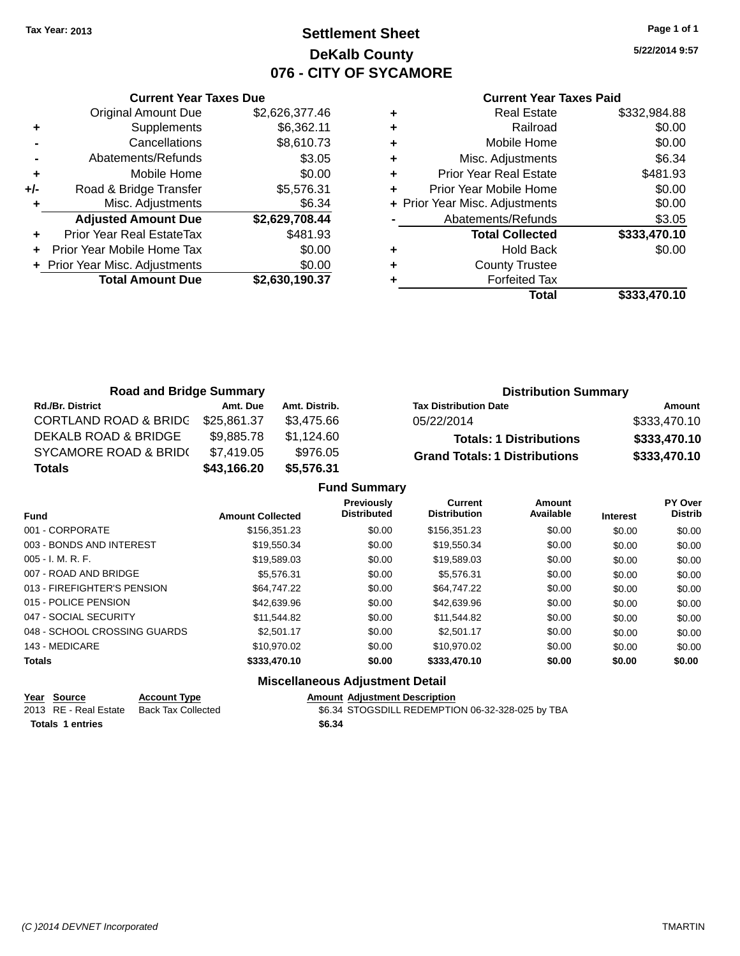## **Settlement Sheet Tax Year: 2013 Page 1 of 1 DeKalb County 076 - CITY OF SYCAMORE**

**5/22/2014 9:57**

|     | <b>Current Year Taxes Due</b>  |                |
|-----|--------------------------------|----------------|
|     | <b>Original Amount Due</b>     | \$2,626,377.46 |
| ٠   | Supplements                    | \$6,362.11     |
|     | Cancellations                  | \$8,610.73     |
|     | Abatements/Refunds             | \$3.05         |
| ٠   | Mobile Home                    | \$0.00         |
| +/- | Road & Bridge Transfer         | \$5,576.31     |
|     | Misc. Adjustments              | \$6.34         |
|     | <b>Adjusted Amount Due</b>     | \$2,629,708.44 |
|     | Prior Year Real EstateTax      | \$481.93       |
|     | Prior Year Mobile Home Tax     | \$0.00         |
|     | + Prior Year Misc. Adjustments | \$0.00         |
|     | <b>Total Amount Due</b>        | \$2,630,190.37 |
|     |                                |                |

| ٠ | <b>Real Estate</b>             | \$332,984.88 |
|---|--------------------------------|--------------|
| ٠ | Railroad                       | \$0.00       |
| ٠ | Mobile Home                    | \$0.00       |
| ٠ | Misc. Adjustments              | \$6.34       |
| ٠ | <b>Prior Year Real Estate</b>  | \$481.93     |
| ٠ | Prior Year Mobile Home         | \$0.00       |
|   | + Prior Year Misc. Adjustments | \$0.00       |
|   | Abatements/Refunds             | \$3.05       |
|   | <b>Total Collected</b>         | \$333,470.10 |
| ٠ | <b>Hold Back</b>               | \$0.00       |
| ٠ | <b>County Trustee</b>          |              |
|   | <b>Forfeited Tax</b>           |              |
|   | <b>Total</b>                   | \$333,470.10 |
|   |                                |              |

| <b>Road and Bridge Summary</b>   |             |               | <b>Distribution Summary</b>          |              |  |
|----------------------------------|-------------|---------------|--------------------------------------|--------------|--|
| <b>Rd./Br. District</b>          | Amt. Due    | Amt. Distrib. | <b>Tax Distribution Date</b>         | Amount       |  |
| <b>CORTLAND ROAD &amp; BRIDG</b> | \$25,861.37 | \$3.475.66    | 05/22/2014                           | \$333,470.10 |  |
| DEKALB ROAD & BRIDGE             | \$9,885.78  | \$1,124.60    | <b>Totals: 1 Distributions</b>       | \$333,470.10 |  |
| <b>SYCAMORE ROAD &amp; BRID(</b> | \$7,419.05  | \$976.05      | <b>Grand Totals: 1 Distributions</b> | \$333,470.10 |  |
| <b>Totals</b>                    | \$43,166.20 | \$5,576.31    |                                      |              |  |

|                              |                         | <b>Fund Summary</b>                     |                                       |                     |                 |                           |
|------------------------------|-------------------------|-----------------------------------------|---------------------------------------|---------------------|-----------------|---------------------------|
| <b>Fund</b>                  | <b>Amount Collected</b> | <b>Previously</b><br><b>Distributed</b> | <b>Current</b><br><b>Distribution</b> | Amount<br>Available | <b>Interest</b> | PY Over<br><b>Distrib</b> |
| 001 - CORPORATE              | \$156,351.23            | \$0.00                                  | \$156,351.23                          | \$0.00              | \$0.00          | \$0.00                    |
| 003 - BONDS AND INTEREST     | \$19,550.34             | \$0.00                                  | \$19,550.34                           | \$0.00              | \$0.00          | \$0.00                    |
| $005 - I. M. R. F.$          | \$19.589.03             | \$0.00                                  | \$19,589.03                           | \$0.00              | \$0.00          | \$0.00                    |
| 007 - ROAD AND BRIDGE        | \$5.576.31              | \$0.00                                  | \$5.576.31                            | \$0.00              | \$0.00          | \$0.00                    |
| 013 - FIREFIGHTER'S PENSION  | \$64,747.22             | \$0.00                                  | \$64,747.22                           | \$0.00              | \$0.00          | \$0.00                    |
| 015 - POLICE PENSION         | \$42,639.96             | \$0.00                                  | \$42,639.96                           | \$0.00              | \$0.00          | \$0.00                    |
| 047 - SOCIAL SECURITY        | \$11.544.82             | \$0.00                                  | \$11.544.82                           | \$0.00              | \$0.00          | \$0.00                    |
| 048 - SCHOOL CROSSING GUARDS | \$2,501.17              | \$0.00                                  | \$2,501.17                            | \$0.00              | \$0.00          | \$0.00                    |
| 143 - MEDICARE               | \$10.970.02             | \$0.00                                  | \$10.970.02                           | \$0.00              | \$0.00          | \$0.00                    |
| <b>Totals</b>                | \$333,470.10            | \$0.00                                  | \$333,470.10                          | \$0.00              | \$0.00          | \$0.00                    |
|                              |                         | Missellenseus Adjustment Detail         |                                       |                     |                 |                           |

| $\sim$ $\sim$ $\sim$ $\sim$ | Year Source           | <b>Account Type</b> | <b>Amount Adiustment Description</b> |
|-----------------------------|-----------------------|---------------------|--------------------------------------|
|                             | 2013 RE - Real Estate | Back Tax Collected  | \$6.34 STOGSDILL REDEMPTIO           |

**Totals 1 entries \$6.34**

 $\overline{36.34}$  STOGSDILL REDEMPTION 06-32-328-025 by TBA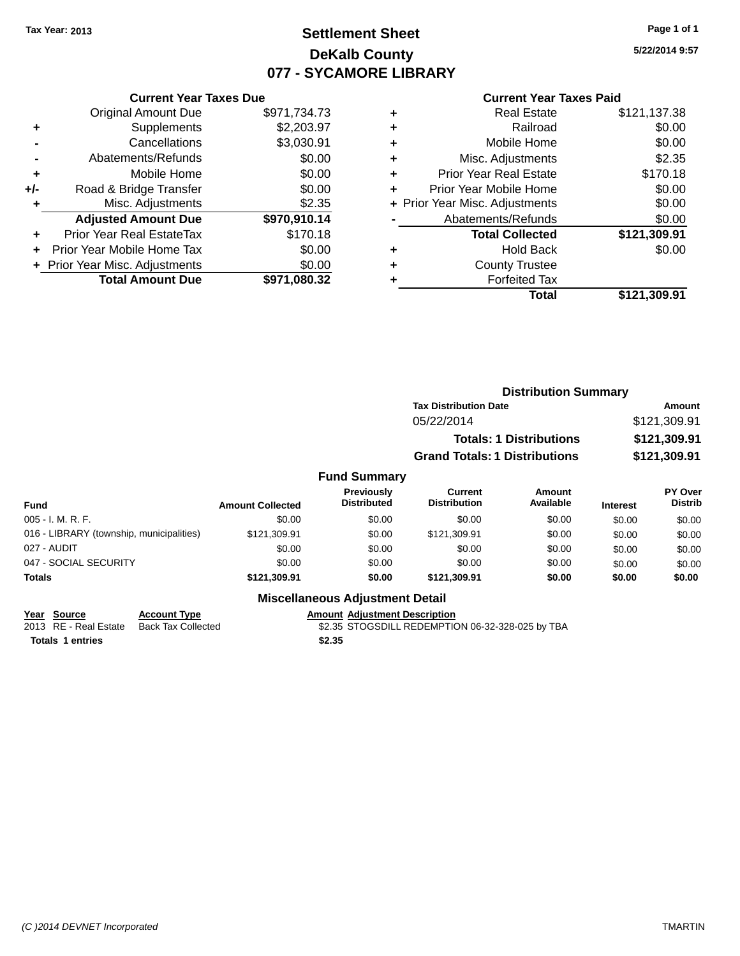## **Settlement Sheet Tax Year: 2013 Page 1 of 1 DeKalb County 077 - SYCAMORE LIBRARY**

**5/22/2014 9:57**

### **Current Year Taxes Paid**

|     | <b>Current Year Taxes Due</b>              |              |  |  |  |
|-----|--------------------------------------------|--------------|--|--|--|
|     | \$971,734.73<br><b>Original Amount Due</b> |              |  |  |  |
| ٠   | \$2,203.97<br>Supplements                  |              |  |  |  |
|     | Cancellations                              | \$3,030.91   |  |  |  |
|     | Abatements/Refunds                         | \$0.00       |  |  |  |
| ÷   | \$0.00<br>Mobile Home                      |              |  |  |  |
| +/- | Road & Bridge Transfer                     | \$0.00       |  |  |  |
|     | Misc. Adjustments                          | \$2.35       |  |  |  |
|     | <b>Adjusted Amount Due</b>                 | \$970,910.14 |  |  |  |
| ٠   | <b>Prior Year Real EstateTax</b>           | \$170.18     |  |  |  |
|     | Prior Year Mobile Home Tax                 | \$0.00       |  |  |  |
|     | + Prior Year Misc. Adjustments             | \$0.00       |  |  |  |
|     | <b>Total Amount Due</b>                    | \$971.080.32 |  |  |  |
|     |                                            |              |  |  |  |

|   | <b>Real Estate</b>             | \$121,137.38 |
|---|--------------------------------|--------------|
| ÷ | Railroad                       | \$0.00       |
| ٠ | Mobile Home                    | \$0.00       |
| ٠ | Misc. Adjustments              | \$2.35       |
| ٠ | <b>Prior Year Real Estate</b>  | \$170.18     |
| ٠ | Prior Year Mobile Home         | \$0.00       |
|   | + Prior Year Misc. Adjustments | \$0.00       |
|   | Abatements/Refunds             | \$0.00       |
|   | <b>Total Collected</b>         | \$121,309.91 |
| ٠ | <b>Hold Back</b>               | \$0.00       |
| ٠ | <b>County Trustee</b>          |              |
| ٠ | <b>Forfeited Tax</b>           |              |
|   | Total                          | \$121,309.91 |
|   |                                |              |

|                     | <b>Distribution Summary</b>          |               |
|---------------------|--------------------------------------|---------------|
|                     | <b>Tax Distribution Date</b>         | <b>Amount</b> |
|                     | 05/22/2014                           | \$121,309.91  |
|                     | <b>Totals: 1 Distributions</b>       | \$121,309.91  |
|                     | <b>Grand Totals: 1 Distributions</b> | \$121,309.91  |
| <b>Fund Summary</b> |                                      |               |

| <b>Fund</b>                              | <b>Amount Collected</b> | <b>Previously</b><br><b>Distributed</b> | Current<br><b>Distribution</b> | Amount<br>Available | <b>Interest</b> | <b>PY Over</b><br><b>Distrib</b> |
|------------------------------------------|-------------------------|-----------------------------------------|--------------------------------|---------------------|-----------------|----------------------------------|
| $005 - I. M. R. F.$                      | \$0.00                  | \$0.00                                  | \$0.00                         | \$0.00              | \$0.00          | \$0.00                           |
| 016 - LIBRARY (township, municipalities) | \$121,309.91            | \$0.00                                  | \$121.309.91                   | \$0.00              | \$0.00          | \$0.00                           |
| 027 - AUDIT                              | \$0.00                  | \$0.00                                  | \$0.00                         | \$0.00              | \$0.00          | \$0.00                           |
| 047 - SOCIAL SECURITY                    | \$0.00                  | \$0.00                                  | \$0.00                         | \$0.00              | \$0.00          | \$0.00                           |
| <b>Totals</b>                            | \$121.309.91            | \$0.00                                  | \$121.309.91                   | \$0.00              | \$0.00          | \$0.00                           |

## **Miscellaneous Adjustment Detail**

**Year Source Account Type**<br>
2013 RE - Real Estate Back Tax Collected **Amount Adjustment Description**<br>
\$2.35 STOGSDILL REDEMPTION **Totals 1 entries \$2.35**

\$2.35 STOGSDILL REDEMPTION 06-32-328-025 by TBA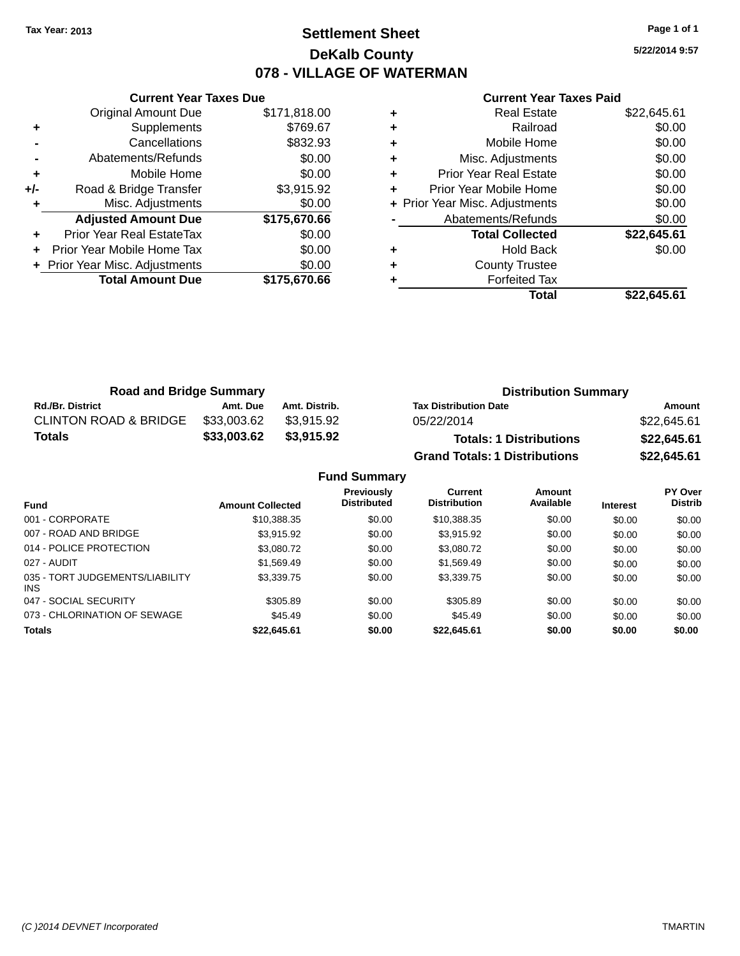## **Settlement Sheet Tax Year: 2013 Page 1 of 1 DeKalb County 078 - VILLAGE OF WATERMAN**

**5/22/2014 9:57**

#### **Current Year Taxes Paid**

|     | <b>Current Year Taxes Due</b>        |              |  |  |  |
|-----|--------------------------------------|--------------|--|--|--|
|     | <b>Original Amount Due</b>           | \$171,818.00 |  |  |  |
| ٠   | Supplements                          | \$769.67     |  |  |  |
|     | Cancellations                        | \$832.93     |  |  |  |
|     | Abatements/Refunds                   | \$0.00       |  |  |  |
| ٠   | \$0.00<br>Mobile Home                |              |  |  |  |
| +/- | \$3,915.92<br>Road & Bridge Transfer |              |  |  |  |
|     | Misc. Adjustments                    | \$0.00       |  |  |  |
|     | <b>Adjusted Amount Due</b>           | \$175,670.66 |  |  |  |
| ٠   | <b>Prior Year Real EstateTax</b>     | \$0.00       |  |  |  |
|     | Prior Year Mobile Home Tax           | \$0.00       |  |  |  |
|     | + Prior Year Misc. Adjustments       | \$0.00       |  |  |  |
|     | <b>Total Amount Due</b>              | \$175.670.66 |  |  |  |
|     |                                      |              |  |  |  |

|   | Total                          | \$22,645.61 |
|---|--------------------------------|-------------|
|   | <b>Forfeited Tax</b>           |             |
| ٠ | <b>County Trustee</b>          |             |
| ٠ | Hold Back                      | \$0.00      |
|   | <b>Total Collected</b>         | \$22,645.61 |
|   | Abatements/Refunds             | \$0.00      |
|   | + Prior Year Misc. Adjustments | \$0.00      |
| ÷ | Prior Year Mobile Home         | \$0.00      |
| ٠ | <b>Prior Year Real Estate</b>  | \$0.00      |
| ٠ | Misc. Adjustments              | \$0.00      |
| ٠ | Mobile Home                    | \$0.00      |
| ٠ | Railroad                       | \$0.00      |
|   | <b>Real Estate</b>             | \$22,645.61 |

| <b>Road and Bridge Summary</b>   |             |               | <b>Distribution Summary</b>          |             |  |
|----------------------------------|-------------|---------------|--------------------------------------|-------------|--|
| <b>Rd./Br. District</b>          | Amt. Due    | Amt. Distrib. | <b>Tax Distribution Date</b>         | Amount      |  |
| <b>CLINTON ROAD &amp; BRIDGE</b> | \$33,003.62 | \$3.915.92    | 05/22/2014                           | \$22,645.61 |  |
| <b>Totals</b>                    | \$33,003.62 | \$3,915.92    | <b>Totals: 1 Distributions</b>       | \$22,645.61 |  |
|                                  |             |               | <b>Grand Totals: 1 Distributions</b> | \$22,645.61 |  |

|                                         |                         | <b>Fund Summary</b>                     |                                       |                     |                 |                           |
|-----------------------------------------|-------------------------|-----------------------------------------|---------------------------------------|---------------------|-----------------|---------------------------|
| <b>Fund</b>                             | <b>Amount Collected</b> | <b>Previously</b><br><b>Distributed</b> | <b>Current</b><br><b>Distribution</b> | Amount<br>Available | <b>Interest</b> | PY Over<br><b>Distrib</b> |
| 001 - CORPORATE                         | \$10.388.35             | \$0.00                                  | \$10,388,35                           | \$0.00              | \$0.00          | \$0.00                    |
| 007 - ROAD AND BRIDGE                   | \$3.915.92              | \$0.00                                  | \$3.915.92                            | \$0.00              | \$0.00          | \$0.00                    |
| 014 - POLICE PROTECTION                 | \$3,080.72              | \$0.00                                  | \$3,080.72                            | \$0.00              | \$0.00          | \$0.00                    |
| 027 - AUDIT                             | \$1.569.49              | \$0.00                                  | \$1,569.49                            | \$0.00              | \$0.00          | \$0.00                    |
| 035 - TORT JUDGEMENTS/LIABILITY<br>INS. | \$3,339.75              | \$0.00                                  | \$3,339.75                            | \$0.00              | \$0.00          | \$0.00                    |
| 047 - SOCIAL SECURITY                   | \$305.89                | \$0.00                                  | \$305.89                              | \$0.00              | \$0.00          | \$0.00                    |
| 073 - CHLORINATION OF SEWAGE            | \$45.49                 | \$0.00                                  | \$45.49                               | \$0.00              | \$0.00          | \$0.00                    |
| <b>Totals</b>                           | \$22.645.61             | \$0.00                                  | \$22,645.61                           | \$0.00              | \$0.00          | \$0.00                    |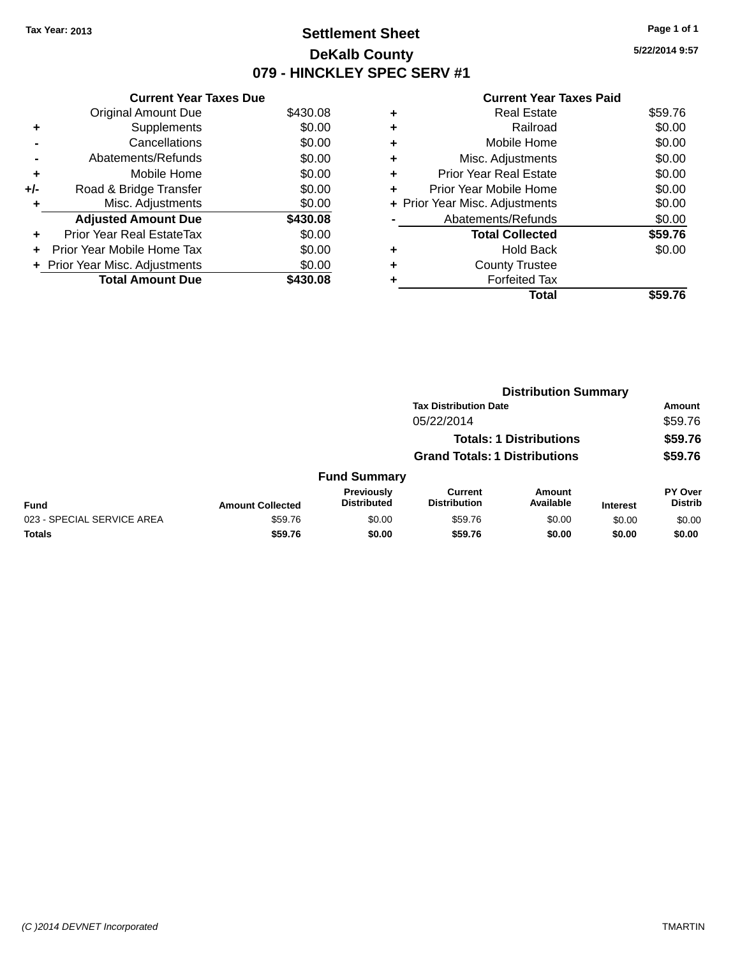## **Settlement Sheet Tax Year: 2013 Page 1 of 1 DeKalb County 079 - HINCKLEY SPEC SERV #1**

| <b>Current Year Taxes Paid</b> |  |  |  |
|--------------------------------|--|--|--|
|--------------------------------|--|--|--|

|     | <b>Current Year Taxes Due</b>  |          |
|-----|--------------------------------|----------|
|     | <b>Original Amount Due</b>     | \$430.08 |
| ٠   | Supplements                    | \$0.00   |
|     | Cancellations                  | \$0.00   |
|     | Abatements/Refunds             | \$0.00   |
| ٠   | Mobile Home                    | \$0.00   |
| +/- | Road & Bridge Transfer         | \$0.00   |
| ٠   | Misc. Adjustments              | \$0.00   |
|     | <b>Adjusted Amount Due</b>     | \$430.08 |
| ÷   | Prior Year Real EstateTax      | \$0.00   |
| ÷   | Prior Year Mobile Home Tax     | \$0.00   |
|     | + Prior Year Misc. Adjustments | \$0.00   |
|     | <b>Total Amount Due</b>        | \$430.08 |

|   | Total                          | \$59.76 |
|---|--------------------------------|---------|
|   | <b>Forfeited Tax</b>           |         |
| ٠ | <b>County Trustee</b>          |         |
| ٠ | <b>Hold Back</b>               | \$0.00  |
|   | <b>Total Collected</b>         | \$59.76 |
|   | Abatements/Refunds             | \$0.00  |
|   | + Prior Year Misc. Adjustments | \$0.00  |
| ٠ | Prior Year Mobile Home         | \$0.00  |
| ٠ | <b>Prior Year Real Estate</b>  | \$0.00  |
| ٠ | Misc. Adjustments              | \$0.00  |
| ٠ | Mobile Home                    | \$0.00  |
| ٠ | Railroad                       | \$0.00  |
| ٠ | <b>Real Estate</b>             | \$59.76 |
|   |                                |         |

|                            |                         | <b>Distribution Summary</b>      |                                       |                                |                 |                           |
|----------------------------|-------------------------|----------------------------------|---------------------------------------|--------------------------------|-----------------|---------------------------|
|                            |                         |                                  | <b>Tax Distribution Date</b>          |                                |                 | <b>Amount</b>             |
|                            |                         |                                  | 05/22/2014                            |                                |                 | \$59.76                   |
|                            |                         |                                  |                                       | <b>Totals: 1 Distributions</b> |                 | \$59.76                   |
|                            |                         |                                  | <b>Grand Totals: 1 Distributions</b>  |                                |                 | \$59.76                   |
|                            |                         | <b>Fund Summary</b>              |                                       |                                |                 |                           |
| <b>Fund</b>                | <b>Amount Collected</b> | Previously<br><b>Distributed</b> | <b>Current</b><br><b>Distribution</b> | <b>Amount</b><br>Available     | <b>Interest</b> | PY Over<br><b>Distrib</b> |
| 023 - SPECIAL SERVICE AREA | \$59.76                 | \$0.00                           | \$59.76                               | \$0.00                         | \$0.00          | \$0.00                    |
| <b>Totals</b>              | \$59.76                 | \$0.00                           | \$59.76                               | \$0.00                         | \$0.00          | \$0.00                    |
|                            |                         |                                  |                                       |                                |                 |                           |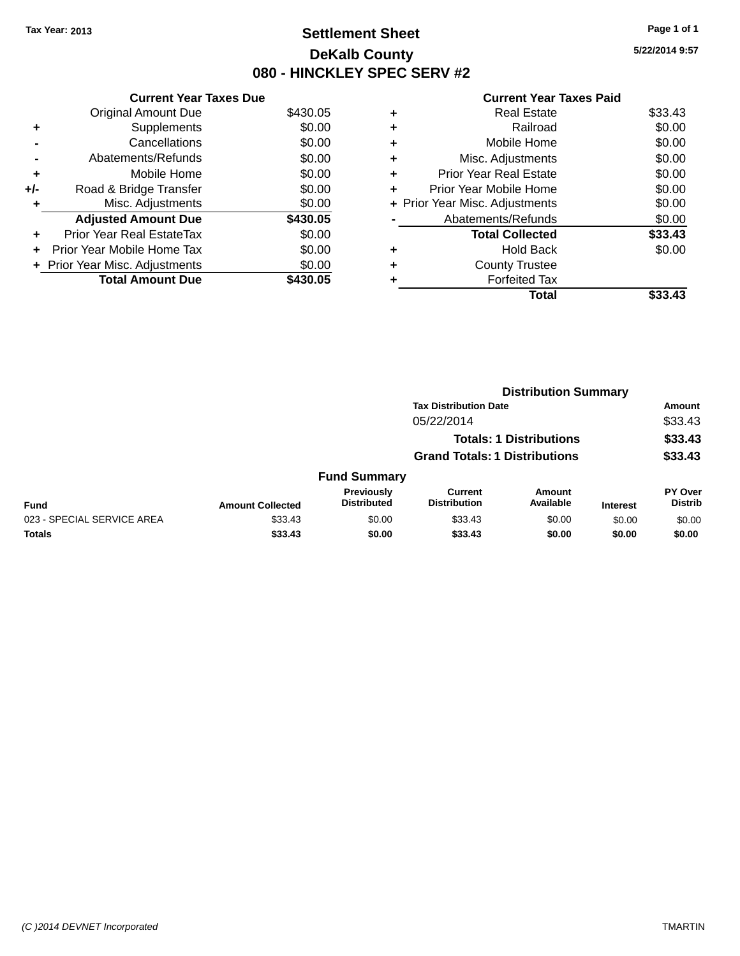## **Settlement Sheet Tax Year: 2013 Page 1 of 1 DeKalb County 080 - HINCKLEY SPEC SERV #2**

**5/22/2014 9:57**

### **Current Year Taxes Paid**

|     | <b>Current Year Taxes Due</b>  |          |
|-----|--------------------------------|----------|
|     | <b>Original Amount Due</b>     | \$430.05 |
| ٠   | Supplements                    | \$0.00   |
|     | Cancellations                  | \$0.00   |
|     | Abatements/Refunds             | \$0.00   |
| ٠   | Mobile Home                    | \$0.00   |
| +/- | Road & Bridge Transfer         | \$0.00   |
| ٠   | Misc. Adjustments              | \$0.00   |
|     | <b>Adjusted Amount Due</b>     | \$430.05 |
| ٠   | Prior Year Real EstateTax      | \$0.00   |
| ÷   | Prior Year Mobile Home Tax     | \$0.00   |
|     | + Prior Year Misc. Adjustments | \$0.00   |
|     | <b>Total Amount Due</b>        | \$430.05 |

|   | <b>Real Estate</b>             | \$33.43 |
|---|--------------------------------|---------|
| ٠ | Railroad                       | \$0.00  |
| ٠ | Mobile Home                    | \$0.00  |
| ٠ | Misc. Adjustments              | \$0.00  |
| ٠ | <b>Prior Year Real Estate</b>  | \$0.00  |
| ٠ | Prior Year Mobile Home         | \$0.00  |
|   | + Prior Year Misc. Adjustments | \$0.00  |
|   | Abatements/Refunds             | \$0.00  |
|   | <b>Total Collected</b>         | \$33.43 |
| ٠ | Hold Back                      | \$0.00  |
|   | <b>County Trustee</b>          |         |
| ٠ | <b>Forfeited Tax</b>           |         |
|   | Total                          | \$33.43 |
|   |                                |         |

|                            |                         | <b>Distribution Summary</b>      |                                       |                                |                 |                           |
|----------------------------|-------------------------|----------------------------------|---------------------------------------|--------------------------------|-----------------|---------------------------|
|                            |                         |                                  | <b>Tax Distribution Date</b>          |                                |                 | <b>Amount</b>             |
|                            |                         |                                  | 05/22/2014                            |                                |                 | \$33.43                   |
|                            |                         |                                  |                                       | <b>Totals: 1 Distributions</b> |                 | \$33.43                   |
|                            |                         |                                  | <b>Grand Totals: 1 Distributions</b>  |                                |                 | \$33.43                   |
|                            |                         | <b>Fund Summary</b>              |                                       |                                |                 |                           |
| <b>Fund</b>                | <b>Amount Collected</b> | Previously<br><b>Distributed</b> | <b>Current</b><br><b>Distribution</b> | <b>Amount</b><br>Available     | <b>Interest</b> | PY Over<br><b>Distrib</b> |
| 023 - SPECIAL SERVICE AREA | \$33.43                 | \$0.00                           | \$33.43                               | \$0.00                         | \$0.00          | \$0.00                    |
| <b>Totals</b>              | \$33.43                 | \$0.00                           | \$33.43                               | \$0.00                         | \$0.00          | \$0.00                    |
|                            |                         |                                  |                                       |                                |                 |                           |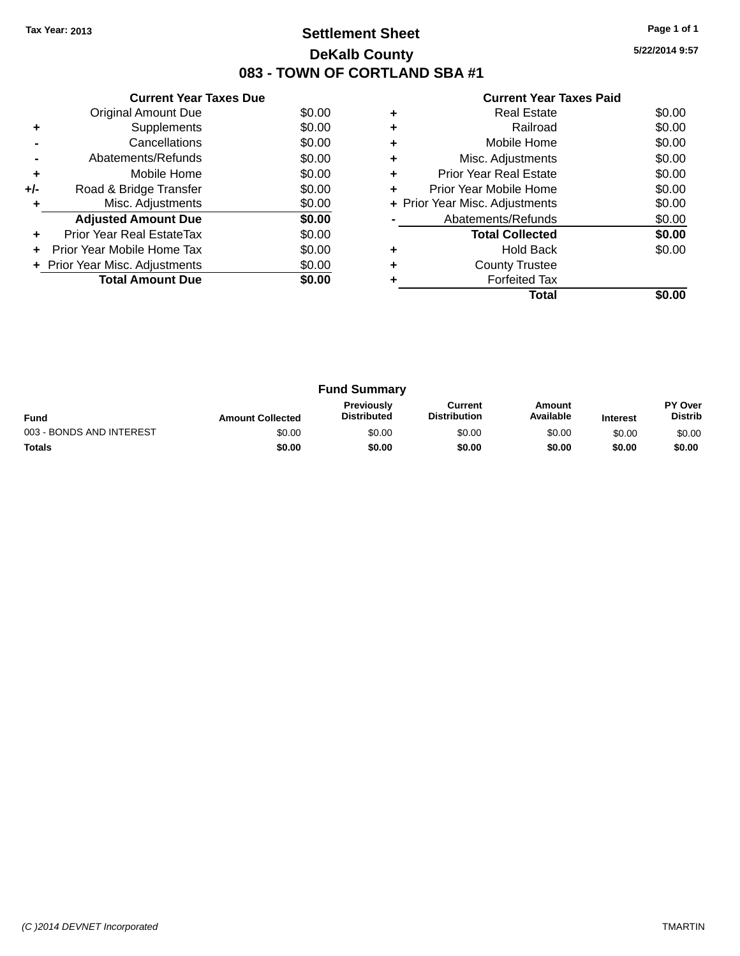## **Settlement Sheet Tax Year: 2013 Page 1 of 1 DeKalb County 083 - TOWN OF CORTLAND SBA #1**

|  | <b>Current Year Taxes Paid</b> |  |  |  |
|--|--------------------------------|--|--|--|
|--|--------------------------------|--|--|--|

|     | <b>Current Year Taxes Due</b>  |        |
|-----|--------------------------------|--------|
|     | Original Amount Due            | \$0.00 |
| ٠   | Supplements                    | \$0.00 |
|     | Cancellations                  | \$0.00 |
|     | Abatements/Refunds             | \$0.00 |
| ٠   | Mobile Home                    | \$0.00 |
| +/- | Road & Bridge Transfer         | \$0.00 |
|     | Misc. Adjustments              | \$0.00 |
|     | <b>Adjusted Amount Due</b>     | \$0.00 |
|     | Prior Year Real EstateTax      | \$0.00 |
|     | Prior Year Mobile Home Tax     | \$0.00 |
|     | + Prior Year Misc. Adjustments | \$0.00 |
|     | <b>Total Amount Due</b>        | \$0.00 |
|     |                                |        |

|   | <b>Real Estate</b>             | \$0.00 |
|---|--------------------------------|--------|
|   | Railroad                       | \$0.00 |
| ٠ | Mobile Home                    | \$0.00 |
| ٠ | Misc. Adjustments              | \$0.00 |
| ٠ | <b>Prior Year Real Estate</b>  | \$0.00 |
| ٠ | Prior Year Mobile Home         | \$0.00 |
|   | + Prior Year Misc. Adjustments | \$0.00 |
|   | Abatements/Refunds             | \$0.00 |
|   | <b>Total Collected</b>         | \$0.00 |
| ٠ | <b>Hold Back</b>               | \$0.00 |
|   | <b>County Trustee</b>          |        |
|   | <b>Forfeited Tax</b>           |        |
|   | Total                          |        |

| <b>Fund Summary</b>      |                         |                                         |                                |                     |                 |                                  |
|--------------------------|-------------------------|-----------------------------------------|--------------------------------|---------------------|-----------------|----------------------------------|
| <b>Fund</b>              | <b>Amount Collected</b> | <b>Previously</b><br><b>Distributed</b> | Current<br><b>Distribution</b> | Amount<br>Available | <b>Interest</b> | <b>PY Over</b><br><b>Distrib</b> |
| 003 - BONDS AND INTEREST | \$0.00                  | \$0.00                                  | \$0.00                         | \$0.00              | \$0.00          | \$0.00                           |
| <b>Totals</b>            | \$0.00                  | \$0.00                                  | \$0.00                         | \$0.00              | \$0.00          | \$0.00                           |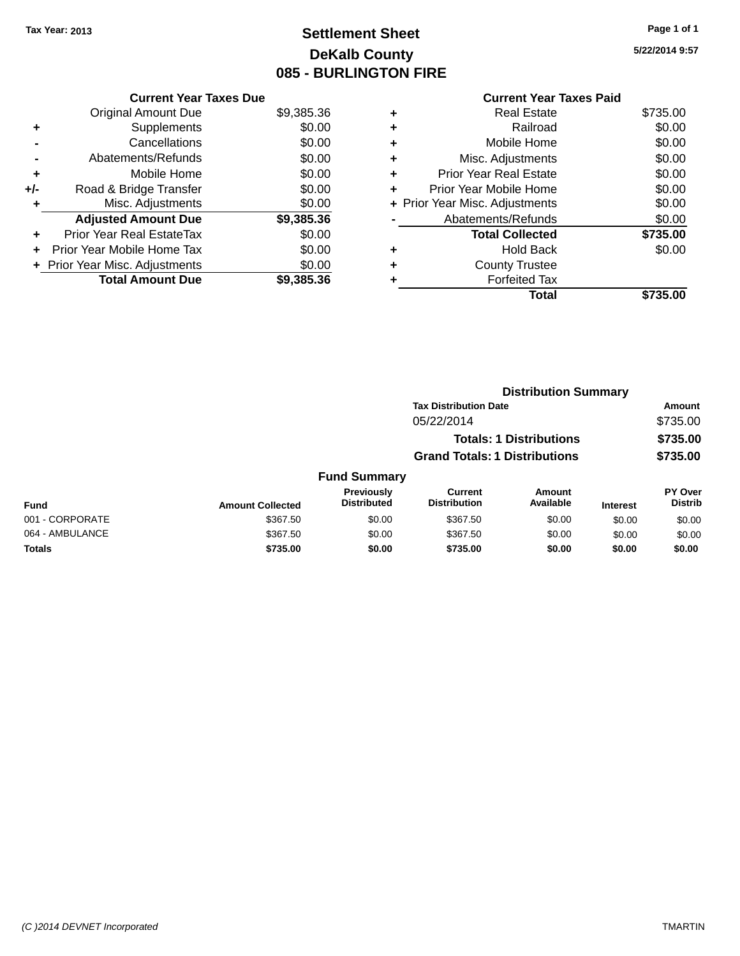## **Settlement Sheet Tax Year: 2013 Page 1 of 1 DeKalb County 085 - BURLINGTON FIRE**

|     | <b>Current Year Taxes Due</b> |            |
|-----|-------------------------------|------------|
|     | <b>Original Amount Due</b>    | \$9,385.36 |
| ٠   | Supplements                   | \$0.00     |
|     | Cancellations                 | \$0.00     |
|     | Abatements/Refunds            | \$0.00     |
| ٠   | Mobile Home                   | \$0.00     |
| +/- | Road & Bridge Transfer        | \$0.00     |
| ٠   | Misc. Adjustments             | \$0.00     |
|     | <b>Adjusted Amount Due</b>    | \$9,385.36 |
| ÷   | Prior Year Real EstateTax     | \$0.00     |
|     | Prior Year Mobile Home Tax    | \$0.00     |
|     | Prior Year Misc. Adjustments  | \$0.00     |
|     | <b>Total Amount Due</b>       | \$9,385.36 |

|   | <b>Current Year Taxes Paid</b> |          |
|---|--------------------------------|----------|
| ٠ | <b>Real Estate</b>             | \$735.00 |
| ٠ | Railroad                       | \$0.00   |
| ٠ | Mobile Home                    | \$0.00   |
|   | Misc. Adjustments              | \$0.00   |
| ٠ | <b>Prior Year Real Estate</b>  | \$0.00   |
| ٠ | Prior Year Mobile Home         | \$0.00   |
|   | + Prior Year Misc. Adjustments | \$0.00   |
|   | Abatements/Refunds             | \$0.00   |
|   | <b>Total Collected</b>         | \$735.00 |
|   | <b>Hold Back</b>               | \$0.00   |
|   | <b>County Trustee</b>          |          |
|   | <b>Forfeited Tax</b>           |          |
|   | Total                          | \$735.00 |
|   |                                |          |

|                 |                         |                                  |                                                                        | <b>Distribution Summary</b> |                 |                           |
|-----------------|-------------------------|----------------------------------|------------------------------------------------------------------------|-----------------------------|-----------------|---------------------------|
|                 |                         |                                  | <b>Tax Distribution Date</b>                                           |                             |                 | Amount                    |
|                 |                         |                                  | 05/22/2014                                                             |                             |                 | \$735.00                  |
|                 |                         |                                  | <b>Totals: 1 Distributions</b><br><b>Grand Totals: 1 Distributions</b> |                             |                 | \$735.00                  |
|                 |                         |                                  |                                                                        |                             |                 | \$735.00                  |
|                 |                         | <b>Fund Summary</b>              |                                                                        |                             |                 |                           |
| <b>Fund</b>     | <b>Amount Collected</b> | Previously<br><b>Distributed</b> | <b>Current</b><br><b>Distribution</b>                                  | Amount<br>Available         | <b>Interest</b> | PY Over<br><b>Distrib</b> |
| 001 - CORPORATE | \$367.50                | \$0.00                           | \$367.50                                                               | \$0.00                      | \$0.00          | \$0.00                    |
| 064 - AMBULANCE | \$367.50                | \$0.00                           | \$367.50                                                               | \$0.00                      | \$0.00          | \$0.00                    |
| <b>Totals</b>   | \$735.00                | \$0.00                           | \$735.00                                                               | \$0.00                      | \$0.00          | \$0.00                    |
|                 |                         |                                  |                                                                        |                             |                 |                           |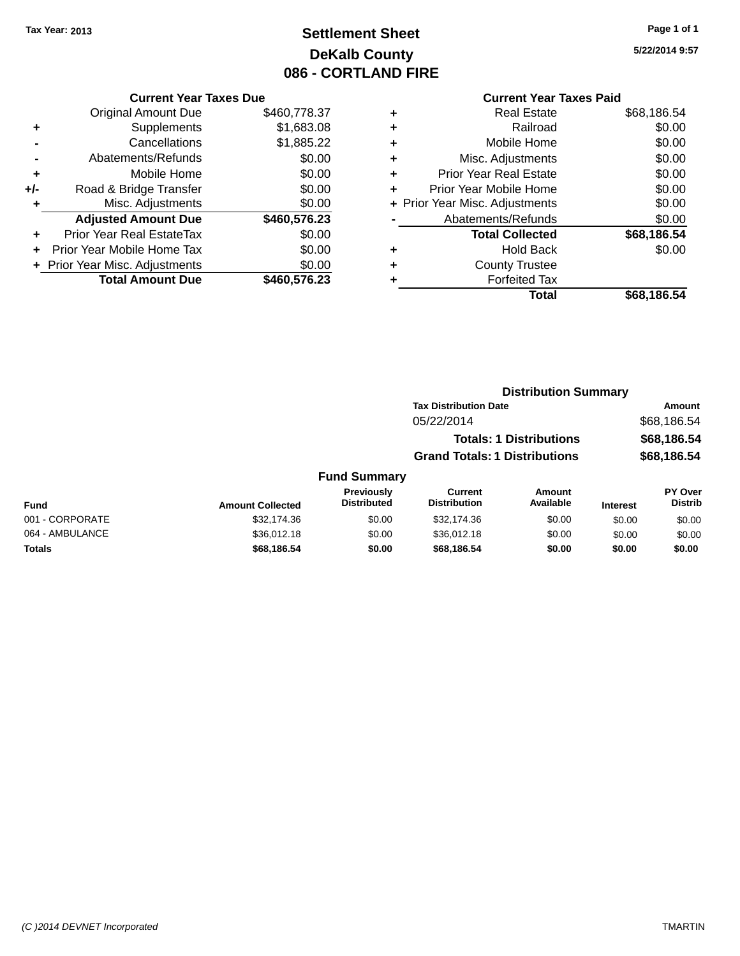## **Settlement Sheet Tax Year: 2013 Page 1 of 1 DeKalb County 086 - CORTLAND FIRE**

**5/22/2014 9:57**

## **Current Year Taxes Paid**

|     | <b>Current Year Taxes Due</b>              |              |  |  |  |  |  |
|-----|--------------------------------------------|--------------|--|--|--|--|--|
|     | \$460,778.37<br><b>Original Amount Due</b> |              |  |  |  |  |  |
| ٠   | Supplements                                | \$1,683.08   |  |  |  |  |  |
|     | \$1,885.22<br>Cancellations                |              |  |  |  |  |  |
|     | \$0.00<br>Abatements/Refunds               |              |  |  |  |  |  |
| ÷   | \$0.00<br>Mobile Home                      |              |  |  |  |  |  |
| +/- | Road & Bridge Transfer                     | \$0.00       |  |  |  |  |  |
|     | \$0.00<br>Misc. Adjustments                |              |  |  |  |  |  |
|     | <b>Adjusted Amount Due</b>                 | \$460,576.23 |  |  |  |  |  |
| ÷   | <b>Prior Year Real EstateTax</b>           | \$0.00       |  |  |  |  |  |
|     | Prior Year Mobile Home Tax                 | \$0.00       |  |  |  |  |  |
|     | + Prior Year Misc. Adjustments             | \$0.00       |  |  |  |  |  |
|     | <b>Total Amount Due</b>                    | \$460,576.23 |  |  |  |  |  |
|     |                                            |              |  |  |  |  |  |

|   | <b>Real Estate</b>             | \$68,186.54 |
|---|--------------------------------|-------------|
| ٠ | Railroad                       | \$0.00      |
| ٠ | Mobile Home                    | \$0.00      |
| ٠ | Misc. Adjustments              | \$0.00      |
| ٠ | <b>Prior Year Real Estate</b>  | \$0.00      |
| ÷ | Prior Year Mobile Home         | \$0.00      |
|   | + Prior Year Misc. Adjustments | \$0.00      |
|   | Abatements/Refunds             | \$0.00      |
|   | <b>Total Collected</b>         | \$68,186.54 |
| ٠ | <b>Hold Back</b>               | \$0.00      |
|   | <b>County Trustee</b>          |             |
| ٠ | <b>Forfeited Tax</b>           |             |
|   | Total                          | \$68,186.54 |
|   |                                |             |

|                     |                                      | <b>Distribution Summary</b>    |                |
|---------------------|--------------------------------------|--------------------------------|----------------|
|                     | <b>Tax Distribution Date</b>         |                                | Amount         |
|                     | 05/22/2014                           |                                | \$68,186.54    |
|                     |                                      | <b>Totals: 1 Distributions</b> | \$68,186.54    |
|                     | <b>Grand Totals: 1 Distributions</b> |                                | \$68,186.54    |
| <b>Fund Summary</b> |                                      |                                |                |
| <b>Previously</b>   | Current                              | Amount                         | <b>PY Over</b> |

| <b>Fund</b>     | <b>Amount Collected</b> | <b>Previously</b><br><b>Distributed</b> | Current<br><b>Distribution</b> | Amount<br>Available | <b>Interest</b> | <b>PY Over</b><br><b>Distrib</b> |
|-----------------|-------------------------|-----------------------------------------|--------------------------------|---------------------|-----------------|----------------------------------|
| 001 - CORPORATE | \$32,174.36             | \$0.00                                  | \$32,174.36                    | \$0.00              | \$0.00          | \$0.00                           |
| 064 - AMBULANCE | \$36,012.18             | \$0.00                                  | \$36,012.18                    | \$0.00              | \$0.00          | \$0.00                           |
| <b>Totals</b>   | \$68,186.54             | \$0.00                                  | \$68.186.54                    | \$0.00              | \$0.00          | \$0.00                           |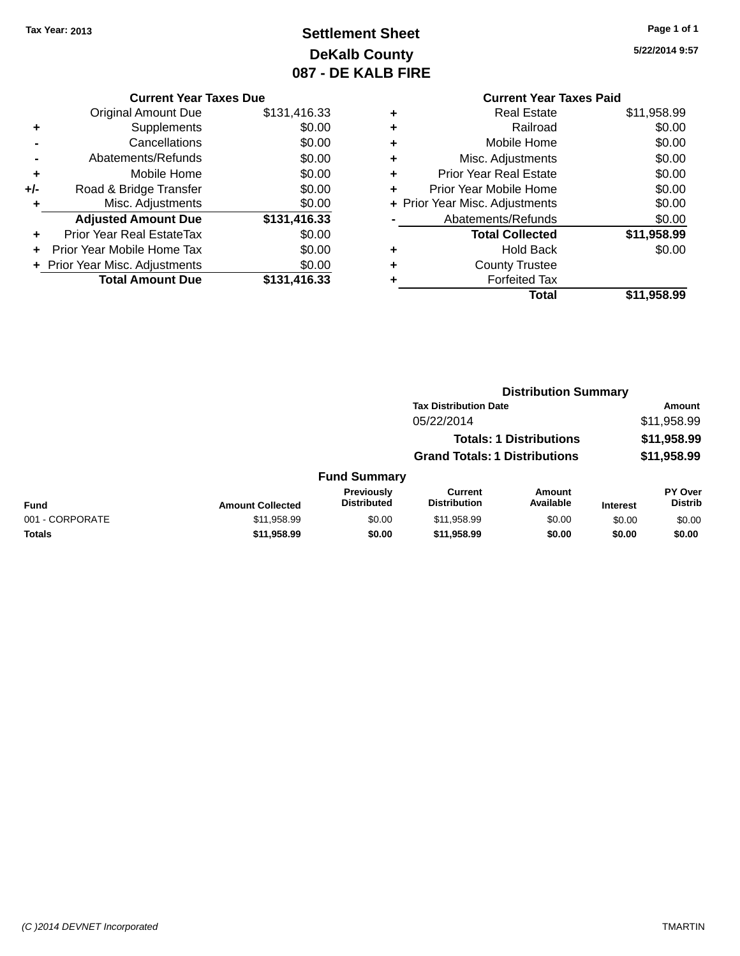## **Settlement Sheet Tax Year: 2013 Page 1 of 1 DeKalb County 087 - DE KALB FIRE**

|       | <b>Current Year Taxes Due</b>    |              |  |  |  |  |
|-------|----------------------------------|--------------|--|--|--|--|
|       | Original Amount Due              | \$131,416.33 |  |  |  |  |
| ٠     | Supplements                      | \$0.00       |  |  |  |  |
|       | Cancellations                    | \$0.00       |  |  |  |  |
|       | Abatements/Refunds               | \$0.00       |  |  |  |  |
| ÷     | Mobile Home                      | \$0.00       |  |  |  |  |
| $+/-$ | Road & Bridge Transfer           | \$0.00       |  |  |  |  |
| ٠     | Misc. Adjustments                | \$0.00       |  |  |  |  |
|       | <b>Adjusted Amount Due</b>       | \$131,416.33 |  |  |  |  |
| ÷     | <b>Prior Year Real EstateTax</b> | \$0.00       |  |  |  |  |
|       | Prior Year Mobile Home Tax       | \$0.00       |  |  |  |  |
|       | + Prior Year Misc. Adjustments   | \$0.00       |  |  |  |  |
|       | <b>Total Amount Due</b>          | \$131,416.33 |  |  |  |  |
|       |                                  |              |  |  |  |  |

| <b>Current Year Taxes Paid</b>     |             |
|------------------------------------|-------------|
| Real Estate<br>٠                   | \$11,958.99 |
| Railroad<br>٠                      | \$0.00      |
| Mobile Home<br>٠                   | \$0.00      |
| Misc. Adjustments<br>٠             | \$0.00      |
| <b>Prior Year Real Estate</b><br>٠ | \$0.00      |
| Prior Year Mobile Home<br>÷        | \$0.00      |
| + Prior Year Misc. Adjustments     | \$0.00      |
| Abatements/Refunds                 | \$0.00      |
| <b>Total Collected</b>             | \$11,958.99 |
| Hold Back<br>٠                     | \$0.00      |
| <b>County Trustee</b>              |             |
| <b>Forfeited Tax</b>               |             |
| Total                              | \$11,958.99 |
|                                    |             |

|                 |                         | <b>Distribution Summary</b>      |                                       |                                |                 |                           |
|-----------------|-------------------------|----------------------------------|---------------------------------------|--------------------------------|-----------------|---------------------------|
|                 |                         |                                  | <b>Tax Distribution Date</b>          |                                |                 | Amount                    |
|                 |                         |                                  | 05/22/2014                            |                                |                 | \$11,958.99               |
|                 |                         |                                  |                                       | <b>Totals: 1 Distributions</b> |                 | \$11,958.99               |
|                 |                         |                                  | <b>Grand Totals: 1 Distributions</b>  |                                |                 | \$11,958.99               |
|                 |                         | <b>Fund Summary</b>              |                                       |                                |                 |                           |
| <b>Fund</b>     | <b>Amount Collected</b> | Previously<br><b>Distributed</b> | <b>Current</b><br><b>Distribution</b> | Amount<br>Available            | <b>Interest</b> | PY Over<br><b>Distrib</b> |
| 001 - CORPORATE | \$11,958.99             | \$0.00                           | \$11,958.99                           | \$0.00                         | \$0.00          | \$0.00                    |
| Totals          | \$11,958.99             | \$0.00                           | \$11,958.99                           | \$0.00                         | \$0.00          | \$0.00                    |
|                 |                         |                                  |                                       |                                |                 |                           |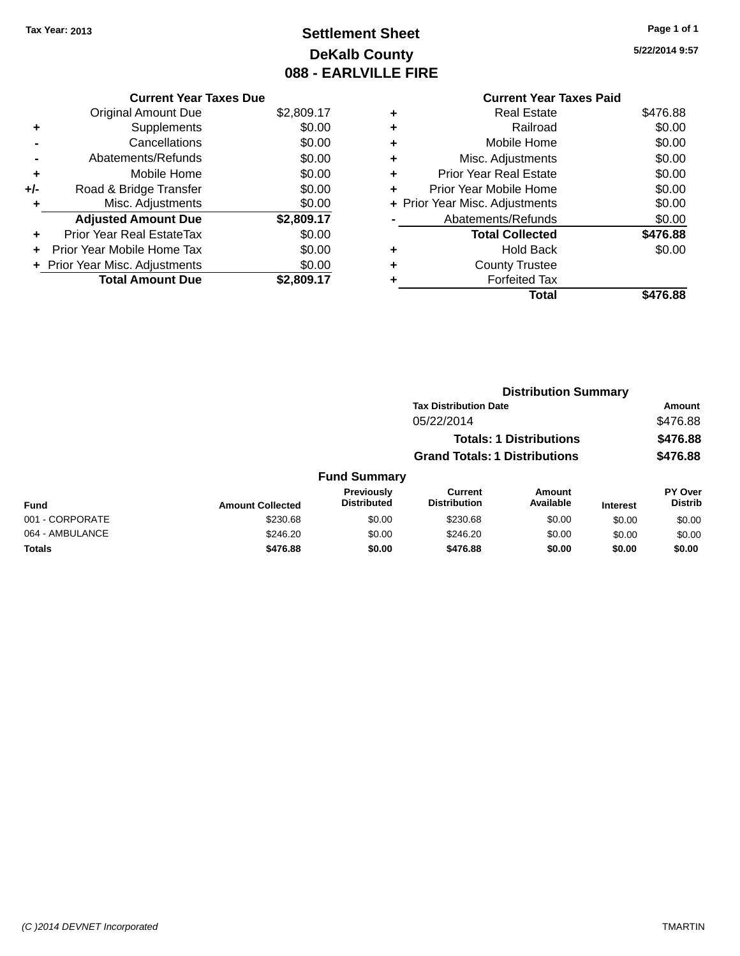## **Settlement Sheet Tax Year: 2013 Page 1 of 1 DeKalb County 088 - EARLVILLE FIRE**

|     | <b>Current Year Taxes Due</b>     |            |  |  |  |  |
|-----|-----------------------------------|------------|--|--|--|--|
|     | <b>Original Amount Due</b>        | \$2,809.17 |  |  |  |  |
|     | Supplements                       | \$0.00     |  |  |  |  |
|     | Cancellations                     | \$0.00     |  |  |  |  |
|     | Abatements/Refunds                | \$0.00     |  |  |  |  |
| ٠   | Mobile Home                       | \$0.00     |  |  |  |  |
| +/- | Road & Bridge Transfer            | \$0.00     |  |  |  |  |
|     | Misc. Adjustments                 | \$0.00     |  |  |  |  |
|     | <b>Adjusted Amount Due</b>        | \$2,809.17 |  |  |  |  |
| ÷   | Prior Year Real EstateTax         | \$0.00     |  |  |  |  |
|     | <b>Prior Year Mobile Home Tax</b> | \$0.00     |  |  |  |  |
|     | + Prior Year Misc. Adjustments    | \$0.00     |  |  |  |  |
|     | <b>Total Amount Due</b>           | \$2,809.17 |  |  |  |  |

|   | <b>Current Year Taxes Paid</b> |          |
|---|--------------------------------|----------|
| ٠ | <b>Real Estate</b>             | \$476.88 |
| ٠ | Railroad                       | \$0.00   |
| ٠ | Mobile Home                    | \$0.00   |
| ٠ | Misc. Adjustments              | \$0.00   |
| ٠ | <b>Prior Year Real Estate</b>  | \$0.00   |
| ٠ | Prior Year Mobile Home         | \$0.00   |
|   | + Prior Year Misc. Adjustments | \$0.00   |
|   | Abatements/Refunds             | \$0.00   |
|   | <b>Total Collected</b>         | \$476.88 |
| ٠ | <b>Hold Back</b>               | \$0.00   |
| ٠ | <b>County Trustee</b>          |          |
|   | <b>Forfeited Tax</b>           |          |
|   | Total                          | \$476.88 |
|   |                                |          |

|                 | <b>Distribution Summary</b> |                                  |                                       |                     |                 |                           |
|-----------------|-----------------------------|----------------------------------|---------------------------------------|---------------------|-----------------|---------------------------|
|                 |                             |                                  | <b>Tax Distribution Date</b>          |                     |                 | <b>Amount</b>             |
|                 |                             |                                  | 05/22/2014                            |                     |                 | \$476.88                  |
|                 |                             |                                  | <b>Totals: 1 Distributions</b>        |                     |                 | \$476.88                  |
|                 |                             |                                  | <b>Grand Totals: 1 Distributions</b>  |                     |                 | \$476.88                  |
|                 |                             | <b>Fund Summary</b>              |                                       |                     |                 |                           |
| <b>Fund</b>     | <b>Amount Collected</b>     | Previously<br><b>Distributed</b> | <b>Current</b><br><b>Distribution</b> | Amount<br>Available | <b>Interest</b> | PY Over<br><b>Distrib</b> |
| 001 - CORPORATE | \$230.68                    | \$0.00                           | \$230.68                              | \$0.00              | \$0.00          | \$0.00                    |
| 064 - AMBULANCE | \$246.20                    | \$0.00                           | \$246.20                              | \$0.00              | \$0.00          | \$0.00                    |
| Totals          | \$476.88                    | \$0.00                           | \$476.88                              | \$0.00              | \$0.00          | \$0.00                    |
|                 |                             |                                  |                                       |                     |                 |                           |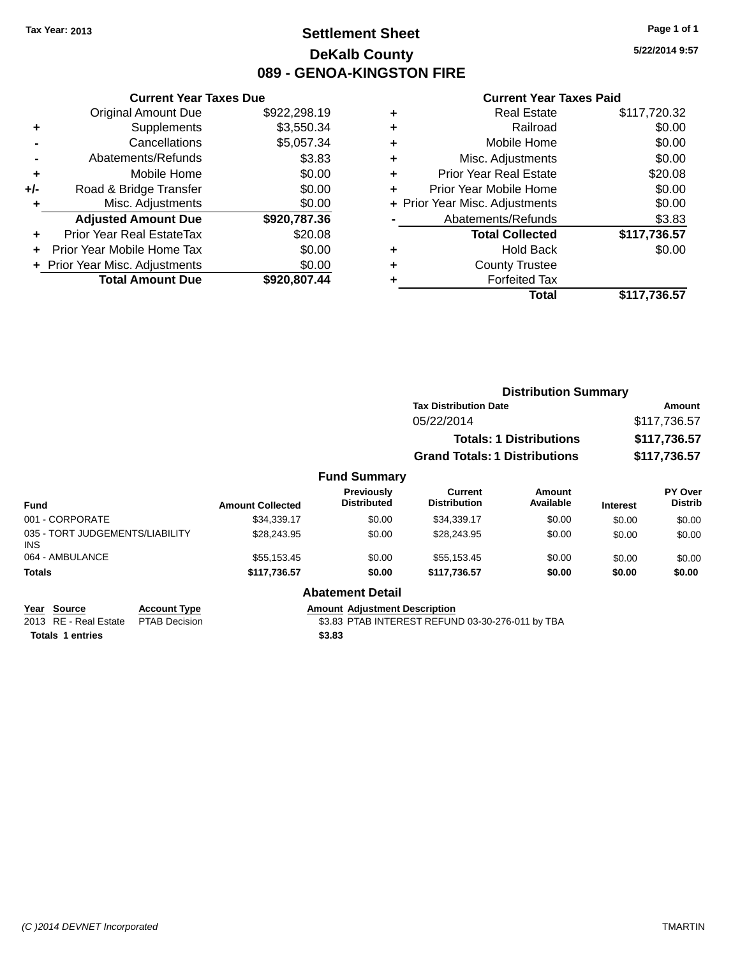## **Settlement Sheet Tax Year: 2013 Page 1 of 1 DeKalb County 089 - GENOA-KINGSTON FIRE**

**5/22/2014 9:57**

### **Current Year Taxes Paid**

|     | <b>Current Year Taxes Due</b>            |              |  |  |  |
|-----|------------------------------------------|--------------|--|--|--|
|     | <b>Original Amount Due</b>               | \$922,298.19 |  |  |  |
| ٠   | Supplements                              | \$3,550.34   |  |  |  |
|     | Cancellations                            | \$5,057.34   |  |  |  |
|     | Abatements/Refunds                       | \$3.83       |  |  |  |
| ٠   | Mobile Home                              | \$0.00       |  |  |  |
| +/- | Road & Bridge Transfer                   | \$0.00       |  |  |  |
|     | Misc. Adjustments                        | \$0.00       |  |  |  |
|     | <b>Adjusted Amount Due</b>               | \$920,787.36 |  |  |  |
| ÷   | Prior Year Real EstateTax                | \$20.08      |  |  |  |
|     | Prior Year Mobile Home Tax               | \$0.00       |  |  |  |
|     | \$0.00<br>+ Prior Year Misc. Adjustments |              |  |  |  |
|     | <b>Total Amount Due</b>                  | \$920,807.44 |  |  |  |

| ٠ | <b>Real Estate</b>             | \$117,720.32 |
|---|--------------------------------|--------------|
| ٠ | Railroad                       | \$0.00       |
| ٠ | Mobile Home                    | \$0.00       |
| ٠ | Misc. Adjustments              | \$0.00       |
| ٠ | <b>Prior Year Real Estate</b>  | \$20.08      |
| ÷ | Prior Year Mobile Home         | \$0.00       |
|   | + Prior Year Misc. Adjustments | \$0.00       |
|   | Abatements/Refunds             | \$3.83       |
|   | <b>Total Collected</b>         | \$117,736.57 |
| ٠ | <b>Hold Back</b>               | \$0.00       |
| ٠ | <b>County Trustee</b>          |              |
| ٠ | <b>Forfeited Tax</b>           |              |
|   | Total                          | \$117,736.57 |
|   |                                |              |

|                                               |                         | <b>Distribution Summary</b>      |                                      |                            |                 |                           |
|-----------------------------------------------|-------------------------|----------------------------------|--------------------------------------|----------------------------|-----------------|---------------------------|
|                                               |                         |                                  | <b>Tax Distribution Date</b>         | Amount<br>\$117,736.57     |                 |                           |
|                                               |                         |                                  | 05/22/2014                           |                            |                 |                           |
|                                               |                         |                                  | <b>Totals: 1 Distributions</b>       |                            | \$117,736.57    |                           |
|                                               |                         |                                  | <b>Grand Totals: 1 Distributions</b> |                            | \$117,736.57    |                           |
|                                               |                         | <b>Fund Summary</b>              |                                      |                            |                 |                           |
| <b>Fund</b>                                   | <b>Amount Collected</b> | Previously<br><b>Distributed</b> | Current<br><b>Distribution</b>       | <b>Amount</b><br>Available | <b>Interest</b> | PY Over<br><b>Distrib</b> |
| 001 - CORPORATE                               | \$34,339.17             | \$0.00                           | \$34,339.17                          | \$0.00                     | \$0.00          | \$0.00                    |
| 035 - TORT JUDGEMENTS/LIABILITY<br><b>INS</b> | \$28,243.95             | \$0.00                           | \$28,243.95                          | \$0.00                     | \$0.00          | \$0.00                    |
| 064 - AMBULANCE                               | \$55,153.45             | \$0.00                           | \$55,153.45                          | \$0.00                     | \$0.00          | \$0.00                    |
| <b>Totals</b>                                 | \$117,736.57            | \$0.00                           | \$117,736.57                         | \$0.00                     | \$0.00          | \$0.00                    |
|                                               |                         | <b>Abatement Detail</b>          |                                      |                            |                 |                           |

**Year** Source **Account Type Account Type Amount Adjustment Description** 

2013 RE - Real Estate PTAB Decision \$3.83 PTAB INTEREST REFUND 03-30-276-011 by TBA

**Totals 1 entries \$3.83**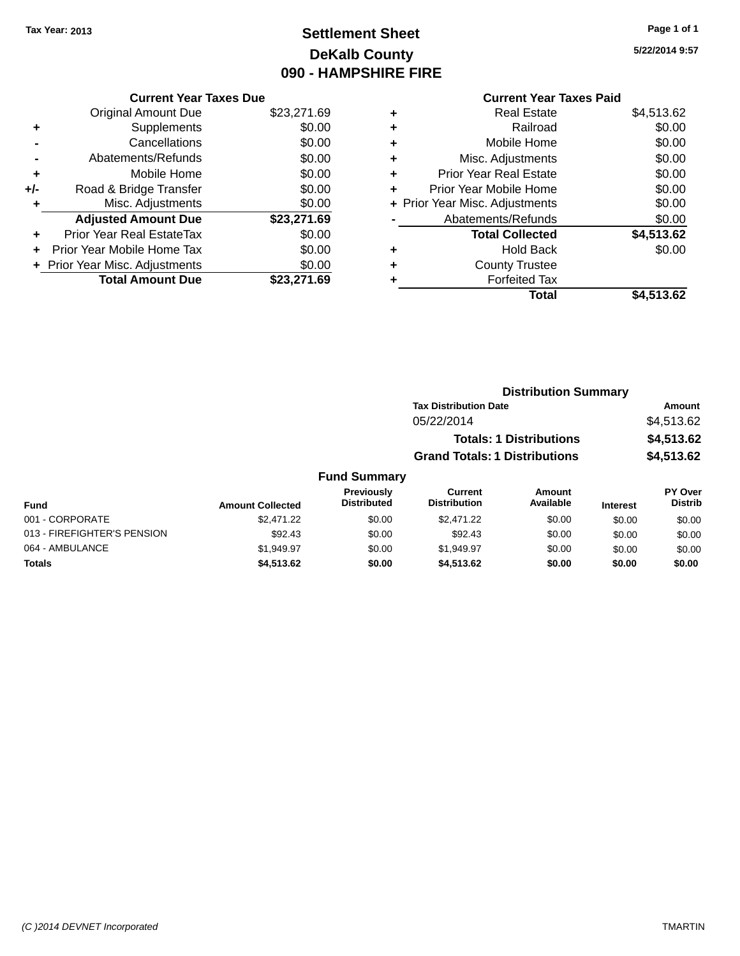## **Settlement Sheet Tax Year: 2013 Page 1 of 1 DeKalb County 090 - HAMPSHIRE FIRE**

**5/22/2014 9:57**

## **Current Year Taxes Paid**

|     | <b>Current Year Taxes Due</b>  |             |
|-----|--------------------------------|-------------|
|     | <b>Original Amount Due</b>     | \$23,271.69 |
| ٠   | Supplements                    | \$0.00      |
|     | Cancellations                  | \$0.00      |
|     | Abatements/Refunds             | \$0.00      |
| ٠   | Mobile Home                    | \$0.00      |
| +/- | Road & Bridge Transfer         | \$0.00      |
|     | Misc. Adjustments              | \$0.00      |
|     | <b>Adjusted Amount Due</b>     | \$23,271.69 |
| ٠   | Prior Year Real EstateTax      | \$0.00      |
|     | Prior Year Mobile Home Tax     | \$0.00      |
|     | + Prior Year Misc. Adjustments | \$0.00      |
|     | <b>Total Amount Due</b>        | \$23.271.69 |
|     |                                |             |

|   | <b>Real Estate</b>             | \$4,513.62 |
|---|--------------------------------|------------|
| ٠ | Railroad                       | \$0.00     |
| ٠ | Mobile Home                    | \$0.00     |
| ٠ | Misc. Adjustments              | \$0.00     |
| ٠ | <b>Prior Year Real Estate</b>  | \$0.00     |
| ÷ | Prior Year Mobile Home         | \$0.00     |
|   | + Prior Year Misc. Adjustments | \$0.00     |
|   | Abatements/Refunds             | \$0.00     |
|   | <b>Total Collected</b>         | \$4,513.62 |
| ٠ | Hold Back                      | \$0.00     |
| ٠ | <b>County Trustee</b>          |            |
| ٠ | <b>Forfeited Tax</b>           |            |
|   | Total                          | \$4,513.62 |
|   |                                |            |

|                | <b>Distribution Summary</b>          |            |
|----------------|--------------------------------------|------------|
|                | <b>Tax Distribution Date</b>         | Amount     |
|                | 05/22/2014                           | \$4,513.62 |
|                | <b>Totals: 1 Distributions</b>       | \$4,513.62 |
|                | <b>Grand Totals: 1 Distributions</b> | \$4,513.62 |
| <b>Summary</b> |                                      |            |

| <b>Fund Summary</b>                                                                                                                                                          |            |        |            |        |        |        |  |
|------------------------------------------------------------------------------------------------------------------------------------------------------------------------------|------------|--------|------------|--------|--------|--------|--|
| PY Over<br>Previously<br>Current<br>Amount<br>Available<br><b>Distrib</b><br><b>Distribution</b><br><b>Distributed</b><br><b>Amount Collected</b><br><b>Interest</b><br>Fund |            |        |            |        |        |        |  |
| 001 - CORPORATE                                                                                                                                                              | \$2,471.22 | \$0.00 | \$2,471.22 | \$0.00 | \$0.00 | \$0.00 |  |
| 013 - FIREFIGHTER'S PENSION                                                                                                                                                  | \$92.43    | \$0.00 | \$92.43    | \$0.00 | \$0.00 | \$0.00 |  |
| 064 - AMBULANCE                                                                                                                                                              | \$1.949.97 | \$0.00 | \$1.949.97 | \$0.00 | \$0.00 | \$0.00 |  |
| <b>Totals</b>                                                                                                                                                                | \$4,513.62 | \$0.00 | \$4,513,62 | \$0.00 | \$0.00 | \$0.00 |  |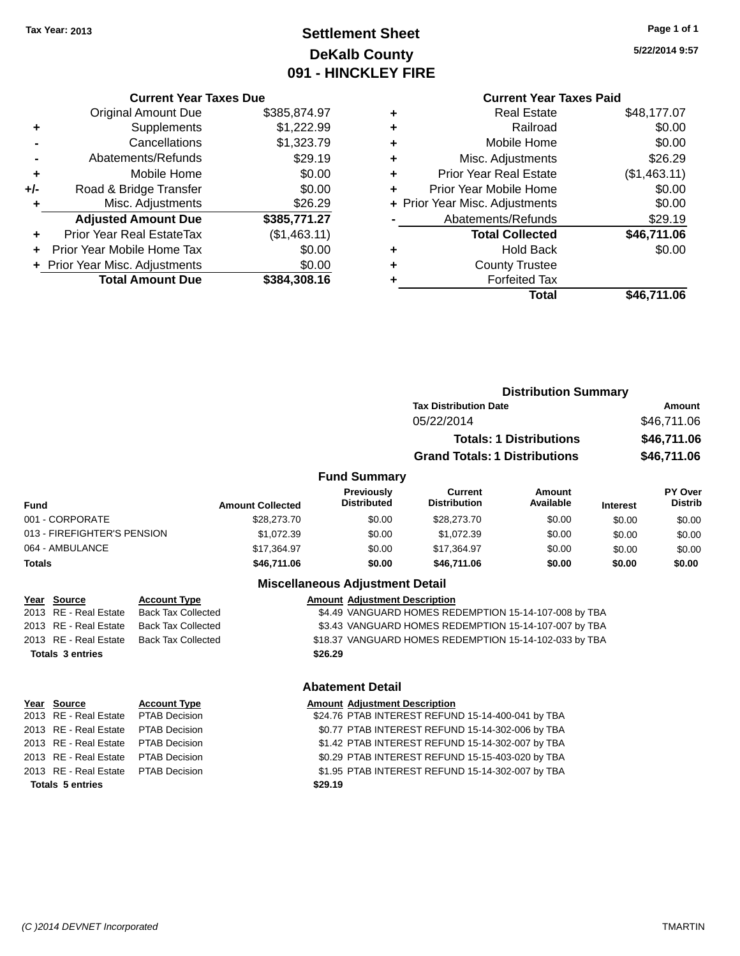## **Settlement Sheet Tax Year: 2013 Page 1 of 1 DeKalb County 091 - HINCKLEY FIRE**

**5/22/2014 9:57**

### **Current Year Taxes Due** Original Amount Due \$385,874.97 **+** Supplements \$1,222.99 **-** Cancellations \$1,323.79 **-** Abatements/Refunds \$29.19 **+** Mobile Home \$0.00 **+/-** Road & Bridge Transfer \$0.00 **+** Misc. Adjustments \$26.29 **Adjusted Amount Due \$385,771.27 +** Prior Year Real EstateTax (\$1,463.11) **+** Prior Year Mobile Home Tax \$0.00 **+ Prior Year Misc. Adjustments**  $$0.00$ **Total Amount Due \$384,308.16**

|   | <b>Current Year Taxes Paid</b> |              |
|---|--------------------------------|--------------|
| ٠ | <b>Real Estate</b>             | \$48,177.07  |
| ٠ | Railroad                       | \$0.00       |
| ٠ | Mobile Home                    | \$0.00       |
| ٠ | Misc. Adjustments              | \$26.29      |
| ٠ | <b>Prior Year Real Estate</b>  | (\$1,463.11) |
| ٠ | Prior Year Mobile Home         | \$0.00       |
|   | + Prior Year Misc. Adjustments | \$0.00       |
|   | Abatements/Refunds             | \$29.19      |
|   | <b>Total Collected</b>         | \$46,711.06  |
| ٠ | <b>Hold Back</b>               | \$0.00       |
| ٠ | <b>County Trustee</b>          |              |
|   | <b>Forfeited Tax</b>           |              |
|   | Total                          | \$46.711.06  |
|   |                                |              |

|        |                             |                           |                         |                                         | <b>Distribution Summary</b>                           |                                |                 |                                           |  |
|--------|-----------------------------|---------------------------|-------------------------|-----------------------------------------|-------------------------------------------------------|--------------------------------|-----------------|-------------------------------------------|--|
|        |                             |                           |                         |                                         | <b>Tax Distribution Date</b>                          | Amount                         |                 |                                           |  |
|        |                             |                           |                         |                                         | 05/22/2014                                            |                                |                 | \$46,711.06<br>\$46,711.06<br>\$46,711.06 |  |
|        |                             |                           |                         |                                         |                                                       | <b>Totals: 1 Distributions</b> |                 |                                           |  |
|        |                             |                           |                         |                                         | <b>Grand Totals: 1 Distributions</b>                  |                                |                 |                                           |  |
|        |                             |                           |                         | <b>Fund Summary</b>                     |                                                       |                                |                 |                                           |  |
| Fund   |                             |                           | <b>Amount Collected</b> | <b>Previously</b><br><b>Distributed</b> | <b>Current</b><br><b>Distribution</b>                 | Amount<br>Available            | <b>Interest</b> | <b>PY Over</b><br><b>Distrib</b>          |  |
|        | 001 - CORPORATE             |                           | \$28,273.70             | \$0.00                                  | \$28,273.70                                           | \$0.00                         | \$0.00          | \$0.00                                    |  |
|        | 013 - FIREFIGHTER'S PENSION |                           | \$1,072.39              | \$0.00                                  | \$1,072.39                                            | \$0.00                         | \$0.00          | \$0.00                                    |  |
|        | 064 - AMBULANCE             |                           | \$17,364.97             | \$0.00                                  | \$17,364.97                                           | \$0.00                         | \$0.00          | \$0.00                                    |  |
| Totals |                             |                           | \$46,711.06             | \$0.00                                  | \$46,711.06                                           | \$0.00                         | \$0.00          | \$0.00                                    |  |
|        |                             |                           |                         | <b>Miscellaneous Adjustment Detail</b>  |                                                       |                                |                 |                                           |  |
|        | Year Source                 | <b>Account Type</b>       |                         | <b>Amount Adjustment Description</b>    |                                                       |                                |                 |                                           |  |
|        | 2013 RE - Real Estate       | <b>Back Tax Collected</b> |                         |                                         | \$4.49 VANGUARD HOMES REDEMPTION 15-14-107-008 by TBA |                                |                 |                                           |  |
|        | 2013 RE - Real Estate       | <b>Back Tax Collected</b> |                         |                                         | \$3.43 VANGUARD HOMES REDEMPTION 15-14-107-007 by TBA |                                |                 |                                           |  |

| \$3.43 VANGUARD HOMES REDEMPTION 15-14-107-007 by TBA  |  |
|--------------------------------------------------------|--|
| \$18.37 VANGUARD HOMES REDEMPTION 15-14-102-033 by TBA |  |

### **Totals 3 entries \$26.29**

### **Abatement Detail**

| 'ear Source                         | <b>Account Type</b> |         | <b>Amount Adjustment Description</b>              |
|-------------------------------------|---------------------|---------|---------------------------------------------------|
| 013 RE - Real Estate  PTAB Decision |                     |         | \$24.76 PTAB INTEREST REFUND 15-14-400-041 by TBA |
| :013 RE - Real Estate               | PTAB Decision       |         | \$0.77 PTAB INTEREST REFUND 15-14-302-006 by TBA  |
| 013 RE - Real Estate PTAB Decision  |                     |         | \$1.42 PTAB INTEREST REFUND 15-14-302-007 by TBA  |
| :013 RE - Real Estate               | PTAB Decision       |         | \$0.29 PTAB INTEREST REFUND 15-15-403-020 by TBA  |
| 013 RE - Real Estate PTAB Decision  |                     |         | \$1.95 PTAB INTEREST REFUND 15-14-302-007 by TBA  |
| <b>Totals 5 entries</b>             |                     | \$29.19 |                                                   |
|                                     |                     |         |                                                   |

2013 RE - Real Estate Back Tax Collected

**Year Source** 2013 RE - Real 2013 RE - Real 2013 RE - Real 2013 RE - Real 2013 RE - Real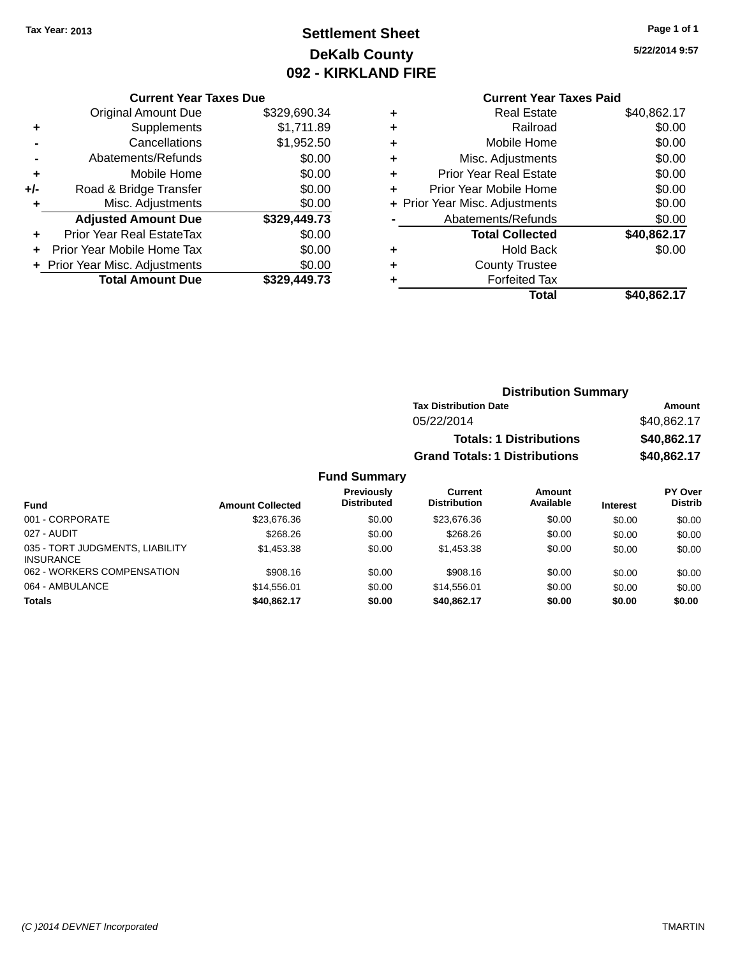## **Settlement Sheet Tax Year: 2013 Page 1 of 1 DeKalb County 092 - KIRKLAND FIRE**

**5/22/2014 9:57**

|     | <b>Current Year Taxes Due</b>  |              |
|-----|--------------------------------|--------------|
|     | <b>Original Amount Due</b>     | \$329,690.34 |
| ٠   | Supplements                    | \$1,711.89   |
|     | Cancellations                  | \$1,952.50   |
|     | Abatements/Refunds             | \$0.00       |
| ٠   | Mobile Home                    | \$0.00       |
| +/- | Road & Bridge Transfer         | \$0.00       |
| ٠   | Misc. Adjustments              | \$0.00       |
|     | <b>Adjusted Amount Due</b>     | \$329,449.73 |
|     | Prior Year Real EstateTax      | \$0.00       |
| ÷   | Prior Year Mobile Home Tax     | \$0.00       |
|     | + Prior Year Misc. Adjustments | \$0.00       |
|     | <b>Total Amount Due</b>        | \$329.449.73 |
|     |                                |              |

## **Current Year Taxes Paid +** Real Estate \$40,862.17

|   | Total                          | \$40,862.17 |
|---|--------------------------------|-------------|
|   | <b>Forfeited Tax</b>           |             |
| ÷ | <b>County Trustee</b>          |             |
|   | <b>Hold Back</b>               | \$0.00      |
|   | <b>Total Collected</b>         | \$40,862.17 |
|   | Abatements/Refunds             | \$0.00      |
|   | + Prior Year Misc. Adjustments | \$0.00      |
|   | Prior Year Mobile Home         | \$0.00      |
| ٠ | <b>Prior Year Real Estate</b>  | \$0.00      |
| ÷ | Misc. Adjustments              | \$0.00      |
| ÷ | Mobile Home                    | \$0.00      |
|   | Railroad                       | \$0.00      |
|   |                                | . <i>.</i>  |

### **Distribution Summary Tax Distribution Date Amount** 05/22/2014 \$40,862.17 **Totals: 1 Distributions \$40,862.17 Grand Totals: 1 Distributions \$40,862.17**

| Fund                                                | <b>Amount Collected</b> | <b>Previously</b><br><b>Distributed</b> | Current<br><b>Distribution</b> | Amount<br>Available | <b>Interest</b> | <b>PY Over</b><br><b>Distrib</b> |
|-----------------------------------------------------|-------------------------|-----------------------------------------|--------------------------------|---------------------|-----------------|----------------------------------|
| 001 - CORPORATE                                     | \$23,676.36             | \$0.00                                  | \$23,676.36                    | \$0.00              | \$0.00          | \$0.00                           |
| 027 - AUDIT                                         | \$268.26                | \$0.00                                  | \$268.26                       | \$0.00              | \$0.00          | \$0.00                           |
| 035 - TORT JUDGMENTS, LIABILITY<br><b>INSURANCE</b> | \$1,453.38              | \$0.00                                  | \$1,453,38                     | \$0.00              | \$0.00          | \$0.00                           |
| 062 - WORKERS COMPENSATION                          | \$908.16                | \$0.00                                  | \$908.16                       | \$0.00              | \$0.00          | \$0.00                           |
| 064 - AMBULANCE                                     | \$14,556,01             | \$0.00                                  | \$14.556.01                    | \$0.00              | \$0.00          | \$0.00                           |
| <b>Totals</b>                                       | \$40,862,17             | \$0.00                                  | \$40.862.17                    | \$0.00              | \$0.00          | \$0.00                           |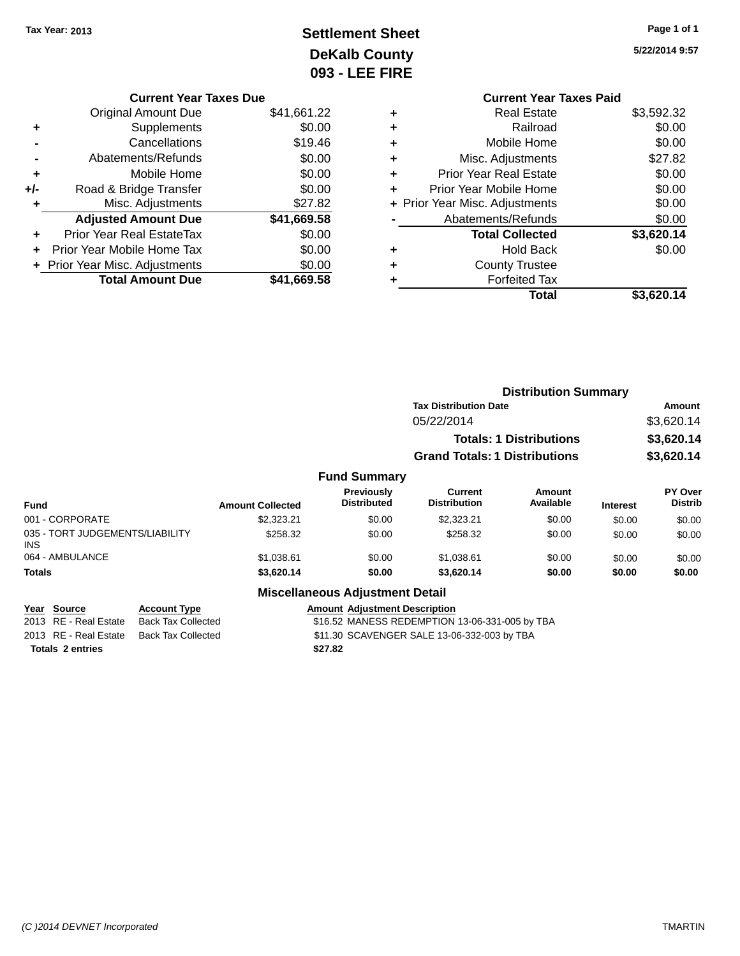## **Settlement Sheet Tax Year: 2013 Page 1 of 1 DeKalb County 093 - LEE FIRE**

| Page 1 of 1 |  |  |  |
|-------------|--|--|--|
|-------------|--|--|--|

|   | <b>Current Year Taxes Paid</b> |            |
|---|--------------------------------|------------|
| ٠ | <b>Real Estate</b>             | \$3,592.32 |
| ٠ | Railroad                       | \$0.00     |
| ٠ | Mobile Home                    | \$0.00     |
| ٠ | Misc. Adjustments              | \$27.82    |
| ٠ | <b>Prior Year Real Estate</b>  | \$0.00     |
| ÷ | Prior Year Mobile Home         | \$0.00     |
|   | + Prior Year Misc. Adjustments | \$0.00     |
|   | Abatements/Refunds             | \$0.00     |
|   | <b>Total Collected</b>         | \$3,620.14 |
| ٠ | <b>Hold Back</b>               | \$0.00     |
|   | <b>County Trustee</b>          |            |
| ٠ | <b>Forfeited Tax</b>           |            |
|   | Total                          | \$3.620.14 |
|   |                                |            |

|     | <b>Current Year Taxes Due</b>  |             |
|-----|--------------------------------|-------------|
|     | <b>Original Amount Due</b>     | \$41,661.22 |
| ٠   | Supplements                    | \$0.00      |
|     | Cancellations                  | \$19.46     |
|     | Abatements/Refunds             | \$0.00      |
| ٠   | Mobile Home                    | \$0.00      |
| +/- | Road & Bridge Transfer         | \$0.00      |
| ٠   | Misc. Adjustments              | \$27.82     |
|     | <b>Adjusted Amount Due</b>     | \$41,669.58 |
| ٠   | Prior Year Real EstateTax      | \$0.00      |
| ÷   | Prior Year Mobile Home Tax     | \$0.00      |
|     | + Prior Year Misc. Adjustments | \$0.00      |
|     | <b>Total Amount Due</b>        | \$41,669.58 |

|                                         |                         |                                        | <b>Distribution Summary</b>          |                                |                 |                                  |
|-----------------------------------------|-------------------------|----------------------------------------|--------------------------------------|--------------------------------|-----------------|----------------------------------|
|                                         |                         |                                        | <b>Tax Distribution Date</b>         |                                |                 | Amount                           |
|                                         |                         |                                        | 05/22/2014                           |                                |                 | \$3,620.14                       |
|                                         |                         |                                        |                                      | <b>Totals: 1 Distributions</b> |                 | \$3,620.14                       |
|                                         |                         |                                        | <b>Grand Totals: 1 Distributions</b> |                                |                 | \$3,620.14                       |
|                                         |                         | <b>Fund Summary</b>                    |                                      |                                |                 |                                  |
| <b>Fund</b>                             | <b>Amount Collected</b> | Previously<br><b>Distributed</b>       | Current<br><b>Distribution</b>       | Amount<br>Available            | <b>Interest</b> | <b>PY Over</b><br><b>Distrib</b> |
| 001 - CORPORATE                         | \$2,323.21              | \$0.00                                 | \$2,323.21                           | \$0.00                         | \$0.00          | \$0.00                           |
| 035 - TORT JUDGEMENTS/LIABILITY<br>INS. | \$258.32                | \$0.00                                 | \$258.32                             | \$0.00                         | \$0.00          | \$0.00                           |
| 064 - AMBULANCE                         | \$1,038.61              | \$0.00                                 | \$1,038.61                           | \$0.00                         | \$0.00          | \$0.00                           |
| <b>Totals</b>                           | \$3,620.14              | \$0.00                                 | \$3,620.14                           | \$0.00                         | \$0.00          | \$0.00                           |
|                                         |                         | <b>Miscellaneous Adjustment Detail</b> |                                      |                                |                 |                                  |

| Year Source | <b>Account Type</b> | <b>Amount Adiustment Description</b> |
|-------------|---------------------|--------------------------------------|

|                       | $1.9999$ and $1.799$                     | 1.011                                          |
|-----------------------|------------------------------------------|------------------------------------------------|
| 2013 RE - Real Estate | Back Tax Collected                       | \$16.52 MANESS REDEMPTION 13-06-331-005 by TBA |
|                       | 2013 RE - Real Estate Back Tax Collected | \$11.30 SCAVENGER SALE 13-06-332-003 by TBA    |
| Totals 2 entries      |                                          | \$27.82                                        |
|                       |                                          |                                                |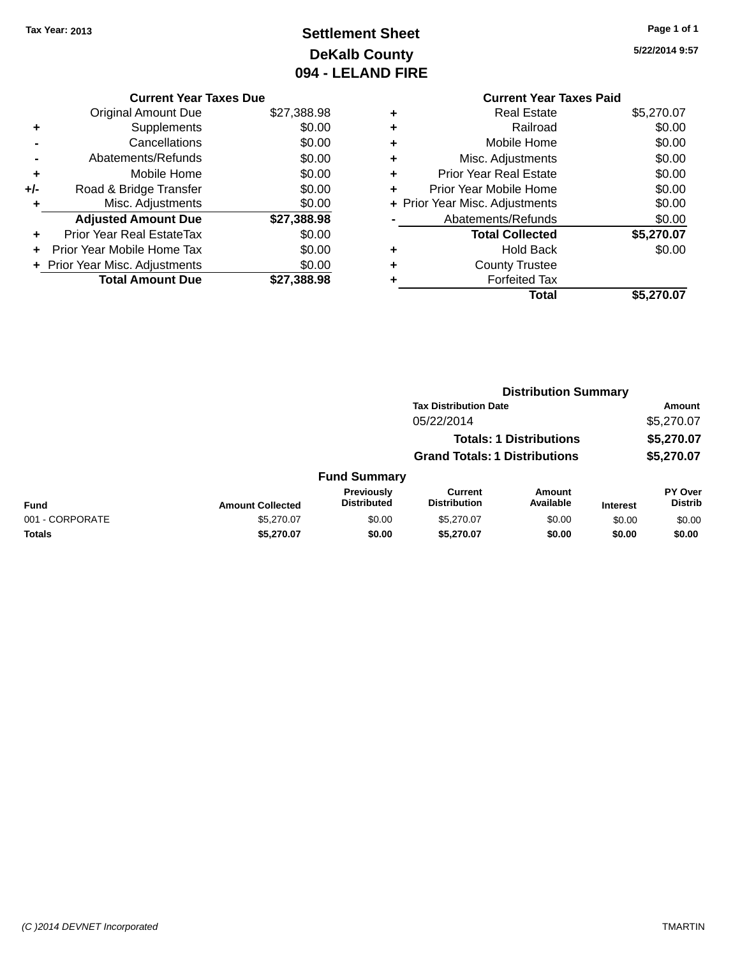## **Settlement Sheet Tax Year: 2013 Page 1 of 1 DeKalb County 094 - LELAND FIRE**

|     | <b>Current Year Taxes Due</b>  |             |
|-----|--------------------------------|-------------|
|     | Original Amount Due            | \$27,388.98 |
| ٠   | Supplements                    | \$0.00      |
|     | Cancellations                  | \$0.00      |
|     | Abatements/Refunds             | \$0.00      |
|     | Mobile Home                    | \$0.00      |
| +/- | Road & Bridge Transfer         | \$0.00      |
|     | Misc. Adjustments              | \$0.00      |
|     | <b>Adjusted Amount Due</b>     | \$27,388.98 |
| ٠   | Prior Year Real EstateTax      | \$0.00      |
|     | Prior Year Mobile Home Tax     | \$0.00      |
|     | + Prior Year Misc. Adjustments | \$0.00      |
|     | <b>Total Amount Due</b>        | \$27.388.98 |
|     |                                |             |

|   | <b>Current Year Taxes Paid</b> |            |  |  |  |  |  |
|---|--------------------------------|------------|--|--|--|--|--|
| ٠ | <b>Real Estate</b>             | \$5,270.07 |  |  |  |  |  |
| ٠ | Railroad                       | \$0.00     |  |  |  |  |  |
|   | Mobile Home                    | \$0.00     |  |  |  |  |  |
|   | Misc. Adjustments              | \$0.00     |  |  |  |  |  |
| ٠ | <b>Prior Year Real Estate</b>  | \$0.00     |  |  |  |  |  |
| ٠ | Prior Year Mobile Home         | \$0.00     |  |  |  |  |  |
|   | + Prior Year Misc. Adjustments | \$0.00     |  |  |  |  |  |
|   | Abatements/Refunds             | \$0.00     |  |  |  |  |  |
|   | <b>Total Collected</b>         | \$5,270.07 |  |  |  |  |  |
|   | Hold Back                      | \$0.00     |  |  |  |  |  |
|   | <b>County Trustee</b>          |            |  |  |  |  |  |
|   | <b>Forfeited Tax</b>           |            |  |  |  |  |  |
|   | Total                          | \$5,270.07 |  |  |  |  |  |
|   |                                |            |  |  |  |  |  |

|                 |                         |                                      |                                |                            | <b>Distribution Summary</b> |                           |  |
|-----------------|-------------------------|--------------------------------------|--------------------------------|----------------------------|-----------------------------|---------------------------|--|
|                 |                         |                                      | <b>Tax Distribution Date</b>   |                            |                             | <b>Amount</b>             |  |
|                 |                         |                                      | 05/22/2014                     |                            |                             | \$5,270.07                |  |
|                 |                         |                                      | <b>Totals: 1 Distributions</b> |                            | \$5,270.07                  |                           |  |
|                 |                         | <b>Grand Totals: 1 Distributions</b> |                                | \$5,270.07                 |                             |                           |  |
|                 |                         | <b>Fund Summary</b>                  |                                |                            |                             |                           |  |
| <b>Fund</b>     | <b>Amount Collected</b> | Previously<br><b>Distributed</b>     | Current<br><b>Distribution</b> | <b>Amount</b><br>Available | <b>Interest</b>             | PY Over<br><b>Distrib</b> |  |
| 001 - CORPORATE | \$5,270.07              | \$0.00                               | \$5,270.07                     | \$0.00                     | \$0.00                      | \$0.00                    |  |
| <b>Totals</b>   | \$5,270.07              | \$0.00                               | \$5,270.07                     | \$0.00                     | \$0.00                      | \$0.00                    |  |
|                 |                         |                                      |                                |                            |                             |                           |  |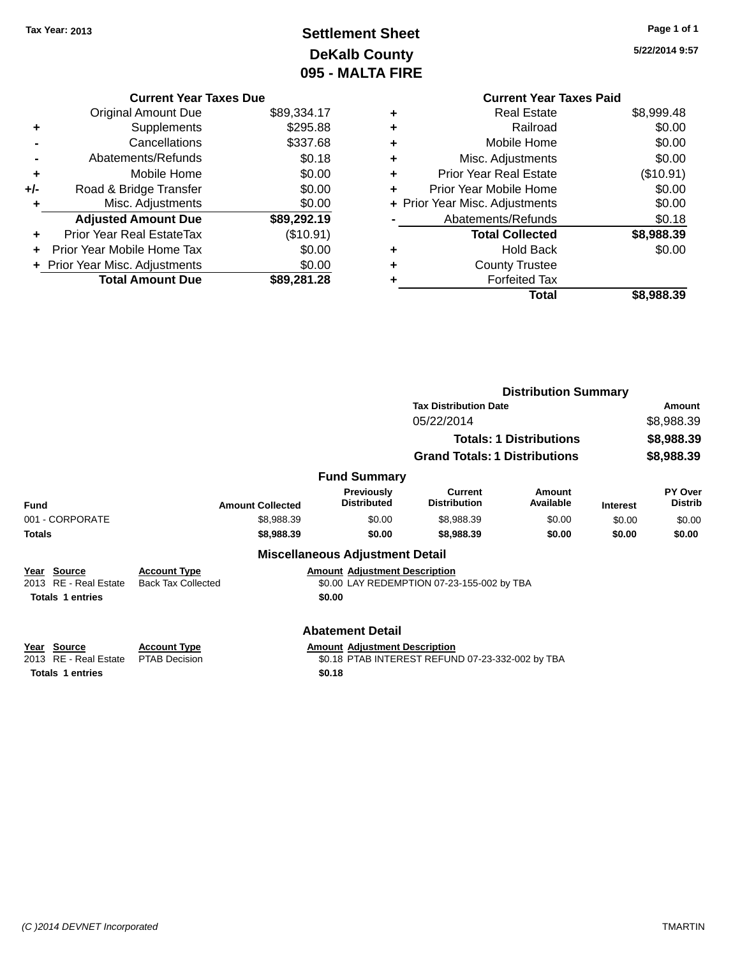## **Settlement Sheet Tax Year: 2013 Page 1 of 1 DeKalb County 095 - MALTA FIRE**

|     | <b>Current Year Taxes Due</b>    |             |  |  |  |
|-----|----------------------------------|-------------|--|--|--|
|     | <b>Original Amount Due</b>       | \$89,334.17 |  |  |  |
| ٠   | Supplements                      | \$295.88    |  |  |  |
|     | Cancellations                    | \$337.68    |  |  |  |
|     | Abatements/Refunds               | \$0.18      |  |  |  |
| ٠   | Mobile Home                      | \$0.00      |  |  |  |
| +/- | Road & Bridge Transfer           | \$0.00      |  |  |  |
|     | Misc. Adjustments                | \$0.00      |  |  |  |
|     | <b>Adjusted Amount Due</b>       | \$89,292.19 |  |  |  |
| ٠   | <b>Prior Year Real EstateTax</b> | (\$10.91)   |  |  |  |
|     | Prior Year Mobile Home Tax       | \$0.00      |  |  |  |
|     | + Prior Year Misc. Adjustments   | \$0.00      |  |  |  |
|     | <b>Total Amount Due</b>          | \$89,281.28 |  |  |  |

|   | <b>Current Year Taxes Paid</b> |            |
|---|--------------------------------|------------|
| ٠ | <b>Real Estate</b>             | \$8,999.48 |
| ٠ | Railroad                       | \$0.00     |
| ٠ | Mobile Home                    | \$0.00     |
| ٠ | Misc. Adjustments              | \$0.00     |
| ٠ | <b>Prior Year Real Estate</b>  | (\$10.91)  |
| ٠ | Prior Year Mobile Home         | \$0.00     |
|   | + Prior Year Misc. Adjustments | \$0.00     |
|   | Abatements/Refunds             | \$0.18     |
|   | <b>Total Collected</b>         | \$8,988.39 |
| ٠ | <b>Hold Back</b>               | \$0.00     |
| ٠ | <b>County Trustee</b>          |            |
|   | <b>Forfeited Tax</b>           |            |
|   | Total                          | \$8,988.39 |
|   |                                |            |

|                                                                    |                                                  |                                                | <b>Distribution Summary</b>                                                  |                     |                 |                                    |  |
|--------------------------------------------------------------------|--------------------------------------------------|------------------------------------------------|------------------------------------------------------------------------------|---------------------|-----------------|------------------------------------|--|
|                                                                    |                                                  |                                                | <b>Tax Distribution Date</b><br>05/22/2014<br><b>Totals: 1 Distributions</b> |                     |                 | Amount<br>\$8,988.39<br>\$8,988.39 |  |
|                                                                    |                                                  |                                                |                                                                              |                     |                 |                                    |  |
|                                                                    |                                                  |                                                |                                                                              |                     |                 |                                    |  |
|                                                                    |                                                  |                                                | <b>Grand Totals: 1 Distributions</b>                                         |                     |                 | \$8,988.39                         |  |
|                                                                    |                                                  | <b>Fund Summary</b>                            |                                                                              |                     |                 |                                    |  |
| <b>Fund</b>                                                        | <b>Amount Collected</b>                          | <b>Previously</b><br><b>Distributed</b>        | <b>Current</b><br><b>Distribution</b>                                        | Amount<br>Available | <b>Interest</b> | <b>PY Over</b><br><b>Distrib</b>   |  |
| 001 - CORPORATE                                                    | \$8,988.39                                       | \$0.00                                         | \$8,988.39                                                                   | \$0.00              | \$0.00          | \$0.00                             |  |
| <b>Totals</b>                                                      | \$8,988.39                                       | \$0.00                                         | \$8,988.39                                                                   | \$0.00              | \$0.00          | \$0.00                             |  |
|                                                                    |                                                  | <b>Miscellaneous Adjustment Detail</b>         |                                                                              |                     |                 |                                    |  |
| Year Source<br>RE - Real Estate<br>2013<br><b>Totals 1 entries</b> | <b>Account Type</b><br><b>Back Tax Collected</b> | <b>Amount Adjustment Description</b><br>\$0.00 | \$0.00 LAY REDEMPTION 07-23-155-002 by TBA                                   |                     |                 |                                    |  |
|                                                                    |                                                  | <b>Abatement Detail</b>                        |                                                                              |                     |                 |                                    |  |
| Year<br><b>Source</b>                                              | <b>Account Type</b>                              | <b>Amount Adjustment Description</b>           |                                                                              |                     |                 |                                    |  |
| <b>RE</b> - Real Estate<br>2013                                    | <b>PTAB Decision</b>                             |                                                | \$0.18 PTAB INTEREST REFUND 07-23-332-002 by TBA                             |                     |                 |                                    |  |
| <b>Totals 1 entries</b>                                            |                                                  | \$0.18                                         |                                                                              |                     |                 |                                    |  |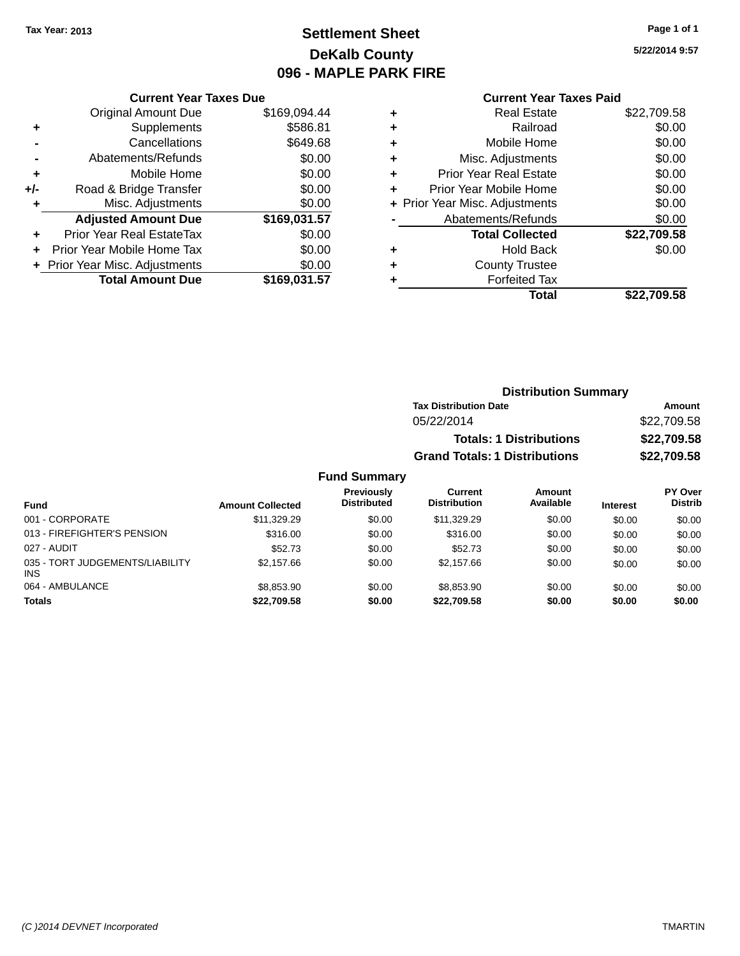## **Settlement Sheet Tax Year: 2013 Page 1 of 1 DeKalb County 096 - MAPLE PARK FIRE**

### **5/22/2014 9:57**

| \$169,094.44<br>\$586.81<br>\$649.68 |
|--------------------------------------|
|                                      |
|                                      |
|                                      |
| \$0.00                               |
| \$0.00                               |
| \$0.00                               |
| \$0.00                               |
| \$169,031.57                         |
| \$0.00                               |
| \$0.00                               |
| \$0.00                               |
| \$169.031.57                         |
|                                      |
|                                      |

| ٠ | <b>Real Estate</b>             | \$22,709.58 |
|---|--------------------------------|-------------|
| ٠ | Railroad                       | \$0.00      |
| ٠ | Mobile Home                    | \$0.00      |
| ٠ | Misc. Adjustments              | \$0.00      |
| ٠ | <b>Prior Year Real Estate</b>  | \$0.00      |
| ٠ | Prior Year Mobile Home         | \$0.00      |
|   | + Prior Year Misc. Adjustments | \$0.00      |
|   | Abatements/Refunds             | \$0.00      |
|   | <b>Total Collected</b>         | \$22,709.58 |
| ٠ | Hold Back                      | \$0.00      |
| ٠ | <b>County Trustee</b>          |             |
| ٠ | <b>Forfeited Tax</b>           |             |
|   | Total                          | \$22,709.58 |
|   |                                |             |

| <b>Distribution Summary</b>          |             |
|--------------------------------------|-------------|
| <b>Tax Distribution Date</b>         | Amount      |
| 05/22/2014                           | \$22,709.58 |
| <b>Totals: 1 Distributions</b>       | \$22,709.58 |
| <b>Grand Totals: 1 Distributions</b> | \$22,709.58 |

| Fund                                          | <b>Amount Collected</b> | <b>Previously</b><br><b>Distributed</b> | <b>Current</b><br><b>Distribution</b> | Amount<br>Available | <b>Interest</b> | <b>PY Over</b><br><b>Distrib</b> |
|-----------------------------------------------|-------------------------|-----------------------------------------|---------------------------------------|---------------------|-----------------|----------------------------------|
| 001 - CORPORATE                               | \$11,329.29             | \$0.00                                  | \$11,329.29                           | \$0.00              | \$0.00          | \$0.00                           |
| 013 - FIREFIGHTER'S PENSION                   | \$316.00                | \$0.00                                  | \$316.00                              | \$0.00              | \$0.00          | \$0.00                           |
| 027 - AUDIT                                   | \$52.73                 | \$0.00                                  | \$52.73                               | \$0.00              | \$0.00          | \$0.00                           |
| 035 - TORT JUDGEMENTS/LIABILITY<br><b>INS</b> | \$2.157.66              | \$0.00                                  | \$2,157.66                            | \$0.00              | \$0.00          | \$0.00                           |
| 064 - AMBULANCE                               | \$8,853.90              | \$0.00                                  | \$8,853,90                            | \$0.00              | \$0.00          | \$0.00                           |
| <b>Totals</b>                                 | \$22,709.58             | \$0.00                                  | \$22,709.58                           | \$0.00              | \$0.00          | \$0.00                           |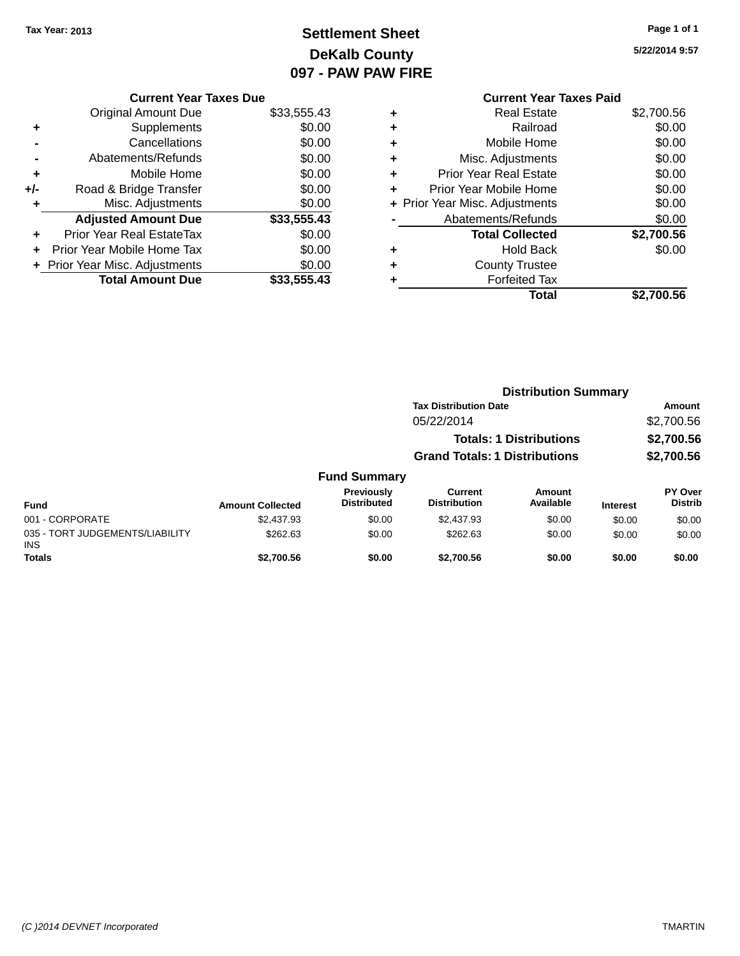035 -INS

## **Settlement Sheet Tax Year: 2013 Page 1 of 1 DeKalb County 097 - PAW PAW FIRE**

**5/22/2014 9:57**

|     | <b>Current Year Taxes Due</b>  |             |
|-----|--------------------------------|-------------|
|     | Original Amount Due            | \$33,555.43 |
| ٠   | Supplements                    | \$0.00      |
|     | Cancellations                  | \$0.00      |
|     | Abatements/Refunds             | \$0.00      |
| ٠   | Mobile Home                    | \$0.00      |
| +/- | Road & Bridge Transfer         | \$0.00      |
| ٠   | Misc. Adjustments              | \$0.00      |
|     | <b>Adjusted Amount Due</b>     | \$33,555.43 |
| ٠   | Prior Year Real EstateTax      | \$0.00      |
| ÷   | Prior Year Mobile Home Tax     | \$0.00      |
|     | + Prior Year Misc. Adjustments | \$0.00      |
|     | <b>Total Amount Due</b>        | \$33,555.43 |
|     |                                |             |

### **Current Year Taxes Paid +** Real Estate \$2,700.56 **+** Railroad \$0.00 **+** Mobile Home \$0.00 **+** Misc. Adjustments \$0.00 **+** Prior Year Real Estate \$0.00 **+** Prior Year Mobile Home \$0.00 **+ Prior Year Misc. Adjustments**  $$0.00$ **-** Abatements/Refunds \$0.00 **Total Collected \$2,700.56 +** Hold Back \$0.00 **+** County Trustee **+** Forfeited Tax **Total \$2,700.56**

|                                         | <b>Distribution Summary</b> |                                  |                                       |                                |                 |                                  |  |
|-----------------------------------------|-----------------------------|----------------------------------|---------------------------------------|--------------------------------|-----------------|----------------------------------|--|
|                                         |                             |                                  | <b>Tax Distribution Date</b>          |                                |                 | Amount                           |  |
|                                         |                             |                                  | 05/22/2014                            |                                |                 | \$2,700.56                       |  |
|                                         |                             |                                  |                                       | <b>Totals: 1 Distributions</b> |                 | \$2,700.56                       |  |
|                                         |                             |                                  | <b>Grand Totals: 1 Distributions</b>  |                                |                 | \$2,700.56                       |  |
|                                         |                             | <b>Fund Summary</b>              |                                       |                                |                 |                                  |  |
| <b>Fund</b>                             | <b>Amount Collected</b>     | Previously<br><b>Distributed</b> | <b>Current</b><br><b>Distribution</b> | Amount<br>Available            | <b>Interest</b> | <b>PY Over</b><br><b>Distrib</b> |  |
| 001 - CORPORATE                         | \$2,437.93                  | \$0.00                           | \$2,437.93                            | \$0.00                         | \$0.00          | \$0.00                           |  |
| 035 - TORT JUDGEMENTS/LIABILITY<br>INS. | \$262.63                    | \$0.00                           | \$262.63                              | \$0.00                         | \$0.00          | \$0.00                           |  |
| <b>Totals</b>                           | \$2,700.56                  | \$0.00                           | \$2,700.56                            | \$0.00                         | \$0.00          | \$0.00                           |  |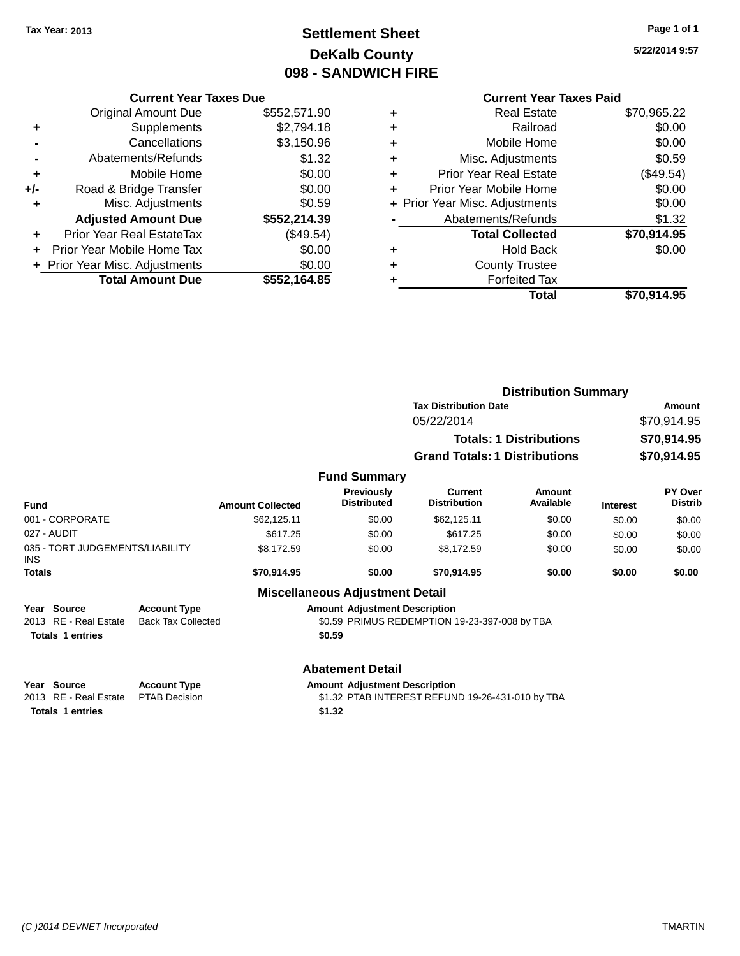## **Settlement Sheet Tax Year: 2013 Page 1 of 1 DeKalb County 098 - SANDWICH FIRE**

### **5/22/2014 9:57**

### **Current Year Taxes Paid**

| <b>Current Year Taxes Due</b>  |                         |  |  |
|--------------------------------|-------------------------|--|--|
| <b>Original Amount Due</b>     | \$552,571.90            |  |  |
| Supplements                    | \$2,794.18              |  |  |
| Cancellations                  | \$3,150.96              |  |  |
| Abatements/Refunds             | \$1.32                  |  |  |
| Mobile Home                    | \$0.00                  |  |  |
| Road & Bridge Transfer         | \$0.00                  |  |  |
| Misc. Adjustments              | \$0.59                  |  |  |
| <b>Adjusted Amount Due</b>     | \$552,214.39            |  |  |
| Prior Year Real EstateTax      | (\$49.54)               |  |  |
| Prior Year Mobile Home Tax     | \$0.00                  |  |  |
| + Prior Year Misc. Adjustments | \$0.00                  |  |  |
|                                | \$552.164.85            |  |  |
|                                | <b>Total Amount Due</b> |  |  |

|   | Total                          | \$70,914.95 |
|---|--------------------------------|-------------|
| ٠ | <b>Forfeited Tax</b>           |             |
| ٠ | <b>County Trustee</b>          |             |
| ٠ | <b>Hold Back</b>               | \$0.00      |
|   | <b>Total Collected</b>         | \$70,914.95 |
|   | Abatements/Refunds             | \$1.32      |
|   | + Prior Year Misc. Adjustments | \$0.00      |
| ٠ | Prior Year Mobile Home         | \$0.00      |
| ٠ | <b>Prior Year Real Estate</b>  | (\$49.54)   |
| ٠ | Misc. Adjustments              | \$0.59      |
| ٠ | Mobile Home                    | \$0.00      |
| ٠ | Railroad                       | \$0.00      |
| ٠ | Real Estate                    | \$70,965.22 |
|   |                                |             |

|                                                          |                                                  |                         |                                        | <b>Distribution Summary</b>                      |                                |                 |                           |
|----------------------------------------------------------|--------------------------------------------------|-------------------------|----------------------------------------|--------------------------------------------------|--------------------------------|-----------------|---------------------------|
|                                                          |                                                  |                         |                                        | <b>Tax Distribution Date</b>                     |                                | Amount          |                           |
|                                                          |                                                  |                         |                                        | 05/22/2014                                       |                                |                 | \$70,914.95               |
|                                                          |                                                  |                         |                                        |                                                  | <b>Totals: 1 Distributions</b> |                 | \$70,914.95               |
|                                                          |                                                  |                         |                                        | <b>Grand Totals: 1 Distributions</b>             |                                |                 | \$70,914.95               |
|                                                          |                                                  |                         | <b>Fund Summary</b>                    |                                                  |                                |                 |                           |
| Fund                                                     |                                                  | <b>Amount Collected</b> | Previously<br><b>Distributed</b>       | <b>Current</b><br><b>Distribution</b>            | Amount<br>Available            | <b>Interest</b> | PY Over<br><b>Distrib</b> |
| 001 - CORPORATE                                          |                                                  | \$62,125.11             | \$0.00                                 | \$62,125.11                                      | \$0.00                         | \$0.00          | \$0.00                    |
| 027 - AUDIT                                              |                                                  | \$617.25                | \$0.00                                 | \$617.25                                         | \$0.00                         | \$0.00          | \$0.00                    |
| 035 - TORT JUDGEMENTS/LIABILITY<br><b>INS</b>            |                                                  | \$8,172.59              | \$0.00                                 | \$8,172.59                                       | \$0.00                         | \$0.00          | \$0.00                    |
| <b>Totals</b>                                            |                                                  | \$70,914.95             | \$0.00                                 | \$70,914.95                                      | \$0.00                         | \$0.00          | \$0.00                    |
|                                                          |                                                  |                         | <b>Miscellaneous Adjustment Detail</b> |                                                  |                                |                 |                           |
| <b>Source</b><br>Year<br><b>RE</b> - Real Estate<br>2013 | <b>Account Type</b><br><b>Back Tax Collected</b> |                         | <b>Amount Adjustment Description</b>   | \$0.59 PRIMUS REDEMPTION 19-23-397-008 by TBA    |                                |                 |                           |
| <b>Totals 1 entries</b>                                  |                                                  |                         | \$0.59                                 |                                                  |                                |                 |                           |
|                                                          |                                                  |                         | <b>Abatement Detail</b>                |                                                  |                                |                 |                           |
| <b>Source</b><br>Year<br>2013 RE - Real Estate           | <b>Account Type</b><br><b>PTAB Decision</b>      |                         | <b>Amount Adjustment Description</b>   | \$1.32 PTAB INTEREST REFUND 19-26-431-010 by TBA |                                |                 |                           |

**Totals 1 entries \$1.32**

\$1.32 PTAB INTEREST REFUND 19-26-431-010 by TBA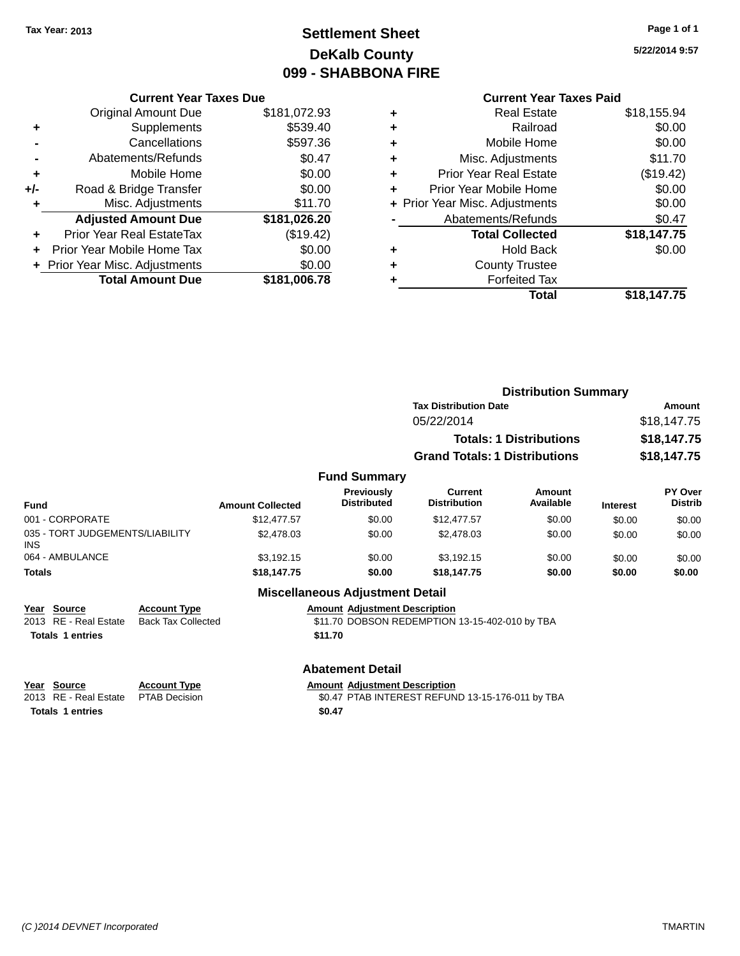## **Settlement Sheet Tax Year: 2013 Page 1 of 1 DeKalb County 099 - SHABBONA FIRE**

**5/22/2014 9:57**

### **Current Year Taxes Due**

|       | <b>Original Amount Due</b>     | \$181,072.93 |
|-------|--------------------------------|--------------|
| ٠     | Supplements                    | \$539.40     |
|       | Cancellations                  | \$597.36     |
|       | Abatements/Refunds             | \$0.47       |
| ٠     | Mobile Home                    | \$0.00       |
| $+/-$ | Road & Bridge Transfer         | \$0.00       |
| ٠     | Misc. Adjustments              | \$11.70      |
|       | <b>Adjusted Amount Due</b>     | \$181,026.20 |
| ÷     | Prior Year Real EstateTax      | (\$19.42)    |
|       | Prior Year Mobile Home Tax     | \$0.00       |
|       | + Prior Year Misc. Adjustments | \$0.00       |
|       | <b>Total Amount Due</b>        | \$181,006.78 |

### **Current Year Taxes Paid +** Real Estate \$18,155.94 **+** Railroad \$0.00 **+** Mobile Home \$0.00 **+** Misc. Adjustments \$11.70 **+** Prior Year Real Estate (\$19.42) **+** Prior Year Mobile Home \$0.00 **+** Prior Year Misc. Adjustments  $$0.00$ Abatements/Refunds \$0.47 **Total Collected \$18,147.75 +** Hold Back \$0.00 **+** County Trustee **+** Forfeited Tax **Total \$18,147.75**

|                                               |                         |                                  |                                       | <b>Distribution Summary</b>          |                 |                                  |
|-----------------------------------------------|-------------------------|----------------------------------|---------------------------------------|--------------------------------------|-----------------|----------------------------------|
|                                               |                         |                                  | <b>Tax Distribution Date</b>          |                                      |                 | Amount                           |
|                                               |                         |                                  | 05/22/2014                            |                                      |                 | \$18,147.75                      |
|                                               |                         |                                  |                                       | <b>Totals: 1 Distributions</b>       |                 | \$18,147.75                      |
|                                               |                         |                                  |                                       | <b>Grand Totals: 1 Distributions</b> |                 | \$18,147.75                      |
|                                               |                         | <b>Fund Summary</b>              |                                       |                                      |                 |                                  |
| <b>Fund</b>                                   | <b>Amount Collected</b> | Previously<br><b>Distributed</b> | <b>Current</b><br><b>Distribution</b> | Amount<br>Available                  | <b>Interest</b> | <b>PY Over</b><br><b>Distrib</b> |
| 001 - CORPORATE                               | \$12,477.57             | \$0.00                           | \$12,477.57                           | \$0.00                               | \$0.00          | \$0.00                           |
| 035 - TORT JUDGEMENTS/LIABILITY<br><b>INS</b> | \$2,478.03              | \$0.00                           | \$2,478.03                            | \$0.00                               | \$0.00          | \$0.00                           |
| 064 - AMBULANCE                               | \$3,192.15              | \$0.00                           | \$3,192.15                            | \$0.00                               | \$0.00          | \$0.00                           |
| <b>Totals</b>                                 | \$18,147.75             | \$0.00                           | \$18,147.75                           | \$0.00                               | \$0.00          | \$0.00                           |

### **Miscellaneous Adjustment Detail**

| Year Source           | <b>Account Type</b> | <b>Amount Adiustment Description</b>           |
|-----------------------|---------------------|------------------------------------------------|
| 2013 RE - Real Estate | Back Tax Collected  | \$11.70 DOBSON REDEMPTION 13-15-402-010 by TBA |
| Totals 1 entries      |                     | \$11.70                                        |

### **Abatement Detail**

## **Year Source Account Type Amount Adjustment Description**<br>2013 RE - Real Estate PTAB Decision **Amount Adjustment Description**

\$0.47 PTAB INTEREST REFUND 13-15-176-011 by TBA **Totals 1 entries \$0.47**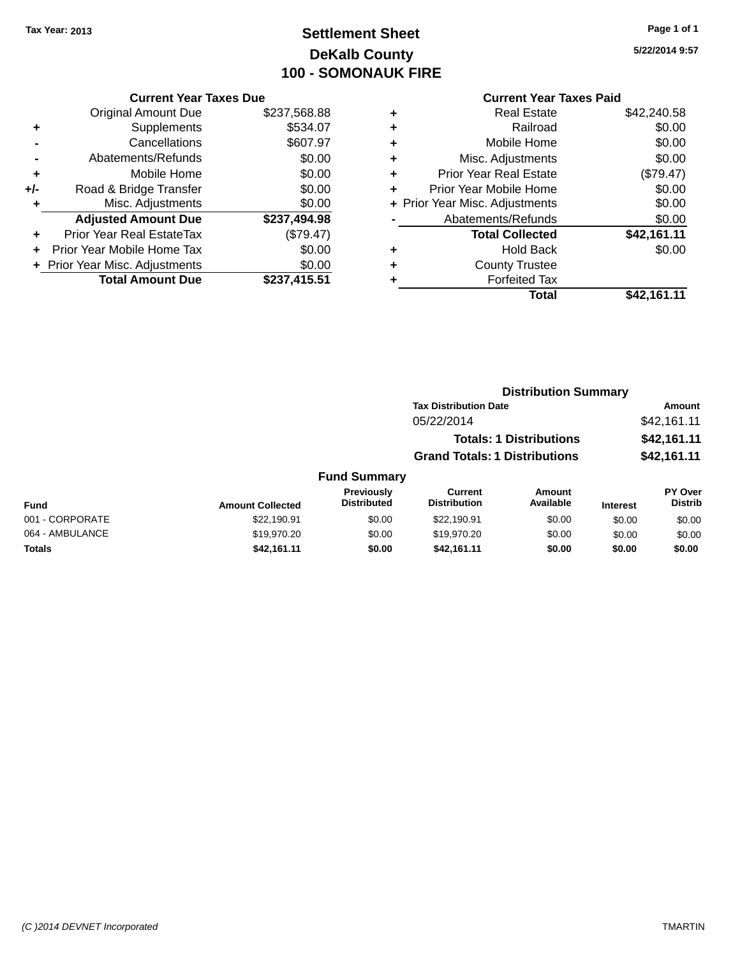## **Settlement Sheet Tax Year: 2013 Page 1 of 1 DeKalb County 100 - SOMONAUK FIRE**

**5/22/2014 9:57**

### **Current Year Taxes Due**

|     | <b>Original Amount Due</b>       | \$237,568.88 |
|-----|----------------------------------|--------------|
| ٠   | Supplements                      | \$534.07     |
|     | Cancellations                    | \$607.97     |
|     | Abatements/Refunds               | \$0.00       |
| ٠   | Mobile Home                      | \$0.00       |
| +/- | Road & Bridge Transfer           | \$0.00       |
| ٠   | Misc. Adjustments                | \$0.00       |
|     | <b>Adjusted Amount Due</b>       | \$237,494.98 |
|     | <b>Prior Year Real EstateTax</b> | (\$79.47)    |
|     | Prior Year Mobile Home Tax       | \$0.00       |
|     | + Prior Year Misc. Adjustments   | \$0.00       |
|     | <b>Total Amount Due</b>          | \$237,415.51 |

### **Current Year Taxes Paid +** Real Estate \$42,240.58 **+** Railroad \$0.00

|   | Total                          | \$42,161.11 |
|---|--------------------------------|-------------|
|   | <b>Forfeited Tax</b>           |             |
| ÷ | <b>County Trustee</b>          |             |
| ٠ | <b>Hold Back</b>               | \$0.00      |
|   | <b>Total Collected</b>         | \$42,161.11 |
|   | Abatements/Refunds             | \$0.00      |
|   | + Prior Year Misc. Adjustments | \$0.00      |
| ÷ | Prior Year Mobile Home         | \$0.00      |
| ÷ | <b>Prior Year Real Estate</b>  | (\$79.47)   |
| ٠ | Misc. Adjustments              | \$0.00      |
| ÷ | Mobile Home                    | \$0.00      |
| ÷ | Raliload                       | JU.UU       |

#### **Distribution Summary Tax Distribution Date Amount** 05/22/2014 \$42,161.11 **Totals: 1 Distributions \$42,161.11 Grand Totals: 1 Distributions \$42,161.11 Fund Summary PY Over Amount Current Previously**

| Fund            | <b>Amount Collected</b> | <b>Previously</b><br><b>Distributed</b> | Current<br><b>Distribution</b> | Amount<br>Available | <b>Interest</b> | <b>PY Over</b><br><b>Distrib</b> |
|-----------------|-------------------------|-----------------------------------------|--------------------------------|---------------------|-----------------|----------------------------------|
| 001 - CORPORATE | \$22.190.91             | \$0.00                                  | \$22.190.91                    | \$0.00              | \$0.00          | \$0.00                           |
| 064 - AMBULANCE | \$19,970.20             | \$0.00                                  | \$19,970.20                    | \$0.00              | \$0.00          | \$0.00                           |
| <b>Totals</b>   | \$42.161.11             | \$0.00                                  | \$42,161.11                    | \$0.00              | \$0.00          | \$0.00                           |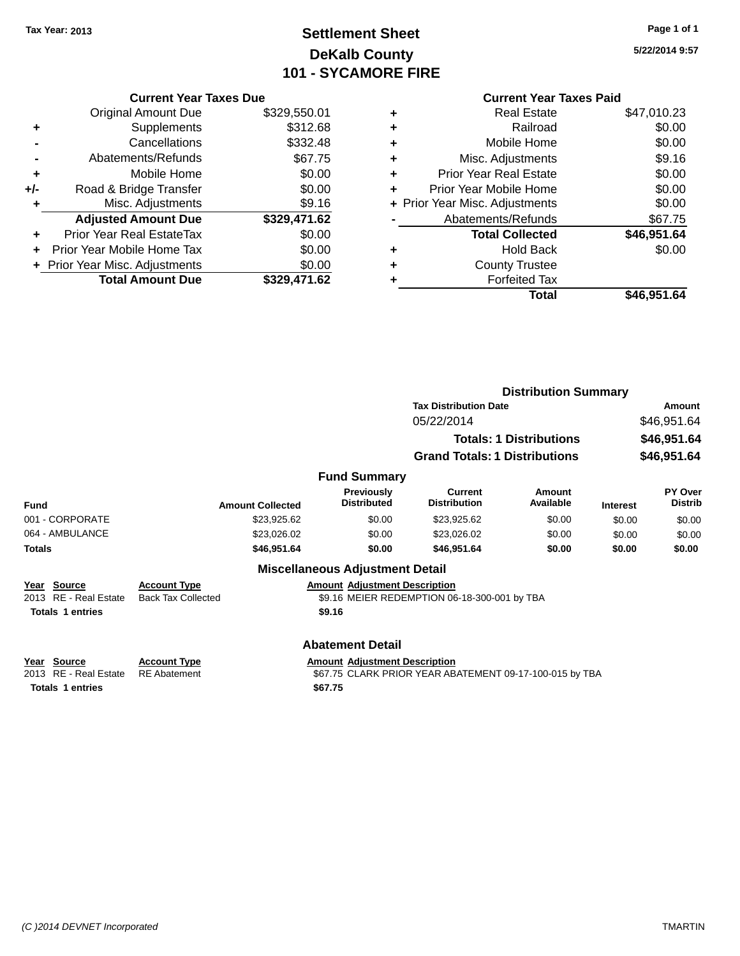**Current Year Taxes Due** Original Amount Due \$329,550.01

**Adjusted Amount Due \$329,471.62**

**Total Amount Due \$329,471.62**

**+** Supplements \$312.68 **-** Cancellations \$332.48 **-** Abatements/Refunds \$67.75 **+** Mobile Home \$0.00 **+/-** Road & Bridge Transfer \$0.00<br>**+** Misc. Adjustments \$9.16

**+** Prior Year Real EstateTax \$0.00 **+** Prior Year Mobile Home Tax \$0.00 **+ Prior Year Misc. Adjustments**  $$0.00$ 

**+** Misc. Adjustments

## **Settlement Sheet Tax Year: 2013 Page 1 of 1 DeKalb County 101 - SYCAMORE FIRE**

| <b>Current Year Taxes Paid</b> |                               |             |  |  |
|--------------------------------|-------------------------------|-------------|--|--|
| ٠                              | <b>Real Estate</b>            | \$47,010.23 |  |  |
| ÷                              | Railroad                      | \$0.00      |  |  |
| ÷                              | Mobile Home                   | \$0.00      |  |  |
| ÷                              | Misc. Adjustments             | \$9.16      |  |  |
| ÷                              | <b>Prior Year Real Estate</b> | \$0.00      |  |  |
| ÷                              | Prior Year Mobile Home        | \$0.00      |  |  |

|                      | Total                           | \$46,951.64 |
|----------------------|---------------------------------|-------------|
| $\ddot{}$            | <b>Forfeited Tax</b>            |             |
| $\div$               | <b>County Trustee</b>           |             |
| $\ddot{\phantom{1}}$ | <b>Hold Back</b>                | \$0.00      |
|                      | <b>Total Collected</b>          | \$46,951.64 |
|                      | Abatements/Refunds              | \$67.75     |
|                      | + Prior Year Misc. Adjustments  | \$0.00      |
|                      | <u>I INI IYAI MUULIVI INIIN</u> | 90.UU       |

|                                            | <b>Distribution Summary</b>      |                                              |                                                                                                                                               |                                                                                                                        |                                                         |  |
|--------------------------------------------|----------------------------------|----------------------------------------------|-----------------------------------------------------------------------------------------------------------------------------------------------|------------------------------------------------------------------------------------------------------------------------|---------------------------------------------------------|--|
|                                            |                                  | <b>Tax Distribution Date</b>                 |                                                                                                                                               |                                                                                                                        | Amount                                                  |  |
|                                            |                                  | 05/22/2014                                   |                                                                                                                                               |                                                                                                                        | \$46,951.64                                             |  |
|                                            |                                  |                                              |                                                                                                                                               |                                                                                                                        | \$46,951.64                                             |  |
|                                            |                                  |                                              |                                                                                                                                               |                                                                                                                        | \$46,951.64                                             |  |
|                                            |                                  |                                              |                                                                                                                                               |                                                                                                                        |                                                         |  |
| <b>Amount Collected</b>                    | Previously<br><b>Distributed</b> | Current<br><b>Distribution</b>               | Amount<br>Available                                                                                                                           | <b>Interest</b>                                                                                                        | <b>PY Over</b><br><b>Distrib</b>                        |  |
| \$23,925.62                                | \$0.00                           | \$23,925.62                                  | \$0.00                                                                                                                                        | \$0.00                                                                                                                 | \$0.00                                                  |  |
| \$23,026.02                                | \$0.00                           | \$23,026.02                                  | \$0.00                                                                                                                                        | \$0.00                                                                                                                 | \$0.00                                                  |  |
| \$46,951.64                                | \$0.00                           | \$46,951.64                                  | \$0.00                                                                                                                                        | \$0.00                                                                                                                 | \$0.00                                                  |  |
|                                            |                                  |                                              |                                                                                                                                               |                                                                                                                        |                                                         |  |
| <b>Account Type</b>                        |                                  |                                              |                                                                                                                                               |                                                                                                                        |                                                         |  |
| <b>Back Tax Collected</b>                  |                                  |                                              |                                                                                                                                               |                                                                                                                        |                                                         |  |
|                                            |                                  |                                              |                                                                                                                                               |                                                                                                                        |                                                         |  |
|                                            |                                  |                                              |                                                                                                                                               |                                                                                                                        |                                                         |  |
| <b>Account Type</b><br><b>RE</b> Abatement |                                  |                                              |                                                                                                                                               |                                                                                                                        |                                                         |  |
|                                            |                                  | \$9.16<br><b>Abatement Detail</b><br>\$67.75 | <b>Fund Summary</b><br><b>Miscellaneous Adjustment Detail</b><br><b>Amount Adjustment Description</b><br><b>Amount Adjustment Description</b> | <b>Totals: 1 Distributions</b><br><b>Grand Totals: 1 Distributions</b><br>\$9.16 MEIER REDEMPTION 06-18-300-001 by TBA | \$67.75 CLARK PRIOR YEAR ABATEMENT 09-17-100-015 by TBA |  |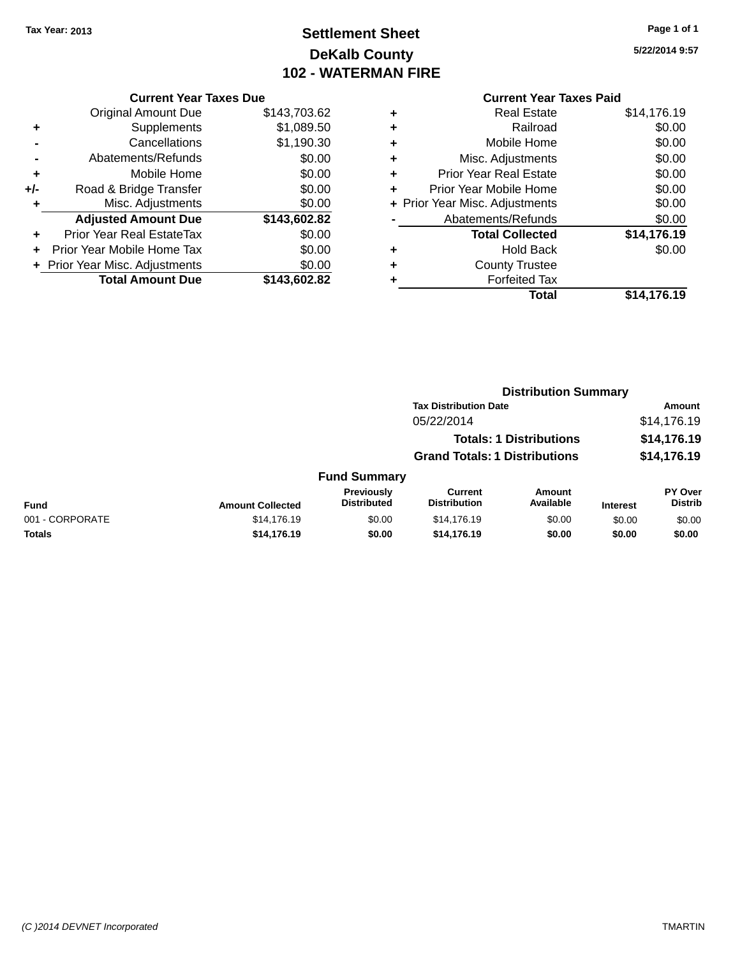## **Settlement Sheet Tax Year: 2013 Page 1 of 1 DeKalb County 102 - WATERMAN FIRE**

**5/22/2014 9:57**

## **Current Year Taxes Paid**

|       | <b>Current Year Taxes Due</b>              |              |  |  |  |  |
|-------|--------------------------------------------|--------------|--|--|--|--|
|       | \$143,703.62<br><b>Original Amount Due</b> |              |  |  |  |  |
| ٠     | \$1,089.50<br>Supplements                  |              |  |  |  |  |
|       | Cancellations                              | \$1,190.30   |  |  |  |  |
| -     | Abatements/Refunds                         | \$0.00       |  |  |  |  |
| ٠     | Mobile Home                                | \$0.00       |  |  |  |  |
| $+/-$ | Road & Bridge Transfer                     | \$0.00       |  |  |  |  |
| ٠     | Misc. Adjustments                          | \$0.00       |  |  |  |  |
|       | <b>Adjusted Amount Due</b>                 | \$143,602.82 |  |  |  |  |
| ٠     | Prior Year Real EstateTax                  | \$0.00       |  |  |  |  |
| ÷     | Prior Year Mobile Home Tax                 | \$0.00       |  |  |  |  |
|       | + Prior Year Misc. Adjustments             | \$0.00       |  |  |  |  |
|       | <b>Total Amount Due</b>                    | \$143.602.82 |  |  |  |  |
|       |                                            |              |  |  |  |  |

|   | Total                          | \$14,176.19 |
|---|--------------------------------|-------------|
|   | <b>Forfeited Tax</b>           |             |
| ٠ | <b>County Trustee</b>          |             |
| ٠ | <b>Hold Back</b>               | \$0.00      |
|   | <b>Total Collected</b>         | \$14,176.19 |
|   | Abatements/Refunds             | \$0.00      |
|   | + Prior Year Misc. Adjustments | \$0.00      |
| ٠ | Prior Year Mobile Home         | \$0.00      |
| ÷ | <b>Prior Year Real Estate</b>  | \$0.00      |
| ٠ | Misc. Adjustments              | \$0.00      |
| ٠ | Mobile Home                    | \$0.00      |
| ٠ | Railroad                       | \$0.00      |
| ٠ | <b>Real Estate</b>             | \$14,176.19 |
|   |                                |             |

|                 |                              |                                  |                                       | <b>Distribution Summary</b>    |                 |                           |
|-----------------|------------------------------|----------------------------------|---------------------------------------|--------------------------------|-----------------|---------------------------|
|                 | <b>Tax Distribution Date</b> |                                  |                                       | <b>Amount</b>                  |                 |                           |
|                 |                              |                                  | 05/22/2014                            |                                |                 | \$14,176.19               |
|                 |                              |                                  |                                       | <b>Totals: 1 Distributions</b> |                 | \$14,176.19               |
|                 |                              |                                  | <b>Grand Totals: 1 Distributions</b>  |                                |                 | \$14,176.19               |
|                 |                              | <b>Fund Summary</b>              |                                       |                                |                 |                           |
| <b>Fund</b>     | <b>Amount Collected</b>      | Previously<br><b>Distributed</b> | <b>Current</b><br><b>Distribution</b> | Amount<br>Available            | <b>Interest</b> | PY Over<br><b>Distrib</b> |
| 001 - CORPORATE | \$14,176.19                  | \$0.00                           | \$14,176.19                           | \$0.00                         | \$0.00          | \$0.00                    |
| Totals          | \$14,176.19                  | \$0.00                           | \$14,176.19                           | \$0.00                         | \$0.00          | \$0.00                    |
|                 |                              |                                  |                                       |                                |                 |                           |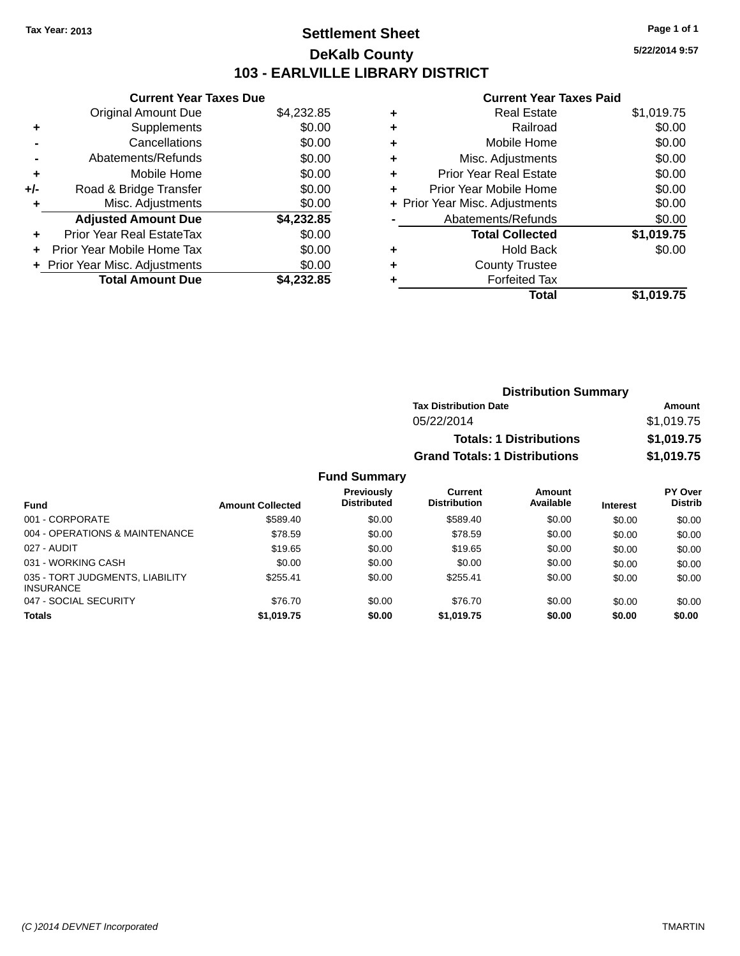## **Settlement Sheet Tax Year: 2013 Page 1 of 1 DeKalb County 103 - EARLVILLE LIBRARY DISTRICT**

**5/22/2014 9:57**

### **Current Year Taxes Paid**

| <b>Current Year Taxes Due</b>            |            |  |  |  |  |
|------------------------------------------|------------|--|--|--|--|
| <b>Original Amount Due</b><br>\$4,232.85 |            |  |  |  |  |
| Supplements                              | \$0.00     |  |  |  |  |
| Cancellations                            | \$0.00     |  |  |  |  |
| Abatements/Refunds                       | \$0.00     |  |  |  |  |
| Mobile Home                              | \$0.00     |  |  |  |  |
| Road & Bridge Transfer                   | \$0.00     |  |  |  |  |
| Misc. Adjustments                        | \$0.00     |  |  |  |  |
| <b>Adjusted Amount Due</b>               | \$4,232.85 |  |  |  |  |
| Prior Year Real EstateTax                | \$0.00     |  |  |  |  |
| Prior Year Mobile Home Tax               | \$0.00     |  |  |  |  |
| \$0.00<br>+ Prior Year Misc. Adjustments |            |  |  |  |  |
| <b>Total Amount Due</b>                  | \$4.232.85 |  |  |  |  |
|                                          |            |  |  |  |  |

| ٠ | <b>Real Estate</b>             | \$1,019.75 |
|---|--------------------------------|------------|
| ٠ | Railroad                       | \$0.00     |
| ٠ | Mobile Home                    | \$0.00     |
| ٠ | Misc. Adjustments              | \$0.00     |
| ٠ | <b>Prior Year Real Estate</b>  | \$0.00     |
| ÷ | Prior Year Mobile Home         | \$0.00     |
|   | + Prior Year Misc. Adjustments | \$0.00     |
|   | Abatements/Refunds             | \$0.00     |
|   | <b>Total Collected</b>         | \$1,019.75 |
| ٠ | <b>Hold Back</b>               | \$0.00     |
| ٠ | <b>County Trustee</b>          |            |
| ٠ | <b>Forfeited Tax</b>           |            |
|   | Total                          | \$1,019.75 |
|   |                                |            |

| <b>Distribution Summary</b>          |            |  |  |
|--------------------------------------|------------|--|--|
| <b>Tax Distribution Date</b>         | Amount     |  |  |
| 05/22/2014                           | \$1,019.75 |  |  |
| <b>Totals: 1 Distributions</b>       | \$1,019.75 |  |  |
| <b>Grand Totals: 1 Distributions</b> | \$1,019.75 |  |  |

|                                                     |                         | <b>Previously</b><br><b>Distributed</b> | Current<br><b>Distribution</b> | Amount<br>Available |                 | PY Over<br><b>Distrib</b> |
|-----------------------------------------------------|-------------------------|-----------------------------------------|--------------------------------|---------------------|-----------------|---------------------------|
| <b>Fund</b>                                         | <b>Amount Collected</b> |                                         |                                |                     | <b>Interest</b> |                           |
| 001 - CORPORATE                                     | \$589.40                | \$0.00                                  | \$589.40                       | \$0.00              | \$0.00          | \$0.00                    |
| 004 - OPERATIONS & MAINTENANCE                      | \$78.59                 | \$0.00                                  | \$78.59                        | \$0.00              | \$0.00          | \$0.00                    |
| 027 - AUDIT                                         | \$19.65                 | \$0.00                                  | \$19.65                        | \$0.00              | \$0.00          | \$0.00                    |
| 031 - WORKING CASH                                  | \$0.00                  | \$0.00                                  | \$0.00                         | \$0.00              | \$0.00          | \$0.00                    |
| 035 - TORT JUDGMENTS, LIABILITY<br><b>INSURANCE</b> | \$255.41                | \$0.00                                  | \$255.41                       | \$0.00              | \$0.00          | \$0.00                    |
| 047 - SOCIAL SECURITY                               | \$76.70                 | \$0.00                                  | \$76.70                        | \$0.00              | \$0.00          | \$0.00                    |
| <b>Totals</b>                                       | \$1,019.75              | \$0.00                                  | \$1,019.75                     | \$0.00              | \$0.00          | \$0.00                    |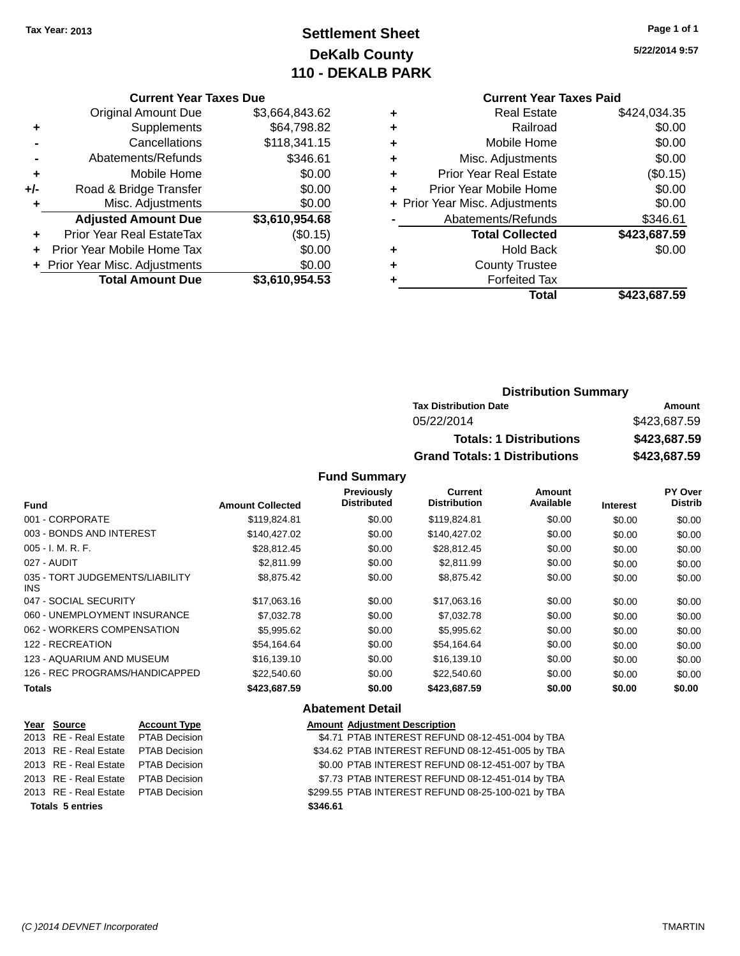## **Settlement Sheet Tax Year: 2013 Page 1 of 1 DeKalb County 110 - DEKALB PARK**

**5/22/2014 9:57**

# **Current Year Taxes Paid**

|   | Gullent Ieal Taxes Falu        |              |
|---|--------------------------------|--------------|
| ٠ | <b>Real Estate</b>             | \$424,034.35 |
| ٠ | Railroad                       | \$0.00       |
| ٠ | Mobile Home                    | \$0.00       |
| ٠ | Misc. Adjustments              | \$0.00       |
| ٠ | <b>Prior Year Real Estate</b>  | (\$0.15)     |
|   | Prior Year Mobile Home         | \$0.00       |
|   | + Prior Year Misc. Adjustments | \$0.00       |
|   | Abatements/Refunds             | \$346.61     |
|   | <b>Total Collected</b>         | \$423,687.59 |
| ٠ | <b>Hold Back</b>               | \$0.00       |
| ٠ | <b>County Trustee</b>          |              |
| ٠ | <b>Forfeited Tax</b>           |              |
|   | Total                          | \$423.687.59 |
|   |                                |              |

|     | <b>Current Year Taxes Due</b>  |                |
|-----|--------------------------------|----------------|
|     | <b>Original Amount Due</b>     | \$3,664,843.62 |
| ٠   | Supplements                    | \$64,798.82    |
|     | Cancellations                  | \$118,341.15   |
|     | Abatements/Refunds             | \$346.61       |
| ٠   | Mobile Home                    | \$0.00         |
| +/- | Road & Bridge Transfer         | \$0.00         |
| ٠   | Misc. Adjustments              | \$0.00         |
|     | <b>Adjusted Amount Due</b>     | \$3,610,954.68 |
|     | Prior Year Real EstateTax      | (\$0.15)       |
|     | Prior Year Mobile Home Tax     | \$0.00         |
|     | + Prior Year Misc. Adjustments | \$0.00         |
|     | <b>Total Amount Due</b>        | \$3,610,954.53 |

|                                      | <b>Distribution Summary</b> |  |  |  |
|--------------------------------------|-----------------------------|--|--|--|
| <b>Tax Distribution Date</b>         | Amount                      |  |  |  |
| 05/22/2014                           | \$423,687.59                |  |  |  |
| <b>Totals: 1 Distributions</b>       | \$423,687.59                |  |  |  |
| <b>Grand Totals: 1 Distributions</b> | \$423,687.59                |  |  |  |

### **Fund Summary**

| <b>Fund</b>                             | <b>Amount Collected</b> | <b>Previously</b><br><b>Distributed</b> | <b>Current</b><br><b>Distribution</b> | <b>Amount</b><br>Available | <b>Interest</b> | PY Over<br><b>Distrib</b> |
|-----------------------------------------|-------------------------|-----------------------------------------|---------------------------------------|----------------------------|-----------------|---------------------------|
| 001 - CORPORATE                         | \$119,824.81            | \$0.00                                  | \$119,824.81                          | \$0.00                     | \$0.00          | \$0.00                    |
| 003 - BONDS AND INTEREST                | \$140.427.02            | \$0.00                                  | \$140,427.02                          | \$0.00                     | \$0.00          | \$0.00                    |
| $005 - I. M. R. F.$                     | \$28,812.45             | \$0.00                                  | \$28,812.45                           | \$0.00                     | \$0.00          | \$0.00                    |
| 027 - AUDIT                             | \$2,811.99              | \$0.00                                  | \$2.811.99                            | \$0.00                     | \$0.00          | \$0.00                    |
| 035 - TORT JUDGEMENTS/LIABILITY<br>INS. | \$8,875.42              | \$0.00                                  | \$8,875.42                            | \$0.00                     | \$0.00          | \$0.00                    |
| 047 - SOCIAL SECURITY                   | \$17,063.16             | \$0.00                                  | \$17,063.16                           | \$0.00                     | \$0.00          | \$0.00                    |
| 060 - UNEMPLOYMENT INSURANCE            | \$7,032.78              | \$0.00                                  | \$7,032.78                            | \$0.00                     | \$0.00          | \$0.00                    |
| 062 - WORKERS COMPENSATION              | \$5,995.62              | \$0.00                                  | \$5,995.62                            | \$0.00                     | \$0.00          | \$0.00                    |
| 122 - RECREATION                        | \$54.164.64             | \$0.00                                  | \$54.164.64                           | \$0.00                     | \$0.00          | \$0.00                    |
| 123 - AQUARIUM AND MUSEUM               | \$16,139.10             | \$0.00                                  | \$16,139.10                           | \$0.00                     | \$0.00          | \$0.00                    |
| 126 - REC PROGRAMS/HANDICAPPED          | \$22,540.60             | \$0.00                                  | \$22,540.60                           | \$0.00                     | \$0.00          | \$0.00                    |
| <b>Totals</b>                           | \$423,687.59            | \$0.00                                  | \$423,687.59                          | \$0.00                     | \$0.00          | \$0.00                    |

### **Abatement Detail**

| Year Source                         | <b>Account Type</b> | <b>Amount Adjustment Description</b>               |
|-------------------------------------|---------------------|----------------------------------------------------|
| 2013 RE - Real Estate PTAB Decision |                     | \$4.71 PTAB INTEREST REFUND 08-12-451-004 by TBA   |
| 2013 RE - Real Estate PTAB Decision |                     | \$34.62 PTAB INTEREST REFUND 08-12-451-005 by TBA  |
| 2013 RE - Real Estate PTAB Decision |                     | \$0.00 PTAB INTEREST REFUND 08-12-451-007 by TBA   |
| 2013 RE - Real Estate PTAB Decision |                     | \$7.73 PTAB INTEREST REFUND 08-12-451-014 by TBA   |
| 2013 RE - Real Estate PTAB Decision |                     | \$299.55 PTAB INTEREST REFUND 08-25-100-021 by TBA |
| <b>Totals 5 entries</b>             |                     | \$346.61                                           |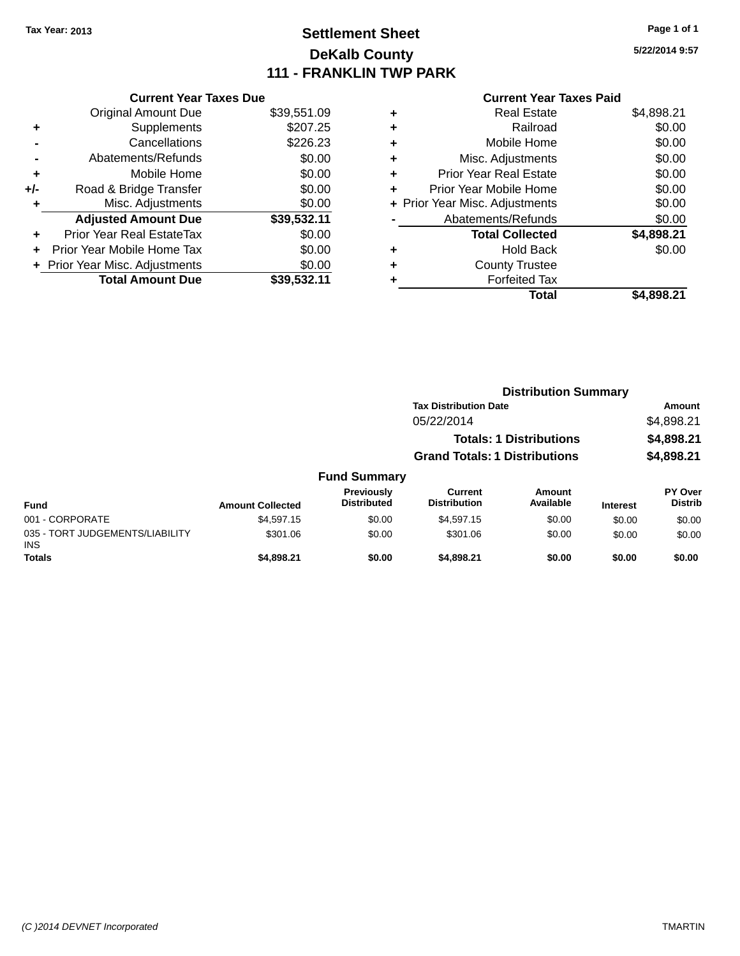## **Settlement Sheet Tax Year: 2013 Page 1 of 1 DeKalb County 111 - FRANKLIN TWP PARK**

**5/22/2014 9:57**

### **Current Year Taxes Paid**

|     | <b>Current Year Taxes Due</b>  |             |
|-----|--------------------------------|-------------|
|     | <b>Original Amount Due</b>     | \$39,551.09 |
| ٠   | Supplements                    | \$207.25    |
|     | Cancellations                  | \$226.23    |
|     | Abatements/Refunds             | \$0.00      |
| ٠   | Mobile Home                    | \$0.00      |
| +/- | Road & Bridge Transfer         | \$0.00      |
| ٠   | Misc. Adjustments              | \$0.00      |
|     | <b>Adjusted Amount Due</b>     | \$39,532.11 |
| ÷   | Prior Year Real EstateTax      | \$0.00      |
|     | Prior Year Mobile Home Tax     | \$0.00      |
|     | + Prior Year Misc. Adjustments | \$0.00      |
|     | <b>Total Amount Due</b>        | \$39,532.11 |
|     |                                |             |

| ٠ | <b>Real Estate</b>             | \$4,898.21 |
|---|--------------------------------|------------|
| ٠ | Railroad                       | \$0.00     |
| ٠ | Mobile Home                    | \$0.00     |
| ٠ | Misc. Adjustments              | \$0.00     |
| ٠ | <b>Prior Year Real Estate</b>  | \$0.00     |
| ٠ | Prior Year Mobile Home         | \$0.00     |
|   | + Prior Year Misc. Adjustments | \$0.00     |
|   | Abatements/Refunds             | \$0.00     |
|   | <b>Total Collected</b>         | \$4,898.21 |
| ٠ | <b>Hold Back</b>               | \$0.00     |
| ٠ | <b>County Trustee</b>          |            |
|   | <b>Forfeited Tax</b>           |            |
|   | Total                          | \$4.898.21 |
|   |                                |            |

|                                         |                         |                                  | <b>Distribution Summary</b>           |                                |                 |                           |  |
|-----------------------------------------|-------------------------|----------------------------------|---------------------------------------|--------------------------------|-----------------|---------------------------|--|
|                                         |                         |                                  | <b>Tax Distribution Date</b>          |                                |                 | Amount                    |  |
|                                         |                         |                                  | 05/22/2014                            |                                |                 | \$4,898.21                |  |
|                                         |                         |                                  |                                       | <b>Totals: 1 Distributions</b> |                 | \$4,898.21                |  |
|                                         |                         |                                  | <b>Grand Totals: 1 Distributions</b>  |                                |                 | \$4,898.21                |  |
|                                         |                         | <b>Fund Summary</b>              |                                       |                                |                 |                           |  |
| <b>Fund</b>                             | <b>Amount Collected</b> | Previously<br><b>Distributed</b> | <b>Current</b><br><b>Distribution</b> | Amount<br>Available            | <b>Interest</b> | PY Over<br><b>Distrib</b> |  |
| 001 - CORPORATE                         | \$4,597.15              | \$0.00                           | \$4,597.15                            | \$0.00                         | \$0.00          | \$0.00                    |  |
| 035 - TORT JUDGEMENTS/LIABILITY<br>INS. | \$301.06                | \$0.00                           | \$301.06                              | \$0.00                         | \$0.00          | \$0.00                    |  |
| <b>Totals</b>                           | \$4,898.21              | \$0.00                           | \$4,898.21                            | \$0.00                         | \$0.00          | \$0.00                    |  |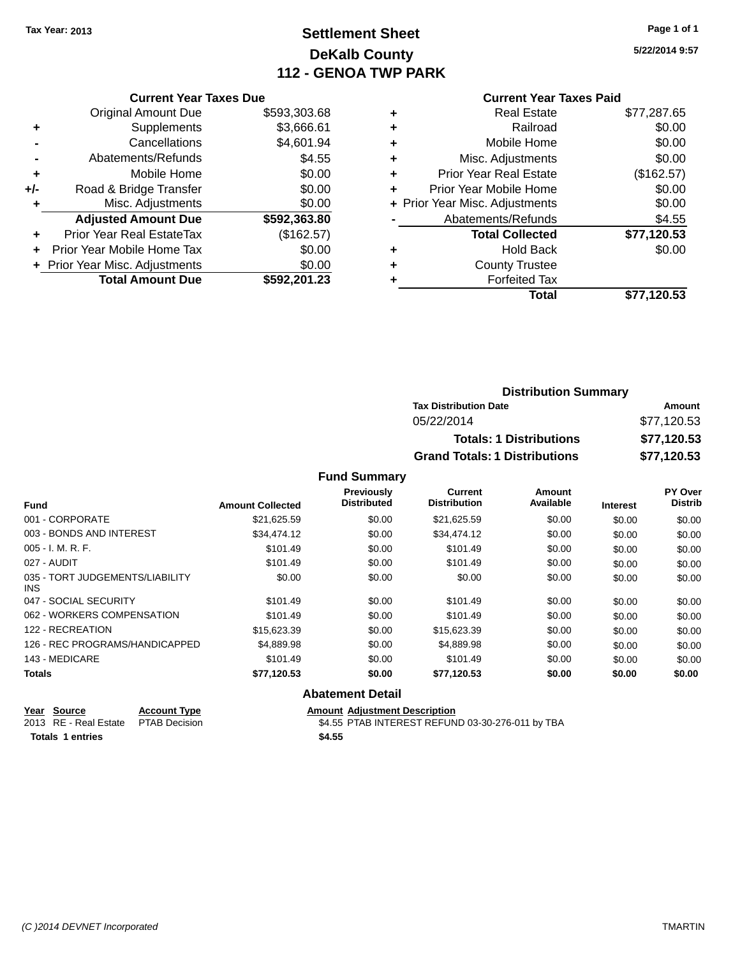## **Settlement Sheet Tax Year: 2013 Page 1 of 1 DeKalb County 112 - GENOA TWP PARK**

**5/22/2014 9:57**

|     | <b>Current Year Taxes Due</b>    |              |
|-----|----------------------------------|--------------|
|     | <b>Original Amount Due</b>       | \$593,303.68 |
| ÷   | Supplements                      | \$3,666.61   |
|     | Cancellations                    | \$4,601.94   |
|     | Abatements/Refunds               | \$4.55       |
| ٠   | Mobile Home                      | \$0.00       |
| +/- | Road & Bridge Transfer           | \$0.00       |
| ٠   | Misc. Adjustments                | \$0.00       |
|     | <b>Adjusted Amount Due</b>       | \$592,363.80 |
| ÷   | <b>Prior Year Real EstateTax</b> | (\$162.57)   |
|     | Prior Year Mobile Home Tax       | \$0.00       |
|     | + Prior Year Misc. Adjustments   | \$0.00       |
|     | <b>Total Amount Due</b>          | \$592,201.23 |
|     |                                  |              |

## **Current Year Taxes Paid +** Real Estate \$77,287.65 **+** Railroad \$0.00

|   | Total                          | \$77,120.53 |
|---|--------------------------------|-------------|
|   | <b>Forfeited Tax</b>           |             |
| ÷ | <b>County Trustee</b>          |             |
| ٠ | <b>Hold Back</b>               | \$0.00      |
|   | <b>Total Collected</b>         | \$77,120.53 |
|   | Abatements/Refunds             | \$4.55      |
|   | + Prior Year Misc. Adjustments | \$0.00      |
| ÷ | Prior Year Mobile Home         | \$0.00      |
| ÷ | <b>Prior Year Real Estate</b>  | (\$162.57)  |
| ÷ | Misc. Adjustments              | \$0.00      |
| ٠ | Mobile Home                    | \$0.00      |

### **Distribution Summary Tax Distribution Date Amount** 05/22/2014 \$77,120.53 **Totals: 1 Distributions \$77,120.53 Grand Totals: 1 Distributions \$77,120.53**

#### **Fund Summary**

|                                         |                         | <b>Previously</b>  | Current             | <b>Amount</b> |                 | PY Over        |
|-----------------------------------------|-------------------------|--------------------|---------------------|---------------|-----------------|----------------|
| <b>Fund</b>                             | <b>Amount Collected</b> | <b>Distributed</b> | <b>Distribution</b> | Available     | <b>Interest</b> | <b>Distrib</b> |
| 001 - CORPORATE                         | \$21,625.59             | \$0.00             | \$21,625.59         | \$0.00        | \$0.00          | \$0.00         |
| 003 - BONDS AND INTEREST                | \$34.474.12             | \$0.00             | \$34,474.12         | \$0.00        | \$0.00          | \$0.00         |
| $005 - I. M. R. F.$                     | \$101.49                | \$0.00             | \$101.49            | \$0.00        | \$0.00          | \$0.00         |
| 027 - AUDIT                             | \$101.49                | \$0.00             | \$101.49            | \$0.00        | \$0.00          | \$0.00         |
| 035 - TORT JUDGEMENTS/LIABILITY<br>INS. | \$0.00                  | \$0.00             | \$0.00              | \$0.00        | \$0.00          | \$0.00         |
| 047 - SOCIAL SECURITY                   | \$101.49                | \$0.00             | \$101.49            | \$0.00        | \$0.00          | \$0.00         |
| 062 - WORKERS COMPENSATION              | \$101.49                | \$0.00             | \$101.49            | \$0.00        | \$0.00          | \$0.00         |
| 122 - RECREATION                        | \$15,623.39             | \$0.00             | \$15,623.39         | \$0.00        | \$0.00          | \$0.00         |
| 126 - REC PROGRAMS/HANDICAPPED          | \$4,889.98              | \$0.00             | \$4,889.98          | \$0.00        | \$0.00          | \$0.00         |
| 143 - MEDICARE                          | \$101.49                | \$0.00             | \$101.49            | \$0.00        | \$0.00          | \$0.00         |
| <b>Totals</b>                           | \$77,120.53             | \$0.00             | \$77,120.53         | \$0.00        | \$0.00          | \$0.00         |

### **Abatement Detail**

**Year Source Account Type Amount Adjustment Description**<br>2013 RE - Real Estate PTAB Decision **AMOUNTEREST REFUN** 2013 RE - Real Estate PTAB Decision \$4.55 PTAB INTEREST REFUND 03-30-276-011 by TBA

**Totals 1 entries \$4.55**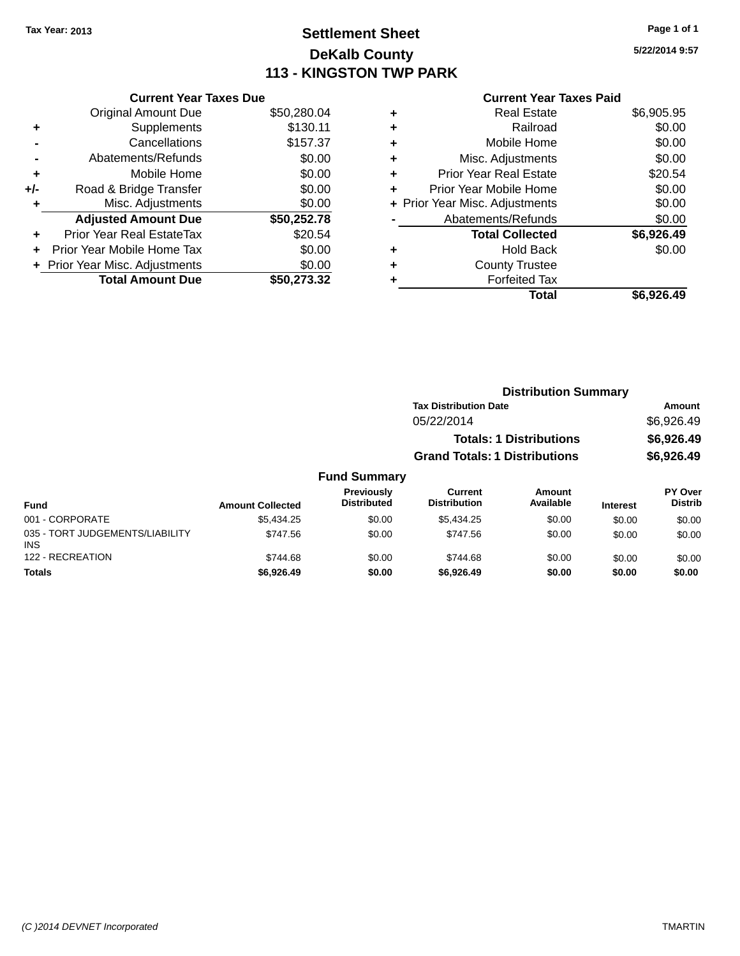## **Settlement Sheet Tax Year: 2013 Page 1 of 1 DeKalb County 113 - KINGSTON TWP PARK**

**5/22/2014 9:57**

|       | <b>Current Year Taxes Due</b>  |             |
|-------|--------------------------------|-------------|
|       | <b>Original Amount Due</b>     | \$50,280.04 |
|       | Supplements                    | \$130.11    |
|       | Cancellations                  | \$157.37    |
|       | Abatements/Refunds             | \$0.00      |
| ٠     | Mobile Home                    | \$0.00      |
| $+/-$ | Road & Bridge Transfer         | \$0.00      |
| ٠     | Misc. Adjustments              | \$0.00      |
|       | <b>Adjusted Amount Due</b>     | \$50,252.78 |
| ٠     | Prior Year Real EstateTax      | \$20.54     |
|       | Prior Year Mobile Home Tax     | \$0.00      |
|       | + Prior Year Misc. Adjustments | \$0.00      |
|       | <b>Total Amount Due</b>        | \$50.273.32 |
|       |                                |             |

### **Current Year Taxes Paid**

| <b>Real Estate</b>     | \$6,905.95                     |
|------------------------|--------------------------------|
| Railroad               | \$0.00                         |
| Mobile Home            | \$0.00                         |
| Misc. Adjustments      | \$0.00                         |
| Prior Year Real Estate | \$20.54                        |
| Prior Year Mobile Home | \$0.00                         |
|                        | \$0.00                         |
| Abatements/Refunds     | \$0.00                         |
| <b>Total Collected</b> | \$6,926.49                     |
| Hold Back              | \$0.00                         |
| <b>County Trustee</b>  |                                |
| <b>Forfeited Tax</b>   |                                |
| Total                  | \$6,926.49                     |
|                        | + Prior Year Misc. Adjustments |

|                     | <b>Distribution Summary</b>          |            |
|---------------------|--------------------------------------|------------|
|                     | <b>Tax Distribution Date</b>         | Amount     |
|                     | 05/22/2014                           | \$6,926.49 |
|                     | <b>Totals: 1 Distributions</b>       | \$6,926.49 |
|                     | <b>Grand Totals: 1 Distributions</b> | \$6,926.49 |
| <b>Fund Summary</b> |                                      |            |

#### **Fund Interest Amount Collected Distributed PY Over Distrib Amount Available Current Distribution Previously** 001 - CORPORATE \$5,434.25 \$0.00 \$5,434.25 \$0.00 \$0.00 \$0.00 035 - TORT JUDGEMENTS/LIABILITY INS \$747.56 \$0.00 \$747.56 \$0.00 \$0.00 \$0.00 122 - RECREATION 6744.68 \$144.68 \$0.00 \$744.68 \$0.00 \$0.00 \$0.00 \$0.00 \$0.00 **Totals \$6,926.49 \$0.00 \$6,926.49 \$0.00 \$0.00 \$0.00**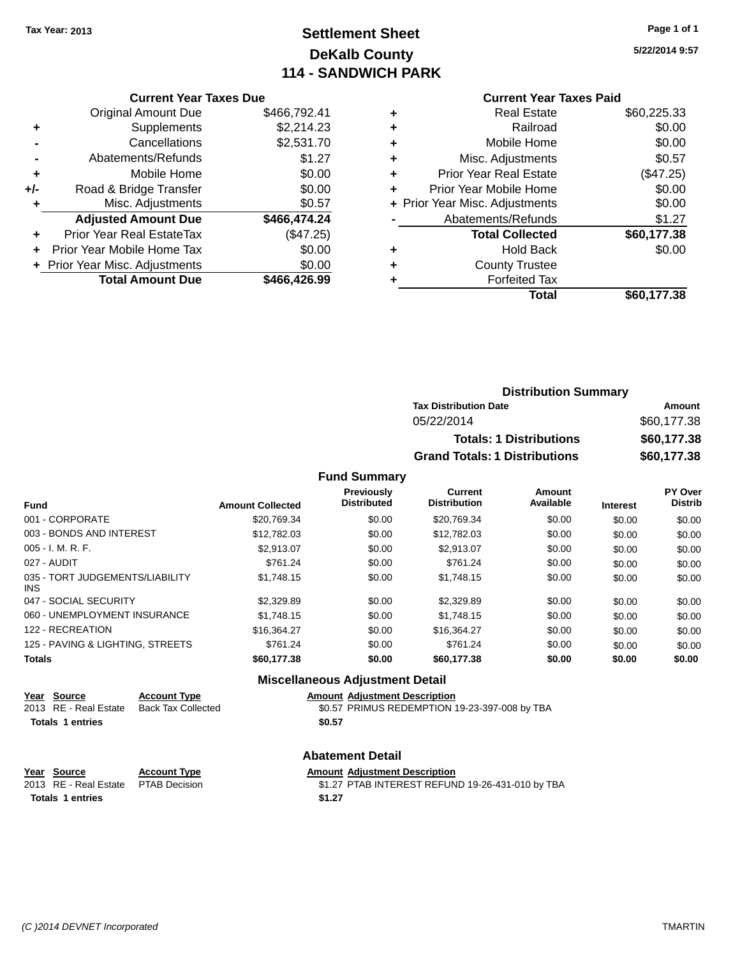## **Settlement Sheet Tax Year: 2013 Page 1 of 1 DeKalb County 114 - SANDWICH PARK**

**5/22/2014 9:57**

| <b>Current Year Taxes Due</b> |  |  |
|-------------------------------|--|--|
|                               |  |  |

|     | <b>Original Amount Due</b>     | \$466,792.41 |
|-----|--------------------------------|--------------|
| ٠   | Supplements                    | \$2,214.23   |
|     | Cancellations                  | \$2,531.70   |
|     | Abatements/Refunds             | \$1.27       |
| ÷   | Mobile Home                    | \$0.00       |
| +/- | Road & Bridge Transfer         | \$0.00       |
| ٠   | Misc. Adjustments              | \$0.57       |
|     | <b>Adjusted Amount Due</b>     | \$466,474.24 |
|     | Prior Year Real EstateTax      | (\$47.25)    |
|     | Prior Year Mobile Home Tax     | \$0.00       |
|     | + Prior Year Misc. Adjustments | \$0.00       |
|     | <b>Total Amount Due</b>        | \$466,426.99 |
|     |                                |              |

|   | <b>Current Year Taxes Paid</b> |             |
|---|--------------------------------|-------------|
| ٠ | <b>Real Estate</b>             | \$60,225.33 |
| ٠ | Railroad                       | \$0.00      |
| ٠ | Mobile Home                    | \$0.00      |
| ÷ | Misc. Adjustments              | \$0.57      |
| ٠ | <b>Prior Year Real Estate</b>  | (\$47.25)   |
| ٠ | Prior Year Mobile Home         | \$0.00      |
|   | + Prior Year Misc. Adjustments | \$0.00      |
|   | Abatements/Refunds             | \$1.27      |
|   | <b>Total Collected</b>         | \$60,177.38 |
|   | <b>Hold Back</b>               | \$0.00      |
| ÷ | <b>County Trustee</b>          |             |
|   | <b>Forfeited Tax</b>           |             |
|   | Total                          | \$60,177.38 |
|   |                                |             |

| <b>Distribution Summary</b>          |             |
|--------------------------------------|-------------|
| <b>Tax Distribution Date</b>         | Amount      |
| 05/22/2014                           | \$60,177.38 |
| <b>Totals: 1 Distributions</b>       | \$60,177.38 |
| <b>Grand Totals: 1 Distributions</b> | \$60,177.38 |

#### **Fund Summary**

| <b>Fund</b>                             | <b>Amount Collected</b> | Previously<br><b>Distributed</b> | Current<br><b>Distribution</b> | Amount<br>Available | <b>Interest</b> | PY Over<br><b>Distrib</b> |
|-----------------------------------------|-------------------------|----------------------------------|--------------------------------|---------------------|-----------------|---------------------------|
| 001 - CORPORATE                         | \$20.769.34             | \$0.00                           | \$20.769.34                    | \$0.00              | \$0.00          | \$0.00                    |
| 003 - BONDS AND INTEREST                | \$12.782.03             | \$0.00                           | \$12,782.03                    | \$0.00              | \$0.00          | \$0.00                    |
| $005 - I. M. R. F.$                     | \$2.913.07              | \$0.00                           | \$2.913.07                     | \$0.00              | \$0.00          | \$0.00                    |
| 027 - AUDIT                             | \$761.24                | \$0.00                           | \$761.24                       | \$0.00              | \$0.00          | \$0.00                    |
| 035 - TORT JUDGEMENTS/LIABILITY<br>INS. | \$1.748.15              | \$0.00                           | \$1,748.15                     | \$0.00              | \$0.00          | \$0.00                    |
| 047 - SOCIAL SECURITY                   | \$2,329.89              | \$0.00                           | \$2,329.89                     | \$0.00              | \$0.00          | \$0.00                    |
| 060 - UNEMPLOYMENT INSURANCE            | \$1.748.15              | \$0.00                           | \$1,748.15                     | \$0.00              | \$0.00          | \$0.00                    |
| 122 - RECREATION                        | \$16.364.27             | \$0.00                           | \$16,364,27                    | \$0.00              | \$0.00          | \$0.00                    |
| 125 - PAVING & LIGHTING, STREETS        | \$761.24                | \$0.00                           | \$761.24                       | \$0.00              | \$0.00          | \$0.00                    |
| <b>Totals</b>                           | \$60,177.38             | \$0.00                           | \$60,177.38                    | \$0.00              | \$0.00          | \$0.00                    |

### **Miscellaneous Adjustment Detail**

# **Year Source Account Type Amount Adjustment Description**

\$0.57 PRIMUS REDEMPTION 19-23-397-008 by TBA **Totals 1 entries \$0.57**

#### **Abatement Detail**

**Year Source Account Type Anneurs Adjustment Description**<br>
2013 RE - Real Estate PTAB Decision **Amount Adjustment Description** \$1.27 PTAB INTEREST REFUND 19-26-431-010 by TBA

| 013 RE - Real Estate PTAD Decision | <b>JI.ZI</b> |
|------------------------------------|--------------|
| Totals 1 entries                   | \$1.27       |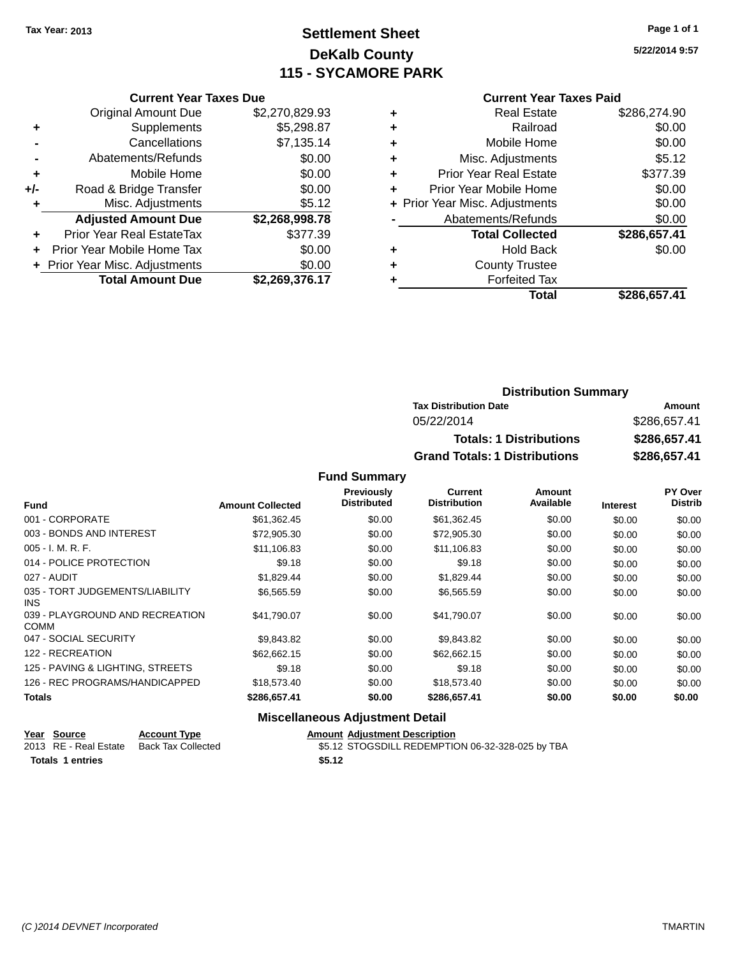## **Settlement Sheet Tax Year: 2013 Page 1 of 1 DeKalb County 115 - SYCAMORE PARK**

**5/22/2014 9:57**

### **Current Year Taxes Paid**

|       | <b>Current Year Taxes Due</b>  |                |
|-------|--------------------------------|----------------|
|       | <b>Original Amount Due</b>     | \$2,270,829.93 |
| ٠     | Supplements                    | \$5,298.87     |
|       | Cancellations                  | \$7,135.14     |
|       | Abatements/Refunds             | \$0.00         |
| ٠     | Mobile Home                    | \$0.00         |
| $+/-$ | Road & Bridge Transfer         | \$0.00         |
|       | Misc. Adjustments              | \$5.12         |
|       | <b>Adjusted Amount Due</b>     | \$2,268,998.78 |
| ÷     | Prior Year Real EstateTax      | \$377.39       |
|       | Prior Year Mobile Home Tax     | \$0.00         |
|       | + Prior Year Misc. Adjustments | \$0.00         |
|       | <b>Total Amount Due</b>        | \$2,269,376.17 |

|   | <b>Real Estate</b>             | \$286.274.90 |
|---|--------------------------------|--------------|
| ٠ | Railroad                       | \$0.00       |
| ٠ | Mobile Home                    | \$0.00       |
| ٠ | Misc. Adjustments              | \$5.12       |
| ٠ | <b>Prior Year Real Estate</b>  | \$377.39     |
|   | Prior Year Mobile Home         | \$0.00       |
|   | + Prior Year Misc. Adjustments | \$0.00       |
|   | Abatements/Refunds             | \$0.00       |
|   | <b>Total Collected</b>         | \$286,657.41 |
| ٠ | <b>Hold Back</b>               | \$0.00       |
| ٠ | <b>County Trustee</b>          |              |
|   | <b>Forfeited Tax</b>           |              |
|   | Total                          | \$286,657.41 |
|   |                                |              |

| <b>Distribution Summary</b>          |              |
|--------------------------------------|--------------|
| <b>Tax Distribution Date</b>         | Amount       |
| 05/22/2014                           | \$286,657.41 |
| <b>Totals: 1 Distributions</b>       | \$286,657.41 |
| <b>Grand Totals: 1 Distributions</b> | \$286,657.41 |

### **Fund Summary**

| <b>Fund</b>                                    | <b>Amount Collected</b> | <b>Previously</b><br><b>Distributed</b> | Current<br><b>Distribution</b> | Amount<br>Available | <b>Interest</b> | PY Over<br><b>Distrib</b> |
|------------------------------------------------|-------------------------|-----------------------------------------|--------------------------------|---------------------|-----------------|---------------------------|
| 001 - CORPORATE                                | \$61,362.45             | \$0.00                                  | \$61,362.45                    | \$0.00              | \$0.00          | \$0.00                    |
| 003 - BONDS AND INTEREST                       | \$72,905.30             | \$0.00                                  | \$72,905.30                    | \$0.00              | \$0.00          | \$0.00                    |
| $005 - I. M. R. F.$                            | \$11,106.83             | \$0.00                                  | \$11,106.83                    | \$0.00              | \$0.00          | \$0.00                    |
| 014 - POLICE PROTECTION                        | \$9.18                  | \$0.00                                  | \$9.18                         | \$0.00              | \$0.00          | \$0.00                    |
| 027 - AUDIT                                    | \$1,829.44              | \$0.00                                  | \$1,829.44                     | \$0.00              | \$0.00          | \$0.00                    |
| 035 - TORT JUDGEMENTS/LIABILITY<br>INS.        | \$6,565.59              | \$0.00                                  | \$6,565.59                     | \$0.00              | \$0.00          | \$0.00                    |
| 039 - PLAYGROUND AND RECREATION<br><b>COMM</b> | \$41,790.07             | \$0.00                                  | \$41,790.07                    | \$0.00              | \$0.00          | \$0.00                    |
| 047 - SOCIAL SECURITY                          | \$9,843.82              | \$0.00                                  | \$9,843.82                     | \$0.00              | \$0.00          | \$0.00                    |
| 122 - RECREATION                               | \$62.662.15             | \$0.00                                  | \$62.662.15                    | \$0.00              | \$0.00          | \$0.00                    |
| 125 - PAVING & LIGHTING, STREETS               | \$9.18                  | \$0.00                                  | \$9.18                         | \$0.00              | \$0.00          | \$0.00                    |
| 126 - REC PROGRAMS/HANDICAPPED                 | \$18,573.40             | \$0.00                                  | \$18,573.40                    | \$0.00              | \$0.00          | \$0.00                    |
| <b>Totals</b>                                  | \$286,657.41            | \$0.00                                  | \$286,657.41                   | \$0.00              | \$0.00          | \$0.00                    |

### **Miscellaneous Adjustment Detail**

| Year Source             | <b>Account Type</b> | <b>Amount Adiustment Description</b>             |
|-------------------------|---------------------|--------------------------------------------------|
| 2013 RE - Real Estate   | Back Tax Collected  | \$5.12 STOGSDILL REDEMPTION 06-32-328-025 by TBA |
| <b>Totals 1 entries</b> |                     | \$5.12                                           |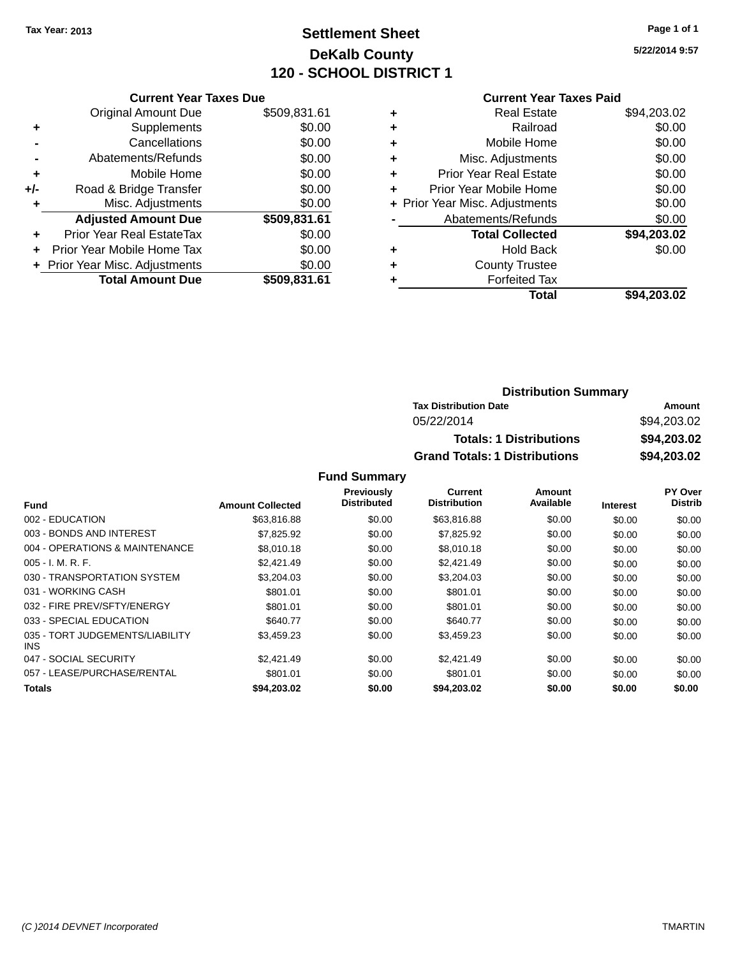## **Settlement Sheet Tax Year: 2013 Page 1 of 1 DeKalb County 120 - SCHOOL DISTRICT 1**

**5/22/2014 9:57**

### **Current Year Taxes Paid**

|     | <b>Current Year Taxes Due</b>  |              |  |  |  |
|-----|--------------------------------|--------------|--|--|--|
|     | <b>Original Amount Due</b>     | \$509,831.61 |  |  |  |
| ÷   | Supplements                    | \$0.00       |  |  |  |
|     | Cancellations                  | \$0.00       |  |  |  |
|     | Abatements/Refunds             | \$0.00       |  |  |  |
| ٠   | Mobile Home                    | \$0.00       |  |  |  |
| +/- | Road & Bridge Transfer         | \$0.00       |  |  |  |
| ٠   | Misc. Adjustments              | \$0.00       |  |  |  |
|     | <b>Adjusted Amount Due</b>     | \$509,831.61 |  |  |  |
| ÷   | Prior Year Real EstateTax      | \$0.00       |  |  |  |
|     | Prior Year Mobile Home Tax     | \$0.00       |  |  |  |
|     | + Prior Year Misc. Adjustments | \$0.00       |  |  |  |
|     | <b>Total Amount Due</b>        | \$509,831.61 |  |  |  |
|     |                                |              |  |  |  |

|   | <b>Real Estate</b>             | \$94,203.02 |
|---|--------------------------------|-------------|
| ٠ | Railroad                       | \$0.00      |
| ٠ | Mobile Home                    | \$0.00      |
| ٠ | Misc. Adjustments              | \$0.00      |
| ٠ | <b>Prior Year Real Estate</b>  | \$0.00      |
| ٠ | Prior Year Mobile Home         | \$0.00      |
|   | + Prior Year Misc. Adjustments | \$0.00      |
|   | Abatements/Refunds             | \$0.00      |
|   | <b>Total Collected</b>         | \$94,203.02 |
| ٠ | <b>Hold Back</b>               | \$0.00      |
| ٠ | <b>County Trustee</b>          |             |
| ٠ | <b>Forfeited Tax</b>           |             |
|   | Total                          | \$94,203.02 |
|   |                                |             |

| <b>Distribution Summary</b>          |             |  |  |
|--------------------------------------|-------------|--|--|
| <b>Tax Distribution Date</b>         | Amount      |  |  |
| 05/22/2014                           | \$94.203.02 |  |  |
| <b>Totals: 1 Distributions</b>       | \$94,203.02 |  |  |
| <b>Grand Totals: 1 Distributions</b> | \$94,203.02 |  |  |

|                                         |                         | Previously         | <b>Current</b>      | Amount    |                 | PY Over        |
|-----------------------------------------|-------------------------|--------------------|---------------------|-----------|-----------------|----------------|
| <b>Fund</b>                             | <b>Amount Collected</b> | <b>Distributed</b> | <b>Distribution</b> | Available | <b>Interest</b> | <b>Distrib</b> |
| 002 - EDUCATION                         | \$63,816.88             | \$0.00             | \$63,816.88         | \$0.00    | \$0.00          | \$0.00         |
| 003 - BONDS AND INTEREST                | \$7.825.92              | \$0.00             | \$7,825.92          | \$0.00    | \$0.00          | \$0.00         |
| 004 - OPERATIONS & MAINTENANCE          | \$8.010.18              | \$0.00             | \$8,010.18          | \$0.00    | \$0.00          | \$0.00         |
| $005 - I. M. R. F.$                     | \$2,421.49              | \$0.00             | \$2,421.49          | \$0.00    | \$0.00          | \$0.00         |
| 030 - TRANSPORTATION SYSTEM             | \$3,204.03              | \$0.00             | \$3,204.03          | \$0.00    | \$0.00          | \$0.00         |
| 031 - WORKING CASH                      | \$801.01                | \$0.00             | \$801.01            | \$0.00    | \$0.00          | \$0.00         |
| 032 - FIRE PREV/SFTY/ENERGY             | \$801.01                | \$0.00             | \$801.01            | \$0.00    | \$0.00          | \$0.00         |
| 033 - SPECIAL EDUCATION                 | \$640.77                | \$0.00             | \$640.77            | \$0.00    | \$0.00          | \$0.00         |
| 035 - TORT JUDGEMENTS/LIABILITY<br>INS. | \$3.459.23              | \$0.00             | \$3,459.23          | \$0.00    | \$0.00          | \$0.00         |
| 047 - SOCIAL SECURITY                   | \$2,421.49              | \$0.00             | \$2,421.49          | \$0.00    | \$0.00          | \$0.00         |
| 057 - LEASE/PURCHASE/RENTAL             | \$801.01                | \$0.00             | \$801.01            | \$0.00    | \$0.00          | \$0.00         |
| Totals                                  | \$94.203.02             | \$0.00             | \$94.203.02         | \$0.00    | \$0.00          | \$0.00         |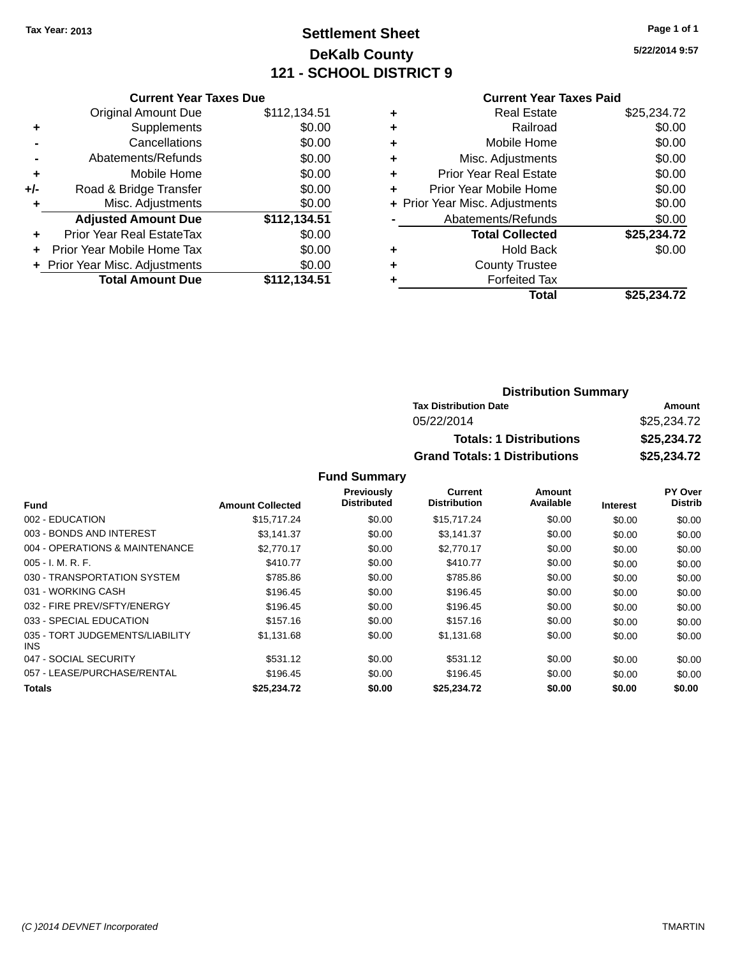## **Settlement Sheet Tax Year: 2013 Page 1 of 1 DeKalb County 121 - SCHOOL DISTRICT 9**

**5/22/2014 9:57**

### **Current Year Taxes Paid**

|       | <b>Current Year Taxes Due</b>  |              |  |  |  |
|-------|--------------------------------|--------------|--|--|--|
|       | <b>Original Amount Due</b>     | \$112,134.51 |  |  |  |
| ٠     | Supplements                    | \$0.00       |  |  |  |
|       | Cancellations                  | \$0.00       |  |  |  |
|       | Abatements/Refunds             | \$0.00       |  |  |  |
| ٠     | Mobile Home                    | \$0.00       |  |  |  |
| $+/-$ | Road & Bridge Transfer         | \$0.00       |  |  |  |
| ٠     | Misc. Adjustments              | \$0.00       |  |  |  |
|       | <b>Adjusted Amount Due</b>     | \$112,134.51 |  |  |  |
| ٠     | Prior Year Real EstateTax      | \$0.00       |  |  |  |
| ÷     | Prior Year Mobile Home Tax     | \$0.00       |  |  |  |
|       | + Prior Year Misc. Adjustments | \$0.00       |  |  |  |
|       | <b>Total Amount Due</b>        | \$112.134.51 |  |  |  |
|       |                                |              |  |  |  |

| <b>Real Estate</b>             | \$25,234.72 |
|--------------------------------|-------------|
| Railroad                       | \$0.00      |
| Mobile Home                    | \$0.00      |
| Misc. Adjustments              | \$0.00      |
| <b>Prior Year Real Estate</b>  | \$0.00      |
| Prior Year Mobile Home         | \$0.00      |
| + Prior Year Misc. Adjustments | \$0.00      |
| Abatements/Refunds             | \$0.00      |
| <b>Total Collected</b>         | \$25,234.72 |
| <b>Hold Back</b>               | \$0.00      |
| <b>County Trustee</b>          |             |
| <b>Forfeited Tax</b>           |             |
| Total                          | \$25,234.72 |
|                                |             |

### **Distribution Summary Tax Distribution Date Amount** 05/22/2014 \$25,234.72 **Totals: 1 Distributions \$25,234.72 Grand Totals: 1 Distributions \$25,234.72**

|                                         |                         | Previously  | Current             | Amount    |                 | PY Over        |
|-----------------------------------------|-------------------------|-------------|---------------------|-----------|-----------------|----------------|
| <b>Fund</b>                             | <b>Amount Collected</b> | Distributed | <b>Distribution</b> | Available | <b>Interest</b> | <b>Distrib</b> |
| 002 - EDUCATION                         | \$15,717.24             | \$0.00      | \$15,717.24         | \$0.00    | \$0.00          | \$0.00         |
| 003 - BONDS AND INTEREST                | \$3.141.37              | \$0.00      | \$3,141.37          | \$0.00    | \$0.00          | \$0.00         |
| 004 - OPERATIONS & MAINTENANCE          | \$2,770.17              | \$0.00      | \$2,770.17          | \$0.00    | \$0.00          | \$0.00         |
| $005 - I. M. R. F.$                     | \$410.77                | \$0.00      | \$410.77            | \$0.00    | \$0.00          | \$0.00         |
| 030 - TRANSPORTATION SYSTEM             | \$785.86                | \$0.00      | \$785.86            | \$0.00    | \$0.00          | \$0.00         |
| 031 - WORKING CASH                      | \$196.45                | \$0.00      | \$196.45            | \$0.00    | \$0.00          | \$0.00         |
| 032 - FIRE PREV/SFTY/ENERGY             | \$196.45                | \$0.00      | \$196.45            | \$0.00    | \$0.00          | \$0.00         |
| 033 - SPECIAL EDUCATION                 | \$157.16                | \$0.00      | \$157.16            | \$0.00    | \$0.00          | \$0.00         |
| 035 - TORT JUDGEMENTS/LIABILITY<br>INS. | \$1,131.68              | \$0.00      | \$1,131.68          | \$0.00    | \$0.00          | \$0.00         |
| 047 - SOCIAL SECURITY                   | \$531.12                | \$0.00      | \$531.12            | \$0.00    | \$0.00          | \$0.00         |
| 057 - LEASE/PURCHASE/RENTAL             | \$196.45                | \$0.00      | \$196.45            | \$0.00    | \$0.00          | \$0.00         |
| Totals                                  | \$25.234.72             | \$0.00      | \$25.234.72         | \$0.00    | \$0.00          | \$0.00         |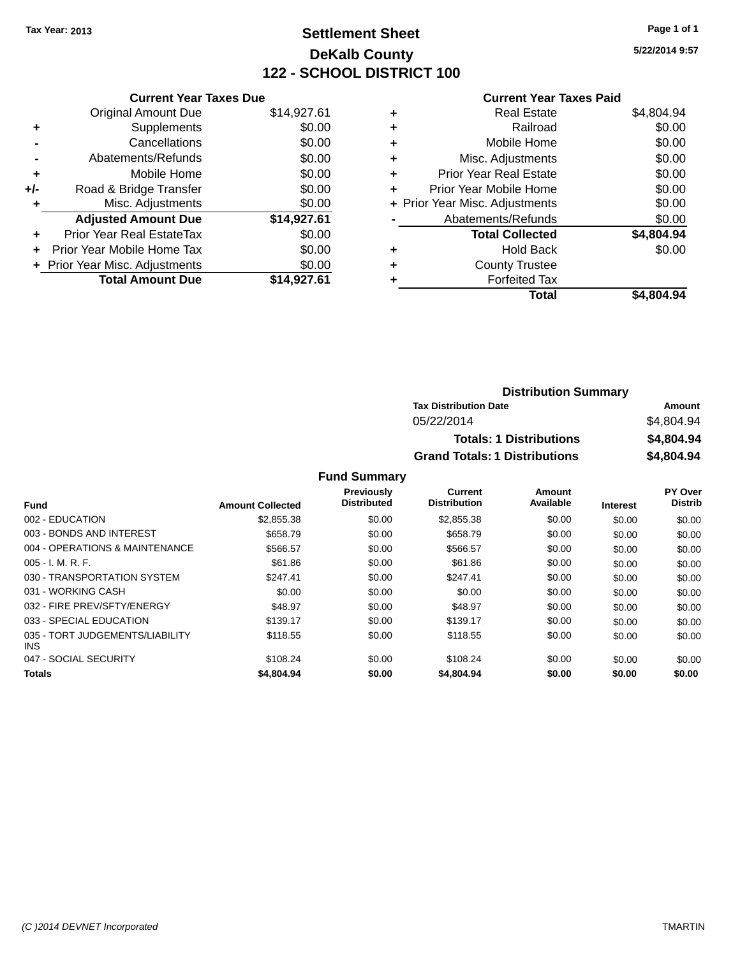## **Settlement Sheet Tax Year: 2013 Page 1 of 1 DeKalb County 122 - SCHOOL DISTRICT 100**

**5/22/2014 9:57**

### **Current Year Taxes Paid**

|     | <b>Current Year Taxes Due</b>  |             |
|-----|--------------------------------|-------------|
|     | <b>Original Amount Due</b>     | \$14,927.61 |
| ٠   | Supplements                    | \$0.00      |
|     | Cancellations                  | \$0.00      |
|     | Abatements/Refunds             | \$0.00      |
| ٠   | Mobile Home                    | \$0.00      |
| +/- | Road & Bridge Transfer         | \$0.00      |
| ٠   | Misc. Adjustments              | \$0.00      |
|     | <b>Adjusted Amount Due</b>     | \$14,927.61 |
| ٠   | Prior Year Real EstateTax      | \$0.00      |
|     | Prior Year Mobile Home Tax     | \$0.00      |
|     | + Prior Year Misc. Adjustments | \$0.00      |
|     | <b>Total Amount Due</b>        | \$14.927.61 |
|     |                                |             |

| ٠ | <b>Real Estate</b>             | \$4,804.94 |
|---|--------------------------------|------------|
| ٠ | Railroad                       | \$0.00     |
| ٠ | Mobile Home                    | \$0.00     |
| ٠ | Misc. Adjustments              | \$0.00     |
| ٠ | <b>Prior Year Real Estate</b>  | \$0.00     |
| ٠ | Prior Year Mobile Home         | \$0.00     |
|   | + Prior Year Misc. Adjustments | \$0.00     |
|   | Abatements/Refunds             | \$0.00     |
|   | <b>Total Collected</b>         | \$4,804.94 |
| ٠ | <b>Hold Back</b>               | \$0.00     |
| ٠ | <b>County Trustee</b>          |            |
| ٠ | <b>Forfeited Tax</b>           |            |
|   | Total                          | \$4,804.94 |
|   |                                |            |

| <b>Distribution Summary</b>          |            |
|--------------------------------------|------------|
| <b>Tax Distribution Date</b>         | Amount     |
| 05/22/2014                           | \$4.804.94 |
| <b>Totals: 1 Distributions</b>       | \$4,804.94 |
| <b>Grand Totals: 1 Distributions</b> | \$4,804.94 |

|                                         |                         | <b>Previously</b>  | Current             | Amount    |                 | PY Over        |
|-----------------------------------------|-------------------------|--------------------|---------------------|-----------|-----------------|----------------|
| <b>Fund</b>                             | <b>Amount Collected</b> | <b>Distributed</b> | <b>Distribution</b> | Available | <b>Interest</b> | <b>Distrib</b> |
| 002 - EDUCATION                         | \$2.855.38              | \$0.00             | \$2,855.38          | \$0.00    | \$0.00          | \$0.00         |
| 003 - BONDS AND INTEREST                | \$658.79                | \$0.00             | \$658.79            | \$0.00    | \$0.00          | \$0.00         |
| 004 - OPERATIONS & MAINTENANCE          | \$566.57                | \$0.00             | \$566.57            | \$0.00    | \$0.00          | \$0.00         |
| $005 - I. M. R. F.$                     | \$61.86                 | \$0.00             | \$61.86             | \$0.00    | \$0.00          | \$0.00         |
| 030 - TRANSPORTATION SYSTEM             | \$247.41                | \$0.00             | \$247.41            | \$0.00    | \$0.00          | \$0.00         |
| 031 - WORKING CASH                      | \$0.00                  | \$0.00             | \$0.00              | \$0.00    | \$0.00          | \$0.00         |
| 032 - FIRE PREV/SFTY/ENERGY             | \$48.97                 | \$0.00             | \$48.97             | \$0.00    | \$0.00          | \$0.00         |
| 033 - SPECIAL EDUCATION                 | \$139.17                | \$0.00             | \$139.17            | \$0.00    | \$0.00          | \$0.00         |
| 035 - TORT JUDGEMENTS/LIABILITY<br>INS. | \$118.55                | \$0.00             | \$118.55            | \$0.00    | \$0.00          | \$0.00         |
| 047 - SOCIAL SECURITY                   | \$108.24                | \$0.00             | \$108.24            | \$0.00    | \$0.00          | \$0.00         |
| <b>Totals</b>                           | \$4,804.94              | \$0.00             | \$4,804.94          | \$0.00    | \$0.00          | \$0.00         |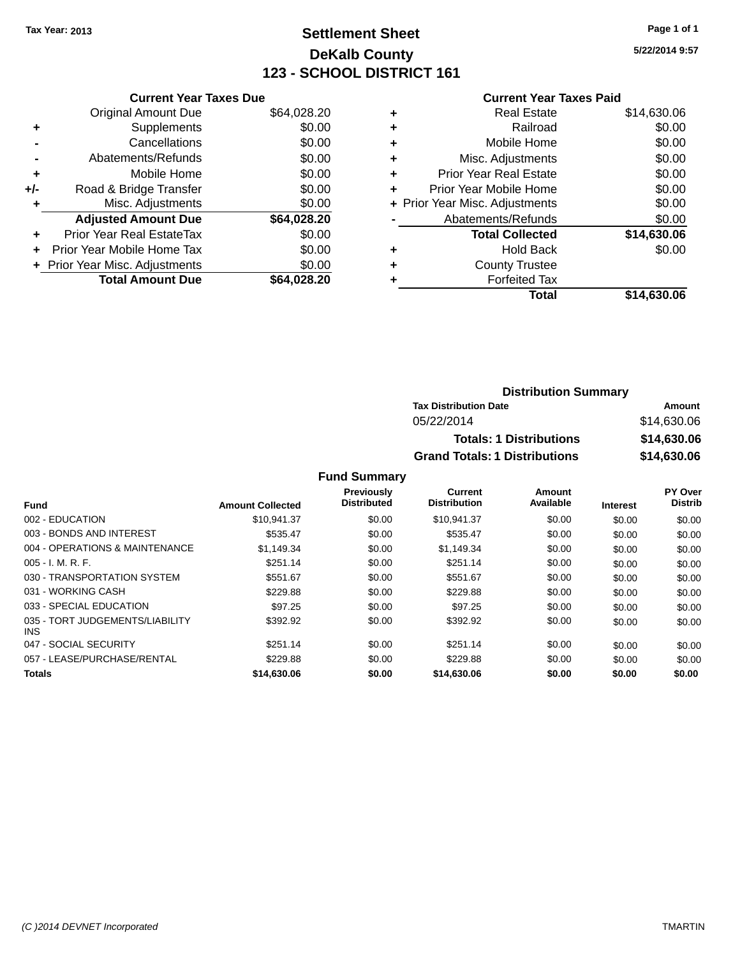## **Settlement Sheet Tax Year: 2013 Page 1 of 1 DeKalb County 123 - SCHOOL DISTRICT 161**

**5/22/2014 9:57**

### **Current Year Taxes Paid**

| <b>Current Year Taxes Due</b> |             |  |  |  |
|-------------------------------|-------------|--|--|--|
| <b>Original Amount Due</b>    | \$64,028.20 |  |  |  |
| Supplements                   | \$0.00      |  |  |  |
| Cancellations                 | \$0.00      |  |  |  |
| Abatements/Refunds            | \$0.00      |  |  |  |
| Mobile Home                   | \$0.00      |  |  |  |
| Road & Bridge Transfer        | \$0.00      |  |  |  |
| Misc. Adjustments             | \$0.00      |  |  |  |
| <b>Adjusted Amount Due</b>    | \$64,028.20 |  |  |  |
| Prior Year Real EstateTax     | \$0.00      |  |  |  |
| Prior Year Mobile Home Tax    | \$0.00      |  |  |  |
| Prior Year Misc. Adjustments  | \$0.00      |  |  |  |
| <b>Total Amount Due</b>       | \$64.028.20 |  |  |  |
|                               |             |  |  |  |

| ٠ | <b>Real Estate</b>             | \$14,630.06 |
|---|--------------------------------|-------------|
| ٠ | Railroad                       | \$0.00      |
| ٠ | Mobile Home                    | \$0.00      |
| ٠ | Misc. Adjustments              | \$0.00      |
| ٠ | <b>Prior Year Real Estate</b>  | \$0.00      |
| ٠ | Prior Year Mobile Home         | \$0.00      |
|   | + Prior Year Misc. Adjustments | \$0.00      |
|   | Abatements/Refunds             | \$0.00      |
|   | <b>Total Collected</b>         | \$14,630.06 |
| ٠ | Hold Back                      | \$0.00      |
| ٠ | <b>County Trustee</b>          |             |
| ٠ | <b>Forfeited Tax</b>           |             |
|   | Total                          | \$14,630.06 |
|   |                                |             |

| <b>Distribution Summary</b>          |             |
|--------------------------------------|-------------|
| <b>Tax Distribution Date</b>         | Amount      |
| 05/22/2014                           | \$14,630.06 |
| <b>Totals: 1 Distributions</b>       | \$14,630.06 |
| <b>Grand Totals: 1 Distributions</b> | \$14,630.06 |

|                                               |                         | <b>Previously</b><br><b>Distributed</b> | <b>Current</b><br><b>Distribution</b> | Amount<br>Available |                 | <b>PY Over</b><br><b>Distrib</b> |
|-----------------------------------------------|-------------------------|-----------------------------------------|---------------------------------------|---------------------|-----------------|----------------------------------|
| Fund                                          | <b>Amount Collected</b> |                                         |                                       |                     | <b>Interest</b> |                                  |
| 002 - EDUCATION                               | \$10.941.37             | \$0.00                                  | \$10,941.37                           | \$0.00              | \$0.00          | \$0.00                           |
| 003 - BONDS AND INTEREST                      | \$535.47                | \$0.00                                  | \$535.47                              | \$0.00              | \$0.00          | \$0.00                           |
| 004 - OPERATIONS & MAINTENANCE                | \$1.149.34              | \$0.00                                  | \$1.149.34                            | \$0.00              | \$0.00          | \$0.00                           |
| $005 - I. M. R. F.$                           | \$251.14                | \$0.00                                  | \$251.14                              | \$0.00              | \$0.00          | \$0.00                           |
| 030 - TRANSPORTATION SYSTEM                   | \$551.67                | \$0.00                                  | \$551.67                              | \$0.00              | \$0.00          | \$0.00                           |
| 031 - WORKING CASH                            | \$229.88                | \$0.00                                  | \$229.88                              | \$0.00              | \$0.00          | \$0.00                           |
| 033 - SPECIAL EDUCATION                       | \$97.25                 | \$0.00                                  | \$97.25                               | \$0.00              | \$0.00          | \$0.00                           |
| 035 - TORT JUDGEMENTS/LIABILITY<br><b>INS</b> | \$392.92                | \$0.00                                  | \$392.92                              | \$0.00              | \$0.00          | \$0.00                           |
| 047 - SOCIAL SECURITY                         | \$251.14                | \$0.00                                  | \$251.14                              | \$0.00              | \$0.00          | \$0.00                           |
| 057 - LEASE/PURCHASE/RENTAL                   | \$229.88                | \$0.00                                  | \$229.88                              | \$0.00              | \$0.00          | \$0.00                           |
| <b>Totals</b>                                 | \$14,630.06             | \$0.00                                  | \$14,630.06                           | \$0.00              | \$0.00          | \$0.00                           |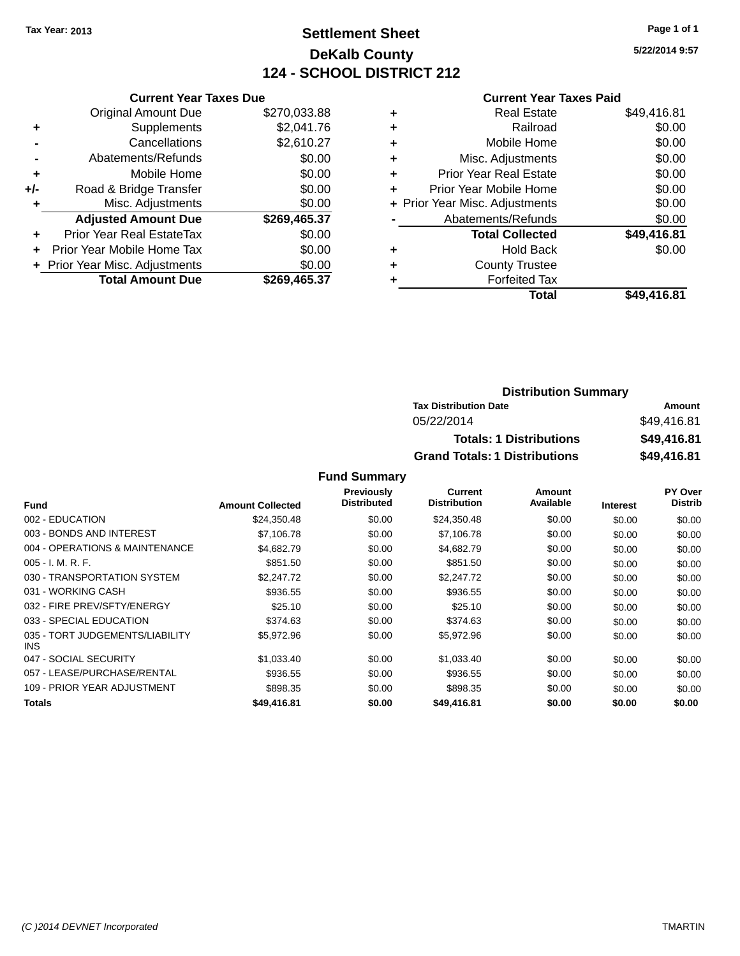## **Settlement Sheet Tax Year: 2013 Page 1 of 1 DeKalb County 124 - SCHOOL DISTRICT 212**

**5/22/2014 9:57**

### **Current Year Taxes Paid**

| <b>Current Year Taxes Due</b>  |              |  |  |  |
|--------------------------------|--------------|--|--|--|
| <b>Original Amount Due</b>     | \$270,033.88 |  |  |  |
| Supplements                    | \$2,041.76   |  |  |  |
| Cancellations                  | \$2,610.27   |  |  |  |
| Abatements/Refunds             | \$0.00       |  |  |  |
| Mobile Home                    | \$0.00       |  |  |  |
| Road & Bridge Transfer         | \$0.00       |  |  |  |
| Misc. Adjustments              | \$0.00       |  |  |  |
| <b>Adjusted Amount Due</b>     | \$269,465.37 |  |  |  |
| Prior Year Real EstateTax      | \$0.00       |  |  |  |
| Prior Year Mobile Home Tax     | \$0.00       |  |  |  |
| + Prior Year Misc. Adjustments | \$0.00       |  |  |  |
| <b>Total Amount Due</b>        | \$269.465.37 |  |  |  |
|                                |              |  |  |  |

| ٠ | <b>Real Estate</b>             | \$49,416.81 |
|---|--------------------------------|-------------|
| ٠ | Railroad                       | \$0.00      |
| ٠ | Mobile Home                    | \$0.00      |
| ٠ | Misc. Adjustments              | \$0.00      |
| ٠ | <b>Prior Year Real Estate</b>  | \$0.00      |
| ٠ | Prior Year Mobile Home         | \$0.00      |
|   | + Prior Year Misc. Adjustments | \$0.00      |
|   | Abatements/Refunds             | \$0.00      |
|   | <b>Total Collected</b>         | \$49,416.81 |
| ٠ | Hold Back                      | \$0.00      |
| ٠ | <b>County Trustee</b>          |             |
| ٠ | <b>Forfeited Tax</b>           |             |
|   | Total                          | \$49,416.81 |
|   |                                |             |

| <b>Distribution Summary</b>          |             |
|--------------------------------------|-------------|
| <b>Tax Distribution Date</b>         | Amount      |
| 05/22/2014                           | \$49,416.81 |
| <b>Totals: 1 Distributions</b>       | \$49,416.81 |
| <b>Grand Totals: 1 Distributions</b> | \$49,416.81 |

|                                         |                         | Previously         | <b>Current</b>      | <b>Amount</b> |                 | <b>PY Over</b> |
|-----------------------------------------|-------------------------|--------------------|---------------------|---------------|-----------------|----------------|
| <b>Fund</b>                             | <b>Amount Collected</b> | <b>Distributed</b> | <b>Distribution</b> | Available     | <b>Interest</b> | <b>Distrib</b> |
| 002 - EDUCATION                         | \$24,350.48             | \$0.00             | \$24,350.48         | \$0.00        | \$0.00          | \$0.00         |
| 003 - BONDS AND INTEREST                | \$7,106.78              | \$0.00             | \$7,106.78          | \$0.00        | \$0.00          | \$0.00         |
| 004 - OPERATIONS & MAINTENANCE          | \$4,682.79              | \$0.00             | \$4,682.79          | \$0.00        | \$0.00          | \$0.00         |
| $005 - I. M. R. F.$                     | \$851.50                | \$0.00             | \$851.50            | \$0.00        | \$0.00          | \$0.00         |
| 030 - TRANSPORTATION SYSTEM             | \$2,247.72              | \$0.00             | \$2,247.72          | \$0.00        | \$0.00          | \$0.00         |
| 031 - WORKING CASH                      | \$936.55                | \$0.00             | \$936.55            | \$0.00        | \$0.00          | \$0.00         |
| 032 - FIRE PREV/SFTY/ENERGY             | \$25.10                 | \$0.00             | \$25.10             | \$0.00        | \$0.00          | \$0.00         |
| 033 - SPECIAL EDUCATION                 | \$374.63                | \$0.00             | \$374.63            | \$0.00        | \$0.00          | \$0.00         |
| 035 - TORT JUDGEMENTS/LIABILITY<br>INS. | \$5,972.96              | \$0.00             | \$5,972.96          | \$0.00        | \$0.00          | \$0.00         |
| 047 - SOCIAL SECURITY                   | \$1,033.40              | \$0.00             | \$1,033.40          | \$0.00        | \$0.00          | \$0.00         |
| 057 - LEASE/PURCHASE/RENTAL             | \$936.55                | \$0.00             | \$936.55            | \$0.00        | \$0.00          | \$0.00         |
| 109 - PRIOR YEAR ADJUSTMENT             | \$898.35                | \$0.00             | \$898.35            | \$0.00        | \$0.00          | \$0.00         |
| Totals                                  | \$49,416.81             | \$0.00             | \$49,416.81         | \$0.00        | \$0.00          | \$0.00         |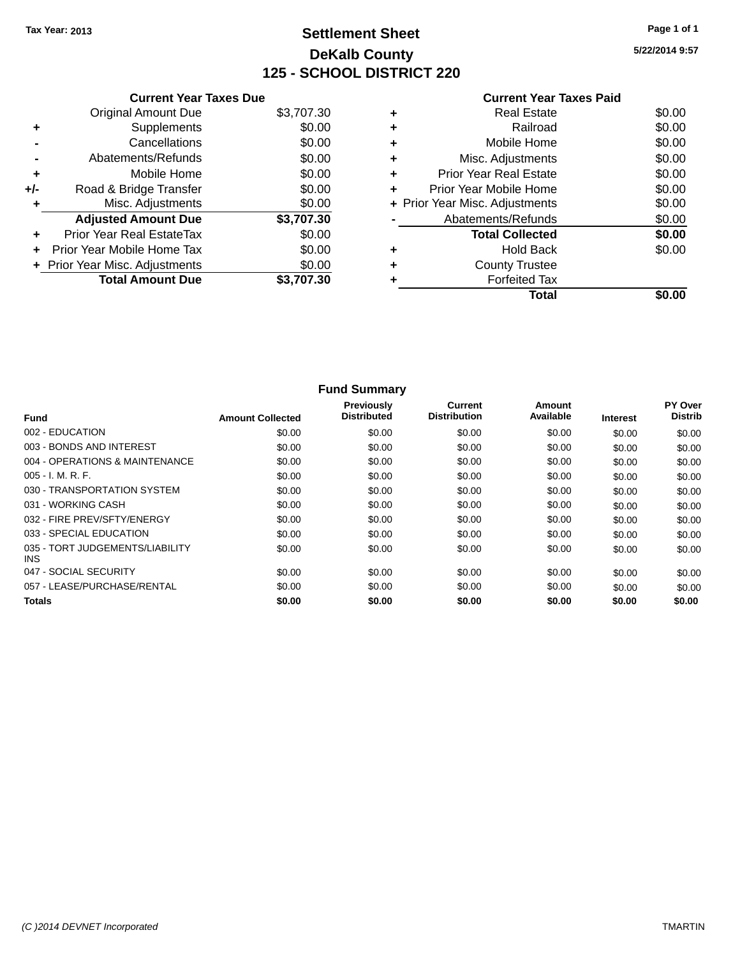# **Settlement Sheet Tax Year: 2013 Page 1 of 1 DeKalb County 125 - SCHOOL DISTRICT 220**

**5/22/2014 9:57**

|     | <b>Current Year Taxes Due</b>  |            |
|-----|--------------------------------|------------|
|     | <b>Original Amount Due</b>     | \$3,707.30 |
|     | Supplements                    | \$0.00     |
|     | Cancellations                  | \$0.00     |
|     | Abatements/Refunds             | \$0.00     |
| ٠   | Mobile Home                    | \$0.00     |
| +/- | Road & Bridge Transfer         | \$0.00     |
| ٠   | Misc. Adjustments              | \$0.00     |
|     | <b>Adjusted Amount Due</b>     | \$3,707.30 |
| ÷   | Prior Year Real EstateTax      | \$0.00     |
| ÷   | Prior Year Mobile Home Tax     | \$0.00     |
|     | + Prior Year Misc. Adjustments | \$0.00     |
|     | <b>Total Amount Due</b>        | \$3,707.30 |
|     |                                |            |

| Abatements/Refunds     | \$0.00                                                                                                                                                      |
|------------------------|-------------------------------------------------------------------------------------------------------------------------------------------------------------|
| <b>Total Collected</b> | \$0.00                                                                                                                                                      |
|                        |                                                                                                                                                             |
|                        | \$0.00                                                                                                                                                      |
|                        |                                                                                                                                                             |
|                        |                                                                                                                                                             |
| <b>Forfeited Tax</b>   |                                                                                                                                                             |
| Total                  |                                                                                                                                                             |
|                        |                                                                                                                                                             |
|                        |                                                                                                                                                             |
|                        | Misc. Adjustments<br><b>Prior Year Real Estate</b><br>Prior Year Mobile Home<br>+ Prior Year Misc. Adjustments<br><b>Hold Back</b><br><b>County Trustee</b> |

|                                               |                         | <b>Fund Summary</b>              |                                       |                     |                 |                           |
|-----------------------------------------------|-------------------------|----------------------------------|---------------------------------------|---------------------|-----------------|---------------------------|
| <b>Fund</b>                                   | <b>Amount Collected</b> | Previously<br><b>Distributed</b> | <b>Current</b><br><b>Distribution</b> | Amount<br>Available | <b>Interest</b> | PY Over<br><b>Distrib</b> |
| 002 - EDUCATION                               | \$0.00                  | \$0.00                           | \$0.00                                | \$0.00              | \$0.00          | \$0.00                    |
| 003 - BONDS AND INTEREST                      | \$0.00                  | \$0.00                           | \$0.00                                | \$0.00              | \$0.00          | \$0.00                    |
| 004 - OPERATIONS & MAINTENANCE                | \$0.00                  | \$0.00                           | \$0.00                                | \$0.00              | \$0.00          | \$0.00                    |
| 005 - I. M. R. F.                             | \$0.00                  | \$0.00                           | \$0.00                                | \$0.00              | \$0.00          | \$0.00                    |
| 030 - TRANSPORTATION SYSTEM                   | \$0.00                  | \$0.00                           | \$0.00                                | \$0.00              | \$0.00          | \$0.00                    |
| 031 - WORKING CASH                            | \$0.00                  | \$0.00                           | \$0.00                                | \$0.00              | \$0.00          | \$0.00                    |
| 032 - FIRE PREV/SFTY/ENERGY                   | \$0.00                  | \$0.00                           | \$0.00                                | \$0.00              | \$0.00          | \$0.00                    |
| 033 - SPECIAL EDUCATION                       | \$0.00                  | \$0.00                           | \$0.00                                | \$0.00              | \$0.00          | \$0.00                    |
| 035 - TORT JUDGEMENTS/LIABILITY<br><b>INS</b> | \$0.00                  | \$0.00                           | \$0.00                                | \$0.00              | \$0.00          | \$0.00                    |
| 047 - SOCIAL SECURITY                         | \$0.00                  | \$0.00                           | \$0.00                                | \$0.00              | \$0.00          | \$0.00                    |
| 057 - LEASE/PURCHASE/RENTAL                   | \$0.00                  | \$0.00                           | \$0.00                                | \$0.00              | \$0.00          | \$0.00                    |
| <b>Totals</b>                                 | \$0.00                  | \$0.00                           | \$0.00                                | \$0.00              | \$0.00          | \$0.00                    |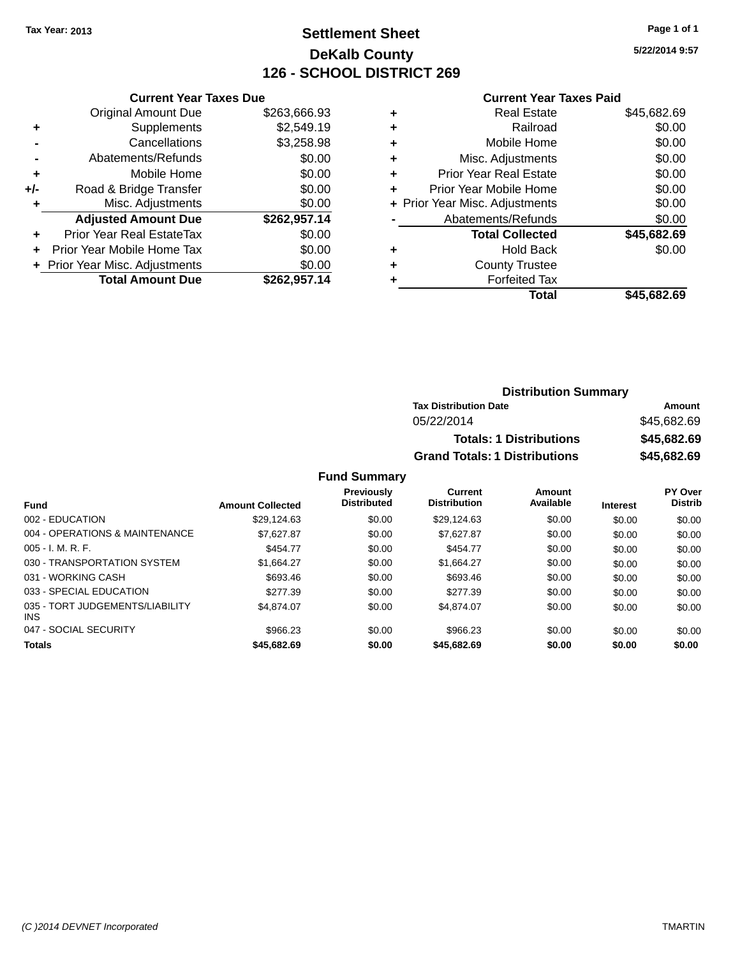# **Settlement Sheet Tax Year: 2013 Page 1 of 1 DeKalb County 126 - SCHOOL DISTRICT 269**

**5/22/2014 9:57**

#### **Current Year Taxes Paid**

| <b>Current Year Taxes Due</b> |              |
|-------------------------------|--------------|
| <b>Original Amount Due</b>    | \$263,666.93 |
| Supplements                   | \$2,549.19   |
| Cancellations                 | \$3,258.98   |
| Abatements/Refunds            | \$0.00       |
| Mobile Home                   | \$0.00       |
| Road & Bridge Transfer        | \$0.00       |
| Misc. Adjustments             | \$0.00       |
| <b>Adjusted Amount Due</b>    | \$262,957.14 |
| Prior Year Real EstateTax     | \$0.00       |
| Prior Year Mobile Home Tax    | \$0.00       |
| Prior Year Misc. Adjustments  | \$0.00       |
| <b>Total Amount Due</b>       | \$262,957.14 |
|                               |              |

| ٠ | <b>Real Estate</b>             | \$45,682.69 |
|---|--------------------------------|-------------|
| ٠ | Railroad                       | \$0.00      |
| ٠ | Mobile Home                    | \$0.00      |
| ٠ | Misc. Adjustments              | \$0.00      |
| ٠ | <b>Prior Year Real Estate</b>  | \$0.00      |
| ٠ | Prior Year Mobile Home         | \$0.00      |
|   | + Prior Year Misc. Adjustments | \$0.00      |
|   | Abatements/Refunds             | \$0.00      |
|   | <b>Total Collected</b>         | \$45,682.69 |
| ٠ | <b>Hold Back</b>               | \$0.00      |
| ٠ | <b>County Trustee</b>          |             |
| ٠ | <b>Forfeited Tax</b>           |             |
|   | Total                          | \$45,682.69 |
|   |                                |             |

| <b>Distribution Summary</b>          |             |
|--------------------------------------|-------------|
| <b>Tax Distribution Date</b>         | Amount      |
| 05/22/2014                           | \$45,682.69 |
| <b>Totals: 1 Distributions</b>       | \$45,682.69 |
| <b>Grand Totals: 1 Distributions</b> | \$45,682.69 |

| <b>Fund</b>                             | <b>Amount Collected</b> | <b>Previously</b><br><b>Distributed</b> | Current<br><b>Distribution</b> | Amount<br>Available | <b>Interest</b> | PY Over<br><b>Distrib</b> |
|-----------------------------------------|-------------------------|-----------------------------------------|--------------------------------|---------------------|-----------------|---------------------------|
| 002 - EDUCATION                         | \$29.124.63             | \$0.00                                  | \$29.124.63                    | \$0.00              | \$0.00          | \$0.00                    |
| 004 - OPERATIONS & MAINTENANCE          | \$7.627.87              | \$0.00                                  | \$7.627.87                     | \$0.00              | \$0.00          | \$0.00                    |
| $005 - I. M. R. F.$                     | \$454.77                | \$0.00                                  | \$454.77                       | \$0.00              | \$0.00          | \$0.00                    |
| 030 - TRANSPORTATION SYSTEM             | \$1.664.27              | \$0.00                                  | \$1.664.27                     | \$0.00              | \$0.00          | \$0.00                    |
| 031 - WORKING CASH                      | \$693.46                | \$0.00                                  | \$693.46                       | \$0.00              | \$0.00          | \$0.00                    |
| 033 - SPECIAL EDUCATION                 | \$277.39                | \$0.00                                  | \$277.39                       | \$0.00              | \$0.00          | \$0.00                    |
| 035 - TORT JUDGEMENTS/LIABILITY<br>INS. | \$4.874.07              | \$0.00                                  | \$4.874.07                     | \$0.00              | \$0.00          | \$0.00                    |
| 047 - SOCIAL SECURITY                   | \$966.23                | \$0.00                                  | \$966.23                       | \$0.00              | \$0.00          | \$0.00                    |
| <b>Totals</b>                           | \$45,682.69             | \$0.00                                  | \$45,682.69                    | \$0.00              | \$0.00          | \$0.00                    |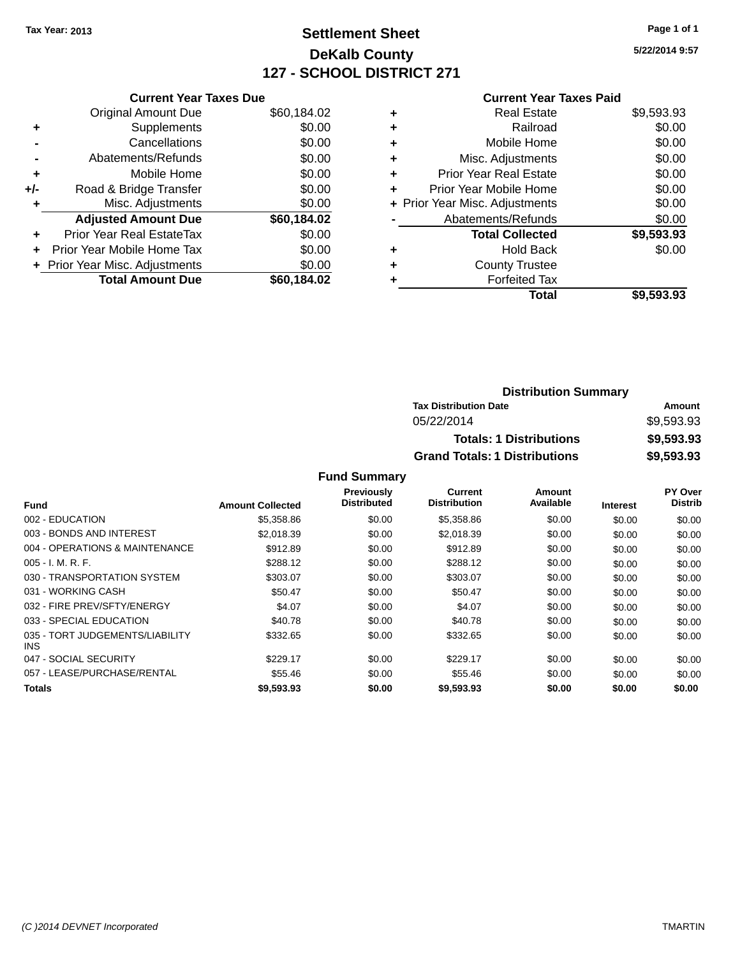# **Settlement Sheet Tax Year: 2013 Page 1 of 1 DeKalb County 127 - SCHOOL DISTRICT 271**

**5/22/2014 9:57**

|  | <b>Current Year Taxes Paid</b> |  |  |  |
|--|--------------------------------|--|--|--|
|--|--------------------------------|--|--|--|

|     | <b>Current Year Taxes Due</b>  |             |
|-----|--------------------------------|-------------|
|     | <b>Original Amount Due</b>     | \$60,184.02 |
| ٠   | Supplements                    | \$0.00      |
|     | Cancellations                  | \$0.00      |
|     | Abatements/Refunds             | \$0.00      |
| ٠   | Mobile Home                    | \$0.00      |
| +/- | Road & Bridge Transfer         | \$0.00      |
|     | Misc. Adjustments              | \$0.00      |
|     | <b>Adjusted Amount Due</b>     | \$60,184.02 |
| ÷   | Prior Year Real EstateTax      | \$0.00      |
| ÷   | Prior Year Mobile Home Tax     | \$0.00      |
|     | + Prior Year Misc. Adjustments | \$0.00      |
|     | <b>Total Amount Due</b>        | \$60.184.02 |

| ٠ | <b>Real Estate</b>             | \$9,593.93 |
|---|--------------------------------|------------|
| ٠ | Railroad                       | \$0.00     |
| ٠ | Mobile Home                    | \$0.00     |
| ٠ | Misc. Adjustments              | \$0.00     |
| ٠ | <b>Prior Year Real Estate</b>  | \$0.00     |
| ٠ | Prior Year Mobile Home         | \$0.00     |
|   | + Prior Year Misc. Adjustments | \$0.00     |
|   | Abatements/Refunds             | \$0.00     |
|   | <b>Total Collected</b>         | \$9,593.93 |
| ٠ | <b>Hold Back</b>               | \$0.00     |
| ٠ | <b>County Trustee</b>          |            |
|   | <b>Forfeited Tax</b>           |            |
|   | Total                          | \$9,593.93 |
|   |                                |            |

| <b>Distribution Summary</b>          |            |
|--------------------------------------|------------|
| <b>Tax Distribution Date</b>         | Amount     |
| 05/22/2014                           | \$9.593.93 |
| <b>Totals: 1 Distributions</b>       | \$9,593.93 |
| <b>Grand Totals: 1 Distributions</b> | \$9,593.93 |

|                                         |                         | Previously         | <b>Current</b>      | Amount    |                 | PY Over        |
|-----------------------------------------|-------------------------|--------------------|---------------------|-----------|-----------------|----------------|
| <b>Fund</b>                             | <b>Amount Collected</b> | <b>Distributed</b> | <b>Distribution</b> | Available | <b>Interest</b> | <b>Distrib</b> |
| 002 - EDUCATION                         | \$5,358.86              | \$0.00             | \$5,358.86          | \$0.00    | \$0.00          | \$0.00         |
| 003 - BONDS AND INTEREST                | \$2.018.39              | \$0.00             | \$2,018.39          | \$0.00    | \$0.00          | \$0.00         |
| 004 - OPERATIONS & MAINTENANCE          | \$912.89                | \$0.00             | \$912.89            | \$0.00    | \$0.00          | \$0.00         |
| $005 - I. M. R. F.$                     | \$288.12                | \$0.00             | \$288.12            | \$0.00    | \$0.00          | \$0.00         |
| 030 - TRANSPORTATION SYSTEM             | \$303.07                | \$0.00             | \$303.07            | \$0.00    | \$0.00          | \$0.00         |
| 031 - WORKING CASH                      | \$50.47                 | \$0.00             | \$50.47             | \$0.00    | \$0.00          | \$0.00         |
| 032 - FIRE PREV/SFTY/ENERGY             | \$4.07                  | \$0.00             | \$4.07              | \$0.00    | \$0.00          | \$0.00         |
| 033 - SPECIAL EDUCATION                 | \$40.78                 | \$0.00             | \$40.78             | \$0.00    | \$0.00          | \$0.00         |
| 035 - TORT JUDGEMENTS/LIABILITY<br>INS. | \$332.65                | \$0.00             | \$332.65            | \$0.00    | \$0.00          | \$0.00         |
| 047 - SOCIAL SECURITY                   | \$229.17                | \$0.00             | \$229.17            | \$0.00    | \$0.00          | \$0.00         |
| 057 - LEASE/PURCHASE/RENTAL             | \$55.46                 | \$0.00             | \$55.46             | \$0.00    | \$0.00          | \$0.00         |
| Totals                                  | \$9,593.93              | \$0.00             | \$9,593.93          | \$0.00    | \$0.00          | \$0.00         |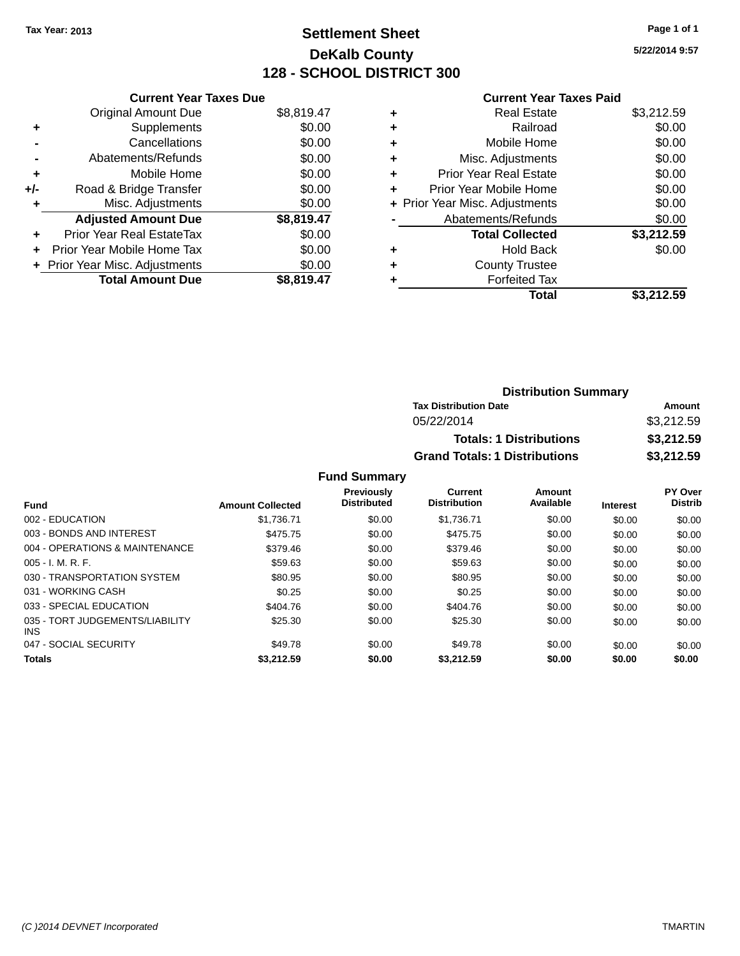# **Settlement Sheet Tax Year: 2013 Page 1 of 1 DeKalb County 128 - SCHOOL DISTRICT 300**

**5/22/2014 9:57**

# **Current Year Taxes Paid**

| <b>Current Year Taxes Due</b> |                                |
|-------------------------------|--------------------------------|
| <b>Original Amount Due</b>    | \$8,819.47                     |
| Supplements                   | \$0.00                         |
| Cancellations                 | \$0.00                         |
| Abatements/Refunds            | \$0.00                         |
| Mobile Home                   | \$0.00                         |
| Road & Bridge Transfer        | \$0.00                         |
| Misc. Adjustments             | \$0.00                         |
| <b>Adjusted Amount Due</b>    | \$8,819.47                     |
| Prior Year Real EstateTax     | \$0.00                         |
| Prior Year Mobile Home Tax    | \$0.00                         |
|                               | \$0.00                         |
| <b>Total Amount Due</b>       | \$8,819.47                     |
|                               | + Prior Year Misc. Adjustments |

| ٠ | <b>Real Estate</b>             | \$3,212.59 |
|---|--------------------------------|------------|
| ٠ | Railroad                       | \$0.00     |
| ٠ | Mobile Home                    | \$0.00     |
| ٠ | Misc. Adjustments              | \$0.00     |
| ٠ | <b>Prior Year Real Estate</b>  | \$0.00     |
| ٠ | Prior Year Mobile Home         | \$0.00     |
|   | + Prior Year Misc. Adjustments | \$0.00     |
|   | Abatements/Refunds             | \$0.00     |
|   | <b>Total Collected</b>         | \$3,212.59 |
| ٠ | Hold Back                      | \$0.00     |
| ٠ | <b>County Trustee</b>          |            |
| ٠ | <b>Forfeited Tax</b>           |            |
|   | Total                          | \$3,212.59 |
|   |                                |            |

| <b>Distribution Summary</b>          |            |  |  |
|--------------------------------------|------------|--|--|
| <b>Tax Distribution Date</b>         | Amount     |  |  |
| 05/22/2014                           | \$3,212.59 |  |  |
| <b>Totals: 1 Distributions</b>       | \$3,212.59 |  |  |
| <b>Grand Totals: 1 Distributions</b> | \$3,212.59 |  |  |

| Fund                                          | <b>Amount Collected</b> | <b>Previously</b><br><b>Distributed</b> | Current<br><b>Distribution</b> | Amount<br>Available | <b>Interest</b> | PY Over<br><b>Distrib</b> |
|-----------------------------------------------|-------------------------|-----------------------------------------|--------------------------------|---------------------|-----------------|---------------------------|
| 002 - EDUCATION                               |                         |                                         |                                |                     |                 |                           |
|                                               | \$1,736.71              | \$0.00                                  | \$1.736.71                     | \$0.00              | \$0.00          | \$0.00                    |
| 003 - BONDS AND INTEREST                      | \$475.75                | \$0.00                                  | \$475.75                       | \$0.00              | \$0.00          | \$0.00                    |
| 004 - OPERATIONS & MAINTENANCE                | \$379.46                | \$0.00                                  | \$379.46                       | \$0.00              | \$0.00          | \$0.00                    |
| $005 - I. M. R. F.$                           | \$59.63                 | \$0.00                                  | \$59.63                        | \$0.00              | \$0.00          | \$0.00                    |
| 030 - TRANSPORTATION SYSTEM                   | \$80.95                 | \$0.00                                  | \$80.95                        | \$0.00              | \$0.00          | \$0.00                    |
| 031 - WORKING CASH                            | \$0.25                  | \$0.00                                  | \$0.25                         | \$0.00              | \$0.00          | \$0.00                    |
| 033 - SPECIAL EDUCATION                       | \$404.76                | \$0.00                                  | \$404.76                       | \$0.00              | \$0.00          | \$0.00                    |
| 035 - TORT JUDGEMENTS/LIABILITY<br><b>INS</b> | \$25.30                 | \$0.00                                  | \$25.30                        | \$0.00              | \$0.00          | \$0.00                    |
| 047 - SOCIAL SECURITY                         | \$49.78                 | \$0.00                                  | \$49.78                        | \$0.00              | \$0.00          | \$0.00                    |
| <b>Totals</b>                                 | \$3,212.59              | \$0.00                                  | \$3,212.59                     | \$0.00              | \$0.00          | \$0.00                    |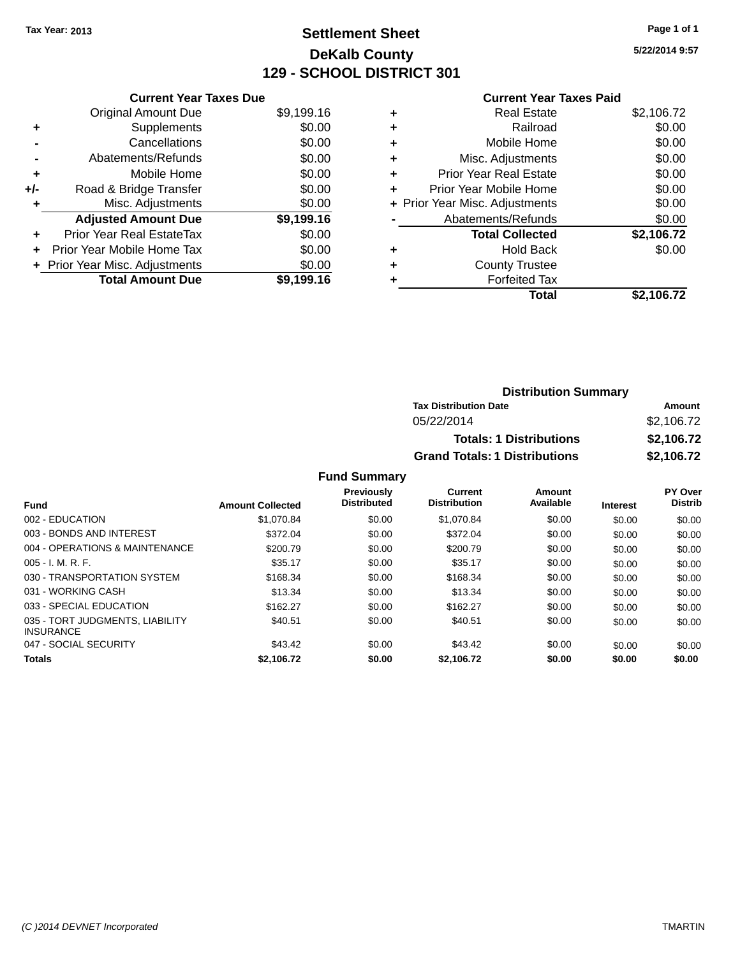# **Settlement Sheet Tax Year: 2013 Page 1 of 1 DeKalb County 129 - SCHOOL DISTRICT 301**

**5/22/2014 9:57**

|     | <b>Current Year Taxes Due</b>    |            |
|-----|----------------------------------|------------|
|     | <b>Original Amount Due</b>       | \$9,199.16 |
| ٠   | Supplements                      | \$0.00     |
|     | Cancellations                    | \$0.00     |
|     | Abatements/Refunds               | \$0.00     |
| ٠   | Mobile Home                      | \$0.00     |
| +/- | Road & Bridge Transfer           | \$0.00     |
| ٠   | Misc. Adjustments                | \$0.00     |
|     | <b>Adjusted Amount Due</b>       | \$9,199.16 |
| ÷   | <b>Prior Year Real EstateTax</b> | \$0.00     |
| ÷   | Prior Year Mobile Home Tax       | \$0.00     |
|     | + Prior Year Misc. Adjustments   | \$0.00     |
|     | <b>Total Amount Due</b>          | \$9,199.16 |

# **Current Year Taxes Paid**

| <b>Real Estate</b>            | \$2,106.72                     |
|-------------------------------|--------------------------------|
| Railroad                      | \$0.00                         |
| Mobile Home                   | \$0.00                         |
| Misc. Adjustments             | \$0.00                         |
| <b>Prior Year Real Estate</b> | \$0.00                         |
| Prior Year Mobile Home        | \$0.00                         |
|                               | \$0.00                         |
| Abatements/Refunds            | \$0.00                         |
| <b>Total Collected</b>        | \$2,106.72                     |
| <b>Hold Back</b>              | \$0.00                         |
| <b>County Trustee</b>         |                                |
| <b>Forfeited Tax</b>          |                                |
| Total                         | \$2,106.72                     |
|                               | + Prior Year Misc. Adjustments |

| <b>Distribution Summary</b>          |            |
|--------------------------------------|------------|
| <b>Tax Distribution Date</b>         | Amount     |
| 05/22/2014                           | \$2,106.72 |
| <b>Totals: 1 Distributions</b>       | \$2,106.72 |
| <b>Grand Totals: 1 Distributions</b> | \$2,106.72 |

| <b>Fund</b>                                         | <b>Amount Collected</b> | Previously<br><b>Distributed</b> | Current<br><b>Distribution</b> | Amount<br>Available | <b>Interest</b> | PY Over<br><b>Distrib</b> |
|-----------------------------------------------------|-------------------------|----------------------------------|--------------------------------|---------------------|-----------------|---------------------------|
| 002 - EDUCATION                                     | \$1.070.84              | \$0.00                           | \$1,070.84                     | \$0.00              | \$0.00          | \$0.00                    |
| 003 - BONDS AND INTEREST                            | \$372.04                | \$0.00                           | \$372.04                       | \$0.00              | \$0.00          | \$0.00                    |
| 004 - OPERATIONS & MAINTENANCE                      | \$200.79                | \$0.00                           | \$200.79                       | \$0.00              | \$0.00          | \$0.00                    |
| $005 - I. M. R. F.$                                 | \$35.17                 | \$0.00                           | \$35.17                        | \$0.00              | \$0.00          | \$0.00                    |
| 030 - TRANSPORTATION SYSTEM                         | \$168.34                | \$0.00                           | \$168.34                       | \$0.00              | \$0.00          | \$0.00                    |
| 031 - WORKING CASH                                  | \$13.34                 | \$0.00                           | \$13.34                        | \$0.00              | \$0.00          | \$0.00                    |
| 033 - SPECIAL EDUCATION                             | \$162.27                | \$0.00                           | \$162.27                       | \$0.00              | \$0.00          | \$0.00                    |
| 035 - TORT JUDGMENTS, LIABILITY<br><b>INSURANCE</b> | \$40.51                 | \$0.00                           | \$40.51                        | \$0.00              | \$0.00          | \$0.00                    |
| 047 - SOCIAL SECURITY                               | \$43.42                 | \$0.00                           | \$43.42                        | \$0.00              | \$0.00          | \$0.00                    |
| <b>Totals</b>                                       | \$2,106.72              | \$0.00                           | \$2,106.72                     | \$0.00              | \$0.00          | \$0.00                    |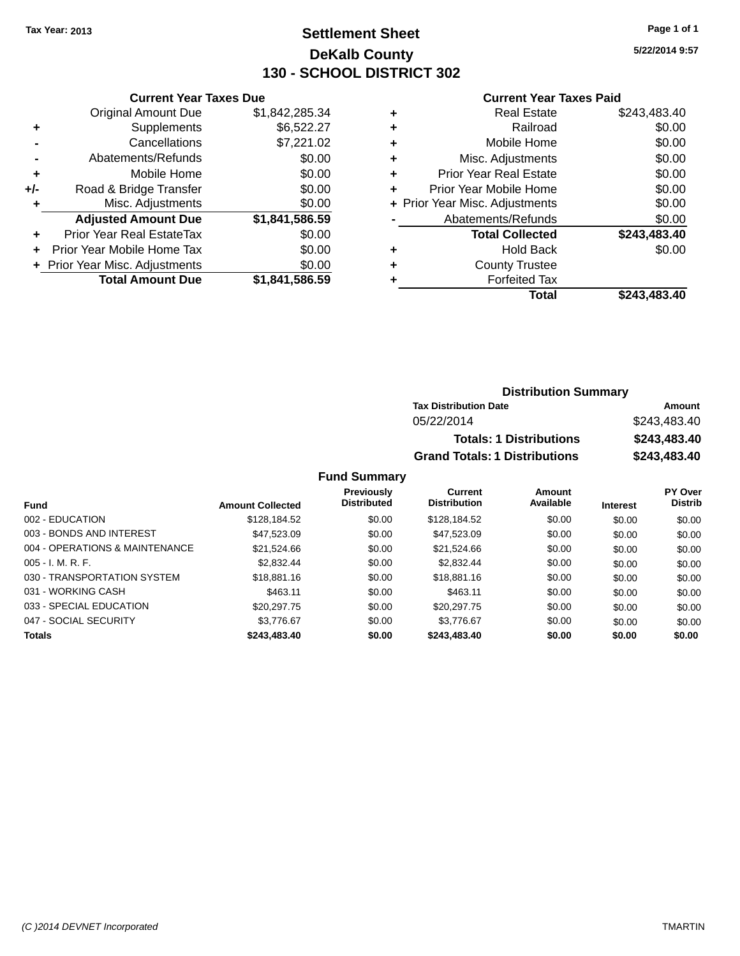# **Settlement Sheet Tax Year: 2013 Page 1 of 1 DeKalb County 130 - SCHOOL DISTRICT 302**

**5/22/2014 9:57**

#### **Current Year Taxes Paid**

|     | <b>Current Year Taxes Due</b>                |                |  |  |  |
|-----|----------------------------------------------|----------------|--|--|--|
|     | <b>Original Amount Due</b><br>\$1,842,285.34 |                |  |  |  |
| ٠   | \$6,522.27<br>Supplements                    |                |  |  |  |
|     | Cancellations                                | \$7,221.02     |  |  |  |
|     | Abatements/Refunds                           | \$0.00         |  |  |  |
| ٠   | Mobile Home                                  | \$0.00         |  |  |  |
| +/- | Road & Bridge Transfer                       | \$0.00         |  |  |  |
|     | \$0.00<br>Misc. Adjustments                  |                |  |  |  |
|     | <b>Adjusted Amount Due</b>                   | \$1,841,586.59 |  |  |  |
| ÷   | Prior Year Real EstateTax                    | \$0.00         |  |  |  |
|     | Prior Year Mobile Home Tax                   | \$0.00         |  |  |  |
|     | \$0.00<br>+ Prior Year Misc. Adjustments     |                |  |  |  |
|     | <b>Total Amount Due</b>                      | \$1,841,586.59 |  |  |  |
|     |                                              |                |  |  |  |

| ٠ | <b>Real Estate</b>             | \$243,483.40 |
|---|--------------------------------|--------------|
| ٠ | Railroad                       | \$0.00       |
| ٠ | Mobile Home                    | \$0.00       |
| ٠ | Misc. Adjustments              | \$0.00       |
| ٠ | <b>Prior Year Real Estate</b>  | \$0.00       |
| ٠ | Prior Year Mobile Home         | \$0.00       |
|   | + Prior Year Misc. Adjustments | \$0.00       |
|   | Abatements/Refunds             | \$0.00       |
|   | <b>Total Collected</b>         | \$243,483.40 |
| ٠ | <b>Hold Back</b>               | \$0.00       |
| ٠ | <b>County Trustee</b>          |              |
| ٠ | <b>Forfeited Tax</b>           |              |
|   | Total                          | \$243,483.40 |
|   |                                |              |

# **Distribution Summary Tax Distribution Date Amount** 05/22/2014 \$243,483.40 **Totals: 1 Distributions \$243,483.40 Grand Totals: 1 Distributions \$243,483.40**

| <b>Fund</b>                    | <b>Amount Collected</b> | <b>Previously</b><br><b>Distributed</b> | Current<br><b>Distribution</b> | Amount<br>Available | <b>Interest</b> | PY Over<br><b>Distrib</b> |
|--------------------------------|-------------------------|-----------------------------------------|--------------------------------|---------------------|-----------------|---------------------------|
| 002 - EDUCATION                | \$128,184.52            | \$0.00                                  | \$128,184.52                   | \$0.00              | \$0.00          | \$0.00                    |
| 003 - BONDS AND INTEREST       | \$47,523,09             | \$0.00                                  | \$47,523.09                    | \$0.00              | \$0.00          | \$0.00                    |
| 004 - OPERATIONS & MAINTENANCE | \$21.524.66             | \$0.00                                  | \$21,524.66                    | \$0.00              | \$0.00          | \$0.00                    |
| $005 - I. M. R. F.$            | \$2,832.44              | \$0.00                                  | \$2.832.44                     | \$0.00              | \$0.00          | \$0.00                    |
| 030 - TRANSPORTATION SYSTEM    | \$18,881.16             | \$0.00                                  | \$18,881.16                    | \$0.00              | \$0.00          | \$0.00                    |
| 031 - WORKING CASH             | \$463.11                | \$0.00                                  | \$463.11                       | \$0.00              | \$0.00          | \$0.00                    |
| 033 - SPECIAL EDUCATION        | \$20,297.75             | \$0.00                                  | \$20,297.75                    | \$0.00              | \$0.00          | \$0.00                    |
| 047 - SOCIAL SECURITY          | \$3.776.67              | \$0.00                                  | \$3,776.67                     | \$0.00              | \$0.00          | \$0.00                    |
| <b>Totals</b>                  | \$243,483.40            | \$0.00                                  | \$243,483.40                   | \$0.00              | \$0.00          | \$0.00                    |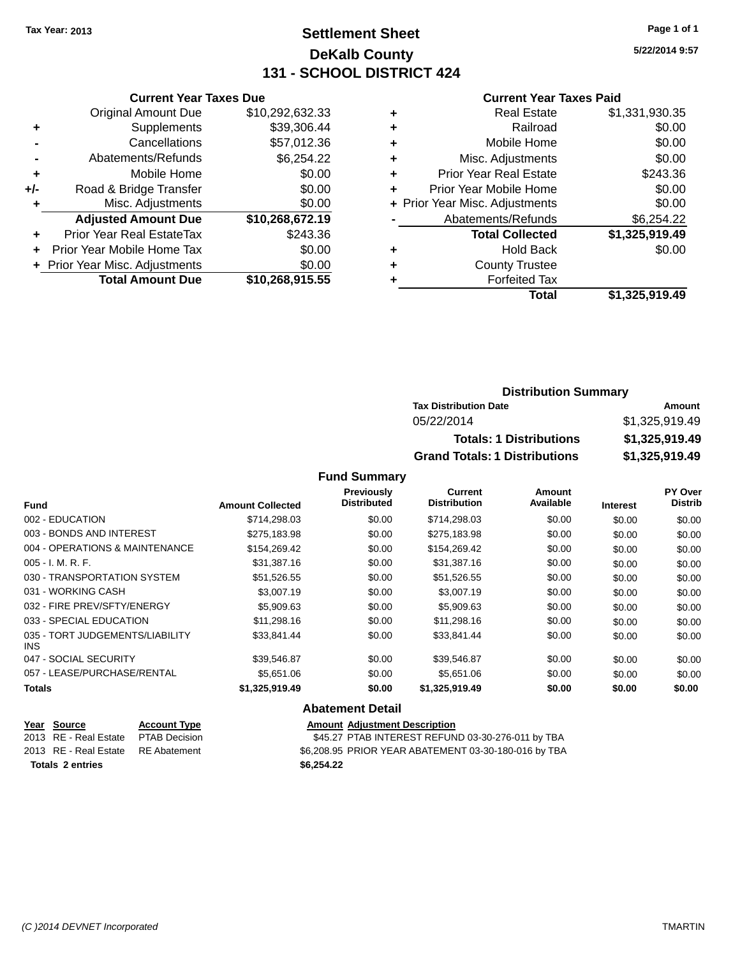# **Settlement Sheet Tax Year: 2013 Page 1 of 1 DeKalb County 131 - SCHOOL DISTRICT 424**

**5/22/2014 9:57**

#### **Current Year Taxes Paid**

|     | <b>Current Year Taxes Due</b>  |                 |  |  |  |
|-----|--------------------------------|-----------------|--|--|--|
|     | <b>Original Amount Due</b>     | \$10,292,632.33 |  |  |  |
| ٠   | Supplements                    | \$39,306.44     |  |  |  |
|     | Cancellations                  | \$57,012.36     |  |  |  |
|     | Abatements/Refunds             | \$6,254.22      |  |  |  |
| ÷   | Mobile Home                    | \$0.00          |  |  |  |
| +/- | Road & Bridge Transfer         | \$0.00          |  |  |  |
|     | Misc. Adjustments              | \$0.00          |  |  |  |
|     | <b>Adjusted Amount Due</b>     | \$10,268,672.19 |  |  |  |
| ÷   | Prior Year Real EstateTax      | \$243.36        |  |  |  |
|     | Prior Year Mobile Home Tax     | \$0.00          |  |  |  |
|     | + Prior Year Misc. Adjustments | \$0.00          |  |  |  |
|     | <b>Total Amount Due</b>        | \$10,268,915.55 |  |  |  |

|   | <b>Real Estate</b>             | \$1,331,930.35 |
|---|--------------------------------|----------------|
| ٠ | Railroad                       | \$0.00         |
| ٠ | Mobile Home                    | \$0.00         |
| ٠ | Misc. Adjustments              | \$0.00         |
| ٠ | <b>Prior Year Real Estate</b>  | \$243.36       |
| ÷ | Prior Year Mobile Home         | \$0.00         |
|   | + Prior Year Misc. Adjustments | \$0.00         |
|   | Abatements/Refunds             | \$6,254.22     |
|   | <b>Total Collected</b>         | \$1,325,919.49 |
| ٠ | <b>Hold Back</b>               | \$0.00         |
| ٠ | <b>County Trustee</b>          |                |
| ٠ | <b>Forfeited Tax</b>           |                |
|   | Total                          | \$1,325,919.49 |
|   |                                |                |

# **Distribution Summary Tax Distribution Date Amount** 05/22/2014 \$1,325,919.49 **Totals: 1 Distributions \$1,325,919.49 Grand Totals: 1 Distributions \$1,325,919.49**

### **Fund Summary**

|                                               |                         | <b>Previously</b>  | Current             | <b>Amount</b> |                 | PY Over        |
|-----------------------------------------------|-------------------------|--------------------|---------------------|---------------|-----------------|----------------|
| <b>Fund</b>                                   | <b>Amount Collected</b> | <b>Distributed</b> | <b>Distribution</b> | Available     | <b>Interest</b> | <b>Distrib</b> |
| 002 - EDUCATION                               | \$714,298.03            | \$0.00             | \$714,298.03        | \$0.00        | \$0.00          | \$0.00         |
| 003 - BONDS AND INTEREST                      | \$275.183.98            | \$0.00             | \$275,183.98        | \$0.00        | \$0.00          | \$0.00         |
| 004 - OPERATIONS & MAINTENANCE                | \$154,269.42            | \$0.00             | \$154,269.42        | \$0.00        | \$0.00          | \$0.00         |
| $005 - I. M. R. F.$                           | \$31,387.16             | \$0.00             | \$31,387.16         | \$0.00        | \$0.00          | \$0.00         |
| 030 - TRANSPORTATION SYSTEM                   | \$51,526.55             | \$0.00             | \$51,526.55         | \$0.00        | \$0.00          | \$0.00         |
| 031 - WORKING CASH                            | \$3,007.19              | \$0.00             | \$3,007.19          | \$0.00        | \$0.00          | \$0.00         |
| 032 - FIRE PREV/SFTY/ENERGY                   | \$5,909.63              | \$0.00             | \$5,909.63          | \$0.00        | \$0.00          | \$0.00         |
| 033 - SPECIAL EDUCATION                       | \$11,298.16             | \$0.00             | \$11,298.16         | \$0.00        | \$0.00          | \$0.00         |
| 035 - TORT JUDGEMENTS/LIABILITY<br><b>INS</b> | \$33,841.44             | \$0.00             | \$33,841.44         | \$0.00        | \$0.00          | \$0.00         |
| 047 - SOCIAL SECURITY                         | \$39,546.87             | \$0.00             | \$39,546.87         | \$0.00        | \$0.00          | \$0.00         |
| 057 - LEASE/PURCHASE/RENTAL                   | \$5,651,06              | \$0.00             | \$5,651.06          | \$0.00        | \$0.00          | \$0.00         |
| <b>Totals</b>                                 | \$1,325,919.49          | \$0.00             | \$1,325,919.49      | \$0.00        | \$0.00          | \$0.00         |

#### **Abatement Detail**

| Year Source                        | <b>Account Type</b> |            | <b>Amount Adjustment Description</b>                 |
|------------------------------------|---------------------|------------|------------------------------------------------------|
| 2013 RE - Real Estate              | PTAB Decision       |            | \$45.27 PTAB INTEREST REFUND 03-30-276-011 by TBA    |
| 2013 RE - Real Estate RE Abatement |                     |            | \$6,208.95 PRIOR YEAR ABATEMENT 03-30-180-016 by TBA |
| <b>Totals 2 entries</b>            |                     | \$6.254.22 |                                                      |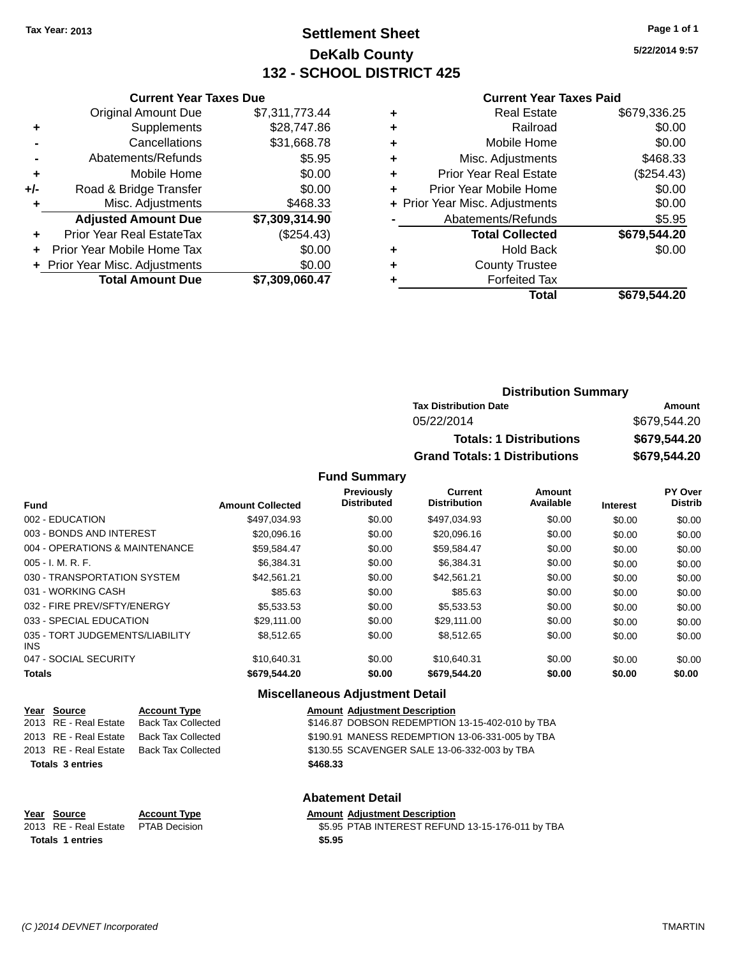# **Settlement Sheet Tax Year: 2013 Page 1 of 1 DeKalb County 132 - SCHOOL DISTRICT 425**

**5/22/2014 9:57**

#### **Current Year Taxes Paid**

|     | <b>Current Year Taxes Due</b>  |                |  |  |  |  |
|-----|--------------------------------|----------------|--|--|--|--|
|     | <b>Original Amount Due</b>     | \$7,311,773.44 |  |  |  |  |
| ٠   | Supplements                    | \$28,747.86    |  |  |  |  |
|     | Cancellations                  | \$31,668.78    |  |  |  |  |
|     | Abatements/Refunds             | \$5.95         |  |  |  |  |
| ٠   | Mobile Home                    | \$0.00         |  |  |  |  |
| +/- | Road & Bridge Transfer         | \$0.00         |  |  |  |  |
| ٠   | Misc. Adjustments              | \$468.33       |  |  |  |  |
|     | <b>Adjusted Amount Due</b>     | \$7,309,314.90 |  |  |  |  |
|     | Prior Year Real EstateTax      | (\$254.43)     |  |  |  |  |
| ÷   | Prior Year Mobile Home Tax     | \$0.00         |  |  |  |  |
|     | + Prior Year Misc. Adjustments | \$0.00         |  |  |  |  |
|     | <b>Total Amount Due</b>        | \$7.309.060.47 |  |  |  |  |

|   | <b>Real Estate</b>             | \$679,336.25 |
|---|--------------------------------|--------------|
| ٠ | Railroad                       | \$0.00       |
| ٠ | Mobile Home                    | \$0.00       |
| ٠ | Misc. Adjustments              | \$468.33     |
| ٠ | <b>Prior Year Real Estate</b>  | (\$254.43)   |
| ٠ | Prior Year Mobile Home         | \$0.00       |
|   | + Prior Year Misc. Adjustments | \$0.00       |
|   | Abatements/Refunds             | \$5.95       |
|   | <b>Total Collected</b>         | \$679,544.20 |
| ٠ | <b>Hold Back</b>               | \$0.00       |
|   | <b>County Trustee</b>          |              |
|   | <b>Forfeited Tax</b>           |              |
|   | Total                          | \$679,544.20 |
|   |                                |              |

| <b>Distribution Summary</b>          |              |
|--------------------------------------|--------------|
| <b>Tax Distribution Date</b>         | Amount       |
| 05/22/2014                           | \$679,544.20 |
| <b>Totals: 1 Distributions</b>       | \$679,544.20 |
| <b>Grand Totals: 1 Distributions</b> | \$679,544.20 |

#### **Fund Summary**

| <b>Fund</b>                             | <b>Amount Collected</b> | Previously<br><b>Distributed</b> | <b>Current</b><br><b>Distribution</b> | Amount<br>Available | <b>Interest</b> | PY Over<br><b>Distrib</b> |
|-----------------------------------------|-------------------------|----------------------------------|---------------------------------------|---------------------|-----------------|---------------------------|
| 002 - EDUCATION                         | \$497.034.93            | \$0.00                           | \$497,034.93                          | \$0.00              | \$0.00          | \$0.00                    |
| 003 - BONDS AND INTEREST                | \$20,096.16             | \$0.00                           | \$20,096.16                           | \$0.00              | \$0.00          | \$0.00                    |
| 004 - OPERATIONS & MAINTENANCE          | \$59,584.47             | \$0.00                           | \$59,584.47                           | \$0.00              | \$0.00          | \$0.00                    |
| $005 - I. M. R. F.$                     | \$6.384.31              | \$0.00                           | \$6,384.31                            | \$0.00              | \$0.00          | \$0.00                    |
| 030 - TRANSPORTATION SYSTEM             | \$42.561.21             | \$0.00                           | \$42.561.21                           | \$0.00              | \$0.00          | \$0.00                    |
| 031 - WORKING CASH                      | \$85.63                 | \$0.00                           | \$85.63                               | \$0.00              | \$0.00          | \$0.00                    |
| 032 - FIRE PREV/SFTY/ENERGY             | \$5,533,53              | \$0.00                           | \$5,533,53                            | \$0.00              | \$0.00          | \$0.00                    |
| 033 - SPECIAL EDUCATION                 | \$29,111,00             | \$0.00                           | \$29,111,00                           | \$0.00              | \$0.00          | \$0.00                    |
| 035 - TORT JUDGEMENTS/LIABILITY<br>INS. | \$8,512,65              | \$0.00                           | \$8.512.65                            | \$0.00              | \$0.00          | \$0.00                    |
| 047 - SOCIAL SECURITY                   | \$10.640.31             | \$0.00                           | \$10.640.31                           | \$0.00              | \$0.00          | \$0.00                    |
| <b>Totals</b>                           | \$679.544.20            | \$0.00                           | \$679,544.20                          | \$0.00              | \$0.00          | \$0.00                    |

# **Miscellaneous Adjustment Detail**

| Year Source             | <b>Account Type</b>                      |          | <b>Amount Adjustment Description</b>            |
|-------------------------|------------------------------------------|----------|-------------------------------------------------|
|                         | 2013 RE - Real Estate Back Tax Collected |          | \$146.87 DOBSON REDEMPTION 13-15-402-010 by TBA |
|                         | 2013 RE - Real Estate Back Tax Collected |          | \$190.91 MANESS REDEMPTION 13-06-331-005 by TBA |
|                         | 2013 RE - Real Estate Back Tax Collected |          | \$130.55 SCAVENGER SALE 13-06-332-003 by TBA    |
| <b>Totals 3 entries</b> |                                          | \$468.33 |                                                 |
|                         |                                          |          |                                                 |

# **Abatement Detail**

# **Year** Source **Account Type Account Adjustment Description Totals 1 entries \$5.95**

2013 RE - Real Estate PTAB Decision \$5.95 PTAB INTEREST REFUND 13-15-176-011 by TBA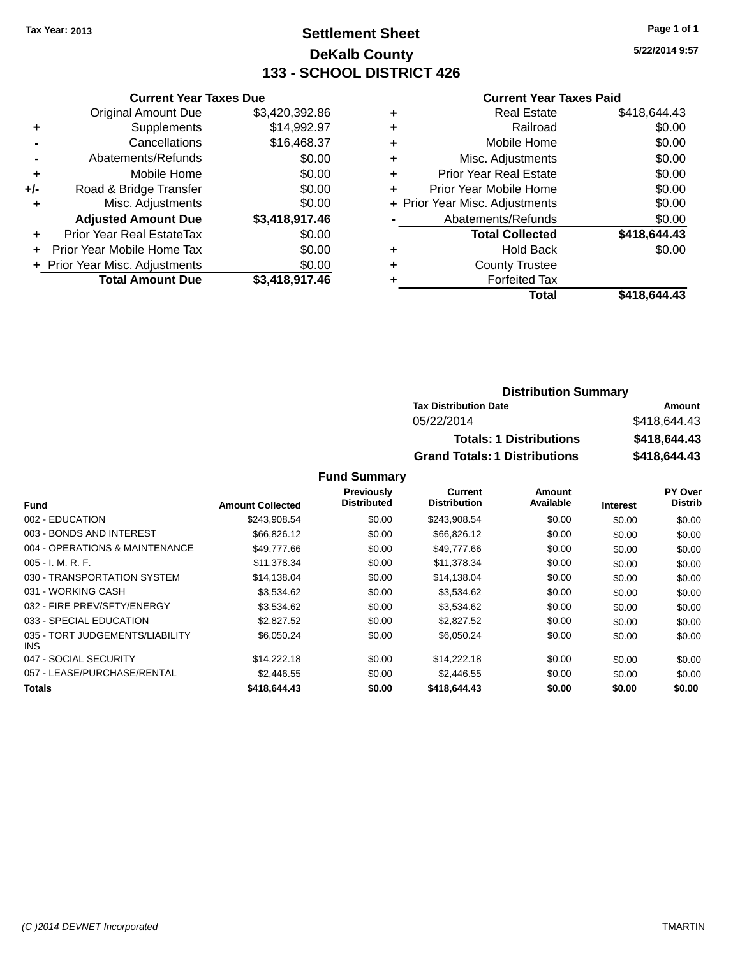# **Settlement Sheet Tax Year: 2013 Page 1 of 1 DeKalb County 133 - SCHOOL DISTRICT 426**

**5/22/2014 9:57**

#### **Current Year Taxes Paid**

|     | <b>Current Year Taxes Due</b>    |                |  |  |  |  |
|-----|----------------------------------|----------------|--|--|--|--|
|     | <b>Original Amount Due</b>       | \$3,420,392.86 |  |  |  |  |
| ٠   | Supplements                      | \$14,992.97    |  |  |  |  |
|     | Cancellations                    | \$16,468.37    |  |  |  |  |
|     | Abatements/Refunds               | \$0.00         |  |  |  |  |
| ٠   | Mobile Home                      | \$0.00         |  |  |  |  |
| +/- | Road & Bridge Transfer           | \$0.00         |  |  |  |  |
|     | Misc. Adjustments                | \$0.00         |  |  |  |  |
|     | <b>Adjusted Amount Due</b>       | \$3,418,917.46 |  |  |  |  |
| ÷   | <b>Prior Year Real EstateTax</b> | \$0.00         |  |  |  |  |
|     | Prior Year Mobile Home Tax       | \$0.00         |  |  |  |  |
|     | + Prior Year Misc. Adjustments   | \$0.00         |  |  |  |  |
|     | <b>Total Amount Due</b>          | \$3,418,917.46 |  |  |  |  |

| ٠ | <b>Real Estate</b>             | \$418,644.43 |
|---|--------------------------------|--------------|
| ٠ | Railroad                       | \$0.00       |
| ٠ | Mobile Home                    | \$0.00       |
| ٠ | Misc. Adjustments              | \$0.00       |
| ٠ | <b>Prior Year Real Estate</b>  | \$0.00       |
| ٠ | Prior Year Mobile Home         | \$0.00       |
|   | + Prior Year Misc. Adjustments | \$0.00       |
|   | Abatements/Refunds             | \$0.00       |
|   | <b>Total Collected</b>         | \$418,644.43 |
| ٠ | <b>Hold Back</b>               | \$0.00       |
| ٠ | <b>County Trustee</b>          |              |
| ٠ | <b>Forfeited Tax</b>           |              |
|   | Total                          | \$418.644.43 |
|   |                                |              |

# **Distribution Summary Tax Distribution Date Amount** 05/22/2014 \$418,644.43 **Totals: 1 Distributions \$418,644.43 Grand Totals: 1 Distributions \$418,644.43**

|                                         |                         | Previously         | <b>Current</b>      | Amount    |                 | PY Over        |
|-----------------------------------------|-------------------------|--------------------|---------------------|-----------|-----------------|----------------|
| <b>Fund</b>                             | <b>Amount Collected</b> | <b>Distributed</b> | <b>Distribution</b> | Available | <b>Interest</b> | <b>Distrib</b> |
| 002 - EDUCATION                         | \$243,908.54            | \$0.00             | \$243,908.54        | \$0.00    | \$0.00          | \$0.00         |
| 003 - BONDS AND INTEREST                | \$66,826.12             | \$0.00             | \$66,826.12         | \$0.00    | \$0.00          | \$0.00         |
| 004 - OPERATIONS & MAINTENANCE          | \$49,777.66             | \$0.00             | \$49,777.66         | \$0.00    | \$0.00          | \$0.00         |
| $005 - I. M. R. F.$                     | \$11,378.34             | \$0.00             | \$11,378.34         | \$0.00    | \$0.00          | \$0.00         |
| 030 - TRANSPORTATION SYSTEM             | \$14.138.04             | \$0.00             | \$14,138.04         | \$0.00    | \$0.00          | \$0.00         |
| 031 - WORKING CASH                      | \$3.534.62              | \$0.00             | \$3,534.62          | \$0.00    | \$0.00          | \$0.00         |
| 032 - FIRE PREV/SFTY/ENERGY             | \$3.534.62              | \$0.00             | \$3,534.62          | \$0.00    | \$0.00          | \$0.00         |
| 033 - SPECIAL EDUCATION                 | \$2,827.52              | \$0.00             | \$2,827.52          | \$0.00    | \$0.00          | \$0.00         |
| 035 - TORT JUDGEMENTS/LIABILITY<br>INS. | \$6,050.24              | \$0.00             | \$6,050.24          | \$0.00    | \$0.00          | \$0.00         |
| 047 - SOCIAL SECURITY                   | \$14,222.18             | \$0.00             | \$14,222.18         | \$0.00    | \$0.00          | \$0.00         |
| 057 - LEASE/PURCHASE/RENTAL             | \$2,446.55              | \$0.00             | \$2,446.55          | \$0.00    | \$0.00          | \$0.00         |
| Totals                                  | \$418,644,43            | \$0.00             | \$418,644,43        | \$0.00    | \$0.00          | \$0.00         |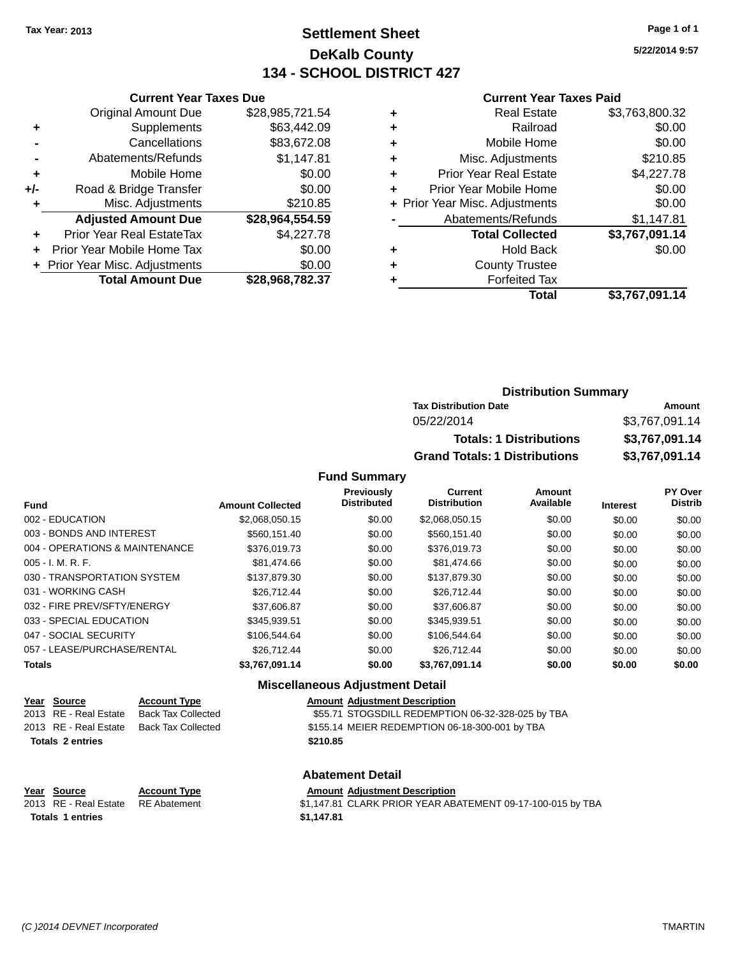# **Settlement Sheet Tax Year: 2013 Page 1 of 1 DeKalb County 134 - SCHOOL DISTRICT 427**

**5/22/2014 9:57**

#### **Current Year Taxes Paid**

|       | <b>Original Amount Due</b>     | \$28,985,721.54 |
|-------|--------------------------------|-----------------|
| ٠     | Supplements                    | \$63,442.09     |
|       | Cancellations                  | \$83,672.08     |
|       | Abatements/Refunds             | \$1,147.81      |
| ÷     | Mobile Home                    | \$0.00          |
| $+/-$ | Road & Bridge Transfer         | \$0.00          |
| ٠     | Misc. Adjustments              | \$210.85        |
|       | <b>Adjusted Amount Due</b>     | \$28,964,554.59 |
| ٠     | Prior Year Real EstateTax      | \$4,227.78      |
|       | Prior Year Mobile Home Tax     | \$0.00          |
|       | + Prior Year Misc. Adjustments | \$0.00          |
|       | <b>Total Amount Due</b>        | \$28,968,782.37 |
|       |                                |                 |

**Current Year Taxes Due**

| ٠ | <b>Real Estate</b>             | \$3,763,800.32 |
|---|--------------------------------|----------------|
| ٠ | Railroad                       | \$0.00         |
| ٠ | Mobile Home                    | \$0.00         |
| ٠ | Misc. Adjustments              | \$210.85       |
| ٠ | <b>Prior Year Real Estate</b>  | \$4,227.78     |
| ٠ | Prior Year Mobile Home         | \$0.00         |
|   | + Prior Year Misc. Adjustments | \$0.00         |
|   | Abatements/Refunds             | \$1,147.81     |
|   | <b>Total Collected</b>         | \$3,767,091.14 |
| ٠ | <b>Hold Back</b>               | \$0.00         |
| ٠ | <b>County Trustee</b>          |                |
| ٠ | <b>Forfeited Tax</b>           |                |
|   | Total                          | \$3,767,091.14 |
|   |                                |                |

| <b>Distribution Summary</b>          |                |  |  |
|--------------------------------------|----------------|--|--|
| <b>Tax Distribution Date</b>         | Amount         |  |  |
| 05/22/2014                           | \$3,767,091.14 |  |  |
| <b>Totals: 1 Distributions</b>       | \$3,767,091.14 |  |  |
| <b>Grand Totals: 1 Distributions</b> | \$3,767,091.14 |  |  |

#### **Fund Summary**

| <b>Fund</b>                    | <b>Amount Collected</b> | Previously<br><b>Distributed</b> | <b>Current</b><br><b>Distribution</b> | <b>Amount</b><br>Available | <b>Interest</b> | PY Over<br><b>Distrib</b> |
|--------------------------------|-------------------------|----------------------------------|---------------------------------------|----------------------------|-----------------|---------------------------|
| 002 - EDUCATION                | \$2,068,050.15          | \$0.00                           | \$2,068,050.15                        | \$0.00                     | \$0.00          | \$0.00                    |
| 003 - BONDS AND INTEREST       | \$560.151.40            | \$0.00                           | \$560.151.40                          | \$0.00                     | \$0.00          | \$0.00                    |
| 004 - OPERATIONS & MAINTENANCE | \$376,019.73            | \$0.00                           | \$376,019.73                          | \$0.00                     | \$0.00          | \$0.00                    |
| $005 - I. M. R. F.$            | \$81,474.66             | \$0.00                           | \$81,474.66                           | \$0.00                     | \$0.00          | \$0.00                    |
| 030 - TRANSPORTATION SYSTEM    | \$137,879,30            | \$0.00                           | \$137,879,30                          | \$0.00                     | \$0.00          | \$0.00                    |
| 031 - WORKING CASH             | \$26,712.44             | \$0.00                           | \$26,712.44                           | \$0.00                     | \$0.00          | \$0.00                    |
| 032 - FIRE PREV/SFTY/ENERGY    | \$37,606.87             | \$0.00                           | \$37,606.87                           | \$0.00                     | \$0.00          | \$0.00                    |
| 033 - SPECIAL EDUCATION        | \$345.939.51            | \$0.00                           | \$345.939.51                          | \$0.00                     | \$0.00          | \$0.00                    |
| 047 - SOCIAL SECURITY          | \$106,544.64            | \$0.00                           | \$106,544,64                          | \$0.00                     | \$0.00          | \$0.00                    |
| 057 - LEASE/PURCHASE/RENTAL    | \$26,712.44             | \$0.00                           | \$26,712.44                           | \$0.00                     | \$0.00          | \$0.00                    |
| <b>Totals</b>                  | \$3.767.091.14          | \$0.00                           | \$3,767,091.14                        | \$0.00                     | \$0.00          | \$0.00                    |

# **Miscellaneous Adjustment Detail**

| Year Source             | <b>Account Type</b>       | <b>Amount Adju</b> |
|-------------------------|---------------------------|--------------------|
| 2013 RE - Real Estate   | <b>Back Tax Collected</b> | \$55.71 STO        |
| 2013 RE - Real Estate   | <b>Back Tax Collected</b> | \$155.14 MEIE      |
| <b>Totals 2 entries</b> |                           | \$210.85           |

**Year Source Account Type Amount Adjustment Description** GSDILL REDEMPTION 06-32-328-025 by TBA ER REDEMPTION 06-18-300-001 by TBA

#### **Abatement Detail**

# **Year Source Account Type Amount Adjustment Description**<br>2013 RE - Real Estate RE Abatement **Amount 1998** 1.147.81 CLARK PRIOR YEAR AB.

\$1,147.81 CLARK PRIOR YEAR ABATEMENT 09-17-100-015 by TBA **Totals 1 entries \$1,147.81**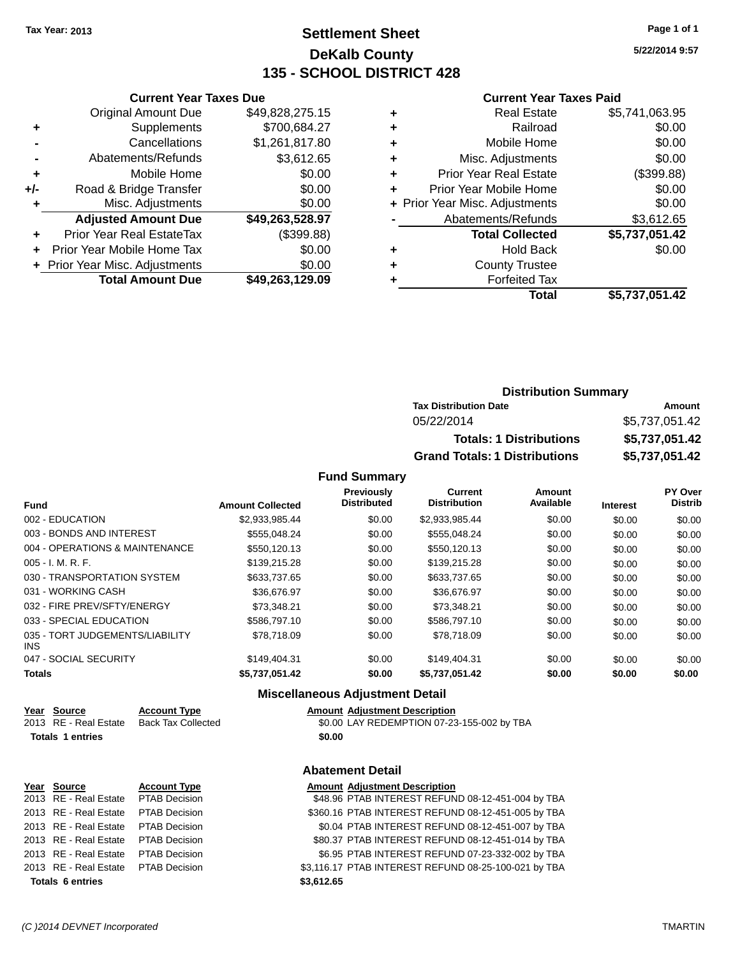# **Settlement Sheet Tax Year: 2013 Page 1 of 1 DeKalb County 135 - SCHOOL DISTRICT 428**

**5/22/2014 9:57**

#### **Current Year Taxes Paid**

|     | <b>Total Amount Due</b>          | \$49,263,129.09 |
|-----|----------------------------------|-----------------|
|     | + Prior Year Misc. Adjustments   | \$0.00          |
|     | Prior Year Mobile Home Tax       | \$0.00          |
| ٠   | <b>Prior Year Real EstateTax</b> | (\$399.88)      |
|     | <b>Adjusted Amount Due</b>       | \$49,263,528.97 |
| ٠   | Misc. Adjustments                | \$0.00          |
| +/- | Road & Bridge Transfer           | \$0.00          |
| ٠   | Mobile Home                      | \$0.00          |
|     | Abatements/Refunds               | \$3,612.65      |
|     | Cancellations                    | \$1,261,817.80  |
| ٠   | Supplements                      | \$700,684.27    |
|     | <b>Original Amount Due</b>       | \$49,828,275.15 |
|     |                                  |                 |

**Current Year Taxes Due**

|   | <b>Real Estate</b>             | \$5,741,063.95 |
|---|--------------------------------|----------------|
| ٠ | Railroad                       | \$0.00         |
| ٠ | Mobile Home                    | \$0.00         |
| ٠ | Misc. Adjustments              | \$0.00         |
| ٠ | <b>Prior Year Real Estate</b>  | (\$399.88)     |
|   | Prior Year Mobile Home         | \$0.00         |
|   | + Prior Year Misc. Adjustments | \$0.00         |
|   | Abatements/Refunds             | \$3,612.65     |
|   | <b>Total Collected</b>         | \$5,737,051.42 |
| ٠ | <b>Hold Back</b>               | \$0.00         |
|   | <b>County Trustee</b>          |                |
|   | <b>Forfeited Tax</b>           |                |
|   | Total                          | \$5,737,051.42 |
|   |                                |                |

# **Distribution Summary Tax Distribution Date Amount** 05/22/2014 \$5,737,051.42 **Totals: 1 Distributions \$5,737,051.42 Grand Totals: 1 Distributions \$5,737,051.42**

#### **Fund Summary**

| <b>Fund</b>                             | <b>Amount Collected</b> | Previously<br><b>Distributed</b> | <b>Current</b><br><b>Distribution</b> | Amount<br>Available | <b>Interest</b> | PY Over<br><b>Distrib</b> |
|-----------------------------------------|-------------------------|----------------------------------|---------------------------------------|---------------------|-----------------|---------------------------|
| 002 - EDUCATION                         | \$2.933.985.44          | \$0.00                           | \$2.933.985.44                        |                     |                 |                           |
|                                         |                         |                                  |                                       | \$0.00              | \$0.00          | \$0.00                    |
| 003 - BONDS AND INTEREST                | \$555.048.24            | \$0.00                           | \$555.048.24                          | \$0.00              | \$0.00          | \$0.00                    |
| 004 - OPERATIONS & MAINTENANCE          | \$550,120.13            | \$0.00                           | \$550.120.13                          | \$0.00              | \$0.00          | \$0.00                    |
| $005 - I. M. R. F.$                     | \$139,215.28            | \$0.00                           | \$139,215.28                          | \$0.00              | \$0.00          | \$0.00                    |
| 030 - TRANSPORTATION SYSTEM             | \$633,737.65            | \$0.00                           | \$633,737.65                          | \$0.00              | \$0.00          | \$0.00                    |
| 031 - WORKING CASH                      | \$36,676.97             | \$0.00                           | \$36.676.97                           | \$0.00              | \$0.00          | \$0.00                    |
| 032 - FIRE PREV/SFTY/ENERGY             | \$73.348.21             | \$0.00                           | \$73.348.21                           | \$0.00              | \$0.00          | \$0.00                    |
| 033 - SPECIAL EDUCATION                 | \$586,797.10            | \$0.00                           | \$586,797.10                          | \$0.00              | \$0.00          | \$0.00                    |
| 035 - TORT JUDGEMENTS/LIABILITY<br>INS. | \$78.718.09             | \$0.00                           | \$78.718.09                           | \$0.00              | \$0.00          | \$0.00                    |
| 047 - SOCIAL SECURITY                   | \$149.404.31            | \$0.00                           | \$149,404.31                          | \$0.00              | \$0.00          | \$0.00                    |
| <b>Totals</b>                           | \$5,737,051.42          | \$0.00                           | \$5,737,051.42                        | \$0.00              | \$0.00          | \$0.00                    |

#### **Miscellaneous Adjustment Detail**

**Abatement Detail**

| Year Source             | <b>Account Type</b> | <b>Amount Adiustment Description</b> |
|-------------------------|---------------------|--------------------------------------|
| 2013 RE - Real Estate   | Back Tax Collected  | \$0.00 LAY REDEMPTION 07-23          |
| <b>Totals 1 entries</b> |                     | \$0.00                               |

2013 RE - Real Estate Back Tax Collected \$0.00 LAY REDEMPTION 07-23-155-002 by TBA

# **<u>Year Source</u> <b>Account Type Amount Adjustment Description**<br>2013 RE - Real Estate PTAB Decision **AMOUNT SAS.96 PTAB INTEREST REFUN Totals 6 entries \$3,612.65**

2013 RE - Real Estate PTAB Decision \$48.96 PTAB INTEREST REFUND 08-12-451-004 by TBA 2013 RE - Real Estate PTAB Decision \$360.16 PTAB INTEREST REFUND 08-12-451-005 by TBA 2013 RE - Real Estate PTAB Decision \$0.04 PTAB INTEREST REFUND 08-12-451-007 by TBA 2013 RE - Real Estate PTAB Decision \$80.37 PTAB INTEREST REFUND 08-12-451-014 by TBA 2013 RE - Real Estate PTAB Decision \$6.95 PTAB INTEREST REFUND 07-23-332-002 by TBA 2013 RE - Real Estate PTAB Decision \$3,116.17 PTAB INTEREST REFUND 08-25-100-021 by TBA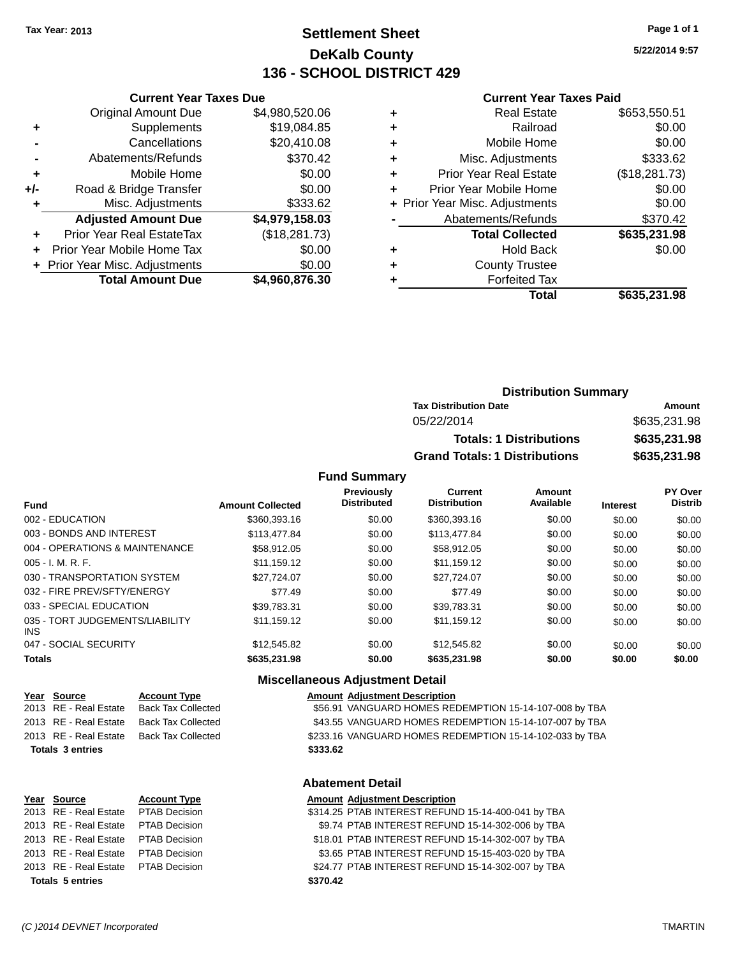# **Settlement Sheet Tax Year: 2013 Page 1 of 1 DeKalb County 136 - SCHOOL DISTRICT 429**

**5/22/2014 9:57**

#### **Current Year Taxes Paid**

|     |                                  |                |   | <b>Total</b>                   | \$635,231.98  |
|-----|----------------------------------|----------------|---|--------------------------------|---------------|
|     | <b>Total Amount Due</b>          | \$4,960,876.30 |   | <b>Forfeited Tax</b>           |               |
|     | + Prior Year Misc. Adjustments   | \$0.00         | ٠ | <b>County Trustee</b>          |               |
| $+$ | Prior Year Mobile Home Tax       | \$0.00         | ٠ | <b>Hold Back</b>               | \$0.00        |
| ٠   | <b>Prior Year Real EstateTax</b> | (\$18,281.73)  |   | <b>Total Collected</b>         | \$635,231.98  |
|     | <b>Adjusted Amount Due</b>       | \$4,979,158.03 |   | Abatements/Refunds             | \$370.42      |
|     | Misc. Adjustments                | \$333.62       |   | + Prior Year Misc. Adjustments | \$0.00        |
| +/- | Road & Bridge Transfer           | \$0.00         |   | Prior Year Mobile Home         | \$0.00        |
| ٠   | Mobile Home                      | \$0.00         | ٠ | <b>Prior Year Real Estate</b>  | (\$18,281.73) |
|     | Abatements/Refunds               | \$370.42       | ٠ | Misc. Adjustments              | \$333.62      |
|     | Cancellations                    | \$20,410.08    | ٠ | Mobile Home                    | \$0.00        |
| ٠   | Supplements                      | \$19,084.85    | ٠ | Railroad                       | \$0.00        |
|     | <b>Original Amount Due</b>       | \$4,980,520.06 | ٠ | <b>Real Estate</b>             | \$653,550.51  |
|     |                                  |                |   |                                |               |

# **Distribution Summary Tax Distribution Date Amount** 05/22/2014 \$635,231.98 **Totals: 1 Distributions \$635,231.98 Grand Totals: 1 Distributions \$635,231.98**

#### **Fund Summary**

| Fund                                    | <b>Amount Collected</b> | <b>Previously</b><br><b>Distributed</b> | <b>Current</b><br><b>Distribution</b> | Amount<br>Available | <b>Interest</b> | PY Over<br><b>Distrib</b> |
|-----------------------------------------|-------------------------|-----------------------------------------|---------------------------------------|---------------------|-----------------|---------------------------|
| 002 - EDUCATION                         | \$360,393.16            | \$0.00                                  | \$360,393.16                          | \$0.00              | \$0.00          | \$0.00                    |
| 003 - BONDS AND INTEREST                | \$113,477,84            | \$0.00                                  | \$113,477.84                          | \$0.00              | \$0.00          | \$0.00                    |
| 004 - OPERATIONS & MAINTENANCE          | \$58,912.05             | \$0.00                                  | \$58.912.05                           | \$0.00              | \$0.00          | \$0.00                    |
| $005 - I. M. R. F.$                     | \$11.159.12             | \$0.00                                  | \$11.159.12                           | \$0.00              | \$0.00          | \$0.00                    |
| 030 - TRANSPORTATION SYSTEM             | \$27.724.07             | \$0.00                                  | \$27,724.07                           | \$0.00              | \$0.00          | \$0.00                    |
| 032 - FIRE PREV/SFTY/ENERGY             | \$77.49                 | \$0.00                                  | \$77.49                               | \$0.00              | \$0.00          | \$0.00                    |
| 033 - SPECIAL EDUCATION                 | \$39.783.31             | \$0.00                                  | \$39.783.31                           | \$0.00              | \$0.00          | \$0.00                    |
| 035 - TORT JUDGEMENTS/LIABILITY<br>INS. | \$11.159.12             | \$0.00                                  | \$11.159.12                           | \$0.00              | \$0.00          | \$0.00                    |
| 047 - SOCIAL SECURITY                   | \$12,545.82             | \$0.00                                  | \$12,545.82                           | \$0.00              | \$0.00          | \$0.00                    |
| <b>Totals</b>                           | \$635,231.98            | \$0.00                                  | \$635,231.98                          | \$0.00              | \$0.00          | \$0.00                    |

## **Miscellaneous Adjustment Detail**

| Year Source           | <b>Account Type</b>       | Amount   |
|-----------------------|---------------------------|----------|
| 2013 RE - Real Estate | <b>Back Tax Collected</b> | \$56.91  |
| 2013 RE - Real Estate | <b>Back Tax Collected</b> | \$43.55  |
| 2013 RE - Real Estate | <b>Back Tax Collected</b> | \$233.16 |
| Totals 3 entries      |                           | \$333.62 |

#### **Amount Type Amount Adjustment Description** 2020 k Tax Collected **2013 Real Estate Back Tax Collected** \$56.91 VANGUARD HOMES REDEMPTION 15-14-107-008 by TBA k Tax Collected **2013 Real Estate Back Tax Collected** \$43.55 VANGUARD HOMES REDEMPTION 15-14-107-007 by TBA k Tax Collected **8233.16 VANGUARD HOMES REDEMPTION 15-14-102-033 by TBA**

**Current Year Taxes Due**

# **Abatement Detail**

| Year Source                          | <b>Account Type</b> | <b>Amount Adjustment Description</b>               |
|--------------------------------------|---------------------|----------------------------------------------------|
| 2013 RE - Real Estate PTAB Decision  |                     | \$314.25 PTAB INTEREST REFUND 15-14-400-041 by TBA |
| 2013 RE - Real Estate PTAB Decision  |                     | \$9.74 PTAB INTEREST REFUND 15-14-302-006 by TBA   |
| 2013 RE - Real Estate  PTAB Decision |                     | \$18.01 PTAB INTEREST REFUND 15-14-302-007 by TBA  |
| 2013 RE - Real Estate  PTAB Decision |                     | \$3.65 PTAB INTEREST REFUND 15-15-403-020 by TBA   |
| 2013 RE - Real Estate PTAB Decision  |                     | \$24.77 PTAB INTEREST REFUND 15-14-302-007 by TBA  |
| <b>Totals 5 entries</b>              |                     | \$370.42                                           |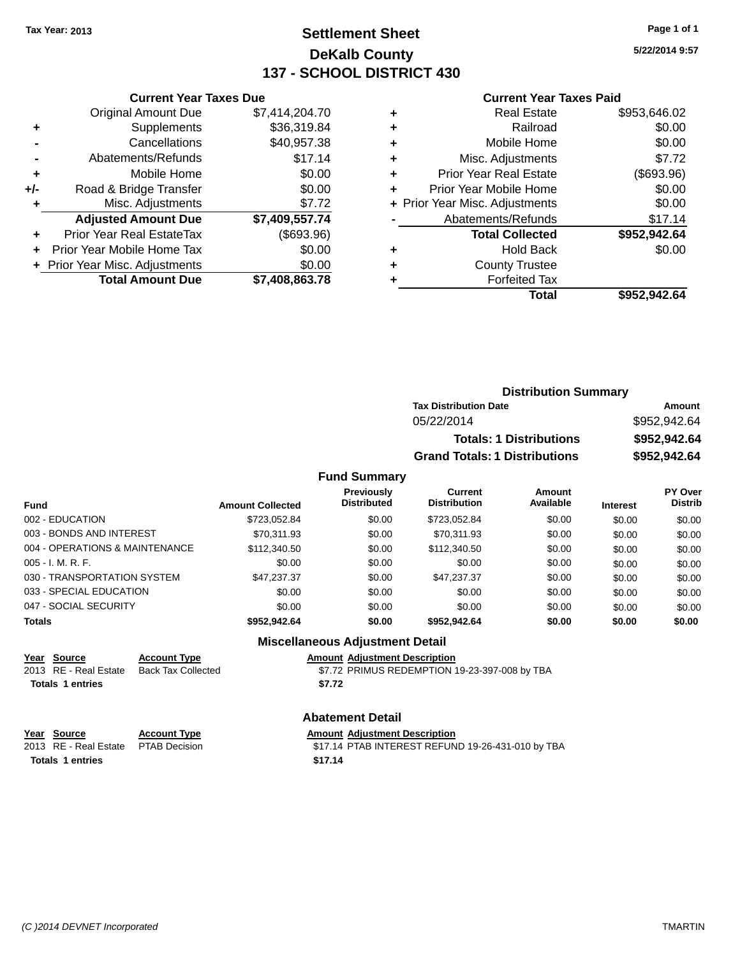# **Settlement Sheet Tax Year: 2013 Page 1 of 1 DeKalb County 137 - SCHOOL DISTRICT 430**

**5/22/2014 9:57**

#### **Current Year Taxes Paid**

|       | <b>Current Year Taxes Due</b>    |                |
|-------|----------------------------------|----------------|
|       | <b>Original Amount Due</b>       | \$7,414,204.70 |
| ٠     | Supplements                      | \$36,319.84    |
|       | Cancellations                    | \$40,957.38    |
|       | Abatements/Refunds               | \$17.14        |
| ٠     | Mobile Home                      | \$0.00         |
| $+/-$ | Road & Bridge Transfer           | \$0.00         |
| ٠     | Misc. Adjustments                | \$7.72         |
|       | <b>Adjusted Amount Due</b>       | \$7,409,557.74 |
| ÷     | <b>Prior Year Real EstateTax</b> | (\$693.96)     |
|       | Prior Year Mobile Home Tax       | \$0.00         |
|       | + Prior Year Misc. Adjustments   | \$0.00         |
|       | <b>Total Amount Due</b>          | \$7,408,863.78 |
|       |                                  |                |

|   | <b>Real Estate</b>             | \$953,646.02 |
|---|--------------------------------|--------------|
| ٠ | Railroad                       | \$0.00       |
| ٠ | Mobile Home                    | \$0.00       |
| ٠ | Misc. Adjustments              | \$7.72       |
| ٠ | Prior Year Real Estate         | (\$693.96)   |
| ٠ | Prior Year Mobile Home         | \$0.00       |
|   | + Prior Year Misc. Adjustments | \$0.00       |
|   | Abatements/Refunds             | \$17.14      |
|   | <b>Total Collected</b>         | \$952,942.64 |
| ٠ | <b>Hold Back</b>               | \$0.00       |
| ٠ | <b>County Trustee</b>          |              |
| ٠ | <b>Forfeited Tax</b>           |              |
|   | Total                          | \$952.942.64 |
|   |                                |              |

| <b>Distribution Summary</b>          |              |
|--------------------------------------|--------------|
| <b>Tax Distribution Date</b>         | Amount       |
| 05/22/2014                           | \$952,942.64 |
| <b>Totals: 1 Distributions</b>       | \$952,942.64 |
| <b>Grand Totals: 1 Distributions</b> | \$952,942,64 |

#### **Fund Summary**

| <b>Fund</b>                    | <b>Amount Collected</b> | <b>Previously</b><br><b>Distributed</b> | Current<br><b>Distribution</b> | Amount<br>Available | <b>Interest</b> | <b>PY Over</b><br><b>Distrib</b> |
|--------------------------------|-------------------------|-----------------------------------------|--------------------------------|---------------------|-----------------|----------------------------------|
| 002 - EDUCATION                | \$723,052.84            | \$0.00                                  | \$723,052.84                   | \$0.00              | \$0.00          | \$0.00                           |
| 003 - BONDS AND INTEREST       | \$70.311.93             | \$0.00                                  | \$70.311.93                    | \$0.00              | \$0.00          | \$0.00                           |
| 004 - OPERATIONS & MAINTENANCE | \$112,340.50            | \$0.00                                  | \$112,340.50                   | \$0.00              | \$0.00          | \$0.00                           |
| $005 - I. M. R. F.$            | \$0.00                  | \$0.00                                  | \$0.00                         | \$0.00              | \$0.00          | \$0.00                           |
| 030 - TRANSPORTATION SYSTEM    | \$47,237.37             | \$0.00                                  | \$47,237.37                    | \$0.00              | \$0.00          | \$0.00                           |
| 033 - SPECIAL EDUCATION        | \$0.00                  | \$0.00                                  | \$0.00                         | \$0.00              | \$0.00          | \$0.00                           |
| 047 - SOCIAL SECURITY          | \$0.00                  | \$0.00                                  | \$0.00                         | \$0.00              | \$0.00          | \$0.00                           |
| <b>Totals</b>                  | \$952.942.64            | \$0.00                                  | \$952.942.64                   | \$0.00              | \$0.00          | \$0.00                           |

#### **Miscellaneous Adjustment Detail**

# **Year Source Account Type Amount Adjustment Description**

**Totals 1 entries \$7.72**

\$7.72 PRIMUS REDEMPTION 19-23-397-008 by TBA

**Abatement Detail Year Source Account Type**<br>
2013 RE - Real Estate PTAB Decision<br>
2013 RE - Real Estate PTAB Decision \$17.14 PTAB INTEREST REFUND 19-26-431-010 by TBA **Totals 1 entries \$17.14**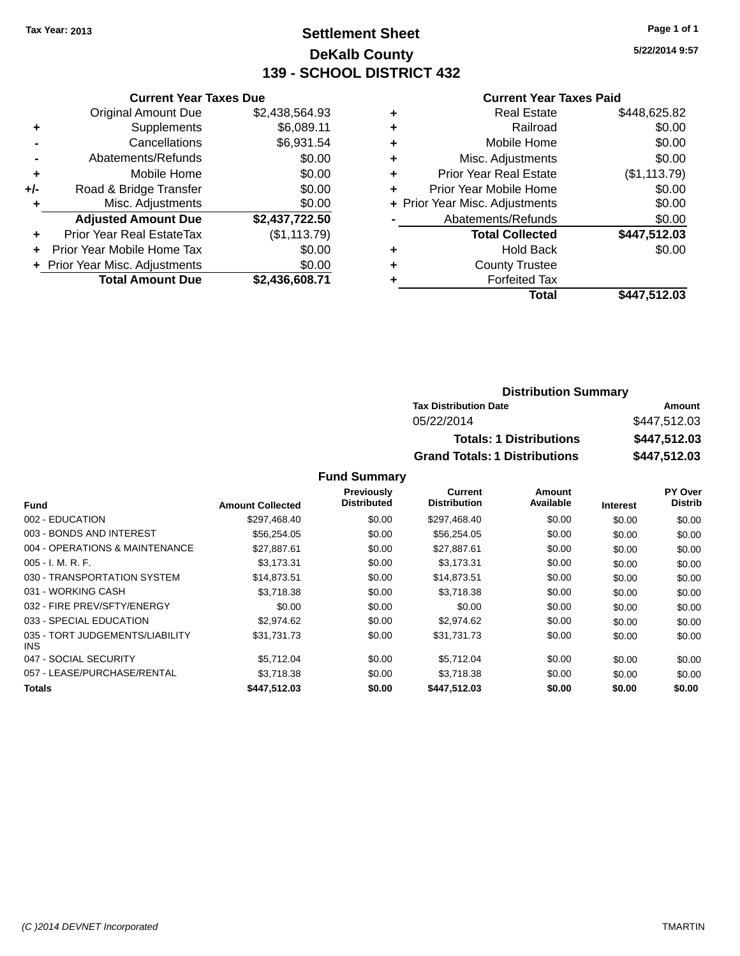# **Settlement Sheet Tax Year: 2013 Page 1 of 1 DeKalb County 139 - SCHOOL DISTRICT 432**

**5/22/2014 9:57**

#### **Current Year Taxes Paid**

|     | <b>Current Year Taxes Due</b>  |                |
|-----|--------------------------------|----------------|
|     | <b>Original Amount Due</b>     | \$2,438,564.93 |
| ٠   | Supplements                    | \$6,089.11     |
|     | Cancellations                  | \$6,931.54     |
|     | Abatements/Refunds             | \$0.00         |
| ٠   | Mobile Home                    | \$0.00         |
| +/- | Road & Bridge Transfer         | \$0.00         |
|     | Misc. Adjustments              | \$0.00         |
|     | <b>Adjusted Amount Due</b>     | \$2,437,722.50 |
| ٠   | Prior Year Real EstateTax      | (\$1, 113.79)  |
|     | Prior Year Mobile Home Tax     | \$0.00         |
|     | + Prior Year Misc. Adjustments | \$0.00         |
|     | <b>Total Amount Due</b>        | \$2,436,608.71 |
|     |                                |                |

| ٠ | <b>Real Estate</b>             | \$448,625.82 |
|---|--------------------------------|--------------|
| ٠ | Railroad                       | \$0.00       |
| ٠ | Mobile Home                    | \$0.00       |
| ٠ | Misc. Adjustments              | \$0.00       |
| ٠ | <b>Prior Year Real Estate</b>  | (\$1,113.79) |
| ٠ | Prior Year Mobile Home         | \$0.00       |
|   | + Prior Year Misc. Adjustments | \$0.00       |
|   | Abatements/Refunds             | \$0.00       |
|   | <b>Total Collected</b>         | \$447,512.03 |
| ٠ | <b>Hold Back</b>               | \$0.00       |
| ٠ | <b>County Trustee</b>          |              |
| ٠ | <b>Forfeited Tax</b>           |              |
|   | Total                          | \$447,512.03 |
|   |                                |              |

# **Distribution Summary Tax Distribution Date Amount** 05/22/2014 \$447,512.03 **Totals: 1 Distributions \$447,512.03 Grand Totals: 1 Distributions \$447,512.03**

|                                         |                         | Previously<br><b>Distributed</b> | <b>Current</b><br><b>Distribution</b> | <b>Amount</b><br>Available |                 | PY Over<br><b>Distrib</b> |
|-----------------------------------------|-------------------------|----------------------------------|---------------------------------------|----------------------------|-----------------|---------------------------|
| <b>Fund</b>                             | <b>Amount Collected</b> |                                  |                                       |                            | <b>Interest</b> |                           |
| 002 - EDUCATION                         | \$297.468.40            | \$0.00                           | \$297.468.40                          | \$0.00                     | \$0.00          | \$0.00                    |
| 003 - BONDS AND INTEREST                | \$56,254.05             | \$0.00                           | \$56,254.05                           | \$0.00                     | \$0.00          | \$0.00                    |
| 004 - OPERATIONS & MAINTENANCE          | \$27.887.61             | \$0.00                           | \$27,887.61                           | \$0.00                     | \$0.00          | \$0.00                    |
| $005 - I. M. R. F.$                     | \$3,173.31              | \$0.00                           | \$3,173.31                            | \$0.00                     | \$0.00          | \$0.00                    |
| 030 - TRANSPORTATION SYSTEM             | \$14.873.51             | \$0.00                           | \$14,873.51                           | \$0.00                     | \$0.00          | \$0.00                    |
| 031 - WORKING CASH                      | \$3.718.38              | \$0.00                           | \$3.718.38                            | \$0.00                     | \$0.00          | \$0.00                    |
| 032 - FIRE PREV/SFTY/ENERGY             | \$0.00                  | \$0.00                           | \$0.00                                | \$0.00                     | \$0.00          | \$0.00                    |
| 033 - SPECIAL EDUCATION                 | \$2,974.62              | \$0.00                           | \$2,974.62                            | \$0.00                     | \$0.00          | \$0.00                    |
| 035 - TORT JUDGEMENTS/LIABILITY<br>INS. | \$31.731.73             | \$0.00                           | \$31.731.73                           | \$0.00                     | \$0.00          | \$0.00                    |
| 047 - SOCIAL SECURITY                   | \$5.712.04              | \$0.00                           | \$5.712.04                            | \$0.00                     | \$0.00          | \$0.00                    |
| 057 - LEASE/PURCHASE/RENTAL             | \$3.718.38              | \$0.00                           | \$3.718.38                            | \$0.00                     | \$0.00          | \$0.00                    |
| Totals                                  | \$447,512.03            | \$0.00                           | \$447,512.03                          | \$0.00                     | \$0.00          | \$0.00                    |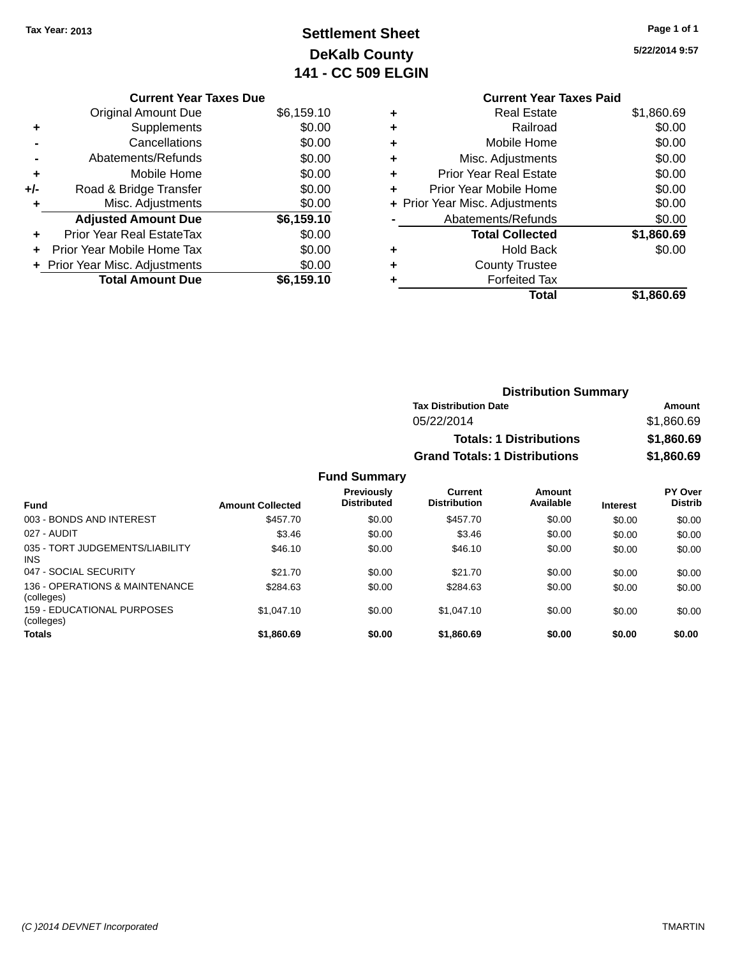# **Settlement Sheet Tax Year: 2013 Page 1 of 1 DeKalb County 141 - CC 509 ELGIN**

|     | <b>Current Year Taxes Due</b>  |            |
|-----|--------------------------------|------------|
|     | <b>Original Amount Due</b>     | \$6,159.10 |
| ٠   | Supplements                    | \$0.00     |
|     | Cancellations                  | \$0.00     |
|     | Abatements/Refunds             | \$0.00     |
| ٠   | Mobile Home                    | \$0.00     |
| +/- | Road & Bridge Transfer         | \$0.00     |
| ٠   | Misc. Adjustments              | \$0.00     |
|     | <b>Adjusted Amount Due</b>     | \$6,159.10 |
|     | Prior Year Real EstateTax      | \$0.00     |
|     | Prior Year Mobile Home Tax     | \$0.00     |
|     | + Prior Year Misc. Adjustments | \$0.00     |
|     | <b>Total Amount Due</b>        | \$6,159.10 |

|   | <b>Current Year Taxes Paid</b> |            |
|---|--------------------------------|------------|
| ٠ | <b>Real Estate</b>             | \$1,860.69 |
| ٠ | Railroad                       | \$0.00     |
| ٠ | Mobile Home                    | \$0.00     |
| ٠ | Misc. Adjustments              | \$0.00     |
| ٠ | <b>Prior Year Real Estate</b>  | \$0.00     |
| ٠ | Prior Year Mobile Home         | \$0.00     |
|   | + Prior Year Misc. Adjustments | \$0.00     |
|   | Abatements/Refunds             | \$0.00     |
|   | <b>Total Collected</b>         | \$1,860.69 |
| ٠ | <b>Hold Back</b>               | \$0.00     |
| ٠ | <b>County Trustee</b>          |            |
|   | <b>Forfeited Tax</b>           |            |
|   | Total                          | \$1,860.69 |
|   |                                |            |

| <b>Distribution Summary</b>          |            |
|--------------------------------------|------------|
| <b>Tax Distribution Date</b>         | Amount     |
| 05/22/2014                           | \$1,860.69 |
| <b>Totals: 1 Distributions</b>       | \$1,860.69 |
| <b>Grand Totals: 1 Distributions</b> | \$1,860.69 |

| <b>Fund</b>                                   | <b>Amount Collected</b> | Previously<br><b>Distributed</b> | Current<br><b>Distribution</b> | Amount<br>Available | <b>Interest</b> | PY Over<br><b>Distrib</b> |
|-----------------------------------------------|-------------------------|----------------------------------|--------------------------------|---------------------|-----------------|---------------------------|
| 003 - BONDS AND INTEREST                      | \$457.70                | \$0.00                           | \$457.70                       | \$0.00              | \$0.00          | \$0.00                    |
| 027 - AUDIT                                   | \$3.46                  | \$0.00                           | \$3.46                         | \$0.00              | \$0.00          | \$0.00                    |
| 035 - TORT JUDGEMENTS/LIABILITY<br><b>INS</b> | \$46.10                 | \$0.00                           | \$46.10                        | \$0.00              | \$0.00          | \$0.00                    |
| 047 - SOCIAL SECURITY                         | \$21.70                 | \$0.00                           | \$21.70                        | \$0.00              | \$0.00          | \$0.00                    |
| 136 - OPERATIONS & MAINTENANCE<br>(colleges)  | \$284.63                | \$0.00                           | \$284.63                       | \$0.00              | \$0.00          | \$0.00                    |
| 159 - EDUCATIONAL PURPOSES<br>(colleges)      | \$1.047.10              | \$0.00                           | \$1,047.10                     | \$0.00              | \$0.00          | \$0.00                    |
| <b>Totals</b>                                 | \$1,860.69              | \$0.00                           | \$1,860.69                     | \$0.00              | \$0.00          | \$0.00                    |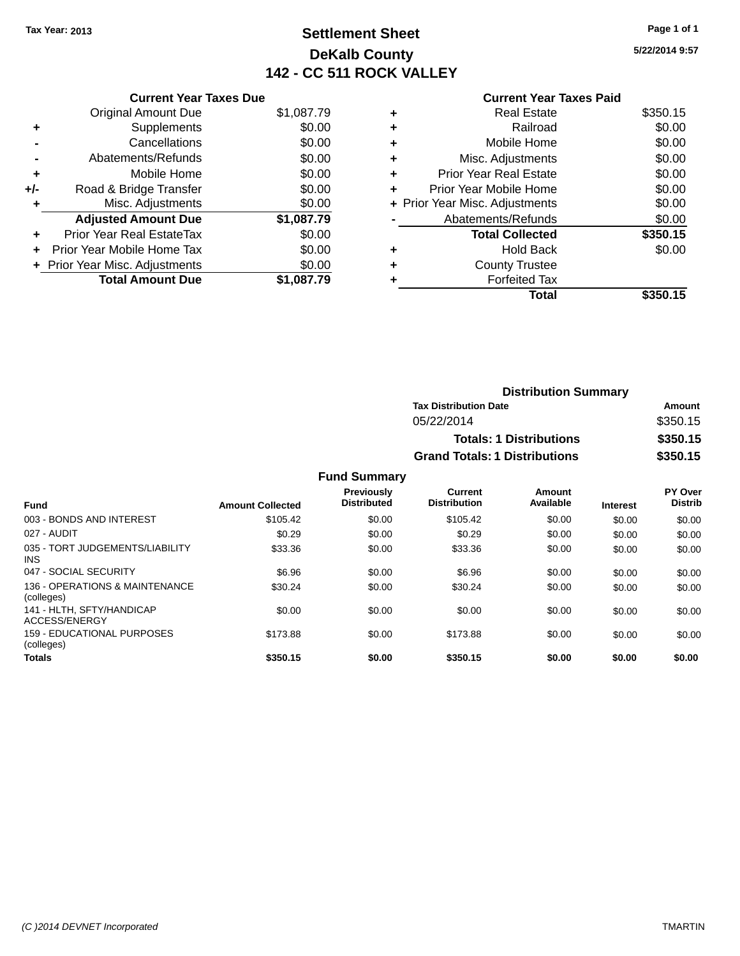# **Settlement Sheet Tax Year: 2013 Page 1 of 1 DeKalb County 142 - CC 511 ROCK VALLEY**

**5/22/2014 9:57**

|  | <b>Current Year Taxes Paid</b> |  |  |  |
|--|--------------------------------|--|--|--|
|--|--------------------------------|--|--|--|

|     | <b>Current Year Taxes Due</b>    |            |
|-----|----------------------------------|------------|
|     | <b>Original Amount Due</b>       | \$1,087.79 |
| ٠   | Supplements                      | \$0.00     |
|     | Cancellations                    | \$0.00     |
|     | Abatements/Refunds               | \$0.00     |
| ٠   | Mobile Home                      | \$0.00     |
| +/- | Road & Bridge Transfer           | \$0.00     |
| ٠   | Misc. Adjustments                | \$0.00     |
|     | <b>Adjusted Amount Due</b>       | \$1,087.79 |
| ÷   | <b>Prior Year Real EstateTax</b> | \$0.00     |
| ÷   | Prior Year Mobile Home Tax       | \$0.00     |
|     | + Prior Year Misc. Adjustments   | \$0.00     |
|     | <b>Total Amount Due</b>          | \$1.087.79 |

|   | <b>Real Estate</b>             | \$350.15 |
|---|--------------------------------|----------|
| ٠ | Railroad                       | \$0.00   |
| ٠ | Mobile Home                    | \$0.00   |
| ٠ | Misc. Adjustments              | \$0.00   |
| ٠ | <b>Prior Year Real Estate</b>  | \$0.00   |
| ٠ | Prior Year Mobile Home         | \$0.00   |
|   | + Prior Year Misc. Adjustments | \$0.00   |
|   | Abatements/Refunds             | \$0.00   |
|   | <b>Total Collected</b>         | \$350.15 |
| ٠ | <b>Hold Back</b>               | \$0.00   |
| ٠ | <b>County Trustee</b>          |          |
|   | <b>Forfeited Tax</b>           |          |
|   | Total                          | \$350.15 |
|   |                                |          |

| <b>Distribution Summary</b>          |          |  |  |
|--------------------------------------|----------|--|--|
| <b>Tax Distribution Date</b>         | Amount   |  |  |
| 05/22/2014                           | \$350.15 |  |  |
| <b>Totals: 1 Distributions</b>       | \$350.15 |  |  |
| <b>Grand Totals: 1 Distributions</b> | \$350.15 |  |  |

|                                               |                         | Previously         | <b>Current</b>      | Amount    |                 | PY Over        |
|-----------------------------------------------|-------------------------|--------------------|---------------------|-----------|-----------------|----------------|
| <b>Fund</b>                                   | <b>Amount Collected</b> | <b>Distributed</b> | <b>Distribution</b> | Available | <b>Interest</b> | <b>Distrib</b> |
| 003 - BONDS AND INTEREST                      | \$105.42                | \$0.00             | \$105.42            | \$0.00    | \$0.00          | \$0.00         |
| 027 - AUDIT                                   | \$0.29                  | \$0.00             | \$0.29              | \$0.00    | \$0.00          | \$0.00         |
| 035 - TORT JUDGEMENTS/LIABILITY<br><b>INS</b> | \$33.36                 | \$0.00             | \$33.36             | \$0.00    | \$0.00          | \$0.00         |
| 047 - SOCIAL SECURITY                         | \$6.96                  | \$0.00             | \$6.96              | \$0.00    | \$0.00          | \$0.00         |
| 136 - OPERATIONS & MAINTENANCE<br>(colleges)  | \$30.24                 | \$0.00             | \$30.24             | \$0.00    | \$0.00          | \$0.00         |
| 141 - HLTH. SFTY/HANDICAP<br>ACCESS/ENERGY    | \$0.00                  | \$0.00             | \$0.00              | \$0.00    | \$0.00          | \$0.00         |
| 159 - EDUCATIONAL PURPOSES<br>(colleges)      | \$173.88                | \$0.00             | \$173.88            | \$0.00    | \$0.00          | \$0.00         |
| <b>Totals</b>                                 | \$350.15                | \$0.00             | \$350.15            | \$0.00    | \$0.00          | \$0.00         |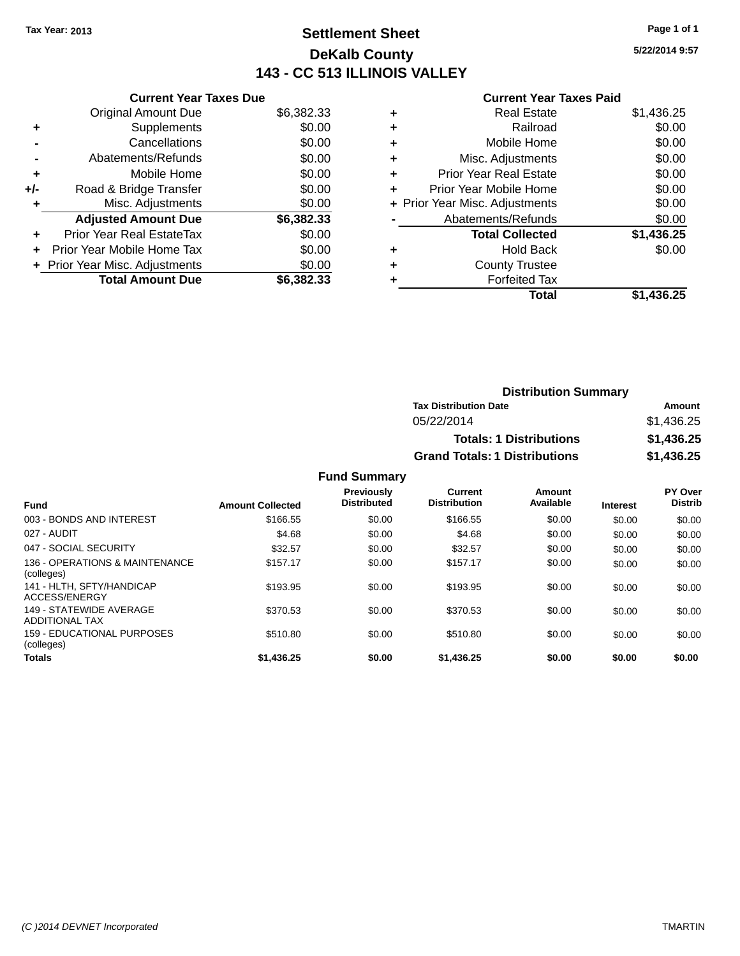# **Settlement Sheet Tax Year: 2013 Page 1 of 1 DeKalb County 143 - CC 513 ILLINOIS VALLEY**

**5/22/2014 9:57**

# **Current Year Taxes Paid**

|     | <b>Current Year Taxes Due</b>  |            |
|-----|--------------------------------|------------|
|     | <b>Original Amount Due</b>     | \$6,382.33 |
| ٠   | Supplements                    | \$0.00     |
|     | Cancellations                  | \$0.00     |
|     | Abatements/Refunds             | \$0.00     |
| ٠   | Mobile Home                    | \$0.00     |
| +/- | Road & Bridge Transfer         | \$0.00     |
| ٠   | Misc. Adjustments              | \$0.00     |
|     | <b>Adjusted Amount Due</b>     | \$6,382.33 |
| ÷   | Prior Year Real EstateTax      | \$0.00     |
| ÷   | Prior Year Mobile Home Tax     | \$0.00     |
|     | + Prior Year Misc. Adjustments | \$0.00     |
|     | <b>Total Amount Due</b>        | \$6,382,33 |

|   | <b>Real Estate</b>             | \$1,436.25 |
|---|--------------------------------|------------|
| ٠ | Railroad                       | \$0.00     |
| ٠ | Mobile Home                    | \$0.00     |
| ٠ | Misc. Adjustments              | \$0.00     |
| ٠ | <b>Prior Year Real Estate</b>  | \$0.00     |
|   | Prior Year Mobile Home         | \$0.00     |
|   | + Prior Year Misc. Adjustments | \$0.00     |
|   | Abatements/Refunds             | \$0.00     |
|   | <b>Total Collected</b>         | \$1,436.25 |
| ٠ | <b>Hold Back</b>               | \$0.00     |
| ٠ | <b>County Trustee</b>          |            |
| ٠ | <b>Forfeited Tax</b>           |            |
|   | <b>Total</b>                   | \$1.436.25 |
|   |                                |            |

| <b>Distribution Summary</b>          |            |
|--------------------------------------|------------|
| <b>Tax Distribution Date</b>         | Amount     |
| 05/22/2014                           | \$1,436.25 |
| <b>Totals: 1 Distributions</b>       | \$1,436.25 |
| <b>Grand Totals: 1 Distributions</b> | \$1,436.25 |

| <b>Fund</b>                                      | <b>Amount Collected</b> | <b>Previously</b><br><b>Distributed</b> | Current<br><b>Distribution</b> | Amount<br>Available | <b>Interest</b> | PY Over<br><b>Distrib</b> |
|--------------------------------------------------|-------------------------|-----------------------------------------|--------------------------------|---------------------|-----------------|---------------------------|
| 003 - BONDS AND INTEREST                         | \$166.55                | \$0.00                                  | \$166.55                       | \$0.00              | \$0.00          | \$0.00                    |
| 027 - AUDIT                                      | \$4.68                  | \$0.00                                  | \$4.68                         | \$0.00              | \$0.00          | \$0.00                    |
| 047 - SOCIAL SECURITY                            | \$32.57                 | \$0.00                                  | \$32.57                        | \$0.00              | \$0.00          | \$0.00                    |
| 136 - OPERATIONS & MAINTENANCE<br>(colleges)     | \$157.17                | \$0.00                                  | \$157.17                       | \$0.00              | \$0.00          | \$0.00                    |
| 141 - HLTH, SFTY/HANDICAP<br>ACCESS/ENERGY       | \$193.95                | \$0.00                                  | \$193.95                       | \$0.00              | \$0.00          | \$0.00                    |
| 149 - STATEWIDE AVERAGE<br><b>ADDITIONAL TAX</b> | \$370.53                | \$0.00                                  | \$370.53                       | \$0.00              | \$0.00          | \$0.00                    |
| 159 - EDUCATIONAL PURPOSES<br>(colleges)         | \$510.80                | \$0.00                                  | \$510.80                       | \$0.00              | \$0.00          | \$0.00                    |
| <b>Totals</b>                                    | \$1,436.25              | \$0.00                                  | \$1,436.25                     | \$0.00              | \$0.00          | \$0.00                    |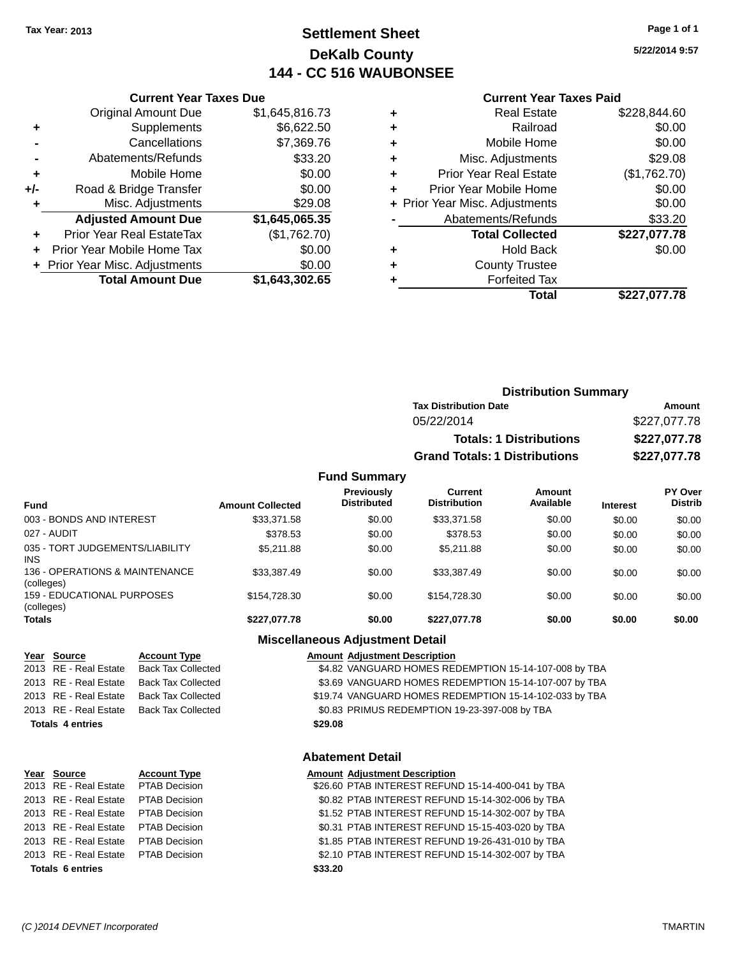# **Settlement Sheet Tax Year: 2013 Page 1 of 1 DeKalb County 144 - CC 516 WAUBONSEE**

**5/22/2014 9:57**

#### **Current Year Taxes Paid**

|     | <b>Original Amount Due</b>     | \$1,645,816.73 |
|-----|--------------------------------|----------------|
| ٠   | Supplements                    | \$6,622.50     |
|     | Cancellations                  | \$7,369.76     |
|     | Abatements/Refunds             | \$33.20        |
| ٠   | Mobile Home                    | \$0.00         |
| +/- | Road & Bridge Transfer         | \$0.00         |
|     | Misc. Adjustments              | \$29.08        |
|     | <b>Adjusted Amount Due</b>     | \$1,645,065.35 |
| ÷   | Prior Year Real EstateTax      | (\$1,762.70)   |
| ÷   | Prior Year Mobile Home Tax     | \$0.00         |
|     | + Prior Year Misc. Adjustments | \$0.00         |
|     | <b>Total Amount Due</b>        | \$1,643,302.65 |
|     |                                |                |

**Current Year Taxes Due**

|   | <b>Real Estate</b>             | \$228,844.60 |
|---|--------------------------------|--------------|
| ٠ | Railroad                       | \$0.00       |
| ٠ | Mobile Home                    | \$0.00       |
| ٠ | Misc. Adjustments              | \$29.08      |
| ٠ | <b>Prior Year Real Estate</b>  | (\$1,762.70) |
| ÷ | Prior Year Mobile Home         | \$0.00       |
|   | + Prior Year Misc. Adjustments | \$0.00       |
|   | Abatements/Refunds             | \$33.20      |
|   | <b>Total Collected</b>         | \$227,077.78 |
| ٠ | <b>Hold Back</b>               | \$0.00       |
| ٠ | <b>County Trustee</b>          |              |
| ٠ | <b>Forfeited Tax</b>           |              |
|   | Total                          | \$227,077.78 |
|   |                                |              |

| <b>Distribution Summary</b>          |              |
|--------------------------------------|--------------|
| <b>Tax Distribution Date</b>         | Amount       |
| 05/22/2014                           | \$227,077.78 |
| <b>Totals: 1 Distributions</b>       | \$227,077.78 |
| <b>Grand Totals: 1 Distributions</b> | \$227,077.78 |

#### **Fund Summary**

| <b>Fund</b>                                   | <b>Amount Collected</b> | <b>Previously</b><br><b>Distributed</b> | Current<br><b>Distribution</b> | Amount<br>Available | <b>Interest</b> | PY Over<br><b>Distrib</b> |
|-----------------------------------------------|-------------------------|-----------------------------------------|--------------------------------|---------------------|-----------------|---------------------------|
| 003 - BONDS AND INTEREST                      | \$33,371.58             | \$0.00                                  | \$33,371.58                    | \$0.00              | \$0.00          | \$0.00                    |
| 027 - AUDIT                                   | \$378.53                | \$0.00                                  | \$378.53                       | \$0.00              | \$0.00          | \$0.00                    |
| 035 - TORT JUDGEMENTS/LIABILITY<br><b>INS</b> | \$5.211.88              | \$0.00                                  | \$5,211.88                     | \$0.00              | \$0.00          | \$0.00                    |
| 136 - OPERATIONS & MAINTENANCE<br>(colleges)  | \$33,387.49             | \$0.00                                  | \$33,387.49                    | \$0.00              | \$0.00          | \$0.00                    |
| 159 - EDUCATIONAL PURPOSES<br>(colleges)      | \$154.728.30            | \$0.00                                  | \$154.728.30                   | \$0.00              | \$0.00          | \$0.00                    |
| <b>Totals</b>                                 | \$227.077.78            | \$0.00                                  | \$227.077.78                   | \$0.00              | \$0.00          | \$0.00                    |

2013 RE - Real Estate Back Tax Collected \$4.82 VANGUARD HOMES REDEMPTION 15-14-107-008 by TBA 2013 RE - Real Estate Back Tax Collected \$3.69 VANGUARD HOMES REDEMPTION 15-14-107-007 by TBA 2013 RE - Real Estate Back Tax Collected \$19.74 VANGUARD HOMES REDEMPTION 15-14-102-033 by TBA 2013 RE - Real Estate Back Tax Collected \$0.83 PRIMUS REDEMPTION 19-23-397-008 by TBA **Totals 4 entries \$29.08**

# **Year Source Account Type Amount Adjustment Description**

**Totals 6 entries \$33.20**

# **Abatement Detail**

**Miscellaneous Adjustment Detail**

#### **Year Source Account Type Amount Adjustment Description** 2013 RE - Real Estate PTAB Decision \$26.60 PTAB INTEREST REFUND 15-14-400-041 by TBA 2013 RE - Real Estate PTAB Decision \$0.82 PTAB INTEREST REFUND 15-14-302-006 by TBA 2013 RE - Real Estate PTAB Decision \$1.52 PTAB INTEREST REFUND 15-14-302-007 by TBA 2013 RE - Real Estate PTAB Decision \$0.31 PTAB INTEREST REFUND 15-15-403-020 by TBA 2013 RE - Real Estate PTAB Decision \$1.85 PTAB INTEREST REFUND 19-26-431-010 by TBA 2013 RE - Real Estate PTAB Decision \$2.10 PTAB INTEREST REFUND 15-14-302-007 by TBA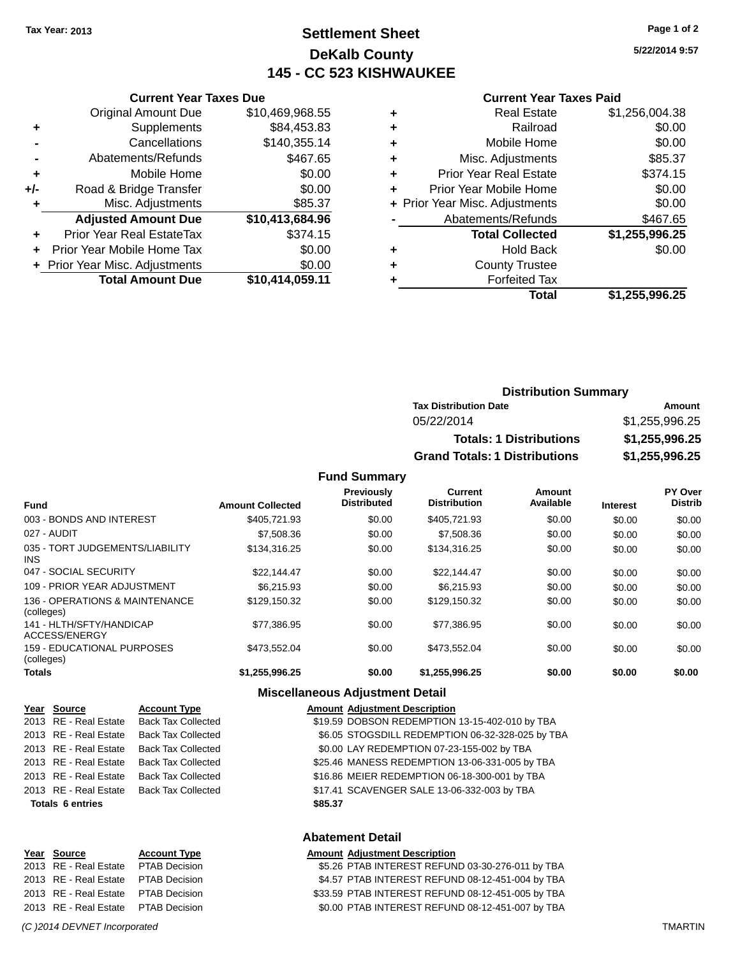# **Settlement Sheet Tax Year: 2013 Page 1 of 2 DeKalb County 145 - CC 523 KISHWAUKEE**

**5/22/2014 9:57**

| <b>Current Year Taxes Paid</b> |  |  |  |
|--------------------------------|--|--|--|
|--------------------------------|--|--|--|

|     | <b>Original Amount Due</b>     | \$10,469,968.55 |
|-----|--------------------------------|-----------------|
| ٠   | Supplements                    | \$84,453.83     |
|     | Cancellations                  | \$140,355.14    |
|     | Abatements/Refunds             | \$467.65        |
| ÷   | Mobile Home                    | \$0.00          |
| +/- | Road & Bridge Transfer         | \$0.00          |
| ÷   | Misc. Adjustments              | \$85.37         |
|     | <b>Adjusted Amount Due</b>     | \$10,413,684.96 |
| ÷   | Prior Year Real EstateTax      | \$374.15        |
| ÷   | Prior Year Mobile Home Tax     | \$0.00          |
|     | + Prior Year Misc. Adjustments | \$0.00          |
|     | <b>Total Amount Due</b>        | \$10,414,059.11 |
|     |                                |                 |

**Current Year Taxes Due**

|   | <b>Real Estate</b>             | \$1,256,004.38 |
|---|--------------------------------|----------------|
| ٠ | Railroad                       | \$0.00         |
| ٠ | Mobile Home                    | \$0.00         |
| ٠ | Misc. Adjustments              | \$85.37        |
| ٠ | <b>Prior Year Real Estate</b>  | \$374.15       |
|   | Prior Year Mobile Home         | \$0.00         |
|   | + Prior Year Misc. Adjustments | \$0.00         |
|   | Abatements/Refunds             | \$467.65       |
|   | <b>Total Collected</b>         | \$1,255,996.25 |
| ٠ | <b>Hold Back</b>               | \$0.00         |
|   | <b>County Trustee</b>          |                |
|   | <b>Forfeited Tax</b>           |                |
|   | Total                          | \$1,255,996.25 |
|   |                                |                |

| <b>Distribution Summary</b>          |                |  |  |
|--------------------------------------|----------------|--|--|
| <b>Tax Distribution Date</b>         | Amount         |  |  |
| 05/22/2014                           | \$1,255,996.25 |  |  |
| <b>Totals: 1 Distributions</b>       | \$1,255,996.25 |  |  |
| <b>Grand Totals: 1 Distributions</b> | \$1,255,996.25 |  |  |

**Fund Summary**

| <b>Fund</b>                                  | <b>Amount Collected</b> | <b>Previously</b><br><b>Distributed</b> | Current<br><b>Distribution</b> | Amount<br>Available | <b>Interest</b> | PY Over<br><b>Distrib</b> |
|----------------------------------------------|-------------------------|-----------------------------------------|--------------------------------|---------------------|-----------------|---------------------------|
| 003 - BONDS AND INTEREST                     | \$405,721.93            | \$0.00                                  | \$405,721.93                   | \$0.00              | \$0.00          | \$0.00                    |
| 027 - AUDIT                                  | \$7,508.36              | \$0.00                                  | \$7,508.36                     | \$0.00              | \$0.00          | \$0.00                    |
| 035 - TORT JUDGEMENTS/LIABILITY<br>INS.      | \$134,316.25            | \$0.00                                  | \$134,316.25                   | \$0.00              | \$0.00          | \$0.00                    |
| 047 - SOCIAL SECURITY                        | \$22,144,47             | \$0.00                                  | \$22,144.47                    | \$0.00              | \$0.00          | \$0.00                    |
| 109 - PRIOR YEAR ADJUSTMENT                  | \$6.215.93              | \$0.00                                  | \$6.215.93                     | \$0.00              | \$0.00          | \$0.00                    |
| 136 - OPERATIONS & MAINTENANCE<br>(colleges) | \$129,150.32            | \$0.00                                  | \$129,150.32                   | \$0.00              | \$0.00          | \$0.00                    |
| 141 - HLTH/SFTY/HANDICAP<br>ACCESS/ENERGY    | \$77.386.95             | \$0.00                                  | \$77.386.95                    | \$0.00              | \$0.00          | \$0.00                    |
| 159 - EDUCATIONAL PURPOSES<br>(colleges)     | \$473.552.04            | \$0.00                                  | \$473.552.04                   | \$0.00              | \$0.00          | \$0.00                    |
| <b>Totals</b>                                | \$1,255,996.25          | \$0.00                                  | \$1,255,996.25                 | \$0.00              | \$0.00          | \$0.00                    |

# **Miscellaneous Adjustment Detail**

| Year Source             | <b>Account Type</b>       |         | <b>Amount Adjustment Description</b>             |
|-------------------------|---------------------------|---------|--------------------------------------------------|
| 2013 RE - Real Estate   | <b>Back Tax Collected</b> |         | \$19.59 DOBSON REDEMPTION 13-15-402-010 by TBA   |
| 2013 RE - Real Estate   | <b>Back Tax Collected</b> |         | \$6.05 STOGSDILL REDEMPTION 06-32-328-025 by TBA |
| 2013 RE - Real Estate   | <b>Back Tax Collected</b> |         | \$0.00 LAY REDEMPTION 07-23-155-002 by TBA       |
| 2013 RE - Real Estate   | <b>Back Tax Collected</b> |         | \$25.46 MANESS REDEMPTION 13-06-331-005 by TBA   |
| 2013 RE - Real Estate   | <b>Back Tax Collected</b> |         | \$16.86 MEIER REDEMPTION 06-18-300-001 by TBA    |
| 2013 RE - Real Estate   | <b>Back Tax Collected</b> |         | \$17.41 SCAVENGER SALE 13-06-332-003 by TBA      |
| <b>Totals 6 entries</b> |                           | \$85.37 |                                                  |
|                         |                           |         |                                                  |

| <b>Abatement Detail</b> |  |
|-------------------------|--|
|-------------------------|--|

| Year Source                         | <b>Account Type</b> |
|-------------------------------------|---------------------|
| 2013 RE - Real Estate PTAB Decision |                     |
| 2013 RE - Real Estate PTAB Decision |                     |
| 2013 RE - Real Estate PTAB Decision |                     |
| 2013 RE - Real Estate PTAB Decision |                     |

**Amount Adjustment Description** \$5.26 PTAB INTEREST REFUND 03-30-276-011 by TBA \$4.57 PTAB INTEREST REFUND 08-12-451-004 by TBA \$33.59 PTAB INTEREST REFUND 08-12-451-005 by TBA \$0.00 PTAB INTEREST REFUND 08-12-451-007 by TBA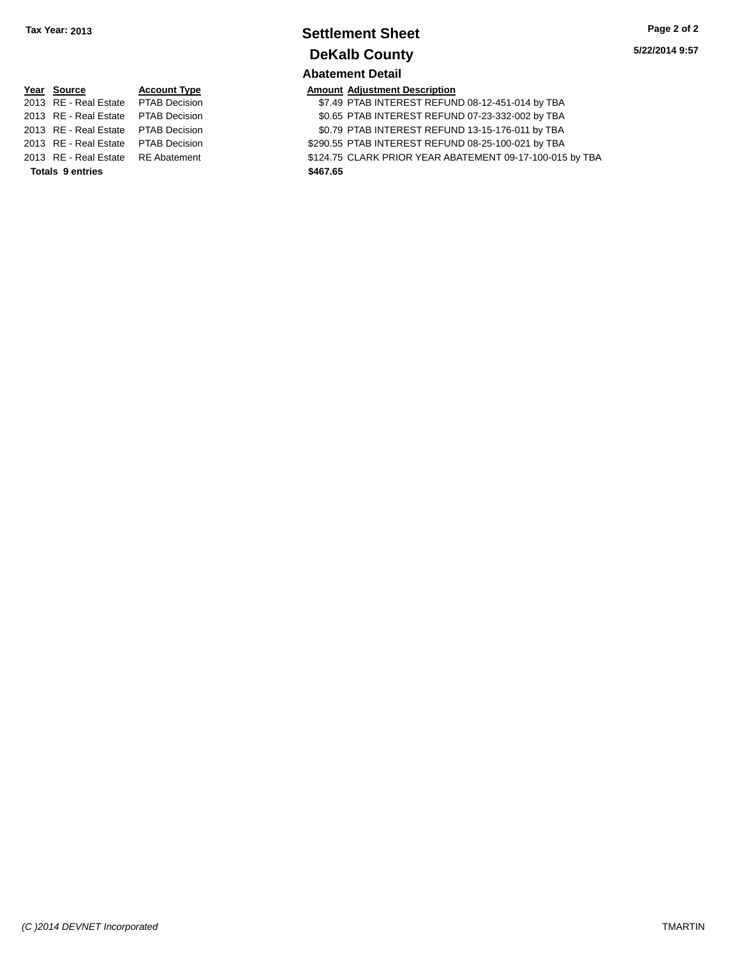# **Settlement Sheet Tax Year: 2013 Page 2 of 2 DeKalb County Abatement Detail**

**5/22/2014 9:57**

# **Year Source Account Type** 2013 RE - Real Estate PTAB Decision 2013 RE - Real Estate PTAB Decision 2013 RE - Real Estate PTAB Decision 2013 RE - Real Estate PTAB Decision \$200.55 PTAB INTEREST REFUND 0.55 **Totals 9 entries \$467.65**

| <b>Totals 9 entries</b>             | \$467.65                                                 |
|-------------------------------------|----------------------------------------------------------|
| 2013 RE - Real Estate RE Abatement  | \$124.75 CLARK PRIOR YEAR ABATEMENT 09-17-100-015 by TBA |
| 2013 RE - Real Estate PTAB Decision | \$290.55 PTAB INTEREST REFUND 08-25-100-021 by TBA       |
| 2013 RE - Real Estate PTAB Decision | \$0.79 PTAB INTEREST REFUND 13-15-176-011 by TBA         |
| 2013 RE - Real Estate PTAB Decision | \$0.65 PTAB INTEREST REFUND 07-23-332-002 by TBA         |
| 2013 RE - Real Estate PTAB Decision | \$7.49 PTAB INTEREST REFUND 08-12-451-014 by TBA         |
|                                     |                                                          |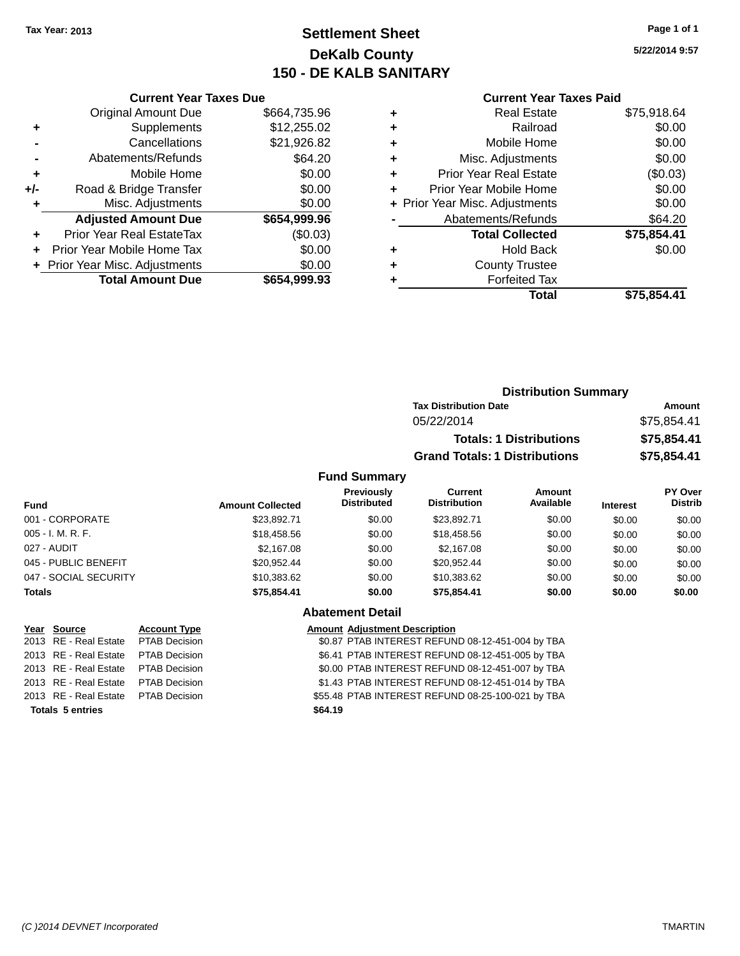# **Settlement Sheet Tax Year: 2013 Page 1 of 1 DeKalb County 150 - DE KALB SANITARY**

**5/22/2014 9:57**

|     | <b>Current Year Taxes Due</b>    |              |  |  |  |
|-----|----------------------------------|--------------|--|--|--|
|     | Original Amount Due              | \$664,735.96 |  |  |  |
| ٠   | Supplements                      | \$12,255.02  |  |  |  |
|     | Cancellations                    | \$21,926.82  |  |  |  |
|     | Abatements/Refunds               | \$64.20      |  |  |  |
| ٠   | Mobile Home                      | \$0.00       |  |  |  |
| +/- | Road & Bridge Transfer           | \$0.00       |  |  |  |
|     | Misc. Adjustments                | \$0.00       |  |  |  |
|     | <b>Adjusted Amount Due</b>       | \$654,999.96 |  |  |  |
|     | <b>Prior Year Real EstateTax</b> | (\$0.03)     |  |  |  |
|     | Prior Year Mobile Home Tax       | \$0.00       |  |  |  |
|     | + Prior Year Misc. Adjustments   | \$0.00       |  |  |  |
|     | <b>Total Amount Due</b>          | \$654,999.93 |  |  |  |
|     |                                  |              |  |  |  |

#### **Current Year Taxes Paid**

|   | <b>Real Estate</b>             | \$75,918.64 |
|---|--------------------------------|-------------|
| ٠ | Railroad                       | \$0.00      |
| ٠ | Mobile Home                    | \$0.00      |
| ٠ | Misc. Adjustments              | \$0.00      |
| ٠ | Prior Year Real Estate         | (\$0.03)    |
|   | Prior Year Mobile Home         | \$0.00      |
|   | + Prior Year Misc. Adjustments | \$0.00      |
|   | Abatements/Refunds             | \$64.20     |
|   | <b>Total Collected</b>         | \$75,854.41 |
| ٠ | Hold Back                      | \$0.00      |
| ٠ | <b>County Trustee</b>          |             |
|   | <b>Forfeited Tax</b>           |             |
|   | Total                          | \$75,854.41 |
|   |                                |             |

|                     | <b>Distribution Summary</b>          |             |
|---------------------|--------------------------------------|-------------|
|                     | <b>Tax Distribution Date</b>         | Amount      |
|                     | 05/22/2014                           | \$75,854.41 |
|                     | <b>Totals: 1 Distributions</b>       | \$75,854.41 |
|                     | <b>Grand Totals: 1 Distributions</b> | \$75,854.41 |
| <b>Fund Summary</b> |                                      |             |

#### **Fund Interest Amount Collected Distributed PY Over Distrib Amount Available Current Distribution Previously** 001 - CORPORATE \$23,892.71 \$0.00 \$23,892.71 \$0.00 \$0.00 \$0.00 005 - I. M. R. F. \$18,458.56 \$0.00 \$18,458.56 \$0.00 \$0.00 \$0.00 027 - AUDIT \$2,167.08 \$0.00 \$2,167.08 \$0.00 \$0.00 \$0.00 045 - PUBLIC BENEFIT 60.00 \$20,952.44 \$0.00 \$20,952.44 \$0.00 \$0.00 \$0.00 \$0.00 047 - SOCIAL SECURITY 610,383.62 \$10,383.62 \$0.00 \$10,383.62 \$0.00 \$0.00 \$0.00 **Totals \$75,854.41 \$0.00 \$75,854.41 \$0.00 \$0.00 \$0.00**

# **Abatement Detail**

| Year Source                          | <b>Account Type</b> |         | <b>Amount Adjustment Description</b>              |
|--------------------------------------|---------------------|---------|---------------------------------------------------|
| 2013 RE - Real Estate  PTAB Decision |                     |         | \$0.87 PTAB INTEREST REFUND 08-12-451-004 by TBA  |
| 2013 RE - Real Estate PTAB Decision  |                     |         | \$6.41 PTAB INTEREST REFUND 08-12-451-005 by TBA  |
| 2013 RE - Real Estate PTAB Decision  |                     |         | \$0.00 PTAB INTEREST REFUND 08-12-451-007 by TBA  |
| 2013 RE - Real Estate PTAB Decision  |                     |         | \$1.43 PTAB INTEREST REFUND 08-12-451-014 by TBA  |
| 2013 RE - Real Estate  PTAB Decision |                     |         | \$55.48 PTAB INTEREST REFUND 08-25-100-021 by TBA |
| <b>Totals 5 entries</b>              |                     | \$64.19 |                                                   |
|                                      |                     |         |                                                   |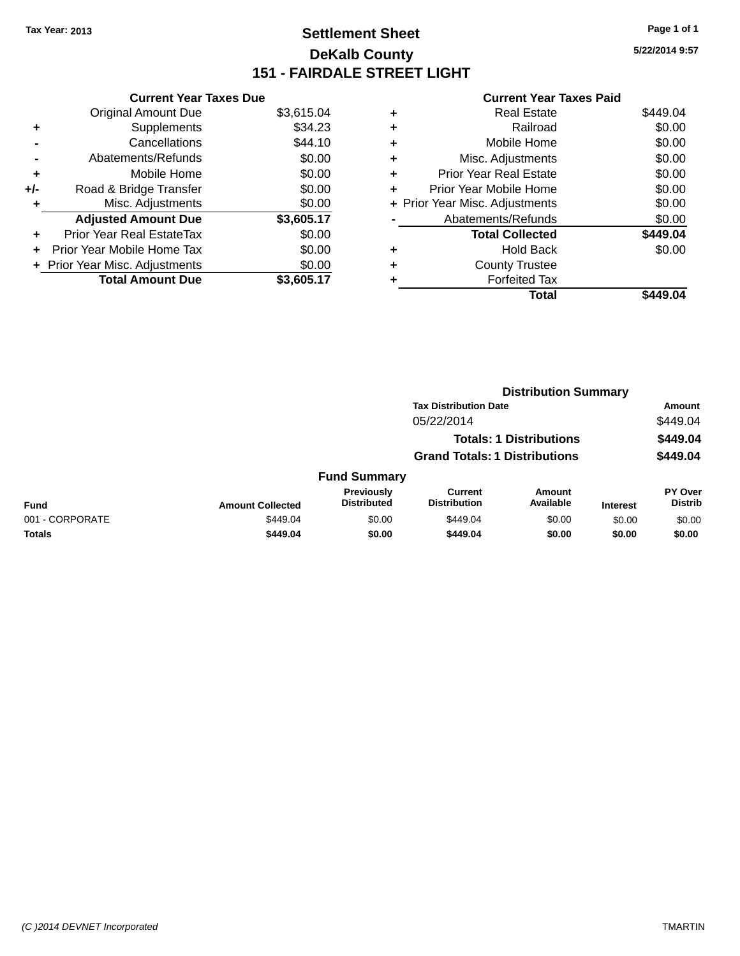# **Settlement Sheet Tax Year: 2013 Page 1 of 1 DeKalb County 151 - FAIRDALE STREET LIGHT**

**5/22/2014 9:57**

|     | <b>Current Year Taxes Due</b>  |            |
|-----|--------------------------------|------------|
|     | <b>Original Amount Due</b>     | \$3,615.04 |
| ٠   | Supplements                    | \$34.23    |
|     | Cancellations                  | \$44.10    |
|     | Abatements/Refunds             | \$0.00     |
| ٠   | Mobile Home                    | \$0.00     |
| +/- | Road & Bridge Transfer         | \$0.00     |
| ٠   | Misc. Adjustments              | \$0.00     |
|     | <b>Adjusted Amount Due</b>     | \$3,605.17 |
| ÷   | Prior Year Real EstateTax      | \$0.00     |
| ÷   | Prior Year Mobile Home Tax     | \$0.00     |
|     | + Prior Year Misc. Adjustments | \$0.00     |
|     | <b>Total Amount Due</b>        | \$3,605.17 |

|   | <b>Real Estate</b>             | \$449.04 |
|---|--------------------------------|----------|
| ٠ | Railroad                       | \$0.00   |
| ٠ | Mobile Home                    | \$0.00   |
| ٠ | Misc. Adjustments              | \$0.00   |
| ٠ | <b>Prior Year Real Estate</b>  | \$0.00   |
| ٠ | Prior Year Mobile Home         | \$0.00   |
|   | + Prior Year Misc. Adjustments | \$0.00   |
|   | Abatements/Refunds             | \$0.00   |
|   | <b>Total Collected</b>         | \$449.04 |
| ٠ | <b>Hold Back</b>               | \$0.00   |
| ٠ | <b>County Trustee</b>          |          |
|   | <b>Forfeited Tax</b>           |          |
|   | Total                          | \$449.04 |
|   |                                |          |

|                 |                         |                                  |                                       | <b>Distribution Summary</b>    |                 |                           |
|-----------------|-------------------------|----------------------------------|---------------------------------------|--------------------------------|-----------------|---------------------------|
|                 |                         |                                  | <b>Tax Distribution Date</b>          |                                |                 | <b>Amount</b>             |
|                 |                         |                                  | 05/22/2014                            |                                |                 | \$449.04                  |
|                 |                         |                                  |                                       | <b>Totals: 1 Distributions</b> |                 | \$449.04                  |
|                 |                         |                                  | <b>Grand Totals: 1 Distributions</b>  |                                |                 | \$449.04                  |
|                 |                         | <b>Fund Summary</b>              |                                       |                                |                 |                           |
| <b>Fund</b>     | <b>Amount Collected</b> | Previously<br><b>Distributed</b> | <b>Current</b><br><b>Distribution</b> | Amount<br>Available            | <b>Interest</b> | PY Over<br><b>Distrib</b> |
| 001 - CORPORATE | \$449.04                | \$0.00                           | \$449.04                              | \$0.00                         | \$0.00          | \$0.00                    |
| <b>Totals</b>   | \$449.04                | \$0.00                           | \$449.04                              | \$0.00                         | \$0.00          | \$0.00                    |
|                 |                         |                                  |                                       |                                |                 |                           |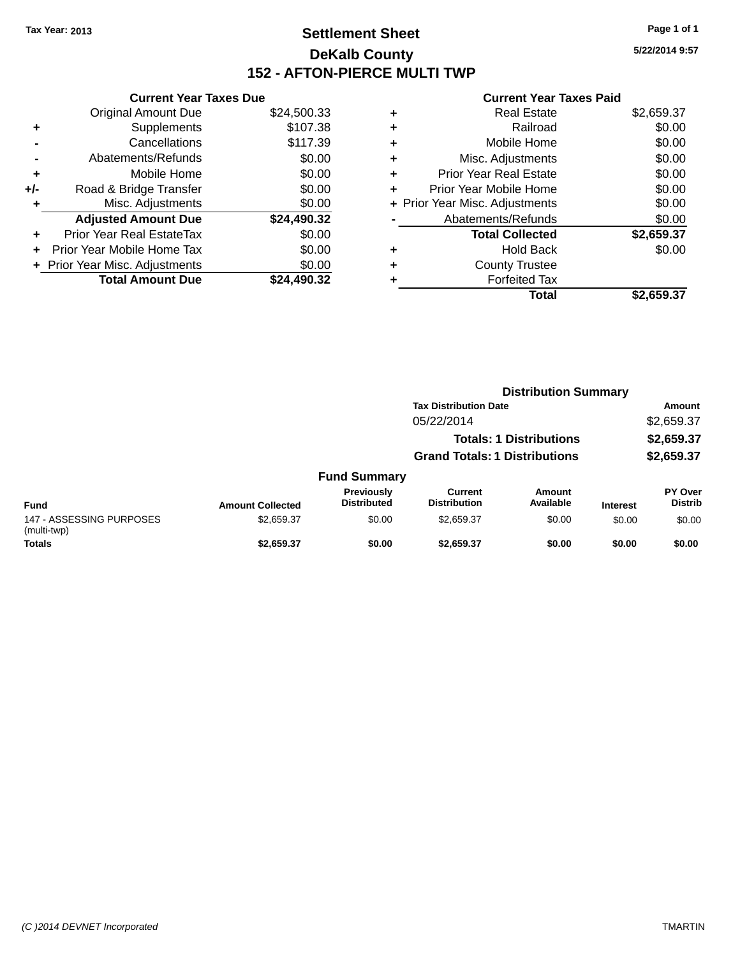# **Settlement Sheet Tax Year: 2013 Page 1 of 1 DeKalb County 152 - AFTON-PIERCE MULTI TWP**

**5/22/2014 9:57**

|     | <b>Current Year Taxes Due</b> |             |
|-----|-------------------------------|-------------|
|     | <b>Original Amount Due</b>    | \$24,500.33 |
| ٠   | Supplements                   | \$107.38    |
|     | Cancellations                 | \$117.39    |
|     | Abatements/Refunds            | \$0.00      |
| ٠   | Mobile Home                   | \$0.00      |
| +/- | Road & Bridge Transfer        | \$0.00      |
| ٠   | Misc. Adjustments             | \$0.00      |
|     | <b>Adjusted Amount Due</b>    | \$24,490.32 |
| ÷   | Prior Year Real EstateTax     | \$0.00      |
|     | Prior Year Mobile Home Tax    | \$0.00      |
|     | Prior Year Misc. Adjustments  | \$0.00      |
|     | <b>Total Amount Due</b>       | \$24.490.32 |

| ٠ | <b>Real Estate</b>             | \$2,659.37 |
|---|--------------------------------|------------|
| ٠ | Railroad                       | \$0.00     |
| ٠ | Mobile Home                    | \$0.00     |
| ٠ | Misc. Adjustments              | \$0.00     |
| ٠ | <b>Prior Year Real Estate</b>  | \$0.00     |
| ٠ | Prior Year Mobile Home         | \$0.00     |
|   | + Prior Year Misc. Adjustments | \$0.00     |
|   | Abatements/Refunds             | \$0.00     |
|   | <b>Total Collected</b>         | \$2,659.37 |
| ٠ | <b>Hold Back</b>               | \$0.00     |
| ٠ | <b>County Trustee</b>          |            |
|   | <b>Forfeited Tax</b>           |            |
|   | Total                          | \$2,659.37 |
|   |                                |            |

|                                         |                         |                                         | <b>Distribution Summary</b>          |                                |                 |                                  |
|-----------------------------------------|-------------------------|-----------------------------------------|--------------------------------------|--------------------------------|-----------------|----------------------------------|
|                                         |                         |                                         | <b>Tax Distribution Date</b>         |                                |                 | <b>Amount</b>                    |
|                                         |                         |                                         | 05/22/2014                           |                                |                 | \$2,659.37                       |
|                                         |                         |                                         |                                      | <b>Totals: 1 Distributions</b> |                 | \$2,659.37                       |
|                                         |                         |                                         | <b>Grand Totals: 1 Distributions</b> |                                |                 | \$2,659.37                       |
|                                         |                         | <b>Fund Summary</b>                     |                                      |                                |                 |                                  |
| <b>Fund</b>                             | <b>Amount Collected</b> | <b>Previously</b><br><b>Distributed</b> | Current<br><b>Distribution</b>       | Amount<br>Available            | <b>Interest</b> | <b>PY Over</b><br><b>Distrib</b> |
| 147 - ASSESSING PURPOSES<br>(multi-twp) | \$2,659.37              | \$0.00                                  | \$2.659.37                           | \$0.00                         | \$0.00          | \$0.00                           |
| <b>Totals</b>                           | \$2,659.37              | \$0.00                                  | \$2.659.37                           | \$0.00                         | \$0.00          | \$0.00                           |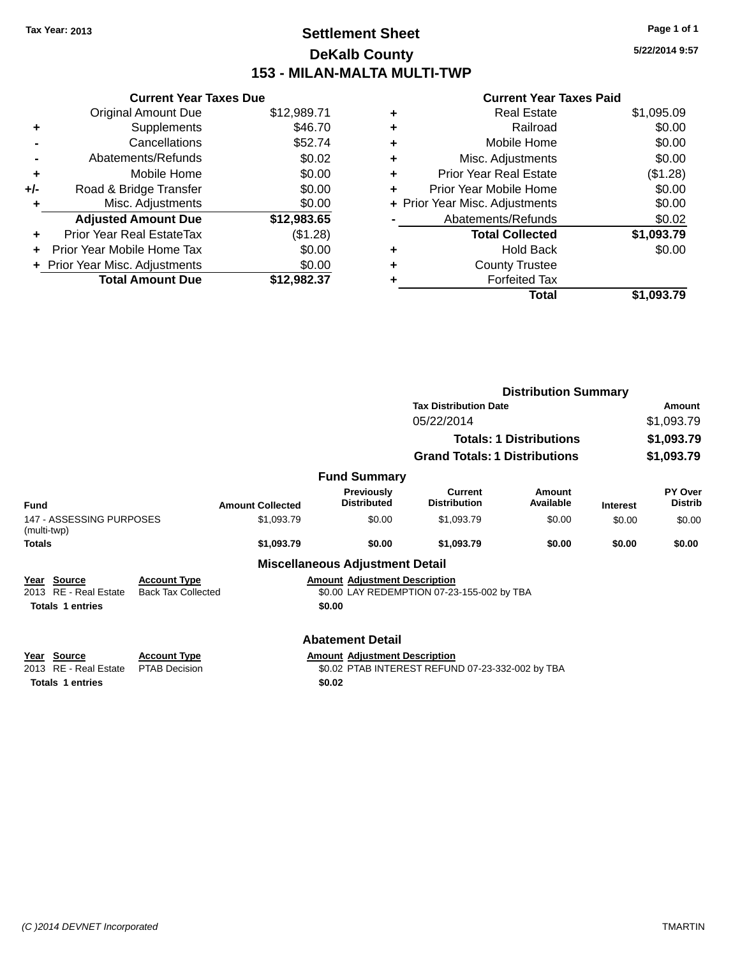# **Settlement Sheet Tax Year: 2013 Page 1 of 1 DeKalb County 153 - MILAN-MALTA MULTI-TWP**

**5/22/2014 9:57**

| <b>Current Year Taxes Due</b> |                                |  |  |  |
|-------------------------------|--------------------------------|--|--|--|
| <b>Original Amount Due</b>    | \$12,989.71                    |  |  |  |
| Supplements                   | \$46.70                        |  |  |  |
| Cancellations                 | \$52.74                        |  |  |  |
| Abatements/Refunds            | \$0.02                         |  |  |  |
| Mobile Home                   | \$0.00                         |  |  |  |
| Road & Bridge Transfer        | \$0.00                         |  |  |  |
| Misc. Adjustments             | \$0.00                         |  |  |  |
| <b>Adjusted Amount Due</b>    | \$12,983.65                    |  |  |  |
| Prior Year Real EstateTax     | (\$1.28)                       |  |  |  |
| Prior Year Mobile Home Tax    | \$0.00                         |  |  |  |
|                               | \$0.00                         |  |  |  |
| <b>Total Amount Due</b>       | \$12.982.37                    |  |  |  |
|                               | + Prior Year Misc. Adjustments |  |  |  |

|   | Total                          | \$1,093.79 |
|---|--------------------------------|------------|
|   | <b>Forfeited Tax</b>           |            |
| ٠ | <b>County Trustee</b>          |            |
| ٠ | <b>Hold Back</b>               | \$0.00     |
|   | <b>Total Collected</b>         | \$1,093.79 |
|   | Abatements/Refunds             | \$0.02     |
|   | + Prior Year Misc. Adjustments | \$0.00     |
| ٠ | Prior Year Mobile Home         | \$0.00     |
| ÷ | <b>Prior Year Real Estate</b>  | (\$1.28)   |
| ٠ | Misc. Adjustments              | \$0.00     |
| ÷ | Mobile Home                    | \$0.00     |
| ٠ | Railroad                       | \$0.00     |
| ٠ | <b>Real Estate</b>             | \$1,095.09 |
|   |                                |            |

|                                                                           |                                                  |                                                |                                                  | <b>Distribution Summary</b>    |                 |                           |
|---------------------------------------------------------------------------|--------------------------------------------------|------------------------------------------------|--------------------------------------------------|--------------------------------|-----------------|---------------------------|
|                                                                           |                                                  |                                                | <b>Tax Distribution Date</b>                     |                                |                 | Amount                    |
|                                                                           |                                                  |                                                | 05/22/2014                                       |                                |                 | \$1,093.79                |
|                                                                           |                                                  |                                                |                                                  | <b>Totals: 1 Distributions</b> |                 | \$1,093.79                |
|                                                                           |                                                  |                                                | <b>Grand Totals: 1 Distributions</b>             |                                |                 | \$1,093.79                |
|                                                                           |                                                  | <b>Fund Summary</b>                            |                                                  |                                |                 |                           |
| <b>Fund</b>                                                               | <b>Amount Collected</b>                          | <b>Previously</b><br><b>Distributed</b>        | <b>Current</b><br><b>Distribution</b>            | Amount<br>Available            | <b>Interest</b> | PY Over<br><b>Distrib</b> |
| 147 - ASSESSING PURPOSES<br>(multi-twp)                                   | \$1,093.79                                       | \$0.00                                         | \$1,093.79                                       | \$0.00                         | \$0.00          | \$0.00                    |
| <b>Totals</b>                                                             | \$1,093.79                                       | \$0.00                                         | \$1,093.79                                       | \$0.00                         | \$0.00          | \$0.00                    |
|                                                                           |                                                  | <b>Miscellaneous Adjustment Detail</b>         |                                                  |                                |                 |                           |
| <b>Source</b><br>Year<br>2013 RE - Real Estate<br><b>Totals 1 entries</b> | <b>Account Type</b><br><b>Back Tax Collected</b> | <b>Amount Adjustment Description</b><br>\$0.00 | \$0.00 LAY REDEMPTION 07-23-155-002 by TBA       |                                |                 |                           |
|                                                                           |                                                  | <b>Abatement Detail</b>                        |                                                  |                                |                 |                           |
| Year Source<br><b>RE</b> - Real Estate<br>2013                            | <b>Account Type</b><br><b>PTAB Decision</b>      | <b>Amount Adjustment Description</b>           | \$0.02 PTAB INTEREST REFUND 07-23-332-002 by TBA |                                |                 |                           |
| <b>Totals 1 entries</b>                                                   |                                                  | \$0.02                                         |                                                  |                                |                 |                           |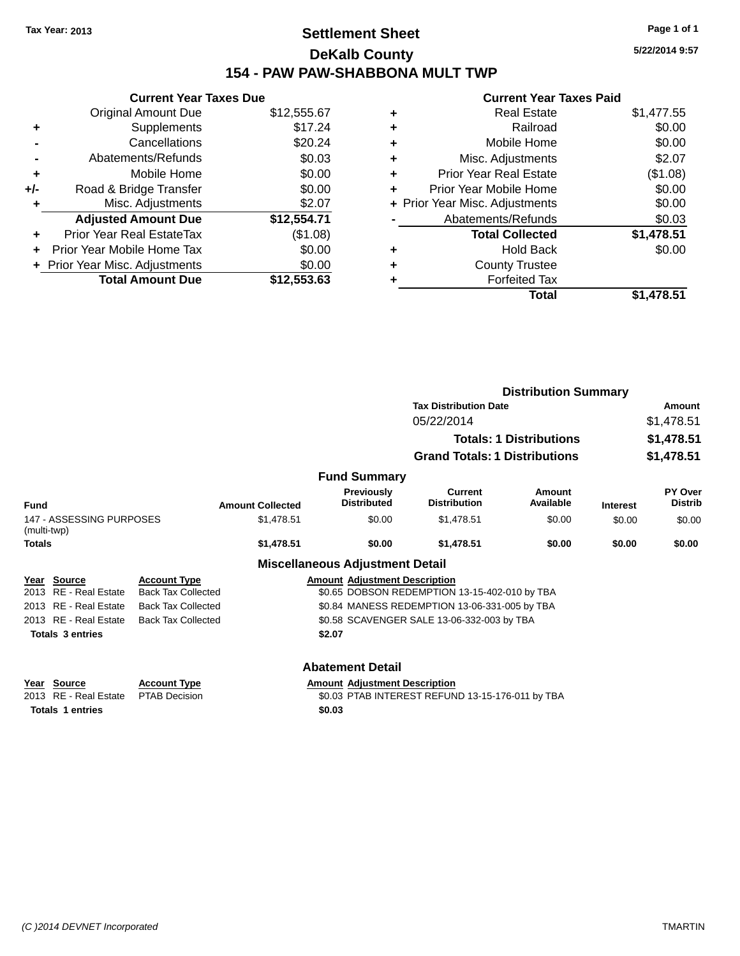# **Settlement Sheet Tax Year: 2013 Page 1 of 1 DeKalb County 154 - PAW PAW-SHABBONA MULT TWP**

**5/22/2014 9:57**

| <b>Current Year Taxes Due</b> |                                |  |  |  |
|-------------------------------|--------------------------------|--|--|--|
| <b>Original Amount Due</b>    | \$12,555.67                    |  |  |  |
| Supplements                   | \$17.24                        |  |  |  |
| Cancellations                 | \$20.24                        |  |  |  |
| Abatements/Refunds            | \$0.03                         |  |  |  |
| Mobile Home                   | \$0.00                         |  |  |  |
| Road & Bridge Transfer        | \$0.00                         |  |  |  |
| Misc. Adjustments             | \$2.07                         |  |  |  |
| <b>Adjusted Amount Due</b>    | \$12,554.71                    |  |  |  |
| Prior Year Real EstateTax     | (\$1.08)                       |  |  |  |
| Prior Year Mobile Home Tax    | \$0.00                         |  |  |  |
|                               | \$0.00                         |  |  |  |
| <b>Total Amount Due</b>       | \$12,553.63                    |  |  |  |
|                               | + Prior Year Misc. Adjustments |  |  |  |

| ٠ | <b>Real Estate</b>             | \$1,477.55 |
|---|--------------------------------|------------|
| ٠ | Railroad                       | \$0.00     |
| ٠ | Mobile Home                    | \$0.00     |
| ٠ | Misc. Adjustments              | \$2.07     |
| ٠ | <b>Prior Year Real Estate</b>  | (\$1.08)   |
| ٠ | Prior Year Mobile Home         | \$0.00     |
|   | + Prior Year Misc. Adjustments | \$0.00     |
|   | Abatements/Refunds             | \$0.03     |
|   | <b>Total Collected</b>         | \$1,478.51 |
| ٠ | <b>Hold Back</b>               | \$0.00     |
| ٠ | <b>County Trustee</b>          |            |
| ٠ | <b>Forfeited Tax</b>           |            |
|   | Total                          | \$1,478.51 |
|   |                                |            |

|               | <b>Distribution Summary</b>              |                                                  |                         |                                         |                                                  |                                |                 |                           |
|---------------|------------------------------------------|--------------------------------------------------|-------------------------|-----------------------------------------|--------------------------------------------------|--------------------------------|-----------------|---------------------------|
|               |                                          |                                                  |                         |                                         | <b>Tax Distribution Date</b>                     |                                |                 | Amount                    |
|               |                                          | 05/22/2014                                       |                         |                                         |                                                  | \$1,478.51                     |                 |                           |
|               |                                          |                                                  |                         |                                         |                                                  | <b>Totals: 1 Distributions</b> |                 | \$1,478.51                |
|               |                                          |                                                  |                         |                                         | <b>Grand Totals: 1 Distributions</b>             |                                |                 | \$1,478.51                |
|               |                                          |                                                  |                         | <b>Fund Summary</b>                     |                                                  |                                |                 |                           |
| Fund          |                                          |                                                  | <b>Amount Collected</b> | <b>Previously</b><br><b>Distributed</b> | <b>Current</b><br><b>Distribution</b>            | Amount<br>Available            | <b>Interest</b> | PY Over<br><b>Distrib</b> |
| (multi-twp)   | 147 - ASSESSING PURPOSES                 |                                                  | \$1,478.51              | \$0.00                                  | \$1,478.51                                       | \$0.00                         | \$0.00          | \$0.00                    |
| <b>Totals</b> |                                          |                                                  | \$1,478.51              | \$0.00                                  | \$1,478.51                                       | \$0.00                         | \$0.00          | \$0.00                    |
|               |                                          |                                                  |                         | <b>Miscellaneous Adjustment Detail</b>  |                                                  |                                |                 |                           |
|               | Year Source<br>2013 RE - Real Estate     | <b>Account Type</b><br><b>Back Tax Collected</b> |                         | <b>Amount Adjustment Description</b>    | \$0.65 DOBSON REDEMPTION 13-15-402-010 by TBA    |                                |                 |                           |
|               | 2013 RE - Real Estate                    | <b>Back Tax Collected</b>                        |                         |                                         | \$0.84 MANESS REDEMPTION 13-06-331-005 by TBA    |                                |                 |                           |
|               | 2013 RE - Real Estate                    | <b>Back Tax Collected</b>                        |                         |                                         | \$0.58 SCAVENGER SALE 13-06-332-003 by TBA       |                                |                 |                           |
|               | <b>Totals 3 entries</b>                  |                                                  |                         | \$2.07                                  |                                                  |                                |                 |                           |
|               |                                          |                                                  |                         | <b>Abatement Detail</b>                 |                                                  |                                |                 |                           |
| Year<br>2013  | <b>Source</b><br><b>RE</b> - Real Estate | <b>Account Type</b><br><b>PTAB Decision</b>      |                         | <b>Amount Adjustment Description</b>    | \$0.03 PTAB INTEREST REFUND 13-15-176-011 by TBA |                                |                 |                           |
|               | <b>Totals 1 entries</b>                  |                                                  |                         | \$0.03                                  |                                                  |                                |                 |                           |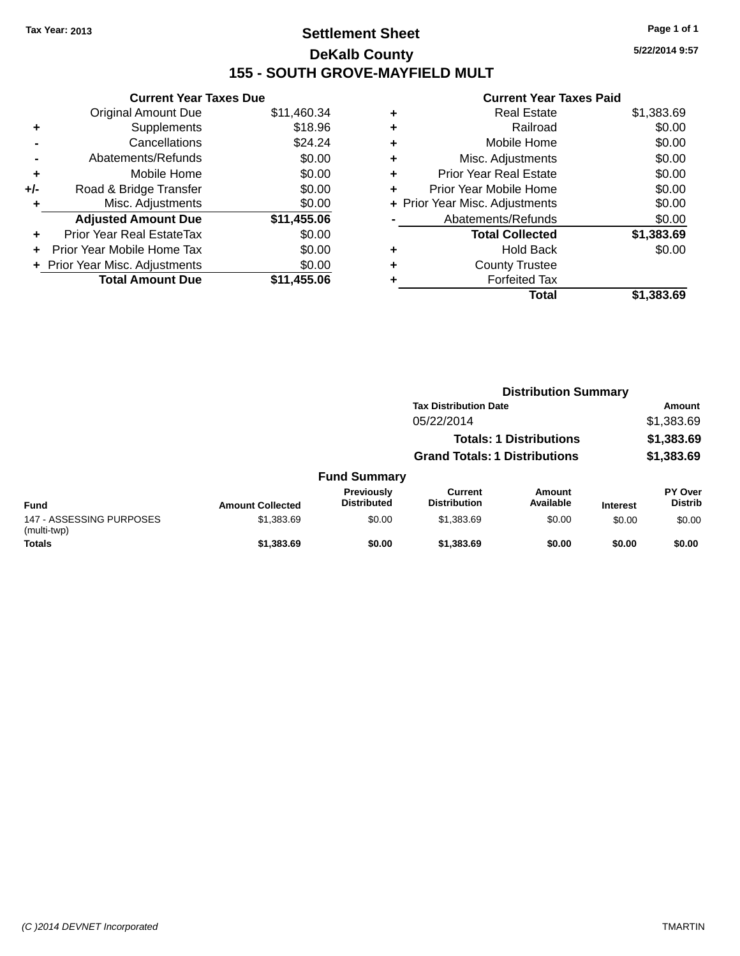# **Settlement Sheet Tax Year: 2013 Page 1 of 1 DeKalb County 155 - SOUTH GROVE-MAYFIELD MULT**

**5/22/2014 9:57**

| <b>Current Year Taxes Due</b> |             |
|-------------------------------|-------------|
| <b>Original Amount Due</b>    | \$11,460.34 |
| Supplements                   | \$18.96     |
| Cancellations                 | \$24.24     |
| Abatements/Refunds            | \$0.00      |
| Mobile Home                   | \$0.00      |
| Road & Bridge Transfer        | \$0.00      |
| Misc. Adjustments             | \$0.00      |
| <b>Adjusted Amount Due</b>    | \$11,455.06 |
| Prior Year Real EstateTax     | \$0.00      |
| Prior Year Mobile Home Tax    | \$0.00      |
| Prior Year Misc. Adjustments  | \$0.00      |
| <b>Total Amount Due</b>       | \$11.455.06 |
|                               |             |

| ٠ | <b>Real Estate</b>             | \$1,383.69 |
|---|--------------------------------|------------|
| ٠ | Railroad                       | \$0.00     |
| ٠ | Mobile Home                    | \$0.00     |
| ٠ | Misc. Adjustments              | \$0.00     |
| ٠ | <b>Prior Year Real Estate</b>  | \$0.00     |
| ٠ | Prior Year Mobile Home         | \$0.00     |
|   | + Prior Year Misc. Adjustments | \$0.00     |
|   | Abatements/Refunds             | \$0.00     |
|   | <b>Total Collected</b>         | \$1,383.69 |
| ٠ | <b>Hold Back</b>               | \$0.00     |
| ٠ | <b>County Trustee</b>          |            |
| ٠ | <b>Forfeited Tax</b>           |            |
|   | Total                          | \$1,383.69 |
|   |                                |            |

|                                         |                         | <b>Distribution Summary</b>      |                                                                              |                            |                 |                                  |  |
|-----------------------------------------|-------------------------|----------------------------------|------------------------------------------------------------------------------|----------------------------|-----------------|----------------------------------|--|
|                                         |                         |                                  | <b>Tax Distribution Date</b><br>05/22/2014<br><b>Totals: 1 Distributions</b> |                            |                 | <b>Amount</b>                    |  |
|                                         |                         |                                  |                                                                              |                            |                 | \$1,383.69<br>\$1,383.69         |  |
|                                         |                         |                                  |                                                                              |                            |                 |                                  |  |
|                                         |                         |                                  | <b>Grand Totals: 1 Distributions</b>                                         |                            |                 | \$1,383.69                       |  |
|                                         |                         | <b>Fund Summary</b>              |                                                                              |                            |                 |                                  |  |
| <b>Fund</b>                             | <b>Amount Collected</b> | Previously<br><b>Distributed</b> | Current<br><b>Distribution</b>                                               | <b>Amount</b><br>Available | <b>Interest</b> | <b>PY Over</b><br><b>Distrib</b> |  |
| 147 - ASSESSING PURPOSES<br>(multi-twp) | \$1,383.69              | \$0.00                           | \$1,383.69                                                                   | \$0.00                     | \$0.00          | \$0.00                           |  |
| <b>Totals</b>                           | \$1,383.69              | \$0.00                           | \$1,383.69                                                                   | \$0.00                     | \$0.00          | \$0.00                           |  |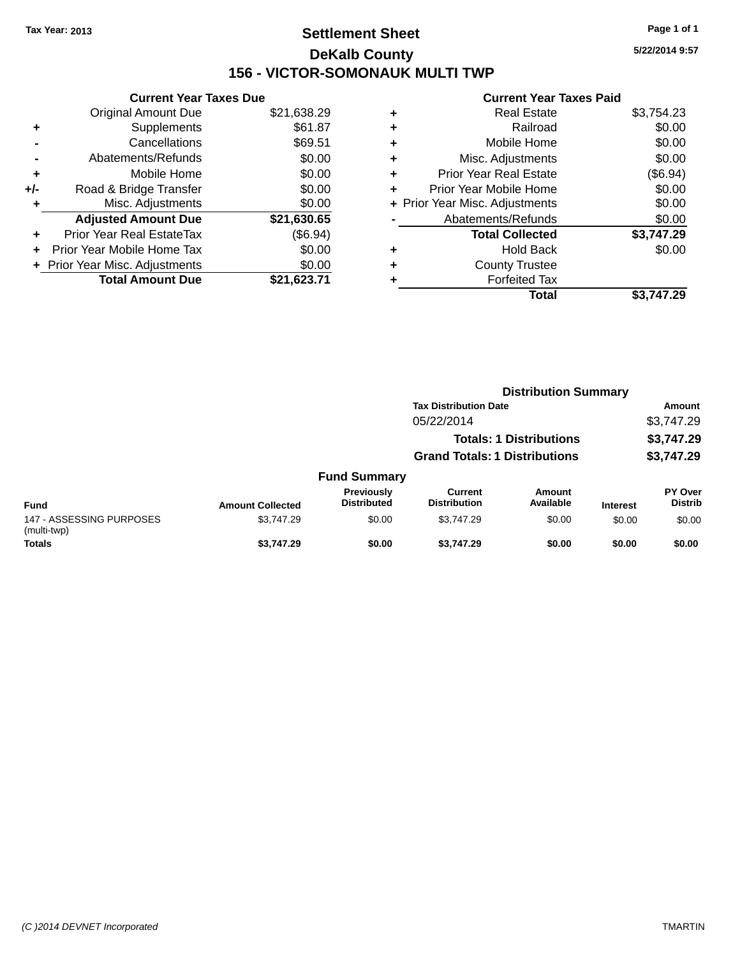# **Settlement Sheet Tax Year: 2013 Page 1 of 1 DeKalb County 156 - VICTOR-SOMONAUK MULTI TWP**

**5/22/2014 9:57**

| <b>Current Year Taxes Due</b>             |             |  |  |  |  |  |
|-------------------------------------------|-------------|--|--|--|--|--|
| <b>Original Amount Due</b><br>\$21,638.29 |             |  |  |  |  |  |
| Supplements                               | \$61.87     |  |  |  |  |  |
| Cancellations                             | \$69.51     |  |  |  |  |  |
| Abatements/Refunds                        | \$0.00      |  |  |  |  |  |
| Mobile Home                               | \$0.00      |  |  |  |  |  |
| Road & Bridge Transfer                    | \$0.00      |  |  |  |  |  |
| Misc. Adjustments                         | \$0.00      |  |  |  |  |  |
| <b>Adjusted Amount Due</b>                | \$21,630.65 |  |  |  |  |  |
| Prior Year Real EstateTax                 | (\$6.94)    |  |  |  |  |  |
| Prior Year Mobile Home Tax                | \$0.00      |  |  |  |  |  |
| Prior Year Misc. Adjustments              | \$0.00      |  |  |  |  |  |
| <b>Total Amount Due</b>                   | \$21.623.71 |  |  |  |  |  |
|                                           |             |  |  |  |  |  |

|   | <b>Real Estate</b>             | \$3,754.23 |
|---|--------------------------------|------------|
| ٠ | Railroad                       | \$0.00     |
| ٠ | Mobile Home                    | \$0.00     |
| ٠ | Misc. Adjustments              | \$0.00     |
| ٠ | <b>Prior Year Real Estate</b>  | (\$6.94)   |
| ٠ | Prior Year Mobile Home         | \$0.00     |
|   | + Prior Year Misc. Adjustments | \$0.00     |
|   | Abatements/Refunds             | \$0.00     |
|   | <b>Total Collected</b>         | \$3,747.29 |
| ٠ | <b>Hold Back</b>               | \$0.00     |
| ٠ | <b>County Trustee</b>          |            |
| ٠ | <b>Forfeited Tax</b>           |            |
|   | Total                          | \$3.747.29 |
|   |                                |            |

|                                         |                         |                                  | <b>Distribution Summary</b><br><b>Tax Distribution Date</b><br>05/22/2014<br><b>Totals: 1 Distributions</b><br><b>Grand Totals: 1 Distributions</b> |                     |                 |                                  |  |
|-----------------------------------------|-------------------------|----------------------------------|-----------------------------------------------------------------------------------------------------------------------------------------------------|---------------------|-----------------|----------------------------------|--|
|                                         |                         |                                  |                                                                                                                                                     |                     |                 | <b>Amount</b>                    |  |
|                                         |                         |                                  |                                                                                                                                                     |                     |                 | \$3,747.29<br>\$3,747.29         |  |
|                                         |                         |                                  |                                                                                                                                                     |                     |                 |                                  |  |
|                                         |                         |                                  |                                                                                                                                                     |                     |                 | \$3,747.29                       |  |
|                                         |                         | <b>Fund Summary</b>              |                                                                                                                                                     |                     |                 |                                  |  |
| <b>Fund</b>                             | <b>Amount Collected</b> | Previously<br><b>Distributed</b> | <b>Current</b><br><b>Distribution</b>                                                                                                               | Amount<br>Available | <b>Interest</b> | <b>PY Over</b><br><b>Distrib</b> |  |
| 147 - ASSESSING PURPOSES<br>(multi-twp) | \$3,747.29              | \$0.00                           | \$3.747.29                                                                                                                                          | \$0.00              | \$0.00          | \$0.00                           |  |
| <b>Totals</b>                           | \$3,747.29              | \$0.00                           | \$3.747.29                                                                                                                                          | \$0.00              | \$0.00          | \$0.00                           |  |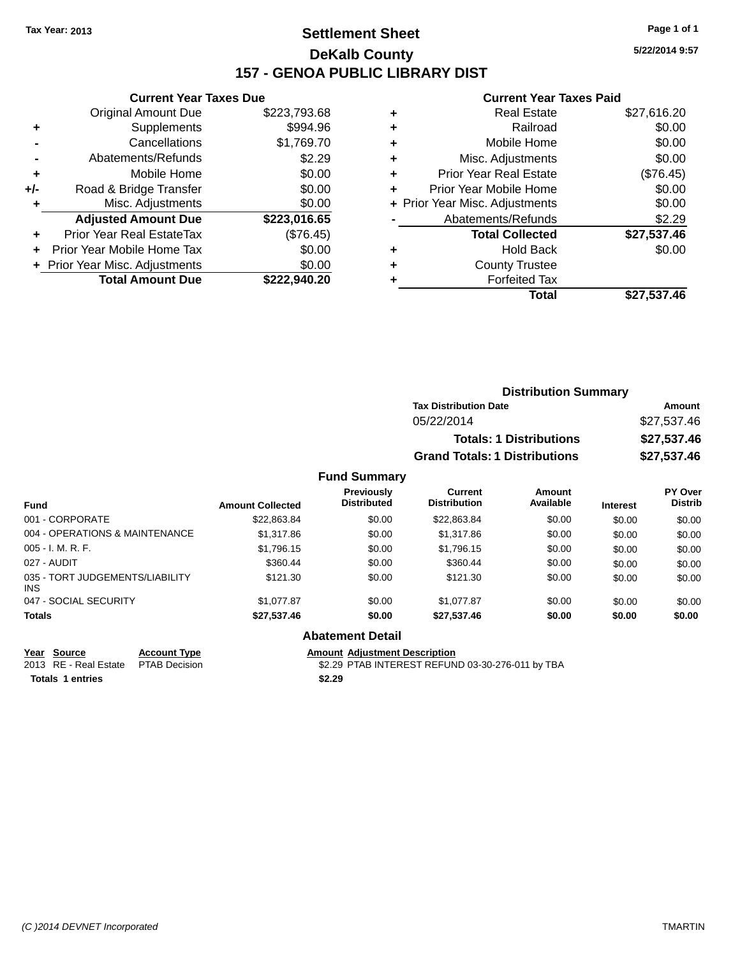# **Settlement Sheet Tax Year: 2013 Page 1 of 1 DeKalb County 157 - GENOA PUBLIC LIBRARY DIST**

**5/22/2014 9:57**

#### **Current Year Taxes Paid**

|       | <b>Current Year Taxes Due</b>  |              |
|-------|--------------------------------|--------------|
|       | <b>Original Amount Due</b>     | \$223,793.68 |
| ٠     | Supplements                    | \$994.96     |
|       | Cancellations                  | \$1,769.70   |
|       | Abatements/Refunds             | \$2.29       |
| ÷     | Mobile Home                    | \$0.00       |
| $+/-$ | Road & Bridge Transfer         | \$0.00       |
|       | Misc. Adjustments              | \$0.00       |
|       | <b>Adjusted Amount Due</b>     | \$223,016.65 |
| ÷     | Prior Year Real EstateTax      | (\$76.45)    |
|       | Prior Year Mobile Home Tax     | \$0.00       |
|       | + Prior Year Misc. Adjustments | \$0.00       |
|       | <b>Total Amount Due</b>        | \$222,940.20 |
|       |                                |              |

| ٠ | <b>Real Estate</b>             | \$27,616.20 |
|---|--------------------------------|-------------|
| ٠ | Railroad                       | \$0.00      |
| ٠ | Mobile Home                    | \$0.00      |
| ٠ | Misc. Adjustments              | \$0.00      |
| ٠ | <b>Prior Year Real Estate</b>  | (\$76.45)   |
| ٠ | Prior Year Mobile Home         | \$0.00      |
|   | + Prior Year Misc. Adjustments | \$0.00      |
|   | Abatements/Refunds             | \$2.29      |
|   | <b>Total Collected</b>         | \$27,537.46 |
| ٠ | <b>Hold Back</b>               | \$0.00      |
| ٠ | <b>County Trustee</b>          |             |
| ٠ | <b>Forfeited Tax</b>           |             |
|   | <b>Total</b>                   | \$27,537.46 |
|   |                                |             |

| <b>Distribution Summary</b>          |             |
|--------------------------------------|-------------|
| <b>Tax Distribution Date</b>         | Amount      |
| 05/22/2014                           | \$27,537.46 |
| <b>Totals: 1 Distributions</b>       | \$27,537.46 |
| <b>Grand Totals: 1 Distributions</b> | \$27,537.46 |

# **Fund Summary**

| <b>Fund</b>                             | <b>Amount Collected</b> | Previously<br><b>Distributed</b> | Current<br><b>Distribution</b> | Amount<br>Available | <b>Interest</b> | <b>PY Over</b><br><b>Distrib</b> |
|-----------------------------------------|-------------------------|----------------------------------|--------------------------------|---------------------|-----------------|----------------------------------|
| 001 - CORPORATE                         | \$22,863.84             | \$0.00                           | \$22,863.84                    | \$0.00              | \$0.00          | \$0.00                           |
| 004 - OPERATIONS & MAINTENANCE          | \$1,317.86              | \$0.00                           | \$1,317.86                     | \$0.00              | \$0.00          | \$0.00                           |
| $005 - I. M. R. F.$                     | \$1,796.15              | \$0.00                           | \$1,796.15                     | \$0.00              | \$0.00          | \$0.00                           |
| 027 - AUDIT                             | \$360.44                | \$0.00                           | \$360.44                       | \$0.00              | \$0.00          | \$0.00                           |
| 035 - TORT JUDGEMENTS/LIABILITY<br>INS. | \$121.30                | \$0.00                           | \$121.30                       | \$0.00              | \$0.00          | \$0.00                           |
| 047 - SOCIAL SECURITY                   | \$1,077.87              | \$0.00                           | \$1,077.87                     | \$0.00              | \$0.00          | \$0.00                           |
| <b>Totals</b>                           | \$27,537.46             | \$0.00                           | \$27,537.46                    | \$0.00              | \$0.00          | \$0.00                           |

# **Abatement Detail**

**Totals 1 entries \$2.29**

**Year Source Account Type**<br>
2013 RE - Real Estate PTAB Decision<br>
2013 RE - Real Estate PTAB Decision<br> **Amount Adjustment Description** 

\$2.29 PTAB INTEREST REFUND 03-30-276-011 by TBA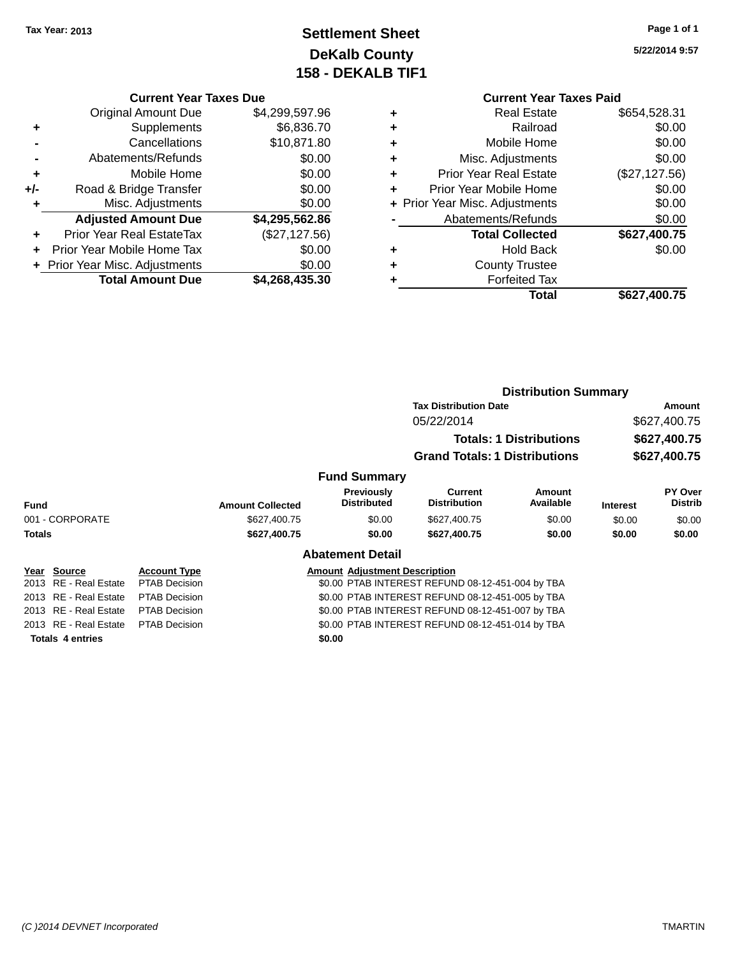# **Settlement Sheet Tax Year: 2013 Page 1 of 1 DeKalb County 158 - DEKALB TIF1**

**5/22/2014 9:57**

#### **Current Year Taxes Due**

|       | <b>Original Amount Due</b>     | \$4,299,597.96 |
|-------|--------------------------------|----------------|
| ٠     | Supplements                    | \$6,836.70     |
|       | Cancellations                  | \$10,871.80    |
|       | Abatements/Refunds             | \$0.00         |
| ٠     | Mobile Home                    | \$0.00         |
| $+/-$ | Road & Bridge Transfer         | \$0.00         |
| ٠     | Misc. Adjustments              | \$0.00         |
|       | <b>Adjusted Amount Due</b>     | \$4,295,562.86 |
|       | Prior Year Real EstateTax      | (\$27,127.56)  |
|       | Prior Year Mobile Home Tax     | \$0.00         |
|       | + Prior Year Misc. Adjustments | \$0.00         |
|       | <b>Total Amount Due</b>        | \$4,268,435.30 |

# **Current Year Taxes Paid**

|   | Total                          | \$627,400.75  |
|---|--------------------------------|---------------|
|   | <b>Forfeited Tax</b>           |               |
| ÷ | <b>County Trustee</b>          |               |
| ٠ | Hold Back                      | \$0.00        |
|   | <b>Total Collected</b>         | \$627,400.75  |
|   | Abatements/Refunds             | \$0.00        |
|   | + Prior Year Misc. Adjustments | \$0.00        |
| ٠ | Prior Year Mobile Home         | \$0.00        |
| ٠ | <b>Prior Year Real Estate</b>  | (\$27,127.56) |
| ٠ | Misc. Adjustments              | \$0.00        |
| ٠ | Mobile Home                    | \$0.00        |
| ٠ | Railroad                       | \$0.00        |
|   | <b>Real Estate</b>             | \$654,528.31  |

#### **Distribution Summary Tax Distribution Date Amount** 05/22/2014 \$627,400.75 **Totals: 1 Distributions \$627,400.75 Grand Totals: 1 Distributions \$627,400.75 Fund Summary Fund Interest Amount Collected Distributed PY Over Distrib Amount Available Current Distribution Previously** 001 - CORPORATE 6000 \$627,400.75 \$0.00 \$627,400.75 \$0.00 \$0.00 \$0.00 \$0.00 **Totals \$627,400.75 \$0.00 \$627,400.75 \$0.00 \$0.00 \$0.00 Abatement Detail Year Source Account Type Amount Adjustment Description** 2013 RE - Real Estate PTAB Decision \$0.00 PTAB INTEREST REFUND 08-12-451-004 by TBA 2013 RE - Real Estate PTAB Decision \$0.00 PTAB INTEREST REFUND 08-12-451-005 by TBA 2013 RE - Real Estate PTAB Decision \$0.00 PTAB INTEREST REFUND 08-12-451-007 by TBA 2013 RE - Real Estate PTAB Decision \$0.00 PTAB INTEREST REFUND 08-12-451-014 by TBA

**Totals 4 entries \$0.00**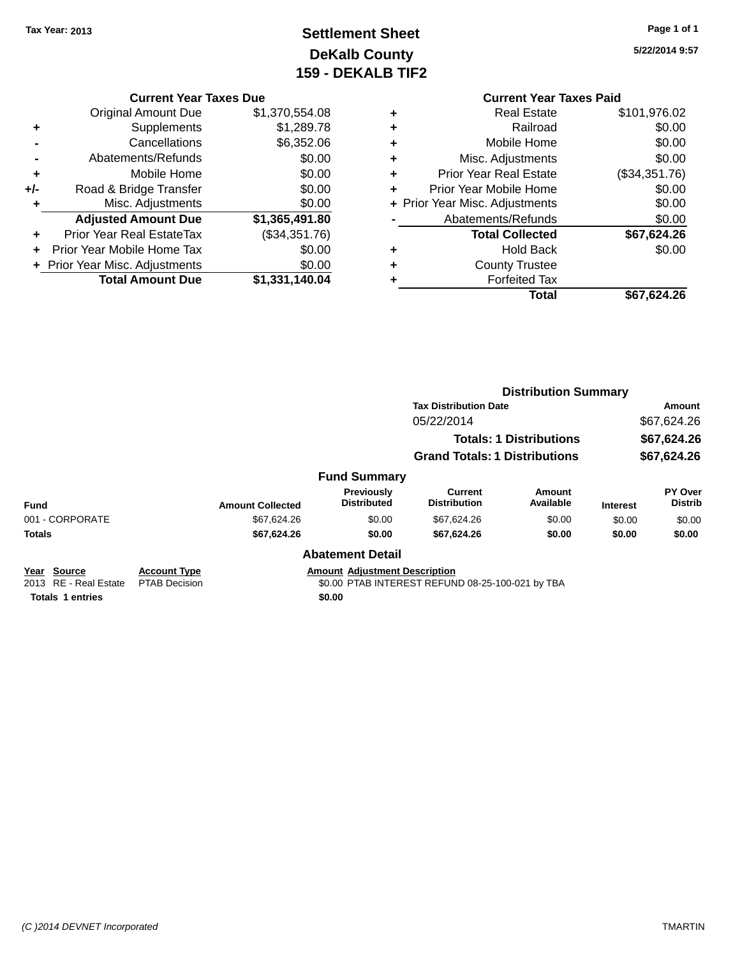# **Settlement Sheet Tax Year: 2013 Page 1 of 1 DeKalb County 159 - DEKALB TIF2**

**5/22/2014 9:57**

|     | <b>Original Amount Due</b>     | \$1,370,554.08 |
|-----|--------------------------------|----------------|
| ٠   | Supplements                    | \$1,289.78     |
|     | Cancellations                  | \$6,352.06     |
|     | Abatements/Refunds             | \$0.00         |
| ٠   | Mobile Home                    | \$0.00         |
| +/- | Road & Bridge Transfer         | \$0.00         |
| ٠   | Misc. Adjustments              | \$0.00         |
|     | <b>Adjusted Amount Due</b>     | \$1,365,491.80 |
| ÷   | Prior Year Real EstateTax      | (\$34,351.76)  |
|     | Prior Year Mobile Home Tax     | \$0.00         |
|     | + Prior Year Misc. Adjustments | \$0.00         |
|     | <b>Total Amount Due</b>        | \$1,331,140.04 |

|   | <b>Current Year Taxes Paid</b> |               |  |  |  |
|---|--------------------------------|---------------|--|--|--|
| ٠ | Real Estate                    | \$101,976.02  |  |  |  |
| ٠ | Railroad                       | \$0.00        |  |  |  |
| ٠ | Mobile Home                    | \$0.00        |  |  |  |
| ٠ | Misc. Adjustments              | \$0.00        |  |  |  |
| ٠ | <b>Prior Year Real Estate</b>  | (\$34,351.76) |  |  |  |
| ÷ | Prior Year Mobile Home         | \$0.00        |  |  |  |
|   | + Prior Year Misc. Adjustments | \$0.00        |  |  |  |
|   | Abatements/Refunds             | \$0.00        |  |  |  |
|   | <b>Total Collected</b>         | \$67,624.26   |  |  |  |
| + | <b>Hold Back</b>               | \$0.00        |  |  |  |
|   | <b>County Trustee</b>          |               |  |  |  |
| ٠ | <b>Forfeited Tax</b>           |               |  |  |  |
|   | Total                          | \$67,624.26   |  |  |  |
|   |                                |               |  |  |  |

|                                      |                                             |                         |                                         | <b>Distribution Summary</b>                      |                                |                 |                                  |
|--------------------------------------|---------------------------------------------|-------------------------|-----------------------------------------|--------------------------------------------------|--------------------------------|-----------------|----------------------------------|
|                                      |                                             |                         |                                         | <b>Tax Distribution Date</b>                     |                                |                 | Amount                           |
|                                      |                                             |                         |                                         | 05/22/2014                                       |                                |                 | \$67,624.26                      |
|                                      |                                             |                         |                                         |                                                  | <b>Totals: 1 Distributions</b> |                 | \$67,624.26                      |
|                                      |                                             |                         |                                         | <b>Grand Totals: 1 Distributions</b>             |                                |                 | \$67,624.26                      |
|                                      |                                             |                         | <b>Fund Summary</b>                     |                                                  |                                |                 |                                  |
| <b>Fund</b>                          |                                             | <b>Amount Collected</b> | <b>Previously</b><br><b>Distributed</b> | <b>Current</b><br><b>Distribution</b>            | Amount<br>Available            | <b>Interest</b> | <b>PY Over</b><br><b>Distrib</b> |
| 001 - CORPORATE                      |                                             | \$67,624.26             | \$0.00                                  | \$67,624.26                                      | \$0.00                         | \$0.00          | \$0.00                           |
| <b>Totals</b>                        |                                             | \$67,624.26             | \$0.00                                  | \$67,624.26                                      | \$0.00                         | \$0.00          | \$0.00                           |
|                                      |                                             |                         | <b>Abatement Detail</b>                 |                                                  |                                |                 |                                  |
| Year Source<br>2013 RE - Real Estate | <b>Account Type</b><br><b>PTAB Decision</b> |                         | <b>Amount Adjustment Description</b>    | \$0.00 PTAB INTEREST REFUND 08-25-100-021 by TBA |                                |                 |                                  |

**Totals 1 entries \$0.00**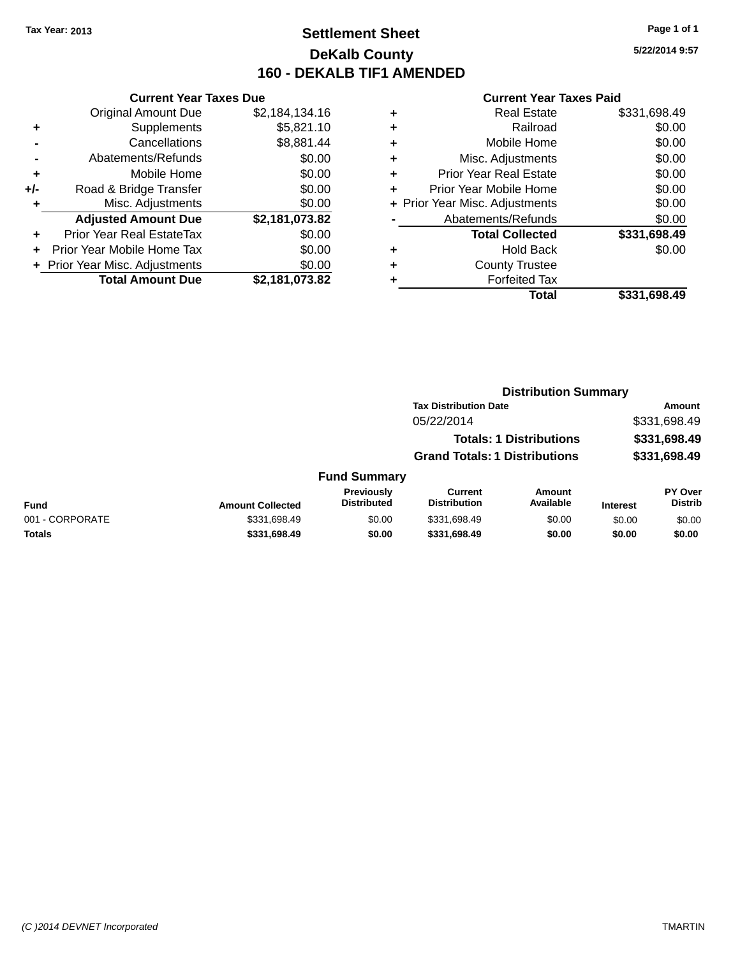# **Settlement Sheet Tax Year: 2013 Page 1 of 1 DeKalb County 160 - DEKALB TIF1 AMENDED**

**5/22/2014 9:57**

|     | <b>Current Year Taxes Due</b>  |                |  |  |
|-----|--------------------------------|----------------|--|--|
|     | <b>Original Amount Due</b>     | \$2,184,134.16 |  |  |
| ٠   | Supplements                    | \$5,821.10     |  |  |
|     | Cancellations                  | \$8,881.44     |  |  |
|     | Abatements/Refunds             | \$0.00         |  |  |
| ٠   | Mobile Home                    | \$0.00         |  |  |
| +/- | Road & Bridge Transfer         | \$0.00         |  |  |
| ٠   | Misc. Adjustments              | \$0.00         |  |  |
|     | <b>Adjusted Amount Due</b>     | \$2,181,073.82 |  |  |
| ÷   | Prior Year Real EstateTax      | \$0.00         |  |  |
| ÷   | Prior Year Mobile Home Tax     | \$0.00         |  |  |
|     | + Prior Year Misc. Adjustments | \$0.00         |  |  |
|     | <b>Total Amount Due</b>        | \$2,181,073.82 |  |  |

|   | <b>Real Estate</b>             | \$331,698.49 |
|---|--------------------------------|--------------|
| ٠ | Railroad                       | \$0.00       |
| ٠ | Mobile Home                    | \$0.00       |
| ٠ | Misc. Adjustments              | \$0.00       |
| ٠ | <b>Prior Year Real Estate</b>  | \$0.00       |
| ٠ | Prior Year Mobile Home         | \$0.00       |
|   | + Prior Year Misc. Adjustments | \$0.00       |
|   | Abatements/Refunds             | \$0.00       |
|   | <b>Total Collected</b>         | \$331,698.49 |
| ٠ | <b>Hold Back</b>               | \$0.00       |
| ٠ | <b>County Trustee</b>          |              |
| ٠ | <b>Forfeited Tax</b>           |              |
|   | Total                          | \$331,698.49 |
|   |                                |              |

|                         |                                  | <b>Distribution Summary</b>          |                                |                 |                                  |
|-------------------------|----------------------------------|--------------------------------------|--------------------------------|-----------------|----------------------------------|
|                         |                                  | <b>Tax Distribution Date</b>         |                                |                 | Amount                           |
|                         |                                  | 05/22/2014                           |                                |                 | \$331,698.49                     |
|                         |                                  |                                      | <b>Totals: 1 Distributions</b> |                 | \$331,698.49                     |
|                         |                                  | <b>Grand Totals: 1 Distributions</b> |                                |                 | \$331,698.49                     |
|                         | <b>Fund Summary</b>              |                                      |                                |                 |                                  |
| <b>Amount Collected</b> | Previously<br><b>Distributed</b> | Current<br><b>Distribution</b>       | Amount<br>Available            | <b>Interest</b> | <b>PY Over</b><br><b>Distrib</b> |

|                 |                         | Previouslv         | Current             | Amount    |                 | <b>PY Over</b> |
|-----------------|-------------------------|--------------------|---------------------|-----------|-----------------|----------------|
| <b>Fund</b>     | <b>Amount Collected</b> | <b>Distributed</b> | <b>Distribution</b> | Available | <b>Interest</b> | Distrib        |
| 001 - CORPORATE | \$331,698.49            | \$0.00             | \$331.698.49        | \$0.00    | \$0.00          | \$0.00         |
| <b>Totals</b>   | \$331,698.49            | \$0.00             | \$331.698.49        | \$0.00    | \$0.00          | \$0.00         |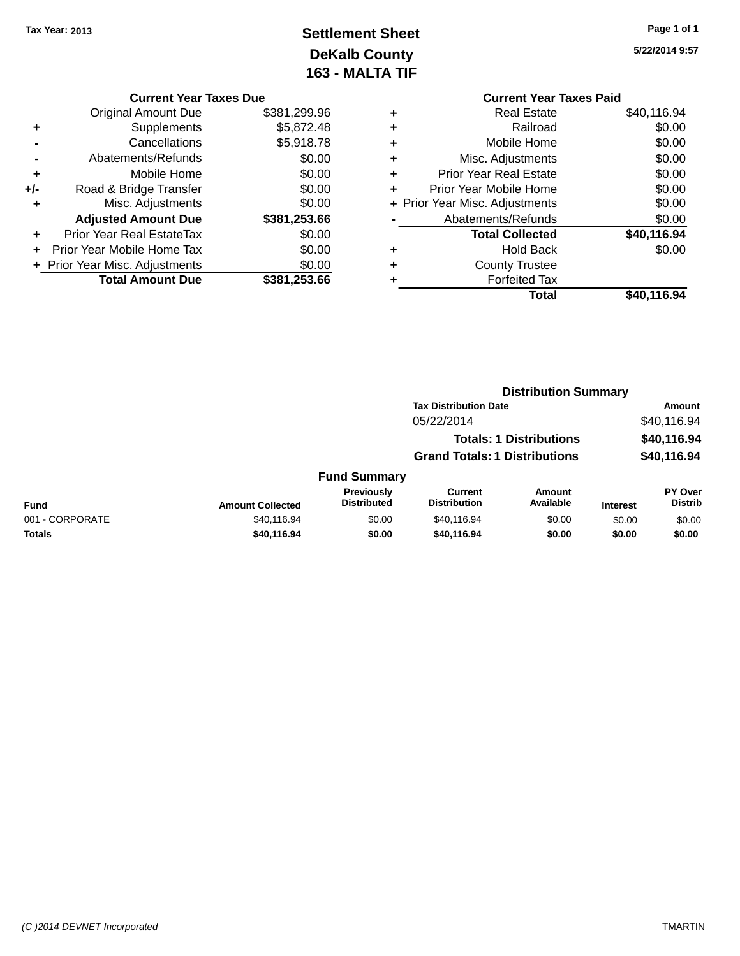# **Settlement Sheet Tax Year: 2013 Page 1 of 1 DeKalb County 163 - MALTA TIF**

**5/22/2014 9:57**

|   | <b>Current Year Taxes Paid</b> |             |
|---|--------------------------------|-------------|
| ٠ | Real Estate                    | \$40,116.94 |
| ٠ | Railroad                       | \$0.00      |
| ٠ | Mobile Home                    | \$0.00      |
| ٠ | Misc. Adjustments              | \$0.00      |
| ٠ | <b>Prior Year Real Estate</b>  | \$0.00      |
| ٠ | Prior Year Mobile Home         | \$0.00      |
|   | + Prior Year Misc. Adjustments | \$0.00      |
|   | Abatements/Refunds             | \$0.00      |
|   | <b>Total Collected</b>         | \$40,116.94 |
| ٠ | <b>Hold Back</b>               | \$0.00      |
| ٠ | <b>County Trustee</b>          |             |
|   | <b>Forfeited Tax</b>           |             |
|   | Total                          | \$40.116.94 |

|     | <b>Current Year Taxes Due</b>              |              |  |  |
|-----|--------------------------------------------|--------------|--|--|
|     | \$381,299.96<br><b>Original Amount Due</b> |              |  |  |
| ٠   | Supplements                                | \$5,872.48   |  |  |
|     | Cancellations                              | \$5,918.78   |  |  |
|     | Abatements/Refunds                         | \$0.00       |  |  |
| ٠   | Mobile Home                                | \$0.00       |  |  |
| +/- | Road & Bridge Transfer                     | \$0.00       |  |  |
| ٠   | Misc. Adjustments                          | \$0.00       |  |  |
|     | <b>Adjusted Amount Due</b>                 | \$381,253.66 |  |  |
| ٠   | <b>Prior Year Real EstateTax</b>           | \$0.00       |  |  |
|     | Prior Year Mobile Home Tax                 | \$0.00       |  |  |
|     | + Prior Year Misc. Adjustments             | \$0.00       |  |  |
|     | <b>Total Amount Due</b>                    | \$381.253.66 |  |  |

|                 |                         |                                  |                                       | <b>Distribution Summary</b>    |                 |                           |
|-----------------|-------------------------|----------------------------------|---------------------------------------|--------------------------------|-----------------|---------------------------|
|                 |                         |                                  | <b>Tax Distribution Date</b>          |                                |                 | Amount                    |
|                 |                         |                                  | 05/22/2014                            |                                |                 | \$40,116.94               |
|                 |                         |                                  |                                       | <b>Totals: 1 Distributions</b> |                 | \$40,116.94               |
|                 |                         |                                  | <b>Grand Totals: 1 Distributions</b>  |                                |                 | \$40,116.94               |
|                 |                         | <b>Fund Summary</b>              |                                       |                                |                 |                           |
| <b>Fund</b>     | <b>Amount Collected</b> | Previously<br><b>Distributed</b> | <b>Current</b><br><b>Distribution</b> | <b>Amount</b><br>Available     | <b>Interest</b> | PY Over<br><b>Distrib</b> |
| 001 - CORPORATE | \$40,116.94             | \$0.00                           | \$40.116.94                           | \$0.00                         | \$0.00          | \$0.00                    |
| Totals          | \$40,116.94             | \$0.00                           | \$40,116.94                           | \$0.00                         | \$0.00          | \$0.00                    |
|                 |                         |                                  |                                       |                                |                 |                           |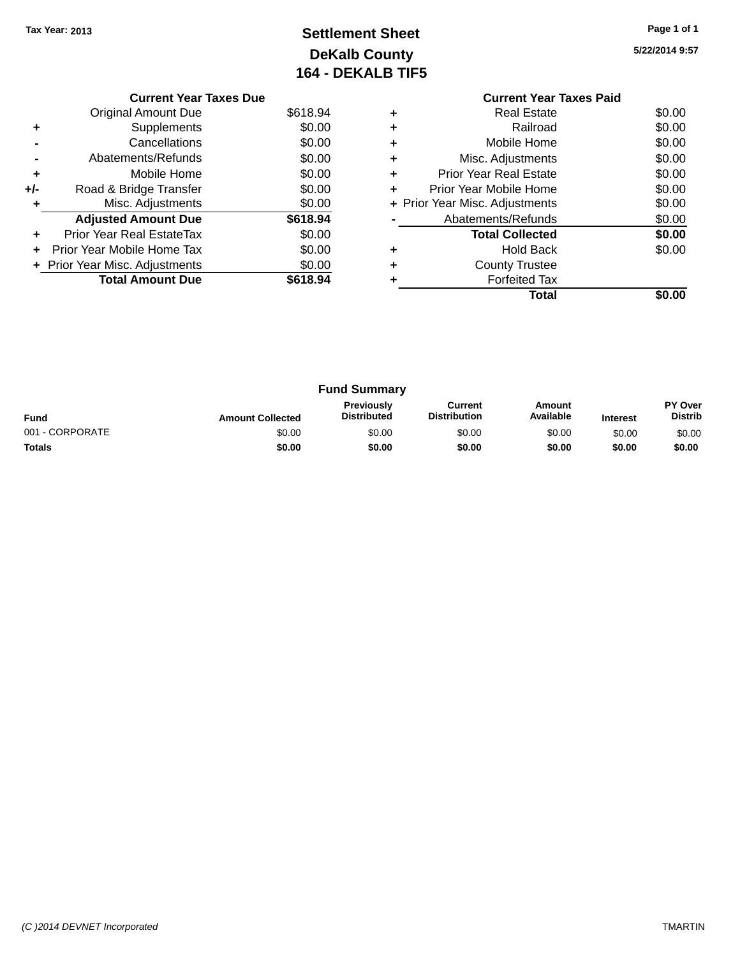# **Settlement Sheet Tax Year: 2013 Page 1 of 1 DeKalb County 164 - DEKALB TIF5**

**5/22/2014 9:57**

|     | <b>Current Year Taxes Due</b>  |          |
|-----|--------------------------------|----------|
|     | <b>Original Amount Due</b>     | \$618.94 |
|     | Supplements                    | \$0.00   |
|     | Cancellations                  | \$0.00   |
|     | Abatements/Refunds             | \$0.00   |
| ٠   | Mobile Home                    | \$0.00   |
| +/- | Road & Bridge Transfer         | \$0.00   |
| ٠   | Misc. Adjustments              | \$0.00   |
|     | <b>Adjusted Amount Due</b>     | \$618.94 |
| ٠   | Prior Year Real EstateTax      | \$0.00   |
|     | Prior Year Mobile Home Tax     | \$0.00   |
|     | + Prior Year Misc. Adjustments | \$0.00   |
|     | <b>Total Amount Due</b>        | \$618.94 |
|     |                                |          |

# **Current Year Taxes Paid +** Real Estate \$0.00 **+** Railroad \$0.00 **+** Mobile Home \$0.00 **+** Misc. Adjustments \$0.00 **+** Prior Year Real Estate \$0.00 **+** Prior Year Mobile Home \$0.00<br> **+** Prior Year Misc. Adjustments \$0.00 **+ Prior Year Misc. Adjustments -** Abatements/Refunds \$0.00 **Total Collected \$0.00 +** Hold Back \$0.00 **+** County Trustee **+** Forfeited Tax **Total \$0.00**

| <b>Fund Summary</b> |                         |                                         |                                |                     |                 |                           |
|---------------------|-------------------------|-----------------------------------------|--------------------------------|---------------------|-----------------|---------------------------|
| <b>Fund</b>         | <b>Amount Collected</b> | <b>Previously</b><br><b>Distributed</b> | Current<br><b>Distribution</b> | Amount<br>Available | <b>Interest</b> | PY Over<br><b>Distrib</b> |
| 001 - CORPORATE     | \$0.00                  | \$0.00                                  | \$0.00                         | \$0.00              | \$0.00          | \$0.00                    |
| <b>Totals</b>       | \$0.00                  | \$0.00                                  | \$0.00                         | \$0.00              | \$0.00          | \$0.00                    |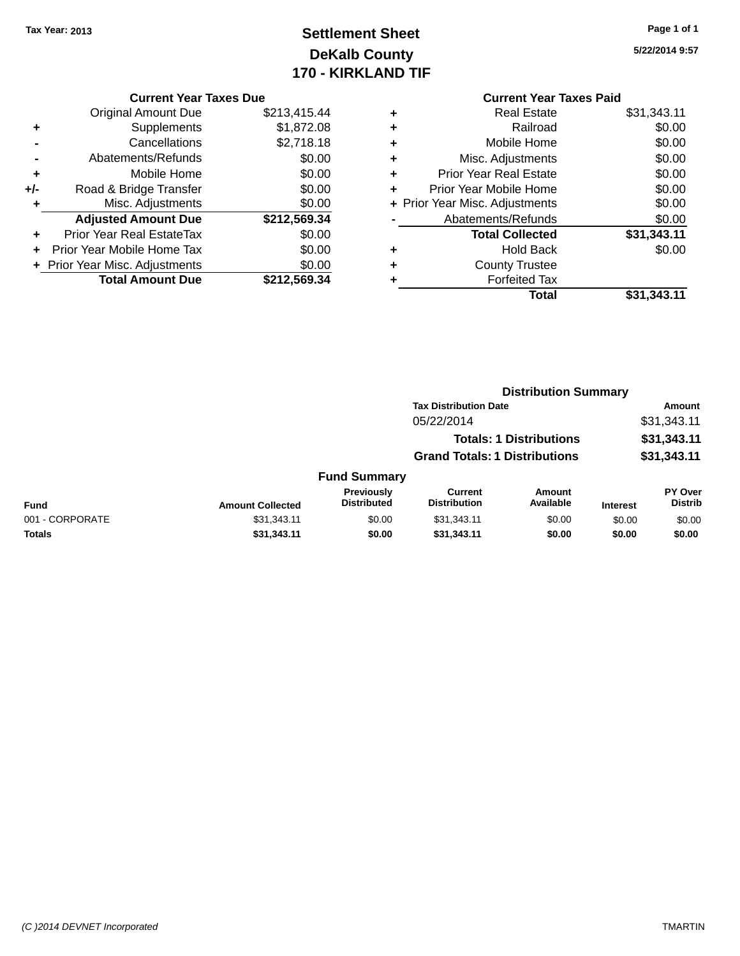# **Settlement Sheet Tax Year: 2013 Page 1 of 1 DeKalb County 170 - KIRKLAND TIF**

# **5/22/2014 9:57**

| <b>Current Year Taxes Due</b> |
|-------------------------------|
|-------------------------------|

|       | <b>Original Amount Due</b>       | \$213,415.44 |
|-------|----------------------------------|--------------|
| ٠     | Supplements                      | \$1,872.08   |
|       | Cancellations                    | \$2,718.18   |
|       | Abatements/Refunds               | \$0.00       |
| ÷     | Mobile Home                      | \$0.00       |
| $+/-$ | Road & Bridge Transfer           | \$0.00       |
| ٠     | Misc. Adjustments                | \$0.00       |
|       | <b>Adjusted Amount Due</b>       | \$212,569.34 |
|       | <b>Prior Year Real EstateTax</b> | \$0.00       |
|       | Prior Year Mobile Home Tax       | \$0.00       |
|       | + Prior Year Misc. Adjustments   | \$0.00       |
|       | <b>Total Amount Due</b>          | \$212,569.34 |

|   | <b>Current Year Taxes Paid</b> |             |
|---|--------------------------------|-------------|
| ٠ | <b>Real Estate</b>             | \$31,343.11 |
|   | Railroad                       | \$0.00      |
| ٠ | Mobile Home                    | \$0.00      |
|   | Misc. Adjustments              | \$0.00      |
| ٠ | <b>Prior Year Real Estate</b>  | \$0.00      |
|   | Prior Year Mobile Home         | \$0.00      |
| ÷ | Prior Year Misc. Adjustments   | \$0.00      |
|   | Abatements/Refunds             | \$0.00      |
|   | <b>Total Collected</b>         | \$31,343.11 |
|   | Hold Back                      | \$0.00      |
|   | <b>County Trustee</b>          |             |
|   | <b>Forfeited Tax</b>           |             |
|   | Total                          | \$31,343.11 |
|   |                                |             |

|                 |                         |                                  |                                      | <b>Distribution Summary</b>    |                 |                                  |
|-----------------|-------------------------|----------------------------------|--------------------------------------|--------------------------------|-----------------|----------------------------------|
|                 |                         |                                  | <b>Tax Distribution Date</b>         |                                |                 | <b>Amount</b>                    |
|                 |                         |                                  | 05/22/2014                           |                                |                 | \$31,343.11                      |
|                 |                         |                                  |                                      | <b>Totals: 1 Distributions</b> |                 | \$31,343.11                      |
|                 |                         |                                  | <b>Grand Totals: 1 Distributions</b> |                                |                 | \$31,343.11                      |
|                 |                         | <b>Fund Summary</b>              |                                      |                                |                 |                                  |
| <b>Fund</b>     | <b>Amount Collected</b> | Previously<br><b>Distributed</b> | Current<br><b>Distribution</b>       | Amount<br>Available            | <b>Interest</b> | <b>PY Over</b><br><b>Distrib</b> |
| 001 - CORPORATE | \$31,343.11             | \$0.00                           | \$31,343.11                          | \$0.00                         | \$0.00          | \$0.00                           |
| <b>Totals</b>   | \$31,343.11             | \$0.00                           | \$31,343.11                          | \$0.00                         | \$0.00          | \$0.00                           |
|                 |                         |                                  |                                      |                                |                 |                                  |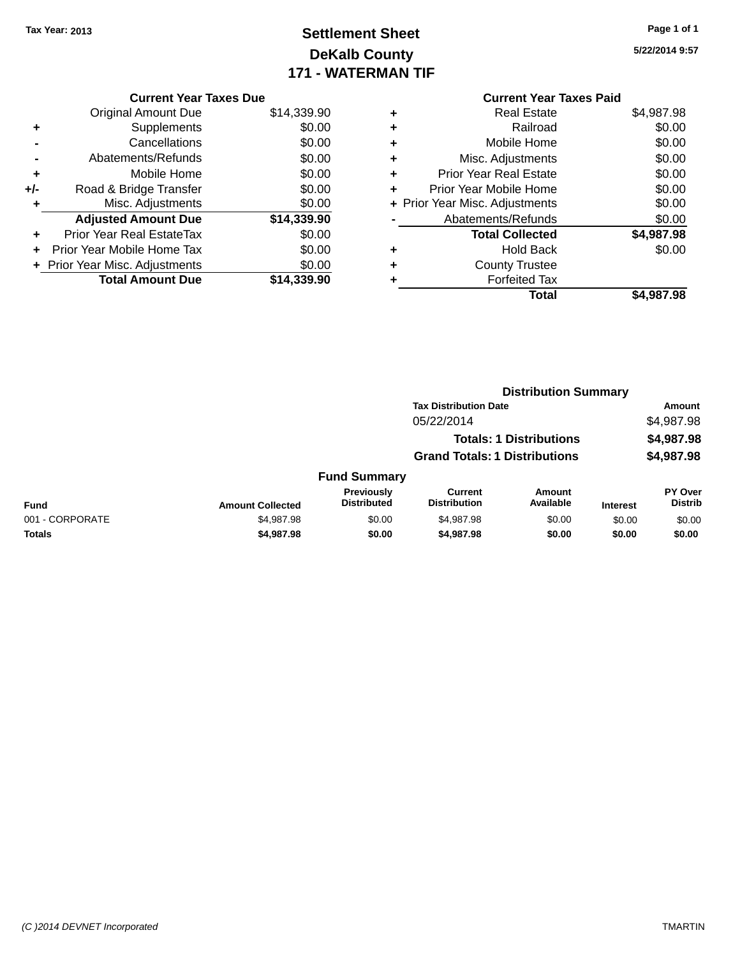# **Settlement Sheet Tax Year: 2013 Page 1 of 1 DeKalb County 171 - WATERMAN TIF**

**5/22/2014 9:57**

|   | <b>Current Year Taxes Paid</b> |            |
|---|--------------------------------|------------|
| ٠ | <b>Real Estate</b>             | \$4,987.98 |
| ٠ | Railroad                       | \$0.00     |
| ٠ | Mobile Home                    | \$0.00     |
| ٠ | Misc. Adjustments              | \$0.00     |
| ٠ | <b>Prior Year Real Estate</b>  | \$0.00     |
| ٠ | Prior Year Mobile Home         | \$0.00     |
|   | + Prior Year Misc. Adjustments | \$0.00     |
|   | Abatements/Refunds             | \$0.00     |
|   | <b>Total Collected</b>         | \$4,987.98 |
| ٠ | <b>Hold Back</b>               | \$0.00     |
| ٠ | <b>County Trustee</b>          |            |
|   | <b>Forfeited Tax</b>           |            |
|   | Total                          | \$4,987.98 |

| <b>Current Year Taxes Due</b>    |             |
|----------------------------------|-------------|
| <b>Original Amount Due</b>       | \$14,339.90 |
| Supplements                      | \$0.00      |
| Cancellations                    | \$0.00      |
| Abatements/Refunds               | \$0.00      |
| Mobile Home                      | \$0.00      |
| Road & Bridge Transfer           | \$0.00      |
| Misc. Adjustments                | \$0.00      |
| <b>Adjusted Amount Due</b>       | \$14,339.90 |
| <b>Prior Year Real EstateTax</b> | \$0.00      |
| Prior Year Mobile Home Tax       | \$0.00      |
| + Prior Year Misc. Adjustments   | \$0.00      |
| <b>Total Amount Due</b>          | \$14.339.90 |
|                                  |             |

|                 |                         |                                  |                                      | <b>Distribution Summary</b>    |                 |                           |
|-----------------|-------------------------|----------------------------------|--------------------------------------|--------------------------------|-----------------|---------------------------|
|                 |                         |                                  | <b>Tax Distribution Date</b>         |                                |                 | <b>Amount</b>             |
|                 |                         |                                  | 05/22/2014                           |                                |                 | \$4,987.98                |
|                 |                         |                                  |                                      | <b>Totals: 1 Distributions</b> |                 | \$4,987.98                |
|                 |                         |                                  | <b>Grand Totals: 1 Distributions</b> |                                |                 | \$4,987.98                |
|                 |                         | <b>Fund Summary</b>              |                                      |                                |                 |                           |
| <b>Fund</b>     | <b>Amount Collected</b> | Previously<br><b>Distributed</b> | Current<br><b>Distribution</b>       | Amount<br>Available            | <b>Interest</b> | PY Over<br><b>Distrib</b> |
| 001 - CORPORATE | \$4,987.98              | \$0.00                           | \$4,987.98                           | \$0.00                         | \$0.00          | \$0.00                    |
| <b>Totals</b>   | \$4,987.98              | \$0.00                           | \$4,987.98                           | \$0.00                         | \$0.00          | \$0.00                    |
|                 |                         |                                  |                                      |                                |                 |                           |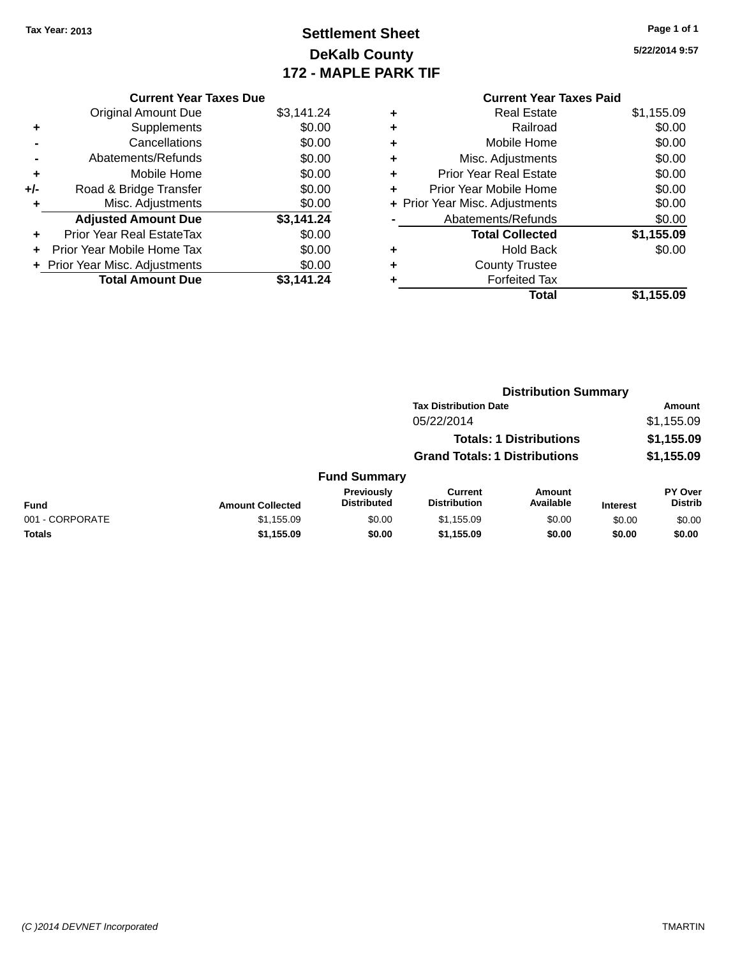# **Settlement Sheet Tax Year: 2013 Page 1 of 1 DeKalb County 172 - MAPLE PARK TIF**

**5/22/2014 9:57**

|     | <b>Current Year Taxes Due</b>  |            |  |  |  |  |
|-----|--------------------------------|------------|--|--|--|--|
|     | <b>Original Amount Due</b>     | \$3,141.24 |  |  |  |  |
| ٠   | Supplements                    | \$0.00     |  |  |  |  |
|     | Cancellations                  | \$0.00     |  |  |  |  |
|     | Abatements/Refunds             | \$0.00     |  |  |  |  |
| ٠   | Mobile Home                    | \$0.00     |  |  |  |  |
| +/- | Road & Bridge Transfer         | \$0.00     |  |  |  |  |
| ٠   | Misc. Adjustments              | \$0.00     |  |  |  |  |
|     | <b>Adjusted Amount Due</b>     | \$3,141.24 |  |  |  |  |
| ٠   | Prior Year Real EstateTax      | \$0.00     |  |  |  |  |
|     | Prior Year Mobile Home Tax     | \$0.00     |  |  |  |  |
|     | + Prior Year Misc. Adjustments | \$0.00     |  |  |  |  |
|     | <b>Total Amount Due</b>        | \$3.141.24 |  |  |  |  |

# **Current Year Taxes Paid +** Real Estate \$1,155.09 **+** Railroad \$0.00 **+** Mobile Home \$0.00 **+** Misc. Adjustments \$0.00 **+** Prior Year Real Estate \$0.00 **+** Prior Year Mobile Home \$0.00 **+ Prior Year Misc. Adjustments**  $$0.00$ **-** Abatements/Refunds \$0.00 **Total Collected \$1,155.09 +** Hold Back \$0.00 **+** County Trustee **+** Forfeited Tax **Total \$1,155.09**

|                 |                         |                                  |                                       | <b>Distribution Summary</b>    |                 |                                  |
|-----------------|-------------------------|----------------------------------|---------------------------------------|--------------------------------|-----------------|----------------------------------|
|                 |                         |                                  | <b>Tax Distribution Date</b>          |                                |                 | Amount                           |
|                 |                         |                                  | 05/22/2014                            |                                |                 | \$1,155.09                       |
|                 |                         |                                  |                                       | <b>Totals: 1 Distributions</b> |                 | \$1,155.09                       |
|                 |                         |                                  | <b>Grand Totals: 1 Distributions</b>  |                                |                 | \$1,155.09                       |
|                 |                         | <b>Fund Summary</b>              |                                       |                                |                 |                                  |
| <b>Fund</b>     | <b>Amount Collected</b> | Previously<br><b>Distributed</b> | <b>Current</b><br><b>Distribution</b> | <b>Amount</b><br>Available     | <b>Interest</b> | <b>PY Over</b><br><b>Distrib</b> |
| 001 - CORPORATE | \$1,155.09              | \$0.00                           | \$1,155.09                            | \$0.00                         | \$0.00          | \$0.00                           |
| Totals          | \$1,155.09              | \$0.00                           | \$1,155.09                            | \$0.00                         | \$0.00          | \$0.00                           |
|                 |                         |                                  |                                       |                                |                 |                                  |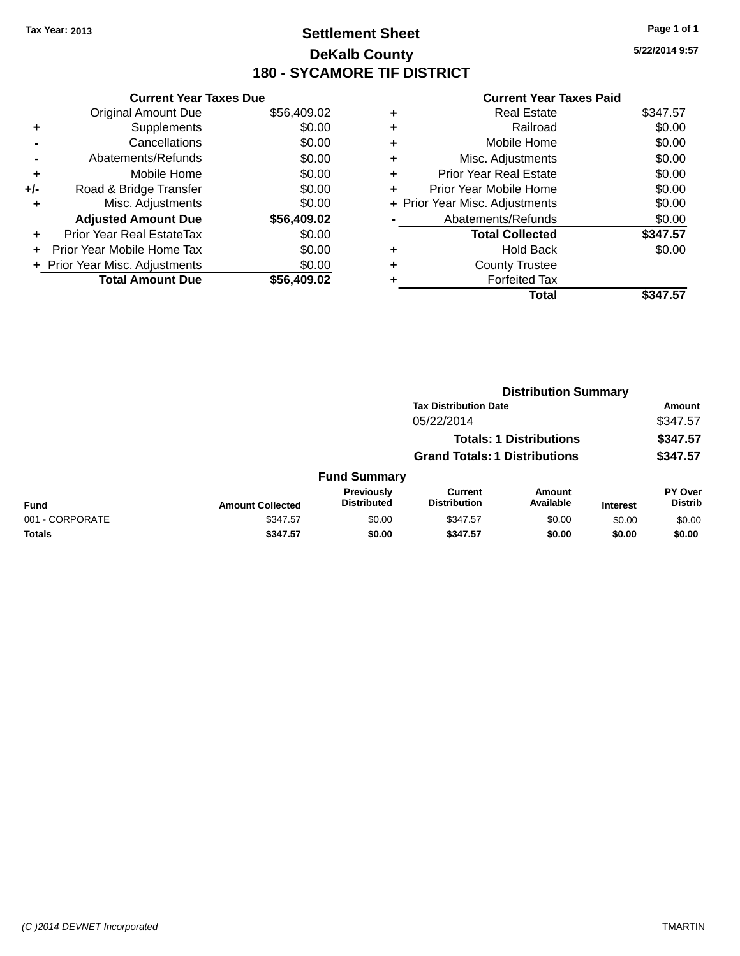# **Settlement Sheet Tax Year: 2013 Page 1 of 1 DeKalb County 180 - SYCAMORE TIF DISTRICT**

**5/22/2014 9:57**

|     | <b>Current Year Taxes Due</b>  |             |
|-----|--------------------------------|-------------|
|     | <b>Original Amount Due</b>     | \$56,409.02 |
| ٠   | Supplements                    | \$0.00      |
|     | Cancellations                  | \$0.00      |
|     | Abatements/Refunds             | \$0.00      |
| ٠   | Mobile Home                    | \$0.00      |
| +/- | Road & Bridge Transfer         | \$0.00      |
|     | Misc. Adjustments              | \$0.00      |
|     | <b>Adjusted Amount Due</b>     | \$56,409.02 |
| ÷   | Prior Year Real EstateTax      | \$0.00      |
| ÷   | Prior Year Mobile Home Tax     | \$0.00      |
|     | + Prior Year Misc. Adjustments | \$0.00      |
|     | <b>Total Amount Due</b>        | \$56.409.02 |

| ٠ | <b>Real Estate</b>             | \$347.57 |
|---|--------------------------------|----------|
| ٠ | Railroad                       | \$0.00   |
| ٠ | Mobile Home                    | \$0.00   |
| ٠ | Misc. Adjustments              | \$0.00   |
| ٠ | <b>Prior Year Real Estate</b>  | \$0.00   |
| ٠ | Prior Year Mobile Home         | \$0.00   |
|   | + Prior Year Misc. Adjustments | \$0.00   |
|   | Abatements/Refunds             | \$0.00   |
|   | <b>Total Collected</b>         | \$347.57 |
| ٠ | <b>Hold Back</b>               | \$0.00   |
| ٠ | <b>County Trustee</b>          |          |
|   | <b>Forfeited Tax</b>           |          |
|   | Total                          | \$347.57 |
|   |                                |          |

|                 |                         |                                  |                                       | <b>Distribution Summary</b>    |                 |                                  |
|-----------------|-------------------------|----------------------------------|---------------------------------------|--------------------------------|-----------------|----------------------------------|
|                 |                         |                                  | <b>Tax Distribution Date</b>          |                                |                 | Amount                           |
|                 |                         |                                  | 05/22/2014                            |                                |                 | \$347.57                         |
|                 |                         |                                  |                                       | <b>Totals: 1 Distributions</b> |                 | \$347.57                         |
|                 |                         |                                  | <b>Grand Totals: 1 Distributions</b>  |                                |                 | \$347.57                         |
|                 |                         | <b>Fund Summary</b>              |                                       |                                |                 |                                  |
| <b>Fund</b>     | <b>Amount Collected</b> | Previously<br><b>Distributed</b> | <b>Current</b><br><b>Distribution</b> | Amount<br>Available            | <b>Interest</b> | <b>PY Over</b><br><b>Distrib</b> |
| 001 - CORPORATE | \$347.57                | \$0.00                           | \$347.57                              | \$0.00                         | \$0.00          | \$0.00                           |
| Totals          | \$347.57                | \$0.00                           | \$347.57                              | \$0.00                         | \$0.00          | \$0.00                           |
|                 |                         |                                  |                                       |                                |                 |                                  |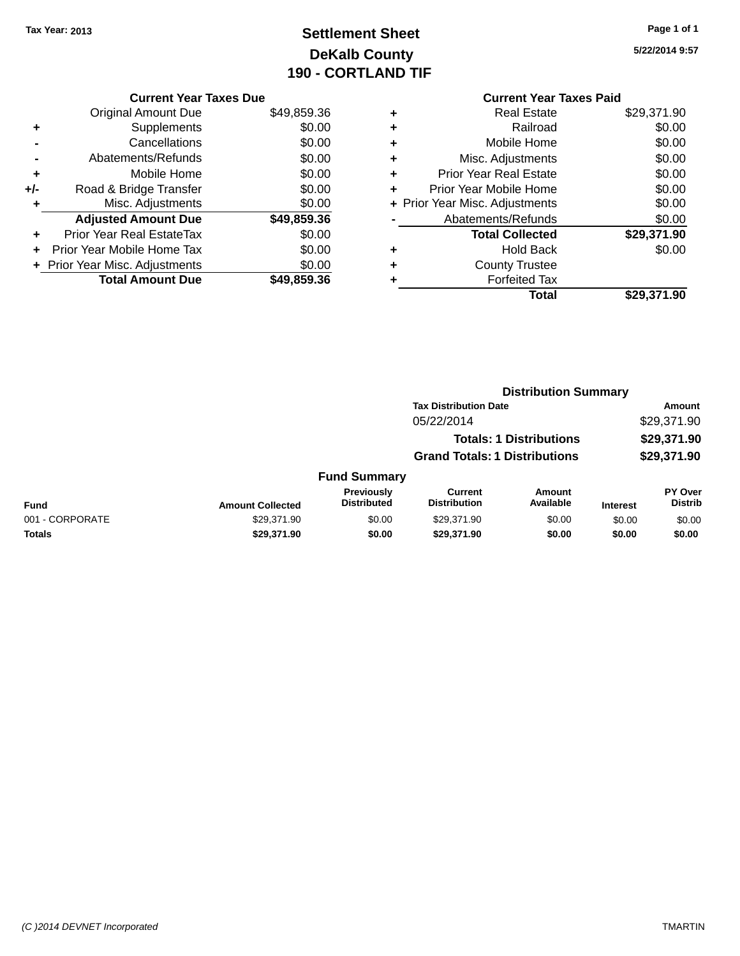# **Settlement Sheet Tax Year: 2013 Page 1 of 1 DeKalb County 190 - CORTLAND TIF**

|     | <b>Current Year Taxes Due</b>  |             |
|-----|--------------------------------|-------------|
|     | <b>Original Amount Due</b>     | \$49,859.36 |
| ٠   | Supplements                    | \$0.00      |
|     | Cancellations                  | \$0.00      |
|     | Abatements/Refunds             | \$0.00      |
| ٠   | Mobile Home                    | \$0.00      |
| +/- | Road & Bridge Transfer         | \$0.00      |
| ٠   | Misc. Adjustments              | \$0.00      |
|     | <b>Adjusted Amount Due</b>     | \$49,859.36 |
| ÷   | Prior Year Real EstateTax      | \$0.00      |
|     | Prior Year Mobile Home Tax     | \$0.00      |
|     | + Prior Year Misc. Adjustments | \$0.00      |
|     | <b>Total Amount Due</b>        | \$49.859.36 |
|     |                                |             |

| ٠ | Prior Year Mobile Home<br>+ Prior Year Misc. Adjustments | \$0.00<br>\$0.00 |
|---|----------------------------------------------------------|------------------|
|   | Abatements/Refunds                                       | \$0.00           |
|   |                                                          |                  |
|   | <b>Total Collected</b>                                   | \$29,371.90      |
|   |                                                          |                  |
|   | Hold Back                                                | \$0.00           |
|   | <b>County Trustee</b>                                    |                  |
|   |                                                          |                  |
|   | <b>Forfeited Tax</b>                                     |                  |

|                 |                         |                                  |                                      | <b>Distribution Summary</b>    |                 |                           |
|-----------------|-------------------------|----------------------------------|--------------------------------------|--------------------------------|-----------------|---------------------------|
|                 |                         |                                  | <b>Tax Distribution Date</b>         |                                |                 | Amount                    |
|                 |                         |                                  | 05/22/2014                           |                                |                 | \$29,371.90               |
|                 |                         |                                  |                                      | <b>Totals: 1 Distributions</b> |                 | \$29,371.90               |
|                 |                         |                                  | <b>Grand Totals: 1 Distributions</b> |                                |                 | \$29,371.90               |
|                 |                         | <b>Fund Summary</b>              |                                      |                                |                 |                           |
| <b>Fund</b>     | <b>Amount Collected</b> | Previously<br><b>Distributed</b> | Current<br><b>Distribution</b>       | Amount<br>Available            | <b>Interest</b> | PY Over<br><b>Distrib</b> |
| 001 - CORPORATE | \$29,371.90             | \$0.00                           | \$29,371.90                          | \$0.00                         | \$0.00          | \$0.00                    |
| Totals          | \$29,371.90             | \$0.00                           | \$29,371.90                          | \$0.00                         | \$0.00          | \$0.00                    |
|                 |                         |                                  |                                      |                                |                 |                           |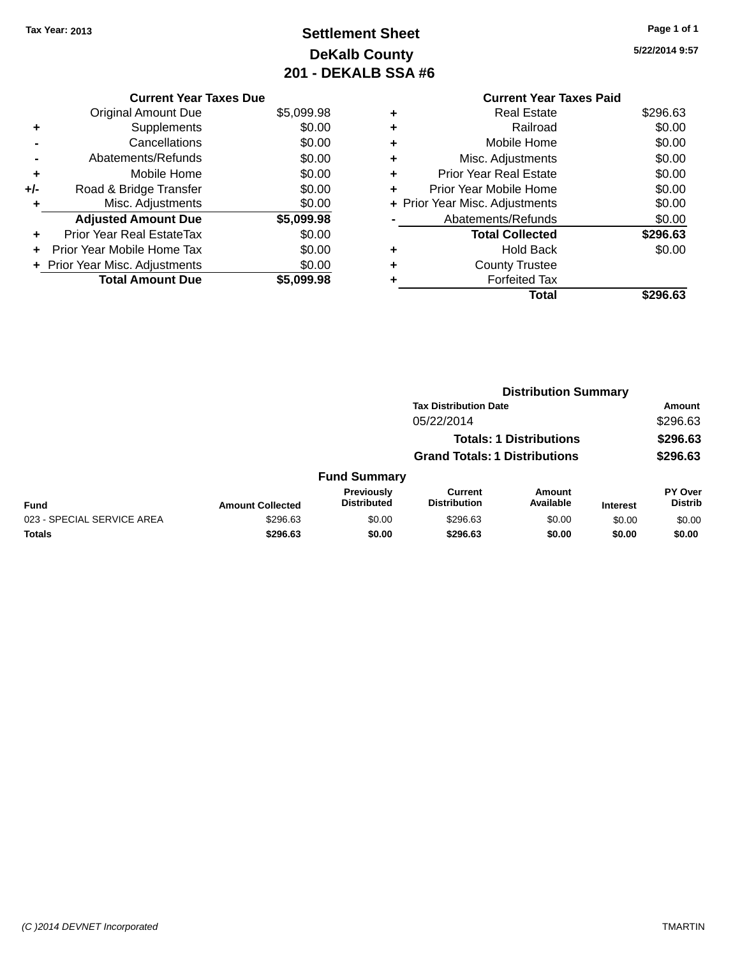# **Settlement Sheet Tax Year: 2013 Page 1 of 1 DeKalb County 201 - DEKALB SSA #6**

|     | <b>Current Year Taxes Due</b>  |            |
|-----|--------------------------------|------------|
|     | <b>Original Amount Due</b>     | \$5,099.98 |
| ٠   | Supplements                    | \$0.00     |
|     | Cancellations                  | \$0.00     |
|     | Abatements/Refunds             | \$0.00     |
| ٠   | Mobile Home                    | \$0.00     |
| +/- | Road & Bridge Transfer         | \$0.00     |
| ٠   | Misc. Adjustments              | \$0.00     |
|     | <b>Adjusted Amount Due</b>     | \$5,099.98 |
| ٠   | Prior Year Real EstateTax      | \$0.00     |
|     | Prior Year Mobile Home Tax     | \$0.00     |
|     | + Prior Year Misc. Adjustments | \$0.00     |
|     | <b>Total Amount Due</b>        | \$5.099.98 |

|   | <b>Current Year Taxes Paid</b> |          |
|---|--------------------------------|----------|
| ٠ | Real Estate                    | \$296.63 |
| ٠ | Railroad                       | \$0.00   |
|   | Mobile Home                    | \$0.00   |
| ٠ | Misc. Adjustments              | \$0.00   |
| ٠ | <b>Prior Year Real Estate</b>  | \$0.00   |
| ٠ | Prior Year Mobile Home         | \$0.00   |
|   | + Prior Year Misc. Adjustments | \$0.00   |
|   | Abatements/Refunds             | \$0.00   |
|   | <b>Total Collected</b>         | \$296.63 |
| ٠ | <b>Hold Back</b>               | \$0.00   |
|   | <b>County Trustee</b>          |          |
|   | <b>Forfeited Tax</b>           |          |
|   | Total                          | \$296.63 |
|   |                                |          |

|                            |                         |                                  |                                       | <b>Distribution Summary</b>    |                 |                           |
|----------------------------|-------------------------|----------------------------------|---------------------------------------|--------------------------------|-----------------|---------------------------|
|                            |                         |                                  | <b>Tax Distribution Date</b>          |                                |                 | <b>Amount</b>             |
|                            |                         |                                  | 05/22/2014                            |                                |                 | \$296.63                  |
|                            |                         |                                  |                                       | <b>Totals: 1 Distributions</b> |                 | \$296.63                  |
|                            |                         |                                  | <b>Grand Totals: 1 Distributions</b>  |                                |                 | \$296.63                  |
|                            |                         | <b>Fund Summary</b>              |                                       |                                |                 |                           |
| <b>Fund</b>                | <b>Amount Collected</b> | Previously<br><b>Distributed</b> | <b>Current</b><br><b>Distribution</b> | Amount<br>Available            | <b>Interest</b> | PY Over<br><b>Distrib</b> |
| 023 - SPECIAL SERVICE AREA | \$296.63                | \$0.00                           | \$296.63                              | \$0.00                         | \$0.00          | \$0.00                    |
| <b>Totals</b>              | \$296.63                | \$0.00                           | \$296.63                              | \$0.00                         | \$0.00          | \$0.00                    |
|                            |                         |                                  |                                       |                                |                 |                           |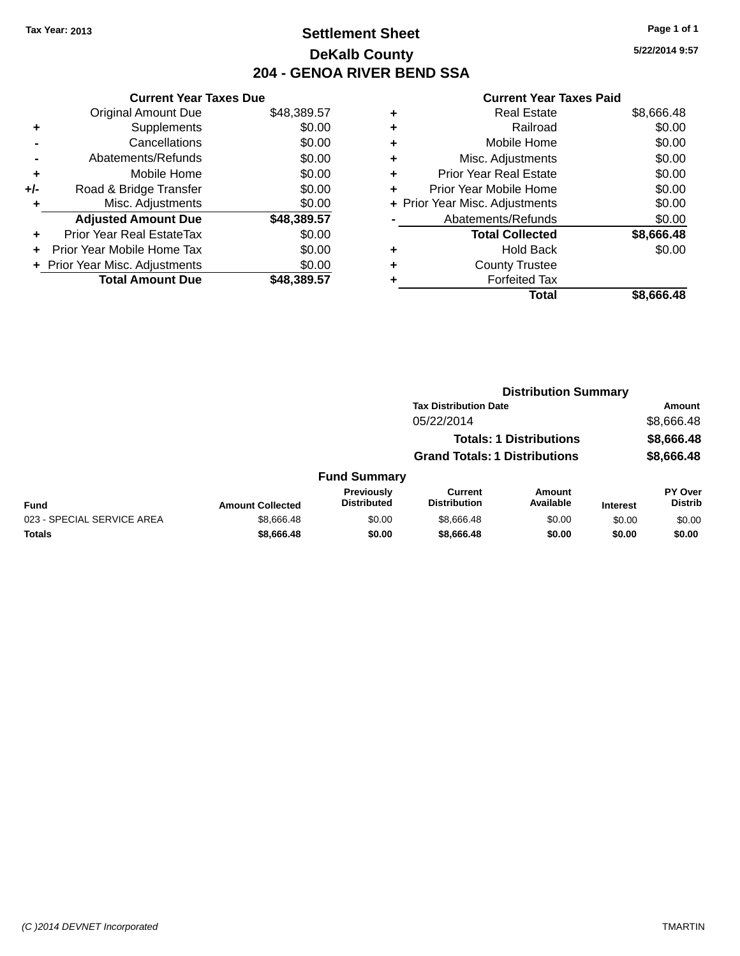# **Settlement Sheet Tax Year: 2013 Page 1 of 1 DeKalb County 204 - GENOA RIVER BEND SSA**

|     | <b>Current Year Taxes Due</b>  |             |
|-----|--------------------------------|-------------|
|     | <b>Original Amount Due</b>     | \$48,389.57 |
| ٠   | Supplements                    | \$0.00      |
|     | Cancellations                  | \$0.00      |
|     | Abatements/Refunds             | \$0.00      |
| ٠   | Mobile Home                    | \$0.00      |
| +/- | Road & Bridge Transfer         | \$0.00      |
| ٠   | Misc. Adjustments              | \$0.00      |
|     | <b>Adjusted Amount Due</b>     | \$48,389.57 |
| ÷   | Prior Year Real EstateTax      | \$0.00      |
|     | Prior Year Mobile Home Tax     | \$0.00      |
|     | + Prior Year Misc. Adjustments | \$0.00      |
|     | <b>Total Amount Due</b>        | \$48,389.57 |

|   | <b>Real Estate</b>             | \$8,666.48 |
|---|--------------------------------|------------|
| ÷ | Railroad                       | \$0.00     |
| ٠ | Mobile Home                    | \$0.00     |
| ٠ | Misc. Adjustments              | \$0.00     |
|   | <b>Prior Year Real Estate</b>  | \$0.00     |
|   | Prior Year Mobile Home         | \$0.00     |
|   | + Prior Year Misc. Adjustments | \$0.00     |
|   | Abatements/Refunds             | \$0.00     |
|   | <b>Total Collected</b>         | \$8,666.48 |
|   | <b>Hold Back</b>               | \$0.00     |
|   | <b>County Trustee</b>          |            |
|   | <b>Forfeited Tax</b>           |            |
|   | Total                          | \$8,666.48 |
|   |                                |            |

|              | <b>Distribution Summary</b>          |                                |                |  |  |
|--------------|--------------------------------------|--------------------------------|----------------|--|--|
|              | <b>Tax Distribution Date</b>         |                                | Amount         |  |  |
|              | 05/22/2014                           |                                | \$8,666.48     |  |  |
|              |                                      | <b>Totals: 1 Distributions</b> | \$8,666.48     |  |  |
|              | <b>Grand Totals: 1 Distributions</b> |                                | \$8,666.48     |  |  |
| Fund Summary |                                      |                                |                |  |  |
| Previously   | <b>Current</b>                       | <b>Amount</b>                  | <b>PY Over</b> |  |  |

| <b>Fund</b>                | <b>Amount Collected</b> | <b>Previously</b><br><b>Distributed</b> | Current<br><b>Distribution</b> | Amount<br>Available | <b>Interest</b> | <b>PY Over</b><br><b>Distrib</b> |
|----------------------------|-------------------------|-----------------------------------------|--------------------------------|---------------------|-----------------|----------------------------------|
| 023 - SPECIAL SERVICE AREA | \$8.666.48              | \$0.00                                  | \$8.666.48                     | \$0.00              | \$0.00          | \$0.00                           |
| <b>Totals</b>              | \$8,666,48              | \$0.00                                  | \$8,666,48                     | \$0.00              | \$0.00          | \$0.00                           |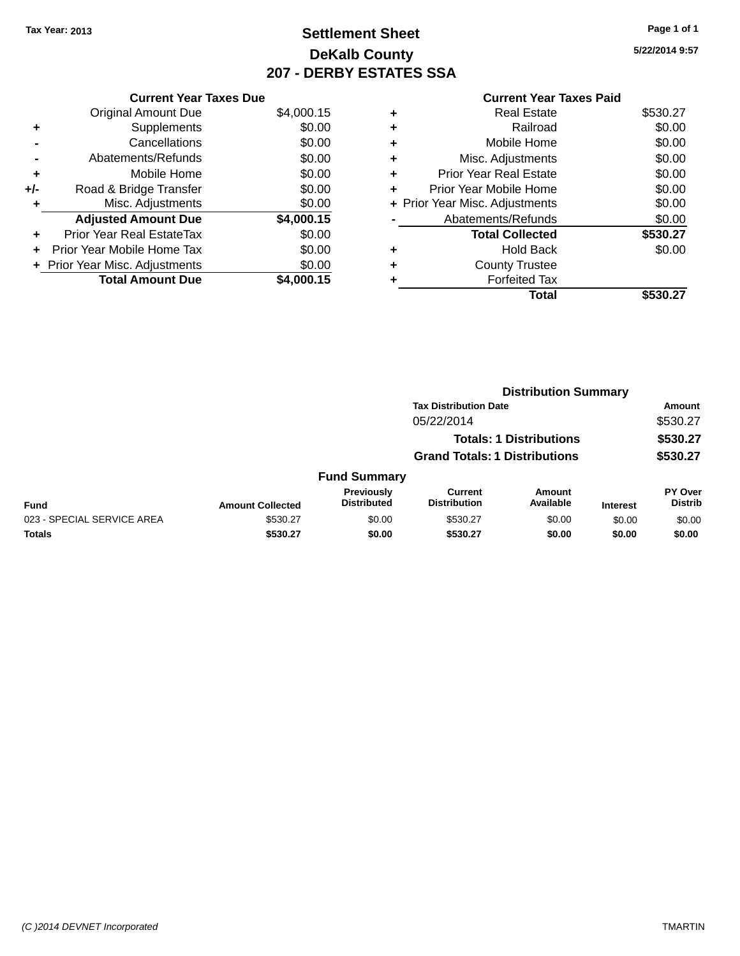# **Settlement Sheet Tax Year: 2013 Page 1 of 1 DeKalb County 207 - DERBY ESTATES SSA**

**5/22/2014 9:57**

|     | <b>Current Year Taxes Due</b>     |            |  |  |  |  |
|-----|-----------------------------------|------------|--|--|--|--|
|     | <b>Original Amount Due</b>        | \$4,000.15 |  |  |  |  |
| ٠   | Supplements                       | \$0.00     |  |  |  |  |
|     | Cancellations                     | \$0.00     |  |  |  |  |
|     | Abatements/Refunds                | \$0.00     |  |  |  |  |
| ٠   | Mobile Home                       | \$0.00     |  |  |  |  |
| +/- | Road & Bridge Transfer            | \$0.00     |  |  |  |  |
|     | Misc. Adjustments                 | \$0.00     |  |  |  |  |
|     | <b>Adjusted Amount Due</b>        | \$4,000.15 |  |  |  |  |
| ÷   | Prior Year Real EstateTax         | \$0.00     |  |  |  |  |
| ÷   | <b>Prior Year Mobile Home Tax</b> | \$0.00     |  |  |  |  |
|     | + Prior Year Misc. Adjustments    | \$0.00     |  |  |  |  |
|     | <b>Total Amount Due</b>           | \$4,000.15 |  |  |  |  |
|     |                                   |            |  |  |  |  |

## **Current Year Taxes Paid +** Real Estate \$530.27 **+** Railroad \$0.00 **+** Mobile Home \$0.00 **+** Misc. Adjustments \$0.00 **+** Prior Year Real Estate \$0.00

|           | Total                          | \$530.27 |
|-----------|--------------------------------|----------|
|           | <b>Forfeited Tax</b>           |          |
| $\ddot{}$ | <b>County Trustee</b>          |          |
| $\ddot{}$ | <b>Hold Back</b>               | \$0.00   |
|           | <b>Total Collected</b>         | \$530.27 |
|           | Abatements/Refunds             | \$0.00   |
|           | + Prior Year Misc. Adjustments | \$0.00   |
| $\ddot{}$ | Prior Year Mobile Home         | \$0.00   |

|                            |                         | <b>Distribution Summary</b>      |                                       |                                |                 |                           |
|----------------------------|-------------------------|----------------------------------|---------------------------------------|--------------------------------|-----------------|---------------------------|
|                            |                         |                                  | <b>Tax Distribution Date</b>          |                                |                 | <b>Amount</b>             |
|                            |                         |                                  | 05/22/2014                            |                                |                 | \$530.27                  |
|                            |                         |                                  |                                       | <b>Totals: 1 Distributions</b> |                 | \$530.27                  |
|                            |                         |                                  | <b>Grand Totals: 1 Distributions</b>  |                                |                 | \$530.27                  |
|                            |                         | <b>Fund Summary</b>              |                                       |                                |                 |                           |
| <b>Fund</b>                | <b>Amount Collected</b> | Previously<br><b>Distributed</b> | <b>Current</b><br><b>Distribution</b> | <b>Amount</b><br>Available     | <b>Interest</b> | PY Over<br><b>Distrib</b> |
| 023 - SPECIAL SERVICE AREA | \$530.27                | \$0.00                           | \$530.27                              | \$0.00                         | \$0.00          | \$0.00                    |
| <b>Totals</b>              | \$530.27                | \$0.00                           | \$530.27                              | \$0.00                         | \$0.00          | \$0.00                    |
|                            |                         |                                  |                                       |                                |                 |                           |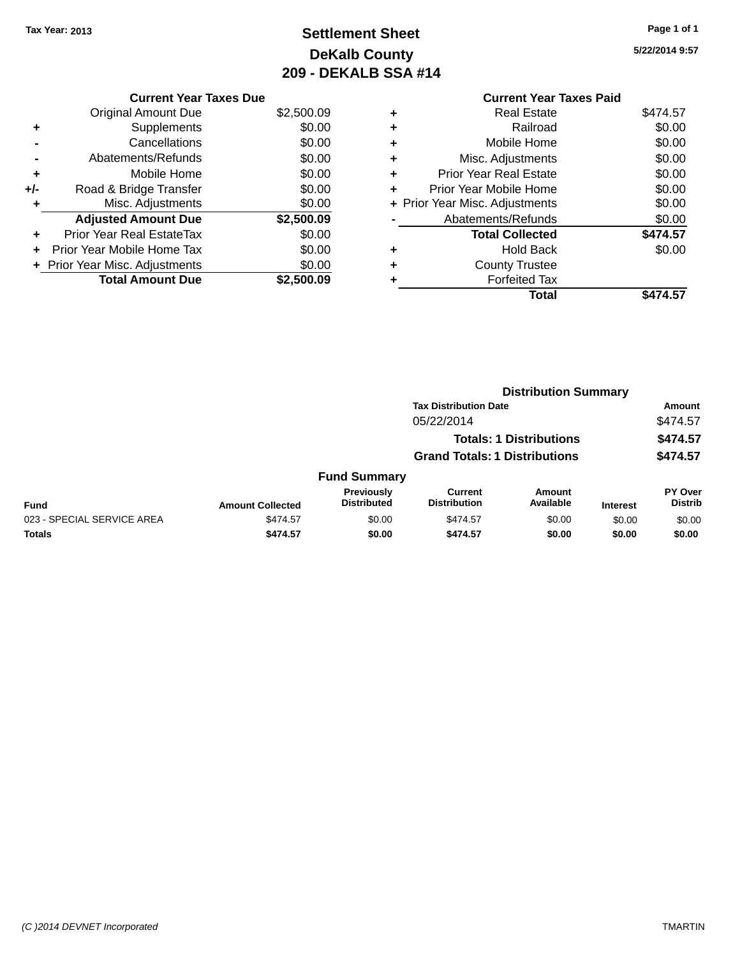# **Settlement Sheet Tax Year: 2013 Page 1 of 1 DeKalb County 209 - DEKALB SSA #14**

|     | <b>Current Year Taxes Due</b>  |            |  |  |  |  |
|-----|--------------------------------|------------|--|--|--|--|
|     | <b>Original Amount Due</b>     | \$2,500.09 |  |  |  |  |
| ٠   | Supplements                    | \$0.00     |  |  |  |  |
|     | Cancellations                  | \$0.00     |  |  |  |  |
|     | Abatements/Refunds             | \$0.00     |  |  |  |  |
| ٠   | Mobile Home                    | \$0.00     |  |  |  |  |
| +/- | Road & Bridge Transfer         | \$0.00     |  |  |  |  |
|     | Misc. Adjustments              | \$0.00     |  |  |  |  |
|     | <b>Adjusted Amount Due</b>     | \$2,500.09 |  |  |  |  |
| ٠   | Prior Year Real EstateTax      | \$0.00     |  |  |  |  |
|     | Prior Year Mobile Home Tax     | \$0.00     |  |  |  |  |
|     | + Prior Year Misc. Adjustments | \$0.00     |  |  |  |  |
|     | <b>Total Amount Due</b>        | \$2,500.09 |  |  |  |  |

|   | <b>Current Year Taxes Paid</b> |          |
|---|--------------------------------|----------|
| ٠ | <b>Real Estate</b>             | \$474.57 |
| ٠ | Railroad                       | \$0.00   |
| ٠ | Mobile Home                    | \$0.00   |
| ٠ | Misc. Adjustments              | \$0.00   |
| ٠ | <b>Prior Year Real Estate</b>  | \$0.00   |
| ٠ | Prior Year Mobile Home         | \$0.00   |
|   | + Prior Year Misc. Adjustments | \$0.00   |
|   | Abatements/Refunds             | \$0.00   |
|   | <b>Total Collected</b>         | \$474.57 |
| ٠ | <b>Hold Back</b>               | \$0.00   |
|   | <b>County Trustee</b>          |          |
| ٠ | <b>Forfeited Tax</b>           |          |
|   | Total                          | \$474.57 |
|   |                                |          |

|                            |                         | <b>Distribution Summary</b>      |                                      |                                |                 |                           |
|----------------------------|-------------------------|----------------------------------|--------------------------------------|--------------------------------|-----------------|---------------------------|
|                            |                         |                                  | <b>Tax Distribution Date</b>         |                                |                 | Amount                    |
|                            |                         |                                  | 05/22/2014                           |                                |                 | \$474.57                  |
|                            |                         |                                  |                                      | <b>Totals: 1 Distributions</b> |                 | \$474.57                  |
|                            |                         |                                  | <b>Grand Totals: 1 Distributions</b> |                                |                 | \$474.57                  |
|                            |                         | <b>Fund Summary</b>              |                                      |                                |                 |                           |
| <b>Fund</b>                | <b>Amount Collected</b> | Previously<br><b>Distributed</b> | Current<br><b>Distribution</b>       | Amount<br>Available            | <b>Interest</b> | PY Over<br><b>Distrib</b> |
| 023 - SPECIAL SERVICE AREA | \$474.57                | \$0.00                           | \$474.57                             | \$0.00                         | \$0.00          | \$0.00                    |
| <b>Totals</b>              | \$474.57                | \$0.00                           | \$474.57                             | \$0.00                         | \$0.00          | \$0.00                    |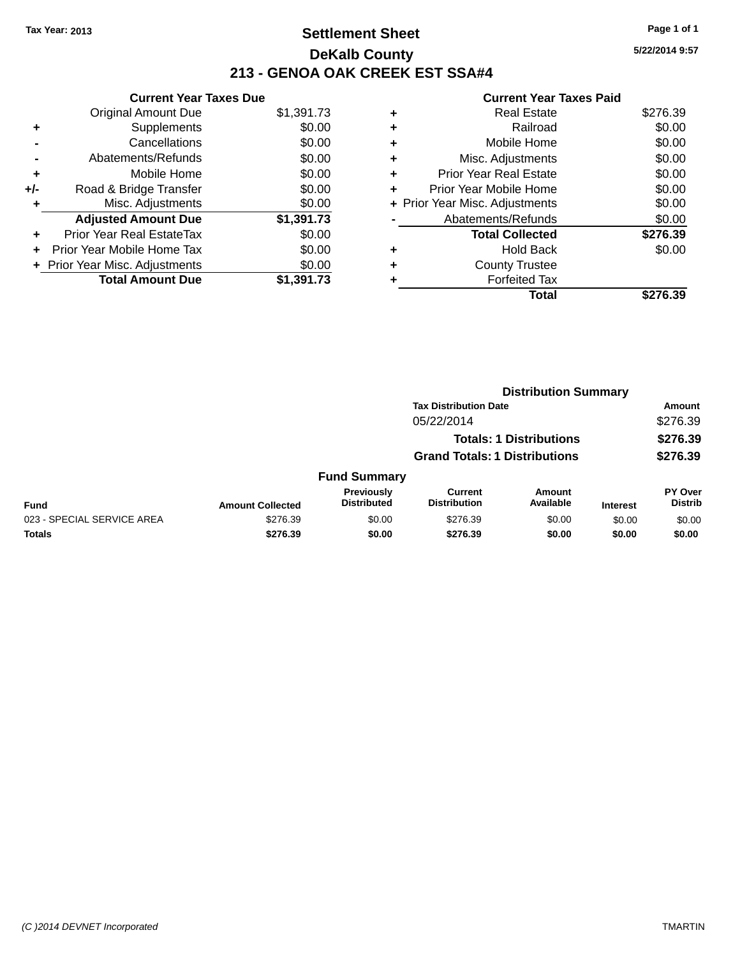# **Settlement Sheet Tax Year: 2013 Page 1 of 1 DeKalb County 213 - GENOA OAK CREEK EST SSA#4**

**5/22/2014 9:57**

|     | <b>Current Year Taxes Due</b>  |            |  |  |  |  |  |
|-----|--------------------------------|------------|--|--|--|--|--|
|     | <b>Original Amount Due</b>     | \$1,391.73 |  |  |  |  |  |
| ٠   | Supplements                    | \$0.00     |  |  |  |  |  |
|     | Cancellations                  | \$0.00     |  |  |  |  |  |
|     | Abatements/Refunds             | \$0.00     |  |  |  |  |  |
| ٠   | Mobile Home                    | \$0.00     |  |  |  |  |  |
| +/- | Road & Bridge Transfer         | \$0.00     |  |  |  |  |  |
|     | Misc. Adjustments              | \$0.00     |  |  |  |  |  |
|     | <b>Adjusted Amount Due</b>     | \$1,391.73 |  |  |  |  |  |
| ÷   | Prior Year Real EstateTax      | \$0.00     |  |  |  |  |  |
| ÷   | Prior Year Mobile Home Tax     | \$0.00     |  |  |  |  |  |
|     | + Prior Year Misc. Adjustments | \$0.00     |  |  |  |  |  |
|     | <b>Total Amount Due</b>        | \$1.391.73 |  |  |  |  |  |

|   | Real Estate                    | \$276.39 |
|---|--------------------------------|----------|
| ٠ | Railroad                       | \$0.00   |
| ٠ | Mobile Home                    | \$0.00   |
| ٠ | Misc. Adjustments              | \$0.00   |
| ٠ | <b>Prior Year Real Estate</b>  | \$0.00   |
| ٠ | Prior Year Mobile Home         | \$0.00   |
|   | + Prior Year Misc. Adjustments | \$0.00   |
|   | Abatements/Refunds             | \$0.00   |
|   | <b>Total Collected</b>         | \$276.39 |
| ٠ | <b>Hold Back</b>               | \$0.00   |
|   | <b>County Trustee</b>          |          |
| ٠ | <b>Forfeited Tax</b>           |          |
|   | Total                          | \$276.39 |
|   |                                |          |

|                            |                         | <b>Distribution Summary</b>      |                                      |                                |                 |                                  |
|----------------------------|-------------------------|----------------------------------|--------------------------------------|--------------------------------|-----------------|----------------------------------|
|                            |                         |                                  | <b>Tax Distribution Date</b>         |                                |                 | Amount                           |
|                            |                         |                                  | 05/22/2014                           |                                |                 | \$276.39                         |
|                            |                         |                                  |                                      | <b>Totals: 1 Distributions</b> |                 | \$276.39                         |
|                            |                         |                                  | <b>Grand Totals: 1 Distributions</b> |                                |                 | \$276.39                         |
|                            |                         | <b>Fund Summary</b>              |                                      |                                |                 |                                  |
| <b>Fund</b>                | <b>Amount Collected</b> | Previously<br><b>Distributed</b> | Current<br><b>Distribution</b>       | Amount<br>Available            | <b>Interest</b> | <b>PY Over</b><br><b>Distrib</b> |
| 023 - SPECIAL SERVICE AREA | \$276.39                | \$0.00                           | \$276.39                             | \$0.00                         | \$0.00          | \$0.00                           |
| <b>Totals</b>              | \$276.39                | \$0.00                           | \$276.39                             | \$0.00                         | \$0.00          | \$0.00                           |
|                            |                         |                                  |                                      |                                |                 |                                  |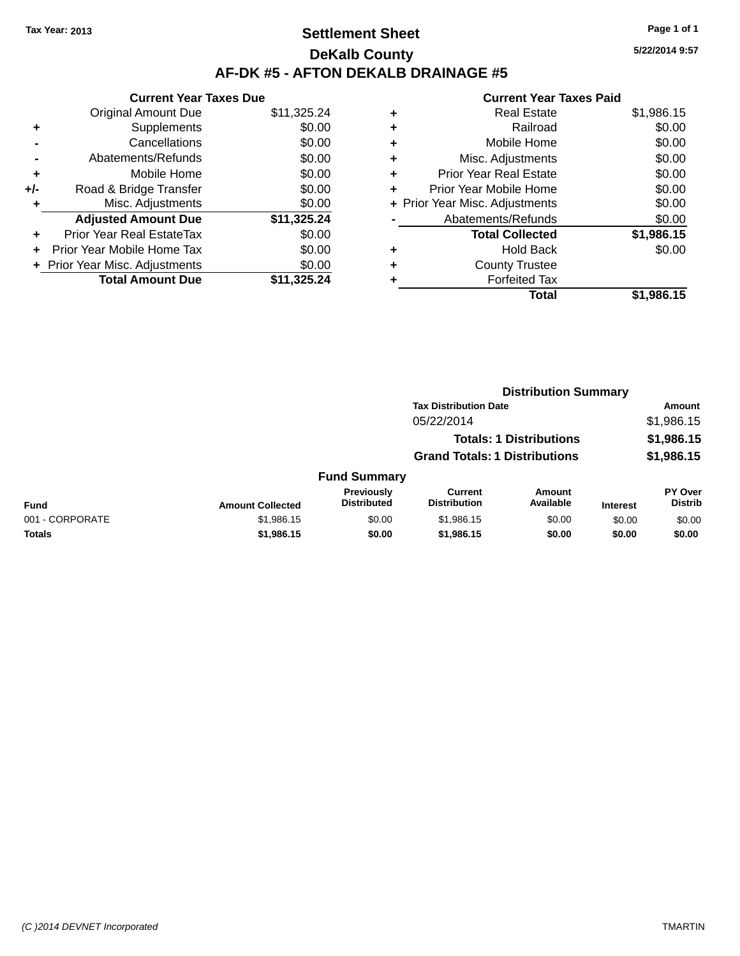# **Settlement Sheet Tax Year: 2013 Page 1 of 1 DeKalb County AF-DK #5 - AFTON DEKALB DRAINAGE #5**

|       | <b>Current Year Taxes Due</b>  |             |
|-------|--------------------------------|-------------|
|       | <b>Original Amount Due</b>     | \$11,325.24 |
| ٠     | Supplements                    | \$0.00      |
|       | Cancellations                  | \$0.00      |
|       | Abatements/Refunds             | \$0.00      |
| ٠     | Mobile Home                    | \$0.00      |
| $+/-$ | Road & Bridge Transfer         | \$0.00      |
| ٠     | Misc. Adjustments              | \$0.00      |
|       | <b>Adjusted Amount Due</b>     | \$11,325.24 |
| ٠     | Prior Year Real EstateTax      | \$0.00      |
|       | Prior Year Mobile Home Tax     | \$0.00      |
|       | + Prior Year Misc. Adjustments | \$0.00      |
|       | <b>Total Amount Due</b>        | \$11,325.24 |

## **Current Year Taxes Paid +** Real Estate \$1,986.15 **+** Railroad \$0.00 **+** Mobile Home \$0.00 **+** Misc. Adjustments \$0.00 **+** Prior Year Real Estate \$0.00 **+** Prior Year Mobile Home \$0.00 **+ Prior Year Misc. Adjustments**  $$0.00$ **-** Abatements/Refunds \$0.00 **Total Collected \$1,986.15 +** Hold Back \$0.00 **+** County Trustee **+** Forfeited Tax **Total \$1,986.15**

|                 |                         |                                  | <b>Distribution Summary</b>           |                                |                 |                                  |
|-----------------|-------------------------|----------------------------------|---------------------------------------|--------------------------------|-----------------|----------------------------------|
|                 |                         |                                  | <b>Tax Distribution Date</b>          |                                |                 | Amount                           |
|                 |                         |                                  | 05/22/2014                            |                                |                 | \$1,986.15                       |
|                 |                         |                                  |                                       | <b>Totals: 1 Distributions</b> |                 | \$1,986.15                       |
|                 |                         |                                  | <b>Grand Totals: 1 Distributions</b>  |                                |                 | \$1,986.15                       |
|                 |                         | <b>Fund Summary</b>              |                                       |                                |                 |                                  |
| <b>Fund</b>     | <b>Amount Collected</b> | Previously<br><b>Distributed</b> | <b>Current</b><br><b>Distribution</b> | Amount<br>Available            | <b>Interest</b> | <b>PY Over</b><br><b>Distrib</b> |
| 001 - CORPORATE | \$1,986.15              | \$0.00                           | \$1,986.15                            | \$0.00                         | \$0.00          | \$0.00                           |
| <b>Totals</b>   | \$1,986.15              | \$0.00                           | \$1,986.15                            | \$0.00                         | \$0.00          | \$0.00                           |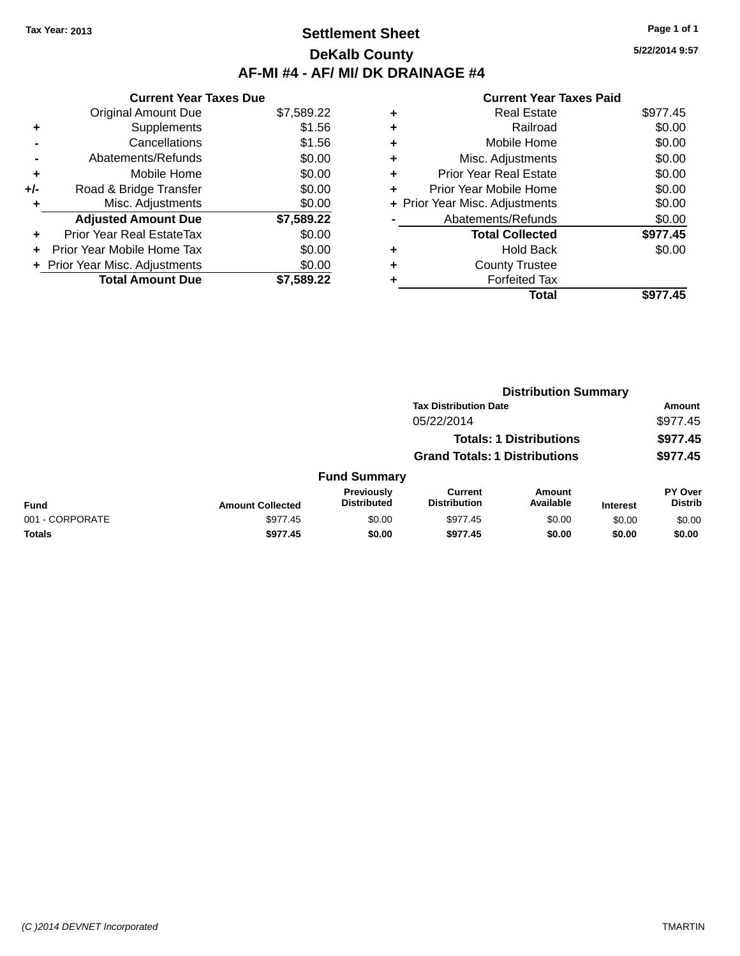# **Settlement Sheet Tax Year: 2013 Page 1 of 1 DeKalb County AF-MI #4 - AF/ MI/ DK DRAINAGE #4**

**5/22/2014 9:57**

|     | <b>Current Year Taxes Due</b>    |            |
|-----|----------------------------------|------------|
|     | <b>Original Amount Due</b>       | \$7,589.22 |
| ٠   | Supplements                      | \$1.56     |
|     | Cancellations                    | \$1.56     |
|     | Abatements/Refunds               | \$0.00     |
| ٠   | Mobile Home                      | \$0.00     |
| +/- | Road & Bridge Transfer           | \$0.00     |
|     | Misc. Adjustments                | \$0.00     |
|     | <b>Adjusted Amount Due</b>       | \$7,589.22 |
| ÷   | <b>Prior Year Real EstateTax</b> | \$0.00     |
| ÷   | Prior Year Mobile Home Tax       | \$0.00     |
|     | + Prior Year Misc. Adjustments   | \$0.00     |
|     | <b>Total Amount Due</b>          | \$7,589.22 |

|   | Total                          | \$977.45 |
|---|--------------------------------|----------|
|   | <b>Forfeited Tax</b>           |          |
| ٠ | <b>County Trustee</b>          |          |
| ٠ | Hold Back                      | \$0.00   |
|   | <b>Total Collected</b>         | \$977.45 |
|   | Abatements/Refunds             | \$0.00   |
|   | + Prior Year Misc. Adjustments | \$0.00   |
| ٠ | Prior Year Mobile Home         | \$0.00   |
| ÷ | <b>Prior Year Real Estate</b>  | \$0.00   |
| ٠ | Misc. Adjustments              | \$0.00   |
| ٠ | Mobile Home                    | \$0.00   |
| ٠ | Railroad                       | \$0.00   |
| ٠ | <b>Real Estate</b>             | \$977.45 |
|   |                                |          |

|                 |                         |                                  | <b>Distribution Summary</b>          |                                |                 |                           |
|-----------------|-------------------------|----------------------------------|--------------------------------------|--------------------------------|-----------------|---------------------------|
|                 |                         |                                  | <b>Tax Distribution Date</b>         |                                |                 | Amount                    |
|                 |                         |                                  | 05/22/2014                           |                                |                 | \$977.45                  |
|                 |                         |                                  |                                      | <b>Totals: 1 Distributions</b> |                 | \$977.45                  |
|                 |                         |                                  | <b>Grand Totals: 1 Distributions</b> |                                |                 | \$977.45                  |
|                 |                         | <b>Fund Summary</b>              |                                      |                                |                 |                           |
| <b>Fund</b>     | <b>Amount Collected</b> | Previously<br><b>Distributed</b> | Current<br><b>Distribution</b>       | <b>Amount</b><br>Available     | <b>Interest</b> | PY Over<br><b>Distrib</b> |
| 001 - CORPORATE | \$977.45                | \$0.00                           | \$977.45                             | \$0.00                         | \$0.00          | \$0.00                    |
| <b>Totals</b>   | \$977.45                | \$0.00                           | \$977.45                             | \$0.00                         | \$0.00          | \$0.00                    |
|                 |                         |                                  |                                      |                                |                 |                           |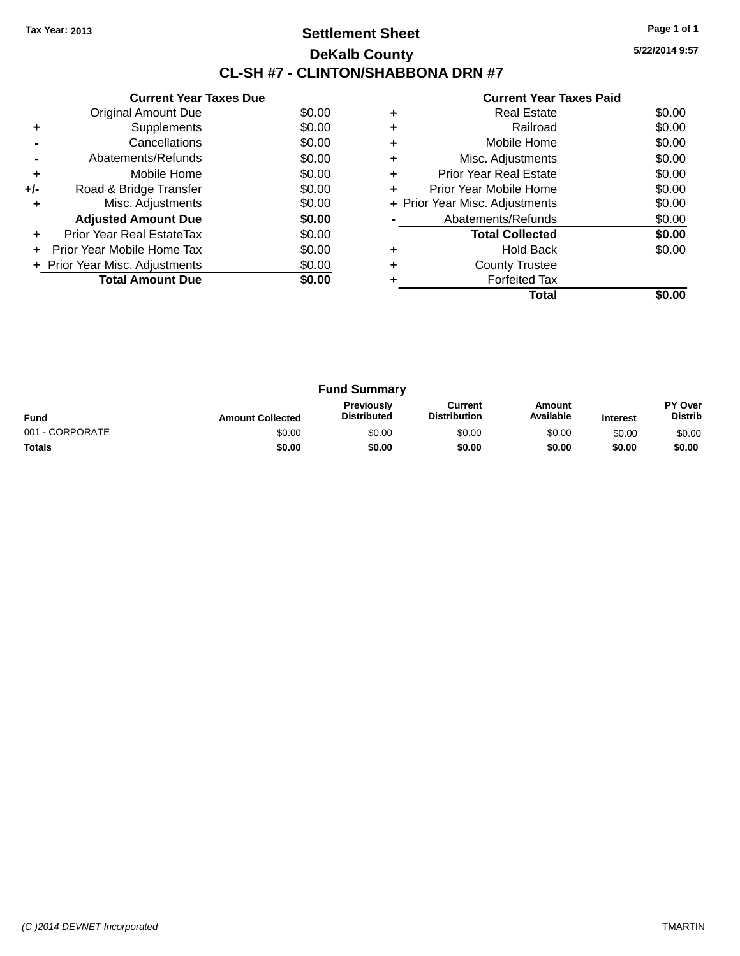# **Settlement Sheet Tax Year: 2013 Page 1 of 1 DeKalb County CL-SH #7 - CLINTON/SHABBONA DRN #7**

**5/22/2014 9:57**

|     | <b>Current Year Taxes Due</b>  |        |
|-----|--------------------------------|--------|
|     | Original Amount Due            | \$0.00 |
| ٠   | Supplements                    | \$0.00 |
|     | Cancellations                  | \$0.00 |
|     | Abatements/Refunds             | \$0.00 |
| ٠   | Mobile Home                    | \$0.00 |
| +/- | Road & Bridge Transfer         | \$0.00 |
| ٠   | Misc. Adjustments              | \$0.00 |
|     | <b>Adjusted Amount Due</b>     | \$0.00 |
| ٠   | Prior Year Real EstateTax      | \$0.00 |
| ÷   | Prior Year Mobile Home Tax     | \$0.00 |
|     | + Prior Year Misc. Adjustments | \$0.00 |
|     | <b>Total Amount Due</b>        | \$0.00 |
|     |                                |        |

|   | <b>Real Estate</b>             | \$0.00 |
|---|--------------------------------|--------|
|   | Railroad                       | \$0.00 |
| ٠ | Mobile Home                    | \$0.00 |
| ٠ | Misc. Adjustments              | \$0.00 |
| ٠ | <b>Prior Year Real Estate</b>  | \$0.00 |
| ٠ | Prior Year Mobile Home         | \$0.00 |
|   | + Prior Year Misc. Adjustments | \$0.00 |
|   | Abatements/Refunds             | \$0.00 |
|   | <b>Total Collected</b>         | \$0.00 |
| ٠ | <b>Hold Back</b>               | \$0.00 |
|   | <b>County Trustee</b>          |        |
|   | <b>Forfeited Tax</b>           |        |
|   | Total                          |        |

| <b>Fund Summary</b> |                         |                                  |                                |                     |                 |                           |
|---------------------|-------------------------|----------------------------------|--------------------------------|---------------------|-----------------|---------------------------|
| <b>Fund</b>         | <b>Amount Collected</b> | Previously<br><b>Distributed</b> | Current<br><b>Distribution</b> | Amount<br>Available | <b>Interest</b> | PY Over<br><b>Distrib</b> |
| 001 - CORPORATE     | \$0.00                  | \$0.00                           | \$0.00                         | \$0.00              | \$0.00          | \$0.00                    |
| <b>Totals</b>       | \$0.00                  | \$0.00                           | \$0.00                         | \$0.00              | \$0.00          | \$0.00                    |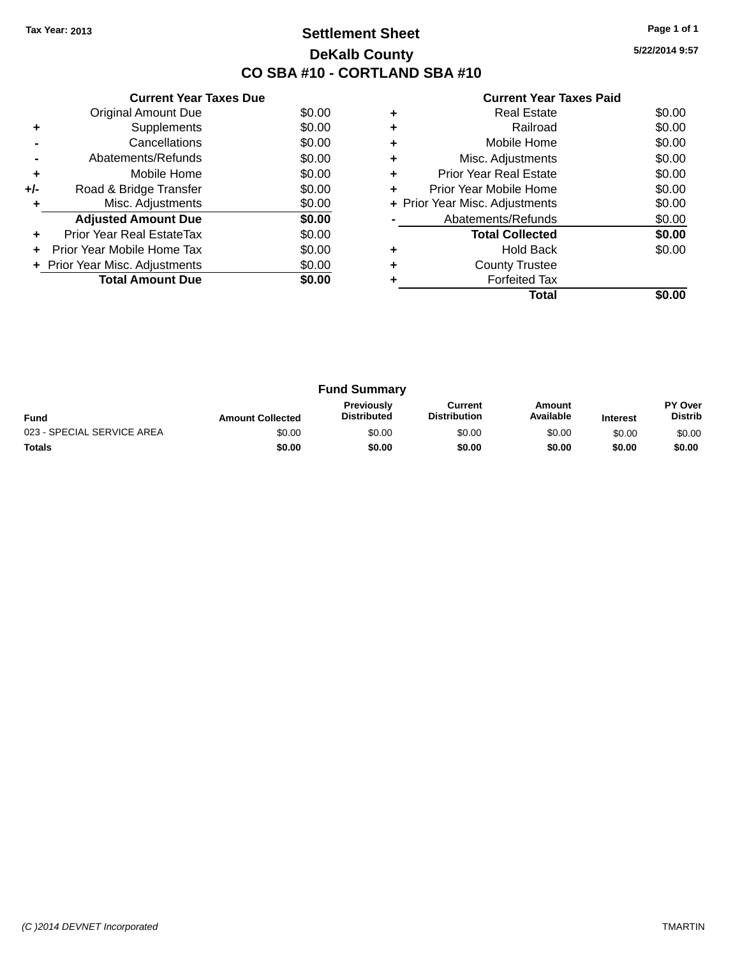# **Settlement Sheet Tax Year: 2013 Page 1 of 1 DeKalb County CO SBA #10 - CORTLAND SBA #10**

**5/22/2014 9:57**

|     | <b>Current Year Taxes Due</b>  |        |
|-----|--------------------------------|--------|
|     | <b>Original Amount Due</b>     | \$0.00 |
| ٠   | Supplements                    | \$0.00 |
|     | Cancellations                  | \$0.00 |
|     | Abatements/Refunds             | \$0.00 |
| ٠   | Mobile Home                    | \$0.00 |
| +/- | Road & Bridge Transfer         | \$0.00 |
| ٠   | Misc. Adjustments              | \$0.00 |
|     | <b>Adjusted Amount Due</b>     | \$0.00 |
| ٠   | Prior Year Real EstateTax      | \$0.00 |
| ÷   | Prior Year Mobile Home Tax     | \$0.00 |
|     | + Prior Year Misc. Adjustments | \$0.00 |
|     | <b>Total Amount Due</b>        | \$0.00 |
|     |                                |        |

|   | <b>Real Estate</b>             | \$0.00 |
|---|--------------------------------|--------|
|   | Railroad                       | \$0.00 |
|   | Mobile Home                    | \$0.00 |
| ٠ | Misc. Adjustments              | \$0.00 |
| ٠ | Prior Year Real Estate         | \$0.00 |
| ٠ | Prior Year Mobile Home         | \$0.00 |
|   | + Prior Year Misc. Adjustments | \$0.00 |
|   | Abatements/Refunds             | \$0.00 |
|   | <b>Total Collected</b>         | \$0.00 |
|   | <b>Hold Back</b>               | \$0.00 |
|   | <b>County Trustee</b>          |        |
|   | <b>Forfeited Tax</b>           |        |
|   | Total                          |        |

| <b>Fund Summary</b>        |                         |                                         |                                |                     |                 |                           |
|----------------------------|-------------------------|-----------------------------------------|--------------------------------|---------------------|-----------------|---------------------------|
| <b>Fund</b>                | <b>Amount Collected</b> | <b>Previously</b><br><b>Distributed</b> | Current<br><b>Distribution</b> | Amount<br>Available | <b>Interest</b> | PY Over<br><b>Distrib</b> |
| 023 - SPECIAL SERVICE AREA | \$0.00                  | \$0.00                                  | \$0.00                         | \$0.00              | \$0.00          | \$0.00                    |
| <b>Totals</b>              | \$0.00                  | \$0.00                                  | \$0.00                         | \$0.00              | \$0.00          | \$0.00                    |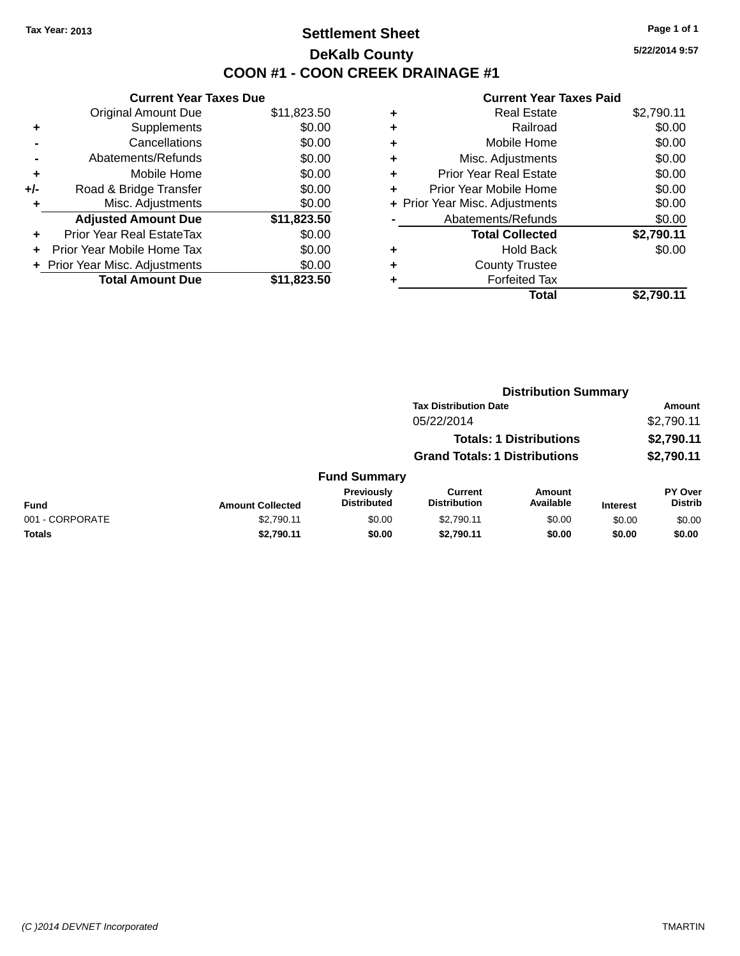# **Settlement Sheet Tax Year: 2013 Page 1 of 1 DeKalb County COON #1 - COON CREEK DRAINAGE #1**

**5/22/2014 9:57**

|       | <b>Current Year Taxes Due</b>  |             |
|-------|--------------------------------|-------------|
|       | <b>Original Amount Due</b>     | \$11,823.50 |
| ٠     | Supplements                    | \$0.00      |
|       | Cancellations                  | \$0.00      |
|       | Abatements/Refunds             | \$0.00      |
| ÷     | Mobile Home                    | \$0.00      |
| $+/-$ | Road & Bridge Transfer         | \$0.00      |
|       | Misc. Adjustments              | \$0.00      |
|       | <b>Adjusted Amount Due</b>     | \$11,823.50 |
| ٠     | Prior Year Real EstateTax      | \$0.00      |
|       | Prior Year Mobile Home Tax     | \$0.00      |
|       | + Prior Year Misc. Adjustments | \$0.00      |
|       | <b>Total Amount Due</b>        | \$11,823.50 |
|       |                                |             |

|   | <b>Real Estate</b>             | \$2,790.11 |
|---|--------------------------------|------------|
| ٠ | Railroad                       | \$0.00     |
| ٠ | Mobile Home                    | \$0.00     |
| ٠ | Misc. Adjustments              | \$0.00     |
| ٠ | <b>Prior Year Real Estate</b>  | \$0.00     |
| ٠ | Prior Year Mobile Home         | \$0.00     |
|   | + Prior Year Misc. Adjustments | \$0.00     |
|   | Abatements/Refunds             | \$0.00     |
|   | <b>Total Collected</b>         | \$2,790.11 |
| ٠ | <b>Hold Back</b>               | \$0.00     |
| ٠ | <b>County Trustee</b>          |            |
| ٠ | <b>Forfeited Tax</b>           |            |
|   | Total                          | \$2,790.11 |
|   |                                |            |

|                         |                                         | <b>Distribution Summary</b>    |                            |                                                                                                        |                           |
|-------------------------|-----------------------------------------|--------------------------------|----------------------------|--------------------------------------------------------------------------------------------------------|---------------------------|
|                         |                                         |                                |                            |                                                                                                        | <b>Amount</b>             |
|                         |                                         | 05/22/2014                     |                            |                                                                                                        | \$2,790.11                |
|                         |                                         |                                |                            |                                                                                                        | \$2,790.11                |
|                         |                                         |                                |                            |                                                                                                        | \$2,790.11                |
|                         |                                         |                                |                            |                                                                                                        |                           |
| <b>Amount Collected</b> | <b>Previously</b><br><b>Distributed</b> | Current<br><b>Distribution</b> | <b>Amount</b><br>Available | <b>Interest</b>                                                                                        | PY Over<br><b>Distrib</b> |
| \$2,790.11              | \$0.00                                  | \$2,790.11                     | \$0.00                     | \$0.00                                                                                                 | \$0.00                    |
| \$2,790.11              | \$0.00                                  | \$2,790.11                     | \$0.00                     | \$0.00                                                                                                 | \$0.00                    |
|                         |                                         | <b>Fund Summary</b>            |                            | <b>Tax Distribution Date</b><br><b>Totals: 1 Distributions</b><br><b>Grand Totals: 1 Distributions</b> |                           |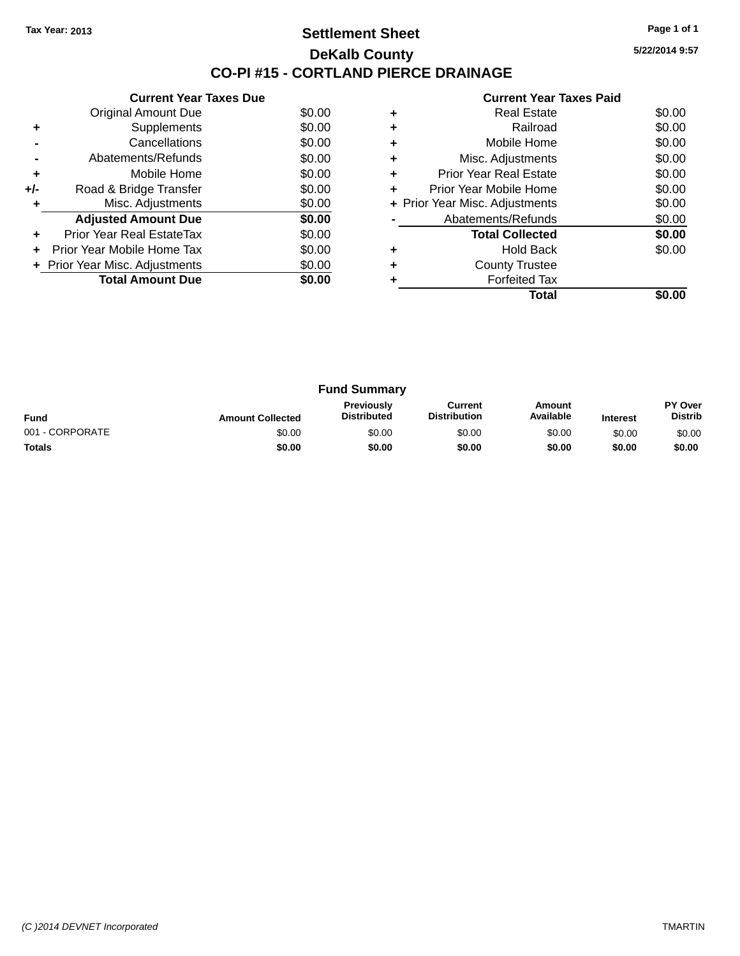## **Settlement Sheet Tax Year: 2013 Page 1 of 1 DeKalb County CO-PI #15 - CORTLAND PIERCE DRAINAGE**

**5/22/2014 9:57**

|     | <b>Current Year Taxes Due</b>  |        |
|-----|--------------------------------|--------|
|     | <b>Original Amount Due</b>     | \$0.00 |
| ٠   | Supplements                    | \$0.00 |
|     | Cancellations                  | \$0.00 |
|     | Abatements/Refunds             | \$0.00 |
| ٠   | Mobile Home                    | \$0.00 |
| +/- | Road & Bridge Transfer         | \$0.00 |
| ٠   | Misc. Adjustments              | \$0.00 |
|     | <b>Adjusted Amount Due</b>     | \$0.00 |
| ٠   | Prior Year Real EstateTax      | \$0.00 |
|     | Prior Year Mobile Home Tax     | \$0.00 |
|     | + Prior Year Misc. Adjustments | \$0.00 |
|     | <b>Total Amount Due</b>        | \$0.00 |
|     |                                |        |

|   | <b>Real Estate</b>             | \$0.00 |
|---|--------------------------------|--------|
|   | Railroad                       | \$0.00 |
| ٠ | Mobile Home                    | \$0.00 |
| ٠ | Misc. Adjustments              | \$0.00 |
| ٠ | Prior Year Real Estate         | \$0.00 |
| ٠ | Prior Year Mobile Home         | \$0.00 |
|   | + Prior Year Misc. Adjustments | \$0.00 |
|   | Abatements/Refunds             | \$0.00 |
|   | <b>Total Collected</b>         | \$0.00 |
|   | <b>Hold Back</b>               | \$0.00 |
|   | <b>County Trustee</b>          |        |
|   | <b>Forfeited Tax</b>           |        |
|   | Total                          |        |

| <b>Fund Summary</b> |                         |                                         |                                |                     |                 |                           |
|---------------------|-------------------------|-----------------------------------------|--------------------------------|---------------------|-----------------|---------------------------|
| <b>Fund</b>         | <b>Amount Collected</b> | <b>Previously</b><br><b>Distributed</b> | Current<br><b>Distribution</b> | Amount<br>Available | <b>Interest</b> | PY Over<br><b>Distrib</b> |
| 001 - CORPORATE     | \$0.00                  | \$0.00                                  | \$0.00                         | \$0.00              | \$0.00          | \$0.00                    |
| <b>Totals</b>       | \$0.00                  | \$0.00                                  | \$0.00                         | \$0.00              | \$0.00          | \$0.00                    |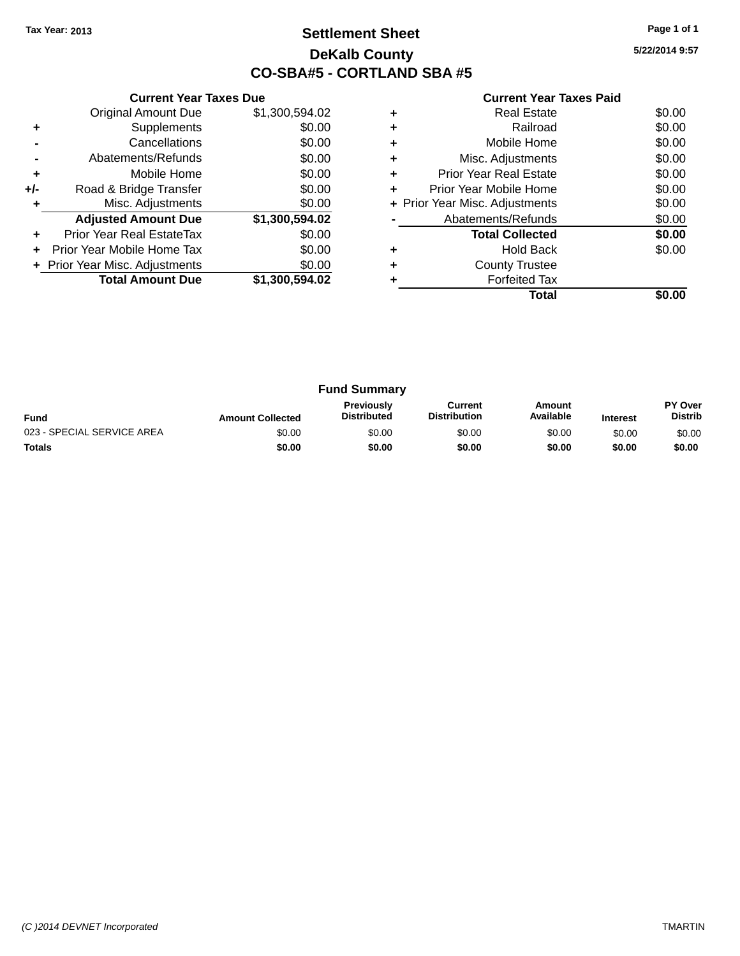# **Settlement Sheet Tax Year: 2013 Page 1 of 1 DeKalb County CO-SBA#5 - CORTLAND SBA #5**

| <b>Current Year Taxes Paid</b> |  |  |  |
|--------------------------------|--|--|--|
|--------------------------------|--|--|--|

|       | <b>Current Year Taxes Due</b> |                |  |  |  |  |  |
|-------|-------------------------------|----------------|--|--|--|--|--|
|       | <b>Original Amount Due</b>    | \$1,300,594.02 |  |  |  |  |  |
| ٠     | Supplements                   | \$0.00         |  |  |  |  |  |
|       | Cancellations                 | \$0.00         |  |  |  |  |  |
|       | Abatements/Refunds            | \$0.00         |  |  |  |  |  |
| ÷     | Mobile Home                   | \$0.00         |  |  |  |  |  |
| $+/-$ | Road & Bridge Transfer        | \$0.00         |  |  |  |  |  |
|       | Misc. Adjustments             | \$0.00         |  |  |  |  |  |
|       | <b>Adjusted Amount Due</b>    | \$1,300,594.02 |  |  |  |  |  |
|       | Prior Year Real EstateTax     | \$0.00         |  |  |  |  |  |
|       | Prior Year Mobile Home Tax    | \$0.00         |  |  |  |  |  |
|       | Prior Year Misc. Adjustments  | \$0.00         |  |  |  |  |  |
|       | <b>Total Amount Due</b>       | \$1,300,594.02 |  |  |  |  |  |
|       |                               |                |  |  |  |  |  |

| ٠ | <b>Real Estate</b>             | \$0.00 |
|---|--------------------------------|--------|
|   | Railroad                       | \$0.00 |
| ٠ | Mobile Home                    | \$0.00 |
| ٠ | Misc. Adjustments              | \$0.00 |
| ٠ | Prior Year Real Estate         | \$0.00 |
| ٠ | Prior Year Mobile Home         | \$0.00 |
|   | + Prior Year Misc. Adjustments | \$0.00 |
|   | Abatements/Refunds             | \$0.00 |
|   | <b>Total Collected</b>         | \$0.00 |
| ٠ | <b>Hold Back</b>               | \$0.00 |
| ٠ | <b>County Trustee</b>          |        |
|   | <b>Forfeited Tax</b>           |        |
|   | Total                          |        |

| <b>Fund Summary</b>        |                         |                                         |                                |                     |                 |                           |
|----------------------------|-------------------------|-----------------------------------------|--------------------------------|---------------------|-----------------|---------------------------|
| <b>Fund</b>                | <b>Amount Collected</b> | <b>Previously</b><br><b>Distributed</b> | Current<br><b>Distribution</b> | Amount<br>Available | <b>Interest</b> | PY Over<br><b>Distrib</b> |
| 023 - SPECIAL SERVICE AREA | \$0.00                  | \$0.00                                  | \$0.00                         | \$0.00              | \$0.00          | \$0.00                    |
| <b>Totals</b>              | \$0.00                  | \$0.00                                  | \$0.00                         | \$0.00              | \$0.00          | \$0.00                    |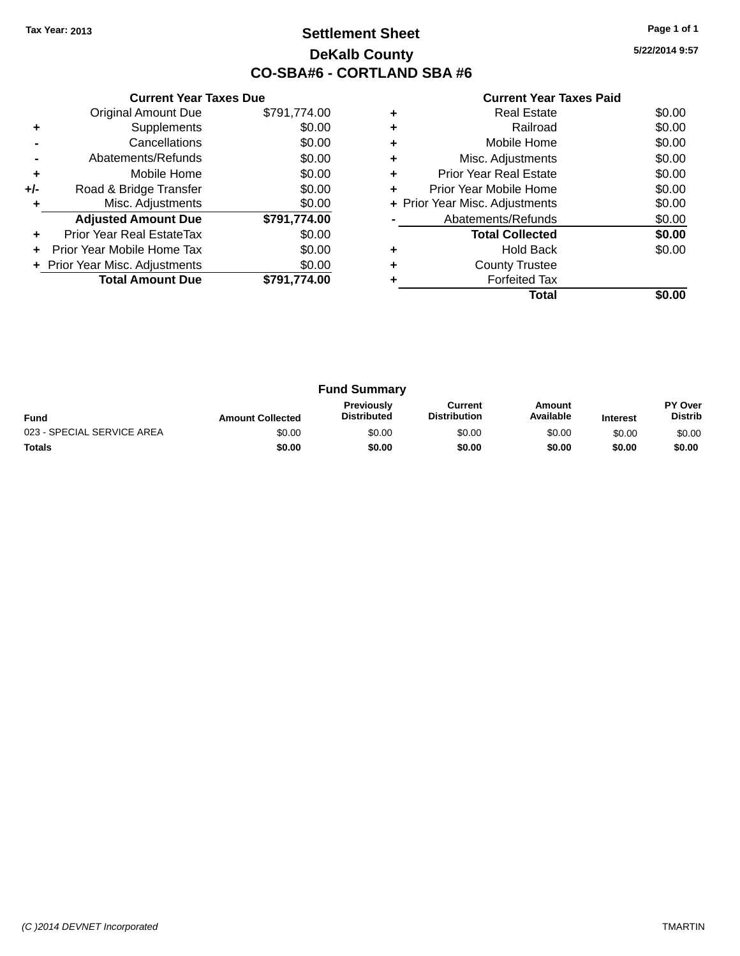# **Settlement Sheet Tax Year: 2013 Page 1 of 1 DeKalb County CO-SBA#6 - CORTLAND SBA #6**

**5/22/2014 9:57**

|     | <b>Current Year Taxes Due</b>  |              |
|-----|--------------------------------|--------------|
|     | <b>Original Amount Due</b>     | \$791,774.00 |
| ٠   | Supplements                    | \$0.00       |
|     | Cancellations                  | \$0.00       |
|     | Abatements/Refunds             | \$0.00       |
| ٠   | Mobile Home                    | \$0.00       |
| +/- | Road & Bridge Transfer         | \$0.00       |
|     | Misc. Adjustments              | \$0.00       |
|     | <b>Adjusted Amount Due</b>     | \$791,774.00 |
| ٠   | Prior Year Real EstateTax      | \$0.00       |
|     | Prior Year Mobile Home Tax     | \$0.00       |
|     | + Prior Year Misc. Adjustments | \$0.00       |
|     | <b>Total Amount Due</b>        | \$791.774.00 |
|     |                                |              |

|   | <b>Real Estate</b>             | \$0.00 |
|---|--------------------------------|--------|
| ٠ | Railroad                       | \$0.00 |
| ٠ | Mobile Home                    | \$0.00 |
| ٠ | Misc. Adjustments              | \$0.00 |
| ٠ | <b>Prior Year Real Estate</b>  | \$0.00 |
| ٠ | Prior Year Mobile Home         | \$0.00 |
|   | + Prior Year Misc. Adjustments | \$0.00 |
|   | Abatements/Refunds             | \$0.00 |
|   | <b>Total Collected</b>         | \$0.00 |
|   | <b>Hold Back</b>               | \$0.00 |
| ٠ | <b>County Trustee</b>          |        |
|   | <b>Forfeited Tax</b>           |        |
|   | Total                          |        |

| <b>Fund Summary</b>        |                         |                                         |                                |                     |                 |                                  |
|----------------------------|-------------------------|-----------------------------------------|--------------------------------|---------------------|-----------------|----------------------------------|
| <b>Fund</b>                | <b>Amount Collected</b> | <b>Previously</b><br><b>Distributed</b> | Current<br><b>Distribution</b> | Amount<br>Available | <b>Interest</b> | <b>PY Over</b><br><b>Distrib</b> |
| 023 - SPECIAL SERVICE AREA | \$0.00                  | \$0.00                                  | \$0.00                         | \$0.00              | \$0.00          | \$0.00                           |
| <b>Totals</b>              | \$0.00                  | \$0.00                                  | \$0.00                         | \$0.00              | \$0.00          | \$0.00                           |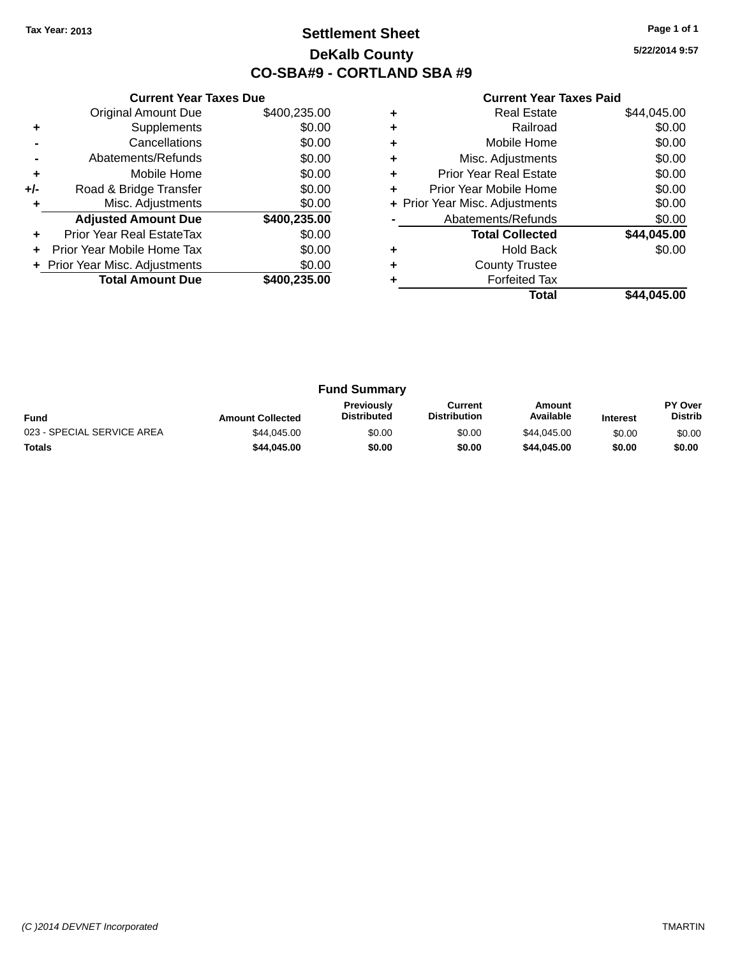# **Settlement Sheet Tax Year: 2013 Page 1 of 1 DeKalb County CO-SBA#9 - CORTLAND SBA #9**

**5/22/2014 9:57**

|     | <b>Current Year Taxes Due</b>  |              |
|-----|--------------------------------|--------------|
|     | <b>Original Amount Due</b>     | \$400,235.00 |
| ٠   | Supplements                    | \$0.00       |
|     | Cancellations                  | \$0.00       |
|     | Abatements/Refunds             | \$0.00       |
| ٠   | Mobile Home                    | \$0.00       |
| +/- | Road & Bridge Transfer         | \$0.00       |
| ٠   | Misc. Adjustments              | \$0.00       |
|     | <b>Adjusted Amount Due</b>     | \$400,235.00 |
| ٠   | Prior Year Real EstateTax      | \$0.00       |
|     | Prior Year Mobile Home Tax     | \$0.00       |
|     | + Prior Year Misc. Adjustments | \$0.00       |
|     | <b>Total Amount Due</b>        | \$400,235.00 |
|     |                                |              |

|   | <b>Real Estate</b>             | \$44,045.00 |
|---|--------------------------------|-------------|
| ٠ | Railroad                       | \$0.00      |
| ٠ | Mobile Home                    | \$0.00      |
| ٠ | Misc. Adjustments              | \$0.00      |
| ٠ | Prior Year Real Estate         | \$0.00      |
| ٠ | Prior Year Mobile Home         | \$0.00      |
|   | + Prior Year Misc. Adjustments | \$0.00      |
|   | Abatements/Refunds             | \$0.00      |
|   | <b>Total Collected</b>         | \$44,045.00 |
|   | <b>Hold Back</b>               | \$0.00      |
| ٠ | <b>County Trustee</b>          |             |
|   | <b>Forfeited Tax</b>           |             |
|   | Total                          | \$44,045.00 |

| <b>Fund Summary</b>        |                         |                                         |                                |                     |                 |                                  |
|----------------------------|-------------------------|-----------------------------------------|--------------------------------|---------------------|-----------------|----------------------------------|
| <b>Fund</b>                | <b>Amount Collected</b> | <b>Previously</b><br><b>Distributed</b> | Current<br><b>Distribution</b> | Amount<br>Available | <b>Interest</b> | <b>PY Over</b><br><b>Distrib</b> |
| 023 - SPECIAL SERVICE AREA | \$44.045.00             | \$0.00                                  | \$0.00                         | \$44,045,00         | \$0.00          | \$0.00                           |
| <b>Totals</b>              | \$44.045.00             | \$0.00                                  | \$0.00                         | \$44,045.00         | \$0.00          | \$0.00                           |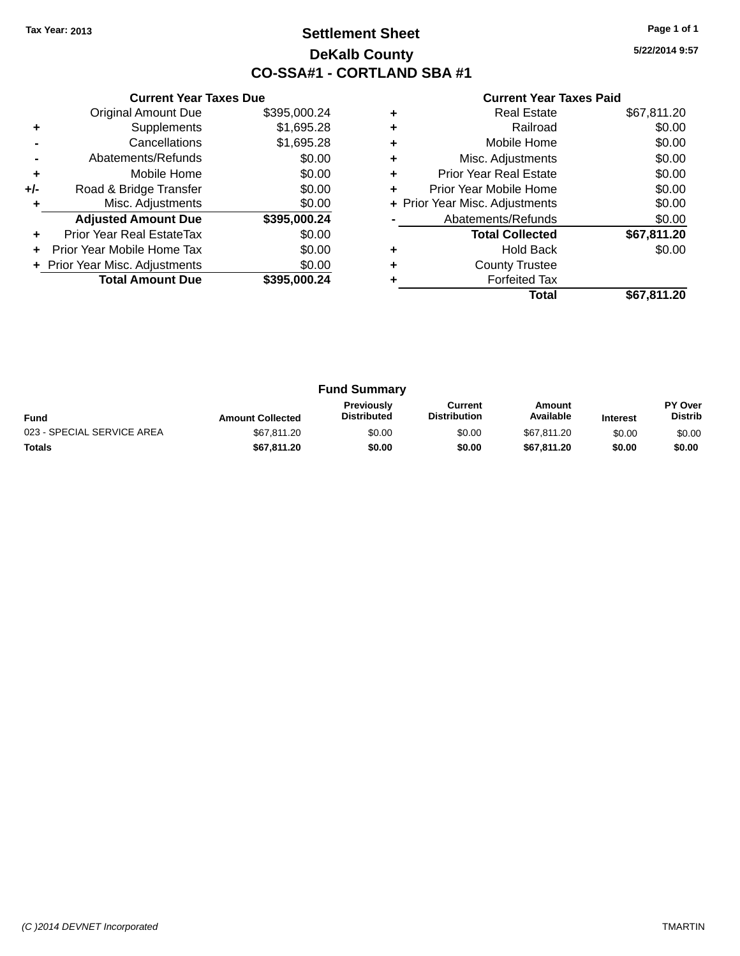# **Settlement Sheet Tax Year: 2013 Page 1 of 1 DeKalb County CO-SSA#1 - CORTLAND SBA #1**

**5/22/2014 9:57**

|     | <b>Current Year Taxes Due</b>  |              |
|-----|--------------------------------|--------------|
|     | <b>Original Amount Due</b>     | \$395,000.24 |
| ٠   | Supplements                    | \$1,695.28   |
|     | Cancellations                  | \$1,695.28   |
|     | Abatements/Refunds             | \$0.00       |
| ٠   | Mobile Home                    | \$0.00       |
| +/- | Road & Bridge Transfer         | \$0.00       |
| ٠   | Misc. Adjustments              | \$0.00       |
|     | <b>Adjusted Amount Due</b>     | \$395,000.24 |
| ٠   | Prior Year Real EstateTax      | \$0.00       |
|     | Prior Year Mobile Home Tax     | \$0.00       |
|     | + Prior Year Misc. Adjustments | \$0.00       |
|     | <b>Total Amount Due</b>        | \$395.000.24 |
|     |                                |              |

|   | <b>Real Estate</b>             | \$67,811.20 |
|---|--------------------------------|-------------|
| ٠ | Railroad                       | \$0.00      |
| ٠ | Mobile Home                    | \$0.00      |
| ٠ | Misc. Adjustments              | \$0.00      |
| ٠ | <b>Prior Year Real Estate</b>  | \$0.00      |
| ٠ | Prior Year Mobile Home         | \$0.00      |
|   | + Prior Year Misc. Adjustments | \$0.00      |
|   | Abatements/Refunds             | \$0.00      |
|   | <b>Total Collected</b>         | \$67,811.20 |
|   | Hold Back                      | \$0.00      |
| ٠ | <b>County Trustee</b>          |             |
|   | <b>Forfeited Tax</b>           |             |
|   | Total                          | \$67,811.20 |

| <b>Fund Summary</b>        |                         |                                         |                                |                     |                 |                                  |
|----------------------------|-------------------------|-----------------------------------------|--------------------------------|---------------------|-----------------|----------------------------------|
| <b>Fund</b>                | <b>Amount Collected</b> | <b>Previously</b><br><b>Distributed</b> | Current<br><b>Distribution</b> | Amount<br>Available | <b>Interest</b> | <b>PY Over</b><br><b>Distrib</b> |
| 023 - SPECIAL SERVICE AREA | \$67,811.20             | \$0.00                                  | \$0.00                         | \$67.811.20         | \$0.00          | \$0.00                           |
| <b>Totals</b>              | \$67,811,20             | \$0.00                                  | \$0.00                         | \$67.811.20         | \$0.00          | \$0.00                           |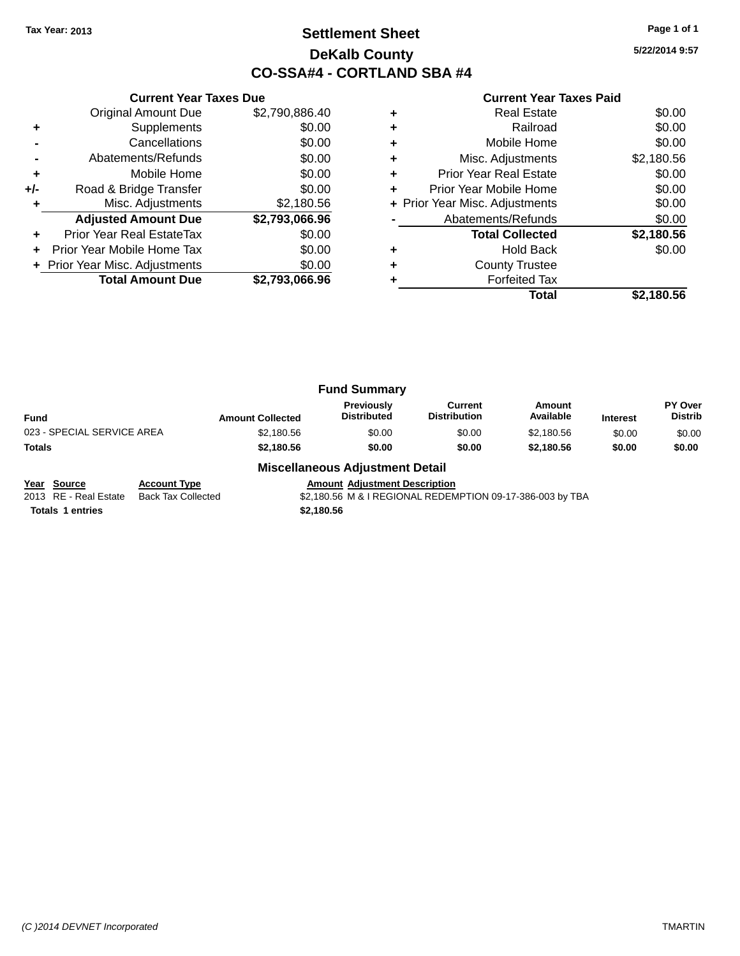# **Settlement Sheet Tax Year: 2013 Page 1 of 1 DeKalb County CO-SSA#4 - CORTLAND SBA #4**

**5/22/2014 9:57**

|     | <b>Current Year Taxes Due</b>    |                |
|-----|----------------------------------|----------------|
|     | <b>Original Amount Due</b>       | \$2,790,886.40 |
| ٠   | Supplements                      | \$0.00         |
|     | Cancellations                    | \$0.00         |
|     | Abatements/Refunds               | \$0.00         |
| ٠   | Mobile Home                      | \$0.00         |
| +/- | Road & Bridge Transfer           | \$0.00         |
| ٠   | Misc. Adjustments                | \$2,180.56     |
|     | <b>Adjusted Amount Due</b>       | \$2,793,066.96 |
| ٠   | <b>Prior Year Real EstateTax</b> | \$0.00         |
|     | Prior Year Mobile Home Tax       | \$0.00         |
|     | + Prior Year Misc. Adjustments   | \$0.00         |
|     | <b>Total Amount Due</b>          | \$2,793,066.96 |
|     |                                  |                |

## **Current Year Taxes Paid**

|   | Total                          | \$2,180.56 |
|---|--------------------------------|------------|
|   | <b>Forfeited Tax</b>           |            |
| ÷ | <b>County Trustee</b>          |            |
|   | Hold Back                      | \$0.00     |
|   | <b>Total Collected</b>         | \$2,180.56 |
|   | Abatements/Refunds             | \$0.00     |
|   | + Prior Year Misc. Adjustments | \$0.00     |
| ٠ | Prior Year Mobile Home         | \$0.00     |
| ٠ | <b>Prior Year Real Estate</b>  | \$0.00     |
| ٠ | Misc. Adjustments              | \$2,180.56 |
| ٠ | Mobile Home                    | \$0.00     |
| ÷ | Railroad                       | \$0.00     |
| ٠ | <b>Real Estate</b>             | \$0.00     |

|                 | PY Over                                         |
|-----------------|-------------------------------------------------|
| <b>Interest</b> | <b>Distrib</b>                                  |
| \$0.00          | \$0.00                                          |
| \$0.00          | \$0.00                                          |
|                 | Amount<br>Available<br>\$2.180.56<br>\$2.180.56 |

## **Miscellaneous Adjustment Detail**

**Totals 1 entries \$2,180.56**

**Year Source Account Type**<br>
2013 RE - Real Estate Back Tax Collected **Amount Adjustment Description**<br>
\$2,180.56 M & I REGIONAL REDEN \$2,180.56 M & I REGIONAL REDEMPTION 09-17-386-003 by TBA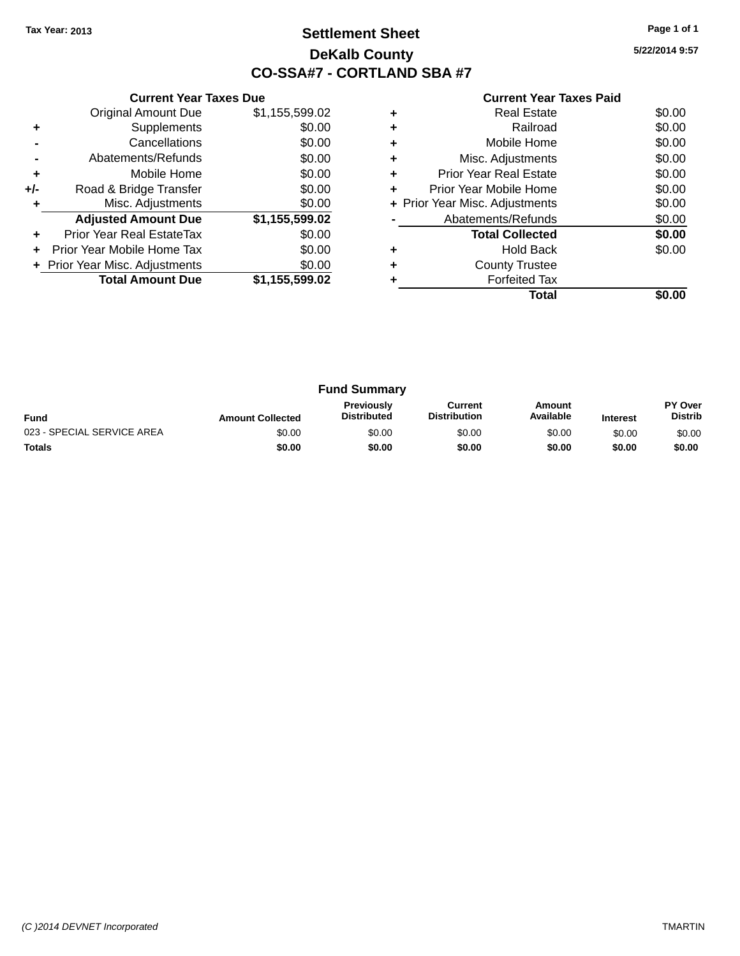# **Settlement Sheet Tax Year: 2013 Page 1 of 1 DeKalb County CO-SSA#7 - CORTLAND SBA #7**

**5/22/2014 9:57**

|     | <b>Current Year Taxes Due</b>  |                |
|-----|--------------------------------|----------------|
|     | <b>Original Amount Due</b>     | \$1,155,599.02 |
| ٠   | Supplements                    | \$0.00         |
|     | Cancellations                  | \$0.00         |
|     | Abatements/Refunds             | \$0.00         |
| ٠   | Mobile Home                    | \$0.00         |
| +/- | Road & Bridge Transfer         | \$0.00         |
|     | Misc. Adjustments              | \$0.00         |
|     | <b>Adjusted Amount Due</b>     | \$1,155,599.02 |
| ٠   | Prior Year Real EstateTax      | \$0.00         |
|     | Prior Year Mobile Home Tax     | \$0.00         |
|     | + Prior Year Misc. Adjustments | \$0.00         |
|     | <b>Total Amount Due</b>        | \$1,155,599.02 |
|     |                                |                |

|   | Real Estate                    | \$0.00 |
|---|--------------------------------|--------|
| ٠ | Railroad                       | \$0.00 |
| ٠ | Mobile Home                    | \$0.00 |
| ٠ | Misc. Adjustments              | \$0.00 |
| ٠ | <b>Prior Year Real Estate</b>  | \$0.00 |
| ٠ | Prior Year Mobile Home         | \$0.00 |
|   | + Prior Year Misc. Adjustments | \$0.00 |
|   | Abatements/Refunds             | \$0.00 |
|   | <b>Total Collected</b>         | \$0.00 |
|   | <b>Hold Back</b>               | \$0.00 |
| ٠ | <b>County Trustee</b>          |        |
|   | <b>Forfeited Tax</b>           |        |
|   | Total                          |        |

| <b>Fund Summary</b>        |                         |                                         |                                |                     |                 |                           |
|----------------------------|-------------------------|-----------------------------------------|--------------------------------|---------------------|-----------------|---------------------------|
| <b>Fund</b>                | <b>Amount Collected</b> | <b>Previously</b><br><b>Distributed</b> | Current<br><b>Distribution</b> | Amount<br>Available | <b>Interest</b> | PY Over<br><b>Distrib</b> |
| 023 - SPECIAL SERVICE AREA | \$0.00                  | \$0.00                                  | \$0.00                         | \$0.00              | \$0.00          | \$0.00                    |
| <b>Totals</b>              | \$0.00                  | \$0.00                                  | \$0.00                         | \$0.00              | \$0.00          | \$0.00                    |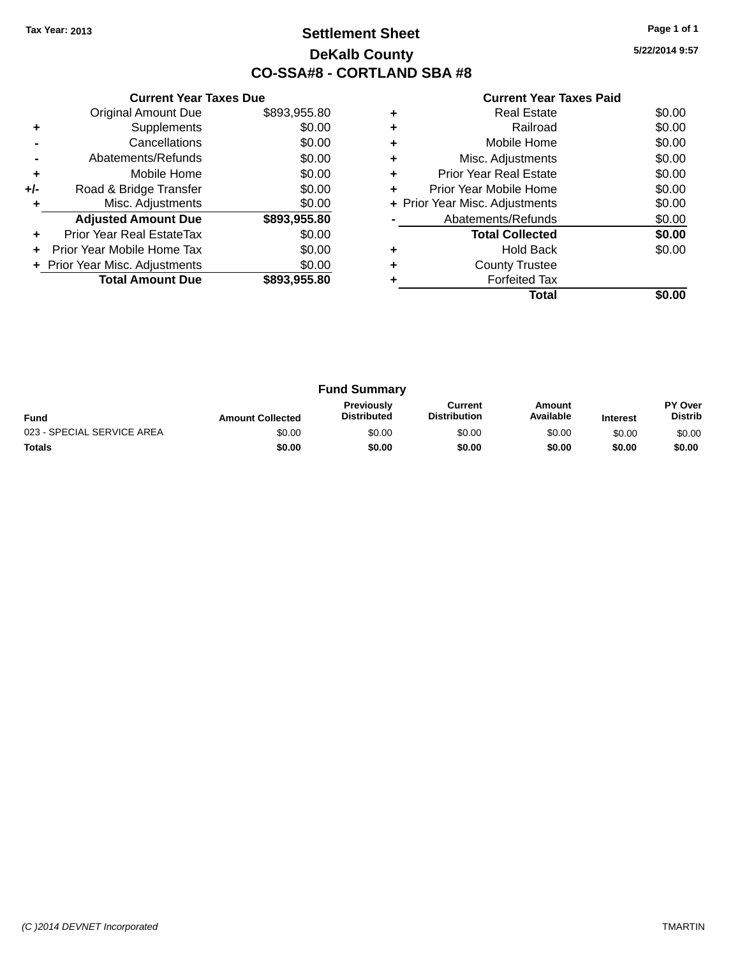# **Settlement Sheet Tax Year: 2013 Page 1 of 1 DeKalb County CO-SSA#8 - CORTLAND SBA #8**

| <b>Current Year Taxes Paid</b> |  |  |  |
|--------------------------------|--|--|--|
|--------------------------------|--|--|--|

|     | <b>Current Year Taxes Due</b>  |              |  |  |  |
|-----|--------------------------------|--------------|--|--|--|
|     | <b>Original Amount Due</b>     | \$893,955.80 |  |  |  |
| ٠   | Supplements                    | \$0.00       |  |  |  |
|     | Cancellations                  | \$0.00       |  |  |  |
|     | Abatements/Refunds             | \$0.00       |  |  |  |
| ÷   | Mobile Home                    | \$0.00       |  |  |  |
| +/- | Road & Bridge Transfer         | \$0.00       |  |  |  |
|     | Misc. Adjustments              | \$0.00       |  |  |  |
|     | <b>Adjusted Amount Due</b>     | \$893,955.80 |  |  |  |
|     | Prior Year Real EstateTax      | \$0.00       |  |  |  |
|     | Prior Year Mobile Home Tax     | \$0.00       |  |  |  |
|     | + Prior Year Misc. Adjustments | \$0.00       |  |  |  |
|     | <b>Total Amount Due</b>        | \$893.955.80 |  |  |  |
|     |                                |              |  |  |  |

| ٠ | <b>Real Estate</b>             | \$0.00 |
|---|--------------------------------|--------|
|   | Railroad                       | \$0.00 |
| ٠ | Mobile Home                    | \$0.00 |
| ٠ | Misc. Adjustments              | \$0.00 |
| ٠ | Prior Year Real Estate         | \$0.00 |
| ٠ | Prior Year Mobile Home         | \$0.00 |
|   | + Prior Year Misc. Adjustments | \$0.00 |
|   | Abatements/Refunds             | \$0.00 |
|   | <b>Total Collected</b>         | \$0.00 |
| ٠ | <b>Hold Back</b>               | \$0.00 |
| ٠ | <b>County Trustee</b>          |        |
|   | <b>Forfeited Tax</b>           |        |
|   | Total                          |        |

| <b>Fund Summary</b>        |                         |                                         |                                |                     |                 |                           |
|----------------------------|-------------------------|-----------------------------------------|--------------------------------|---------------------|-----------------|---------------------------|
| <b>Fund</b>                | <b>Amount Collected</b> | <b>Previously</b><br><b>Distributed</b> | Current<br><b>Distribution</b> | Amount<br>Available | <b>Interest</b> | PY Over<br><b>Distrib</b> |
| 023 - SPECIAL SERVICE AREA | \$0.00                  | \$0.00                                  | \$0.00                         | \$0.00              | \$0.00          | \$0.00                    |
| <b>Totals</b>              | \$0.00                  | \$0.00                                  | \$0.00                         | \$0.00              | \$0.00          | \$0.00                    |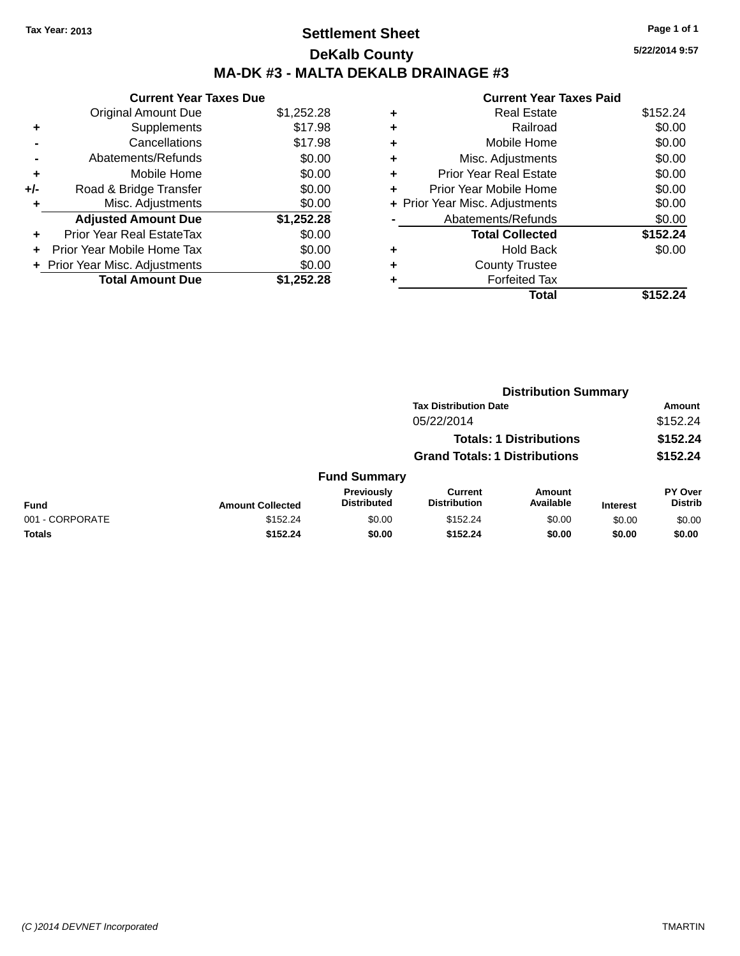# **Settlement Sheet Tax Year: 2013 Page 1 of 1 DeKalb County MA-DK #3 - MALTA DEKALB DRAINAGE #3**

|     | <b>Current Year Taxes Due</b>    |            |
|-----|----------------------------------|------------|
|     | <b>Original Amount Due</b>       | \$1,252.28 |
| ٠   | Supplements                      | \$17.98    |
|     | Cancellations                    | \$17.98    |
|     | Abatements/Refunds               | \$0.00     |
| ٠   | Mobile Home                      | \$0.00     |
| +/- | Road & Bridge Transfer           | \$0.00     |
|     | Misc. Adjustments                | \$0.00     |
|     | <b>Adjusted Amount Due</b>       | \$1,252.28 |
|     | <b>Prior Year Real EstateTax</b> | \$0.00     |
|     | Prior Year Mobile Home Tax       | \$0.00     |
|     | + Prior Year Misc. Adjustments   | \$0.00     |
|     | <b>Total Amount Due</b>          | \$1,252.28 |

|   | <b>Current Year Taxes Paid</b> |          |
|---|--------------------------------|----------|
| ٠ | <b>Real Estate</b>             | \$152.24 |
| ٠ | Railroad                       | \$0.00   |
| ٠ | Mobile Home                    | \$0.00   |
| ٠ | Misc. Adjustments              | \$0.00   |
| ٠ | <b>Prior Year Real Estate</b>  | \$0.00   |
| ÷ | Prior Year Mobile Home         | \$0.00   |
|   | + Prior Year Misc. Adjustments | \$0.00   |
|   | Abatements/Refunds             | \$0.00   |
|   | <b>Total Collected</b>         | \$152.24 |
| ٠ | <b>Hold Back</b>               | \$0.00   |
|   | <b>County Trustee</b>          |          |
|   | <b>Forfeited Tax</b>           |          |
|   | Total                          | \$152.   |

|                 | <b>Distribution Summary</b>  |                                      |                                       |                                |                 |                           |  |
|-----------------|------------------------------|--------------------------------------|---------------------------------------|--------------------------------|-----------------|---------------------------|--|
|                 | <b>Tax Distribution Date</b> |                                      |                                       |                                |                 | <b>Amount</b>             |  |
|                 |                              |                                      | 05/22/2014                            |                                |                 | \$152.24                  |  |
|                 |                              |                                      |                                       | <b>Totals: 1 Distributions</b> |                 | \$152.24                  |  |
|                 |                              | <b>Grand Totals: 1 Distributions</b> |                                       |                                | \$152.24        |                           |  |
|                 |                              | <b>Fund Summary</b>                  |                                       |                                |                 |                           |  |
| <b>Fund</b>     | <b>Amount Collected</b>      | Previously<br><b>Distributed</b>     | <b>Current</b><br><b>Distribution</b> | Amount<br>Available            | <b>Interest</b> | PY Over<br><b>Distrib</b> |  |
| 001 - CORPORATE | \$152.24                     | \$0.00                               | \$152.24                              | \$0.00                         | \$0.00          | \$0.00                    |  |
| <b>Totals</b>   | \$152.24                     | \$0.00                               | \$152.24                              | \$0.00                         | \$0.00          | \$0.00                    |  |
|                 |                              |                                      |                                       |                                |                 |                           |  |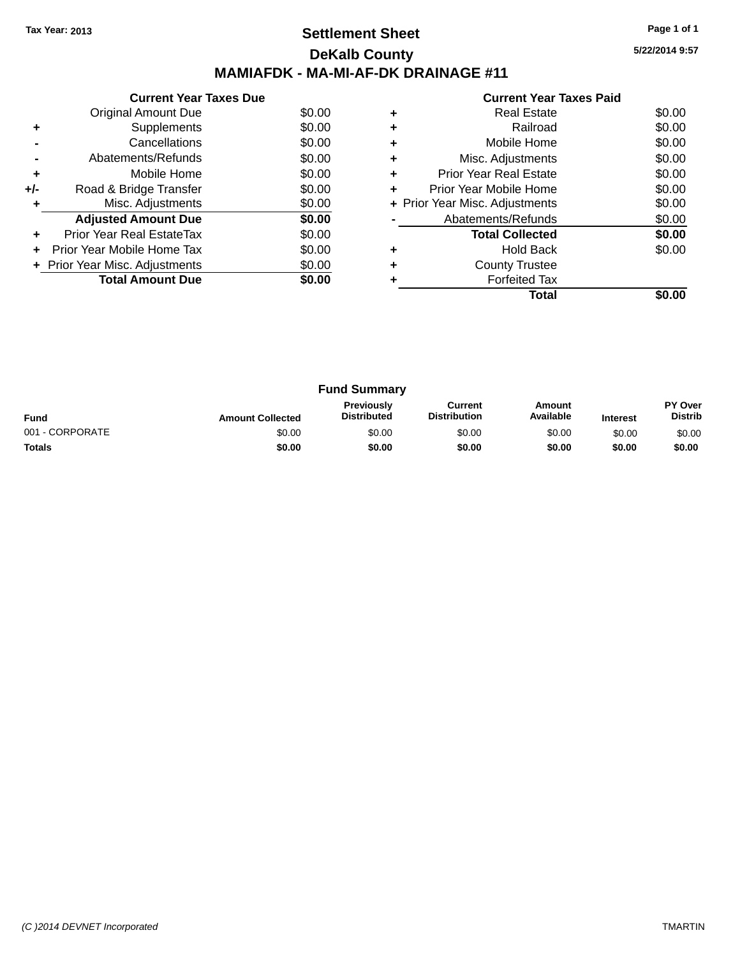# **Settlement Sheet Tax Year: 2013 Page 1 of 1 DeKalb County MAMIAFDK - MA-MI-AF-DK DRAINAGE #11**

**5/22/2014 9:57**

|       | <b>Current Year Taxes Due</b>  |        |
|-------|--------------------------------|--------|
|       | Original Amount Due            | \$0.00 |
| ٠     | Supplements                    | \$0.00 |
|       | Cancellations                  | \$0.00 |
|       | Abatements/Refunds             | \$0.00 |
| ٠     | Mobile Home                    | \$0.00 |
| $+/-$ | Road & Bridge Transfer         | \$0.00 |
|       | Misc. Adjustments              | \$0.00 |
|       | <b>Adjusted Amount Due</b>     | \$0.00 |
|       | Prior Year Real EstateTax      | \$0.00 |
|       | Prior Year Mobile Home Tax     | \$0.00 |
|       | + Prior Year Misc. Adjustments | \$0.00 |
|       | <b>Total Amount Due</b>        | \$0.00 |
|       |                                |        |

|   | <b>Forfeited Tax</b>           |        |
|---|--------------------------------|--------|
| ٠ | <b>County Trustee</b>          |        |
|   | <b>Hold Back</b>               | \$0.00 |
|   | <b>Total Collected</b>         | \$0.00 |
|   | Abatements/Refunds             | \$0.00 |
|   | + Prior Year Misc. Adjustments | \$0.00 |
| ٠ | Prior Year Mobile Home         | \$0.00 |
| ٠ | <b>Prior Year Real Estate</b>  | \$0.00 |
|   | Misc. Adjustments              | \$0.00 |
| ٠ | Mobile Home                    | \$0.00 |
|   | Railroad                       | \$0.00 |
|   | <b>Real Estate</b>             | \$0.00 |
|   |                                |        |

| <b>Fund Summary</b> |                         |                                         |                                |                     |                 |                                  |
|---------------------|-------------------------|-----------------------------------------|--------------------------------|---------------------|-----------------|----------------------------------|
| <b>Fund</b>         | <b>Amount Collected</b> | <b>Previously</b><br><b>Distributed</b> | Current<br><b>Distribution</b> | Amount<br>Available | <b>Interest</b> | <b>PY Over</b><br><b>Distrib</b> |
| 001 - CORPORATE     | \$0.00                  | \$0.00                                  | \$0.00                         | \$0.00              | \$0.00          | \$0.00                           |
| <b>Totals</b>       | \$0.00                  | \$0.00                                  | \$0.00                         | \$0.00              | \$0.00          | \$0.00                           |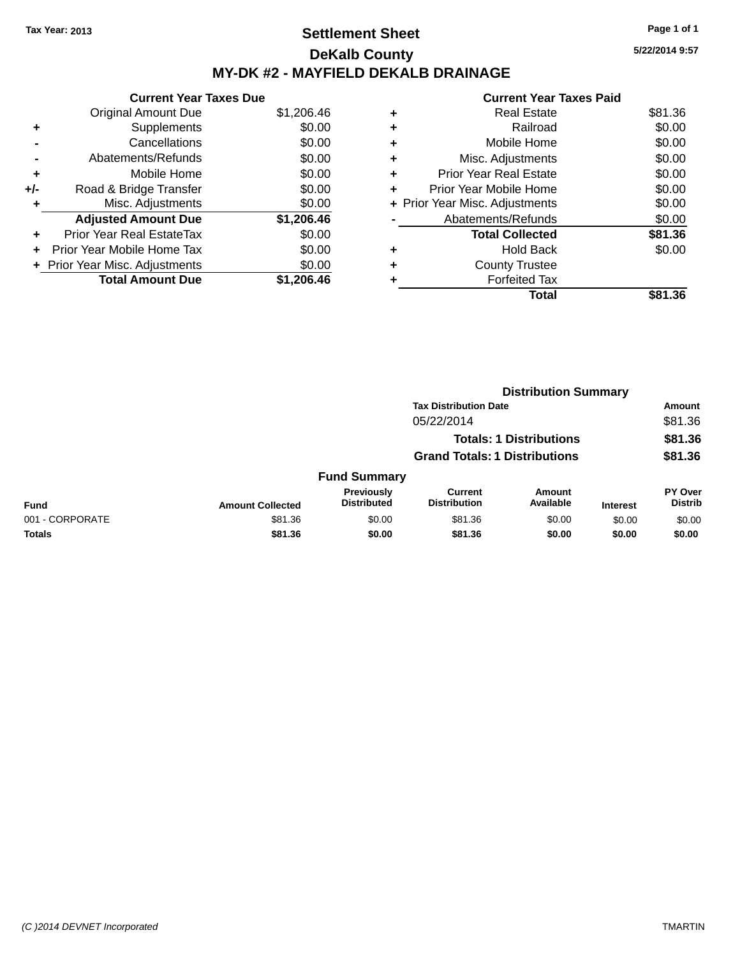# **Settlement Sheet Tax Year: 2013 Page 1 of 1 DeKalb County MY-DK #2 - MAYFIELD DEKALB DRAINAGE**

**5/22/2014 9:57**

| <b>Current Year Taxes Due</b> |                              |
|-------------------------------|------------------------------|
| <b>Original Amount Due</b>    | \$1,206.46                   |
| Supplements                   | \$0.00                       |
| Cancellations                 | \$0.00                       |
| Abatements/Refunds            | \$0.00                       |
| Mobile Home                   | \$0.00                       |
| Road & Bridge Transfer        | \$0.00                       |
| Misc. Adjustments             | \$0.00                       |
| <b>Adjusted Amount Due</b>    | \$1,206.46                   |
| Prior Year Real EstateTax     | \$0.00                       |
| Prior Year Mobile Home Tax    | \$0.00                       |
|                               | \$0.00                       |
| <b>Total Amount Due</b>       | \$1,206,46                   |
|                               | Prior Year Misc. Adjustments |

| Real Estate                    | \$81.36 |
|--------------------------------|---------|
| Railroad                       | \$0.00  |
| Mobile Home                    | \$0.00  |
| Misc. Adjustments              | \$0.00  |
| <b>Prior Year Real Estate</b>  | \$0.00  |
| Prior Year Mobile Home         | \$0.00  |
| + Prior Year Misc. Adjustments | \$0.00  |
| Abatements/Refunds             | \$0.00  |
| <b>Total Collected</b>         | \$81.36 |
| <b>Hold Back</b>               | \$0.00  |
| <b>County Trustee</b>          |         |
| <b>Forfeited Tax</b>           |         |
| Total                          | \$81.36 |
|                                |         |

|                 |                         | <b>Distribution Summary</b>             |                                       |                                |                 |                                  |  |
|-----------------|-------------------------|-----------------------------------------|---------------------------------------|--------------------------------|-----------------|----------------------------------|--|
|                 |                         |                                         | <b>Tax Distribution Date</b>          |                                |                 | Amount                           |  |
|                 |                         |                                         | 05/22/2014                            |                                |                 | \$81.36                          |  |
|                 |                         |                                         |                                       | <b>Totals: 1 Distributions</b> |                 | \$81.36                          |  |
|                 |                         | <b>Grand Totals: 1 Distributions</b>    |                                       |                                |                 | \$81.36                          |  |
|                 |                         | <b>Fund Summary</b>                     |                                       |                                |                 |                                  |  |
| <b>Fund</b>     | <b>Amount Collected</b> | <b>Previously</b><br><b>Distributed</b> | <b>Current</b><br><b>Distribution</b> | <b>Amount</b><br>Available     | <b>Interest</b> | <b>PY Over</b><br><b>Distrib</b> |  |
| 001 - CORPORATE | \$81.36                 | \$0.00                                  | \$81.36                               | \$0.00                         | \$0.00          | \$0.00                           |  |
| <b>Totals</b>   | \$81.36                 | \$0.00                                  | \$81.36                               | \$0.00                         | \$0.00          | \$0.00                           |  |
|                 |                         |                                         |                                       |                                |                 |                                  |  |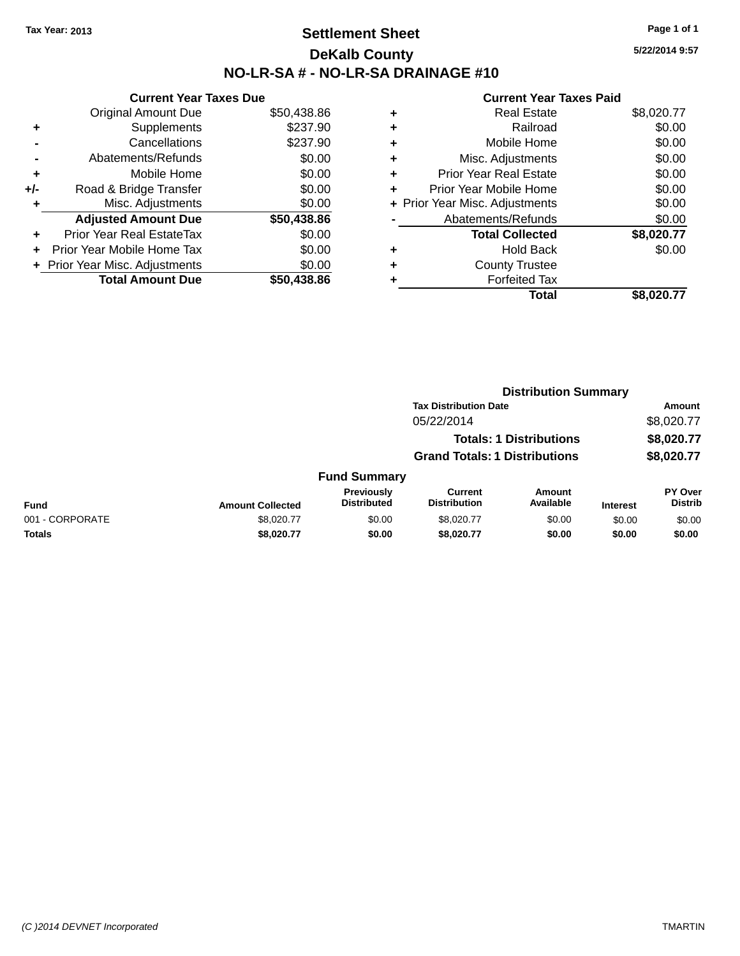# **Settlement Sheet Tax Year: 2013 Page 1 of 1 DeKalb County NO-LR-SA # - NO-LR-SA DRAINAGE #10**

**5/22/2014 9:57**

|     | <b>Current Year Taxes Due</b>  |             |
|-----|--------------------------------|-------------|
|     | <b>Original Amount Due</b>     | \$50,438.86 |
| ٠   | Supplements                    | \$237.90    |
|     | Cancellations                  | \$237.90    |
|     | Abatements/Refunds             | \$0.00      |
| ٠   | Mobile Home                    | \$0.00      |
| +/- | Road & Bridge Transfer         | \$0.00      |
|     | Misc. Adjustments              | \$0.00      |
|     | <b>Adjusted Amount Due</b>     | \$50,438.86 |
| ÷   | Prior Year Real EstateTax      | \$0.00      |
| ÷   | Prior Year Mobile Home Tax     | \$0.00      |
|     | + Prior Year Misc. Adjustments | \$0.00      |
|     | <b>Total Amount Due</b>        | \$50.438.86 |

| \$0.00<br>Railroad<br>٠<br>\$0.00<br>Mobile Home<br>٠<br>\$0.00<br>Misc. Adjustments<br>٠<br>\$0.00<br><b>Prior Year Real Estate</b><br>٠<br>\$0.00<br>Prior Year Mobile Home<br>÷<br>\$0.00<br>+ Prior Year Misc. Adjustments<br>\$0.00<br>Abatements/Refunds<br>\$8,020.77<br><b>Total Collected</b><br>\$0.00<br><b>Hold Back</b><br>٠<br><b>County Trustee</b> | ٠ | <b>Real Estate</b>   | \$8,020.77 |
|--------------------------------------------------------------------------------------------------------------------------------------------------------------------------------------------------------------------------------------------------------------------------------------------------------------------------------------------------------------------|---|----------------------|------------|
|                                                                                                                                                                                                                                                                                                                                                                    |   |                      |            |
|                                                                                                                                                                                                                                                                                                                                                                    |   |                      |            |
|                                                                                                                                                                                                                                                                                                                                                                    |   |                      |            |
|                                                                                                                                                                                                                                                                                                                                                                    |   |                      |            |
|                                                                                                                                                                                                                                                                                                                                                                    |   |                      |            |
|                                                                                                                                                                                                                                                                                                                                                                    |   |                      |            |
|                                                                                                                                                                                                                                                                                                                                                                    |   |                      |            |
|                                                                                                                                                                                                                                                                                                                                                                    |   |                      |            |
|                                                                                                                                                                                                                                                                                                                                                                    |   |                      |            |
|                                                                                                                                                                                                                                                                                                                                                                    |   |                      |            |
|                                                                                                                                                                                                                                                                                                                                                                    | ٠ | <b>Forfeited Tax</b> |            |
| \$8,020.77<br>Total                                                                                                                                                                                                                                                                                                                                                |   |                      |            |

|                 |                         |                                  | <b>Distribution Summary</b>           |                                |                 |                                  |
|-----------------|-------------------------|----------------------------------|---------------------------------------|--------------------------------|-----------------|----------------------------------|
|                 |                         |                                  | <b>Tax Distribution Date</b>          |                                |                 | Amount                           |
|                 |                         |                                  | 05/22/2014                            |                                |                 | \$8,020.77                       |
|                 |                         |                                  |                                       | <b>Totals: 1 Distributions</b> |                 | \$8,020.77                       |
|                 |                         |                                  | <b>Grand Totals: 1 Distributions</b>  |                                |                 | \$8,020.77                       |
|                 |                         | <b>Fund Summary</b>              |                                       |                                |                 |                                  |
| <b>Fund</b>     | <b>Amount Collected</b> | Previously<br><b>Distributed</b> | <b>Current</b><br><b>Distribution</b> | Amount<br>Available            | <b>Interest</b> | <b>PY Over</b><br><b>Distrib</b> |
| 001 - CORPORATE | \$8.020.77              | \$0.00                           | \$8.020.77                            | \$0.00                         | \$0.00          | \$0.00                           |
| Totals          | \$8,020.77              | \$0.00                           | \$8,020.77                            | \$0.00                         | \$0.00          | \$0.00                           |
|                 |                         |                                  |                                       |                                |                 |                                  |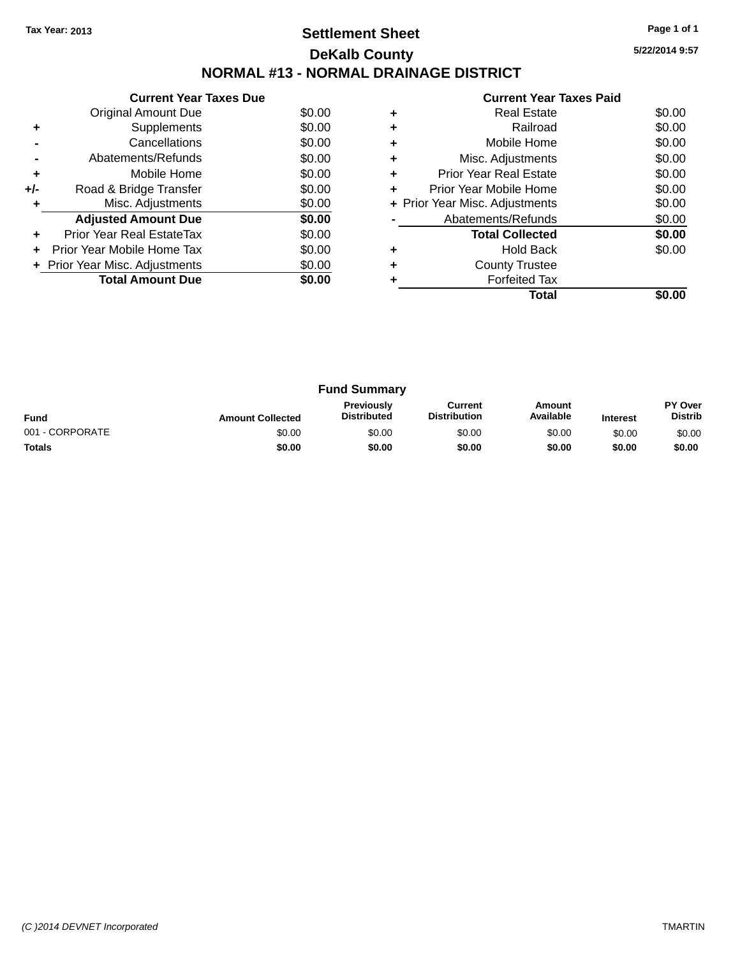# **Settlement Sheet Tax Year: 2013 Page 1 of 1 DeKalb County NORMAL #13 - NORMAL DRAINAGE DISTRICT**

**Current Year Taxes Due** Original Amount Due \$0.00<br>Supplements \$0.00 **+** Supplements **-** Cancellations \$0.00 **-** Abatements/Refunds \$0.00 **+** Mobile Home \$0.00 **+/-** Road & Bridge Transfer \$0.00<br> **+** Misc. Adjustments \$0.00 **+** Misc. Adjustments **Adjusted Amount Due \$0.00 +** Prior Year Real EstateTax \$0.00 **+** Prior Year Mobile Home Tax \$0.00 **+ Prior Year Misc. Adjustments**  $$0.00$ **Total Amount Due** \$0.00

|   | <b>Current Year Taxes Paid</b> |        |
|---|--------------------------------|--------|
| ٠ | <b>Real Estate</b>             | \$0.00 |
| ٠ | Railroad                       | \$0.00 |
| ٠ | Mobile Home                    | \$0.00 |
|   | Misc. Adjustments              | \$0.00 |
| ٠ | <b>Prior Year Real Estate</b>  | \$0.00 |
| ÷ | Prior Year Mobile Home         | \$0.00 |
|   | + Prior Year Misc. Adjustments | \$0.00 |
|   | Abatements/Refunds             | \$0.00 |
|   | <b>Total Collected</b>         | \$0.00 |
| ٠ | <b>Hold Back</b>               | \$0.00 |
|   | <b>County Trustee</b>          |        |
|   | <b>Forfeited Tax</b>           |        |
|   | Total                          |        |

| <b>Fund Summary</b> |                         |                                         |                                |                     |                 |                                  |
|---------------------|-------------------------|-----------------------------------------|--------------------------------|---------------------|-----------------|----------------------------------|
| <b>Fund</b>         | <b>Amount Collected</b> | <b>Previously</b><br><b>Distributed</b> | Current<br><b>Distribution</b> | Amount<br>Available | <b>Interest</b> | <b>PY Over</b><br><b>Distrib</b> |
| 001 - CORPORATE     | \$0.00                  | \$0.00                                  | \$0.00                         | \$0.00              | \$0.00          | \$0.00                           |
| <b>Totals</b>       | \$0.00                  | \$0.00                                  | \$0.00                         | \$0.00              | \$0.00          | \$0.00                           |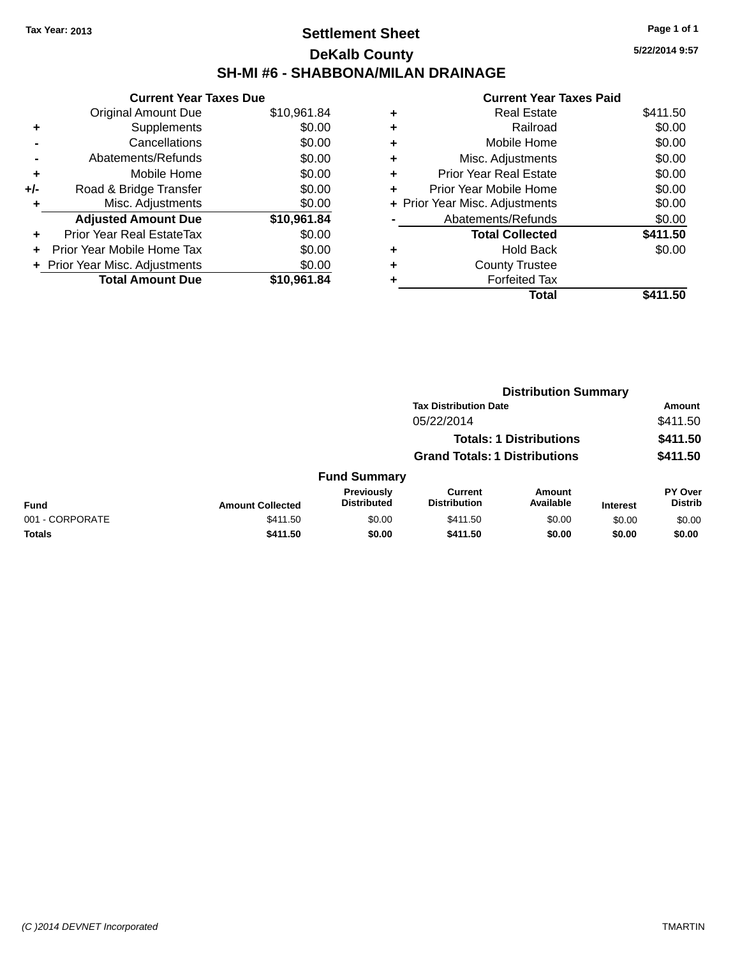# **Settlement Sheet Tax Year: 2013 Page 1 of 1 DeKalb County SH-MI #6 - SHABBONA/MILAN DRAINAGE**

**5/22/2014 9:57**

|     | <b>Current Year Taxes Due</b>  |             |
|-----|--------------------------------|-------------|
|     | <b>Original Amount Due</b>     | \$10,961.84 |
| ٠   | Supplements                    | \$0.00      |
|     | Cancellations                  | \$0.00      |
|     | Abatements/Refunds             | \$0.00      |
| ٠   | Mobile Home                    | \$0.00      |
| +/- | Road & Bridge Transfer         | \$0.00      |
| ٠   | Misc. Adjustments              | \$0.00      |
|     | <b>Adjusted Amount Due</b>     | \$10,961.84 |
| ٠   | Prior Year Real EstateTax      | \$0.00      |
| ÷   | Prior Year Mobile Home Tax     | \$0.00      |
|     | + Prior Year Misc. Adjustments | \$0.00      |
|     | <b>Total Amount Due</b>        | \$10,961.84 |

|   | Real Estate                    | \$411.50 |
|---|--------------------------------|----------|
| ٠ | Railroad                       | \$0.00   |
| ٠ | Mobile Home                    | \$0.00   |
| ٠ | Misc. Adjustments              | \$0.00   |
| ٠ | <b>Prior Year Real Estate</b>  | \$0.00   |
| ٠ | Prior Year Mobile Home         | \$0.00   |
|   | + Prior Year Misc. Adjustments | \$0.00   |
|   | Abatements/Refunds             | \$0.00   |
|   | <b>Total Collected</b>         | \$411.50 |
| ٠ | <b>Hold Back</b>               | \$0.00   |
| ٠ | <b>County Trustee</b>          |          |
| ٠ | <b>Forfeited Tax</b>           |          |
|   | Total                          | \$411.50 |
|   |                                |          |

|                 |                         |                                  | <b>Distribution Summary</b>           |                                |                 |                                  |  |
|-----------------|-------------------------|----------------------------------|---------------------------------------|--------------------------------|-----------------|----------------------------------|--|
|                 |                         |                                  | <b>Tax Distribution Date</b>          |                                |                 | Amount                           |  |
|                 |                         |                                  | 05/22/2014                            |                                |                 | \$411.50                         |  |
|                 |                         |                                  |                                       | <b>Totals: 1 Distributions</b> |                 | \$411.50                         |  |
|                 |                         |                                  | <b>Grand Totals: 1 Distributions</b>  |                                |                 | \$411.50                         |  |
|                 |                         | <b>Fund Summary</b>              |                                       |                                |                 |                                  |  |
| <b>Fund</b>     | <b>Amount Collected</b> | Previously<br><b>Distributed</b> | <b>Current</b><br><b>Distribution</b> | Amount<br>Available            | <b>Interest</b> | <b>PY Over</b><br><b>Distrib</b> |  |
| 001 - CORPORATE | \$411.50                | \$0.00                           | \$411.50                              | \$0.00                         | \$0.00          | \$0.00                           |  |
| <b>Totals</b>   | \$411.50                | \$0.00                           | \$411.50                              | \$0.00                         | \$0.00          | \$0.00                           |  |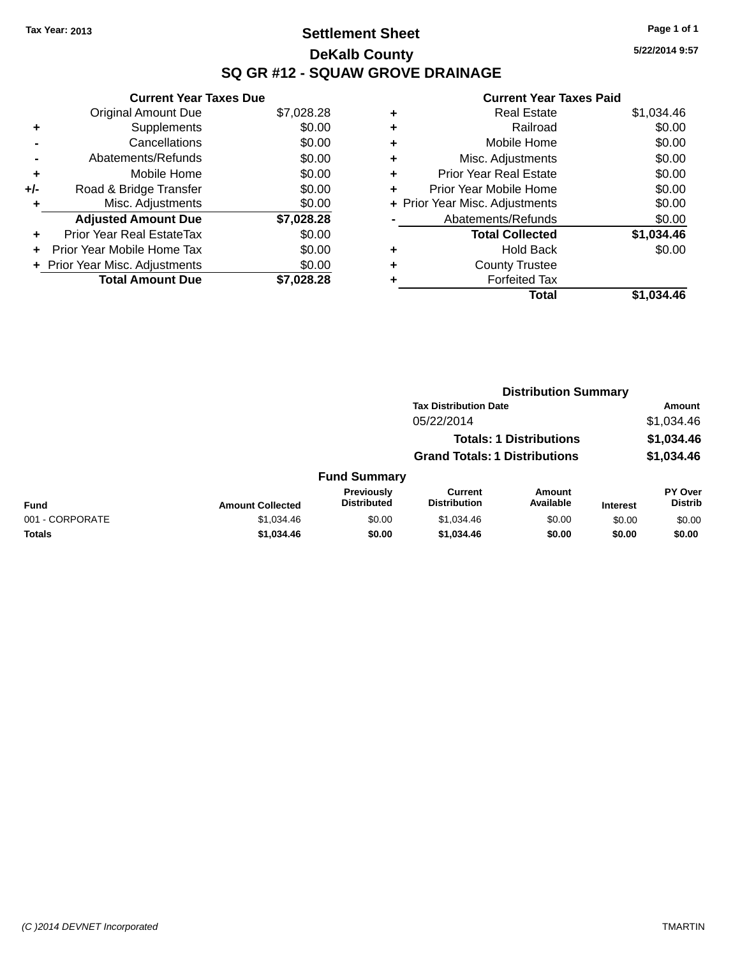# **Settlement Sheet Tax Year: 2013 Page 1 of 1 DeKalb County SQ GR #12 - SQUAW GROVE DRAINAGE**

**5/22/2014 9:57**

| <b>Current Year Taxes Due</b>  |            |
|--------------------------------|------------|
| <b>Original Amount Due</b>     | \$7,028.28 |
| Supplements                    | \$0.00     |
| Cancellations                  | \$0.00     |
| Abatements/Refunds             | \$0.00     |
| Mobile Home                    | \$0.00     |
| Road & Bridge Transfer         | \$0.00     |
| Misc. Adjustments              | \$0.00     |
| <b>Adjusted Amount Due</b>     | \$7,028.28 |
| Prior Year Real EstateTax      | \$0.00     |
| Prior Year Mobile Home Tax     | \$0.00     |
| + Prior Year Misc. Adjustments | \$0.00     |
| <b>Total Amount Due</b>        | \$7.028.28 |
|                                |            |

| ٠ | <b>Real Estate</b>             | \$1,034.46 |
|---|--------------------------------|------------|
| ٠ | Railroad                       | \$0.00     |
| ٠ | Mobile Home                    | \$0.00     |
| ٠ | Misc. Adjustments              | \$0.00     |
| ٠ | <b>Prior Year Real Estate</b>  | \$0.00     |
| ٠ | Prior Year Mobile Home         | \$0.00     |
|   | + Prior Year Misc. Adjustments | \$0.00     |
|   | Abatements/Refunds             | \$0.00     |
|   | <b>Total Collected</b>         | \$1,034.46 |
| ٠ | <b>Hold Back</b>               | \$0.00     |
| ٠ | <b>County Trustee</b>          |            |
| ٠ | <b>Forfeited Tax</b>           |            |
|   | Total                          | \$1,034.46 |
|   |                                |            |

|                 |                         |                                  | <b>Distribution Summary</b>           |                                |                 |                                  |
|-----------------|-------------------------|----------------------------------|---------------------------------------|--------------------------------|-----------------|----------------------------------|
|                 |                         |                                  | <b>Tax Distribution Date</b>          |                                |                 | Amount                           |
|                 |                         |                                  | 05/22/2014                            |                                |                 | \$1,034.46                       |
|                 |                         |                                  |                                       | <b>Totals: 1 Distributions</b> |                 | \$1,034.46                       |
|                 |                         |                                  | <b>Grand Totals: 1 Distributions</b>  |                                |                 | \$1,034.46                       |
|                 |                         | <b>Fund Summary</b>              |                                       |                                |                 |                                  |
| <b>Fund</b>     | <b>Amount Collected</b> | Previously<br><b>Distributed</b> | <b>Current</b><br><b>Distribution</b> | Amount<br>Available            | <b>Interest</b> | <b>PY Over</b><br><b>Distrib</b> |
| 001 - CORPORATE | \$1,034.46              | \$0.00                           | \$1,034.46                            | \$0.00                         | \$0.00          | \$0.00                           |
| Totals          | \$1,034.46              | \$0.00                           | \$1,034.46                            | \$0.00                         | \$0.00          | \$0.00                           |
|                 |                         |                                  |                                       |                                |                 |                                  |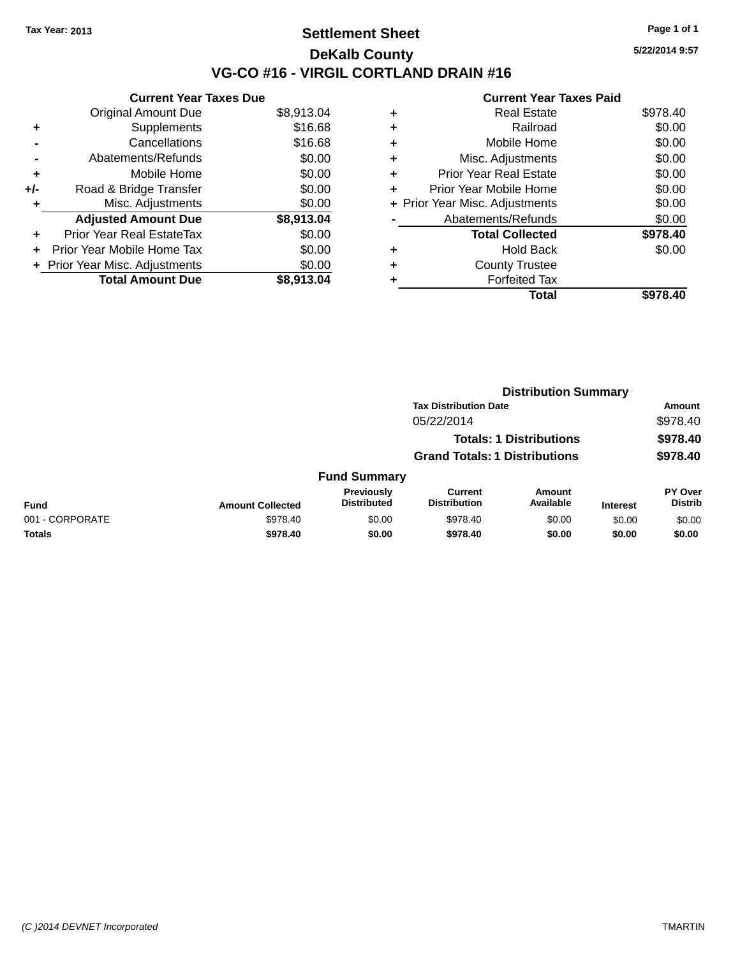# **Settlement Sheet Tax Year: 2013 Page 1 of 1 DeKalb County VG-CO #16 - VIRGIL CORTLAND DRAIN #16**

|     | <b>Current Year Taxes Due</b>    |            |
|-----|----------------------------------|------------|
|     | <b>Original Amount Due</b>       | \$8,913.04 |
| ٠   | Supplements                      | \$16.68    |
|     | Cancellations                    | \$16.68    |
|     | Abatements/Refunds               | \$0.00     |
| ٠   | Mobile Home                      | \$0.00     |
| +/- | Road & Bridge Transfer           | \$0.00     |
| ٠   | Misc. Adjustments                | \$0.00     |
|     | <b>Adjusted Amount Due</b>       | \$8,913.04 |
|     | <b>Prior Year Real EstateTax</b> | \$0.00     |
|     | Prior Year Mobile Home Tax       | \$0.00     |
|     | + Prior Year Misc. Adjustments   | \$0.00     |
|     | <b>Total Amount Due</b>          | \$8.913.04 |

|   | <b>Current Year Taxes Paid</b>   |          |  |  |  |  |  |
|---|----------------------------------|----------|--|--|--|--|--|
| ٠ | Real Estate                      | \$978.40 |  |  |  |  |  |
| ٠ | Railroad                         | \$0.00   |  |  |  |  |  |
| ٠ | Mobile Home                      | \$0.00   |  |  |  |  |  |
| ٠ | Misc. Adjustments                | \$0.00   |  |  |  |  |  |
| ٠ | <b>Prior Year Real Estate</b>    | \$0.00   |  |  |  |  |  |
| ٠ | \$0.00<br>Prior Year Mobile Home |          |  |  |  |  |  |
|   | + Prior Year Misc. Adjustments   | \$0.00   |  |  |  |  |  |
|   | Abatements/Refunds               | \$0.00   |  |  |  |  |  |
|   | <b>Total Collected</b>           | \$978.40 |  |  |  |  |  |
| ٠ | <b>Hold Back</b>                 | \$0.00   |  |  |  |  |  |
|   | <b>County Trustee</b>            |          |  |  |  |  |  |
|   | <b>Forfeited Tax</b>             |          |  |  |  |  |  |
|   | Total                            | \$978.40 |  |  |  |  |  |

|                 | <b>Distribution Summary</b> |                                                                        |                                       |                     |                 |                                  |  |
|-----------------|-----------------------------|------------------------------------------------------------------------|---------------------------------------|---------------------|-----------------|----------------------------------|--|
|                 |                             | <b>Tax Distribution Date</b>                                           |                                       |                     |                 | Amount                           |  |
|                 | 05/22/2014                  |                                                                        |                                       |                     | \$978.40        |                                  |  |
|                 |                             | <b>Totals: 1 Distributions</b><br><b>Grand Totals: 1 Distributions</b> |                                       |                     | \$978.40        |                                  |  |
|                 |                             |                                                                        |                                       |                     | \$978.40        |                                  |  |
|                 |                             | <b>Fund Summary</b>                                                    |                                       |                     |                 |                                  |  |
| <b>Fund</b>     | <b>Amount Collected</b>     | <b>Previously</b><br><b>Distributed</b>                                | <b>Current</b><br><b>Distribution</b> | Amount<br>Available | <b>Interest</b> | <b>PY Over</b><br><b>Distrib</b> |  |
| 001 - CORPORATE | \$978.40                    | \$0.00                                                                 | \$978.40                              | \$0.00              | \$0.00          | \$0.00                           |  |
| <b>Totals</b>   | \$978.40                    | \$0.00                                                                 | \$978.40                              | \$0.00              | \$0.00          | \$0.00                           |  |
|                 |                             |                                                                        |                                       |                     |                 |                                  |  |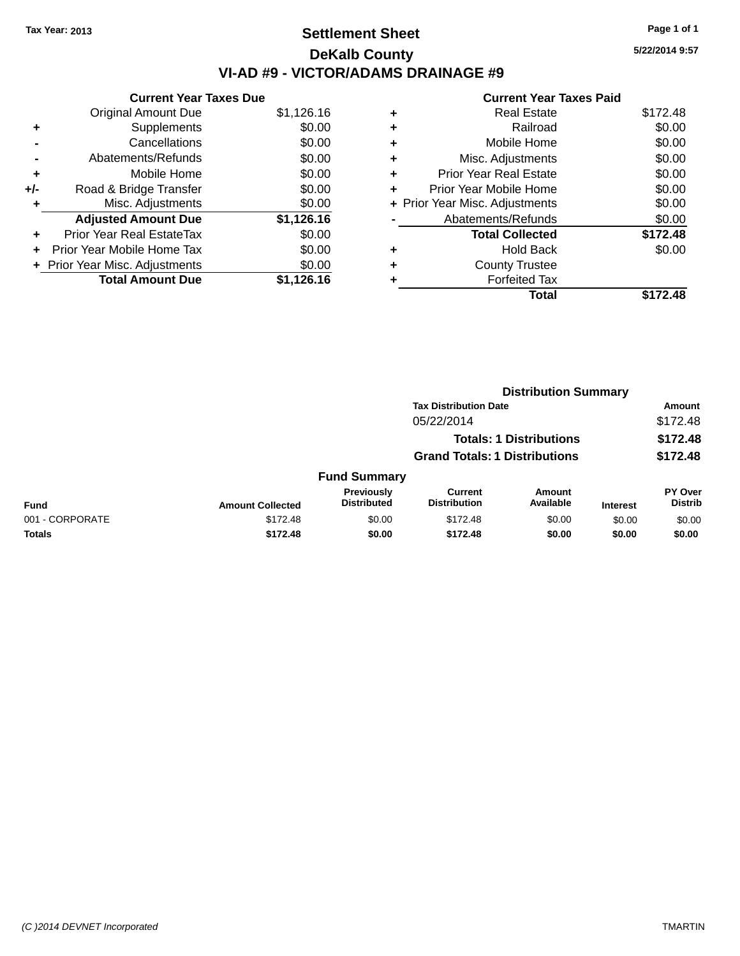# **Settlement Sheet Tax Year: 2013 Page 1 of 1 DeKalb County VI-AD #9 - VICTOR/ADAMS DRAINAGE #9**

**Current Year Taxes Due** Original Amount Due \$1,126.16 **+** Supplements \$0.00 **-** Cancellations \$0.00 **-** Abatements/Refunds \$0.00 **+** Mobile Home \$0.00 **+/-** Road & Bridge Transfer \$0.00 **+** Misc. Adjustments \$0.00 **Adjusted Amount Due \$1,126.16 +** Prior Year Real EstateTax \$0.00 **+** Prior Year Mobile Home Tax \$0.00 **+** Prior Year Misc. Adjustments  $$0.00$ **Total Amount Due \$1,126.16**

## **Current Year Taxes Paid +** Real Estate \$172.48 **+** Railroad \$0.00 **+** Mobile Home \$0.00 **+** Misc. Adjustments \$0.00 **+** Prior Year Real Estate \$0.00 **+** Prior Year Mobile Home \$0.00 **+** Prior Year Misc. Adjustments  $$0.00$ Abatements/Refunds \$0.00 **Total Collected \$172.48 +** Hold Back \$0.00 **+** County Trustee **+** Forfeited Tax **Total \$172.48**

**Distribution Summary**

|                 | 213811846911 Julianu    |                                  |                                                                              |                     |                 |                                  |  |
|-----------------|-------------------------|----------------------------------|------------------------------------------------------------------------------|---------------------|-----------------|----------------------------------|--|
|                 |                         |                                  | <b>Tax Distribution Date</b><br>05/22/2014<br><b>Totals: 1 Distributions</b> |                     |                 | Amount                           |  |
|                 |                         |                                  |                                                                              |                     |                 | \$172.48<br>\$172.48             |  |
|                 |                         |                                  |                                                                              |                     |                 |                                  |  |
|                 |                         |                                  | <b>Grand Totals: 1 Distributions</b>                                         |                     |                 | \$172.48                         |  |
|                 |                         | <b>Fund Summary</b>              |                                                                              |                     |                 |                                  |  |
| <b>Fund</b>     | <b>Amount Collected</b> | Previously<br><b>Distributed</b> | Current<br><b>Distribution</b>                                               | Amount<br>Available | <b>Interest</b> | <b>PY Over</b><br><b>Distrib</b> |  |
| 001 - CORPORATE | \$172.48                | \$0.00                           | \$172.48                                                                     | \$0.00              | \$0.00          | \$0.00                           |  |
| <b>Totals</b>   | \$172.48                | \$0.00                           | \$172.48                                                                     | \$0.00              | \$0.00          | \$0.00                           |  |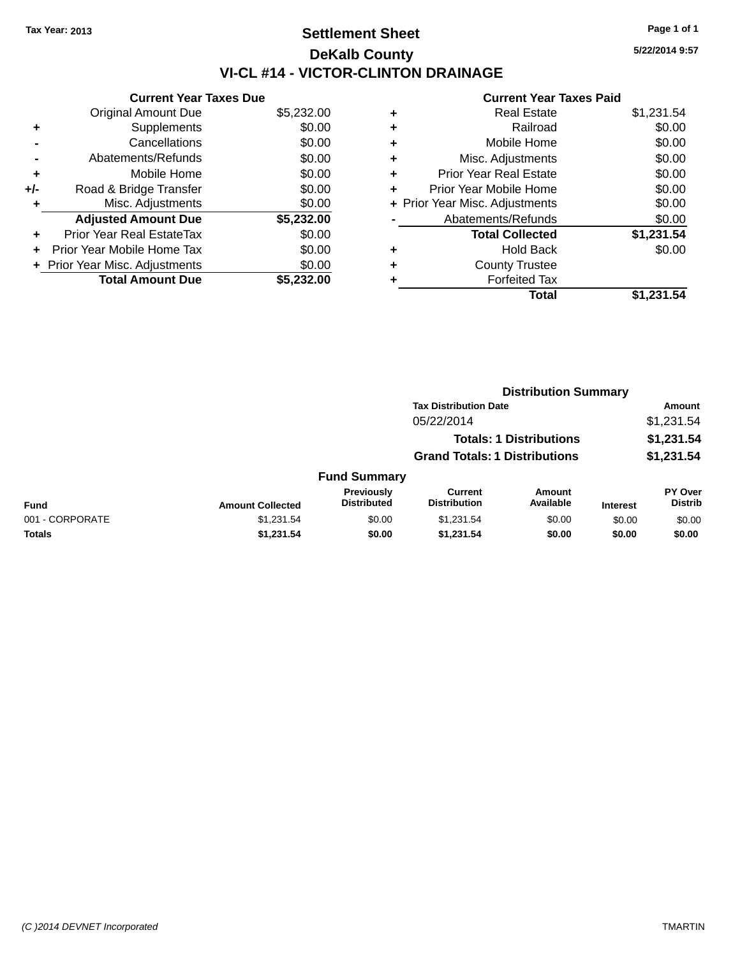# **Settlement Sheet Tax Year: 2013 Page 1 of 1 DeKalb County VI-CL #14 - VICTOR-CLINTON DRAINAGE**

**Current Year Taxes Due** Original Amount Due \$5,232.00 **+** Supplements \$0.00 **-** Cancellations \$0.00 **-** Abatements/Refunds \$0.00 **+** Mobile Home \$0.00 **+/-** Road & Bridge Transfer \$0.00 **+** Misc. Adjustments \$0.00 **Adjusted Amount Due \$5,232.00 +** Prior Year Real EstateTax \$0.00 **+** Prior Year Mobile Home Tax \$0.00 **+ Prior Year Misc. Adjustments**  $$0.00$ **Total Amount Due \$5,232.00**

## **Current Year Taxes Paid**

| <b>Real Estate</b>            | \$1,231.54                     |
|-------------------------------|--------------------------------|
| Railroad                      | \$0.00                         |
| Mobile Home                   | \$0.00                         |
| Misc. Adjustments             | \$0.00                         |
| <b>Prior Year Real Estate</b> | \$0.00                         |
| Prior Year Mobile Home        | \$0.00                         |
|                               | \$0.00                         |
| Abatements/Refunds            | \$0.00                         |
| <b>Total Collected</b>        | \$1,231.54                     |
| <b>Hold Back</b>              | \$0.00                         |
| <b>County Trustee</b>         |                                |
| <b>Forfeited Tax</b>          |                                |
| Total                         | \$1,231.54                     |
|                               | + Prior Year Misc. Adjustments |

|                 |                         | <b>Distribution Summary</b>      |                                                                        |                            |                 |                                  |  |
|-----------------|-------------------------|----------------------------------|------------------------------------------------------------------------|----------------------------|-----------------|----------------------------------|--|
|                 |                         |                                  | <b>Tax Distribution Date</b>                                           |                            |                 | <b>Amount</b>                    |  |
|                 |                         |                                  | 05/22/2014                                                             |                            |                 | \$1,231.54                       |  |
|                 |                         |                                  | <b>Totals: 1 Distributions</b><br><b>Grand Totals: 1 Distributions</b> |                            |                 | \$1,231.54                       |  |
|                 |                         |                                  |                                                                        |                            |                 | \$1,231.54                       |  |
|                 |                         | <b>Fund Summary</b>              |                                                                        |                            |                 |                                  |  |
| <b>Fund</b>     | <b>Amount Collected</b> | Previously<br><b>Distributed</b> | <b>Current</b><br><b>Distribution</b>                                  | <b>Amount</b><br>Available | <b>Interest</b> | <b>PY Over</b><br><b>Distrib</b> |  |
| 001 - CORPORATE | \$1,231.54              | \$0.00                           | \$1,231.54                                                             | \$0.00                     | \$0.00          | \$0.00                           |  |
| <b>Totals</b>   | \$1,231.54              | \$0.00                           | \$1,231.54                                                             | \$0.00                     | \$0.00          | \$0.00                           |  |